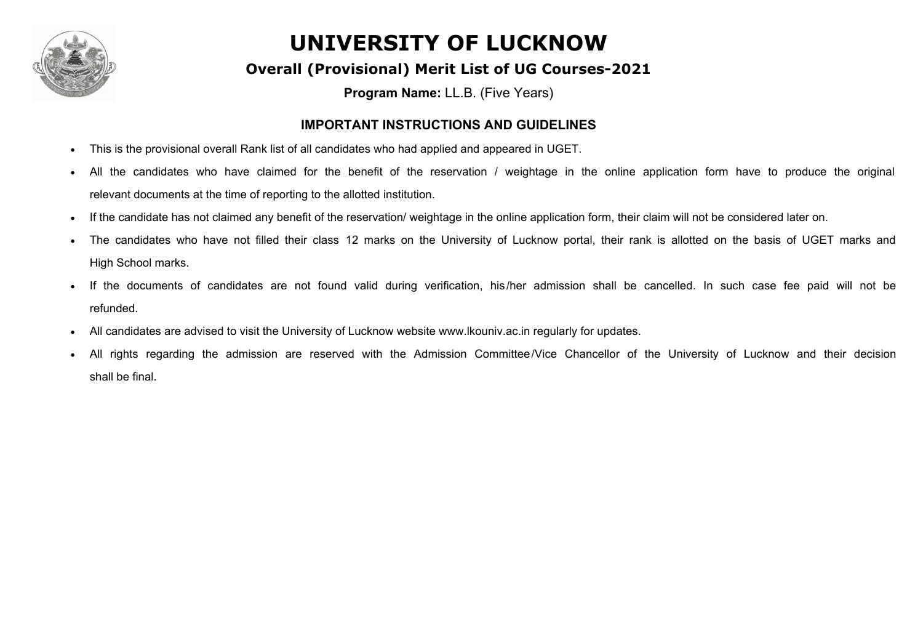

#### **Overall (Provisional) Merit List of UG Courses-2021**

**Program Name:** LL.B. (Five Years)

#### **IMPORTANT INSTRUCTIONS AND GUIDELINES**

- · This is the provisional overall Rank list of all candidates who had applied and appeared in UGET.
- All the candidates who have claimed for the benefit of the reservation / weightage in the online application form have to produce the original relevant documents at the time of reporting to the allotted institution.
- · If the candidate has not claimed any benefit of the reservation/ weightage in the online application form, their claim will not be considered later on.
- The candidates who have not filled their class 12 marks on the University of Lucknow portal, their rank is allotted on the basis of UGET marks and High School marks.
- · If the documents of candidates are not found valid during verification, his /her admission shall be cancelled. In such case fee paid will not be refunded.
- All candidates are advised to visit the University of Lucknow website www.lkouniv.ac.in regularly for updates.
- All rights regarding the admission are reserved with the Admission Committee/Vice Chancellor of the University of Lucknow and their decision shall be final.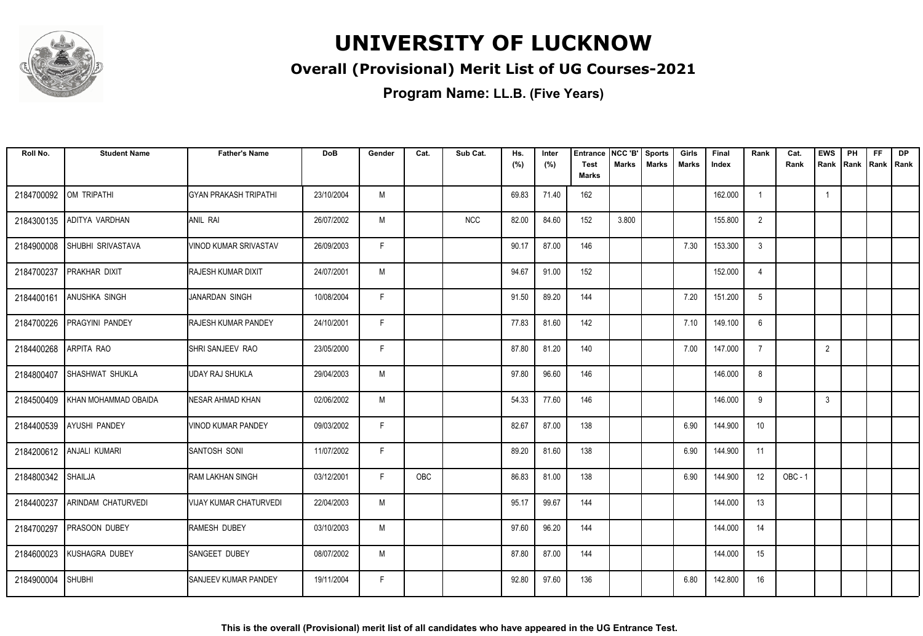

### **Overall (Provisional) Merit List of UG Courses-2021**

| Roll No.   | <b>Student Name</b>       | <b>Father's Name</b>         | <b>DoB</b> | Gender | Cat. | Sub Cat.   | Hs.<br>(%) | Inter<br>(%) | <b>Entrance</b><br><b>Test</b><br><b>Marks</b> | NCC 'B'<br><b>Marks</b> | <b>Sports</b><br><b>Marks</b> | Girls<br>Marks | Final<br>Index | Rank           | Cat.<br>Rank | <b>EWS</b><br>Rank | PH | <b>FF</b><br>Rank Rank Rank | <b>DP</b> |
|------------|---------------------------|------------------------------|------------|--------|------|------------|------------|--------------|------------------------------------------------|-------------------------|-------------------------------|----------------|----------------|----------------|--------------|--------------------|----|-----------------------------|-----------|
| 2184700092 | OM TRIPATHI               | IGYAN PRAKASH TRIPATHI       | 23/10/2004 | M      |      |            | 69.83      | 71.40        | 162                                            |                         |                               |                | 162.000        |                |              | $\overline{1}$     |    |                             |           |
| 2184300135 | ADITYA VARDHAN            | ANIL RAI                     | 26/07/2002 | M      |      | <b>NCC</b> | 82.00      | 84.60        | 152                                            | 3.800                   |                               |                | 155.800        | 2              |              |                    |    |                             |           |
| 2184900008 | SHUBHI SRIVASTAVA         | VINOD KUMAR SRIVASTAV        | 26/09/2003 | F.     |      |            | 90.17      | 87.00        | 146                                            |                         |                               | 7.30           | 153.300        | -3             |              |                    |    |                             |           |
| 2184700237 | PRAKHAR DIXIT             | <b>IRAJESH KUMAR DIXIT</b>   | 24/07/2001 | M      |      |            | 94.67      | 91.00        | 152                                            |                         |                               |                | 152.000        | $\overline{4}$ |              |                    |    |                             |           |
| 2184400161 | <b>ANUSHKA SINGH</b>      | IJANARDAN SINGH              | 10/08/2004 | F.     |      |            | 91.50      | 89.20        | 144                                            |                         |                               | 7.20           | 151.200        | 5              |              |                    |    |                             |           |
| 2184700226 | <b>PRAGYINI PANDEY</b>    | <b>RAJESH KUMAR PANDEY</b>   | 24/10/2001 | F.     |      |            | 77.83      | 81.60        | 142                                            |                         |                               | 7.10           | 149.100        | 6              |              |                    |    |                             |           |
| 2184400268 | ARPITA RAO                | <b>ISHRI SANJEEV RAO</b>     | 23/05/2000 | F      |      |            | 87.80      | 81.20        | 140                                            |                         |                               | 7.00           | 147.000        | $\overline{7}$ |              | $\overline{2}$     |    |                             |           |
| 2184800407 | <b>SHASHWAT SHUKLA</b>    | IUDAY RAJ SHUKLA             | 29/04/2003 | M      |      |            | 97.80      | 96.60        | 146                                            |                         |                               |                | 146.000        | 8              |              |                    |    |                             |           |
| 2184500409 | KHAN MOHAMMAD OBAIDA      | INESAR AHMAD KHAN            | 02/06/2002 | M      |      |            | 54.33      | 77.60        | 146                                            |                         |                               |                | 146.000        | 9              |              | 3                  |    |                             |           |
| 2184400539 | <b>AYUSHI PANDEY</b>      | VINOD KUMAR PANDEY           | 09/03/2002 | F.     |      |            | 82.67      | 87.00        | 138                                            |                         |                               | 6.90           | 144.900        | 10             |              |                    |    |                             |           |
| 2184200612 | <b>ANJALI KUMARI</b>      | Isantosh soni                | 11/07/2002 | F.     |      |            | 89.20      | 81.60        | 138                                            |                         |                               | 6.90           | 144.900        | 11             |              |                    |    |                             |           |
| 2184800342 | SHAILJA                   | <b>RAM LAKHAN SINGH</b>      | 03/12/2001 | F.     | OBC  |            | 86.83      | 81.00        | 138                                            |                         |                               | 6.90           | 144.900        | 12             | $OBC - 1$    |                    |    |                             |           |
| 2184400237 | <b>ARINDAM CHATURVEDI</b> | IVIJAY KUMAR CHATURVEDI      | 22/04/2003 | M      |      |            | 95.17      | 99.67        | 144                                            |                         |                               |                | 144.000        | 13             |              |                    |    |                             |           |
| 2184700297 | <b>PRASOON DUBEY</b>      | RAMESH DUBEY                 | 03/10/2003 | M      |      |            | 97.60      | 96.20        | 144                                            |                         |                               |                | 144.000        | 14             |              |                    |    |                             |           |
| 2184600023 | KUSHAGRA DUBEY            | <b>SANGEET DUBEY</b>         | 08/07/2002 | M      |      |            | 87.80      | 87.00        | 144                                            |                         |                               |                | 144.000        | 15             |              |                    |    |                             |           |
| 2184900004 | <b>SHUBHI</b>             | <b>ISANJEEV KUMAR PANDEY</b> | 19/11/2004 | F.     |      |            | 92.80      | 97.60        | 136                                            |                         |                               | 6.80           | 142.800        | 16             |              |                    |    |                             |           |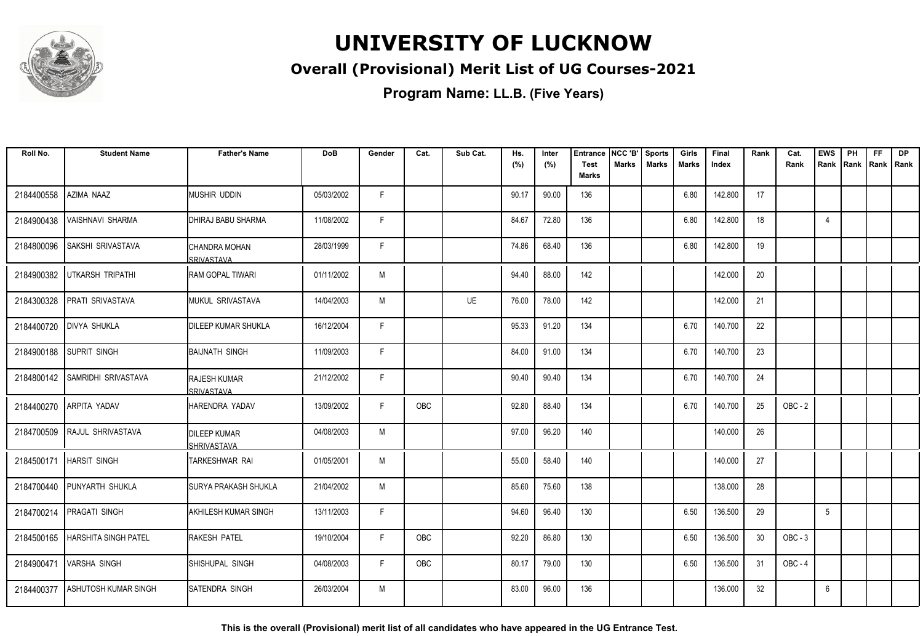

### **Overall (Provisional) Merit List of UG Courses-2021**

**Program Name: LL.B. (Five Years)**

| Roll No.   | <b>Student Name</b>         | <b>Father's Name</b>               | <b>DoB</b> | Gender | Cat. | Sub Cat.  | Hs.<br>(%) | Inter<br>(%) | <b>Entrance</b><br><b>Test</b> | NCC 'B'<br><b>Marks</b> | <b>Sports</b><br><b>Marks</b> | Girls<br><b>Marks</b> | Final<br>Index | Rank | Cat.<br>Rank | <b>EWS</b><br>Rank | PH | <b>FF</b><br>Rank   Rank   Rank | <b>DP</b> |
|------------|-----------------------------|------------------------------------|------------|--------|------|-----------|------------|--------------|--------------------------------|-------------------------|-------------------------------|-----------------------|----------------|------|--------------|--------------------|----|---------------------------------|-----------|
|            |                             |                                    |            |        |      |           |            |              | <b>Marks</b>                   |                         |                               |                       |                |      |              |                    |    |                                 |           |
| 2184400558 | AZIMA NAAZ                  | MUSHIR UDDIN                       | 05/03/2002 | F.     |      |           | 90.17      | 90.00        | 136                            |                         |                               | 6.80                  | 142.800        | 17   |              |                    |    |                                 |           |
| 2184900438 | VAISHNAVI SHARMA            | DHIRAJ BABU SHARMA                 | 11/08/2002 | F.     |      |           | 84.67      | 72.80        | 136                            |                         |                               | 6.80                  | 142.800        | 18   |              | $\overline{4}$     |    |                                 |           |
| 2184800096 | SAKSHI SRIVASTAVA           | CHANDRA MOHAN<br><b>SRIVASTAVA</b> | 28/03/1999 | F.     |      |           | 74.86      | 68.40        | 136                            |                         |                               | 6.80                  | 142.800        | 19   |              |                    |    |                                 |           |
| 2184900382 | UTKARSH TRIPATHI            | IRAM GOPAL TIWARI                  | 01/11/2002 | M      |      |           | 94.40      | 88.00        | 142                            |                         |                               |                       | 142.000        | 20   |              |                    |    |                                 |           |
| 2184300328 | PRATI SRIVASTAVA            | <b>IMUKUL SRIVASTAVA</b>           | 14/04/2003 | M      |      | <b>UE</b> | 76.00      | 78.00        | 142                            |                         |                               |                       | 142.000        | 21   |              |                    |    |                                 |           |
| 2184400720 | <b>DIVYA SHUKLA</b>         | <b>IDILEEP KUMAR SHUKLA</b>        | 16/12/2004 | F.     |      |           | 95.33      | 91.20        | 134                            |                         |                               | 6.70                  | 140.700        | 22   |              |                    |    |                                 |           |
| 2184900188 | <b>SUPRIT SINGH</b>         | BAIJNATH SINGH                     | 11/09/2003 | F.     |      |           | 84.00      | 91.00        | 134                            |                         |                               | 6.70                  | 140.700        | 23   |              |                    |    |                                 |           |
| 2184800142 | <b>SAMRIDHI SRIVASTAVA</b>  | <b>RAJESH KUMAR</b><br>SRIVASTAVA  | 21/12/2002 | F      |      |           | 90.40      | 90.40        | 134                            |                         |                               | 6.70                  | 140.700        | 24   |              |                    |    |                                 |           |
| 2184400270 | <b>ARPITA YADAV</b>         | HARENDRA YADAV                     | 13/09/2002 | E      | OBC  |           | 92.80      | 88.40        | 134                            |                         |                               | 6.70                  | 140.700        | 25   | $OBC - 2$    |                    |    |                                 |           |
| 2184700509 | RAJUL SHRIVASTAVA           | <b>DILEEP KUMAR</b><br>SHRIVASTAVA | 04/08/2003 | M      |      |           | 97.00      | 96.20        | 140                            |                         |                               |                       | 140.000        | 26   |              |                    |    |                                 |           |
|            | 2184500171   HARSIT SINGH   | ITARKESHWAR RAI                    | 01/05/2001 | M      |      |           | 55.00      | 58.40        | 140                            |                         |                               |                       | 140.000        | 27   |              |                    |    |                                 |           |
|            | 2184700440 PUNYARTH SHUKLA  | <b>SURYA PRAKASH SHUKLA</b>        | 21/04/2002 | M      |      |           | 85.60      | 75.60        | 138                            |                         |                               |                       | 138.000        | 28   |              |                    |    |                                 |           |
| 2184700214 | <b>PRAGATI SINGH</b>        | <b>AKHILESH KUMAR SINGH</b>        | 13/11/2003 | F.     |      |           | 94.60      | 96.40        | 130                            |                         |                               | 6.50                  | 136.500        | 29   |              | 5                  |    |                                 |           |
| 2184500165 | <b>HARSHITA SINGH PATEL</b> | <b>RAKESH PATEL</b>                | 19/10/2004 | F.     | OBC  |           | 92.20      | 86.80        | 130                            |                         |                               | 6.50                  | 136.500        | 30   | $OBC - 3$    |                    |    |                                 |           |
| 2184900471 | <b>VARSHA SINGH</b>         | SHISHUPAL SINGH                    | 04/08/2003 | F.     | OBC  |           | 80.17      | 79.00        | 130                            |                         |                               | 6.50                  | 136.500        | 31   | OBC-4        |                    |    |                                 |           |
| 2184400377 | ASHUTOSH KUMAR SINGH        | <b>SATENDRA SINGH</b>              | 26/03/2004 | M      |      |           | 83.00      | 96.00        | 136                            |                         |                               |                       | 136.000        | 32   |              | 6                  |    |                                 |           |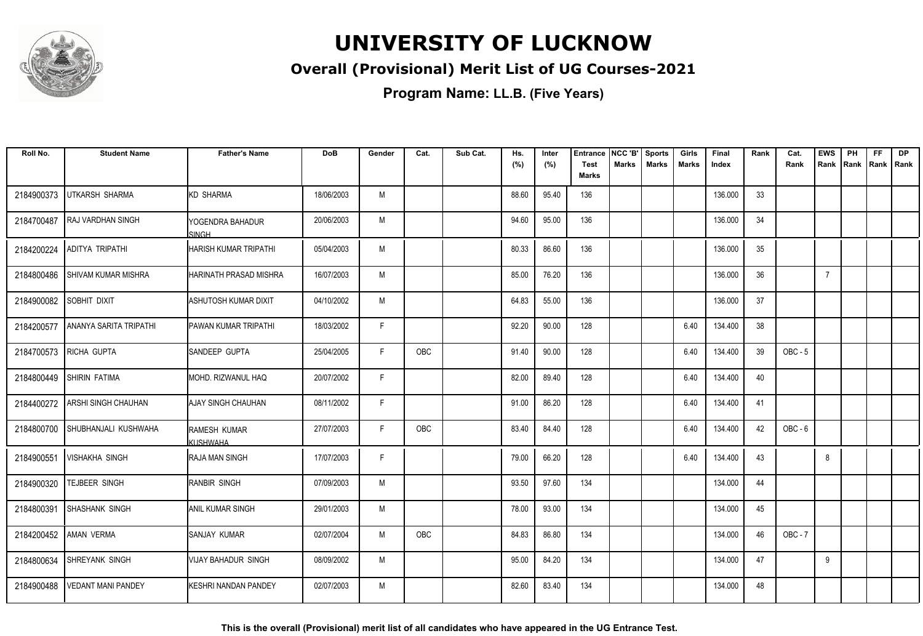

### **Overall (Provisional) Merit List of UG Courses-2021**

**Program Name: LL.B. (Five Years)**

| Roll No.   | <b>Student Name</b>        | <b>Father's Name</b>          | <b>DoB</b> | Gender | Cat. | Sub Cat. | Hs.<br>(%) | Inter<br>(%) | <b>Entrance</b><br><b>Test</b> | NCC 'B'<br><b>Marks</b> | <b>Sports</b><br><b>Marks</b> | Girls<br><b>Marks</b> | Final<br>Index | Rank | Cat.<br>Rank   | <b>EWS</b>     | PH<br>Rank Rank Rank Rank | <b>FF</b> | <b>DP</b> |
|------------|----------------------------|-------------------------------|------------|--------|------|----------|------------|--------------|--------------------------------|-------------------------|-------------------------------|-----------------------|----------------|------|----------------|----------------|---------------------------|-----------|-----------|
|            |                            |                               |            |        |      |          |            |              | <b>Marks</b>                   |                         |                               |                       |                |      |                |                |                           |           |           |
| 2184900373 | <b>UTKARSH SHARMA</b>      | <b>KD SHARMA</b>              | 18/06/2003 | M      |      |          | 88.60      | 95.40        | 136                            |                         |                               |                       | 136.000        | 33   |                |                |                           |           |           |
| 2184700487 | <b>RAJ VARDHAN SINGH</b>   | YOGENDRA BAHADUR<br>SINGH     | 20/06/2003 | М      |      |          | 94.60      | 95.00        | 136                            |                         |                               |                       | 136.000        | 34   |                |                |                           |           |           |
| 2184200224 | <b>ADITYA TRIPATHI</b>     | <b>HARISH KUMAR TRIPATHI</b>  | 05/04/2003 | М      |      |          | 80.33      | 86.60        | 136                            |                         |                               |                       | 136.000        | 35   |                |                |                           |           |           |
| 2184800486 | <b>SHIVAM KUMAR MISHRA</b> | <b>HARINATH PRASAD MISHRA</b> | 16/07/2003 | М      |      |          | 85.00      | 76.20        | 136                            |                         |                               |                       | 136.000        | 36   |                | $\overline{7}$ |                           |           |           |
| 2184900082 | SOBHIT DIXIT               | <b>ASHUTOSH KUMAR DIXIT</b>   | 04/10/2002 | M      |      |          | 64.83      | 55.00        | 136                            |                         |                               |                       | 136.000        | 37   |                |                |                           |           |           |
| 2184200577 | ANANYA SARITA TRIPATHI     | <b>PAWAN KUMAR TRIPATHI</b>   | 18/03/2002 | F.     |      |          | 92.20      | 90.00        | 128                            |                         |                               | 6.40                  | 134.400        | 38   |                |                |                           |           |           |
| 2184700573 | <b>RICHA GUPTA</b>         | SANDEEP GUPTA                 | 25/04/2005 | F.     | OBC  |          | 91.40      | 90.00        | 128                            |                         |                               | 6.40                  | 134.400        | 39   | $OBC - 5$      |                |                           |           |           |
| 2184800449 | SHIRIN FATIMA              | MOHD. RIZWANUL HAQ            | 20/07/2002 | F.     |      |          | 82.00      | 89.40        | 128                            |                         |                               | 6.40                  | 134.400        | 40   |                |                |                           |           |           |
| 2184400272 | ARSHI SINGH CHAUHAN        | AJAY SINGH CHAUHAN            | 08/11/2002 | F.     |      |          | 91.00      | 86.20        | 128                            |                         |                               | 6.40                  | 134.400        | 41   |                |                |                           |           |           |
| 2184800700 | SHUBHANJALI KUSHWAHA       | RAMESH KUMAR<br>KUSHWAHA      | 27/07/2003 | F.     | OBC  |          | 83.40      | 84.40        | 128                            |                         |                               | 6.40                  | 134.400        | 42   | OBC-6          |                |                           |           |           |
| 2184900551 | <b>VISHAKHA SINGH</b>      | <b>RAJA MAN SINGH</b>         | 17/07/2003 | F      |      |          | 79.00      | 66.20        | 128                            |                         |                               | 6.40                  | 134.400        | 43   |                | 8              |                           |           |           |
| 2184900320 | TEJBEER SINGH              | <b>RANBIR SINGH</b>           | 07/09/2003 | М      |      |          | 93.50      | 97.60        | 134                            |                         |                               |                       | 134.000        | 44   |                |                |                           |           |           |
| 2184800391 | SHASHANK SINGH             | <b>ANIL KUMAR SINGH</b>       | 29/01/2003 | М      |      |          | 78.00      | 93.00        | 134                            |                         |                               |                       | 134.000        | 45   |                |                |                           |           |           |
|            | 2184200452 AMAN VERMA      | SANJAY KUMAR                  | 02/07/2004 | М      | OBC  |          | 84.83      | 86.80        | 134                            |                         |                               |                       | 134.000        | 46   | <b>OBC - 7</b> |                |                           |           |           |
| 2184800634 | SHREYANK SINGH             | <b>VIJAY BAHADUR SINGH</b>    | 08/09/2002 | М      |      |          | 95.00      | 84.20        | 134                            |                         |                               |                       | 134.000        | 47   |                | 9              |                           |           |           |
| 2184900488 | VEDANT MANI PANDEY         | KESHRI NANDAN PANDEY          | 02/07/2003 | М      |      |          | 82.60      | 83.40        | 134                            |                         |                               |                       | 134.000        | 48   |                |                |                           |           |           |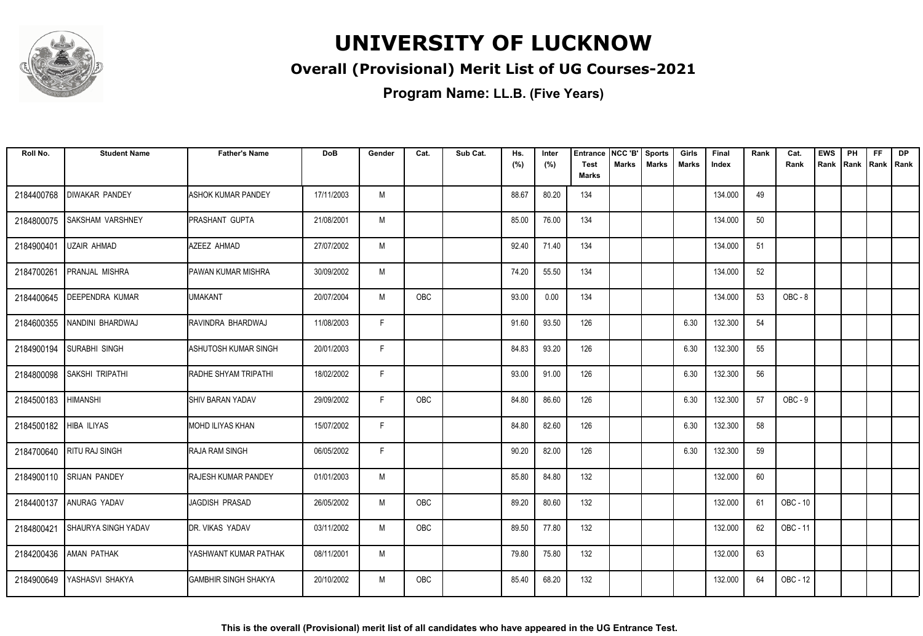

### **Overall (Provisional) Merit List of UG Courses-2021**

| Roll No.                 | <b>Student Name</b>      | <b>Father's Name</b>       | <b>DoB</b> | Gender | Cat.       | Sub Cat. | Hs.<br>(%) | Inter<br>(%) | Entrance<br><b>Test</b><br><b>Marks</b> | NCC 'B'<br><b>Marks</b> | <b>Sports</b><br><b>Marks</b> | Girls<br><b>Marks</b> | Final<br>Index | Rank | Cat.<br>Rank | <b>EWS</b><br>Rank | PH<br>Rank | <b>FF</b><br>Rank   Rank | <b>DP</b> |
|--------------------------|--------------------------|----------------------------|------------|--------|------------|----------|------------|--------------|-----------------------------------------|-------------------------|-------------------------------|-----------------------|----------------|------|--------------|--------------------|------------|--------------------------|-----------|
| 2184400768               | <b>DIWAKAR PANDEY</b>    | <b>ASHOK KUMAR PANDEY</b>  | 17/11/2003 | M      |            |          | 88.67      | 80.20        | 134                                     |                         |                               |                       | 134.000        | 49   |              |                    |            |                          |           |
| 2184800075               | <b>SAKSHAM VARSHNEY</b>  | <b>PRASHANT GUPTA</b>      | 21/08/2001 | M      |            |          | 85.00      | 76.00        | 134                                     |                         |                               |                       | 134.000        | 50   |              |                    |            |                          |           |
| 2184900401               | UZAIR AHMAD              | AZEEZ AHMAD                | 27/07/2002 | M      |            |          | 92.40      | 71.40        | 134                                     |                         |                               |                       | 134.000        | 51   |              |                    |            |                          |           |
| 2184700261               | PRANJAL MISHRA           | PAWAN KUMAR MISHRA         | 30/09/2002 | M      |            |          | 74.20      | 55.50        | 134                                     |                         |                               |                       | 134.000        | 52   |              |                    |            |                          |           |
| 2184400645               | DEEPENDRA KUMAR          | <b>UMAKANT</b>             | 20/07/2004 | M      | OBC        |          | 93.00      | 0.00         | 134                                     |                         |                               |                       | 134.000        | 53   | OBC-8        |                    |            |                          |           |
| 2184600355               | NANDINI BHARDWAJ         | RAVINDRA BHARDWAJ          | 11/08/2003 | F.     |            |          | 91.60      | 93.50        | 126                                     |                         |                               | 6.30                  | 132.300        | 54   |              |                    |            |                          |           |
| 2184900194               | <b>SURABHI SINGH</b>     | ASHUTOSH KUMAR SINGH       | 20/01/2003 | F      |            |          | 84.83      | 93.20        | 126                                     |                         |                               | 6.30                  | 132.300        | 55   |              |                    |            |                          |           |
| 2184800098               | <b>SAKSHI TRIPATHI</b>   | RADHE SHYAM TRIPATHI       | 18/02/2002 | F      |            |          | 93.00      | 91.00        | 126                                     |                         |                               | 6.30                  | 132.300        | 56   |              |                    |            |                          |           |
| 2184500183               | <b>HIMANSHI</b>          | <b>SHIV BARAN YADAV</b>    | 29/09/2002 | F.     | OBC        |          | 84.80      | 86.60        | 126                                     |                         |                               | 6.30                  | 132.300        | 57   | OBC-9        |                    |            |                          |           |
| 2184500182   HIBA ILIYAS |                          | MOHD ILIYAS KHAN           | 15/07/2002 | F.     |            |          | 84.80      | 82.60        | 126                                     |                         |                               | 6.30                  | 132.300        | 58   |              |                    |            |                          |           |
| 2184700640               | <b>RITU RAJ SINGH</b>    | <b>RAJA RAM SINGH</b>      | 06/05/2002 | F.     |            |          | 90.20      | 82.00        | 126                                     |                         |                               | 6.30                  | 132.300        | 59   |              |                    |            |                          |           |
|                          | 2184900110 SRIJAN PANDEY | <b>RAJESH KUMAR PANDEY</b> | 01/01/2003 | M      |            |          | 85.80      | 84.80        | 132                                     |                         |                               |                       | 132.000        | 60   |              |                    |            |                          |           |
| 2184400137               | <b>ANURAG YADAV</b>      | JAGDISH PRASAD             | 26/05/2002 | M      | OBC        |          | 89.20      | 80.60        | 132                                     |                         |                               |                       | 132.000        | 61   | OBC - 10     |                    |            |                          |           |
| 2184800421               | SHAURYA SINGH YADAV      | <b>IDR. VIKAS YADAV</b>    | 03/11/2002 | M      | <b>OBC</b> |          | 89.50      | 77.80        | 132                                     |                         |                               |                       | 132.000        | 62   | OBC - 11     |                    |            |                          |           |
| 2184200436               | <b>AMAN PATHAK</b>       | YASHWANT KUMAR PATHAK      | 08/11/2001 | M      |            |          | 79.80      | 75.80        | 132                                     |                         |                               |                       | 132.000        | 63   |              |                    |            |                          |           |
| 2184900649               | YASHASVI SHAKYA          | IGAMBHIR SINGH SHAKYA      | 20/10/2002 | M      | OBC        |          | 85.40      | 68.20        | 132                                     |                         |                               |                       | 132.000        | 64   | OBC - 12     |                    |            |                          |           |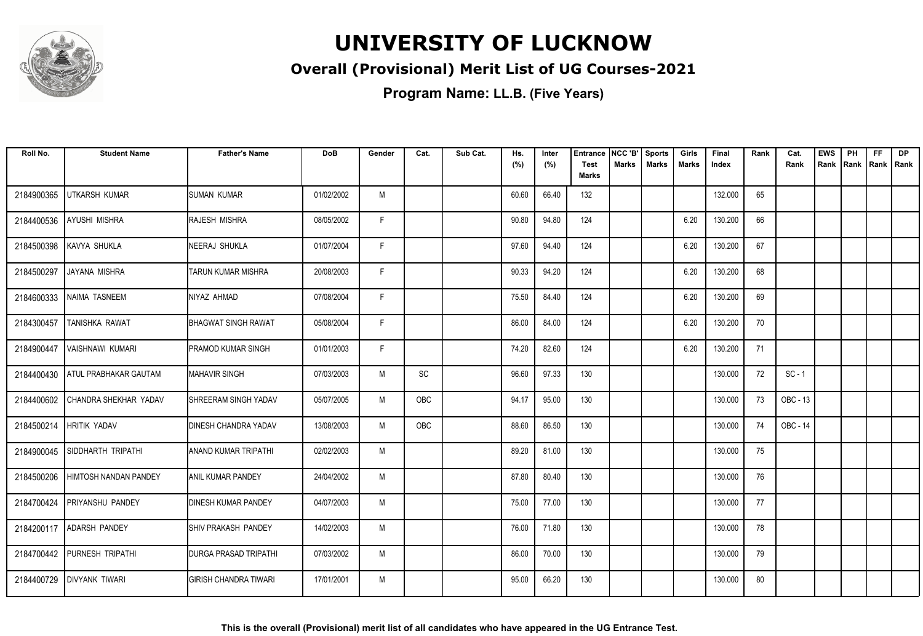

### **Overall (Provisional) Merit List of UG Courses-2021**

| Roll No.   | <b>Student Name</b>          | <b>Father's Name</b>         | <b>DoB</b> | Gender | Cat.       | Sub Cat. | Hs.<br>(%) | Inter<br>(%) | <b>Entrance</b><br><b>Test</b><br><b>Marks</b> | NCC 'B'<br>Marks | Sports<br><b>Marks</b> | Girls<br>Marks | Final<br>Index | Rank | Cat.<br>Rank | <b>EWS</b><br>Rank | PH<br> Rank | <b>FF</b><br>Rank   Rank | <b>DP</b> |
|------------|------------------------------|------------------------------|------------|--------|------------|----------|------------|--------------|------------------------------------------------|------------------|------------------------|----------------|----------------|------|--------------|--------------------|-------------|--------------------------|-----------|
| 2184900365 | UTKARSH KUMAR                | <b>SUMAN KUMAR</b>           | 01/02/2002 | M      |            |          | 60.60      | 66.40        | 132                                            |                  |                        |                | 132.000        | 65   |              |                    |             |                          |           |
| 2184400536 | <b>AYUSHI MISHRA</b>         | RAJESH MISHRA                | 08/05/2002 | F.     |            |          | 90.80      | 94.80        | 124                                            |                  |                        | 6.20           | 130.200        | 66   |              |                    |             |                          |           |
| 2184500398 | KAVYA SHUKLA                 | <b>NEERAJ SHUKLA</b>         | 01/07/2004 | F      |            |          | 97.60      | 94.40        | 124                                            |                  |                        | 6.20           | 130.200        | 67   |              |                    |             |                          |           |
| 2184500297 | JAYANA MISHRA                | TARUN KUMAR MISHRA           | 20/08/2003 | F      |            |          | 90.33      | 94.20        | 124                                            |                  |                        | 6.20           | 130.200        | 68   |              |                    |             |                          |           |
| 2184600333 | NAIMA TASNEEM                | NIYAZ AHMAD                  | 07/08/2004 | F      |            |          | 75.50      | 84.40        | 124                                            |                  |                        | 6.20           | 130.200        | 69   |              |                    |             |                          |           |
| 2184300457 | TANISHKA RAWAT               | <b>BHAGWAT SINGH RAWAT</b>   | 05/08/2004 | F      |            |          | 86.00      | 84.00        | 124                                            |                  |                        | 6.20           | 130.200        | 70   |              |                    |             |                          |           |
| 2184900447 | VAISHNAWI KUMARI             | <b>PRAMOD KUMAR SINGH</b>    | 01/01/2003 | F.     |            |          | 74.20      | 82.60        | 124                                            |                  |                        | 6.20           | 130.200        | 71   |              |                    |             |                          |           |
| 2184400430 | <b>ATUL PRABHAKAR GAUTAM</b> | <b>MAHAVIR SINGH</b>         | 07/03/2003 | M      | SC         |          | 96.60      | 97.33        | 130                                            |                  |                        |                | 130.000        | 72   | $SC - 1$     |                    |             |                          |           |
| 2184400602 | CHANDRA SHEKHAR YADAV        | SHREERAM SINGH YADAV         | 05/07/2005 | M      | <b>OBC</b> |          | 94.17      | 95.00        | 130                                            |                  |                        |                | 130.000        | 73   | OBC - 13     |                    |             |                          |           |
| 2184500214 | <b>HRITIK YADAV</b>          | DINESH CHANDRA YADAV         | 13/08/2003 | M      | OBC        |          | 88.60      | 86.50        | 130                                            |                  |                        |                | 130.000        | 74   | OBC - 14     |                    |             |                          |           |
| 2184900045 | <b>SIDDHARTH TRIPATHI</b>    | ANAND KUMAR TRIPATHI         | 02/02/2003 | M      |            |          | 89.20      | 81.00        | 130                                            |                  |                        |                | 130.000        | 75   |              |                    |             |                          |           |
| 2184500206 | HIMTOSH NANDAN PANDEY        | <b>ANIL KUMAR PANDEY</b>     | 24/04/2002 | M      |            |          | 87.80      | 80.40        | 130                                            |                  |                        |                | 130.000        | 76   |              |                    |             |                          |           |
| 2184700424 | <b>PRIYANSHU PANDEY</b>      | <b>DINESH KUMAR PANDEY</b>   | 04/07/2003 | M      |            |          | 75.00      | 77.00        | 130                                            |                  |                        |                | 130.000        | 77   |              |                    |             |                          |           |
| 2184200117 | <b>ADARSH PANDEY</b>         | <b>I</b> SHIV PRAKASH PANDEY | 14/02/2003 | M      |            |          | 76.00      | 71.80        | 130                                            |                  |                        |                | 130.000        | 78   |              |                    |             |                          |           |
| 2184700442 | PURNESH TRIPATHI             | <b>DURGA PRASAD TRIPATHI</b> | 07/03/2002 | M      |            |          | 86.00      | 70.00        | 130                                            |                  |                        |                | 130.000        | 79   |              |                    |             |                          |           |
| 2184400729 | <b>DIVYANK TIWARI</b>        | IGIRISH CHANDRA TIWARI       | 17/01/2001 | M      |            |          | 95.00      | 66.20        | 130                                            |                  |                        |                | 130.000        | 80   |              |                    |             |                          |           |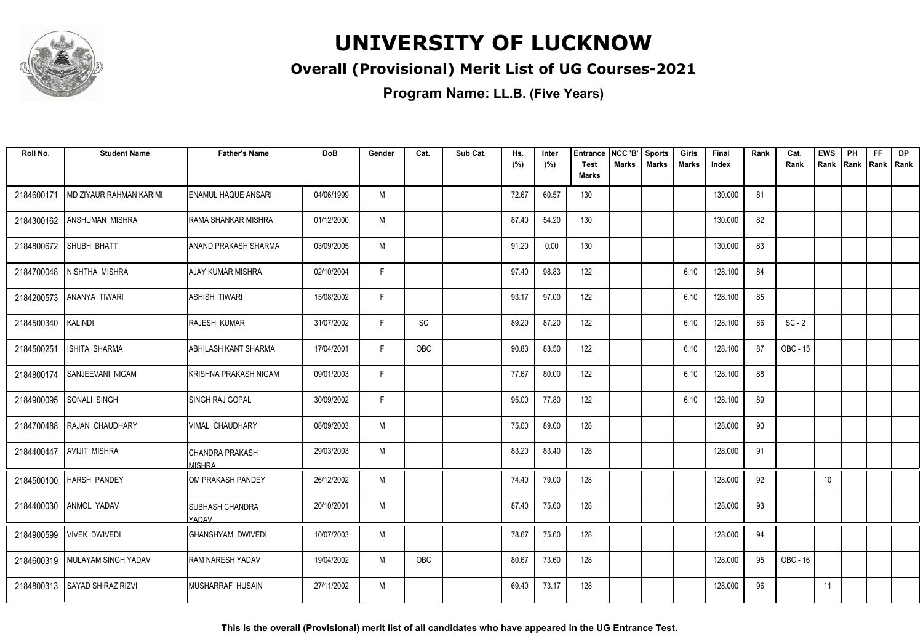

### **Overall (Provisional) Merit List of UG Courses-2021**

**Program Name: LL.B. (Five Years)**

| Roll No.   | <b>Student Name</b>            | <b>Father's Name</b>                   | <b>DoB</b> | Gender | Cat.       | Sub Cat. | Hs.<br>(%) | Inter<br>(%) | <b>Entrance</b><br><b>Test</b> | NCC 'B'<br><b>Marks</b> | <b>Sports</b><br><b>Marks</b> | Girls<br><b>Marks</b> | Final<br>Index | Rank | Cat.<br>Rank | <b>EWS</b><br>Rank | PH<br>Rank | <b>FF</b><br>Rank   Rank | <b>DP</b> |
|------------|--------------------------------|----------------------------------------|------------|--------|------------|----------|------------|--------------|--------------------------------|-------------------------|-------------------------------|-----------------------|----------------|------|--------------|--------------------|------------|--------------------------|-----------|
|            |                                |                                        |            |        |            |          |            |              | <b>Marks</b>                   |                         |                               |                       |                |      |              |                    |            |                          |           |
| 2184600171 | <b>MD ZIYAUR RAHMAN KARIMI</b> | <b>ENAMUL HAQUE ANSARI</b>             | 04/06/1999 | M      |            |          | 72.67      | 60.57        | 130                            |                         |                               |                       | 130.000        | 81   |              |                    |            |                          |           |
| 2184300162 | <b>ANSHUMAN MISHRA</b>         | RAMA SHANKAR MISHRA                    | 01/12/2000 | M      |            |          | 87.40      | 54.20        | 130                            |                         |                               |                       | 130.000        | 82   |              |                    |            |                          |           |
| 2184800672 | SHUBH BHATT                    | ANAND PRAKASH SHARMA                   | 03/09/2005 | M      |            |          | 91.20      | 0.00         | 130                            |                         |                               |                       | 130.000        | 83   |              |                    |            |                          |           |
| 2184700048 | NISHTHA MISHRA                 | <b>AJAY KUMAR MISHRA</b>               | 02/10/2004 | F      |            |          | 97.40      | 98.83        | 122                            |                         |                               | 6.10                  | 128.100        | 84   |              |                    |            |                          |           |
| 2184200573 | ANANYA TIWARI                  | Iashish tiwari                         | 15/08/2002 | F      |            |          | 93.17      | 97.00        | 122                            |                         |                               | 6.10                  | 128.100        | 85   |              |                    |            |                          |           |
| 2184500340 | KALINDI                        | <b>RAJESH KUMAR</b>                    | 31/07/2002 | F      | SC         |          | 89.20      | 87.20        | 122                            |                         |                               | 6.10                  | 128.100        | 86   | $SC - 2$     |                    |            |                          |           |
| 2184500251 | ISHITA SHARMA                  | ABHILASH KANT SHARMA                   | 17/04/2001 | F.     | <b>OBC</b> |          | 90.83      | 83.50        | 122                            |                         |                               | 6.10                  | 128.100        | 87   | OBC - 15     |                    |            |                          |           |
| 2184800174 | SANJEEVANI NIGAM               | İKRISHNA PRAKASH NIGAM                 | 09/01/2003 | F      |            |          | 77.67      | 80.00        | 122                            |                         |                               | 6.10                  | 128.100        | 88   |              |                    |            |                          |           |
| 2184900095 | <b>SONALI SINGH</b>            | <b>SINGH RAJ GOPAL</b>                 | 30/09/2002 | F      |            |          | 95.00      | 77.80        | 122                            |                         |                               | 6.10                  | 128.100        | 89   |              |                    |            |                          |           |
| 2184700488 | RAJAN CHAUDHARY                | VIMAL CHAUDHARY                        | 08/09/2003 | M      |            |          | 75.00      | 89.00        | 128                            |                         |                               |                       | 128.000        | 90   |              |                    |            |                          |           |
| 2184400447 | <b>AVIJIT MISHRA</b>           | ICHANDRA PRAKASH<br><b>MISHRA</b>      | 29/03/2003 | M      |            |          | 83.20      | 83.40        | 128                            |                         |                               |                       | 128.000        | 91   |              |                    |            |                          |           |
| 2184500100 | <b>HARSH PANDEY</b>            | IOM PRAKASH PANDEY                     | 26/12/2002 | M      |            |          | 74.40      | 79.00        | 128                            |                         |                               |                       | 128.000        | 92   |              | 10                 |            |                          |           |
| 2184400030 | ANMOL YADAV                    | <b>SUBHASH CHANDRA</b><br><b>YADAV</b> | 20/10/2001 | M      |            |          | 87.40      | 75.60        | 128                            |                         |                               |                       | 128.000        | 93   |              |                    |            |                          |           |
| 2184900599 | <b>VIVEK DWIVEDI</b>           | <b>GHANSHYAM DWIVEDI</b>               | 10/07/2003 | M      |            |          | 78.67      | 75.60        | 128                            |                         |                               |                       | 128.000        | 94   |              |                    |            |                          |           |
|            | 2184600319 MULAYAM SINGH YADAV | <b>RAM NARESH YADAV</b>                | 19/04/2002 | M      | <b>OBC</b> |          | 80.67      | 73.60        | 128                            |                         |                               |                       | 128.000        | 95   | OBC - 16     |                    |            |                          |           |
|            | 2184800313 SAYAD SHIRAZ RIZVI  | IMUSHARRAF HUSAIN                      | 27/11/2002 | M      |            |          | 69.40      | 73.17        | 128                            |                         |                               |                       | 128.000        | 96   |              | 11                 |            |                          |           |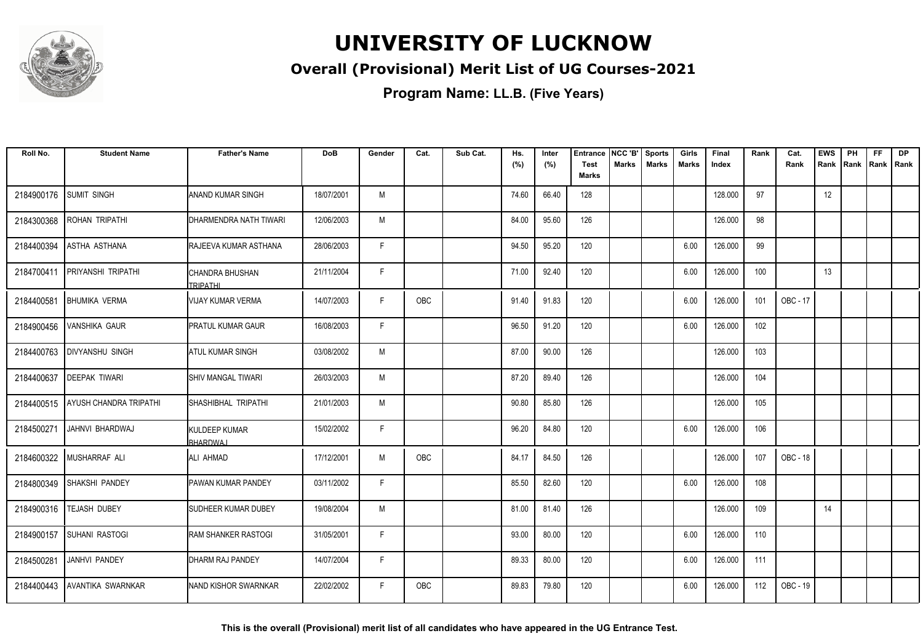

### **Overall (Provisional) Merit List of UG Courses-2021**

**Program Name: LL.B. (Five Years)**

| Roll No.   | <b>Student Name</b>           | <b>Father's Name</b>             | <b>DoB</b> | Gender | Cat.       | Sub Cat. | Hs.<br>(%) | Inter<br>(%) | <b>Entrance</b><br><b>Test</b><br><b>Marks</b> | NCC 'B'<br><b>Marks</b> | <b>Sports</b><br><b>Marks</b> | Girls<br><b>Marks</b> | Final<br>Index | Rank | Cat.<br>Rank | <b>EWS</b><br>Rank | PH<br>Rank | FF<br>Rank   Rank | <b>DP</b> |
|------------|-------------------------------|----------------------------------|------------|--------|------------|----------|------------|--------------|------------------------------------------------|-------------------------|-------------------------------|-----------------------|----------------|------|--------------|--------------------|------------|-------------------|-----------|
| 2184900176 | <b>SUMIT SINGH</b>            | ANAND KUMAR SINGH                | 18/07/2001 | M      |            |          | 74.60      | 66.40        | 128                                            |                         |                               |                       | 128.000        | 97   |              | 12                 |            |                   |           |
| 2184300368 | <b>ROHAN TRIPATHI</b>         | DHARMENDRA NATH TIWARI           | 12/06/2003 | M      |            |          | 84.00      | 95.60        | 126                                            |                         |                               |                       | 126.000        | 98   |              |                    |            |                   |           |
| 2184400394 | ASTHA ASTHANA                 | RAJEEVA KUMAR ASTHANA            | 28/06/2003 | F      |            |          | 94.50      | 95.20        | 120                                            |                         |                               | 6.00                  | 126.000        | 99   |              |                    |            |                   |           |
| 2184700411 | PRIYANSHI TRIPATHI            | CHANDRA BHUSHAN<br>TRIPATHI      | 21/11/2004 | F      |            |          | 71.00      | 92.40        | 120                                            |                         |                               | 6.00                  | 126.000        | 100  |              | 13                 |            |                   |           |
| 2184400581 | <b>BHUMIKA VERMA</b>          | <b>VIJAY KUMAR VERMA</b>         | 14/07/2003 | F.     | OBC        |          | 91.40      | 91.83        | 120                                            |                         |                               | 6.00                  | 126.000        | 101  | OBC - 17     |                    |            |                   |           |
| 2184900456 | <b>VANSHIKA GAUR</b>          | <b>PRATUL KUMAR GAUR</b>         | 16/08/2003 | F      |            |          | 96.50      | 91.20        | 120                                            |                         |                               | 6.00                  | 126.000        | 102  |              |                    |            |                   |           |
| 2184400763 | <b>DIVYANSHU SINGH</b>        | <b>ATUL KUMAR SINGH</b>          | 03/08/2002 | M      |            |          | 87.00      | 90.00        | 126                                            |                         |                               |                       | 126.000        | 103  |              |                    |            |                   |           |
| 2184400637 | <b>DEEPAK TIWARI</b>          | SHIV MANGAL TIWARI               | 26/03/2003 | M      |            |          | 87.20      | 89.40        | 126                                            |                         |                               |                       | 126.000        | 104  |              |                    |            |                   |           |
| 2184400515 | <b>AYUSH CHANDRA TRIPATHI</b> | SHASHIBHAL TRIPATHI              | 21/01/2003 | M      |            |          | 90.80      | 85.80        | 126                                            |                         |                               |                       | 126.000        | 105  |              |                    |            |                   |           |
| 2184500271 | JAHNVI BHARDWAJ               | KULDEEP KUMAR<br><b>BHARDWAJ</b> | 15/02/2002 | F      |            |          | 96.20      | 84.80        | 120                                            |                         |                               | 6.00                  | 126.000        | 106  |              |                    |            |                   |           |
| 2184600322 | <b>IMUSHARRAF ALI</b>         | ALI AHMAD                        | 17/12/2001 | M      | <b>OBC</b> |          | 84.17      | 84.50        | 126                                            |                         |                               |                       | 126.000        | 107  | OBC - 18     |                    |            |                   |           |
| 2184800349 | SHAKSHI PANDEY                | <b>PAWAN KUMAR PANDEY</b>        | 03/11/2002 | F      |            |          | 85.50      | 82.60        | 120                                            |                         |                               | 6.00                  | 126.000        | 108  |              |                    |            |                   |           |
| 2184900316 | <b>TEJASH DUBEY</b>           | SUDHEER KUMAR DUBEY              | 19/08/2004 | M      |            |          | 81.00      | 81.40        | 126                                            |                         |                               |                       | 126.000        | 109  |              | 14                 |            |                   |           |
| 2184900157 | <b>SUHANI RASTOGI</b>         | <b>RAM SHANKER RASTOGI</b>       | 31/05/2001 | F      |            |          | 93.00      | 80.00        | 120                                            |                         |                               | 6.00                  | 126.000        | 110  |              |                    |            |                   |           |
| 2184500281 | <b>JANHVI PANDEY</b>          | DHARM RAJ PANDEY                 | 14/07/2004 | F.     |            |          | 89.33      | 80.00        | 120                                            |                         |                               | 6.00                  | 126.000        | 111  |              |                    |            |                   |           |
| 2184400443 | LAVANTIKA SWARNKAR            | NAND KISHOR SWARNKAR             | 22/02/2002 | F.     | <b>OBC</b> |          | 89.83      | 79.80        | 120                                            |                         |                               | 6.00                  | 126.000        | 112  | OBC - 19     |                    |            |                   |           |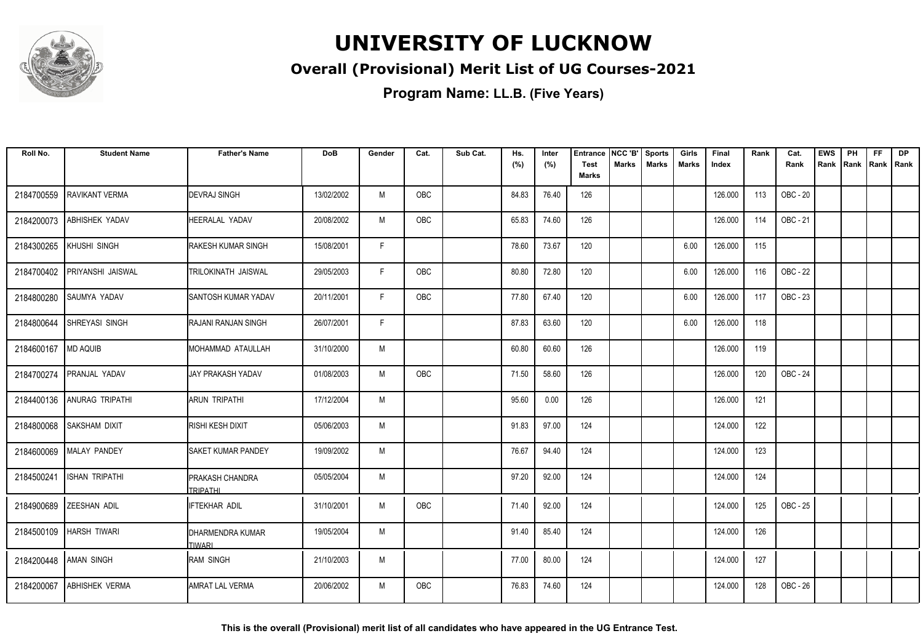

### **Overall (Provisional) Merit List of UG Courses-2021**

| Roll No.   | <b>Student Name</b>       | <b>Father's Name</b>                      | <b>DoB</b> | Gender | Cat. | Sub Cat. | Hs.<br>(%) | Inter<br>(%) | <b>Entrance</b><br><b>Test</b> | NCC 'B'<br><b>Marks</b> | <b>Sports</b><br><b>Marks</b> | Girls<br><b>Marks</b> | Final<br>Index | Rank | Cat.<br>Rank | <b>EWS</b><br>Rank | PH<br>Rank | FF<br>Rank   Rank | <b>DP</b> |
|------------|---------------------------|-------------------------------------------|------------|--------|------|----------|------------|--------------|--------------------------------|-------------------------|-------------------------------|-----------------------|----------------|------|--------------|--------------------|------------|-------------------|-----------|
|            |                           |                                           |            |        |      |          |            |              | <b>Marks</b>                   |                         |                               |                       |                |      |              |                    |            |                   |           |
| 2184700559 | <b>RAVIKANT VERMA</b>     | <b>DEVRAJ SINGH</b>                       | 13/02/2002 | M      | OBC  |          | 84.83      | 76.40        | 126                            |                         |                               |                       | 126.000        | 113  | OBC - 20     |                    |            |                   |           |
| 2184200073 | ABHISHEK YADAV            | HEERALAL YADAV                            | 20/08/2002 | M      | OBC  |          | 65.83      | 74.60        | 126                            |                         |                               |                       | 126.000        | 114  | OBC - 21     |                    |            |                   |           |
| 2184300265 | KHUSHI SINGH              | <b>RAKESH KUMAR SINGH</b>                 | 15/08/2001 | F      |      |          | 78.60      | 73.67        | 120                            |                         |                               | 6.00                  | 126.000        | 115  |              |                    |            |                   |           |
| 2184700402 | <b>PRIYANSHI JAISWAL</b>  | TRILOKINATH JAISWAL                       | 29/05/2003 | F      | OBC  |          | 80.80      | 72.80        | 120                            |                         |                               | 6.00                  | 126.000        | 116  | OBC - 22     |                    |            |                   |           |
| 2184800280 | SAUMYA YADAV              | SANTOSH KUMAR YADAV                       | 20/11/2001 | F      | OBC  |          | 77.80      | 67.40        | 120                            |                         |                               | 6.00                  | 126.000        | 117  | OBC - 23     |                    |            |                   |           |
| 2184800644 | SHREYASI SINGH            | RAJANI RANJAN SINGH                       | 26/07/2001 | F.     |      |          | 87.83      | 63.60        | 120                            |                         |                               | 6.00                  | 126.000        | 118  |              |                    |            |                   |           |
| 2184600167 | <b>MD AQUIB</b>           | MOHAMMAD ATAULLAH                         | 31/10/2000 | M      |      |          | 60.80      | 60.60        | 126                            |                         |                               |                       | 126.000        | 119  |              |                    |            |                   |           |
| 2184700274 | <b>PRANJAL YADAV</b>      | <b>JAY PRAKASH YADAV</b>                  | 01/08/2003 | M      | OBC  |          | 71.50      | 58.60        | 126                            |                         |                               |                       | 126.000        | 120  | OBC - 24     |                    |            |                   |           |
| 2184400136 | <b>ANURAG TRIPATHI</b>    | ARUN TRIPATHI                             | 17/12/2004 | M      |      |          | 95.60      | 0.00         | 126                            |                         |                               |                       | 126.000        | 121  |              |                    |            |                   |           |
| 2184800068 | SAKSHAM DIXIT             | RISHI KESH DIXIT                          | 05/06/2003 | M      |      |          | 91.83      | 97.00        | 124                            |                         |                               |                       | 124.000        | 122  |              |                    |            |                   |           |
| 2184600069 | <b>MALAY PANDEY</b>       | SAKET KUMAR PANDEY                        | 19/09/2002 | M      |      |          | 76.67      | 94.40        | 124                            |                         |                               |                       | 124.000        | 123  |              |                    |            |                   |           |
| 2184500241 | <b>ISHAN TRIPATHI</b>     | <b>PRAKASH CHANDRA</b><br><b>TRIPATHI</b> | 05/05/2004 | M      |      |          | 97.20      | 92.00        | 124                            |                         |                               |                       | 124.000        | 124  |              |                    |            |                   |           |
| 2184900689 | <b>ZEESHAN ADIL</b>       | <b>FTEKHAR ADIL</b>                       | 31/10/2001 | M      | OBC  |          | 71.40      | 92.00        | 124                            |                         |                               |                       | 124.000        | 125  | OBC - 25     |                    |            |                   |           |
|            | 2184500109   HARSH TIWARI | DHARMENDRA KUMAR<br><b>TIWARI</b>         | 19/05/2004 | M      |      |          | 91.40      | 85.40        | 124                            |                         |                               |                       | 124.000        | 126  |              |                    |            |                   |           |
| 2184200448 | <b>AMAN SINGH</b>         | <b>RAM SINGH</b>                          | 21/10/2003 | M      |      |          | 77.00      | 80.00        | 124                            |                         |                               |                       | 124.000        | 127  |              |                    |            |                   |           |
| 2184200067 | <b>ABHISHEK VERMA</b>     | <b>AMRAT LAL VERMA</b>                    | 20/06/2002 | M      | OBC  |          | 76.83      | 74.60        | 124                            |                         |                               |                       | 124.000        | 128  | OBC - 26     |                    |            |                   |           |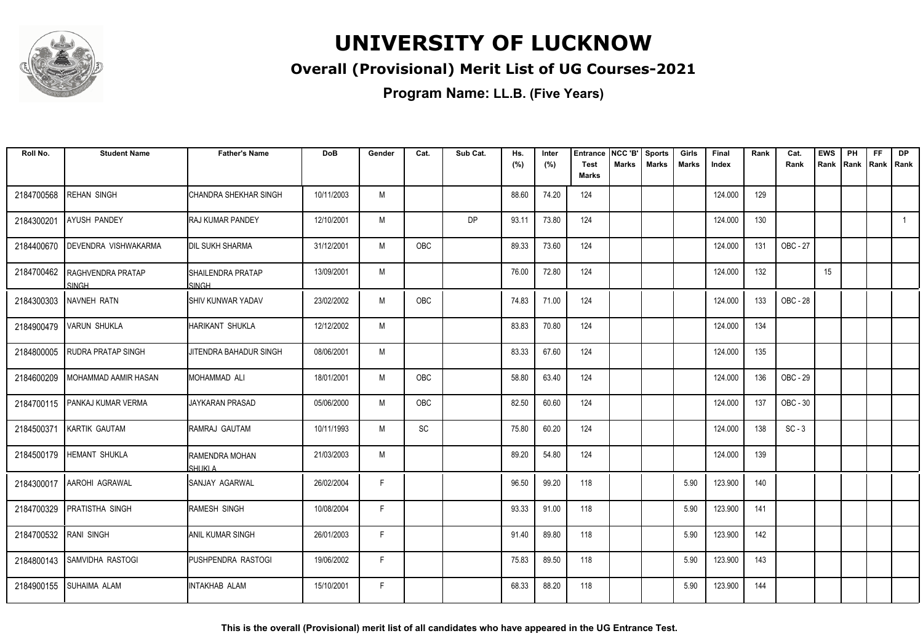

### **Overall (Provisional) Merit List of UG Courses-2021**

| Roll No.              | <b>Student Name</b>                     | <b>Father's Name</b>              | <b>DoB</b> | Gender | Cat.       | Sub Cat.  | Hs.<br>(%) | Inter<br>(%) | <b>Entrance</b><br><b>Test</b> | NCC 'B'<br><b>Marks</b> | <b>Sports</b><br><b>Marks</b> | Girls<br><b>Marks</b> | Final<br>Index | Rank | Cat.<br>Rank | <b>EWS</b><br>Rank | PH<br>Rank | FF<br>Rank   Rank | <b>DP</b> |
|-----------------------|-----------------------------------------|-----------------------------------|------------|--------|------------|-----------|------------|--------------|--------------------------------|-------------------------|-------------------------------|-----------------------|----------------|------|--------------|--------------------|------------|-------------------|-----------|
|                       |                                         |                                   |            |        |            |           |            |              | <b>Marks</b>                   |                         |                               |                       |                |      |              |                    |            |                   |           |
| 2184700568            | <b>REHAN SINGH</b>                      | CHANDRA SHEKHAR SINGH             | 10/11/2003 | M      |            |           | 88.60      | 74.20        | 124                            |                         |                               |                       | 124.000        | 129  |              |                    |            |                   |           |
| 2184300201            | <b>AYUSH PANDEY</b>                     | <b>RAJ KUMAR PANDEY</b>           | 12/10/2001 | M      |            | <b>DP</b> | 93.11      | 73.80        | 124                            |                         |                               |                       | 124.000        | 130  |              |                    |            |                   |           |
| 2184400670            | <b>DEVENDRA VISHWAKARMA</b>             | <b>IDIL SUKH SHARMA</b>           | 31/12/2001 | M      | <b>OBC</b> |           | 89.33      | 73.60        | 124                            |                         |                               |                       | 124.000        | 131  | OBC - 27     |                    |            |                   |           |
|                       | 2184700462   RAGHVENDRA PRATAP<br>SINGH | <b>SHAILENDRA PRATAP</b><br>SINGH | 13/09/2001 | M      |            |           | 76.00      | 72.80        | 124                            |                         |                               |                       | 124.000        | 132  |              | 15                 |            |                   |           |
|                       | 2184300303 NAVNEH RATN                  | <b>SHIV KUNWAR YADAV</b>          | 23/02/2002 | M      | OBC        |           | 74.83      | 71.00        | 124                            |                         |                               |                       | 124.000        | 133  | OBC - 28     |                    |            |                   |           |
|                       | 2184900479 VARUN SHUKLA                 | HARIKANT SHUKLA                   | 12/12/2002 | M      |            |           | 83.83      | 70.80        | 124                            |                         |                               |                       | 124.000        | 134  |              |                    |            |                   |           |
| 2184800005            | <b>RUDRA PRATAP SINGH</b>               | JITENDRA BAHADUR SINGH            | 08/06/2001 | M      |            |           | 83.33      | 67.60        | 124                            |                         |                               |                       | 124.000        | 135  |              |                    |            |                   |           |
| 2184600209            | MOHAMMAD AAMIR HASAN                    | MOHAMMAD ALI                      | 18/01/2001 | M      | OBC        |           | 58.80      | 63.40        | 124                            |                         |                               |                       | 124.000        | 136  | OBC - 29     |                    |            |                   |           |
| 2184700115            | <b>PANKAJ KUMAR VERMA</b>               | JAYKARAN PRASAD                   | 05/06/2000 | M      | <b>OBC</b> |           | 82.50      | 60.60        | 124                            |                         |                               |                       | 124.000        | 137  | OBC - 30     |                    |            |                   |           |
| 2184500371            | <b>IKARTIK GAUTAM</b>                   | RAMRAJ GAUTAM                     | 10/11/1993 | M      | SC         |           | 75.80      | 60.20        | 124                            |                         |                               |                       | 124.000        | 138  | $SC - 3$     |                    |            |                   |           |
|                       | 2184500179   HEMANT SHUKLA              | RAMENDRA MOHAN<br>SHUKI A         | 21/03/2003 | M      |            |           | 89.20      | 54.80        | 124                            |                         |                               |                       | 124.000        | 139  |              |                    |            |                   |           |
|                       | 2184300017 AAROHI AGRAWAL               | ISANJAY AGARWAL                   | 26/02/2004 | F.     |            |           | 96.50      | 99.20        | 118                            |                         |                               | 5.90                  | 123.900        | 140  |              |                    |            |                   |           |
|                       | 2184700329 PRATISTHA SINGH              | RAMESH SINGH                      | 10/08/2004 | F.     |            |           | 93.33      | 91.00        | 118                            |                         |                               | 5.90                  | 123.900        | 141  |              |                    |            |                   |           |
| 2184700532 RANI SINGH |                                         | <b>ANIL KUMAR SINGH</b>           | 26/01/2003 | F.     |            |           | 91.40      | 89.80        | 118                            |                         |                               | 5.90                  | 123.900        | 142  |              |                    |            |                   |           |
| 2184800143            | <b>SAMVIDHA RASTOGI</b>                 | PUSHPENDRA RASTOGI                | 19/06/2002 | F.     |            |           | 75.83      | 89.50        | 118                            |                         |                               | 5.90                  | 123.900        | 143  |              |                    |            |                   |           |
|                       | 2184900155 SUHAIMA ALAM                 | <b>INTAKHAB ALAM</b>              | 15/10/2001 | F.     |            |           | 68.33      | 88.20        | 118                            |                         |                               | 5.90                  | 123.900        | 144  |              |                    |            |                   |           |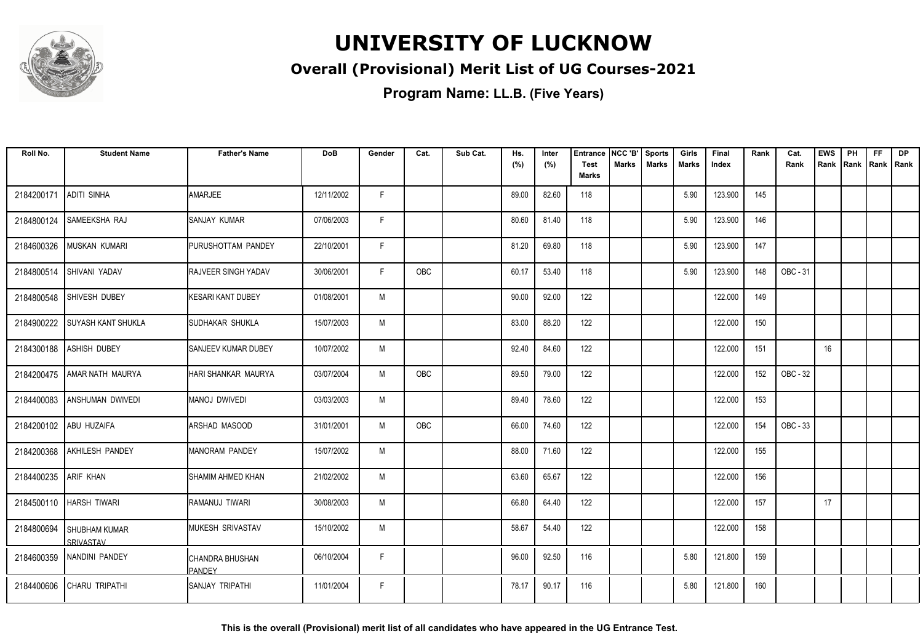

### **Overall (Provisional) Merit List of UG Courses-2021**

**Program Name: LL.B. (Five Years)**

| Roll No.   | <b>Student Name</b>                      | <b>Father's Name</b>       | <b>DoB</b> | Gender | Cat.       | Sub Cat. | Hs.<br>(%) | Inter<br>(%) | <b>Entrance</b><br><b>Test</b> | NCC 'B'<br><b>Marks</b> | <b>Sports</b><br><b>Marks</b> | Girls<br><b>Marks</b> | Final<br>Index | Rank | Cat.<br>Rank | <b>EWS</b><br>Rank Rank | PH | <b>FF</b> | <b>DP</b><br>Rank   Rank |
|------------|------------------------------------------|----------------------------|------------|--------|------------|----------|------------|--------------|--------------------------------|-------------------------|-------------------------------|-----------------------|----------------|------|--------------|-------------------------|----|-----------|--------------------------|
|            |                                          |                            |            |        |            |          |            |              | Marks                          |                         |                               |                       |                |      |              |                         |    |           |                          |
| 2184200171 | <b>ADITI SINHA</b>                       | AMARJEE                    | 12/11/2002 | F      |            |          | 89.00      | 82.60        | 118                            |                         |                               | 5.90                  | 123.900        | 145  |              |                         |    |           |                          |
| 2184800124 | <b>SAMEEKSHA RAJ</b>                     | SANJAY KUMAR               | 07/06/2003 | F      |            |          | 80.60      | 81.40        | 118                            |                         |                               | 5.90                  | 123.900        | 146  |              |                         |    |           |                          |
| 2184600326 | <b>MUSKAN KUMARI</b>                     | <b>PURUSHOTTAM PANDEY</b>  | 22/10/2001 | F      |            |          | 81.20      | 69.80        | 118                            |                         |                               | 5.90                  | 123.900        | 147  |              |                         |    |           |                          |
| 2184800514 | <b>SHIVANI YADAV</b>                     | <b>RAJVEER SINGH YADAV</b> | 30/06/2001 | F      | OBC        |          | 60.17      | 53.40        | 118                            |                         |                               | 5.90                  | 123.900        | 148  | OBC - 31     |                         |    |           |                          |
| 2184800548 | SHIVESH DUBEY                            | KESARI KANT DUBEY          | 01/08/2001 | M      |            |          | 90.00      | 92.00        | 122                            |                         |                               |                       | 122.000        | 149  |              |                         |    |           |                          |
| 2184900222 | <b>SUYASH KANT SHUKLA</b>                | SUDHAKAR SHUKLA            | 15/07/2003 | M      |            |          | 83.00      | 88.20        | 122                            |                         |                               |                       | 122.000        | 150  |              |                         |    |           |                          |
| 2184300188 | <b>ASHISH DUBEY</b>                      | <b>SANJEEV KUMAR DUBEY</b> | 10/07/2002 | M      |            |          | 92.40      | 84.60        | 122                            |                         |                               |                       | 122.000        | 151  |              | 16                      |    |           |                          |
| 2184200475 | AMAR NATH MAURYA                         | HARI SHANKAR MAURYA        | 03/07/2004 | M      | <b>OBC</b> |          | 89.50      | 79.00        | 122                            |                         |                               |                       | 122.000        | 152  | OBC - 32     |                         |    |           |                          |
| 2184400083 | <b>ANSHUMAN DWIVEDI</b>                  | MANOJ DWIVEDI              | 03/03/2003 | M      |            |          | 89.40      | 78.60        | 122                            |                         |                               |                       | 122.000        | 153  |              |                         |    |           |                          |
| 2184200102 | <b>ABU HUZAIFA</b>                       | <b>ARSHAD MASOOD</b>       | 31/01/2001 | M      | OBC        |          | 66.00      | 74.60        | 122                            |                         |                               |                       | 122.000        | 154  | OBC - 33     |                         |    |           |                          |
| 2184200368 | <b>AKHILESH PANDEY</b>                   | IMANORAM PANDEY            | 15/07/2002 | M      |            |          | 88.00      | 71.60        | 122                            |                         |                               |                       | 122.000        | 155  |              |                         |    |           |                          |
| 2184400235 | <b>ARIF KHAN</b>                         | SHAMIM AHMED KHAN          | 21/02/2002 | M      |            |          | 63.60      | 65.67        | 122                            |                         |                               |                       | 122.000        | 156  |              |                         |    |           |                          |
| 2184500110 | HARSH TIWARI                             | Iramanuj tiwari            | 30/08/2003 | M      |            |          | 66.80      | 64.40        | 122                            |                         |                               |                       | 122.000        | 157  |              | 17                      |    |           |                          |
| 2184800694 | <b>SHUBHAM KUMAR</b><br><b>SRIVASTAV</b> | <b>MUKESH SRIVASTAV</b>    | 15/10/2002 | M      |            |          | 58.67      | 54.40        | 122                            |                         |                               |                       | 122.000        | 158  |              |                         |    |           |                          |
|            | 2184600359 NANDINI PANDEY                | CHANDRA BHUSHAN<br>PANDFY  | 06/10/2004 | F      |            |          | 96.00      | 92.50        | 116                            |                         |                               | 5.80                  | 121.800        | 159  |              |                         |    |           |                          |
| 2184400606 | <b>CHARU TRIPATHI</b>                    | ISANJAY TRIPATHI           | 11/01/2004 | F      |            |          | 78.17      | 90.17        | 116                            |                         |                               | 5.80                  | 121.800        | 160  |              |                         |    |           |                          |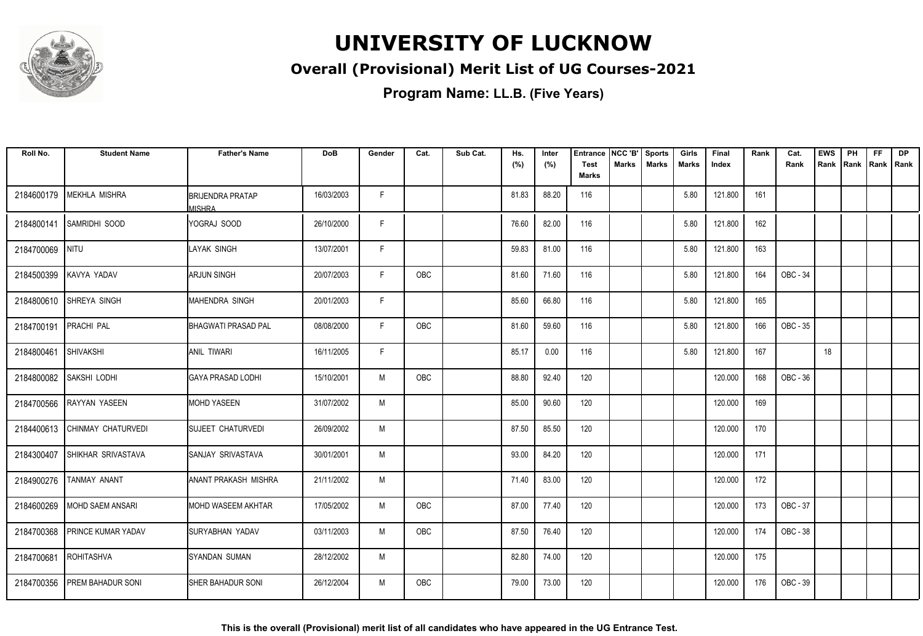

### **Overall (Provisional) Merit List of UG Courses-2021**

| Roll No.   | <b>Student Name</b>       | <b>Father's Name</b>                       | <b>DoB</b> | Gender | Cat.       | Sub Cat. | Hs.<br>(%) | Inter<br>(%) | <b>Entrance</b><br><b>Test</b> | NCC 'B'<br><b>Marks</b> | <b>Sports</b><br><b>Marks</b> | Girls<br><b>Marks</b> | Final<br>Index | Rank | Cat.<br>Rank | <b>EWS</b> | PH<br>Rank   Rank   Rank   Rank | <b>FF</b> | <b>DP</b> |
|------------|---------------------------|--------------------------------------------|------------|--------|------------|----------|------------|--------------|--------------------------------|-------------------------|-------------------------------|-----------------------|----------------|------|--------------|------------|---------------------------------|-----------|-----------|
|            |                           |                                            |            |        |            |          |            |              | Marks                          |                         |                               |                       |                |      |              |            |                                 |           |           |
| 2184600179 | <b>MEKHLA MISHRA</b>      | <b>I</b> BRIJENDRA PRATAP<br><b>MISHRA</b> | 16/03/2003 | F.     |            |          | 81.83      | 88.20        | 116                            |                         |                               | 5.80                  | 121.800        | 161  |              |            |                                 |           |           |
| 2184800141 | <b>SAMRIDHI SOOD</b>      | IYOGRAJ SOOD                               | 26/10/2000 | F      |            |          | 76.60      | 82.00        | 116                            |                         |                               | 5.80                  | 121.800        | 162  |              |            |                                 |           |           |
| 2184700069 | <b>NITU</b>               | LAYAK SINGH                                | 13/07/2001 | F      |            |          | 59.83      | 81.00        | 116                            |                         |                               | 5.80                  | 121.800        | 163  |              |            |                                 |           |           |
| 2184500399 | KAVYA YADAV               | <b>ARJUN SINGH</b>                         | 20/07/2003 | F      | <b>OBC</b> |          | 81.60      | 71.60        | 116                            |                         |                               | 5.80                  | 121.800        | 164  | OBC - 34     |            |                                 |           |           |
| 2184800610 | <b>SHREYA SINGH</b>       | MAHENDRA SINGH                             | 20/01/2003 | F      |            |          | 85.60      | 66.80        | 116                            |                         |                               | 5.80                  | 121.800        | 165  |              |            |                                 |           |           |
| 2184700191 | <b>PRACHI PAL</b>         | <b>BHAGWATI PRASAD PAL</b>                 | 08/08/2000 | F.     | OBC        |          | 81.60      | 59.60        | 116                            |                         |                               | 5.80                  | 121.800        | 166  | OBC - 35     |            |                                 |           |           |
| 2184800461 | SHIVAKSHI                 | <b>JANIL TIWARI</b>                        | 16/11/2005 | F      |            |          | 85.17      | 0.00         | 116                            |                         |                               | 5.80                  | 121.800        | 167  |              | 18         |                                 |           |           |
| 2184800082 | SAKSHI LODHI              | <b>I</b> GAYA PRASAD LODHI                 | 15/10/2001 | M      | OBC        |          | 88.80      | 92.40        | 120                            |                         |                               |                       | 120.000        | 168  | OBC - 36     |            |                                 |           |           |
| 2184700566 | <b>RAYYAN YASEEN</b>      | IMOHD YASEEN                               | 31/07/2002 | M      |            |          | 85.00      | 90.60        | 120                            |                         |                               |                       | 120.000        | 169  |              |            |                                 |           |           |
| 2184400613 | CHINMAY CHATURVEDI        | <b>SUJEET CHATURVEDI</b>                   | 26/09/2002 | M      |            |          | 87.50      | 85.50        | 120                            |                         |                               |                       | 120.000        | 170  |              |            |                                 |           |           |
| 2184300407 | SHIKHAR SRIVASTAVA        | ISANJAY SRIVASTAVA                         | 30/01/2001 | M      |            |          | 93.00      | 84.20        | 120                            |                         |                               |                       | 120.000        | 171  |              |            |                                 |           |           |
| 2184900276 | <b>TANMAY ANANT</b>       | <b>JANANT PRAKASH MISHRA</b>               | 21/11/2002 | M      |            |          | 71.40      | 83.00        | 120                            |                         |                               |                       | 120.000        | 172  |              |            |                                 |           |           |
| 2184600269 | MOHD SAEM ANSARI          | <b>I</b> MOHD WASEEM AKHTAR                | 17/05/2002 | M      | OBC        |          | 87.00      | 77.40        | 120                            |                         |                               |                       | 120.000        | 173  | OBC - 37     |            |                                 |           |           |
| 2184700368 | <b>PRINCE KUMAR YADAV</b> | ISURYABHAN YADAV                           | 03/11/2003 | M      | OBC        |          | 87.50      | 76.40        | 120                            |                         |                               |                       | 120.000        | 174  | OBC - 38     |            |                                 |           |           |
| 2184700681 | ROHITASHVA                | SYANDAN SUMAN                              | 28/12/2002 | M      |            |          | 82.80      | 74.00        | 120                            |                         |                               |                       | 120.000        | 175  |              |            |                                 |           |           |
| 2184700356 | <b>PREM BAHADUR SONI</b>  | ISHER BAHADUR SONI                         | 26/12/2004 | M      | <b>OBC</b> |          | 79.00      | 73.00        | 120                            |                         |                               |                       | 120.000        | 176  | OBC - 39     |            |                                 |           |           |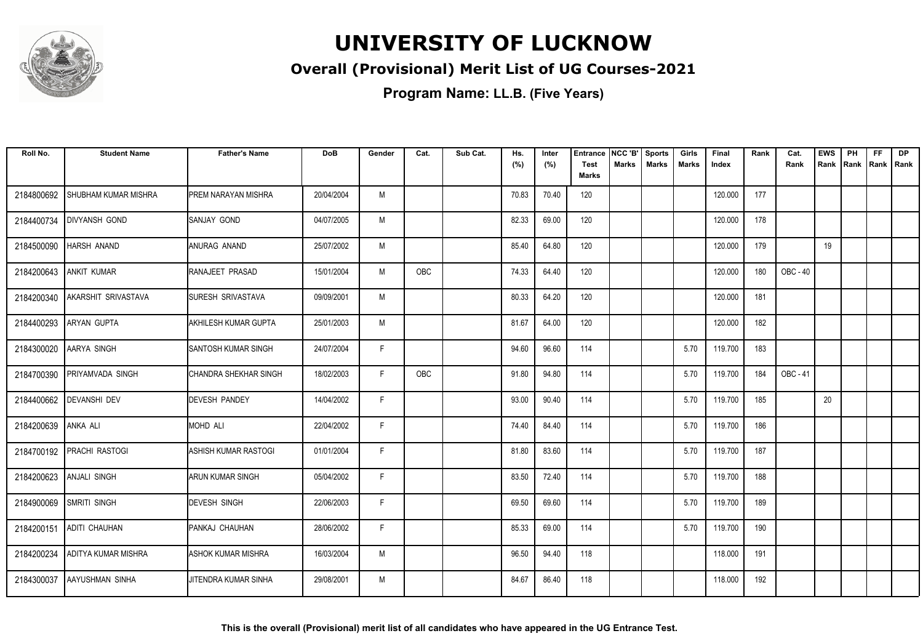

### **Overall (Provisional) Merit List of UG Courses-2021**

| Roll No.   | <b>Student Name</b>     | <b>Father's Name</b>         | <b>DoB</b> | Gender | Cat. | Sub Cat. | Hs.<br>(%) | Inter<br>(%) | <b>Entrance</b><br><b>Test</b><br><b>Marks</b> | NCC 'B'<br><b>Marks</b> | <b>Sports</b><br><b>Marks</b> | Girls<br><b>Marks</b> | Final<br>Index | Rank | Cat.<br>Rank | <b>EWS</b><br>Rank | PH<br>Rank | <b>FF</b><br>Rank   Rank | <b>DP</b> |
|------------|-------------------------|------------------------------|------------|--------|------|----------|------------|--------------|------------------------------------------------|-------------------------|-------------------------------|-----------------------|----------------|------|--------------|--------------------|------------|--------------------------|-----------|
| 2184800692 | SHUBHAM KUMAR MISHRA    | PREM NARAYAN MISHRA          | 20/04/2004 | M      |      |          | 70.83      | 70.40        | 120                                            |                         |                               |                       | 120.000        | 177  |              |                    |            |                          |           |
| 2184400734 | <b>DIVYANSH GOND</b>    | <b>SANJAY GOND</b>           | 04/07/2005 | M      |      |          | 82.33      | 69.00        | 120                                            |                         |                               |                       | 120.000        | 178  |              |                    |            |                          |           |
| 2184500090 | <b>HARSH ANAND</b>      | ANURAG ANAND                 | 25/07/2002 | M      |      |          | 85.40      | 64.80        | 120                                            |                         |                               |                       | 120.000        | 179  |              | 19                 |            |                          |           |
| 2184200643 | <b>ANKIT KUMAR</b>      | RANAJEET PRASAD              | 15/01/2004 | M      | OBC  |          | 74.33      | 64.40        | 120                                            |                         |                               |                       | 120.000        | 180  | OBC - 40     |                    |            |                          |           |
| 2184200340 | AKARSHIT SRIVASTAVA     | <b>SURESH SRIVASTAVA</b>     | 09/09/2001 | M      |      |          | 80.33      | 64.20        | 120                                            |                         |                               |                       | 120.000        | 181  |              |                    |            |                          |           |
| 2184400293 | <b>ARYAN GUPTA</b>      | <b>AKHILESH KUMAR GUPTA</b>  | 25/01/2003 | M      |      |          | 81.67      | 64.00        | 120                                            |                         |                               |                       | 120.000        | 182  |              |                    |            |                          |           |
| 2184300020 | AARYA SINGH             | <b>SANTOSH KUMAR SINGH</b>   | 24/07/2004 | F      |      |          | 94.60      | 96.60        | 114                                            |                         |                               | 5.70                  | 119.700        | 183  |              |                    |            |                          |           |
| 2184700390 | <b>PRIYAMVADA SINGH</b> | <b>CHANDRA SHEKHAR SINGH</b> | 18/02/2003 | F      | OBC  |          | 91.80      | 94.80        | 114                                            |                         |                               | 5.70                  | 119.700        | 184  | OBC - 41     |                    |            |                          |           |
| 2184400662 | <b>DEVANSHI DEV</b>     | <b>DEVESH PANDEY</b>         | 14/04/2002 | F.     |      |          | 93.00      | 90.40        | 114                                            |                         |                               | 5.70                  | 119.700        | 185  |              | 20                 |            |                          |           |
| 2184200639 | <b>ANKA ALI</b>         | MOHD ALI                     | 22/04/2002 | F.     |      |          | 74.40      | 84.40        | 114                                            |                         |                               | 5.70                  | 119.700        | 186  |              |                    |            |                          |           |
| 2184700192 | <b>PRACHI RASTOGI</b>   | ASHISH KUMAR RASTOGI         | 01/01/2004 | F.     |      |          | 81.80      | 83.60        | 114                                            |                         |                               | 5.70                  | 119.700        | 187  |              |                    |            |                          |           |
| 2184200623 | <b>ANJALI SINGH</b>     | ARUN KUMAR SINGH             | 05/04/2002 | F.     |      |          | 83.50      | 72.40        | 114                                            |                         |                               | 5.70                  | 119.700        | 188  |              |                    |            |                          |           |
| 2184900069 | <b>SMRITI SINGH</b>     | <b>DEVESH SINGH</b>          | 22/06/2003 | F      |      |          | 69.50      | 69.60        | 114                                            |                         |                               | 5.70                  | 119.700        | 189  |              |                    |            |                          |           |
| 2184200151 | ADITI CHAUHAN           | PANKAJ CHAUHAN               | 28/06/2002 | F.     |      |          | 85.33      | 69.00        | 114                                            |                         |                               | 5.70                  | 119.700        | 190  |              |                    |            |                          |           |
| 2184200234 | ADITYA KUMAR MISHRA     | ASHOK KUMAR MISHRA           | 16/03/2004 | M      |      |          | 96.50      | 94.40        | 118                                            |                         |                               |                       | 118.000        | 191  |              |                    |            |                          |           |
| 2184300037 | AAYUSHMAN SINHA         | JITENDRA KUMAR SINHA         | 29/08/2001 | M      |      |          | 84.67      | 86.40        | 118                                            |                         |                               |                       | 118.000        | 192  |              |                    |            |                          |           |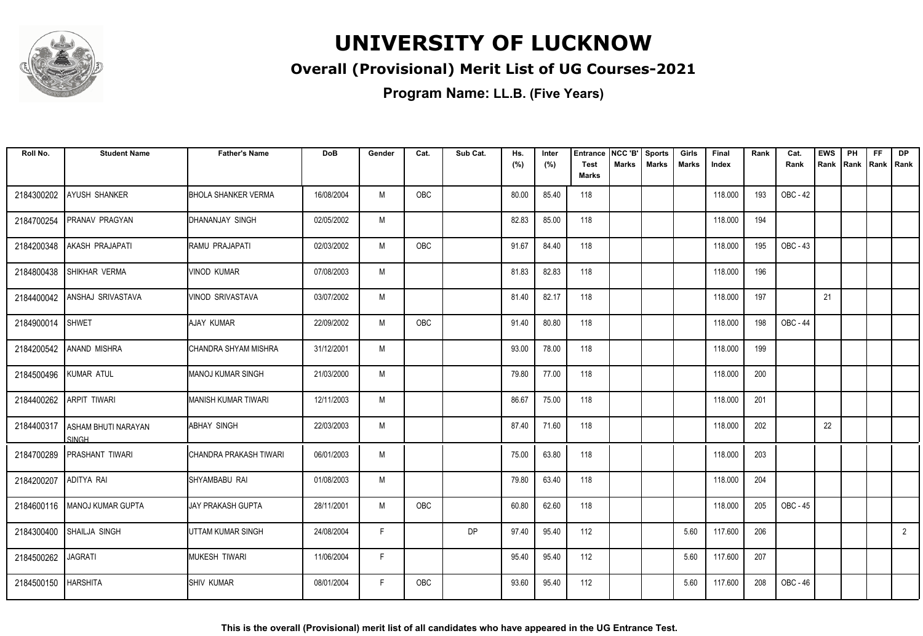

### **Overall (Provisional) Merit List of UG Courses-2021**

| Roll No.   | <b>Student Name</b>                        | <b>Father's Name</b>       | <b>DoB</b> | Gender | Cat.       | Sub Cat.  | Hs.<br>(%) | Inter<br>(%) | Entrance<br><b>Test</b> | NCC 'B'<br><b>Marks</b> | <b>Sports</b><br><b>Marks</b> | Girls<br><b>Marks</b> | Final<br>Index | Rank | Cat.<br>Rank | <b>EWS</b><br>Rank | PH<br>Rank | FF<br>Rank   Rank | <b>DP</b>      |
|------------|--------------------------------------------|----------------------------|------------|--------|------------|-----------|------------|--------------|-------------------------|-------------------------|-------------------------------|-----------------------|----------------|------|--------------|--------------------|------------|-------------------|----------------|
|            |                                            |                            |            |        |            |           |            |              | <b>Marks</b>            |                         |                               |                       |                |      |              |                    |            |                   |                |
| 2184300202 | AYUSH SHANKER                              | <b>BHOLA SHANKER VERMA</b> | 16/08/2004 | M      | OBC        |           | 80.00      | 85.40        | 118                     |                         |                               |                       | 118.000        | 193  | OBC - 42     |                    |            |                   |                |
| 2184700254 | <b>PRANAV PRAGYAN</b>                      | DHANANJAY SINGH            | 02/05/2002 | M      |            |           | 82.83      | 85.00        | 118                     |                         |                               |                       | 118.000        | 194  |              |                    |            |                   |                |
| 2184200348 | AKASH PRAJAPATI                            | RAMU PRAJAPATI             | 02/03/2002 | M      | <b>OBC</b> |           | 91.67      | 84.40        | 118                     |                         |                               |                       | 118,000        | 195  | OBC - 43     |                    |            |                   |                |
| 2184800438 | SHIKHAR VERMA                              | <b>VINOD KUMAR</b>         | 07/08/2003 | M      |            |           | 81.83      | 82.83        | 118                     |                         |                               |                       | 118.000        | 196  |              |                    |            |                   |                |
| 2184400042 | ANSHAJ SRIVASTAVA                          | VINOD SRIVASTAVA           | 03/07/2002 | M      |            |           | 81.40      | 82.17        | 118                     |                         |                               |                       | 118.000        | 197  |              | 21                 |            |                   |                |
| 2184900014 | <b>SHWET</b>                               | AJAY KUMAR                 | 22/09/2002 | M      | OBC        |           | 91.40      | 80.80        | 118                     |                         |                               |                       | 118.000        | 198  | OBC - 44     |                    |            |                   |                |
|            | 2184200542 ANAND MISHRA                    | CHANDRA SHYAM MISHRA       | 31/12/2001 | M      |            |           | 93.00      | 78.00        | 118                     |                         |                               |                       | 118.000        | 199  |              |                    |            |                   |                |
| 2184500496 | <b>KUMAR ATUL</b>                          | <b>MANOJ KUMAR SINGH</b>   | 21/03/2000 | M      |            |           | 79.80      | 77.00        | 118                     |                         |                               |                       | 118.000        | 200  |              |                    |            |                   |                |
| 2184400262 | <b>ARPIT TIWARI</b>                        | MANISH KUMAR TIWARI        | 12/11/2003 | M      |            |           | 86.67      | 75.00        | 118                     |                         |                               |                       | 118.000        | 201  |              |                    |            |                   |                |
| 2184400317 | <b>ASHAM BHUTI NARAYAN</b><br><b>SINGH</b> | <b>ABHAY SINGH</b>         | 22/03/2003 | M      |            |           | 87.40      | 71.60        | 118                     |                         |                               |                       | 118.000        | 202  |              | 22                 |            |                   |                |
| 2184700289 | <b>PRASHANT TIWARI</b>                     | CHANDRA PRAKASH TIWARI     | 06/01/2003 | M      |            |           | 75.00      | 63.80        | 118                     |                         |                               |                       | 118.000        | 203  |              |                    |            |                   |                |
| 2184200207 | ADITYA RAI                                 | SHYAMBABU RAI              | 01/08/2003 | M      |            |           | 79.80      | 63.40        | 118                     |                         |                               |                       | 118.000        | 204  |              |                    |            |                   |                |
|            | 2184600116   MANOJ KUMAR GUPTA             | <b>JAY PRAKASH GUPTA</b>   | 28/11/2001 | M      | OBC        |           | 60.80      | 62.60        | 118                     |                         |                               |                       | 118.000        | 205  | OBC - 45     |                    |            |                   |                |
| 2184300400 | SHAILJA SINGH                              | UTTAM KUMAR SINGH          | 24/08/2004 | F      |            | <b>DP</b> | 97.40      | 95.40        | 112                     |                         |                               | 5.60                  | 117.600        | 206  |              |                    |            |                   | $\overline{2}$ |
| 2184500262 | <b>JAGRATI</b>                             | <b>MUKESH TIWARI</b>       | 11/06/2004 | F      |            |           | 95.40      | 95.40        | 112                     |                         |                               | 5.60                  | 117.600        | 207  |              |                    |            |                   |                |
| 2184500150 | <b>HARSHITA</b>                            | <b>SHIV KUMAR</b>          | 08/01/2004 | F.     | <b>OBC</b> |           | 93.60      | 95.40        | 112                     |                         |                               | 5.60                  | 117.600        | 208  | OBC - 46     |                    |            |                   |                |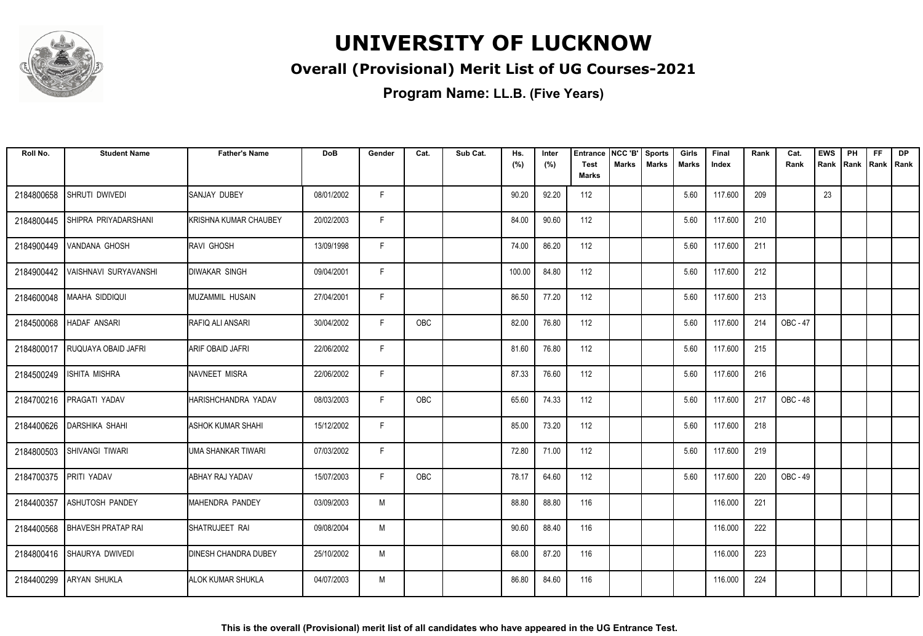

### **Overall (Provisional) Merit List of UG Courses-2021**

| Roll No.   | <b>Student Name</b>             | <b>Father's Name</b>        | <b>DoB</b> | Gender | Cat.       | Sub Cat. | Hs.<br>(%) | Inter<br>(%) | <b>Entrance</b><br><b>Test</b><br><b>Marks</b> | NCC 'B'<br>Marks | <b>Sports</b><br><b>Marks</b> | Girls<br>Marks | Final<br>Index | Rank | Cat.<br>Rank    | <b>EWS</b><br>Rank | PH<br> Rank | <b>FF</b><br>Rank   Rank | <b>DP</b> |
|------------|---------------------------------|-----------------------------|------------|--------|------------|----------|------------|--------------|------------------------------------------------|------------------|-------------------------------|----------------|----------------|------|-----------------|--------------------|-------------|--------------------------|-----------|
| 2184800658 | SHRUTI DWIVEDI                  | <b>SANJAY DUBEY</b>         | 08/01/2002 | F.     |            |          | 90.20      | 92.20        | 112                                            |                  |                               | 5.60           | 117.600        | 209  |                 | 23                 |             |                          |           |
| 2184800445 | SHIPRA PRIYADARSHANI            | KRISHNA KUMAR CHAUBEY       | 20/02/2003 | F.     |            |          | 84.00      | 90.60        | 112                                            |                  |                               | 5.60           | 117.600        | 210  |                 |                    |             |                          |           |
| 2184900449 | VANDANA GHOSH                   | RAVI GHOSH                  | 13/09/1998 | F      |            |          | 74.00      | 86.20        | 112                                            |                  |                               | 5.60           | 117.600        | 211  |                 |                    |             |                          |           |
| 2184900442 | VAISHNAVI SURYAVANSHI           | <b>DIWAKAR SINGH</b>        | 09/04/2001 | F.     |            |          | 100.00     | 84.80        | 112                                            |                  |                               | 5.60           | 117.600        | 212  |                 |                    |             |                          |           |
| 2184600048 | <b>MAAHA SIDDIQUI</b>           | MUZAMMIL HUSAIN             | 27/04/2001 | F      |            |          | 86.50      | 77.20        | 112                                            |                  |                               | 5.60           | 117.600        | 213  |                 |                    |             |                          |           |
| 2184500068 | <b>HADAF ANSARI</b>             | RAFIQ ALI ANSARI            | 30/04/2002 | F      | <b>OBC</b> |          | 82.00      | 76.80        | 112                                            |                  |                               | 5.60           | 117.600        | 214  | <b>OBC - 47</b> |                    |             |                          |           |
| 2184800017 | <b>RUQUAYA OBAID JAFRI</b>      | <b>ARIF OBAID JAFRI</b>     | 22/06/2002 | F.     |            |          | 81.60      | 76.80        | 112                                            |                  |                               | 5.60           | 117.600        | 215  |                 |                    |             |                          |           |
| 2184500249 | <b>ISHITA MISHRA</b>            | NAVNEET MISRA               | 22/06/2002 | F.     |            |          | 87.33      | 76.60        | 112                                            |                  |                               | 5.60           | 117.600        | 216  |                 |                    |             |                          |           |
| 2184700216 | PRAGATI YADAV                   | HARISHCHANDRA YADAV         | 08/03/2003 | F.     | <b>OBC</b> |          | 65.60      | 74.33        | 112                                            |                  |                               | 5.60           | 117.600        | 217  | <b>OBC - 48</b> |                    |             |                          |           |
| 2184400626 | DARSHIKA SHAHI                  | ASHOK KUMAR SHAHI           | 15/12/2002 | F      |            |          | 85.00      | 73.20        | 112                                            |                  |                               | 5.60           | 117.600        | 218  |                 |                    |             |                          |           |
| 2184800503 | <b>SHIVANGI TIWARI</b>          | <b>UMA SHANKAR TIWARI</b>   | 07/03/2002 | F.     |            |          | 72.80      | 71.00        | 112                                            |                  |                               | 5.60           | 117.600        | 219  |                 |                    |             |                          |           |
| 2184700375 | PRITI YADAV                     | <b>ABHAY RAJ YADAV</b>      | 15/07/2003 | F.     | OBC        |          | 78.17      | 64.60        | 112                                            |                  |                               | 5.60           | 117.600        | 220  | OBC - 49        |                    |             |                          |           |
| 2184400357 | <b>ASHUTOSH PANDEY</b>          | MAHENDRA PANDEY             | 03/09/2003 | M      |            |          | 88.80      | 88.80        | 116                                            |                  |                               |                | 116.000        | 221  |                 |                    |             |                          |           |
|            | 2184400568   BHAVESH PRATAP RAI | ISHATRUJEET RAI             | 09/08/2004 | M      |            |          | 90.60      | 88.40        | 116                                            |                  |                               |                | 116.000        | 222  |                 |                    |             |                          |           |
| 2184800416 | SHAURYA DWIVEDI                 | <b>DINESH CHANDRA DUBEY</b> | 25/10/2002 | M      |            |          | 68.00      | 87.20        | 116                                            |                  |                               |                | 116.000        | 223  |                 |                    |             |                          |           |
| 2184400299 | <b>ARYAN SHUKLA</b>             | ALOK KUMAR SHUKLA           | 04/07/2003 | M      |            |          | 86.80      | 84.60        | 116                                            |                  |                               |                | 116.000        | 224  |                 |                    |             |                          |           |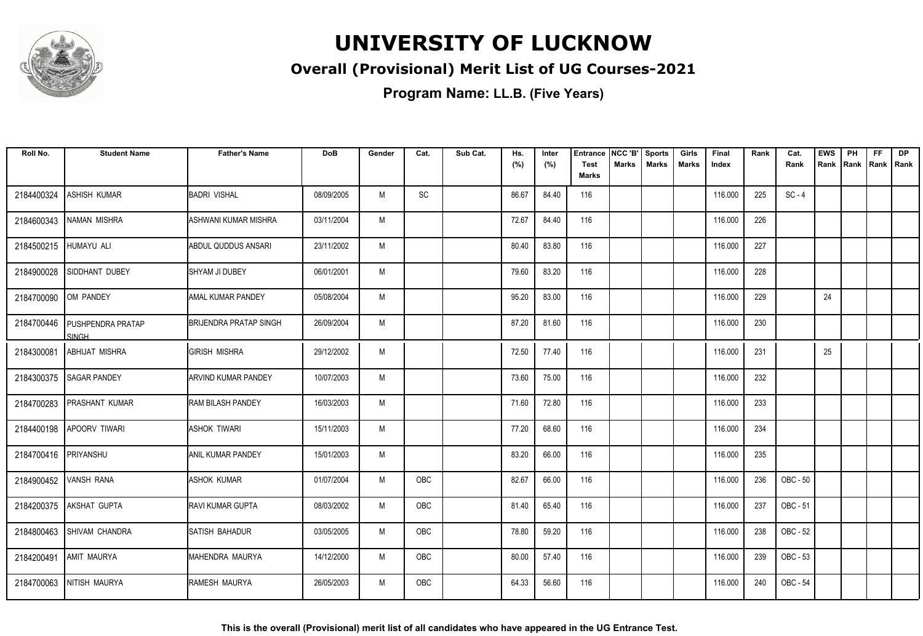

### **Overall (Provisional) Merit List of UG Courses-2021**

| Roll No.              | <b>Student Name</b>                      | <b>Father's Name</b>          | <b>DoB</b> | Gender | Cat.       | Sub Cat. | Hs.<br>(%) | Inter<br>(%) | <b>Entrance</b><br><b>Test</b> | NCC 'B'<br><b>Marks</b> | <b>Sports</b><br><b>Marks</b> | Girls<br>Marks | Final<br>Index | Rank | Cat.<br>Rank | <b>EWS</b><br>Rank | PH<br>Rank | <b>FF</b><br>Rank   Rank | DP |
|-----------------------|------------------------------------------|-------------------------------|------------|--------|------------|----------|------------|--------------|--------------------------------|-------------------------|-------------------------------|----------------|----------------|------|--------------|--------------------|------------|--------------------------|----|
|                       |                                          |                               |            |        |            |          |            |              | <b>Marks</b>                   |                         |                               |                |                |      |              |                    |            |                          |    |
| 2184400324            | <b>ASHISH KUMAR</b>                      | <b>BADRI VISHAL</b>           | 08/09/2005 | M      | SC         |          | 86.67      | 84.40        | 116                            |                         |                               |                | 116.000        | 225  | $SC - 4$     |                    |            |                          |    |
| 2184600343            | NAMAN MISHRA                             | ASHWANI KUMAR MISHRA          | 03/11/2004 | M      |            |          | 72.67      | 84.40        | 116                            |                         |                               |                | 116.000        | 226  |              |                    |            |                          |    |
| 2184500215 HUMAYU ALI |                                          | ABDUL QUDDUS ANSARI           | 23/11/2002 | M      |            |          | 80.40      | 83.80        | 116                            |                         |                               |                | 116.000        | 227  |              |                    |            |                          |    |
| 2184900028            | SIDDHANT DUBEY                           | <b>I</b> SHYAM JI DUBEY       | 06/01/2001 | M      |            |          | 79.60      | 83.20        | 116                            |                         |                               |                | 116.000        | 228  |              |                    |            |                          |    |
| 2184700090            | OM PANDEY                                | <b>AMAL KUMAR PANDEY</b>      | 05/08/2004 | M      |            |          | 95.20      | 83.00        | 116                            |                         |                               |                | 116.000        | 229  |              | 24                 |            |                          |    |
| 2184700446            | <b>PUSHPENDRA PRATAP</b><br><b>SINGH</b> | <b>BRIJENDRA PRATAP SINGH</b> | 26/09/2004 | M      |            |          | 87.20      | 81.60        | 116                            |                         |                               |                | 116.000        | 230  |              |                    |            |                          |    |
| 2184300081            | <b>ABHIJAT MISHRA</b>                    | <b>GIRISH MISHRA</b>          | 29/12/2002 | M      |            |          | 72.50      | 77.40        | 116                            |                         |                               |                | 116.000        | 231  |              | 25                 |            |                          |    |
| 2184300375            | <b>SAGAR PANDEY</b>                      | <b>ARVIND KUMAR PANDEY</b>    | 10/07/2003 | M      |            |          | 73.60      | 75.00        | 116                            |                         |                               |                | 116.000        | 232  |              |                    |            |                          |    |
| 2184700283            | <b>PRASHANT KUMAR</b>                    | <b>RAM BILASH PANDEY</b>      | 16/03/2003 | M      |            |          | 71.60      | 72.80        | 116                            |                         |                               |                | 116.000        | 233  |              |                    |            |                          |    |
| 2184400198            | <b>APOORV TIWARI</b>                     | <b>ASHOK TIWARI</b>           | 15/11/2003 | M      |            |          | 77.20      | 68.60        | 116                            |                         |                               |                | 116.000        | 234  |              |                    |            |                          |    |
| 2184700416            | PRIYANSHU                                | ANIL KUMAR PANDEY             | 15/01/2003 | M      |            |          | 83.20      | 66.00        | 116                            |                         |                               |                | 116.000        | 235  |              |                    |            |                          |    |
| 2184900452 VANSH RANA |                                          | <b>ASHOK KUMAR</b>            | 01/07/2004 | M      | OBC        |          | 82.67      | 66.00        | 116                            |                         |                               |                | 116.000        | 236  | OBC - 50     |                    |            |                          |    |
|                       | 2184200375 AKSHAT GUPTA                  | <b>IRAVI KUMAR GUPTA</b>      | 08/03/2002 | M      | OBC        |          | 81.40      | 65.40        | 116                            |                         |                               |                | 116.000        | 237  | OBC - 51     |                    |            |                          |    |
|                       | 2184800463 SHIVAM CHANDRA                | SATISH BAHADUR                | 03/05/2005 | M      | OBC        |          | 78.80      | 59.20        | 116                            |                         |                               |                | 116.000        | 238  | OBC - 52     |                    |            |                          |    |
| 2184200491            | <b>AMIT MAURYA</b>                       | MAHENDRA MAURYA               | 14/12/2000 | M      | OBC        |          | 80.00      | 57.40        | 116                            |                         |                               |                | 116.000        | 239  | OBC - 53     |                    |            |                          |    |
|                       | 2184700063 NITISH MAURYA                 | RAMESH MAURYA                 | 26/05/2003 | M      | <b>OBC</b> |          | 64.33      | 56.60        | 116                            |                         |                               |                | 116.000        | 240  | OBC - 54     |                    |            |                          |    |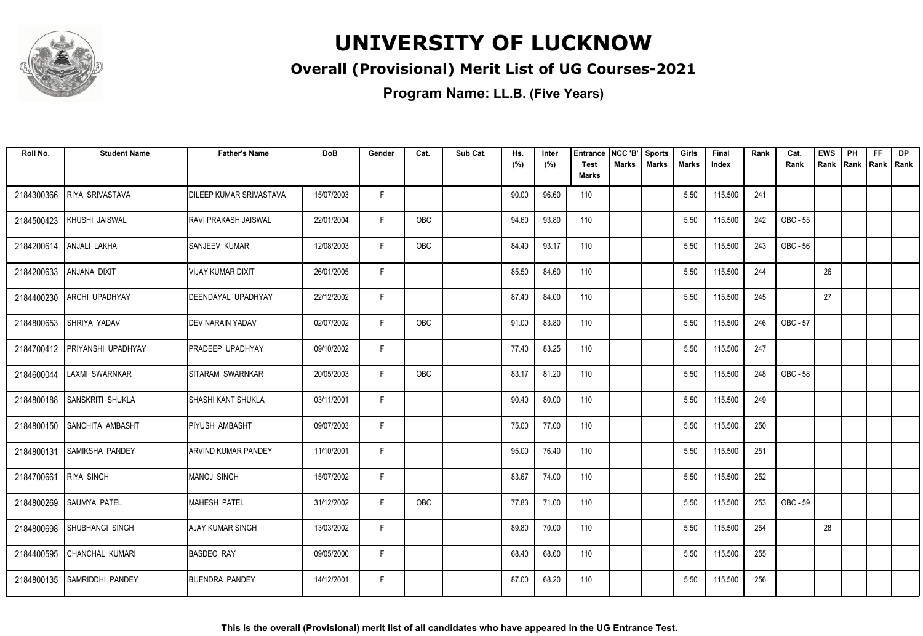

### **Overall (Provisional) Merit List of UG Courses-2021**

| Roll No.   | <b>Student Name</b>       | <b>Father's Name</b>           | <b>DoB</b> | Gender | Cat.       | Sub Cat. | Hs.<br>(%) | Inter<br>(%) | Entrance<br><b>Test</b><br>Marks | NCC 'B'<br><b>Marks</b> | <b>Sports</b><br><b>Marks</b> | Girls<br>Marks | Final<br>Index | Rank | Cat.<br>Rank    | <b>EWS</b><br>Rank IRank | PH | <b>FF</b><br>Rank   Rank | <b>DP</b> |
|------------|---------------------------|--------------------------------|------------|--------|------------|----------|------------|--------------|----------------------------------|-------------------------|-------------------------------|----------------|----------------|------|-----------------|--------------------------|----|--------------------------|-----------|
| 2184300366 | <b>RIYA SRIVASTAVA</b>    | <b>DILEEP KUMAR SRIVASTAVA</b> | 15/07/2003 | F      |            |          | 90.00      | 96.60        | 110                              |                         |                               | 5.50           | 115.500        | 241  |                 |                          |    |                          |           |
| 2184500423 | KHUSHI JAISWAL            | IRAVI PRAKASH JAISWAL          | 22/01/2004 | F      | OBC        |          | 94.60      | 93.80        | 110                              |                         |                               | 5.50           | 115.500        | 242  | OBC - 55        |                          |    |                          |           |
| 2184200614 | ANJALI LAKHA              | <b>SANJEEV KUMAR</b>           | 12/08/2003 | F      | <b>OBC</b> |          | 84.40      | 93.17        | 110                              |                         |                               | 5.50           | 115.500        | 243  | OBC - 56        |                          |    |                          |           |
| 2184200633 | ANJANA DIXIT              | <b>VIJAY KUMAR DIXIT</b>       | 26/01/2005 | E      |            |          | 85.50      | 84.60        | 110                              |                         |                               | 5.50           | 115.500        | 244  |                 | 26                       |    |                          |           |
| 2184400230 | ARCHI UPADHYAY            | DEENDAYAL UPADHYAY             | 22/12/2002 | F      |            |          | 87.40      | 84.00        | 110                              |                         |                               | 5.50           | 115.500        | 245  |                 | 27                       |    |                          |           |
| 2184800653 | SHRIYA YADAV              | <b>IDEV NARAIN YADAV</b>       | 02/07/2002 | F      | <b>OBC</b> |          | 91.00      | 83.80        | 110                              |                         |                               | 5.50           | 115.500        | 246  | OBC - 57        |                          |    |                          |           |
| 2184700412 | <b>PRIYANSHI UPADHYAY</b> | <b>IPRADEEP UPADHYAY</b>       | 09/10/2002 | F      |            |          | 77.40      | 83.25        | 110                              |                         |                               | 5.50           | 115.500        | 247  |                 |                          |    |                          |           |
| 2184600044 | LAXMI SWARNKAR            | ISITARAM SWARNKAR              | 20/05/2003 | F      | OBC        |          | 83.17      | 81.20        | 110                              |                         |                               | 5.50           | 115.500        | 248  | <b>OBC - 58</b> |                          |    |                          |           |
| 2184800188 | SANSKRITI SHUKLA          | ISHASHI KANT SHUKLA            | 03/11/2001 | F      |            |          | 90.40      | 80.00        | 110                              |                         |                               | 5.50           | 115.500        | 249  |                 |                          |    |                          |           |
| 2184800150 | <b>SANCHITA AMBASHT</b>   | <b>I</b> PIYUSH AMBASHT        | 09/07/2003 | F      |            |          | 75.00      | 77.00        | 110                              |                         |                               | 5.50           | 115.500        | 250  |                 |                          |    |                          |           |
| 2184800131 | <b>SAMIKSHA PANDEY</b>    | <b>ARVIND KUMAR PANDEY</b>     | 11/10/2001 | F      |            |          | 95.00      | 76.40        | 110                              |                         |                               | 5.50           | 115.500        | 251  |                 |                          |    |                          |           |
| 2184700661 | <b>RIYA SINGH</b>         | Imanoj singh                   | 15/07/2002 | F      |            |          | 83.67      | 74.00        | 110                              |                         |                               | 5.50           | 115.500        | 252  |                 |                          |    |                          |           |
| 2184800269 | <b>SAUMYA PATEL</b>       | MAHESH PATEL                   | 31/12/2002 | F      | OBC        |          | 77.83      | 71.00        | 110                              |                         |                               | 5.50           | 115.500        | 253  | OBC - 59        |                          |    |                          |           |
| 2184800698 | SHUBHANGI SINGH           | AJAY KUMAR SINGH               | 13/03/2002 | F      |            |          | 89.80      | 70.00        | 110                              |                         |                               | 5.50           | 115.500        | 254  |                 | 28                       |    |                          |           |
| 2184400595 | CHANCHAL KUMARI           | <b>BASDEO RAY</b>              | 09/05/2000 | F      |            |          | 68.40      | 68.60        | 110                              |                         |                               | 5.50           | 115.500        | 255  |                 |                          |    |                          |           |
| 2184800135 | <b>SAMRIDDHI PANDEY</b>   | BIJENDRA PANDEY                | 14/12/2001 | F      |            |          | 87.00      | 68.20        | 110                              |                         |                               | 5.50           | 115.500        | 256  |                 |                          |    |                          |           |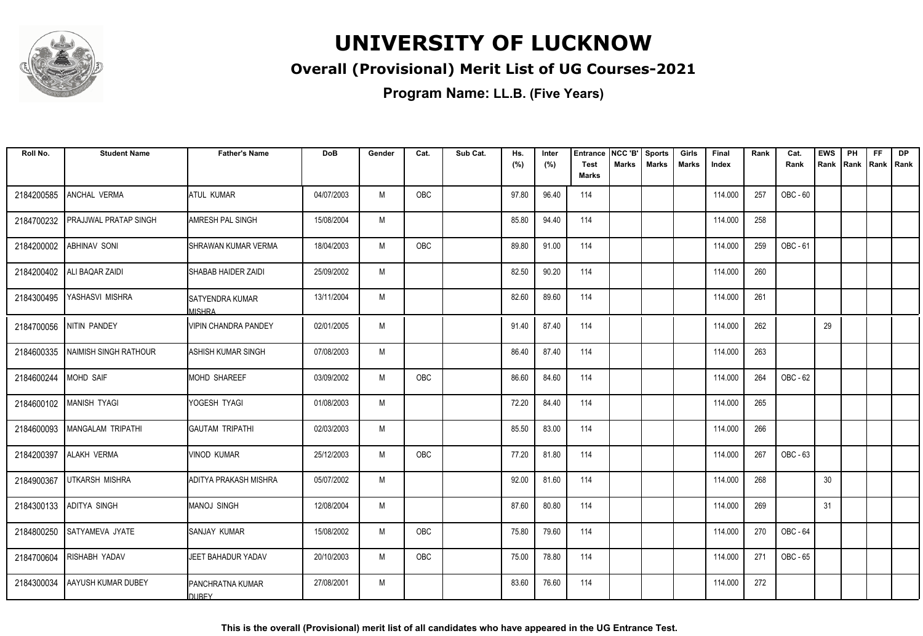

### **Overall (Provisional) Merit List of UG Courses-2021**

| Roll No.   | <b>Student Name</b>              | <b>Father's Name</b>                    | <b>DoB</b> | Gender | Cat.       | Sub Cat. | Hs.   | Inter | <b>Entrance</b>             | NCC 'B'      | <b>Sports</b> | Girls        | Final   | Rank | Cat.     | <b>EWS</b> | PH   | FF          | <b>DP</b> |
|------------|----------------------------------|-----------------------------------------|------------|--------|------------|----------|-------|-------|-----------------------------|--------------|---------------|--------------|---------|------|----------|------------|------|-------------|-----------|
|            |                                  |                                         |            |        |            |          | (%)   | (%)   | <b>Test</b><br><b>Marks</b> | <b>Marks</b> | <b>Marks</b>  | <b>Marks</b> | Index   |      | Rank     | Rank       | Rank | Rank   Rank |           |
| 2184200585 | ANCHAL VERMA                     | <b>ATUL KUMAR</b>                       | 04/07/2003 | M      | OBC        |          | 97.80 | 96.40 | 114                         |              |               |              | 114.000 | 257  | OBC - 60 |            |      |             |           |
| 2184700232 | PRAJJWAL PRATAP SINGH            | AMRESH PAL SINGH                        | 15/08/2004 | M      |            |          | 85.80 | 94.40 | 114                         |              |               |              | 114.000 | 258  |          |            |      |             |           |
| 2184200002 | <b>ABHINAV SONI</b>              | <b>SHRAWAN KUMAR VERMA</b>              | 18/04/2003 | M      | OBC        |          | 89.80 | 91.00 | 114                         |              |               |              | 114.000 | 259  | OBC - 61 |            |      |             |           |
| 2184200402 | ALI BAQAR ZAIDI                  | SHABAB HAIDER ZAIDI                     | 25/09/2002 | M      |            |          | 82.50 | 90.20 | 114                         |              |               |              | 114.000 | 260  |          |            |      |             |           |
| 2184300495 | YASHASVI MISHRA                  | <b>SATYENDRA KUMAR</b><br><b>MISHRA</b> | 13/11/2004 | M      |            |          | 82.60 | 89.60 | 114                         |              |               |              | 114.000 | 261  |          |            |      |             |           |
|            | 2184700056 NITIN PANDEY          | <b>VIPIN CHANDRA PANDEY</b>             | 02/01/2005 | M      |            |          | 91.40 | 87.40 | 114                         |              |               |              | 114.000 | 262  |          | 29         |      |             |           |
|            | 2184600335 NAIMISH SINGH RATHOUR | <b>ASHISH KUMAR SINGH</b>               | 07/08/2003 | M      |            |          | 86.40 | 87.40 | 114                         |              |               |              | 114.000 | 263  |          |            |      |             |           |
| 2184600244 | <b>MOHD SAIF</b>                 | <b>MOHD SHAREEF</b>                     | 03/09/2002 | M      | OBC        |          | 86.60 | 84.60 | 114                         |              |               |              | 114.000 | 264  | OBC - 62 |            |      |             |           |
|            | 2184600102   MANISH TYAGI        | YOGESH TYAGI                            | 01/08/2003 | M      |            |          | 72.20 | 84.40 | 114                         |              |               |              | 114.000 | 265  |          |            |      |             |           |
| 2184600093 | MANGALAM TRIPATHI                | <b>GAUTAM TRIPATHI</b>                  | 02/03/2003 | M      |            |          | 85.50 | 83.00 | 114                         |              |               |              | 114.000 | 266  |          |            |      |             |           |
| 2184200397 | <b>ALAKH VERMA</b>               | <b>VINOD KUMAR</b>                      | 25/12/2003 | M      | <b>OBC</b> |          | 77.20 | 81.80 | 114                         |              |               |              | 114.000 | 267  | OBC - 63 |            |      |             |           |
| 2184900367 | Iutkarsh mishra                  | ADITYA PRAKASH MISHRA                   | 05/07/2002 | M      |            |          | 92.00 | 81.60 | 114                         |              |               |              | 114.000 | 268  |          | 30         |      |             |           |
| 2184300133 | <b>ADITYA SINGH</b>              | <b>MANOJ SINGH</b>                      | 12/08/2004 | M      |            |          | 87.60 | 80.80 | 114                         |              |               |              | 114.000 | 269  |          | 31         |      |             |           |
| 2184800250 | SATYAMEVA JYATE                  | <b>SANJAY KUMAR</b>                     | 15/08/2002 | M      | OBC        |          | 75.80 | 79.60 | 114                         |              |               |              | 114.000 | 270  | OBC - 64 |            |      |             |           |
|            | 2184700604 RISHABH YADAV         | JEET BAHADUR YADAV                      | 20/10/2003 | M      | OBC        |          | 75.00 | 78.80 | 114                         |              |               |              | 114.000 | 271  | OBC - 65 |            |      |             |           |
| 2184300034 | <b>AAYUSH KUMAR DUBEY</b>        | IPANCHRATNA KUMAR<br><b>DUBEY</b>       | 27/08/2001 | M      |            |          | 83.60 | 76.60 | 114                         |              |               |              | 114.000 | 272  |          |            |      |             |           |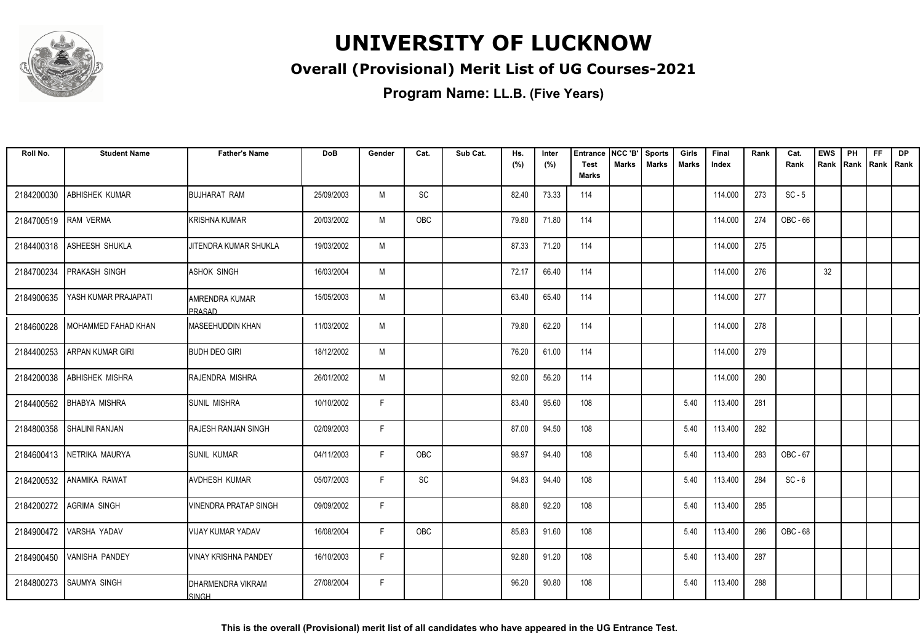

### **Overall (Provisional) Merit List of UG Courses-2021**

| Roll No.   | <b>Student Name</b>         | <b>Father's Name</b>            | <b>DoB</b> | Gender | Cat. | Sub Cat. | Hs.   | Inter | <b>Entrance</b>             | NCC 'B'      | <b>Sports</b> | Girls        | Final   | Rank | Cat.     | <b>EWS</b> | PH   | FF          | <b>DP</b> |
|------------|-----------------------------|---------------------------------|------------|--------|------|----------|-------|-------|-----------------------------|--------------|---------------|--------------|---------|------|----------|------------|------|-------------|-----------|
|            |                             |                                 |            |        |      |          | (%)   | (%)   | <b>Test</b><br><b>Marks</b> | <b>Marks</b> | <b>Marks</b>  | <b>Marks</b> | Index   |      | Rank     | Rank       | Rank | Rank   Rank |           |
| 2184200030 | ABHISHEK KUMAR              | <b>BUJHARAT RAM</b>             | 25/09/2003 | M      | SC   |          | 82.40 | 73.33 | 114                         |              |               |              | 114.000 | 273  | $SC - 5$ |            |      |             |           |
| 2184700519 | RAM VERMA                   | KRISHNA KUMAR                   | 20/03/2002 | M      | OBC  |          | 79.80 | 71.80 | 114                         |              |               |              | 114.000 | 274  | OBC - 66 |            |      |             |           |
| 2184400318 | ASHEESH SHUKLA              | JITENDRA KUMAR SHUKLA           | 19/03/2002 | M      |      |          | 87.33 | 71.20 | 114                         |              |               |              | 114.000 | 275  |          |            |      |             |           |
| 2184700234 | <b>PRAKASH SINGH</b>        | <b>ASHOK SINGH</b>              | 16/03/2004 | M      |      |          | 72.17 | 66.40 | 114                         |              |               |              | 114.000 | 276  |          | 32         |      |             |           |
| 2184900635 | YASH KUMAR PRAJAPATI        | AMRENDRA KUMAR<br><b>PRASAD</b> | 15/05/2003 | M      |      |          | 63.40 | 65.40 | 114                         |              |               |              | 114.000 | 277  |          |            |      |             |           |
| 2184600228 | <b>IMOHAMMED FAHAD KHAN</b> | <b>IMASEEHUDDIN KHAN</b>        | 11/03/2002 | M      |      |          | 79.80 | 62.20 | 114                         |              |               |              | 114.000 | 278  |          |            |      |             |           |
| 2184400253 | ARPAN KUMAR GIRI            | <b>BUDH DEO GIRI</b>            | 18/12/2002 | M      |      |          | 76.20 | 61.00 | 114                         |              |               |              | 114.000 | 279  |          |            |      |             |           |
| 2184200038 | ABHISHEK MISHRA             | RAJENDRA MISHRA                 | 26/01/2002 | M      |      |          | 92.00 | 56.20 | 114                         |              |               |              | 114.000 | 280  |          |            |      |             |           |
| 2184400562 | <b>BHABYA MISHRA</b>        | <b>SUNIL MISHRA</b>             | 10/10/2002 | F.     |      |          | 83.40 | 95.60 | 108                         |              |               | 5.40         | 113.400 | 281  |          |            |      |             |           |
| 2184800358 | <b>SHALINI RANJAN</b>       | RAJESH RANJAN SINGH             | 02/09/2003 | F      |      |          | 87.00 | 94.50 | 108                         |              |               | 5.40         | 113.400 | 282  |          |            |      |             |           |
|            | 2184600413 NETRIKA MAURYA   | <b>SUNIL KUMAR</b>              | 04/11/2003 | F      | OBC  |          | 98.97 | 94.40 | 108                         |              |               | 5.40         | 113.400 | 283  | OBC - 67 |            |      |             |           |
| 2184200532 | <b>ANAMIKA RAWAT</b>        | <b>AVDHESH KUMAR</b>            | 05/07/2003 | F.     | SC   |          | 94.83 | 94.40 | 108                         |              |               | 5.40         | 113.400 | 284  | $SC - 6$ |            |      |             |           |
| 2184200272 | <b>AGRIMA SINGH</b>         | VINENDRA PRATAP SINGH           | 09/09/2002 | F.     |      |          | 88.80 | 92.20 | 108                         |              |               | 5.40         | 113.400 | 285  |          |            |      |             |           |
| 2184900472 | VARSHA YADAV                | VIJAY KUMAR YADAV               | 16/08/2004 | F.     | OBC  |          | 85.83 | 91.60 | 108                         |              |               | 5.40         | 113.400 | 286  | OBC - 68 |            |      |             |           |
|            | 2184900450 VANISHA PANDEY   | <b>VINAY KRISHNA PANDEY</b>     | 16/10/2003 | F.     |      |          | 92.80 | 91.20 | 108                         |              |               | 5.40         | 113.400 | 287  |          |            |      |             |           |
|            | 2184800273 SAUMYA SINGH     | DHARMENDRA VIKRAM<br>SINGH      | 27/08/2004 | F      |      |          | 96.20 | 90.80 | 108                         |              |               | 5.40         | 113.400 | 288  |          |            |      |             |           |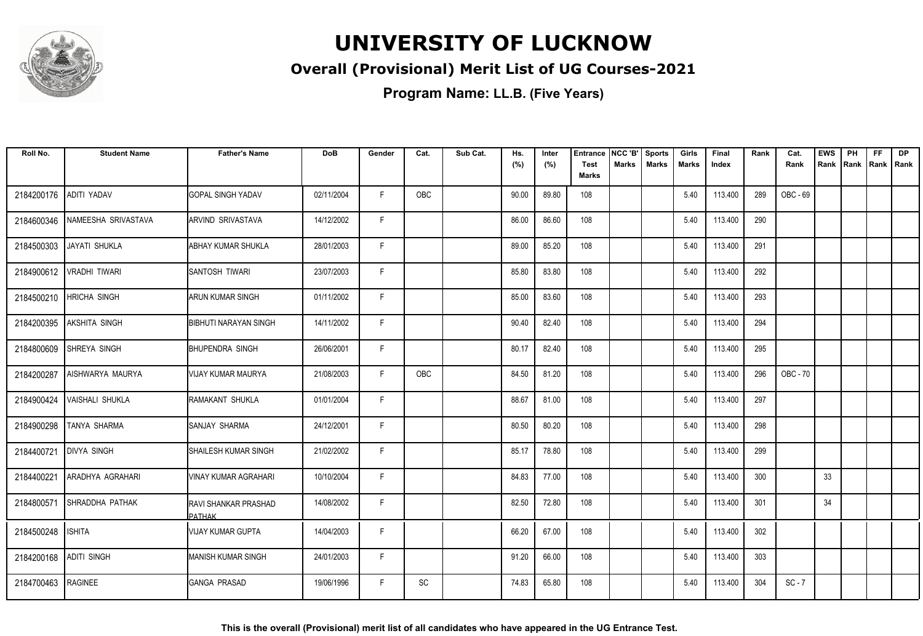

### **Overall (Provisional) Merit List of UG Courses-2021**

| Roll No.           | <b>Student Name</b>         | <b>Father's Name</b>           | <b>DoB</b> | Gender | Cat.       | Sub Cat. | Hs.<br>(%) | Inter<br>(%) | <b>Entrance</b><br><b>Test</b> | NCC 'B'<br>Marks | <b>Sports</b><br><b>Marks</b> | Girls<br>Marks | Final<br>Index | Rank | Cat.<br>Rank | <b>EWS</b><br>Rank | PH<br>Rank Rank Rank | FF. | <b>DP</b> |
|--------------------|-----------------------------|--------------------------------|------------|--------|------------|----------|------------|--------------|--------------------------------|------------------|-------------------------------|----------------|----------------|------|--------------|--------------------|----------------------|-----|-----------|
|                    |                             |                                |            |        |            |          |            |              | <b>Marks</b>                   |                  |                               |                |                |      |              |                    |                      |     |           |
| 2184200176         | ADITI YADAV                 | <b>GOPAL SINGH YADAV</b>       | 02/11/2004 | F.     | <b>OBC</b> |          | 90.00      | 89.80        | 108                            |                  |                               | 5.40           | 113.400        | 289  | OBC - 69     |                    |                      |     |           |
| 2184600346         | <b>INAMEESHA SRIVASTAVA</b> | ARVIND SRIVASTAVA              | 14/12/2002 | F.     |            |          | 86.00      | 86.60        | 108                            |                  |                               | 5.40           | 113.400        | 290  |              |                    |                      |     |           |
| 2184500303         | JAYATI SHUKLA               | <b>ABHAY KUMAR SHUKLA</b>      | 28/01/2003 | F      |            |          | 89.00      | 85.20        | 108                            |                  |                               | 5.40           | 113.400        | 291  |              |                    |                      |     |           |
| 2184900612         | <b>VRADHI TIWARI</b>        | SANTOSH TIWARI                 | 23/07/2003 | F      |            |          | 85.80      | 83.80        | 108                            |                  |                               | 5.40           | 113.400        | 292  |              |                    |                      |     |           |
| 2184500210         | <b>HRICHA SINGH</b>         | <b>ARUN KUMAR SINGH</b>        | 01/11/2002 | F      |            |          | 85.00      | 83.60        | 108                            |                  |                               | 5.40           | 113.400        | 293  |              |                    |                      |     |           |
| 2184200395         | AKSHITA SINGH               | <b>BIBHUTI NARAYAN SINGH</b>   | 14/11/2002 | F.     |            |          | 90.40      | 82.40        | 108                            |                  |                               | 5.40           | 113.400        | 294  |              |                    |                      |     |           |
| 2184800609         | SHREYA SINGH                | <b>BHUPENDRA SINGH</b>         | 26/06/2001 | F      |            |          | 80.17      | 82.40        | 108                            |                  |                               | 5.40           | 113.400        | 295  |              |                    |                      |     |           |
| 2184200287         | AISHWARYA MAURYA            | <b>VIJAY KUMAR MAURYA</b>      | 21/08/2003 | F.     | OBC        |          | 84.50      | 81.20        | 108                            |                  |                               | 5.40           | 113.400        | 296  | OBC - 70     |                    |                      |     |           |
| 2184900424         | <b>VAISHALI SHUKLA</b>      | RAMAKANT SHUKLA                | 01/01/2004 | F.     |            |          | 88.67      | 81.00        | 108                            |                  |                               | 5.40           | 113.400        | 297  |              |                    |                      |     |           |
| 2184900298         | <b>TANYA SHARMA</b>         | SANJAY SHARMA                  | 24/12/2001 | F.     |            |          | 80.50      | 80.20        | 108                            |                  |                               | 5.40           | 113.400        | 298  |              |                    |                      |     |           |
| 2184400721         | <b>DIVYA SINGH</b>          | SHAILESH KUMAR SINGH           | 21/02/2002 | F.     |            |          | 85.17      | 78.80        | 108                            |                  |                               | 5.40           | 113.400        | 299  |              |                    |                      |     |           |
| 2184400221         | ARADHYA AGRAHARI            | VINAY KUMAR AGRAHARI           | 10/10/2004 | F.     |            |          | 84.83      | 77.00        | 108                            |                  |                               | 5.40           | 113.400        | 300  |              | 33                 |                      |     |           |
| 2184800571         | SHRADDHA PATHAK             | RAVI SHANKAR PRASHAD<br>PATHAK | 14/08/2002 | F.     |            |          | 82.50      | 72.80        | 108                            |                  |                               | 5.40           | 113.400        | 301  |              | 34                 |                      |     |           |
| 2184500248         | <b>ISHITA</b>               | <b>VIJAY KUMAR GUPTA</b>       | 14/04/2003 | F.     |            |          | 66.20      | 67.00        | 108                            |                  |                               | 5.40           | 113.400        | 302  |              |                    |                      |     |           |
| 2184200168         | ADITI SINGH                 | <b>MANISH KUMAR SINGH</b>      | 24/01/2003 | F.     |            |          | 91.20      | 66.00        | 108                            |                  |                               | 5.40           | 113.400        | 303  |              |                    |                      |     |           |
| 2184700463 RAGINEE |                             | <b>GANGA PRASAD</b>            | 19/06/1996 | F.     | SC         |          | 74.83      | 65.80        | 108                            |                  |                               | 5.40           | 113.400        | 304  | $SC - 7$     |                    |                      |     |           |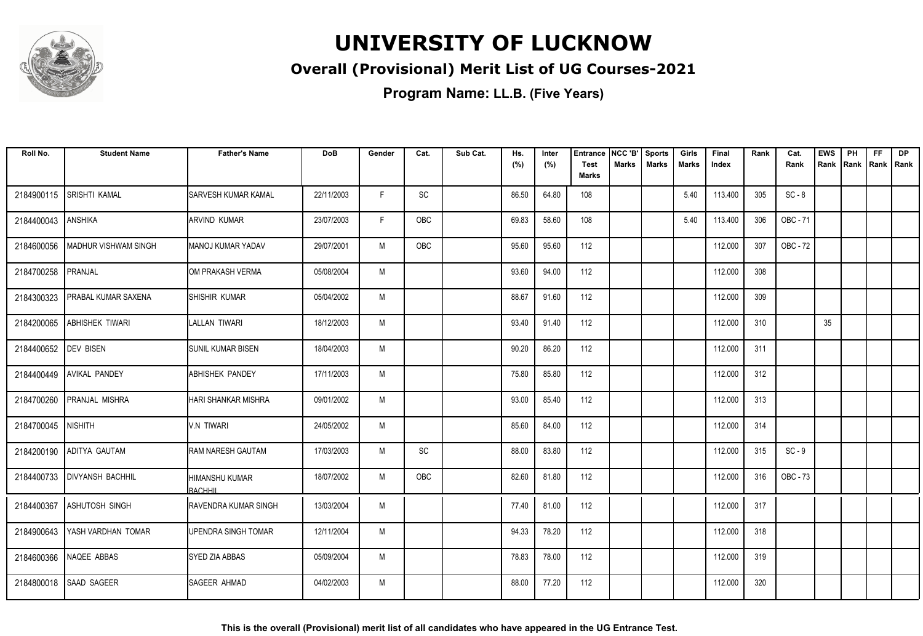

### **Overall (Provisional) Merit List of UG Courses-2021**

| Roll No.             | <b>Student Name</b>         | <b>Father's Name</b>                    | <b>DoB</b> | Gender | Cat.       | Sub Cat. | Hs.<br>(%) | Inter<br>(%) | <b>Entrance</b><br><b>Test</b> | NCC 'B'<br><b>Marks</b> | <b>Sports</b><br><b>Marks</b> | Girls<br>Marks | Final<br>Index | Rank | Cat.<br>Rank | <b>EWS</b><br>Rank | PH<br>Rank | <b>FF</b><br>Rank   Rank | <b>DP</b> |
|----------------------|-----------------------------|-----------------------------------------|------------|--------|------------|----------|------------|--------------|--------------------------------|-------------------------|-------------------------------|----------------|----------------|------|--------------|--------------------|------------|--------------------------|-----------|
|                      |                             |                                         |            |        |            |          |            |              | <b>Marks</b>                   |                         |                               |                |                |      |              |                    |            |                          |           |
| 2184900115           | SRISHTI KAMAL               | <b>SARVESH KUMAR KAMAL</b>              | 22/11/2003 | F.     | SC         |          | 86.50      | 64.80        | 108                            |                         |                               | 5.40           | 113.400        | 305  | $SC - 8$     |                    |            |                          |           |
| 2184400043           | <b>ANSHIKA</b>              | ARVIND KUMAR                            | 23/07/2003 | F.     | OBC        |          | 69.83      | 58.60        | 108                            |                         |                               | 5.40           | 113.400        | 306  | OBC - 71     |                    |            |                          |           |
| 2184600056           | <b>MADHUR VISHWAM SINGH</b> | IMANOJ KUMAR YADAV                      | 29/07/2001 | M      | <b>OBC</b> |          | 95.60      | 95.60        | 112                            |                         |                               |                | 112.000        | 307  | OBC - 72     |                    |            |                          |           |
| 2184700258           | PRANJAL                     | OM PRAKASH VERMA                        | 05/08/2004 | M      |            |          | 93.60      | 94.00        | 112                            |                         |                               |                | 112.000        | 308  |              |                    |            |                          |           |
| 2184300323           | PRABAL KUMAR SAXENA         | SHISHIR KUMAR                           | 05/04/2002 | M      |            |          | 88.67      | 91.60        | 112                            |                         |                               |                | 112.000        | 309  |              |                    |            |                          |           |
| 2184200065           | <b>ABHISHEK TIWARI</b>      | LALLAN TIWARI                           | 18/12/2003 | M      |            |          | 93.40      | 91.40        | 112                            |                         |                               |                | 112.000        | 310  |              | 35                 |            |                          |           |
| 2184400652 DEV BISEN |                             | <b>SUNIL KUMAR BISEN</b>                | 18/04/2003 | M      |            |          | 90.20      | 86.20        | 112                            |                         |                               |                | 112.000        | 311  |              |                    |            |                          |           |
|                      | 2184400449 AVIKAL PANDEY    | <b>ABHISHEK PANDEY</b>                  | 17/11/2003 | M      |            |          | 75.80      | 85.80        | 112                            |                         |                               |                | 112.000        | 312  |              |                    |            |                          |           |
| 2184700260           | PRANJAL MISHRA              | <b>HARI SHANKAR MISHRA</b>              | 09/01/2002 | M      |            |          | 93.00      | 85.40        | 112                            |                         |                               |                | 112.000        | 313  |              |                    |            |                          |           |
| 2184700045           | <b>NISHITH</b>              | <b>V.N TIWARI</b>                       | 24/05/2002 | M      |            |          | 85.60      | 84.00        | 112                            |                         |                               |                | 112.000        | 314  |              |                    |            |                          |           |
| 2184200190           | ADITYA GAUTAM               | <b>RAM NARESH GAUTAM</b>                | 17/03/2003 | M      | <b>SC</b>  |          | 88.00      | 83.80        | 112                            |                         |                               |                | 112.000        | 315  | $SC - 9$     |                    |            |                          |           |
| 2184400733           | <b>IDIVYANSH BACHHIL</b>    | <b>HIMANSHU KUMAR</b><br><b>BACHHII</b> | 18/07/2002 | M      | OBC        |          | 82.60      | 81.80        | 112                            |                         |                               |                | 112.000        | 316  | OBC - 73     |                    |            |                          |           |
|                      | 2184400367 ASHUTOSH SINGH   | RAVENDRA KUMAR SINGH                    | 13/03/2004 | M      |            |          | 77.40      | 81.00        | 112                            |                         |                               |                | 112.000        | 317  |              |                    |            |                          |           |
| 2184900643           | YASH VARDHAN TOMAR          | UPENDRA SINGH TOMAR                     | 12/11/2004 | M      |            |          | 94.33      | 78.20        | 112                            |                         |                               |                | 112.000        | 318  |              |                    |            |                          |           |
| 2184600366           | NAQEE ABBAS                 | <b>SYED ZIA ABBAS</b>                   | 05/09/2004 | M      |            |          | 78.83      | 78.00        | 112                            |                         |                               |                | 112.000        | 319  |              |                    |            |                          |           |
|                      | 2184800018 SAAD SAGEER      | SAGEER AHMAD                            | 04/02/2003 | M      |            |          | 88.00      | 77.20        | 112                            |                         |                               |                | 112.000        | 320  |              |                    |            |                          |           |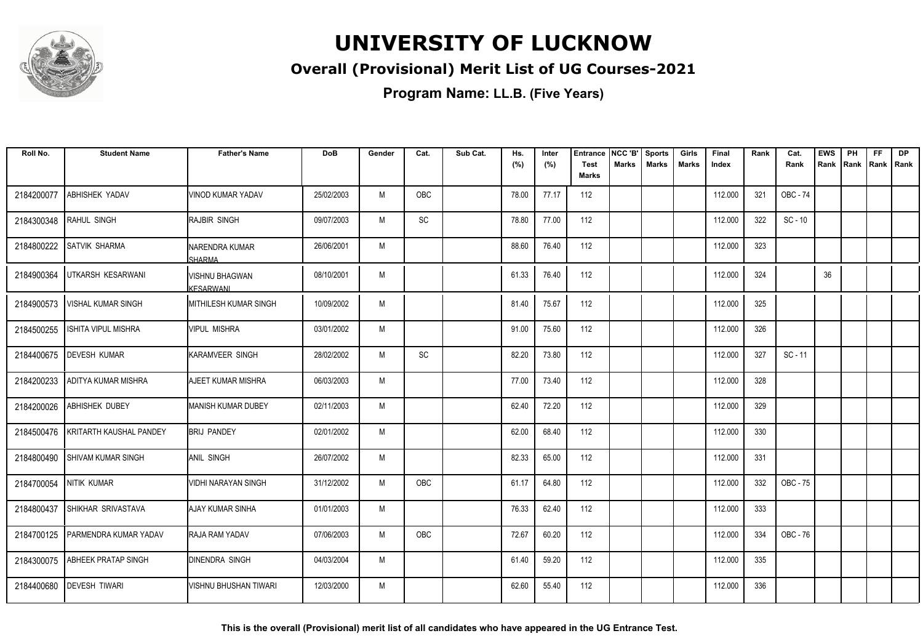

### **Overall (Provisional) Merit List of UG Courses-2021**

| Roll No.   | <b>Student Name</b>        | <b>Father's Name</b>                      | <b>DoB</b> | Gender | Cat. | Sub Cat. | Hs.<br>(%) | Inter<br>(%) | <b>Entrance</b><br><b>Test</b><br><b>Marks</b> | NCC 'B'<br><b>Marks</b> | <b>Sports</b><br><b>Marks</b> | Girls<br>Marks | Final<br>Index | Rank | Cat.<br>Rank | <b>EWS</b><br>Rank | PH<br>Rank | <b>FF</b><br>Rank Rank | <b>DP</b> |
|------------|----------------------------|-------------------------------------------|------------|--------|------|----------|------------|--------------|------------------------------------------------|-------------------------|-------------------------------|----------------|----------------|------|--------------|--------------------|------------|------------------------|-----------|
| 2184200077 | ABHISHEK YADAV             | VINOD KUMAR YADAV                         | 25/02/2003 | M      | OBC  |          | 78.00      | 77.17        | 112                                            |                         |                               |                | 112.000        | 321  | OBC - 74     |                    |            |                        |           |
| 2184300348 | RAHUL SINGH                | IRAJBIR SINGH                             | 09/07/2003 | M      | SC   |          | 78.80      | 77.00        | 112                                            |                         |                               |                | 112.000        | 322  | $SC - 10$    |                    |            |                        |           |
| 2184800222 | <b>SATVIK SHARMA</b>       | INARENDRA KUMAR<br><b>SHARMA</b>          | 26/06/2001 | M      |      |          | 88.60      | 76.40        | 112                                            |                         |                               |                | 112.000        | 323  |              |                    |            |                        |           |
| 2184900364 | UTKARSH KESARWANI          | <b>VISHNU BHAGWAN</b><br><b>KESARWANI</b> | 08/10/2001 | M      |      |          | 61.33      | 76.40        | 112                                            |                         |                               |                | 112.000        | 324  |              | 36                 |            |                        |           |
| 2184900573 | <b>VISHAL KUMAR SINGH</b>  | MITHILESH KUMAR SINGH                     | 10/09/2002 | M      |      |          | 81.40      | 75.67        | 112                                            |                         |                               |                | 112.000        | 325  |              |                    |            |                        |           |
| 2184500255 | <b>ISHITA VIPUL MISHRA</b> | Ivipul mishra                             | 03/01/2002 | M      |      |          | 91.00      | 75.60        | 112                                            |                         |                               |                | 112.000        | 326  |              |                    |            |                        |           |
| 2184400675 | <b>DEVESH KUMAR</b>        | <b>KARAMVEER SINGH</b>                    | 28/02/2002 | M      | SC   |          | 82.20      | 73.80        | 112                                            |                         |                               |                | 112.000        | 327  | $SC - 11$    |                    |            |                        |           |
| 2184200233 | <b>ADITYA KUMAR MISHRA</b> | <b>AJEET KUMAR MISHRA</b>                 | 06/03/2003 | M      |      |          | 77.00      | 73.40        | 112                                            |                         |                               |                | 112.000        | 328  |              |                    |            |                        |           |
| 2184200026 | ABHISHEK DUBEY             | MANISH KUMAR DUBEY                        | 02/11/2003 | M      |      |          | 62.40      | 72.20        | 112                                            |                         |                               |                | 112.000        | 329  |              |                    |            |                        |           |
| 2184500476 | KRITARTH KAUSHAL PANDEY    | <b>BRIJ PANDEY</b>                        | 02/01/2002 | M      |      |          | 62.00      | 68.40        | 112                                            |                         |                               |                | 112.000        | 330  |              |                    |            |                        |           |
| 2184800490 | I SHIVAM KUMAR SINGH       | IANIL SINGH                               | 26/07/2002 | M      |      |          | 82.33      | 65.00        | 112                                            |                         |                               |                | 112.000        | 331  |              |                    |            |                        |           |
| 2184700054 | NITIK KUMAR                | VIDHI NARAYAN SINGH                       | 31/12/2002 | M      | OBC  |          | 61.17      | 64.80        | 112                                            |                         |                               |                | 112.000        | 332  | OBC - 75     |                    |            |                        |           |
| 2184800437 | SHIKHAR SRIVASTAVA         | <b>AJAY KUMAR SINHA</b>                   | 01/01/2003 | M      |      |          | 76.33      | 62.40        | 112                                            |                         |                               |                | 112.000        | 333  |              |                    |            |                        |           |
| 2184700125 | PARMENDRA KUMAR YADAV      | RAJA RAM YADAV                            | 07/06/2003 | M      | OBC  |          | 72.67      | 60.20        | 112                                            |                         |                               |                | 112.000        | 334  | OBC - 76     |                    |            |                        |           |
| 2184300075 | <b>ABHEEK PRATAP SINGH</b> | <b>DINENDRA SINGH</b>                     | 04/03/2004 | M      |      |          | 61.40      | 59.20        | 112                                            |                         |                               |                | 112.000        | 335  |              |                    |            |                        |           |
| 2184400680 | <b>DEVESH TIWARI</b>       | VISHNU BHUSHAN TIWARI                     | 12/03/2000 | M      |      |          | 62.60      | 55.40        | 112                                            |                         |                               |                | 112.000        | 336  |              |                    |            |                        |           |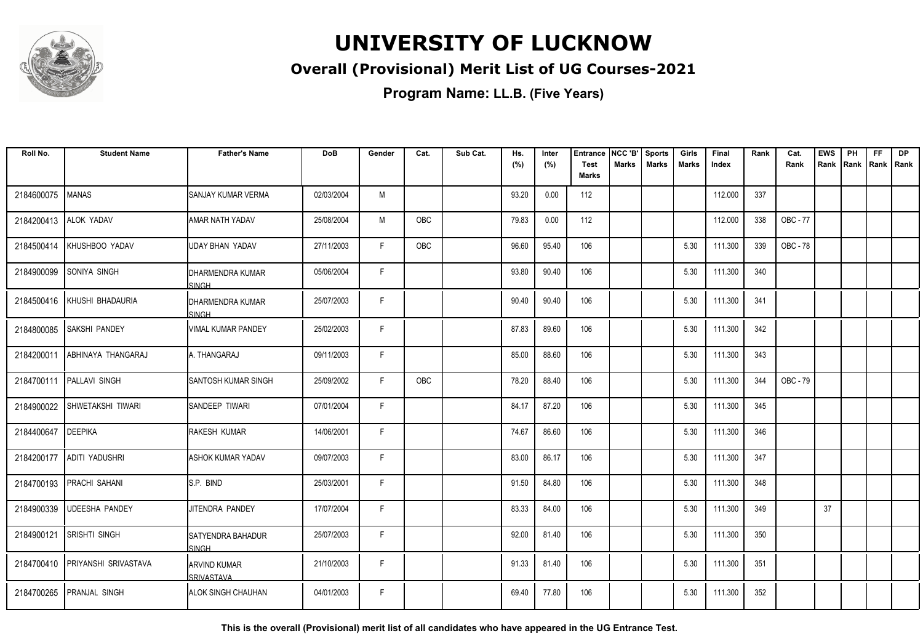

### **Overall (Provisional) Merit List of UG Courses-2021**

**Program Name: LL.B. (Five Years)**

| Roll No.   | <b>Student Name</b>             | <b>Father's Name</b>                    | <b>DoB</b> | Gender | Cat.       | Sub Cat. | Hs.<br>(%) | Inter<br>(%) | <b>Entrance</b><br><b>Test</b> | NCC 'B'<br>Marks | <b>Sports</b><br><b>Marks</b> | Girls<br>Marks | Final<br>Index | Rank | Cat.<br>Rank | <b>EWS</b><br>Rank | PH | <b>FF</b><br>Rank   Rank   Rank | <b>DP</b> |
|------------|---------------------------------|-----------------------------------------|------------|--------|------------|----------|------------|--------------|--------------------------------|------------------|-------------------------------|----------------|----------------|------|--------------|--------------------|----|---------------------------------|-----------|
|            |                                 |                                         |            |        |            |          |            |              | <b>Marks</b>                   |                  |                               |                |                |      |              |                    |    |                                 |           |
| 2184600075 | <b>MANAS</b>                    | ISANJAY KUMAR VERMA                     | 02/03/2004 | M      |            |          | 93.20      | 0.00         | 112                            |                  |                               |                | 112.000        | 337  |              |                    |    |                                 |           |
| 2184200413 | ALOK YADAV                      | AMAR NATH YADAV                         | 25/08/2004 | M      | OBC        |          | 79.83      | 0.00         | 112                            |                  |                               |                | 112.000        | 338  | OBC - 77     |                    |    |                                 |           |
| 2184500414 | KHUSHBOO YADAV                  | UDAY BHAN YADAV                         | 27/11/2003 | F.     | <b>OBC</b> |          | 96.60      | 95.40        | 106                            |                  |                               | 5.30           | 111.300        | 339  | OBC - 78     |                    |    |                                 |           |
| 2184900099 | SONIYA SINGH                    | <b>DHARMENDRA KUMAR</b><br><b>SINGH</b> | 05/06/2004 | F.     |            |          | 93.80      | 90.40        | 106                            |                  |                               | 5.30           | 111.300        | 340  |              |                    |    |                                 |           |
| 2184500416 | KHUSHI BHADAURIA                | IDHARMENDRA KUMAR<br><b>SINGH</b>       | 25/07/2003 | F      |            |          | 90.40      | 90.40        | 106                            |                  |                               | 5.30           | 111.300        | 341  |              |                    |    |                                 |           |
| 2184800085 | SAKSHI PANDEY                   | IVIMAL KUMAR PANDEY                     | 25/02/2003 | F      |            |          | 87.83      | 89.60        | 106                            |                  |                               | 5.30           | 111.300        | 342  |              |                    |    |                                 |           |
| 2184200011 | ABHINAYA THANGARAJ              | A. THANGARAJ                            | 09/11/2003 | F.     |            |          | 85.00      | 88.60        | 106                            |                  |                               | 5.30           | 111.300        | 343  |              |                    |    |                                 |           |
| 2184700111 | <b>PALLAVI SINGH</b>            | <b>SANTOSH KUMAR SINGH</b>              | 25/09/2002 | F.     | OBC        |          | 78.20      | 88.40        | 106                            |                  |                               | 5.30           | 111.300        | 344  | OBC - 79     |                    |    |                                 |           |
| 2184900022 | SHWETAKSHI TIWARI               | <b>I</b> SANDEEP TIWARI                 | 07/01/2004 | F.     |            |          | 84.17      | 87.20        | 106                            |                  |                               | 5.30           | 111.300        | 345  |              |                    |    |                                 |           |
| 2184400647 | <b>DEEPIKA</b>                  | <b>RAKESH KUMAR</b>                     | 14/06/2001 | F      |            |          | 74.67      | 86.60        | 106                            |                  |                               | 5.30           | 111.300        | 346  |              |                    |    |                                 |           |
| 2184200177 | <b>ADITI YADUSHRI</b>           | ASHOK KUMAR YADAV                       | 09/07/2003 | F.     |            |          | 83.00      | 86.17        | 106                            |                  |                               | 5.30           | 111.300        | 347  |              |                    |    |                                 |           |
| 2184700193 | <b>PRACHI SAHANI</b>            | IS.P. BIND                              | 25/03/2001 | F.     |            |          | 91.50      | 84.80        | 106                            |                  |                               | 5.30           | 111.300        | 348  |              |                    |    |                                 |           |
| 2184900339 | <b>UDEESHA PANDEY</b>           | JITENDRA PANDEY                         | 17/07/2004 | F      |            |          | 83.33      | 84.00        | 106                            |                  |                               | 5.30           | 111.300        | 349  |              | 37                 |    |                                 |           |
| 2184900121 | <b>SRISHTI SINGH</b>            | ISATYENDRA BAHADUR<br>SINGH             | 25/07/2003 | F.     |            |          | 92.00      | 81.40        | 106                            |                  |                               | 5.30           | 111.300        | 350  |              |                    |    |                                 |           |
|            | 2184700410 PRIYANSHI SRIVASTAVA | IARVIND KUMAR<br>SRIVASTAVA             | 21/10/2003 | F      |            |          | 91.33      | 81.40        | 106                            |                  |                               | 5.30           | 111.300        | 351  |              |                    |    |                                 |           |
|            | 2184700265 PRANJAL SINGH        | ALOK SINGH CHAUHAN                      | 04/01/2003 | F.     |            |          | 69.40      | 77.80        | 106                            |                  |                               | 5.30           | 111.300        | 352  |              |                    |    |                                 |           |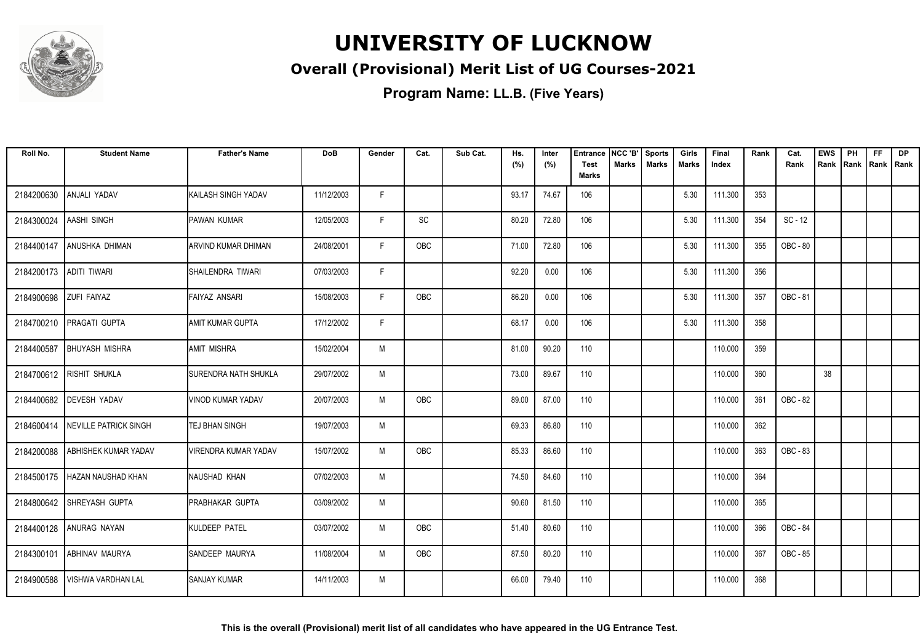

### **Overall (Provisional) Merit List of UG Courses-2021**

| Roll No.   | <b>Student Name</b>         | <b>Father's Name</b>        | <b>DoB</b> | Gender | Cat.       | Sub Cat. | Hs.<br>(%) | Inter<br>(%) | <b>Entrance</b><br><b>Test</b> | NCC 'B'<br>Marks | Sports<br><b>Marks</b> | Girls<br>Marks | Final<br>Index | Rank | Cat.<br>Rank | <b>EWS</b><br>Rank | PH<br> Rank | <b>FF</b><br>Rank   Rank | <b>DP</b> |
|------------|-----------------------------|-----------------------------|------------|--------|------------|----------|------------|--------------|--------------------------------|------------------|------------------------|----------------|----------------|------|--------------|--------------------|-------------|--------------------------|-----------|
|            |                             |                             |            |        |            |          |            |              | <b>Marks</b>                   |                  |                        |                |                |      |              |                    |             |                          |           |
| 2184200630 | ANJALI YADAV                | KAILASH SINGH YADAV         | 11/12/2003 | F.     |            |          | 93.17      | 74.67        | 106                            |                  |                        | 5.30           | 111.300        | 353  |              |                    |             |                          |           |
| 2184300024 | AASHI SINGH                 | PAWAN KUMAR                 | 12/05/2003 | F.     | SC         |          | 80.20      | 72.80        | 106                            |                  |                        | 5.30           | 111.300        | 354  | $SC - 12$    |                    |             |                          |           |
| 2184400147 | ANUSHKA DHIMAN              | ARVIND KUMAR DHIMAN         | 24/08/2001 | F      | OBC        |          | 71.00      | 72.80        | 106                            |                  |                        | 5.30           | 111.300        | 355  | OBC - 80     |                    |             |                          |           |
| 2184200173 | <b>ADITI TIWARI</b>         | SHAILENDRA TIWARI           | 07/03/2003 | F.     |            |          | 92.20      | 0.00         | 106                            |                  |                        | 5.30           | 111.300        | 356  |              |                    |             |                          |           |
| 2184900698 | <b>ZUFI FAIYAZ</b>          | <b>FAIYAZ ANSARI</b>        | 15/08/2003 | F.     | OBC        |          | 86.20      | 0.00         | 106                            |                  |                        | 5.30           | 111.300        | 357  | OBC - 81     |                    |             |                          |           |
|            | 2184700210 PRAGATI GUPTA    | AMIT KUMAR GUPTA            | 17/12/2002 | F      |            |          | 68.17      | 0.00         | 106                            |                  |                        | 5.30           | 111.300        | 358  |              |                    |             |                          |           |
| 2184400587 | <b>BHUYASH MISHRA</b>       | <b>JAMIT MISHRA</b>         | 15/02/2004 | M      |            |          | 81.00      | 90.20        | 110                            |                  |                        |                | 110.000        | 359  |              |                    |             |                          |           |
|            | 2184700612 RISHIT SHUKLA    | SURENDRA NATH SHUKLA        | 29/07/2002 | M      |            |          | 73.00      | 89.67        | 110                            |                  |                        |                | 110.000        | 360  |              | 38                 |             |                          |           |
| 2184400682 | <b>DEVESH YADAV</b>         | <b>VINOD KUMAR YADAV</b>    | 20/07/2003 | M      | <b>OBC</b> |          | 89.00      | 87.00        | 110                            |                  |                        |                | 110.000        | 361  | OBC - 82     |                    |             |                          |           |
| 2184600414 | NEVILLE PATRICK SINGH       | TEJ BHAN SINGH              | 19/07/2003 | M      |            |          | 69.33      | 86.80        | 110                            |                  |                        |                | 110.000        | 362  |              |                    |             |                          |           |
| 2184200088 | ABHISHEK KUMAR YADAV        | <b>VIRENDRA KUMAR YADAV</b> | 15/07/2002 | M      | <b>OBC</b> |          | 85.33      | 86.60        | 110                            |                  |                        |                | 110.000        | 363  | OBC - 83     |                    |             |                          |           |
| 2184500175 | <b>I HAZAN NAUSHAD KHAN</b> | NAUSHAD KHAN                | 07/02/2003 | M      |            |          | 74.50      | 84.60        | 110                            |                  |                        |                | 110.000        | 364  |              |                    |             |                          |           |
| 2184800642 | SHREYASH GUPTA              | <b>PRABHAKAR GUPTA</b>      | 03/09/2002 | M      |            |          | 90.60      | 81.50        | 110                            |                  |                        |                | 110.000        | 365  |              |                    |             |                          |           |
|            | 2184400128 ANURAG NAYAN     | KULDEEP PATEL               | 03/07/2002 | M      | <b>OBC</b> |          | 51.40      | 80.60        | 110                            |                  |                        |                | 110.000        | 366  | OBC - 84     |                    |             |                          |           |
| 2184300101 | <b>ABHINAV MAURYA</b>       | SANDEEP MAURYA              | 11/08/2004 | M      | OBC        |          | 87.50      | 80.20        | 110                            |                  |                        |                | 110.000        | 367  | OBC - 85     |                    |             |                          |           |
| 2184900588 | <b>VISHWA VARDHAN LAL</b>   | <b>SANJAY KUMAR</b>         | 14/11/2003 | M      |            |          | 66.00      | 79.40        | 110                            |                  |                        |                | 110.000        | 368  |              |                    |             |                          |           |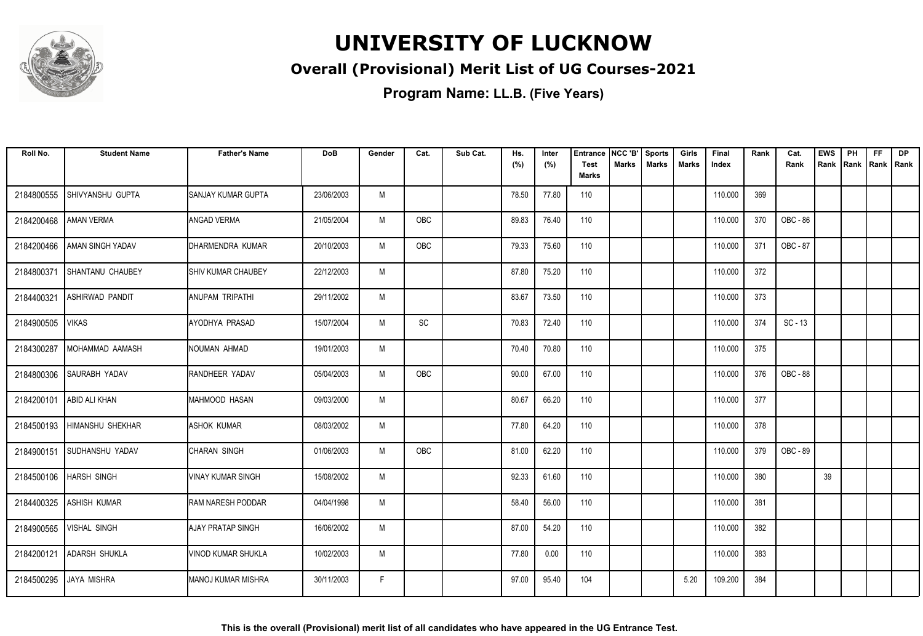

### **Overall (Provisional) Merit List of UG Courses-2021**

| Roll No.   | <b>Student Name</b>      | <b>Father's Name</b>        | <b>DoB</b> | Gender | Cat. | Sub Cat. | Hs.<br>(%) | Inter<br>(%) | <b>Entrance</b><br><b>Test</b> | NCC 'B'<br><b>Marks</b> | <b>Sports</b><br><b>Marks</b> | Girls<br><b>Marks</b> | Final<br>Index | Rank | Cat.<br>Rank | <b>EWS</b><br>Rank Rank | PH | <b>FF</b><br>Rank   Rank | <b>DP</b> |
|------------|--------------------------|-----------------------------|------------|--------|------|----------|------------|--------------|--------------------------------|-------------------------|-------------------------------|-----------------------|----------------|------|--------------|-------------------------|----|--------------------------|-----------|
|            |                          |                             |            |        |      |          |            |              | Marks                          |                         |                               |                       |                |      |              |                         |    |                          |           |
| 2184800555 | ISHIVYANSHU GUPTA        | <b>I</b> SANJAY KUMAR GUPTA | 23/06/2003 | M      |      |          | 78.50      | 77.80        | 110                            |                         |                               |                       | 110.000        | 369  |              |                         |    |                          |           |
| 2184200468 | <b>AMAN VERMA</b>        | <b>ANGAD VERMA</b>          | 21/05/2004 | M      | OBC  |          | 89.83      | 76.40        | 110                            |                         |                               |                       | 110.000        | 370  | OBC - 86     |                         |    |                          |           |
| 2184200466 | <b>AMAN SINGH YADAV</b>  | DHARMENDRA KUMAR            | 20/10/2003 | M      | OBC  |          | 79.33      | 75.60        | 110                            |                         |                               |                       | 110.000        | 371  | OBC - 87     |                         |    |                          |           |
| 2184800371 | <b>SHANTANU CHAUBEY</b>  | <b>SHIV KUMAR CHAUBEY</b>   | 22/12/2003 | M      |      |          | 87.80      | 75.20        | 110                            |                         |                               |                       | 110.000        | 372  |              |                         |    |                          |           |
| 2184400321 | <b>ASHIRWAD PANDIT</b>   | ANUPAM TRIPATHI             | 29/11/2002 | M      |      |          | 83.67      | 73.50        | 110                            |                         |                               |                       | 110.000        | 373  |              |                         |    |                          |           |
| 2184900505 | <b>VIKAS</b>             | AYODHYA PRASAD              | 15/07/2004 | M      | SC   |          | 70.83      | 72.40        | 110                            |                         |                               |                       | 110.000        | 374  | $SC - 13$    |                         |    |                          |           |
| 2184300287 | IMOHAMMAD AAMASH         | INOUMAN AHMAD               | 19/01/2003 | M      |      |          | 70.40      | 70.80        | 110                            |                         |                               |                       | 110.000        | 375  |              |                         |    |                          |           |
| 2184800306 | <b>SAURABH YADAV</b>     | <b>RANDHEER YADAV</b>       | 05/04/2003 | M      | OBC  |          | 90.00      | 67.00        | 110                            |                         |                               |                       | 110.000        | 376  | OBC - 88     |                         |    |                          |           |
| 2184200101 | <b>ABID ALI KHAN</b>     | MAHMOOD HASAN               | 09/03/2000 | M      |      |          | 80.67      | 66.20        | 110                            |                         |                               |                       | 110.000        | 377  |              |                         |    |                          |           |
| 2184500193 | <b>HIMANSHU SHEKHAR</b>  | <b>ASHOK KUMAR</b>          | 08/03/2002 | M      |      |          | 77.80      | 64.20        | 110                            |                         |                               |                       | 110.000        | 378  |              |                         |    |                          |           |
| 2184900151 | SUDHANSHU YADAV          | CHARAN SINGH                | 01/06/2003 | M      | OBC  |          | 81.00      | 62.20        | 110                            |                         |                               |                       | 110.000        | 379  | OBC - 89     |                         |    |                          |           |
|            | 2184500106   HARSH SINGH | <b>VINAY KUMAR SINGH</b>    | 15/08/2002 | M      |      |          | 92.33      | 61.60        | 110                            |                         |                               |                       | 110.000        | 380  |              | 39                      |    |                          |           |
| 2184400325 | <b>ASHISH KUMAR</b>      | <b>RAM NARESH PODDAR</b>    | 04/04/1998 | M      |      |          | 58.40      | 56.00        | 110                            |                         |                               |                       | 110.000        | 381  |              |                         |    |                          |           |
| 2184900565 | <b>VISHAL SINGH</b>      | AJAY PRATAP SINGH           | 16/06/2002 | M      |      |          | 87.00      | 54.20        | 110                            |                         |                               |                       | 110.000        | 382  |              |                         |    |                          |           |
| 2184200121 | <b>ADARSH SHUKLA</b>     | VINOD KUMAR SHUKLA          | 10/02/2003 | M      |      |          | 77.80      | 0.00         | 110                            |                         |                               |                       | 110.000        | 383  |              |                         |    |                          |           |
| 2184500295 | <b>JAYA MISHRA</b>       | IMANOJ KUMAR MISHRA         | 30/11/2003 | F      |      |          | 97.00      | 95.40        | 104                            |                         |                               | 5.20                  | 109.200        | 384  |              |                         |    |                          |           |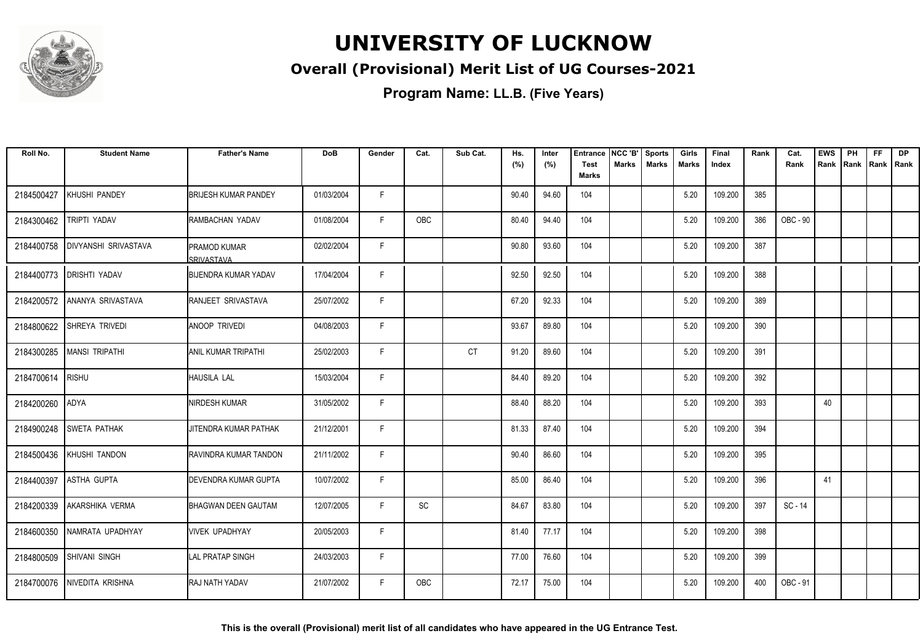

### **Overall (Provisional) Merit List of UG Courses-2021**

| Roll No.   | <b>Student Name</b>         | <b>Father's Name</b>               | <b>DoB</b> | Gender | Cat.       | Sub Cat.  | Hs.<br>(%) | Inter<br>(%) | <b>Entrance</b><br><b>Test</b> | NCC 'B'<br><b>Marks</b> | <b>Sports</b><br><b>Marks</b> | Girls<br>Marks | Final<br>Index | Rank | Cat.<br>Rank    | <b>EWS</b><br>Rank | PH | <b>FF</b><br>Rank   Rank   Rank | <b>DP</b> |
|------------|-----------------------------|------------------------------------|------------|--------|------------|-----------|------------|--------------|--------------------------------|-------------------------|-------------------------------|----------------|----------------|------|-----------------|--------------------|----|---------------------------------|-----------|
|            |                             |                                    |            |        |            |           |            |              | <b>Marks</b>                   |                         |                               |                |                |      |                 |                    |    |                                 |           |
| 2184500427 | KHUSHI PANDEY               | <b>BRIJESH KUMAR PANDEY</b>        | 01/03/2004 | F.     |            |           | 90.40      | 94.60        | 104                            |                         |                               | 5.20           | 109.200        | 385  |                 |                    |    |                                 |           |
| 2184300462 | TRIPTI YADAV                | RAMBACHAN YADAV                    | 01/08/2004 | F.     | <b>OBC</b> |           | 80.40      | 94.40        | 104                            |                         |                               | 5.20           | 109.200        | 386  | <b>OBC - 90</b> |                    |    |                                 |           |
| 2184400758 | <b>DIVYANSHI SRIVASTAVA</b> | IPRAMOD KUMAR<br><b>SRIVASTAVA</b> | 02/02/2004 | F.     |            |           | 90.80      | 93.60        | 104                            |                         |                               | 5.20           | 109.200        | 387  |                 |                    |    |                                 |           |
| 2184400773 | <b>DRISHTI YADAV</b>        | <b>BIJENDRA KUMAR YADAV</b>        | 17/04/2004 | F      |            |           | 92.50      | 92.50        | 104                            |                         |                               | 5.20           | 109.200        | 388  |                 |                    |    |                                 |           |
| 2184200572 | ANANYA SRIVASTAVA           | <b>RANJEET SRIVASTAVA</b>          | 25/07/2002 | F.     |            |           | 67.20      | 92.33        | 104                            |                         |                               | 5.20           | 109.200        | 389  |                 |                    |    |                                 |           |
| 2184800622 | SHREYA TRIVEDI              | <b>ANOOP TRIVEDI</b>               | 04/08/2003 | F      |            |           | 93.67      | 89.80        | 104                            |                         |                               | 5.20           | 109.200        | 390  |                 |                    |    |                                 |           |
| 2184300285 | MANSI TRIPATHI              | IANIL KUMAR TRIPATHI               | 25/02/2003 | F      |            | <b>CT</b> | 91.20      | 89.60        | 104                            |                         |                               | 5.20           | 109.200        | 391  |                 |                    |    |                                 |           |
| 2184700614 | <b>RISHU</b>                | <b>HAUSILA LAL</b>                 | 15/03/2004 | F.     |            |           | 84.40      | 89.20        | 104                            |                         |                               | 5.20           | 109.200        | 392  |                 |                    |    |                                 |           |
| 2184200260 | ADYA                        | NIRDESH KUMAR                      | 31/05/2002 | F.     |            |           | 88.40      | 88.20        | 104                            |                         |                               | 5.20           | 109.200        | 393  |                 | 40                 |    |                                 |           |
| 2184900248 | <b>SWETA PATHAK</b>         | JITENDRA KUMAR PATHAK              | 21/12/2001 | F      |            |           | 81.33      | 87.40        | 104                            |                         |                               | 5.20           | 109.200        | 394  |                 |                    |    |                                 |           |
| 2184500436 | KHUSHI TANDON               | IRAVINDRA KUMAR TANDON             | 21/11/2002 | F      |            |           | 90.40      | 86.60        | 104                            |                         |                               | 5.20           | 109.200        | 395  |                 |                    |    |                                 |           |
| 2184400397 | <b>ASTHA GUPTA</b>          | <b>DEVENDRA KUMAR GUPTA</b>        | 10/07/2002 | F.     |            |           | 85.00      | 86.40        | 104                            |                         |                               | 5.20           | 109.200        | 396  |                 | 41                 |    |                                 |           |
| 2184200339 | AKARSHIKA VERMA             | <b>BHAGWAN DEEN GAUTAM</b>         | 12/07/2005 | F.     | SC         |           | 84.67      | 83.80        | 104                            |                         |                               | 5.20           | 109.200        | 397  | SC - 14         |                    |    |                                 |           |
| 2184600350 | NAMRATA UPADHYAY            | VIVEK UPADHYAY                     | 20/05/2003 | F      |            |           | 81.40      | 77.17        | 104                            |                         |                               | 5.20           | 109.200        | 398  |                 |                    |    |                                 |           |
| 2184800509 | <b>SHIVANI SINGH</b>        | <b>LAL PRATAP SINGH</b>            | 24/03/2003 | F      |            |           | 77.00      | 76.60        | 104                            |                         |                               | 5.20           | 109.200        | 399  |                 |                    |    |                                 |           |
| 2184700076 | NIVEDITA KRISHNA            | <b>RAJ NATH YADAV</b>              | 21/07/2002 | F.     | <b>OBC</b> |           | 72.17      | 75.00        | 104                            |                         |                               | 5.20           | 109.200        | 400  | OBC - 91        |                    |    |                                 |           |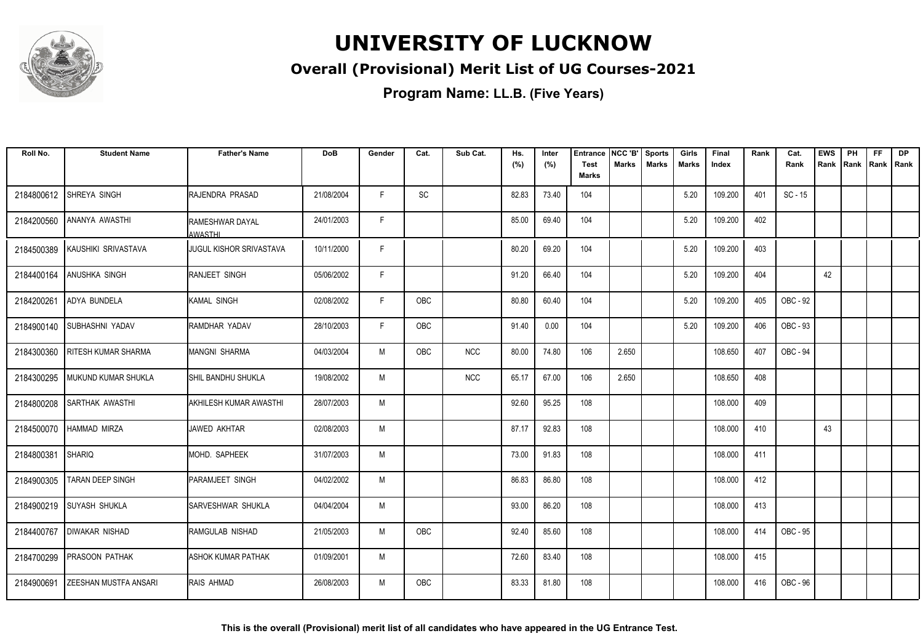

### **Overall (Provisional) Merit List of UG Courses-2021**

| Roll No.   | <b>Student Name</b>          | <b>Father's Name</b>                     | <b>DoB</b> | Gender | Cat.       | Sub Cat.   | Hs.   | Inter | <b>Entrance</b>      | NCC 'B'      | <b>Sports</b> | Girls | Final   | Rank | Cat.      | <b>EWS</b> | PH             | <b>FF</b> | <b>DP</b> |
|------------|------------------------------|------------------------------------------|------------|--------|------------|------------|-------|-------|----------------------|--------------|---------------|-------|---------|------|-----------|------------|----------------|-----------|-----------|
|            |                              |                                          |            |        |            |            | (%)   | (%)   | <b>Test</b><br>Marks | <b>Marks</b> | <b>Marks</b>  | Marks | Index   |      | Rank      | Rank       | Rank Rank Rank |           |           |
| 2184800612 | <b>SHREYA SINGH</b>          | <b>IRAJENDRA PRASAD</b>                  | 21/08/2004 | F.     | SC         |            | 82.83 | 73.40 | 104                  |              |               | 5.20  | 109.200 | 401  | $SC - 15$ |            |                |           |           |
| 2184200560 | ANANYA AWASTHI               | <b>RAMESHWAR DAYAL</b><br><b>AWASTHI</b> | 24/01/2003 | F.     |            |            | 85.00 | 69.40 | 104                  |              |               | 5.20  | 109.200 | 402  |           |            |                |           |           |
| 2184500389 | KAUSHIKI SRIVASTAVA          | <b>I</b> JUGUL KISHOR SRIVASTAVA         | 10/11/2000 | F      |            |            | 80.20 | 69.20 | 104                  |              |               | 5.20  | 109.200 | 403  |           |            |                |           |           |
| 2184400164 | ANUSHKA SINGH                | RANJEET SINGH                            | 05/06/2002 | F      |            |            | 91.20 | 66.40 | 104                  |              |               | 5.20  | 109.200 | 404  |           | 42         |                |           |           |
| 2184200261 | <b>ADYA BUNDELA</b>          | <b>I</b> KAMAL SINGH                     | 02/08/2002 | F      | OBC        |            | 80.80 | 60.40 | 104                  |              |               | 5.20  | 109.200 | 405  | OBC - 92  |            |                |           |           |
| 2184900140 | <b>SUBHASHNI YADAV</b>       | RAMDHAR YADAV                            | 28/10/2003 | F      | OBC        |            | 91.40 | 0.00  | 104                  |              |               | 5.20  | 109.200 | 406  | OBC - 93  |            |                |           |           |
| 2184300360 | <b>RITESH KUMAR SHARMA</b>   | IMANGNI SHARMA                           | 04/03/2004 | M      | OBC        | <b>NCC</b> | 80.00 | 74.80 | 106                  | 2.650        |               |       | 108.650 | 407  | OBC - 94  |            |                |           |           |
| 2184300295 | MUKUND KUMAR SHUKLA          | ISHIL BANDHU SHUKLA                      | 19/08/2002 | M      |            | <b>NCC</b> | 65.17 | 67.00 | 106                  | 2.650        |               |       | 108.650 | 408  |           |            |                |           |           |
| 2184800208 | SARTHAK AWASTHI              | IAKHILESH KUMAR AWASTHI                  | 28/07/2003 | M      |            |            | 92.60 | 95.25 | 108                  |              |               |       | 108.000 | 409  |           |            |                |           |           |
| 2184500070 | HAMMAD MIRZA                 | JAWED AKHTAR                             | 02/08/2003 | M      |            |            | 87.17 | 92.83 | 108                  |              |               |       | 108.000 | 410  |           | 43         |                |           |           |
| 2184800381 | <b>SHARIQ</b>                | IMOHD. SAPHEEK                           | 31/07/2003 | M      |            |            | 73.00 | 91.83 | 108                  |              |               |       | 108.000 | 411  |           |            |                |           |           |
| 2184900305 | <b>TARAN DEEP SINGH</b>      | <b>PARAMJEET SINGH</b>                   | 04/02/2002 | M      |            |            | 86.83 | 86.80 | 108                  |              |               |       | 108.000 | 412  |           |            |                |           |           |
| 2184900219 | <b>SUYASH SHUKLA</b>         | <b>SARVESHWAR SHUKLA</b>                 | 04/04/2004 | M      |            |            | 93.00 | 86.20 | 108                  |              |               |       | 108.000 | 413  |           |            |                |           |           |
| 2184400767 | <b>DIWAKAR NISHAD</b>        | RAMGULAB NISHAD                          | 21/05/2003 | M      | OBC        |            | 92.40 | 85.60 | 108                  |              |               |       | 108.000 | 414  | OBC - 95  |            |                |           |           |
| 2184700299 | <b>PRASOON PATHAK</b>        | <b>ASHOK KUMAR PATHAK</b>                | 01/09/2001 | M      |            |            | 72.60 | 83.40 | 108                  |              |               |       | 108.000 | 415  |           |            |                |           |           |
| 2184900691 | <b>ZEESHAN MUSTFA ANSARI</b> | <b>RAIS AHMAD</b>                        | 26/08/2003 | M      | <b>OBC</b> |            | 83.33 | 81.80 | 108                  |              |               |       | 108.000 | 416  | OBC - 96  |            |                |           |           |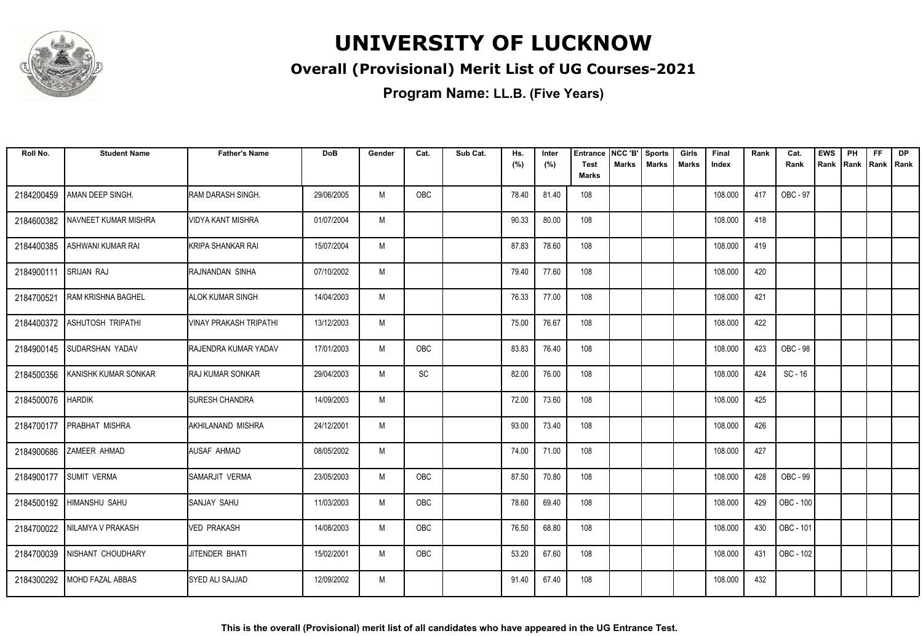

### **Overall (Provisional) Merit List of UG Courses-2021**

| Roll No.   | <b>Student Name</b>            | <b>Father's Name</b>          | <b>DoB</b> | Gender | Cat.       | Sub Cat. | Hs.<br>(%) | Inter<br>(%) | <b>Entrance</b><br><b>Test</b> | NCC 'B'<br>Marks | Sports<br><b>Marks</b> | Girls<br>Marks | Final<br>Index | Rank | Cat.<br>Rank    | <b>EWS</b><br>Rank | PH<br> Rank | <b>FF</b><br>Rank   Rank | <b>DP</b> |
|------------|--------------------------------|-------------------------------|------------|--------|------------|----------|------------|--------------|--------------------------------|------------------|------------------------|----------------|----------------|------|-----------------|--------------------|-------------|--------------------------|-----------|
|            |                                |                               |            |        |            |          |            |              | <b>Marks</b>                   |                  |                        |                |                |      |                 |                    |             |                          |           |
| 2184200459 | AMAN DEEP SINGH.               | RAM DARASH SINGH.             | 29/06/2005 | M      | <b>OBC</b> |          | 78.40      | 81.40        | 108                            |                  |                        |                | 108.000        | 417  | OBC - 97        |                    |             |                          |           |
| 2184600382 | NAVNEET KUMAR MISHRA           | VIDYA KANT MISHRA             | 01/07/2004 | M      |            |          | 90.33      | 80.00        | 108                            |                  |                        |                | 108.000        | 418  |                 |                    |             |                          |           |
| 2184400385 | ASHWANI KUMAR RAI              | KRIPA SHANKAR RAI             | 15/07/2004 | M      |            |          | 87.83      | 78.60        | 108                            |                  |                        |                | 108.000        | 419  |                 |                    |             |                          |           |
| 2184900111 | <b>SRIJAN RAJ</b>              | RAJNANDAN SINHA               | 07/10/2002 | M      |            |          | 79.40      | 77.60        | 108                            |                  |                        |                | 108.000        | 420  |                 |                    |             |                          |           |
| 2184700521 | <b>RAM KRISHNA BAGHEL</b>      | <b>ALOK KUMAR SINGH</b>       | 14/04/2003 | M      |            |          | 76.33      | 77.00        | 108                            |                  |                        |                | 108.000        | 421  |                 |                    |             |                          |           |
|            | 2184400372   ASHUTOSH TRIPATHI | <b>VINAY PRAKASH TRIPATHI</b> | 13/12/2003 | M      |            |          | 75.00      | 76.67        | 108                            |                  |                        |                | 108.000        | 422  |                 |                    |             |                          |           |
| 2184900145 | <b>SUDARSHAN YADAV</b>         | <b>IRAJENDRA KUMAR YADAV</b>  | 17/01/2003 | M      | OBC        |          | 83.83      | 76.40        | 108                            |                  |                        |                | 108.000        | 423  | <b>OBC - 98</b> |                    |             |                          |           |
| 2184500356 | KANISHK KUMAR SONKAR           | <b>RAJ KUMAR SONKAR</b>       | 29/04/2003 | M      | SC         |          | 82.00      | 76.00        | 108                            |                  |                        |                | 108.000        | 424  | $SC - 16$       |                    |             |                          |           |
| 2184500076 | <b>HARDIK</b>                  | <b>SURESH CHANDRA</b>         | 14/09/2003 | M      |            |          | 72.00      | 73.60        | 108                            |                  |                        |                | 108.000        | 425  |                 |                    |             |                          |           |
| 2184700177 | PRABHAT MISHRA                 | AKHILANAND MISHRA             | 24/12/2001 | M      |            |          | 93.00      | 73.40        | 108                            |                  |                        |                | 108.000        | 426  |                 |                    |             |                          |           |
| 2184900686 | <b>ZAMEER AHMAD</b>            | AUSAF AHMAD                   | 08/05/2002 | M      |            |          | 74.00      | 71.00        | 108                            |                  |                        |                | 108.000        | 427  |                 |                    |             |                          |           |
| 2184900177 | <b>SUMIT VERMA</b>             | SAMARJIT VERMA                | 23/05/2003 | M      | OBC        |          | 87.50      | 70.80        | 108                            |                  |                        |                | 108.000        | 428  | OBC - 99        |                    |             |                          |           |
|            | 2184500192 HIMANSHU SAHU       | SANJAY SAHU                   | 11/03/2003 | M      | OBC        |          | 78.60      | 69.40        | 108                            |                  |                        |                | 108.000        | 429  | OBC - 100       |                    |             |                          |           |
|            | 2184700022 NILAMYA V PRAKASH   | <b>VED PRAKASH</b>            | 14/08/2003 | M      | OBC        |          | 76.50      | 68.80        | 108                            |                  |                        |                | 108.000        | 430  | OBC - 101       |                    |             |                          |           |
| 2184700039 | NISHANT CHOUDHARY              | JITENDER BHATI                | 15/02/2001 | M      | OBC        |          | 53.20      | 67.60        | 108                            |                  |                        |                | 108.000        | 431  | OBC - 102       |                    |             |                          |           |
| 2184300292 | <b>MOHD FAZAL ABBAS</b>        | <b>SYED ALI SAJJAD</b>        | 12/09/2002 | M      |            |          | 91.40      | 67.40        | 108                            |                  |                        |                | 108.000        | 432  |                 |                    |             |                          |           |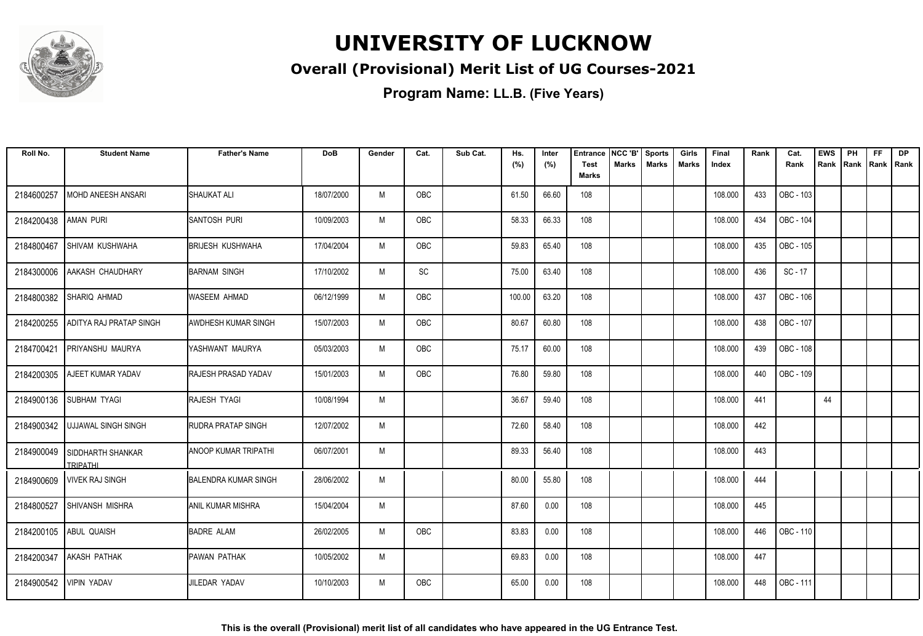

### **Overall (Provisional) Merit List of UG Courses-2021**

| Roll No.   | <b>Student Name</b>             | <b>Father's Name</b>        | <b>DoB</b> | Gender | Cat.       | Sub Cat. | Hs.<br>(%) | Inter<br>(%) | Entrance<br>Test | NCC 'B'<br><b>Marks</b> | <b>Sports</b><br><b>Marks</b> | Girls<br><b>Marks</b> | Final<br>Index | Rank | Cat.<br>Rank | <b>EWS</b><br>Rank | PH<br>Rank | FF<br>Rank   Rank | <b>DP</b> |
|------------|---------------------------------|-----------------------------|------------|--------|------------|----------|------------|--------------|------------------|-------------------------|-------------------------------|-----------------------|----------------|------|--------------|--------------------|------------|-------------------|-----------|
|            |                                 |                             |            |        |            |          |            |              | <b>Marks</b>     |                         |                               |                       |                |      |              |                    |            |                   |           |
| 2184600257 | MOHD ANEESH ANSARI              | <b>SHAUKAT ALI</b>          | 18/07/2000 | M      | OBC        |          | 61.50      | 66.60        | 108              |                         |                               |                       | 108.000        | 433  | OBC - 103    |                    |            |                   |           |
| 2184200438 | AMAN PURI                       | ISANTOSH PURI               | 10/09/2003 | M      | <b>OBC</b> |          | 58.33      | 66.33        | 108              |                         |                               |                       | 108.000        | 434  | OBC - 104    |                    |            |                   |           |
| 2184800467 | <b>SHIVAM KUSHWAHA</b>          | <b>BRIJESH KUSHWAHA</b>     | 17/04/2004 | M      | <b>OBC</b> |          | 59.83      | 65.40        | 108              |                         |                               |                       | 108.000        | 435  | OBC - 105    |                    |            |                   |           |
| 2184300006 | AAKASH CHAUDHARY                | BARNAM SINGH                | 17/10/2002 | M      | SC         |          | 75.00      | 63.40        | 108              |                         |                               |                       | 108.000        | 436  | SC - 17      |                    |            |                   |           |
| 2184800382 | SHARIQ AHMAD                    | WASEEM AHMAD                | 06/12/1999 | M      | OBC        |          | 100.00     | 63.20        | 108              |                         |                               |                       | 108.000        | 437  | OBC - 106    |                    |            |                   |           |
| 2184200255 | <b>ADITYA RAJ PRATAP SINGH</b>  | <b>AWDHESH KUMAR SINGH</b>  | 15/07/2003 | M      | OBC        |          | 80.67      | 60.80        | 108              |                         |                               |                       | 108.000        | 438  | OBC - 107    |                    |            |                   |           |
| 2184700421 | <b>PRIYANSHU MAURYA</b>         | YASHWANT MAURYA             | 05/03/2003 | M      | OBC        |          | 75.17      | 60.00        | 108              |                         |                               |                       | 108.000        | 439  | OBC - 108    |                    |            |                   |           |
| 2184200305 | <b>AJEET KUMAR YADAV</b>        | <b>RAJESH PRASAD YADAV</b>  | 15/01/2003 | M      | OBC        |          | 76.80      | 59.80        | 108              |                         |                               |                       | 108.000        | 440  | OBC - 109    |                    |            |                   |           |
| 2184900136 | <b>SUBHAM TYAGI</b>             | <b>RAJESH TYAGI</b>         | 10/08/1994 | M      |            |          | 36.67      | 59.40        | 108              |                         |                               |                       | 108.000        | 441  |              | 44                 |            |                   |           |
| 2184900342 | <b>UJJAWAL SINGH SINGH</b>      | <b>RUDRA PRATAP SINGH</b>   | 12/07/2002 | M      |            |          | 72.60      | 58.40        | 108              |                         |                               |                       | 108.000        | 442  |              |                    |            |                   |           |
| 2184900049 | I SIDDHARTH SHANKAR<br>TRIPATHI | IANOOP KUMAR TRIPATHI       | 06/07/2001 | M      |            |          | 89.33      | 56.40        | 108              |                         |                               |                       | 108.000        | 443  |              |                    |            |                   |           |
| 2184900609 | <b>VIVEK RAJ SINGH</b>          | <b>BALENDRA KUMAR SINGH</b> | 28/06/2002 | M      |            |          | 80.00      | 55.80        | 108              |                         |                               |                       | 108.000        | 444  |              |                    |            |                   |           |
| 2184800527 | <b>SHIVANSH MISHRA</b>          | <b>ANIL KUMAR MISHRA</b>    | 15/04/2004 | M      |            |          | 87.60      | 0.00         | 108              |                         |                               |                       | 108.000        | 445  |              |                    |            |                   |           |
| 2184200105 | <b>ABUL QUAISH</b>              | <b>BADRE ALAM</b>           | 26/02/2005 | M      | OBC        |          | 83.83      | 0.00         | 108              |                         |                               |                       | 108.000        | 446  | OBC - 110    |                    |            |                   |           |
| 2184200347 | <b>AKASH PATHAK</b>             | <b>PAWAN PATHAK</b>         | 10/05/2002 | M      |            |          | 69.83      | 0.00         | 108              |                         |                               |                       | 108.000        | 447  |              |                    |            |                   |           |
| 2184900542 | <b>VIPIN YADAV</b>              | <b>JILEDAR YADAV</b>        | 10/10/2003 | M      | OBC        |          | 65.00      | 0.00         | 108              |                         |                               |                       | 108.000        | 448  | OBC - 111    |                    |            |                   |           |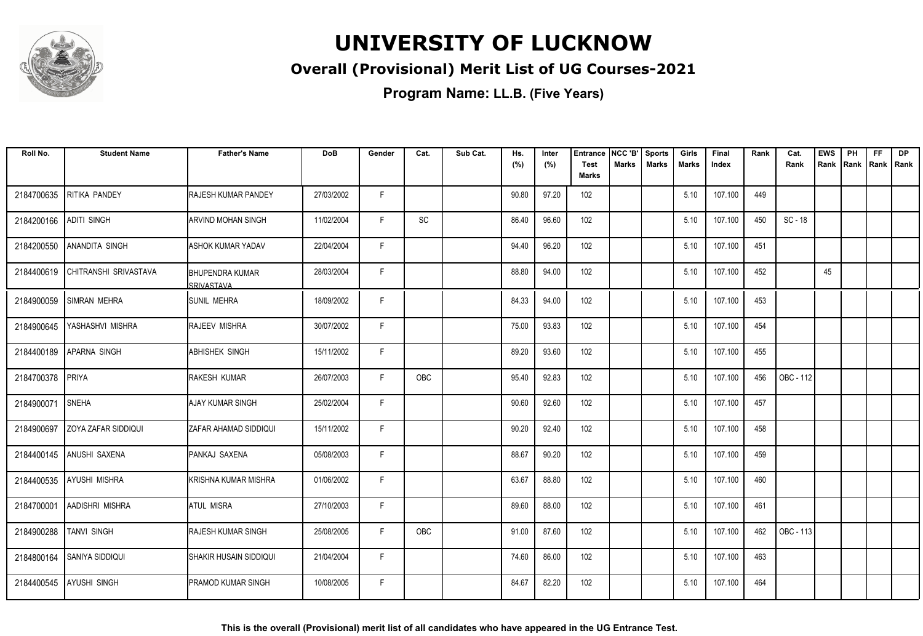

### **Overall (Provisional) Merit List of UG Courses-2021**

| Roll No.   | <b>Student Name</b>        | <b>Father's Name</b>                 | <b>DoB</b> | Gender | Cat.       | Sub Cat. | Hs.<br>(%) | Inter<br>(%) | <b>Entrance</b><br><b>Test</b> | NCC 'B'<br><b>Marks</b> | <b>Sports</b><br><b>Marks</b> | Girls<br>Marks | Final<br>Index | Rank | Cat.<br>Rank | <b>EWS</b><br>Rank | PH<br>Rank | <b>FF</b><br>Rank   Rank | <b>DP</b> |
|------------|----------------------------|--------------------------------------|------------|--------|------------|----------|------------|--------------|--------------------------------|-------------------------|-------------------------------|----------------|----------------|------|--------------|--------------------|------------|--------------------------|-----------|
|            |                            |                                      |            |        |            |          |            |              | <b>Marks</b>                   |                         |                               |                |                |      |              |                    |            |                          |           |
| 2184700635 | RITIKA PANDEY              | RAJESH KUMAR PANDEY                  | 27/03/2002 | F.     |            |          | 90.80      | 97.20        | 102                            |                         |                               | 5.10           | 107.100        | 449  |              |                    |            |                          |           |
| 2184200166 | <b>ADITI SINGH</b>         | ARVIND MOHAN SINGH                   | 11/02/2004 | F.     | SC         |          | 86.40      | 96.60        | 102                            |                         |                               | 5.10           | 107.100        | 450  | SC - 18      |                    |            |                          |           |
| 2184200550 | <b>ANANDITA SINGH</b>      | <b>ASHOK KUMAR YADAV</b>             | 22/04/2004 | F      |            |          | 94.40      | 96.20        | 102                            |                         |                               | 5.10           | 107.100        | 451  |              |                    |            |                          |           |
| 2184400619 | CHITRANSHI SRIVASTAVA      | <b>BHUPENDRA KUMAR</b><br>SRIVASTAVA | 28/03/2004 | F      |            |          | 88.80      | 94.00        | 102                            |                         |                               | 5.10           | 107.100        | 452  |              | 45                 |            |                          |           |
| 2184900059 | <b>SIMRAN MEHRA</b>        | <b>SUNIL MEHRA</b>                   | 18/09/2002 | F      |            |          | 84.33      | 94.00        | 102                            |                         |                               | 5.10           | 107.100        | 453  |              |                    |            |                          |           |
| 2184900645 | YASHASHVI MISHRA           | RAJEEV MISHRA                        | 30/07/2002 | F      |            |          | 75.00      | 93.83        | 102                            |                         |                               | 5.10           | 107.100        | 454  |              |                    |            |                          |           |
| 2184400189 | <b>APARNA SINGH</b>        | <b>ABHISHEK SINGH</b>                | 15/11/2002 | F.     |            |          | 89.20      | 93.60        | 102                            |                         |                               | 5.10           | 107.100        | 455  |              |                    |            |                          |           |
| 2184700378 | PRIYA                      | <b>RAKESH KUMAR</b>                  | 26/07/2003 | F.     | <b>OBC</b> |          | 95.40      | 92.83        | 102                            |                         |                               | 5.10           | 107.100        | 456  | OBC - 112    |                    |            |                          |           |
| 2184900071 | <b>SNEHA</b>               | <b>AJAY KUMAR SINGH</b>              | 25/02/2004 | F.     |            |          | 90.60      | 92.60        | 102                            |                         |                               | 5.10           | 107.100        | 457  |              |                    |            |                          |           |
| 2184900697 | <b>ZOYA ZAFAR SIDDIQUI</b> | ZAFAR AHAMAD SIDDIQUI                | 15/11/2002 | F.     |            |          | 90.20      | 92.40        | 102                            |                         |                               | 5.10           | 107.100        | 458  |              |                    |            |                          |           |
| 2184400145 | ANUSHI SAXENA              | PANKAJ SAXENA                        | 05/08/2003 | F      |            |          | 88.67      | 90.20        | 102                            |                         |                               | 5.10           | 107.100        | 459  |              |                    |            |                          |           |
| 2184400535 | <b>AYUSHI MISHRA</b>       | KRISHNA KUMAR MISHRA                 | 01/06/2002 | F.     |            |          | 63.67      | 88.80        | 102                            |                         |                               | 5.10           | 107.100        | 460  |              |                    |            |                          |           |
| 2184700001 | AADISHRI MISHRA            | ATUL MISRA                           | 27/10/2003 | F.     |            |          | 89.60      | 88.00        | 102                            |                         |                               | 5.10           | 107.100        | 461  |              |                    |            |                          |           |
| 2184900288 | <b>TANVI SINGH</b>         | <b>RAJESH KUMAR SINGH</b>            | 25/08/2005 | F.     | OBC        |          | 91.00      | 87.60        | 102                            |                         |                               | 5.10           | 107.100        | 462  | OBC - 113    |                    |            |                          |           |
| 2184800164 | <b>SANIYA SIDDIQUI</b>     | SHAKIR HUSAIN SIDDIQUI               | 21/04/2004 | E      |            |          | 74.60      | 86.00        | 102                            |                         |                               | 5.10           | 107.100        | 463  |              |                    |            |                          |           |
| 2184400545 | <b>AYUSHI SINGH</b>        | PRAMOD KUMAR SINGH                   | 10/08/2005 | F.     |            |          | 84.67      | 82.20        | 102                            |                         |                               | 5.10           | 107.100        | 464  |              |                    |            |                          |           |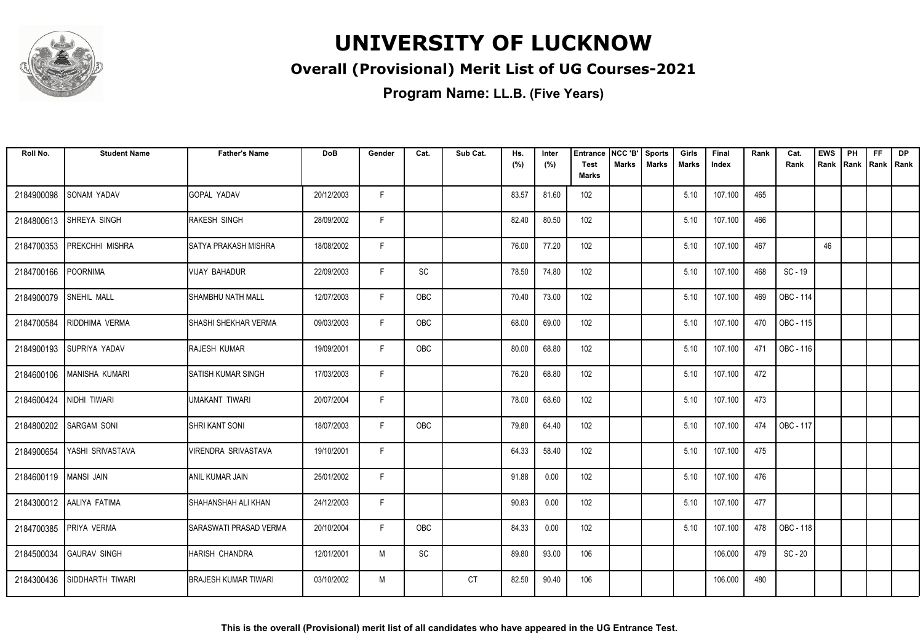

### **Overall (Provisional) Merit List of UG Courses-2021**

| Roll No.                | <b>Student Name</b>      | <b>Father's Name</b>         | <b>DoB</b> | Gender | Cat.                         | Sub Cat.  | Hs.<br>(%) | Inter<br>(%) | <b>Entrance</b><br><b>Test</b><br><b>Marks</b> | NCC 'B'<br>Marks | Sports<br><b>Marks</b> | Girls<br>Marks | Final<br>Index | Rank | Cat.<br>Rank | <b>EWS</b><br>Rank | PH<br>l Rank | <b>FF</b><br>Rank   Rank | <b>DP</b> |
|-------------------------|--------------------------|------------------------------|------------|--------|------------------------------|-----------|------------|--------------|------------------------------------------------|------------------|------------------------|----------------|----------------|------|--------------|--------------------|--------------|--------------------------|-----------|
| 2184900098              | <b>SONAM YADAV</b>       | <b>GOPAL YADAV</b>           | 20/12/2003 | F.     |                              |           | 83.57      | 81.60        | 102                                            |                  |                        | 5.10           | 107.100        | 465  |              |                    |              |                          |           |
|                         |                          |                              |            |        |                              |           |            |              |                                                |                  |                        |                |                |      |              |                    |              |                          |           |
| 2184800613              | SHREYA SINGH             | <b>RAKESH SINGH</b>          | 28/09/2002 | F.     |                              |           | 82.40      | 80.50        | 102                                            |                  |                        | 5.10           | 107.100        | 466  |              |                    |              |                          |           |
| 2184700353              | PREKCHHI MISHRA          | ISATYA PRAKASH MISHRA        | 18/08/2002 | F      |                              |           | 76.00      | 77.20        | 102                                            |                  |                        | 5.10           | 107.100        | 467  |              | 46                 |              |                          |           |
| 2184700166              | <b>POORNIMA</b>          | <b>VIJAY BAHADUR</b>         | 22/09/2003 | F      | $\operatorname{\textsf{SC}}$ |           | 78.50      | 74.80        | 102                                            |                  |                        | 5.10           | 107.100        | 468  | SC - 19      |                    |              |                          |           |
| 2184900079              | <b>SNEHIL MALL</b>       | ISHAMBHU NATH MALL           | 12/07/2003 | F.     | OBC                          |           | 70.40      | 73.00        | 102                                            |                  |                        | 5.10           | 107.100        | 469  | OBC - 114    |                    |              |                          |           |
| 2184700584              | RIDDHIMA VERMA           | <b>SHASHI SHEKHAR VERMA</b>  | 09/03/2003 | F      | OBC                          |           | 68.00      | 69.00        | 102                                            |                  |                        | 5.10           | 107.100        | 470  | OBC - 115    |                    |              |                          |           |
|                         | 2184900193 SUPRIYA YADAV | <b>RAJESH KUMAR</b>          | 19/09/2001 | F.     | <b>OBC</b>                   |           | 80.00      | 68.80        | 102                                            |                  |                        | 5.10           | 107.100        | 471  | OBC - 116    |                    |              |                          |           |
| 2184600106              | <b>MANISHA KUMARI</b>    | <b>SATISH KUMAR SINGH</b>    | 17/03/2003 | F      |                              |           | 76.20      | 68.80        | 102                                            |                  |                        | 5.10           | 107.100        | 472  |              |                    |              |                          |           |
| 2184600424              | NIDHI TIWARI             | UMAKANT TIWARI               | 20/07/2004 | F.     |                              |           | 78.00      | 68.60        | 102                                            |                  |                        | 5.10           | 107.100        | 473  |              |                    |              |                          |           |
| 2184800202              | <b>SARGAM SONI</b>       | SHRI KANT SONI               | 18/07/2003 | F      | OBC                          |           | 79.80      | 64.40        | 102                                            |                  |                        | 5.10           | 107.100        | 474  | OBC - 117    |                    |              |                          |           |
| 2184900654              | YASHI SRIVASTAVA         | VIRENDRA SRIVASTAVA          | 19/10/2001 | F      |                              |           | 64.33      | 58.40        | 102                                            |                  |                        | 5.10           | 107.100        | 475  |              |                    |              |                          |           |
| 2184600119   MANSI JAIN |                          | ANIL KUMAR JAIN              | 25/01/2002 | F      |                              |           | 91.88      | 0.00         | 102                                            |                  |                        | 5.10           | 107.100        | 476  |              |                    |              |                          |           |
|                         | 2184300012 AALIYA FATIMA | SHAHANSHAH ALI KHAN          | 24/12/2003 | F      |                              |           | 90.83      | 0.00         | 102                                            |                  |                        | 5.10           | 107.100        | 477  |              |                    |              |                          |           |
|                         | 2184700385 PRIYA VERMA   | SARASWATI PRASAD VERMA       | 20/10/2004 | F      | <b>OBC</b>                   |           | 84.33      | 0.00         | 102                                            |                  |                        | 5.10           | 107.100        | 478  | OBC - 118    |                    |              |                          |           |
| 2184500034              | <b>GAURAV SINGH</b>      | HARISH CHANDRA               | 12/01/2001 | M      | $\operatorname{\textsf{SC}}$ |           | 89.80      | 93.00        | 106                                            |                  |                        |                | 106.000        | 479  | $SC - 20$    |                    |              |                          |           |
| 2184300436              | SIDDHARTH TIWARI         | <b>IBRAJESH KUMAR TIWARI</b> | 03/10/2002 | M      |                              | <b>CT</b> | 82.50      | 90.40        | 106                                            |                  |                        |                | 106.000        | 480  |              |                    |              |                          |           |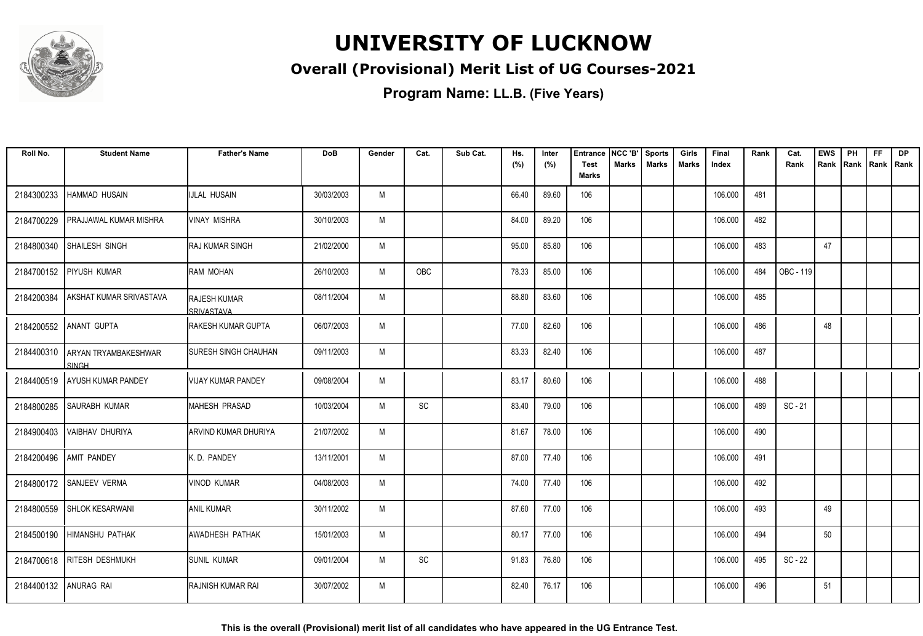

### **Overall (Provisional) Merit List of UG Courses-2021**

**Program Name: LL.B. (Five Years)**

| Roll No.              | <b>Student Name</b>                         | <b>Father's Name</b>                     | <b>DoB</b> | Gender | Cat. | Sub Cat. | Hs.<br>(%) | Inter<br>(%) | <b>Entrance</b><br><b>Test</b> | NCC 'B'<br>Marks | <b>Sports</b><br><b>Marks</b> | Girls<br><b>Marks</b> | Final<br>Index | Rank | Cat.<br>Rank | <b>EWS</b><br>Rank | PH<br>Rank | FF<br>Rank   Rank | <b>DP</b> |
|-----------------------|---------------------------------------------|------------------------------------------|------------|--------|------|----------|------------|--------------|--------------------------------|------------------|-------------------------------|-----------------------|----------------|------|--------------|--------------------|------------|-------------------|-----------|
|                       |                                             |                                          |            |        |      |          |            |              | <b>Marks</b>                   |                  |                               |                       |                |      |              |                    |            |                   |           |
| 2184300233            | <b>HAMMAD HUSAIN</b>                        | <b>IJLAL HUSAIN</b>                      | 30/03/2003 | M      |      |          | 66.40      | 89.60        | 106                            |                  |                               |                       | 106.000        | 481  |              |                    |            |                   |           |
| 2184700229            | PRAJJAWAL KUMAR MISHRA                      | <b>VINAY MISHRA</b>                      | 30/10/2003 | M      |      |          | 84.00      | 89.20        | 106                            |                  |                               |                       | 106.000        | 482  |              |                    |            |                   |           |
| 2184800340            | SHAILESH SINGH                              | <b>RAJ KUMAR SINGH</b>                   | 21/02/2000 | M      |      |          | 95.00      | 85.80        | 106                            |                  |                               |                       | 106.000        | 483  |              | 47                 |            |                   |           |
| 2184700152            | <b>PIYUSH KUMAR</b>                         | RAM MOHAN                                | 26/10/2003 | M      | OBC  |          | 78.33      | 85.00        | 106                            |                  |                               |                       | 106.000        | 484  | OBC - 119    |                    |            |                   |           |
| 2184200384            | AKSHAT KUMAR SRIVASTAVA                     | <b>RAJESH KUMAR</b><br><b>SRIVASTAVA</b> | 08/11/2004 | M      |      |          | 88.80      | 83.60        | 106                            |                  |                               |                       | 106.000        | 485  |              |                    |            |                   |           |
|                       | 2184200552 ANANT GUPTA                      | <b>IRAKESH KUMAR GUPTA</b>               | 06/07/2003 | M      |      |          | 77.00      | 82.60        | 106                            |                  |                               |                       | 106.000        | 486  |              | 48                 |            |                   |           |
| 2184400310            | <b>ARYAN TRYAMBAKESHWAR</b><br><b>SINGH</b> | <b>SURESH SINGH CHAUHAN</b>              | 09/11/2003 | M      |      |          | 83.33      | 82.40        | 106                            |                  |                               |                       | 106.000        | 487  |              |                    |            |                   |           |
|                       | 2184400519 AYUSH KUMAR PANDEY               | <b>VIJAY KUMAR PANDEY</b>                | 09/08/2004 | M      |      |          | 83.17      | 80.60        | 106                            |                  |                               |                       | 106.000        | 488  |              |                    |            |                   |           |
| 2184800285            | <b>SAURABH KUMAR</b>                        | MAHESH PRASAD                            | 10/03/2004 | M      | SC   |          | 83.40      | 79.00        | 106                            |                  |                               |                       | 106.000        | 489  | $SC - 21$    |                    |            |                   |           |
| 2184900403            | <b>VAIBHAV DHURIYA</b>                      | ARVIND KUMAR DHURIYA                     | 21/07/2002 | M      |      |          | 81.67      | 78.00        | 106                            |                  |                               |                       | 106.000        | 490  |              |                    |            |                   |           |
|                       | 2184200496 AMIT PANDEY                      | K.D. PANDEY                              | 13/11/2001 | M      |      |          | 87.00      | 77.40        | 106                            |                  |                               |                       | 106.000        | 491  |              |                    |            |                   |           |
|                       | 2184800172 SANJEEV VERMA                    | <b>VINOD KUMAR</b>                       | 04/08/2003 | M      |      |          | 74.00      | 77.40        | 106                            |                  |                               |                       | 106.000        | 492  |              |                    |            |                   |           |
|                       | 2184800559 SHLOK KESARWANI                  | <b>ANIL KUMAR</b>                        | 30/11/2002 | M      |      |          | 87.60      | 77.00        | 106                            |                  |                               |                       | 106.000        | 493  |              | 49                 |            |                   |           |
|                       | 2184500190 HIMANSHU PATHAK                  | <b>AWADHESH PATHAK</b>                   | 15/01/2003 | M      |      |          | 80.17      | 77.00        | 106                            |                  |                               |                       | 106.000        | 494  |              | 50                 |            |                   |           |
| 2184700618            | <b>RITESH DESHMUKH</b>                      | SUNIL KUMAR                              | 09/01/2004 | M      | SC   |          | 91.83      | 76.80        | 106                            |                  |                               |                       | 106.000        | 495  | $SC - 22$    |                    |            |                   |           |
| 2184400132 ANURAG RAI |                                             | RAJNISH KUMAR RAI                        | 30/07/2002 | M      |      |          | 82.40      | 76.17        | 106                            |                  |                               |                       | 106.000        | 496  |              | 51                 |            |                   |           |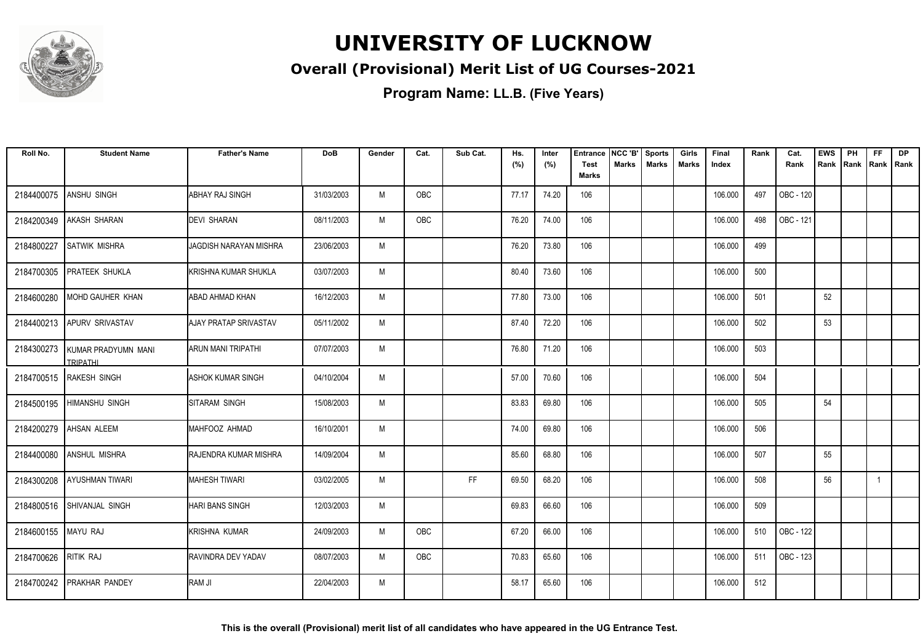

### **Overall (Provisional) Merit List of UG Courses-2021**

| Roll No.            | <b>Student Name</b>                               | <b>Father's Name</b>          | <b>DoB</b> | Gender | Cat.       | Sub Cat. | Hs.<br>(%) | Inter<br>(%) | Entrance<br><b>Test</b> | NCC 'B'<br>Marks | <b>Sports</b><br><b>Marks</b> | Girls<br>Marks | Final<br>Index | Rank | Cat.<br>Rank | <b>EWS</b><br>Rank | PH<br>Rank | FF<br>Rank   Rank | <b>DP</b> |
|---------------------|---------------------------------------------------|-------------------------------|------------|--------|------------|----------|------------|--------------|-------------------------|------------------|-------------------------------|----------------|----------------|------|--------------|--------------------|------------|-------------------|-----------|
|                     |                                                   |                               |            |        |            |          |            |              | <b>Marks</b>            |                  |                               |                |                |      |              |                    |            |                   |           |
| 2184400075          | ANSHU SINGH                                       | ABHAY RAJ SINGH               | 31/03/2003 | M      | OBC        |          | 77.17      | 74.20        | 106                     |                  |                               |                | 106.000        | 497  | OBC - 120    |                    |            |                   |           |
| 2184200349          | <b>AKASH SHARAN</b>                               | <b>IDEVI SHARAN</b>           | 08/11/2003 | M      | <b>OBC</b> |          | 76.20      | 74.00        | 106                     |                  |                               |                | 106.000        | 498  | OBC - 121    |                    |            |                   |           |
| 2184800227          | <b>SATWIK MISHRA</b>                              | <b>JAGDISH NARAYAN MISHRA</b> | 23/06/2003 | M      |            |          | 76.20      | 73.80        | 106                     |                  |                               |                | 106.000        | 499  |              |                    |            |                   |           |
| 2184700305          | <b>PRATEEK SHUKLA</b>                             | İKRISHNA KUMAR SHUKLA         | 03/07/2003 | M      |            |          | 80.40      | 73.60        | 106                     |                  |                               |                | 106.000        | 500  |              |                    |            |                   |           |
| 2184600280          | MOHD GAUHER KHAN                                  | ABAD AHMAD KHAN               | 16/12/2003 | M      |            |          | 77.80      | 73.00        | 106                     |                  |                               |                | 106.000        | 501  |              | 52                 |            |                   |           |
|                     | 2184400213 APURV SRIVASTAV                        | <b>AJAY PRATAP SRIVASTAV</b>  | 05/11/2002 | M      |            |          | 87.40      | 72.20        | 106                     |                  |                               |                | 106.000        | 502  |              | 53                 |            |                   |           |
|                     | 2184300273 KUMAR PRADYUMN MANI<br><b>TRIPATHI</b> | <b>ARUN MANI TRIPATHI</b>     | 07/07/2003 | M      |            |          | 76.80      | 71.20        | 106                     |                  |                               |                | 106.000        | 503  |              |                    |            |                   |           |
|                     | 2184700515 RAKESH SINGH                           | <b>ASHOK KUMAR SINGH</b>      | 04/10/2004 | M      |            |          | 57.00      | 70.60        | 106                     |                  |                               |                | 106.000        | 504  |              |                    |            |                   |           |
| 2184500195          | <b>HIMANSHU SINGH</b>                             | SITARAM SINGH                 | 15/08/2003 | M      |            |          | 83.83      | 69.80        | 106                     |                  |                               |                | 106.000        | 505  |              | 54                 |            |                   |           |
| 2184200279          | AHSAN ALEEM                                       | MAHFOOZ AHMAD                 | 16/10/2001 | M      |            |          | 74.00      | 69.80        | 106                     |                  |                               |                | 106.000        | 506  |              |                    |            |                   |           |
| 2184400080          | ANSHUL MISHRA                                     | RAJENDRA KUMAR MISHRA         | 14/09/2004 | M      |            |          | 85.60      | 68.80        | 106                     |                  |                               |                | 106.000        | 507  |              | 55                 |            |                   |           |
| 2184300208          | <b>AYUSHMAN TIWARI</b>                            | <b>MAHESH TIWARI</b>          | 03/02/2005 | M      |            | FF       | 69.50      | 68.20        | 106                     |                  |                               |                | 106.000        | 508  |              | 56                 |            | -1                |           |
|                     | 2184800516 SHIVANJAL SINGH                        | <b>HARI BANS SINGH</b>        | 12/03/2003 | M      |            |          | 69.83      | 66.60        | 106                     |                  |                               |                | 106.000        | 509  |              |                    |            |                   |           |
| 2184600155 MAYU RAJ |                                                   | <b>KRISHNA KUMAR</b>          | 24/09/2003 | M      | OBC        |          | 67.20      | 66.00        | 106                     |                  |                               |                | 106.000        | 510  | OBC - 122    |                    |            |                   |           |
| 2184700626          | <b>RITIK RAJ</b>                                  | RAVINDRA DEV YADAV            | 08/07/2003 | M      | OBC        |          | 70.83      | 65.60        | 106                     |                  |                               |                | 106.000        | 511  | OBC - 123    |                    |            |                   |           |
| 2184700242          | <b>PRAKHAR PANDEY</b>                             | RAM JI                        | 22/04/2003 | M      |            |          | 58.17      | 65.60        | 106                     |                  |                               |                | 106.000        | 512  |              |                    |            |                   |           |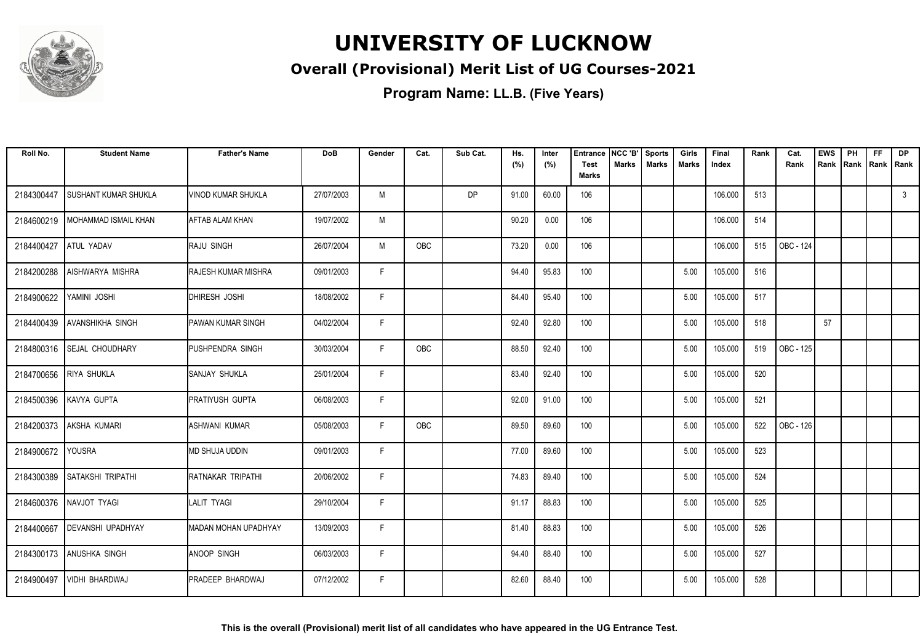

### **Overall (Provisional) Merit List of UG Courses-2021**

| Roll No.   | <b>Student Name</b>         | <b>Father's Name</b>       | <b>DoB</b> | Gender | Cat.       | Sub Cat. | Hs.<br>(%) | Inter<br>(%) | <b>Entrance</b><br><b>Test</b><br><b>Marks</b> | NCC 'B'<br><b>Marks</b> | <b>Sports</b><br><b>Marks</b> | Girls<br><b>Marks</b> | Final<br>Index | Rank | Cat.<br>Rank | <b>EWS</b><br>Rank | PH<br>Rank | <b>FF</b><br>Rank   Rank | <b>DP</b>    |
|------------|-----------------------------|----------------------------|------------|--------|------------|----------|------------|--------------|------------------------------------------------|-------------------------|-------------------------------|-----------------------|----------------|------|--------------|--------------------|------------|--------------------------|--------------|
| 2184300447 | SUSHANT KUMAR SHUKLA        | <b>VINOD KUMAR SHUKLA</b>  | 27/07/2003 | M      |            | DP       | 91.00      | 60.00        | 106                                            |                         |                               |                       | 106.000        | 513  |              |                    |            |                          | $\mathbf{3}$ |
| 2184600219 | <b>MOHAMMAD ISMAIL KHAN</b> | <b>AFTAB ALAM KHAN</b>     | 19/07/2002 | M      |            |          | 90.20      | 0.00         | 106                                            |                         |                               |                       | 106.000        | 514  |              |                    |            |                          |              |
| 2184400427 | <b>ATUL YADAV</b>           | <b>RAJU SINGH</b>          | 26/07/2004 | M      | <b>OBC</b> |          | 73.20      | 0.00         | 106                                            |                         |                               |                       | 106.000        | 515  | OBC - 124    |                    |            |                          |              |
| 2184200288 | AISHWARYA MISHRA            | <b>RAJESH KUMAR MISHRA</b> | 09/01/2003 | F      |            |          | 94.40      | 95.83        | 100                                            |                         |                               | 5.00                  | 105.000        | 516  |              |                    |            |                          |              |
| 2184900622 | YAMINI JOSHI                | DHIRESH JOSHI              | 18/08/2002 | F.     |            |          | 84.40      | 95.40        | 100                                            |                         |                               | 5.00                  | 105.000        | 517  |              |                    |            |                          |              |
| 2184400439 | <b>AVANSHIKHA SINGH</b>     | <b>PAWAN KUMAR SINGH</b>   | 04/02/2004 | F      |            |          | 92.40      | 92.80        | 100                                            |                         |                               | 5.00                  | 105.000        | 518  |              | 57                 |            |                          |              |
|            | 2184800316 SEJAL CHOUDHARY  | PUSHPENDRA SINGH           | 30/03/2004 | F.     | <b>OBC</b> |          | 88.50      | 92.40        | 100                                            |                         |                               | 5.00                  | 105.000        | 519  | OBC - 125    |                    |            |                          |              |
| 2184700656 | <b>RIYA SHUKLA</b>          | <b>SANJAY SHUKLA</b>       | 25/01/2004 | F      |            |          | 83.40      | 92.40        | 100                                            |                         |                               | 5.00                  | 105.000        | 520  |              |                    |            |                          |              |
| 2184500396 | KAVYA GUPTA                 | PRATIYUSH GUPTA            | 06/08/2003 | F      |            |          | 92.00      | 91.00        | 100                                            |                         |                               | 5.00                  | 105.000        | 521  |              |                    |            |                          |              |
| 2184200373 | AKSHA KUMARI                | <b>ASHWANI KUMAR</b>       | 05/08/2003 | F      | OBC        |          | 89.50      | 89.60        | 100                                            |                         |                               | 5.00                  | 105.000        | 522  | OBC - 126    |                    |            |                          |              |
| 2184900672 | <b>YOUSRA</b>               | <b>MD SHUJA UDDIN</b>      | 09/01/2003 | F.     |            |          | 77.00      | 89.60        | 100                                            |                         |                               | 5.00                  | 105.000        | 523  |              |                    |            |                          |              |
| 2184300389 | SATAKSHI TRIPATHI           | RATNAKAR TRIPATHI          | 20/06/2002 | F.     |            |          | 74.83      | 89.40        | 100                                            |                         |                               | 5.00                  | 105.000        | 524  |              |                    |            |                          |              |
|            | 2184600376 NAVJOT TYAGI     | <b>LALIT TYAGI</b>         | 29/10/2004 | F      |            |          | 91.17      | 88.83        | 100                                            |                         |                               | 5.00                  | 105.000        | 525  |              |                    |            |                          |              |
| 2184400667 | <b>DEVANSHI UPADHYAY</b>    | MADAN MOHAN UPADHYAY       | 13/09/2003 | F      |            |          | 81.40      | 88.83        | 100                                            |                         |                               | 5.00                  | 105.000        | 526  |              |                    |            |                          |              |
| 2184300173 | ANUSHKA SINGH               | <b>ANOOP SINGH</b>         | 06/03/2003 | F      |            |          | 94.40      | 88.40        | 100                                            |                         |                               | 5.00                  | 105.000        | 527  |              |                    |            |                          |              |
| 2184900497 | <b>VIDHI BHARDWAJ</b>       | PRADEEP BHARDWAJ           | 07/12/2002 | F.     |            |          | 82.60      | 88.40        | 100                                            |                         |                               | 5.00                  | 105.000        | 528  |              |                    |            |                          |              |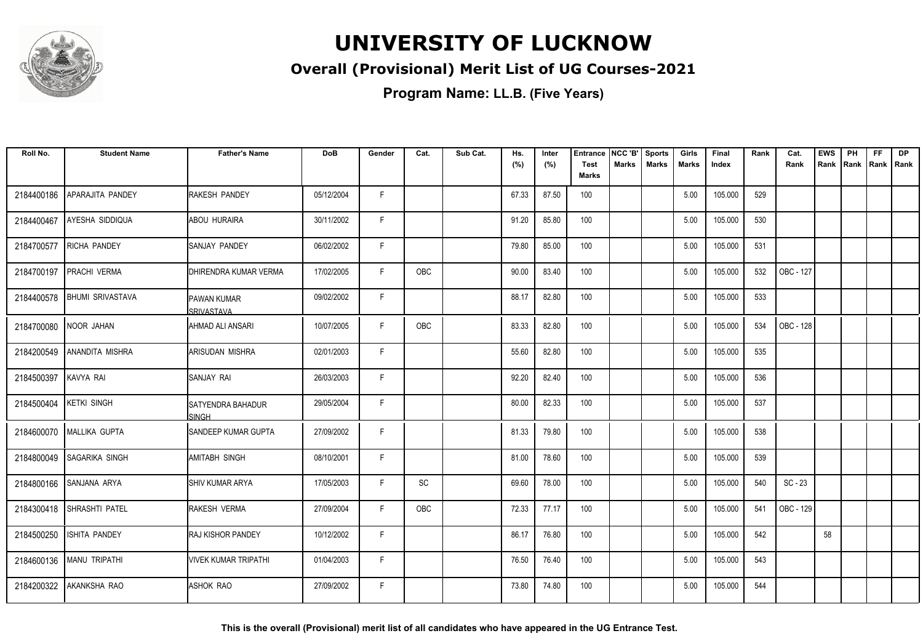

### **Overall (Provisional) Merit List of UG Courses-2021**

**Program Name: LL.B. (Five Years)**

| Roll No.   | <b>Student Name</b>     | <b>Father's Name</b>                       | <b>DoB</b> | Gender | Cat. | Sub Cat. | Hs.<br>(%) | Inter<br>(%) | <b>Entrance</b><br><b>Test</b> | NCC 'B'<br>Marks | <b>Sports</b><br><b>Marks</b> | Girls<br><b>Marks</b> | Final<br>Index | Rank | Cat.<br>Rank | <b>EWS</b><br>Rank | PH | <b>FF</b><br>Rank Rank Rank | <b>DP</b> |
|------------|-------------------------|--------------------------------------------|------------|--------|------|----------|------------|--------------|--------------------------------|------------------|-------------------------------|-----------------------|----------------|------|--------------|--------------------|----|-----------------------------|-----------|
|            |                         |                                            |            |        |      |          |            |              | <b>Marks</b>                   |                  |                               |                       |                |      |              |                    |    |                             |           |
| 2184400186 | APARAJITA PANDEY        | RAKESH PANDEY                              | 05/12/2004 | F.     |      |          | 67.33      | 87.50        | 100                            |                  |                               | 5.00                  | 105.000        | 529  |              |                    |    |                             |           |
| 2184400467 | AYESHA SIDDIQUA         | <b>ABOU HURAIRA</b>                        | 30/11/2002 | F.     |      |          | 91.20      | 85.80        | 100                            |                  |                               | 5.00                  | 105.000        | 530  |              |                    |    |                             |           |
| 2184700577 | <b>RICHA PANDEY</b>     | ISANJAY PANDEY                             | 06/02/2002 | F.     |      |          | 79.80      | 85.00        | 100                            |                  |                               | 5.00                  | 105.000        | 531  |              |                    |    |                             |           |
| 2184700197 | PRACHI VERMA            | <b>DHIRENDRA KUMAR VERMA</b>               | 17/02/2005 | F.     | OBC  |          | 90.00      | 83.40        | 100                            |                  |                               | 5.00                  | 105.000        | 532  | OBC - 127    |                    |    |                             |           |
| 2184400578 | <b>BHUMI SRIVASTAVA</b> | <b>PAWAN KUMAR</b><br><b>SRIVASTAVA</b>    | 09/02/2002 | F.     |      |          | 88.17      | 82.80        | 100                            |                  |                               | 5.00                  | 105.000        | 533  |              |                    |    |                             |           |
| 2184700080 | NOOR JAHAN              | AHMAD ALI ANSARI                           | 10/07/2005 | F.     | OBC  |          | 83.33      | 82.80        | 100                            |                  |                               | 5.00                  | 105.000        | 534  | OBC - 128    |                    |    |                             |           |
| 2184200549 | ANANDITA MISHRA         | ARISUDAN MISHRA                            | 02/01/2003 | F      |      |          | 55.60      | 82.80        | 100                            |                  |                               | 5.00                  | 105.000        | 535  |              |                    |    |                             |           |
| 2184500397 | KAVYA RAI               | SANJAY RAI                                 | 26/03/2003 | F.     |      |          | 92.20      | 82.40        | 100                            |                  |                               | 5.00                  | 105.000        | 536  |              |                    |    |                             |           |
| 2184500404 | <b>KETKI SINGH</b>      | <b>I</b> SATYENDRA BAHADUR<br><b>SINGH</b> | 29/05/2004 | F.     |      |          | 80.00      | 82.33        | 100                            |                  |                               | 5.00                  | 105.000        | 537  |              |                    |    |                             |           |
| 2184600070 | MALLIKA GUPTA           | <b>SANDEEP KUMAR GUPTA</b>                 | 27/09/2002 | F.     |      |          | 81.33      | 79.80        | 100                            |                  |                               | 5.00                  | 105.000        | 538  |              |                    |    |                             |           |
| 2184800049 | SAGARIKA SINGH          | AMITABH SINGH                              | 08/10/2001 | F.     |      |          | 81.00      | 78.60        | 100                            |                  |                               | 5.00                  | 105.000        | 539  |              |                    |    |                             |           |
| 2184800166 | <b>SANJANA ARYA</b>     | <b>SHIV KUMAR ARYA</b>                     | 17/05/2003 | F.     | SC   |          | 69.60      | 78.00        | 100                            |                  |                               | 5.00                  | 105.000        | 540  | $SC - 23$    |                    |    |                             |           |
| 2184300418 | SHRASHTI PATEL          | <b>RAKESH VERMA</b>                        | 27/09/2004 | F.     | OBC  |          | 72.33      | 77.17        | 100                            |                  |                               | 5.00                  | 105.000        | 541  | OBC - 129    |                    |    |                             |           |
| 2184500250 | ISHITA PANDEY           | <b>RAJ KISHOR PANDEY</b>                   | 10/12/2002 | F      |      |          | 86.17      | 76.80        | 100                            |                  |                               | 5.00                  | 105.000        | 542  |              | 58                 |    |                             |           |
| 2184600136 | MANU TRIPATHI           | <b>VIVEK KUMAR TRIPATHI</b>                | 01/04/2003 | F.     |      |          | 76.50      | 76.40        | 100                            |                  |                               | 5.00                  | 105.000        | 543  |              |                    |    |                             |           |
| 2184200322 | AKANKSHA RAO            | ASHOK RAO                                  | 27/09/2002 | F.     |      |          | 73.80      | 74.80        | 100                            |                  |                               | 5.00                  | 105.000        | 544  |              |                    |    |                             |           |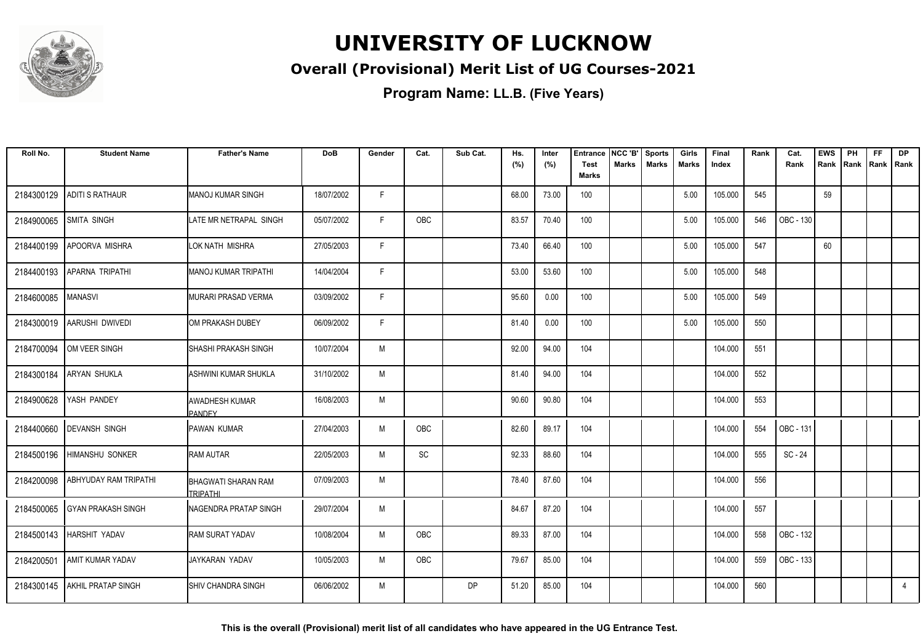

### **Overall (Provisional) Merit List of UG Courses-2021**

**Program Name: LL.B. (Five Years)**

| Roll No.   | <b>Student Name</b>           | <b>Father's Name</b>                   | <b>DoB</b> | Gender | Cat.       | Sub Cat.  | Hs.<br>(%) | Inter<br>(%) | <b>Entrance</b><br><b>Test</b> | NCC 'B'<br>Marks | <b>Sports</b><br><b>Marks</b> | Girls<br><b>Marks</b> | Final<br>Index | Rank | Cat.<br>Rank | <b>EWS</b><br>Rank | PH<br>Rank Rank Rank | <b>FF</b> | <b>DP</b>      |
|------------|-------------------------------|----------------------------------------|------------|--------|------------|-----------|------------|--------------|--------------------------------|------------------|-------------------------------|-----------------------|----------------|------|--------------|--------------------|----------------------|-----------|----------------|
|            |                               |                                        |            |        |            |           |            |              | <b>Marks</b>                   |                  |                               |                       |                |      |              |                    |                      |           |                |
| 2184300129 | <b>ADITI S RATHAUR</b>        | <b>MANOJ KUMAR SINGH</b>               | 18/07/2002 | F      |            |           | 68.00      | 73.00        | 100                            |                  |                               | 5.00                  | 105.000        | 545  |              | 59                 |                      |           |                |
| 2184900065 | SMITA SINGH                   | LATE MR NETRAPAL SINGH                 | 05/07/2002 | F.     | OBC        |           | 83.57      | 70.40        | 100                            |                  |                               | 5.00                  | 105.000        | 546  | OBC - 130    |                    |                      |           |                |
| 2184400199 | APOORVA MISHRA                | LOK NATH MISHRA                        | 27/05/2003 | F      |            |           | 73.40      | 66.40        | 100                            |                  |                               | 5.00                  | 105.000        | 547  |              | 60                 |                      |           |                |
| 2184400193 | <b>APARNA TRIPATHI</b>        | MANOJ KUMAR TRIPATHI                   | 14/04/2004 | F.     |            |           | 53.00      | 53.60        | 100                            |                  |                               | 5.00                  | 105.000        | 548  |              |                    |                      |           |                |
| 2184600085 | <b>MANASVI</b>                | <b>MURARI PRASAD VERMA</b>             | 03/09/2002 | F      |            |           | 95.60      | 0.00         | 100                            |                  |                               | 5.00                  | 105.000        | 549  |              |                    |                      |           |                |
|            | 2184300019 AARUSHI DWIVEDI    | OM PRAKASH DUBEY                       | 06/09/2002 | F.     |            |           | 81.40      | 0.00         | 100                            |                  |                               | 5.00                  | 105.000        | 550  |              |                    |                      |           |                |
| 2184700094 | OM VEER SINGH                 | SHASHI PRAKASH SINGH                   | 10/07/2004 | M      |            |           | 92.00      | 94.00        | 104                            |                  |                               |                       | 104.000        | 551  |              |                    |                      |           |                |
|            | 2184300184 ARYAN SHUKLA       | ASHWINI KUMAR SHUKLA                   | 31/10/2002 | M      |            |           | 81.40      | 94.00        | 104                            |                  |                               |                       | 104.000        | 552  |              |                    |                      |           |                |
| 2184900628 | YASH PANDEY                   | <b>AWADHESH KUMAR</b><br><b>PANDEY</b> | 16/08/2003 | M      |            |           | 90.60      | 90.80        | 104                            |                  |                               |                       | 104.000        | 553  |              |                    |                      |           |                |
|            | 2184400660 DEVANSH SINGH      | <b>PAWAN KUMAR</b>                     | 27/04/2003 | M      | <b>OBC</b> |           | 82.60      | 89.17        | 104                            |                  |                               |                       | 104.000        | 554  | OBC - 131    |                    |                      |           |                |
|            | 2184500196 HIMANSHU SONKER    | <b>RAM AUTAR</b>                       | 22/05/2003 | M      | SC         |           | 92.33      | 88.60        | 104                            |                  |                               |                       | 104.000        | 555  | SC - 24      |                    |                      |           |                |
| 2184200098 | <b>ABHYUDAY RAM TRIPATHI</b>  | BHAGWATI SHARAN RAM<br><b>TRIPATHI</b> | 07/09/2003 | M      |            |           | 78.40      | 87.60        | 104                            |                  |                               |                       | 104.000        | 556  |              |                    |                      |           |                |
|            | 2184500065 GYAN PRAKASH SINGH | <b>NAGENDRA PRATAP SINGH</b>           | 29/07/2004 | M      |            |           | 84.67      | 87.20        | 104                            |                  |                               |                       | 104.000        | 557  |              |                    |                      |           |                |
|            | 2184500143   HARSHIT YADAV    | <b>RAM SURAT YADAV</b>                 | 10/08/2004 | M      | OBC        |           | 89.33      | 87.00        | 104                            |                  |                               |                       | 104.000        | 558  | OBC - 132    |                    |                      |           |                |
| 2184200501 | <b>AMIT KUMAR YADAV</b>       | JAYKARAN YADAV                         | 10/05/2003 | M      | OBC        |           | 79.67      | 85.00        | 104                            |                  |                               |                       | 104.000        | 559  | OBC - 133    |                    |                      |           |                |
|            | 2184300145 AKHIL PRATAP SINGH | <b>SHIV CHANDRA SINGH</b>              | 06/06/2002 | M      |            | <b>DP</b> | 51.20      | 85.00        | 104                            |                  |                               |                       | 104.000        | 560  |              |                    |                      |           | $\overline{4}$ |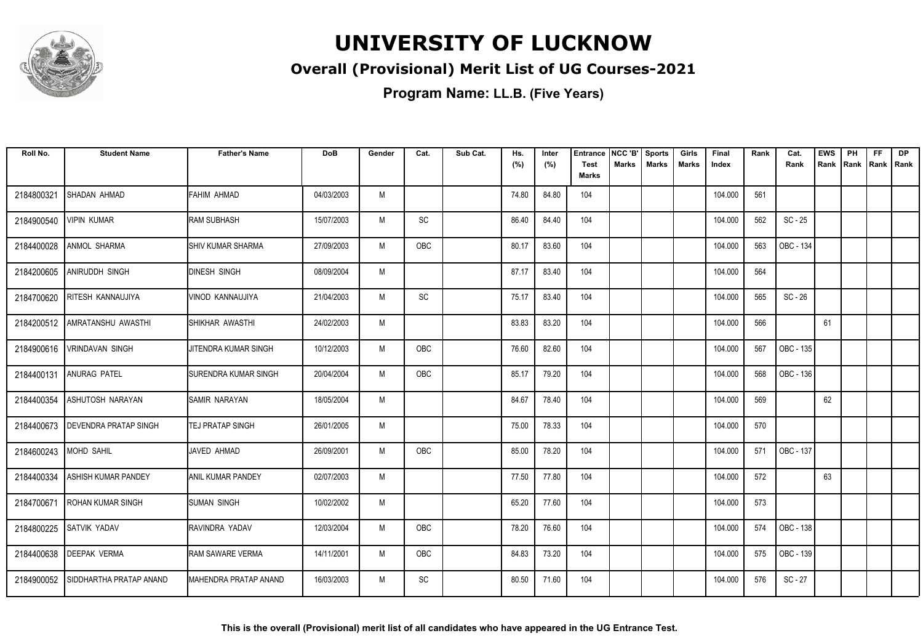

### **Overall (Provisional) Merit List of UG Courses-2021**

| Roll No.   | <b>Student Name</b>           | <b>Father's Name</b>         | <b>DoB</b> | Gender | Cat.       | Sub Cat. | Hs.<br>(%) | Inter<br>(%) | <b>Entrance</b><br><b>Test</b> | INCC 'B'<br><b>Marks</b> | <b>Sports</b><br><b>Marks</b> | Girls<br><b>Marks</b> | Final<br>Index | Rank | Cat.<br>Rank | <b>EWS</b><br>Rank | PH<br>Rank | <b>FF</b><br>  Rank   Rank | <b>DP</b> |
|------------|-------------------------------|------------------------------|------------|--------|------------|----------|------------|--------------|--------------------------------|--------------------------|-------------------------------|-----------------------|----------------|------|--------------|--------------------|------------|----------------------------|-----------|
|            |                               |                              |            |        |            |          |            |              | <b>Marks</b>                   |                          |                               |                       |                |      |              |                    |            |                            |           |
| 2184800321 | SHADAN AHMAD                  | FAHIM AHMAD                  | 04/03/2003 | M      |            |          | 74.80      | 84.80        | 104                            |                          |                               |                       | 104.000        | 561  |              |                    |            |                            |           |
| 2184900540 | <b>VIPIN KUMAR</b>            | <b>RAM SUBHASH</b>           | 15/07/2003 | M      | SC         |          | 86.40      | 84.40        | 104                            |                          |                               |                       | 104.000        | 562  | $SC - 25$    |                    |            |                            |           |
| 2184400028 | <b>ANMOL SHARMA</b>           | <b>I</b> SHIV KUMAR SHARMA   | 27/09/2003 | M      | OBC        |          | 80.17      | 83.60        | 104                            |                          |                               |                       | 104.000        | 563  | OBC - 134    |                    |            |                            |           |
| 2184200605 | <b>ANIRUDDH SINGH</b>         | <b>DINESH SINGH</b>          | 08/09/2004 | M      |            |          | 87.17      | 83.40        | 104                            |                          |                               |                       | 104.000        | 564  |              |                    |            |                            |           |
| 2184700620 | <b>RITESH KANNAUJIYA</b>      | VINOD KANNAUJIYA             | 21/04/2003 | M      | SC         |          | 75.17      | 83.40        | 104                            |                          |                               |                       | 104.000        | 565  | $SC - 26$    |                    |            |                            |           |
|            | 2184200512 AMRATANSHU AWASTHI | ISHIKHAR AWASTHI             | 24/02/2003 | M      |            |          | 83.83      | 83.20        | 104                            |                          |                               |                       | 104.000        | 566  |              | 61                 |            |                            |           |
| 2184900616 | <b>VRINDAVAN SINGH</b>        | JITENDRA KUMAR SINGH         | 10/12/2003 | M      | <b>OBC</b> |          | 76.60      | 82.60        | 104                            |                          |                               |                       | 104.000        | 567  | OBC - 135    |                    |            |                            |           |
| 2184400131 | <b>ANURAG PATEL</b>           | <b>ISURENDRA KUMAR SINGH</b> | 20/04/2004 | M      | <b>OBC</b> |          | 85.17      | 79.20        | 104                            |                          |                               |                       | 104.000        | 568  | OBC - 136    |                    |            |                            |           |
| 2184400354 | <b>ASHUTOSH NARAYAN</b>       | <b>ISAMIR NARAYAN</b>        | 18/05/2004 | M      |            |          | 84.67      | 78.40        | 104                            |                          |                               |                       | 104.000        | 569  |              | 62                 |            |                            |           |
| 2184400673 | DEVENDRA PRATAP SINGH         | <b>TEJ PRATAP SINGH</b>      | 26/01/2005 | M      |            |          | 75.00      | 78.33        | 104                            |                          |                               |                       | 104.000        | 570  |              |                    |            |                            |           |
| 2184600243 | <b>MOHD SAHIL</b>             | JAVED AHMAD                  | 26/09/2001 | M      | <b>OBC</b> |          | 85.00      | 78.20        | 104                            |                          |                               |                       | 104.000        | 571  | OBC - 137    |                    |            |                            |           |
| 2184400334 | <b>ASHISH KUMAR PANDEY</b>    | <b>ANIL KUMAR PANDEY</b>     | 02/07/2003 | M      |            |          | 77.50      | 77.80        | 104                            |                          |                               |                       | 104.000        | 572  |              | 63                 |            |                            |           |
| 2184700671 | <b>ROHAN KUMAR SINGH</b>      | <b>SUMAN SINGH</b>           | 10/02/2002 | M      |            |          | 65.20      | 77.60        | 104                            |                          |                               |                       | 104.000        | 573  |              |                    |            |                            |           |
| 2184800225 | SATVIK YADAV                  | RAVINDRA YADAV               | 12/03/2004 | M      | OBC        |          | 78.20      | 76.60        | 104                            |                          |                               |                       | 104.000        | 574  | OBC - 138    |                    |            |                            |           |
| 2184400638 | <b>DEEPAK VERMA</b>           | RAM SAWARE VERMA             | 14/11/2001 | M      | OBC        |          | 84.83      | 73.20        | 104                            |                          |                               |                       | 104.000        | 575  | OBC - 139    |                    |            |                            |           |
| 2184900052 | SIDDHARTHA PRATAP ANAND       | <b>MAHENDRA PRATAP ANAND</b> | 16/03/2003 | M      | SC         |          | 80.50      | 71.60        | 104                            |                          |                               |                       | 104.000        | 576  | $SC - 27$    |                    |            |                            |           |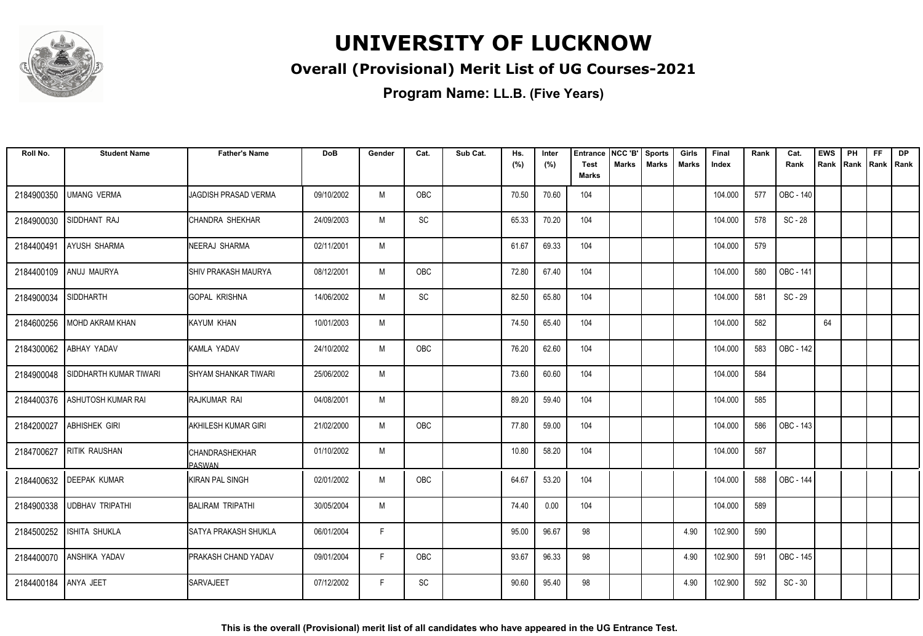

### **Overall (Provisional) Merit List of UG Courses-2021**

| Roll No.   | <b>Student Name</b>        | <b>Father's Name</b>            | <b>DoB</b> | Gender | Cat.       | Sub Cat. | Hs.<br>(%) | Inter<br>(%) | <b>Entrance</b><br><b>Test</b> | NCC 'B'<br><b>Marks</b> | <b>Sports</b><br><b>Marks</b> | Girls<br>Marks | Final<br>Index | Rank | Cat.<br>Rank | <b>EWS</b><br>Rank | PH<br>Rank | <b>FF</b><br>Rank   Rank | <b>DP</b> |
|------------|----------------------------|---------------------------------|------------|--------|------------|----------|------------|--------------|--------------------------------|-------------------------|-------------------------------|----------------|----------------|------|--------------|--------------------|------------|--------------------------|-----------|
|            |                            |                                 |            |        |            |          |            |              | <b>Marks</b>                   |                         |                               |                |                |      |              |                    |            |                          |           |
| 2184900350 | <b>UMANG VERMA</b>         | <b>JAGDISH PRASAD VERMA</b>     | 09/10/2002 | M      | <b>OBC</b> |          | 70.50      | 70.60        | 104                            |                         |                               |                | 104.000        | 577  | OBC - 140    |                    |            |                          |           |
| 2184900030 | SIDDHANT RAJ               | <b>CHANDRA SHEKHAR</b>          | 24/09/2003 | M      | SC         |          | 65.33      | 70.20        | 104                            |                         |                               |                | 104.000        | 578  | SC - 28      |                    |            |                          |           |
| 2184400491 | AYUSH SHARMA               | NEERAJ SHARMA                   | 02/11/2001 | M      |            |          | 61.67      | 69.33        | 104                            |                         |                               |                | 104.000        | 579  |              |                    |            |                          |           |
| 2184400109 | ANUJ MAURYA                | <b>SHIV PRAKASH MAURYA</b>      | 08/12/2001 | M      | OBC        |          | 72.80      | 67.40        | 104                            |                         |                               |                | 104.000        | 580  | OBC - 141    |                    |            |                          |           |
| 2184900034 | SIDDHARTH                  | <b>GOPAL KRISHNA</b>            | 14/06/2002 | M      | SC         |          | 82.50      | 65.80        | 104                            |                         |                               |                | 104.000        | 581  | SC - 29      |                    |            |                          |           |
| 2184600256 | MOHD AKRAM KHAN            | KAYUM KHAN                      | 10/01/2003 | M      |            |          | 74.50      | 65.40        | 104                            |                         |                               |                | 104.000        | 582  |              | 64                 |            |                          |           |
|            | 2184300062 ABHAY YADAV     | KAMLA YADAV                     | 24/10/2002 | M      | OBC        |          | 76.20      | 62.60        | 104                            |                         |                               |                | 104.000        | 583  | OBC - 142    |                    |            |                          |           |
| 2184900048 | SIDDHARTH KUMAR TIWARI     | <b>I</b> SHYAM SHANKAR TIWARI   | 25/06/2002 | M      |            |          | 73.60      | 60.60        | 104                            |                         |                               |                | 104.000        | 584  |              |                    |            |                          |           |
| 2184400376 | ASHUTOSH KUMAR RAI         | RAJKUMAR RAI                    | 04/08/2001 | M      |            |          | 89.20      | 59.40        | 104                            |                         |                               |                | 104.000        | 585  |              |                    |            |                          |           |
| 2184200027 | <b>ABHISHEK GIRI</b>       | AKHILESH KUMAR GIRI             | 21/02/2000 | M      | <b>OBC</b> |          | 77.80      | 59.00        | 104                            |                         |                               |                | 104.000        | 586  | OBC - 143    |                    |            |                          |           |
| 2184700627 | <b>RITIK RAUSHAN</b>       | CHANDRASHEKHAR<br><b>PASWAN</b> | 01/10/2002 | M      |            |          | 10.80      | 58.20        | 104                            |                         |                               |                | 104.000        | 587  |              |                    |            |                          |           |
|            | 2184400632 DEEPAK KUMAR    | KIRAN PAL SINGH                 | 02/01/2002 | M      | OBC        |          | 64.67      | 53.20        | 104                            |                         |                               |                | 104.000        | 588  | OBC - 144    |                    |            |                          |           |
|            | 2184900338 UDBHAV TRIPATHI | BALIRAM TRIPATHI                | 30/05/2004 | M      |            |          | 74.40      | 0.00         | 104                            |                         |                               |                | 104.000        | 589  |              |                    |            |                          |           |
| 2184500252 | <b>ISHITA SHUKLA</b>       | <b>SATYA PRAKASH SHUKLA</b>     | 06/01/2004 | F      |            |          | 95.00      | 96.67        | 98                             |                         |                               | 4.90           | 102.900        | 590  |              |                    |            |                          |           |
| 2184400070 | <b>ANSHIKA YADAV</b>       | <b>PRAKASH CHAND YADAV</b>      | 09/01/2004 | F.     | OBC        |          | 93.67      | 96.33        | 98                             |                         |                               | 4.90           | 102.900        | 591  | OBC - 145    |                    |            |                          |           |
| 2184400184 | ANYA JEET                  | <b>SARVAJEET</b>                | 07/12/2002 | F      | SC         |          | 90.60      | 95.40        | 98                             |                         |                               | 4.90           | 102.900        | 592  | $SC - 30$    |                    |            |                          |           |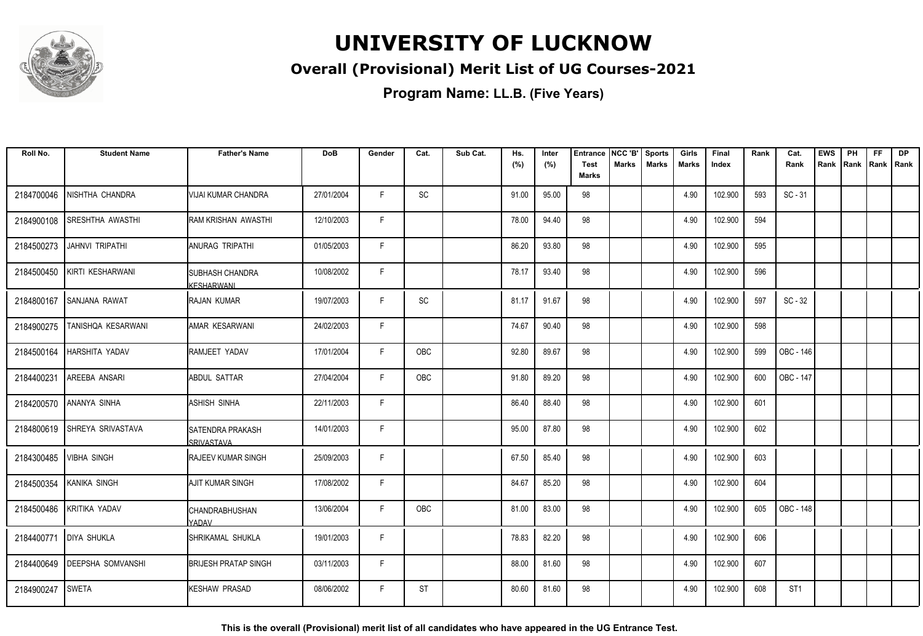

### **Overall (Provisional) Merit List of UG Courses-2021**

**Program Name: LL.B. (Five Years)**

| Roll No.   | <b>Student Name</b>          | <b>Father's Name</b>                   | <b>DoB</b> | Gender | Cat.       | Sub Cat. | Hs.<br>(%) | Inter<br>(%) | <b>Entrance</b><br><b>Test</b> | NCC 'B'<br><b>Marks</b> | <b>Sports</b><br><b>Marks</b> | Girls<br><b>Marks</b> | Final<br>Index | Rank | Cat.<br>Rank    | <b>EWS</b><br>Rank | PH | <b>FF</b><br>Rank   Rank   Rank | <b>DP</b> |
|------------|------------------------------|----------------------------------------|------------|--------|------------|----------|------------|--------------|--------------------------------|-------------------------|-------------------------------|-----------------------|----------------|------|-----------------|--------------------|----|---------------------------------|-----------|
|            |                              |                                        |            |        |            |          |            |              | <b>Marks</b>                   |                         |                               |                       |                |      |                 |                    |    |                                 |           |
| 2184700046 | NISHTHA CHANDRA              | VIJAI KUMAR CHANDRA                    | 27/01/2004 | F.     | SC         |          | 91.00      | 95.00        | 98                             |                         |                               | 4.90                  | 102.900        | 593  | $SC - 31$       |                    |    |                                 |           |
| 2184900108 | <b>SRESHTHA AWASTHI</b>      | RAM KRISHAN AWASTHI                    | 12/10/2003 | F.     |            |          | 78.00      | 94.40        | 98                             |                         |                               | 4.90                  | 102.900        | 594  |                 |                    |    |                                 |           |
| 2184500273 | <b>JAHNVI TRIPATHI</b>       | ANURAG TRIPATHI                        | 01/05/2003 | F.     |            |          | 86.20      | 93.80        | 98                             |                         |                               | 4.90                  | 102.900        | 595  |                 |                    |    |                                 |           |
| 2184500450 | KIRTI KESHARWANI             | <b>SUBHASH CHANDRA</b><br>KESHARWANI   | 10/08/2002 | F      |            |          | 78.17      | 93.40        | 98                             |                         |                               | 4.90                  | 102.900        | 596  |                 |                    |    |                                 |           |
| 2184800167 | SANJANA RAWAT                | <b>RAJAN KUMAR</b>                     | 19/07/2003 | F.     | SC         |          | 81.17      | 91.67        | 98                             |                         |                               | 4.90                  | 102.900        | 597  | $SC - 32$       |                    |    |                                 |           |
| 2184900275 | TANISHQA KESARWANI           | AMAR KESARWANI                         | 24/02/2003 | F      |            |          | 74.67      | 90.40        | 98                             |                         |                               | 4.90                  | 102.900        | 598  |                 |                    |    |                                 |           |
| 2184500164 | HARSHITA YADAV               | RAMJEET YADAV                          | 17/01/2004 | F      | OBC        |          | 92.80      | 89.67        | 98                             |                         |                               | 4.90                  | 102.900        | 599  | OBC - 146       |                    |    |                                 |           |
| 2184400231 | <b>AREEBA ANSARI</b>         | <b>ABDUL SATTAR</b>                    | 27/04/2004 | F.     | <b>OBC</b> |          | 91.80      | 89.20        | 98                             |                         |                               | 4.90                  | 102.900        | 600  | OBC - 147       |                    |    |                                 |           |
| 2184200570 | ANANYA SINHA                 | <b>ASHISH SINHA</b>                    | 22/11/2003 | F.     |            |          | 86.40      | 88.40        | 98                             |                         |                               | 4.90                  | 102.900        | 601  |                 |                    |    |                                 |           |
|            | 2184800619 SHREYA SRIVASTAVA | ISATENDRA PRAKASH<br><b>SRIVASTAVA</b> | 14/01/2003 | F.     |            |          | 95.00      | 87.80        | 98                             |                         |                               | 4.90                  | 102.900        | 602  |                 |                    |    |                                 |           |
| 2184300485 | <b>VIBHA SINGH</b>           | <b>RAJEEV KUMAR SINGH</b>              | 25/09/2003 | F      |            |          | 67.50      | 85.40        | 98                             |                         |                               | 4.90                  | 102.900        | 603  |                 |                    |    |                                 |           |
| 2184500354 | <b>KANIKA SINGH</b>          | AJIT KUMAR SINGH                       | 17/08/2002 | F      |            |          | 84.67      | 85.20        | 98                             |                         |                               | 4.90                  | 102.900        | 604  |                 |                    |    |                                 |           |
|            | 2184500486 KRITIKA YADAV     | <b>CHANDRABHUSHAN</b><br>YADAV         | 13/06/2004 | F.     | OBC        |          | 81.00      | 83.00        | 98                             |                         |                               | 4.90                  | 102.900        | 605  | OBC - 148       |                    |    |                                 |           |
| 2184400771 | <b>DIYA SHUKLA</b>           | SHRIKAMAL SHUKLA                       | 19/01/2003 | F      |            |          | 78.83      | 82.20        | 98                             |                         |                               | 4.90                  | 102.900        | 606  |                 |                    |    |                                 |           |
| 2184400649 | <b>DEEPSHA SOMVANSHI</b>     | <b>BRIJESH PRATAP SINGH</b>            | 03/11/2003 | F.     |            |          | 88.00      | 81.60        | 98                             |                         |                               | 4.90                  | 102.900        | 607  |                 |                    |    |                                 |           |
| 2184900247 | <b>SWETA</b>                 | <b>KESHAW PRASAD</b>                   | 08/06/2002 | F.     | ST         |          | 80.60      | 81.60        | 98                             |                         |                               | 4.90                  | 102.900        | 608  | ST <sub>1</sub> |                    |    |                                 |           |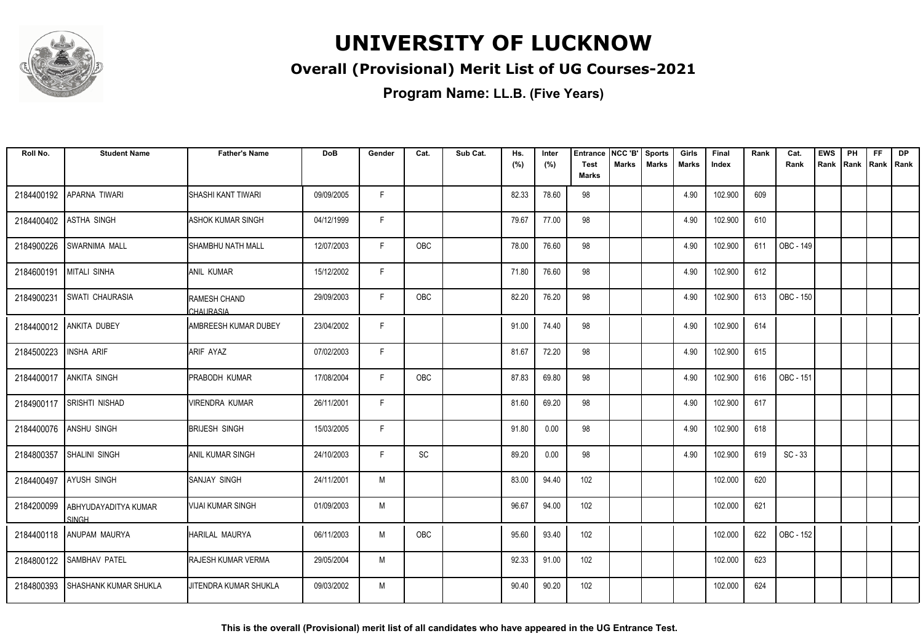

### **Overall (Provisional) Merit List of UG Courses-2021**

**Program Name: LL.B. (Five Years)**

| Roll No.   | <b>Student Name</b>                  | <b>Father's Name</b>      | <b>DoB</b> | Gender | Cat.       | Sub Cat. | Hs.<br>(%) | Inter<br>(%) | <b>Entrance</b><br><b>Test</b> | NCC 'B'<br>Marks | <b>Sports</b><br><b>Marks</b> | Girls<br><b>Marks</b> | Final<br>Index | Rank | Cat.<br>Rank     | <b>EWS</b><br>Rank | PH<br>Rank | <b>FF</b><br>Rank   Rank | <b>DP</b> |
|------------|--------------------------------------|---------------------------|------------|--------|------------|----------|------------|--------------|--------------------------------|------------------|-------------------------------|-----------------------|----------------|------|------------------|--------------------|------------|--------------------------|-----------|
|            |                                      |                           |            |        |            |          |            |              | <b>Marks</b>                   |                  |                               |                       |                |      |                  |                    |            |                          |           |
| 2184400192 | APARNA TIWARI                        | ISHASHI KANT TIWARI       | 09/09/2005 | F      |            |          | 82.33      | 78.60        | 98                             |                  |                               | 4.90                  | 102.900        | 609  |                  |                    |            |                          |           |
| 2184400402 | <b>ASTHA SINGH</b>                   | ASHOK KUMAR SINGH         | 04/12/1999 | F.     |            |          | 79.67      | 77.00        | 98                             |                  |                               | 4.90                  | 102.900        | 610  |                  |                    |            |                          |           |
| 2184900226 | <b>SWARNIMA MALL</b>                 | <b>SHAMBHU NATH MALL</b>  | 12/07/2003 | F      | <b>OBC</b> |          | 78.00      | 76.60        | 98                             |                  |                               | 4.90                  | 102.900        | 611  | <b>OBC - 149</b> |                    |            |                          |           |
| 2184600191 | <b>MITALI SINHA</b>                  | <b>JANIL KUMAR</b>        | 15/12/2002 | F      |            |          | 71.80      | 76.60        | 98                             |                  |                               | 4.90                  | 102.900        | 612  |                  |                    |            |                          |           |
| 2184900231 | <b>SWATI CHAURASIA</b>               | RAMESH CHAND<br>CHAURASIA | 29/09/2003 | F      | OBC        |          | 82.20      | 76.20        | 98                             |                  |                               | 4.90                  | 102.900        | 613  | OBC - 150        |                    |            |                          |           |
|            | 2184400012 ANKITA DUBEY              | AMBREESH KUMAR DUBEY      | 23/04/2002 | F      |            |          | 91.00      | 74.40        | 98                             |                  |                               | 4.90                  | 102.900        | 614  |                  |                    |            |                          |           |
| 2184500223 | <b>INSHA ARIF</b>                    | <b>ARIF AYAZ</b>          | 07/02/2003 | F.     |            |          | 81.67      | 72.20        | 98                             |                  |                               | 4.90                  | 102.900        | 615  |                  |                    |            |                          |           |
| 2184400017 | <b>ANKITA SINGH</b>                  | PRABODH KUMAR             | 17/08/2004 | F      | OBC        |          | 87.83      | 69.80        | 98                             |                  |                               | 4.90                  | 102.900        | 616  | OBC - 151        |                    |            |                          |           |
| 2184900117 | <b>SRISHTI NISHAD</b>                | <b>VIRENDRA KUMAR</b>     | 26/11/2001 | F      |            |          | 81.60      | 69.20        | 98                             |                  |                               | 4.90                  | 102.900        | 617  |                  |                    |            |                          |           |
| 2184400076 | <b>ANSHU SINGH</b>                   | <b>BRIJESH SINGH</b>      | 15/03/2005 | F      |            |          | 91.80      | 0.00         | 98                             |                  |                               | 4.90                  | 102.900        | 618  |                  |                    |            |                          |           |
| 2184800357 | SHALINI SINGH                        | <b>ANIL KUMAR SINGH</b>   | 24/10/2003 | F      | SC         |          | 89.20      | 0.00         | 98                             |                  |                               | 4.90                  | 102.900        | 619  | $SC - 33$        |                    |            |                          |           |
| 2184400497 | AYUSH SINGH                          | <b>SANJAY SINGH</b>       | 24/11/2001 | M      |            |          | 83.00      | 94.40        | 102                            |                  |                               |                       | 102.000        | 620  |                  |                    |            |                          |           |
| 2184200099 | ABHYUDAYADITYA KUMAR<br><b>SINGH</b> | VIJAI KUMAR SINGH         | 01/09/2003 | M      |            |          | 96.67      | 94.00        | 102                            |                  |                               |                       | 102.000        | 621  |                  |                    |            |                          |           |
|            | 2184400118   ANUPAM MAURYA           | HARILAL MAURYA            | 06/11/2003 | M      | <b>OBC</b> |          | 95.60      | 93.40        | 102                            |                  |                               |                       | 102.000        | 622  | OBC - 152        |                    |            |                          |           |
| 2184800122 | <b>SAMBHAV PATEL</b>                 | <b>RAJESH KUMAR VERMA</b> | 29/05/2004 | M      |            |          | 92.33      | 91.00        | 102                            |                  |                               |                       | 102.000        | 623  |                  |                    |            |                          |           |
| 2184800393 | I SHASHANK KUMAR SHUKLA              | JITENDRA KUMAR SHUKLA     | 09/03/2002 | M      |            |          | 90.40      | 90.20        | 102                            |                  |                               |                       | 102.000        | 624  |                  |                    |            |                          |           |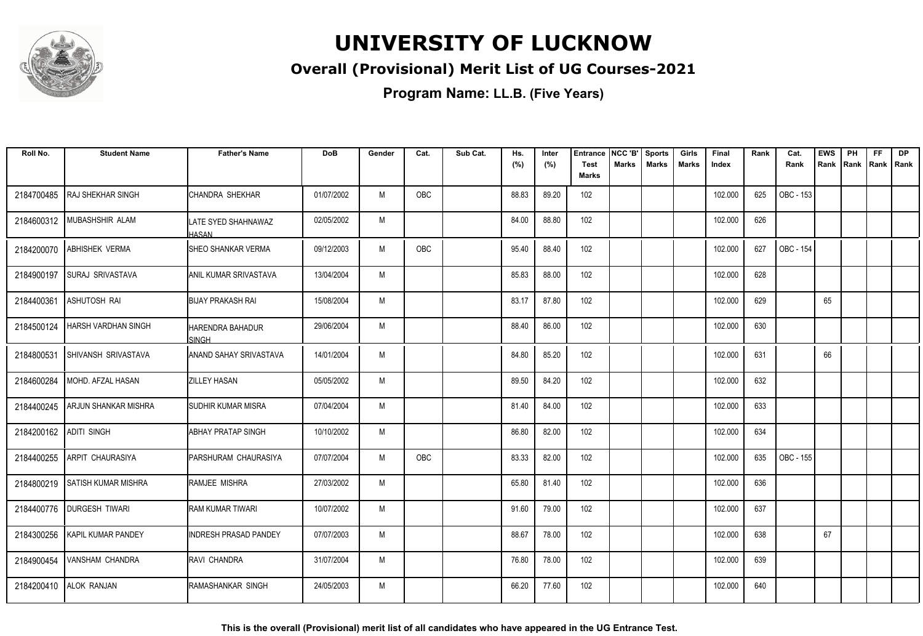

### **Overall (Provisional) Merit List of UG Courses-2021**

| Roll No.   | <b>Student Name</b>        | <b>Father's Name</b>                 | <b>DoB</b> | Gender | Cat.       | Sub Cat. | Hs.   | Inter | <b>Entrance</b>             | NCC 'B'      | <b>Sports</b> | Girls | Final   | Rank | Cat.             | <b>EWS</b> | PH   | FF   | <b>DP</b> |
|------------|----------------------------|--------------------------------------|------------|--------|------------|----------|-------|-------|-----------------------------|--------------|---------------|-------|---------|------|------------------|------------|------|------|-----------|
|            |                            |                                      |            |        |            |          | (%)   | (%)   | <b>Test</b><br><b>Marks</b> | <b>Marks</b> | <b>Marks</b>  | Marks | Index   |      | Rank             | Rank       | Rank | Rank | Rank      |
| 2184700485 | <b>RAJ SHEKHAR SINGH</b>   | CHANDRA SHEKHAR                      | 01/07/2002 | M      | OBC        |          | 88.83 | 89.20 | 102                         |              |               |       | 102.000 | 625  | OBC - 153        |            |      |      |           |
| 2184600312 | MUBASHSHIR ALAM            | ILATE SYED SHAHNAWAZ<br><b>HASAN</b> | 02/05/2002 | M      |            |          | 84.00 | 88.80 | 102                         |              |               |       | 102.000 | 626  |                  |            |      |      |           |
| 2184200070 | <b>ABHISHEK VERMA</b>      | ISHEO SHANKAR VERMA                  | 09/12/2003 | M      | <b>OBC</b> |          | 95.40 | 88.40 | 102                         |              |               |       | 102.000 | 627  | OBC - 154        |            |      |      |           |
| 2184900197 | <b>SURAJ SRIVASTAVA</b>    | <b>ANIL KUMAR SRIVASTAVA</b>         | 13/04/2004 | M      |            |          | 85.83 | 88.00 | 102                         |              |               |       | 102.000 | 628  |                  |            |      |      |           |
| 2184400361 | <b>ASHUTOSH RAI</b>        | <b>BIJAY PRAKASH RAI</b>             | 15/08/2004 | M      |            |          | 83.17 | 87.80 | 102                         |              |               |       | 102.000 | 629  |                  | 65         |      |      |           |
| 2184500124 | <b>HARSH VARDHAN SINGH</b> | IHARENDRA BAHADUR<br><b>SINGH</b>    | 29/06/2004 | M      |            |          | 88.40 | 86.00 | 102                         |              |               |       | 102.000 | 630  |                  |            |      |      |           |
| 2184800531 | SHIVANSH SRIVASTAVA        | ANAND SAHAY SRIVASTAVA               | 14/01/2004 | M      |            |          | 84.80 | 85.20 | 102                         |              |               |       | 102.000 | 631  |                  | 66         |      |      |           |
| 2184600284 | MOHD. AFZAL HASAN          | <b>ZILLEY HASAN</b>                  | 05/05/2002 | M      |            |          | 89.50 | 84.20 | 102                         |              |               |       | 102.000 | 632  |                  |            |      |      |           |
| 2184400245 | ARJUN SHANKAR MISHRA       | <b>SUDHIR KUMAR MISRA</b>            | 07/04/2004 | M      |            |          | 81.40 | 84.00 | 102                         |              |               |       | 102.000 | 633  |                  |            |      |      |           |
| 2184200162 | <b>ADITI SINGH</b>         | IABHAY PRATAP SINGH                  | 10/10/2002 | M      |            |          | 86.80 | 82.00 | 102                         |              |               |       | 102.000 | 634  |                  |            |      |      |           |
| 2184400255 | <b>ARPIT CHAURASIYA</b>    | <b>PARSHURAM CHAURASIYA</b>          | 07/07/2004 | M      | <b>OBC</b> |          | 83.33 | 82.00 | 102                         |              |               |       | 102.000 | 635  | <b>OBC - 155</b> |            |      |      |           |
| 2184800219 | <b>SATISH KUMAR MISHRA</b> | RAMJEE MISHRA                        | 27/03/2002 | M      |            |          | 65.80 | 81.40 | 102                         |              |               |       | 102.000 | 636  |                  |            |      |      |           |
| 2184400776 | <b>DURGESH TIWARI</b>      | <b>RAM KUMAR TIWARI</b>              | 10/07/2002 | M      |            |          | 91.60 | 79.00 | 102                         |              |               |       | 102.000 | 637  |                  |            |      |      |           |
| 2184300256 | <b>KAPIL KUMAR PANDEY</b>  | INDRESH PRASAD PANDEY                | 07/07/2003 | M      |            |          | 88.67 | 78.00 | 102                         |              |               |       | 102.000 | 638  |                  | 67         |      |      |           |
| 2184900454 | VANSHAM CHANDRA            | <b>RAVI CHANDRA</b>                  | 31/07/2004 | M      |            |          | 76.80 | 78.00 | 102                         |              |               |       | 102.000 | 639  |                  |            |      |      |           |
| 2184200410 | <b>ALOK RANJAN</b>         | IRAMASHANKAR SINGH                   | 24/05/2003 | M      |            |          | 66.20 | 77.60 | 102                         |              |               |       | 102.000 | 640  |                  |            |      |      |           |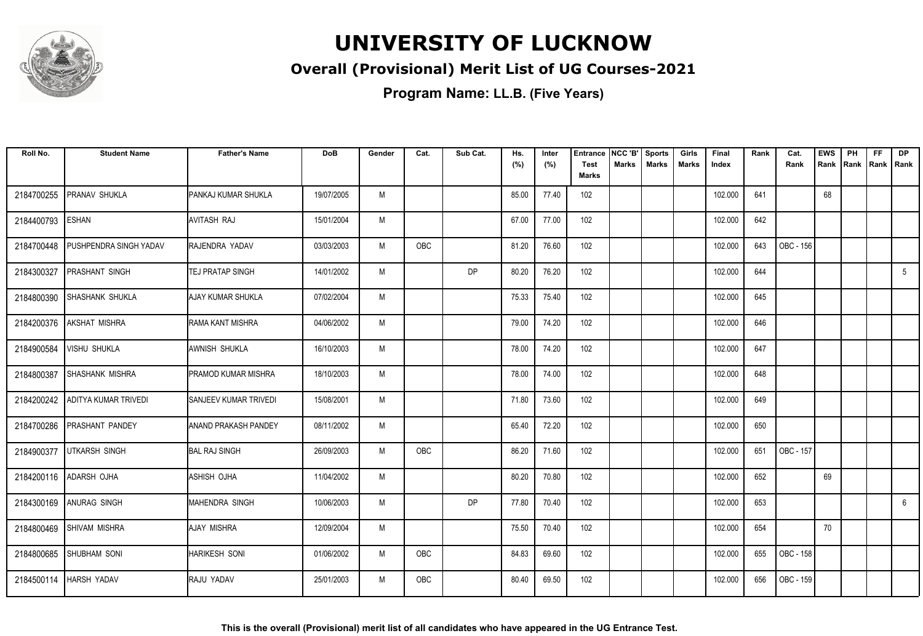

### **Overall (Provisional) Merit List of UG Courses-2021**

| Roll No.   | <b>Student Name</b>      | <b>Father's Name</b>           | <b>DoB</b> | Gender | Cat.       | Sub Cat. | Hs.<br>(%) | Inter<br>(%) | <b>Entrance</b><br><b>Test</b><br><b>Marks</b> | NCC 'B'<br>Marks | <b>Sports</b><br><b>Marks</b> | Girls<br><b>Marks</b> | Final<br>Index | Rank | Cat.<br>Rank | <b>EWS</b><br>Rank | PH<br>Rank | <b>FF</b><br>Rank   Rank | <b>DP</b>   |
|------------|--------------------------|--------------------------------|------------|--------|------------|----------|------------|--------------|------------------------------------------------|------------------|-------------------------------|-----------------------|----------------|------|--------------|--------------------|------------|--------------------------|-------------|
| 2184700255 | PRANAV SHUKLA            | PANKAJ KUMAR SHUKLA            | 19/07/2005 | M      |            |          | 85.00      | 77.40        | 102                                            |                  |                               |                       | 102.000        | 641  |              | 68                 |            |                          |             |
| 2184400793 | <b>ESHAN</b>             | AVITASH RAJ                    | 15/01/2004 | M      |            |          | 67.00      | 77.00        | 102                                            |                  |                               |                       | 102.000        | 642  |              |                    |            |                          |             |
| 2184700448 | PUSHPENDRA SINGH YADAV   | RAJENDRA YADAV                 | 03/03/2003 | M      | <b>OBC</b> |          | 81.20      | 76.60        | 102                                            |                  |                               |                       | 102.000        | 643  | OBC - 156    |                    |            |                          |             |
| 2184300327 | <b>PRASHANT SINGH</b>    | TEJ PRATAP SINGH               | 14/01/2002 | M      |            | DP       | 80.20      | 76.20        | 102                                            |                  |                               |                       | 102.000        | 644  |              |                    |            |                          | $5^{\circ}$ |
| 2184800390 | <b>SHASHANK SHUKLA</b>   | <b>AJAY KUMAR SHUKLA</b>       | 07/02/2004 | M      |            |          | 75.33      | 75.40        | 102                                            |                  |                               |                       | 102.000        | 645  |              |                    |            |                          |             |
| 2184200376 | <b>AKSHAT MISHRA</b>     | RAMA KANT MISHRA               | 04/06/2002 | M      |            |          | 79.00      | 74.20        | 102                                            |                  |                               |                       | 102.000        | 646  |              |                    |            |                          |             |
| 2184900584 | <b>VISHU SHUKLA</b>      | AWNISH SHUKLA                  | 16/10/2003 | M      |            |          | 78.00      | 74.20        | 102                                            |                  |                               |                       | 102.000        | 647  |              |                    |            |                          |             |
| 2184800387 | <b>SHASHANK MISHRA</b>   | PRAMOD KUMAR MISHRA            | 18/10/2003 | M      |            |          | 78.00      | 74.00        | 102                                            |                  |                               |                       | 102.000        | 648  |              |                    |            |                          |             |
| 2184200242 | ADITYA KUMAR TRIVEDI     | <b>I</b> SANJEEV KUMAR TRIVEDI | 15/08/2001 | M      |            |          | 71.80      | 73.60        | 102                                            |                  |                               |                       | 102.000        | 649  |              |                    |            |                          |             |
| 2184700286 | <b>PRASHANT PANDEY</b>   | <b>ANAND PRAKASH PANDEY</b>    | 08/11/2002 | M      |            |          | 65.40      | 72.20        | 102                                            |                  |                               |                       | 102.000        | 650  |              |                    |            |                          |             |
| 2184900377 | <b>UTKARSH SINGH</b>     | <b>BAL RAJ SINGH</b>           | 26/09/2003 | M      | OBC        |          | 86.20      | 71.60        | 102                                            |                  |                               |                       | 102.000        | 651  | OBC - 157    |                    |            |                          |             |
|            | 2184200116 ADARSH OJHA   | ASHISH OJHA                    | 11/04/2002 | M      |            |          | 80.20      | 70.80        | 102                                            |                  |                               |                       | 102.000        | 652  |              | 69                 |            |                          |             |
|            | 2184300169 ANURAG SINGH  | <b>MAHENDRA SINGH</b>          | 10/06/2003 | M      |            | DP       | 77.80      | 70.40        | 102                                            |                  |                               |                       | 102.000        | 653  |              |                    |            |                          | 6           |
|            | 2184800469 SHIVAM MISHRA | <b>AJAY MISHRA</b>             | 12/09/2004 | M      |            |          | 75.50      | 70.40        | 102                                            |                  |                               |                       | 102.000        | 654  |              | 70                 |            |                          |             |
| 2184800685 | SHUBHAM SONI             | <b>HARIKESH SONI</b>           | 01/06/2002 | M      | OBC        |          | 84.83      | 69.60        | 102                                            |                  |                               |                       | 102.000        | 655  | OBC - 158    |                    |            |                          |             |
|            | 2184500114   HARSH YADAV | RAJU YADAV                     | 25/01/2003 | M      | <b>OBC</b> |          | 80.40      | 69.50        | 102                                            |                  |                               |                       | 102.000        | 656  | OBC - 159    |                    |            |                          |             |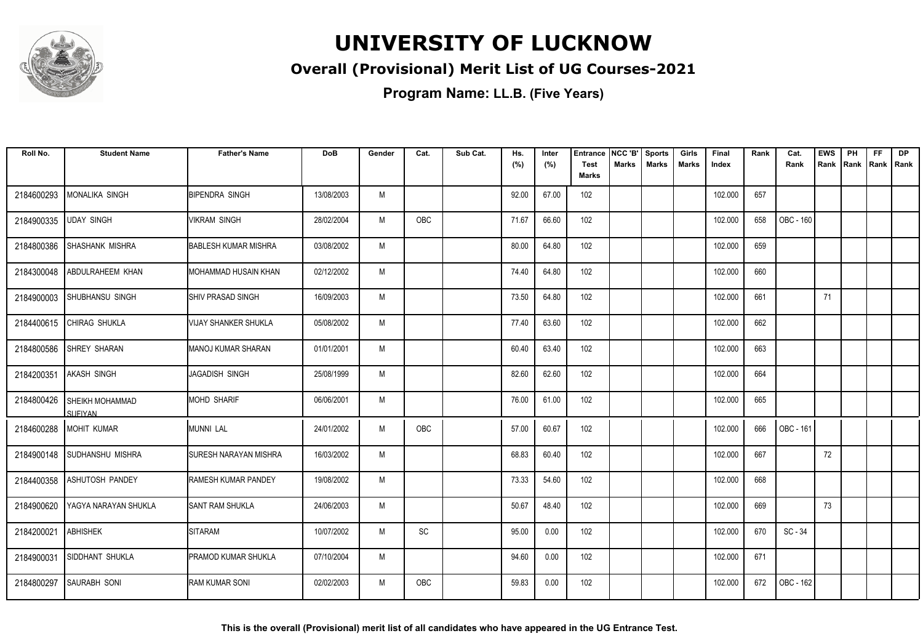

### **Overall (Provisional) Merit List of UG Courses-2021**

| Roll No.   | <b>Student Name</b>                      | <b>Father's Name</b>         | <b>DoB</b> | Gender | Cat.       | Sub Cat. | Hs.<br>(%) | Inter<br>(%) | <b>Entrance</b><br><b>Test</b> | NCC 'B'<br><b>Marks</b> | <b>Sports</b><br><b>Marks</b> | Girls<br>Marks | Final<br>Index | Rank | Cat.<br>Rank | <b>EWS</b><br>Rank | PH<br>Rank | <b>FF</b><br>Rank   Rank | DP |
|------------|------------------------------------------|------------------------------|------------|--------|------------|----------|------------|--------------|--------------------------------|-------------------------|-------------------------------|----------------|----------------|------|--------------|--------------------|------------|--------------------------|----|
|            |                                          |                              |            |        |            |          |            |              | <b>Marks</b>                   |                         |                               |                |                |      |              |                    |            |                          |    |
| 2184600293 | MONALIKA SINGH                           | <b>BIPENDRA SINGH</b>        | 13/08/2003 | M      |            |          | 92.00      | 67.00        | 102                            |                         |                               |                | 102.000        | 657  |              |                    |            |                          |    |
| 2184900335 | <b>UDAY SINGH</b>                        | <b>VIKRAM SINGH</b>          | 28/02/2004 | M      | <b>OBC</b> |          | 71.67      | 66.60        | 102                            |                         |                               |                | 102.000        | 658  | OBC - 160    |                    |            |                          |    |
| 2184800386 | <b>SHASHANK MISHRA</b>                   | <b>BABLESH KUMAR MISHRA</b>  | 03/08/2002 | M      |            |          | 80.00      | 64.80        | 102                            |                         |                               |                | 102.000        | 659  |              |                    |            |                          |    |
| 2184300048 | ABDULRAHEEM KHAN                         | MOHAMMAD HUSAIN KHAN         | 02/12/2002 | M      |            |          | 74.40      | 64.80        | 102                            |                         |                               |                | 102.000        | 660  |              |                    |            |                          |    |
| 2184900003 | <b>SHUBHANSU SINGH</b>                   | <b>SHIV PRASAD SINGH</b>     | 16/09/2003 | M      |            |          | 73.50      | 64.80        | 102                            |                         |                               |                | 102.000        | 661  |              | 71                 |            |                          |    |
|            | 2184400615 CHIRAG SHUKLA                 | VIJAY SHANKER SHUKLA         | 05/08/2002 | M      |            |          | 77.40      | 63.60        | 102                            |                         |                               |                | 102.000        | 662  |              |                    |            |                          |    |
| 2184800586 | <b>SHREY SHARAN</b>                      | <b>IMANOJ KUMAR SHARAN</b>   | 01/01/2001 | M      |            |          | 60.40      | 63.40        | 102                            |                         |                               |                | 102.000        | 663  |              |                    |            |                          |    |
| 2184200351 | <b>AKASH SINGH</b>                       | <b>JAGADISH SINGH</b>        | 25/08/1999 | M      |            |          | 82.60      | 62.60        | 102                            |                         |                               |                | 102.000        | 664  |              |                    |            |                          |    |
| 2184800426 | <b>SHEIKH MOHAMMAD</b><br><b>SUFIYAN</b> | <b>MOHD SHARIF</b>           | 06/06/2001 | M      |            |          | 76.00      | 61.00        | 102                            |                         |                               |                | 102.000        | 665  |              |                    |            |                          |    |
| 2184600288 | <b>MOHIT KUMAR</b>                       | MUNNI LAL                    | 24/01/2002 | M      | OBC        |          | 57.00      | 60.67        | 102                            |                         |                               |                | 102.000        | 666  | OBC - 161    |                    |            |                          |    |
| 2184900148 | SUDHANSHU MISHRA                         | <b>SURESH NARAYAN MISHRA</b> | 16/03/2002 | M      |            |          | 68.83      | 60.40        | 102                            |                         |                               |                | 102.000        | 667  |              | 72                 |            |                          |    |
| 2184400358 | <b>ASHUTOSH PANDEY</b>                   | <b>RAMESH KUMAR PANDEY</b>   | 19/08/2002 | M      |            |          | 73.33      | 54.60        | 102                            |                         |                               |                | 102.000        | 668  |              |                    |            |                          |    |
| 2184900620 | YAGYA NARAYAN SHUKLA                     | <b>SANT RAM SHUKLA</b>       | 24/06/2003 | M      |            |          | 50.67      | 48.40        | 102                            |                         |                               |                | 102.000        | 669  |              | 73                 |            |                          |    |
| 2184200021 | <b>ABHISHEK</b>                          | <b>SITARAM</b>               | 10/07/2002 | M      | SC         |          | 95.00      | 0.00         | 102                            |                         |                               |                | 102.000        | 670  | SC - 34      |                    |            |                          |    |
| 2184900031 | SIDDHANT SHUKLA                          | PRAMOD KUMAR SHUKLA          | 07/10/2004 | M      |            |          | 94.60      | 0.00         | 102                            |                         |                               |                | 102.000        | 671  |              |                    |            |                          |    |
| 2184800297 | <b>SAURABH SONI</b>                      | <b>RAM KUMAR SONI</b>        | 02/02/2003 | M      | <b>OBC</b> |          | 59.83      | 0.00         | 102                            |                         |                               |                | 102.000        | 672  | OBC - 162    |                    |            |                          |    |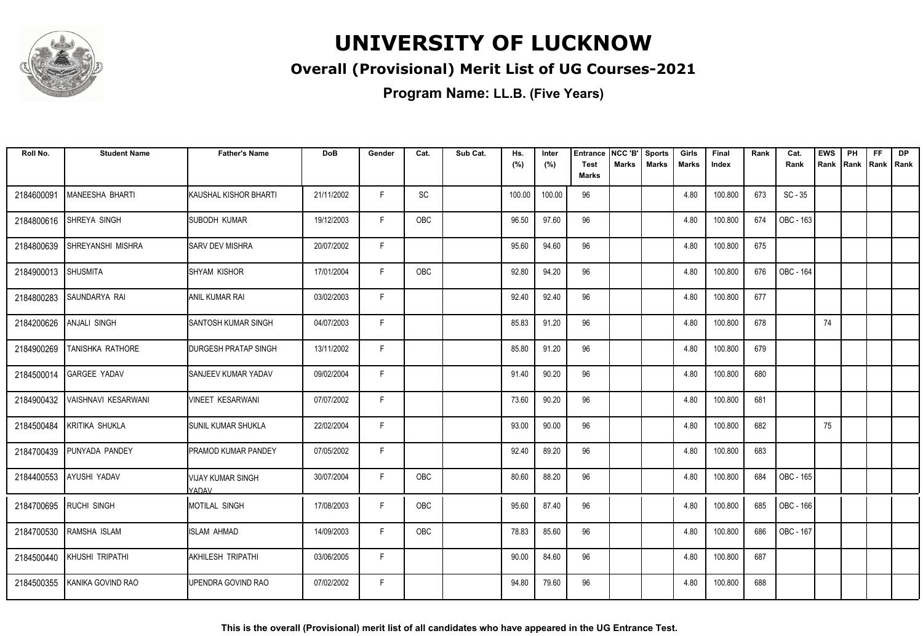

### **Overall (Provisional) Merit List of UG Courses-2021**

| Roll No.            | <b>Student Name</b>          | <b>Father's Name</b>              | <b>DoB</b> | Gender | Cat.       | Sub Cat. | Hs.<br>(%) | Inter<br>(%) | <b>Entrance</b><br><b>Test</b> | NCC 'B'<br>Marks | <b>Sports</b><br><b>Marks</b> | Girls<br>Marks | Final<br>Index | Rank | Cat.<br>Rank | <b>EWS</b><br>Rank | PH<br>Rank Rank Rank | <b>FF</b> | <b>DP</b> |
|---------------------|------------------------------|-----------------------------------|------------|--------|------------|----------|------------|--------------|--------------------------------|------------------|-------------------------------|----------------|----------------|------|--------------|--------------------|----------------------|-----------|-----------|
|                     |                              |                                   |            |        |            |          |            |              | <b>Marks</b>                   |                  |                               |                |                |      |              |                    |                      |           |           |
| 2184600091          | MANEESHA BHARTI              | KAUSHAL KISHOR BHARTI             | 21/11/2002 | F.     | SC         |          | 100.00     | 100.00       | 96                             |                  |                               | 4.80           | 100.800        | 673  | $SC - 35$    |                    |                      |           |           |
| 2184800616          | SHREYA SINGH                 | SUBODH KUMAR                      | 19/12/2003 | F.     | <b>OBC</b> |          | 96.50      | 97.60        | 96                             |                  |                               | 4.80           | 100.800        | 674  | OBC - 163    |                    |                      |           |           |
| 2184800639          | <b>SHREYANSHI MISHRA</b>     | <b>SARV DEV MISHRA</b>            | 20/07/2002 | F      |            |          | 95.60      | 94.60        | 96                             |                  |                               | 4.80           | 100.800        | 675  |              |                    |                      |           |           |
| 2184900013 SHUSMITA |                              | <b>SHYAM KISHOR</b>               | 17/01/2004 | F      | <b>OBC</b> |          | 92.80      | 94.20        | 96                             |                  |                               | 4.80           | 100.800        | 676  | OBC - 164    |                    |                      |           |           |
| 2184800283          | SAUNDARYA RAI                | <b>ANIL KUMAR RAI</b>             | 03/02/2003 | F      |            |          | 92.40      | 92.40        | 96                             |                  |                               | 4.80           | 100.800        | 677  |              |                    |                      |           |           |
| 2184200626          | <b>ANJALI SINGH</b>          | <b>SANTOSH KUMAR SINGH</b>        | 04/07/2003 | F.     |            |          | 85.83      | 91.20        | 96                             |                  |                               | 4.80           | 100.800        | 678  |              | 74                 |                      |           |           |
| 2184900269          | TANISHKA RATHORE             | <b>DURGESH PRATAP SINGH</b>       | 13/11/2002 | F.     |            |          | 85.80      | 91.20        | 96                             |                  |                               | 4.80           | 100.800        | 679  |              |                    |                      |           |           |
|                     | 2184500014 GARGEE YADAV      | SANJEEV KUMAR YADAV               | 09/02/2004 | F      |            |          | 91.40      | 90.20        | 96                             |                  |                               | 4.80           | 100.800        | 680  |              |                    |                      |           |           |
| 2184900432          | VAISHNAVI KESARWANI          | VINEET KESARWANI                  | 07/07/2002 | F.     |            |          | 73.60      | 90.20        | 96                             |                  |                               | 4.80           | 100.800        | 681  |              |                    |                      |           |           |
| 2184500484          | KRITIKA SHUKLA               | ISUNIL KUMAR SHUKLA               | 22/02/2004 | F.     |            |          | 93.00      | 90.00        | 96                             |                  |                               | 4.80           | 100.800        | 682  |              | 75                 |                      |           |           |
| 2184700439          | PUNYADA PANDEY               | PRAMOD KUMAR PANDEY               | 07/05/2002 | F.     |            |          | 92.40      | 89.20        | 96                             |                  |                               | 4.80           | 100.800        | 683  |              |                    |                      |           |           |
|                     | 2184400553 AYUSHI YADAV      | <b>VIJAY KUMAR SINGH</b><br>YADAV | 30/07/2004 | F.     | OBC        |          | 80.60      | 88.20        | 96                             |                  |                               | 4.80           | 100.800        | 684  | OBC - 165    |                    |                      |           |           |
|                     | 2184700695 RUCHI SINGH       | MOTILAL SINGH                     | 17/08/2003 | F      | OBC        |          | 95.60      | 87.40        | 96                             |                  |                               | 4.80           | 100.800        | 685  | OBC - 166    |                    |                      |           |           |
|                     | 2184700530 RAMSHA ISLAM      | <b>ISLAM AHMAD</b>                | 14/09/2003 | F.     | <b>OBC</b> |          | 78.83      | 85.60        | 96                             |                  |                               | 4.80           | 100.800        | 686  | OBC - 167    |                    |                      |           |           |
| 2184500440          | KHUSHI TRIPATHI              | AKHILESH TRIPATHI                 | 03/06/2005 | F.     |            |          | 90.00      | 84.60        | 96                             |                  |                               | 4.80           | 100.800        | 687  |              |                    |                      |           |           |
|                     | 2184500355 KANIKA GOVIND RAO | UPENDRA GOVIND RAO                | 07/02/2002 | F      |            |          | 94.80      | 79.60        | 96                             |                  |                               | 4.80           | 100.800        | 688  |              |                    |                      |           |           |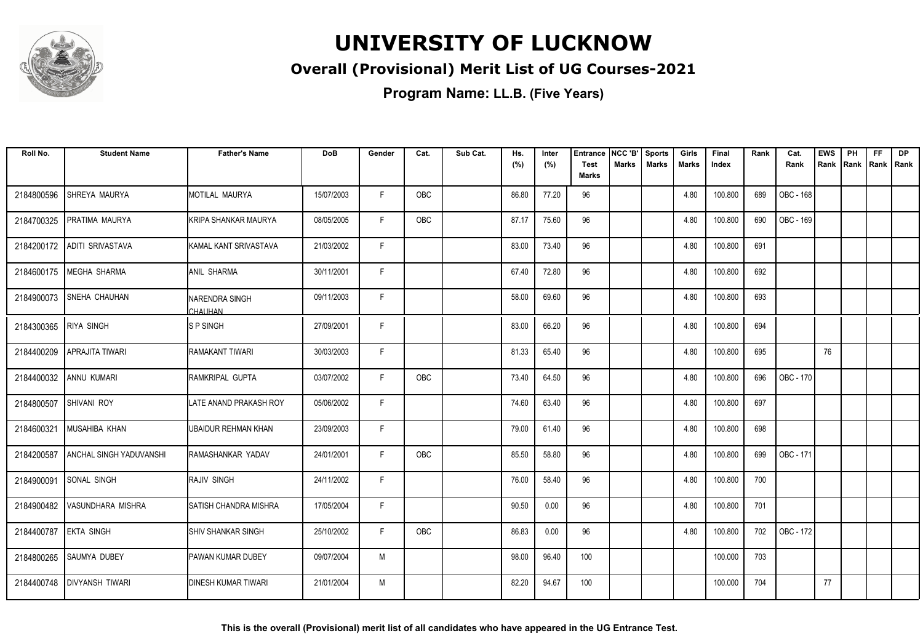

### **Overall (Provisional) Merit List of UG Courses-2021**

| Roll No.              | <b>Student Name</b>            | <b>Father's Name</b>         | <b>DoB</b> | Gender | Cat.       | Sub Cat. | Hs.<br>(%) | Inter<br>(%) | <b>Entrance</b><br><b>Test</b> | NCC 'B'<br>Marks | <b>Sports</b><br><b>Marks</b> | Girls<br>Marks | Final<br>Index | Rank | Cat.<br>Rank | <b>EWS</b><br>Rank | PH<br>Rank | FF<br>Rank   Rank | <b>DP</b> |
|-----------------------|--------------------------------|------------------------------|------------|--------|------------|----------|------------|--------------|--------------------------------|------------------|-------------------------------|----------------|----------------|------|--------------|--------------------|------------|-------------------|-----------|
|                       |                                |                              |            |        |            |          |            |              | <b>Marks</b>                   |                  |                               |                |                |      |              |                    |            |                   |           |
| 2184800596            | SHREYA MAURYA                  | MOTILAL MAURYA               | 15/07/2003 | F.     | OBC        |          | 86.80      | 77.20        | 96                             |                  |                               | 4.80           | 100.800        | 689  | OBC - 168    |                    |            |                   |           |
| 2184700325            | PRATIMA MAURYA                 | KRIPA SHANKAR MAURYA         | 08/05/2005 | F.     | OBC        |          | 87.17      | 75.60        | 96                             |                  |                               | 4.80           | 100.800        | 690  | OBC - 169    |                    |            |                   |           |
| 2184200172            | <b>ADITI SRIVASTAVA</b>        | KAMAL KANT SRIVASTAVA        | 21/03/2002 | F      |            |          | 83.00      | 73.40        | 96                             |                  |                               | 4.80           | 100.800        | 691  |              |                    |            |                   |           |
| 2184600175            | <b>MEGHA SHARMA</b>            | <b>ANIL SHARMA</b>           | 30/11/2001 | F      |            |          | 67.40      | 72.80        | 96                             |                  |                               | 4.80           | 100.800        | 692  |              |                    |            |                   |           |
| 2184900073            | SNEHA CHAUHAN                  | NARENDRA SINGH<br>CHAUHAN    | 09/11/2003 | F      |            |          | 58.00      | 69.60        | 96                             |                  |                               | 4.80           | 100.800        | 693  |              |                    |            |                   |           |
| 2184300365 RIYA SINGH |                                | <b>SPSINGH</b>               | 27/09/2001 | F      |            |          | 83.00      | 66.20        | 96                             |                  |                               | 4.80           | 100.800        | 694  |              |                    |            |                   |           |
| 2184400209            | <b>APRAJITA TIWARI</b>         | RAMAKANT TIWARI              | 30/03/2003 | F      |            |          | 81.33      | 65.40        | 96                             |                  |                               | 4.80           | 100.800        | 695  |              | 76                 |            |                   |           |
| 2184400032            | <b>ANNU KUMARI</b>             | RAMKRIPAL GUPTA              | 03/07/2002 | F      | <b>OBC</b> |          | 73.40      | 64.50        | 96                             |                  |                               | 4.80           | 100.800        | 696  | OBC - 170    |                    |            |                   |           |
| 2184800507            | SHIVANI ROY                    | LATE ANAND PRAKASH ROY       | 05/06/2002 | F      |            |          | 74.60      | 63.40        | 96                             |                  |                               | 4.80           | 100.800        | 697  |              |                    |            |                   |           |
| 2184600321            | <b>MUSAHIBA KHAN</b>           | UBAIDUR REHMAN KHAN          | 23/09/2003 | F      |            |          | 79.00      | 61.40        | 96                             |                  |                               | 4.80           | 100.800        | 698  |              |                    |            |                   |           |
| 2184200587            | <b>ANCHAL SINGH YADUVANSHI</b> | RAMASHANKAR YADAV            | 24/01/2001 | F      | <b>OBC</b> |          | 85.50      | 58.80        | 96                             |                  |                               | 4.80           | 100.800        | 699  | OBC - 171    |                    |            |                   |           |
| 2184900091            | SONAL SINGH                    | <b>RAJIV SINGH</b>           | 24/11/2002 | F.     |            |          | 76.00      | 58.40        | 96                             |                  |                               | 4.80           | 100.800        | 700  |              |                    |            |                   |           |
|                       | 2184900482 VASUNDHARA MISHRA   | <b>SATISH CHANDRA MISHRA</b> | 17/05/2004 | F.     |            |          | 90.50      | 0.00         | 96                             |                  |                               | 4.80           | 100.800        | 701  |              |                    |            |                   |           |
| 2184400787            | <b>EKTA SINGH</b>              | <b>SHIV SHANKAR SINGH</b>    | 25/10/2002 | F      | <b>OBC</b> |          | 86.83      | 0.00         | 96                             |                  |                               | 4.80           | 100.800        | 702  | OBC - 172    |                    |            |                   |           |
| 2184800265            | SAUMYA DUBEY                   | PAWAN KUMAR DUBEY            | 09/07/2004 | M      |            |          | 98.00      | 96.40        | 100                            |                  |                               |                | 100.000        | 703  |              |                    |            |                   |           |
| 2184400748            | <b>IDIVYANSH TIWARI</b>        | <b>DINESH KUMAR TIWARI</b>   | 21/01/2004 | M      |            |          | 82.20      | 94.67        | 100                            |                  |                               |                | 100.000        | 704  |              | 77                 |            |                   |           |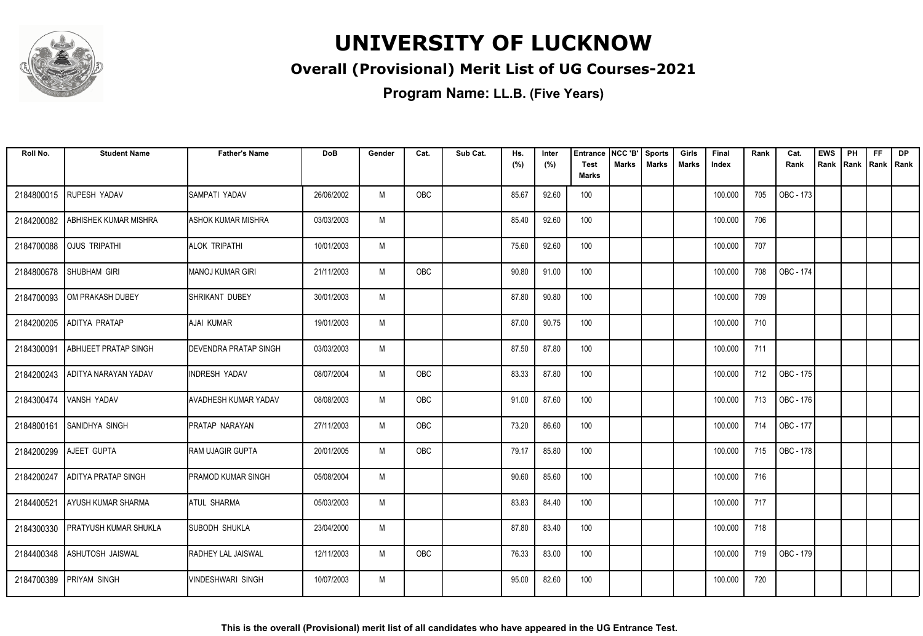

### **Overall (Provisional) Merit List of UG Courses-2021**

| Roll No.   | <b>Student Name</b>          | <b>Father's Name</b>         | <b>DoB</b> | Gender | Cat. | Sub Cat. | Hs.<br>(%) | Inter<br>(%) | Entrance<br><b>Test</b> | NCC 'B'<br><b>Marks</b> | <b>Sports</b><br><b>Marks</b> | Girls<br><b>Marks</b> | Final<br>Index | Rank | Cat.<br>Rank | <b>EWS</b><br>Rank | PH<br>Rank | <b>FF</b><br>  Rank   Rank | <b>DP</b> |
|------------|------------------------------|------------------------------|------------|--------|------|----------|------------|--------------|-------------------------|-------------------------|-------------------------------|-----------------------|----------------|------|--------------|--------------------|------------|----------------------------|-----------|
|            |                              |                              |            |        |      |          |            |              | <b>Marks</b>            |                         |                               |                       |                |      |              |                    |            |                            |           |
| 2184800015 | <b>RUPESH YADAV</b>          | ISAMPATI YADAV               | 26/06/2002 | M      | OBC  |          | 85.67      | 92.60        | 100                     |                         |                               |                       | 100.000        | 705  | OBC - 173    |                    |            |                            |           |
| 2184200082 | ABHISHEK KUMAR MISHRA        | <b>ASHOK KUMAR MISHRA</b>    | 03/03/2003 | M      |      |          | 85.40      | 92.60        | 100                     |                         |                               |                       | 100.000        | 706  |              |                    |            |                            |           |
| 2184700088 | <b>OJUS TRIPATHI</b>         | Ialok tripathi               | 10/01/2003 | M      |      |          | 75.60      | 92.60        | 100                     |                         |                               |                       | 100.000        | 707  |              |                    |            |                            |           |
| 2184800678 | <b>SHUBHAM GIRI</b>          | MANOJ KUMAR GIRI             | 21/11/2003 | M      | OBC  |          | 90.80      | 91.00        | 100                     |                         |                               |                       | 100.000        | 708  | OBC - 174    |                    |            |                            |           |
| 2184700093 | OM PRAKASH DUBEY             | Ishrikant dubey              | 30/01/2003 | M      |      |          | 87.80      | 90.80        | 100                     |                         |                               |                       | 100.000        | 709  |              |                    |            |                            |           |
| 2184200205 | <b>ADITYA PRATAP</b>         | <b>AJAI KUMAR</b>            | 19/01/2003 | M      |      |          | 87.00      | 90.75        | 100                     |                         |                               |                       | 100.000        | 710  |              |                    |            |                            |           |
| 2184300091 | <b>ABHIJEET PRATAP SINGH</b> | <b>DEVENDRA PRATAP SINGH</b> | 03/03/2003 | M      |      |          | 87.50      | 87.80        | 100                     |                         |                               |                       | 100.000        | 711  |              |                    |            |                            |           |
| 2184200243 | ADITYA NARAYAN YADAV         | <b>INDRESH YADAV</b>         | 08/07/2004 | M      | OBC  |          | 83.33      | 87.80        | 100                     |                         |                               |                       | 100.000        | 712  | OBC - 175    |                    |            |                            |           |
| 2184300474 | <b>VANSH YADAV</b>           | <b>AVADHESH KUMAR YADAV</b>  | 08/08/2003 | M      | OBC  |          | 91.00      | 87.60        | 100                     |                         |                               |                       | 100.000        | 713  | OBC - 176    |                    |            |                            |           |
| 2184800161 | <b>SANIDHYA SINGH</b>        | PRATAP NARAYAN               | 27/11/2003 | M      | OBC  |          | 73.20      | 86.60        | 100                     |                         |                               |                       | 100.000        | 714  | OBC - 177    |                    |            |                            |           |
| 2184200299 | AJEET GUPTA                  | <b>IRAM UJAGIR GUPTA</b>     | 20/01/2005 | M      | OBC  |          | 79.17      | 85.80        | 100                     |                         |                               |                       | 100.000        | 715  | OBC - 178    |                    |            |                            |           |
| 2184200247 | <b>ADITYA PRATAP SINGH</b>   | IPRAMOD KUMAR SINGH          | 05/08/2004 | M      |      |          | 90.60      | 85.60        | 100                     |                         |                               |                       | 100.000        | 716  |              |                    |            |                            |           |
| 2184400521 | <b>AYUSH KUMAR SHARMA</b>    | <b>ATUL SHARMA</b>           | 05/03/2003 | M      |      |          | 83.83      | 84.40        | 100                     |                         |                               |                       | 100.000        | 717  |              |                    |            |                            |           |
| 2184300330 | <b>PRATYUSH KUMAR SHUKLA</b> | <b>SUBODH SHUKLA</b>         | 23/04/2000 | M      |      |          | 87.80      | 83.40        | 100                     |                         |                               |                       | 100.000        | 718  |              |                    |            |                            |           |
| 2184400348 | <b>ASHUTOSH JAISWAL</b>      | RADHEY LAL JAISWAL           | 12/11/2003 | M      | OBC  |          | 76.33      | 83.00        | 100                     |                         |                               |                       | 100.000        | 719  | OBC - 179    |                    |            |                            |           |
| 2184700389 | <b>PRIYAM SINGH</b>          | IVINDESHWARI SINGH           | 10/07/2003 | M      |      |          | 95.00      | 82.60        | 100                     |                         |                               |                       | 100.000        | 720  |              |                    |            |                            |           |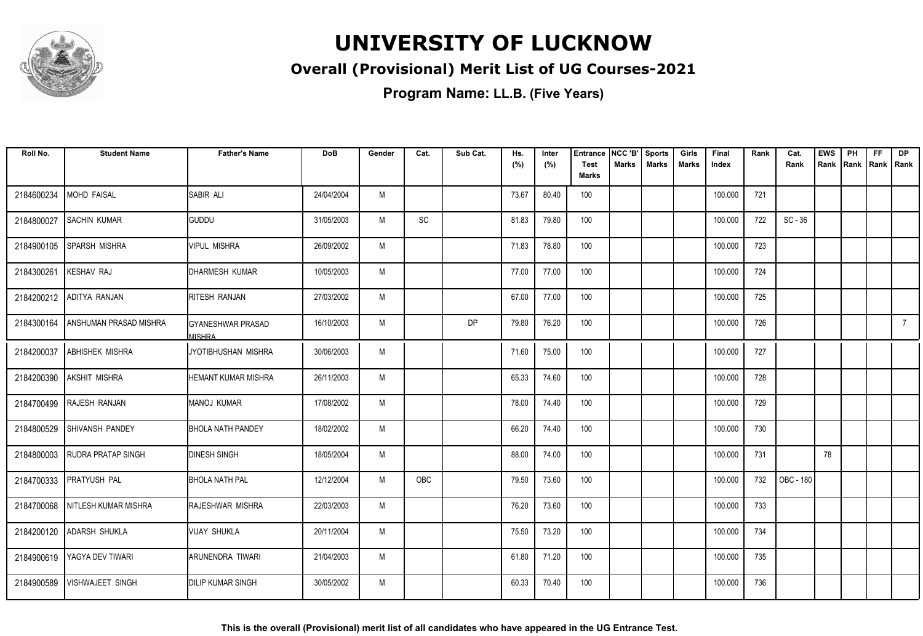

### **Overall (Provisional) Merit List of UG Courses-2021**

| Roll No.   | <b>Student Name</b>             | <b>Father's Name</b>                | <b>DoB</b> | Gender | Cat. | Sub Cat. | Hs.<br>(%) | Inter<br>(%) | Entrance<br><b>Test</b><br><b>Marks</b> | NCC 'B'<br><b>Marks</b> | <b>Sports</b><br><b>Marks</b> | Girls<br><b>Marks</b> | Final<br>Index | Rank | Cat.<br>Rank | <b>EWS</b><br>Rank | PH<br>Rank | FF<br>Rank   Rank | <b>DP</b>   |
|------------|---------------------------------|-------------------------------------|------------|--------|------|----------|------------|--------------|-----------------------------------------|-------------------------|-------------------------------|-----------------------|----------------|------|--------------|--------------------|------------|-------------------|-------------|
| 2184600234 | <b>MOHD FAISAL</b>              | <b>SABIR ALI</b>                    | 24/04/2004 | M      |      |          | 73.67      | 80.40        | 100                                     |                         |                               |                       | 100.000        | 721  |              |                    |            |                   |             |
| 2184800027 | <b>SACHIN KUMAR</b>             | <b>GUDDU</b>                        | 31/05/2003 | M      | SC   |          | 81.83      | 79.80        | 100                                     |                         |                               |                       | 100.000        | 722  | $SC - 36$    |                    |            |                   |             |
| 2184900105 | SPARSH MISHRA                   | <b>VIPUL MISHRA</b>                 | 26/09/2002 | M      |      |          | 71.83      | 78.80        | 100                                     |                         |                               |                       | 100.000        | 723  |              |                    |            |                   |             |
| 2184300261 | <b>KESHAV RAJ</b>               | DHARMESH KUMAR                      | 10/05/2003 | M      |      |          | 77.00      | 77.00        | 100                                     |                         |                               |                       | 100.000        | 724  |              |                    |            |                   |             |
| 2184200212 | ADITYA RANJAN                   | RITESH RANJAN                       | 27/03/2002 | M      |      |          | 67.00      | 77.00        | 100                                     |                         |                               |                       | 100.000        | 725  |              |                    |            |                   |             |
| 2184300164 | ANSHUMAN PRASAD MISHRA          | IGYANESHWAR PRASAD<br><b>MISHRA</b> | 16/10/2003 | M      |      | DP       | 79.80      | 76.20        | 100                                     |                         |                               |                       | 100.000        | 726  |              |                    |            |                   | $7^{\circ}$ |
| 2184200037 | <b>ABHISHEK MISHRA</b>          | JYOTIBHUSHAN MISHRA                 | 30/06/2003 | M      |      |          | 71.60      | 75.00        | 100                                     |                         |                               |                       | 100.000        | 727  |              |                    |            |                   |             |
| 2184200390 | AKSHIT MISHRA                   | <b>HEMANT KUMAR MISHRA</b>          | 26/11/2003 | M      |      |          | 65.33      | 74.60        | 100                                     |                         |                               |                       | 100.000        | 728  |              |                    |            |                   |             |
|            | 2184700499 RAJESH RANJAN        | <b>MANOJ KUMAR</b>                  | 17/08/2002 | M      |      |          | 78.00      | 74.40        | 100                                     |                         |                               |                       | 100.000        | 729  |              |                    |            |                   |             |
| 2184800529 | <b>SHIVANSH PANDEY</b>          | <b>BHOLA NATH PANDEY</b>            | 18/02/2002 | M      |      |          | 66.20      | 74.40        | 100                                     |                         |                               |                       | 100.000        | 730  |              |                    |            |                   |             |
| 2184800003 | <b>RUDRA PRATAP SINGH</b>       | <b>DINESH SINGH</b>                 | 18/05/2004 | M      |      |          | 88.00      | 74.00        | 100                                     |                         |                               |                       | 100.000        | 731  |              | 78                 |            |                   |             |
| 2184700333 | <b>PRATYUSH PAL</b>             | <b>BHOLA NATH PAL</b>               | 12/12/2004 | M      | OBC  |          | 79.50      | 73.60        | 100                                     |                         |                               |                       | 100.000        | 732  | OBC - 180    |                    |            |                   |             |
|            | 2184700068 NITLESH KUMAR MISHRA | RAJESHWAR MISHRA                    | 22/03/2003 | M      |      |          | 76.20      | 73.60        | 100                                     |                         |                               |                       | 100.000        | 733  |              |                    |            |                   |             |
| 2184200120 | <b>ADARSH SHUKLA</b>            | <b>VIJAY SHUKLA</b>                 | 20/11/2004 | M      |      |          | 75.50      | 73.20        | 100                                     |                         |                               |                       | 100.000        | 734  |              |                    |            |                   |             |
| 2184900619 | YAGYA DEV TIWARI                | ARUNENDRA TIWARI                    | 21/04/2003 | M      |      |          | 61.80      | 71.20        | 100                                     |                         |                               |                       | 100.000        | 735  |              |                    |            |                   |             |
| 2184900589 | <b>VISHWAJEET SINGH</b>         | <b>DILIP KUMAR SINGH</b>            | 30/05/2002 | M      |      |          | 60.33      | 70.40        | 100                                     |                         |                               |                       | 100.000        | 736  |              |                    |            |                   |             |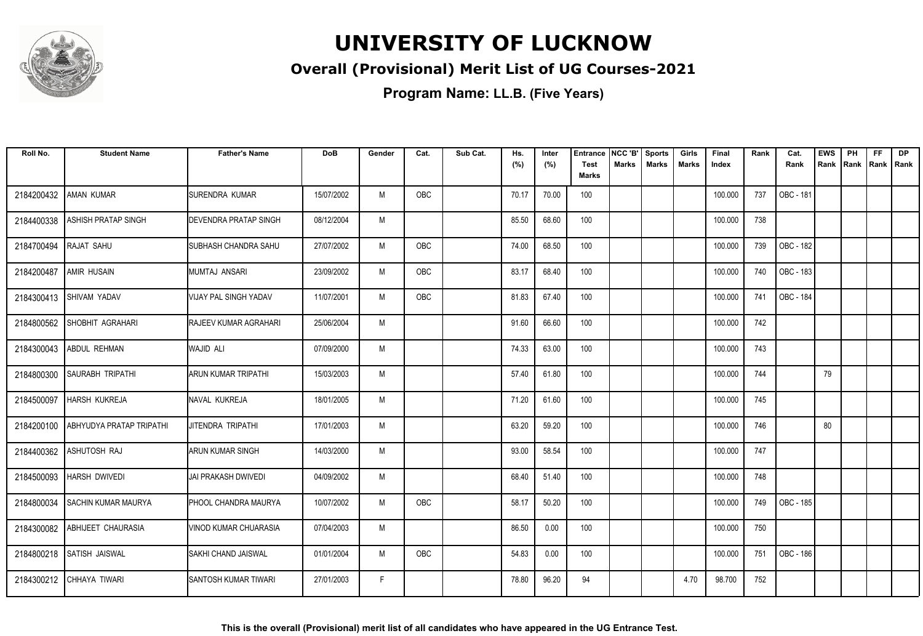

### **Overall (Provisional) Merit List of UG Courses-2021**

| Roll No.   | <b>Student Name</b>             | <b>Father's Name</b>           | <b>DoB</b> | Gender | Cat.       | Sub Cat. | Hs.<br>(%) | Inter<br>(%) | Entrance<br><b>Test</b> | NCC 'B'<br>Marks | <b>Sports</b><br><b>Marks</b> | Girls<br><b>Marks</b> | Final<br>Index | Rank | Cat.<br>Rank     | <b>EWS</b><br>Rank | PH<br>Rank | FF<br>  Rank   Rank | <b>DP</b> |
|------------|---------------------------------|--------------------------------|------------|--------|------------|----------|------------|--------------|-------------------------|------------------|-------------------------------|-----------------------|----------------|------|------------------|--------------------|------------|---------------------|-----------|
|            |                                 |                                |            |        |            |          |            |              | <b>Marks</b>            |                  |                               |                       |                |      |                  |                    |            |                     |           |
| 2184200432 | <b>AMAN KUMAR</b>               | ISURENDRA KUMAR                | 15/07/2002 | M      | OBC        |          | 70.17      | 70.00        | 100                     |                  |                               |                       | 100.000        | 737  | <b>OBC - 181</b> |                    |            |                     |           |
| 2184400338 | ASHISH PRATAP SINGH             | <b>IDEVENDRA PRATAP SINGH</b>  | 08/12/2004 | M      |            |          | 85.50      | 68.60        | 100                     |                  |                               |                       | 100.000        | 738  |                  |                    |            |                     |           |
| 2184700494 | <b>RAJAT SAHU</b>               | <b>I</b> SUBHASH CHANDRA SAHU  | 27/07/2002 | M      | <b>OBC</b> |          | 74.00      | 68.50        | 100                     |                  |                               |                       | 100.000        | 739  | OBC - 182        |                    |            |                     |           |
| 2184200487 | AMIR HUSAIN                     | Imumtaj Ansari                 | 23/09/2002 | M      | OBC        |          | 83.17      | 68.40        | 100                     |                  |                               |                       | 100.000        | 740  | OBC - 183        |                    |            |                     |           |
| 2184300413 | SHIVAM YADAV                    | VIJAY PAL SINGH YADAV          | 11/07/2001 | M      | OBC        |          | 81.83      | 67.40        | 100                     |                  |                               |                       | 100.000        | 741  | OBC - 184        |                    |            |                     |           |
| 2184800562 | <b>SHOBHIT AGRAHARI</b>         | <b>RAJEEV KUMAR AGRAHARI</b>   | 25/06/2004 | M      |            |          | 91.60      | 66.60        | 100                     |                  |                               |                       | 100.000        | 742  |                  |                    |            |                     |           |
| 2184300043 | <b>ABDUL REHMAN</b>             | <b>WAJID ALI</b>               | 07/09/2000 | M      |            |          | 74.33      | 63.00        | 100                     |                  |                               |                       | 100.000        | 743  |                  |                    |            |                     |           |
| 2184800300 | <b>SAURABH TRIPATHI</b>         | ARUN KUMAR TRIPATHI            | 15/03/2003 | M      |            |          | 57.40      | 61.80        | 100                     |                  |                               |                       | 100.000        | 744  |                  | 79                 |            |                     |           |
| 2184500097 | HARSH KUKREJA                   | NAVAL KUKREJA                  | 18/01/2005 | M      |            |          | 71.20      | 61.60        | 100                     |                  |                               |                       | 100.000        | 745  |                  |                    |            |                     |           |
| 2184200100 | <b>ABHYUDYA PRATAP TRIPATHI</b> | JITENDRA TRIPATHI              | 17/01/2003 | M      |            |          | 63.20      | 59.20        | 100                     |                  |                               |                       | 100.000        | 746  |                  | 80                 |            |                     |           |
| 2184400362 | ASHUTOSH RAJ                    | ARUN KUMAR SINGH               | 14/03/2000 | M      |            |          | 93.00      | 58.54        | 100                     |                  |                               |                       | 100.000        | 747  |                  |                    |            |                     |           |
| 2184500093 | <b>HARSH DWIVEDI</b>            | JAI PRAKASH DWIVEDI            | 04/09/2002 | M      |            |          | 68.40      | 51.40        | 100                     |                  |                               |                       | 100.000        | 748  |                  |                    |            |                     |           |
| 2184800034 | <b>SACHIN KUMAR MAURYA</b>      | <b>PHOOL CHANDRA MAURYA</b>    | 10/07/2002 | M      | OBC        |          | 58.17      | 50.20        | 100                     |                  |                               |                       | 100.000        | 749  | OBC - 185        |                    |            |                     |           |
| 2184300082 | <b>ABHIJEET CHAURASIA</b>       | <b>I</b> VINOD KUMAR CHUARASIA | 07/04/2003 | M      |            |          | 86.50      | 0.00         | 100                     |                  |                               |                       | 100.000        | 750  |                  |                    |            |                     |           |
| 2184800218 | SATISH JAISWAL                  | SAKHI CHAND JAISWAL            | 01/01/2004 | M      | OBC        |          | 54.83      | 0.00         | 100                     |                  |                               |                       | 100.000        | 751  | OBC - 186        |                    |            |                     |           |
|            | 2184300212 CHHAYA TIWARI        | <b>ISANTOSH KUMAR TIWARI</b>   | 27/01/2003 | F      |            |          | 78.80      | 96.20        | 94                      |                  |                               | 4.70                  | 98.700         | 752  |                  |                    |            |                     |           |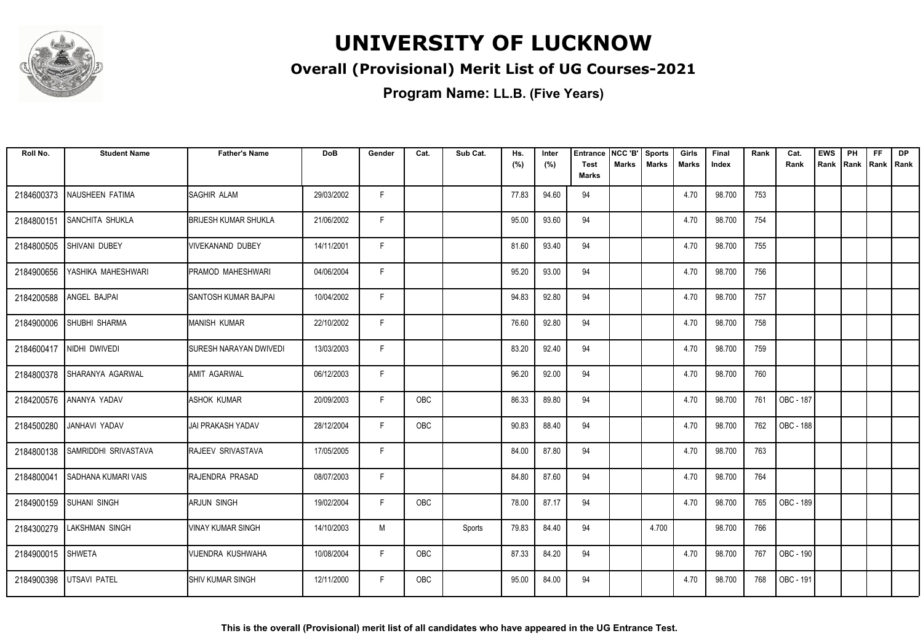

### **Overall (Provisional) Merit List of UG Courses-2021**

| Roll No.   | <b>Student Name</b>       | <b>Father's Name</b>          | <b>DoB</b> | Gender | Cat.       | Sub Cat. | Hs.<br>(%) | Inter<br>(%) | <b>Entrance</b><br><b>Test</b><br><b>Marks</b> | NCC 'B'<br>Marks | Sports<br><b>Marks</b> | Girls<br>Marks | Final<br>Index | Rank | Cat.<br>Rank | <b>EWS</b><br>Rank | PH<br>Rank | <b>FF</b><br>Rank   Rank | <b>DP</b> |
|------------|---------------------------|-------------------------------|------------|--------|------------|----------|------------|--------------|------------------------------------------------|------------------|------------------------|----------------|----------------|------|--------------|--------------------|------------|--------------------------|-----------|
| 2184600373 | NAUSHEEN FATIMA           | SAGHIR ALAM                   | 29/03/2002 | F.     |            |          | 77.83      | 94.60        | 94                                             |                  |                        | 4.70           | 98.700         | 753  |              |                    |            |                          |           |
| 2184800151 | <b>SANCHITA SHUKLA</b>    | <b>BRIJESH KUMAR SHUKLA</b>   | 21/06/2002 | F.     |            |          | 95.00      | 93.60        | 94                                             |                  |                        | 4.70           | 98.700         | 754  |              |                    |            |                          |           |
| 2184800505 | SHIVANI DUBEY             | <b>VIVEKANAND DUBEY</b>       | 14/11/2001 | F      |            |          | 81.60      | 93.40        | 94                                             |                  |                        | 4.70           | 98.700         | 755  |              |                    |            |                          |           |
| 2184900656 | YASHIKA MAHESHWARI        | PRAMOD MAHESHWARI             | 04/06/2004 | F      |            |          | 95.20      | 93.00        | 94                                             |                  |                        | 4.70           | 98.700         | 756  |              |                    |            |                          |           |
| 2184200588 | ANGEL BAJPAI              | <b>SANTOSH KUMAR BAJPAI</b>   | 10/04/2002 | F      |            |          | 94.83      | 92.80        | 94                                             |                  |                        | 4.70           | 98.700         | 757  |              |                    |            |                          |           |
| 2184900006 | <b>SHUBHI SHARMA</b>      | MANISH KUMAR                  | 22/10/2002 | F      |            |          | 76.60      | 92.80        | 94                                             |                  |                        | 4.70           | 98.700         | 758  |              |                    |            |                          |           |
|            | 2184600417 NIDHI DWIVEDI  | <b>SURESH NARAYAN DWIVEDI</b> | 13/03/2003 | F.     |            |          | 83.20      | 92.40        | 94                                             |                  |                        | 4.70           | 98.700         | 759  |              |                    |            |                          |           |
| 2184800378 | <b>SHARANYA AGARWAL</b>   | <b>AMIT AGARWAL</b>           | 06/12/2003 | F.     |            |          | 96.20      | 92.00        | 94                                             |                  |                        | 4.70           | 98.700         | 760  |              |                    |            |                          |           |
| 2184200576 | ANANYA YADAV              | <b>ASHOK KUMAR</b>            | 20/09/2003 | F.     | <b>OBC</b> |          | 86.33      | 89.80        | 94                                             |                  |                        | 4.70           | 98.700         | 761  | OBC - 187    |                    |            |                          |           |
| 2184500280 | JANHAVI YADAV             | <b>JAI PRAKASH YADAV</b>      | 28/12/2004 | F      | OBC        |          | 90.83      | 88.40        | 94                                             |                  |                        | 4.70           | 98.700         | 762  | OBC - 188    |                    |            |                          |           |
| 2184800138 | SAMRIDDHI SRIVASTAVA      | <b>IRAJEEV SRIVASTAVA</b>     | 17/05/2005 | F      |            |          | 84.00      | 87.80        | 94                                             |                  |                        | 4.70           | 98.700         | 763  |              |                    |            |                          |           |
| 2184800041 | SADHANA KUMARI VAIS       | RAJENDRA PRASAD               | 08/07/2003 | F      |            |          | 84.80      | 87.60        | 94                                             |                  |                        | 4.70           | 98.700         | 764  |              |                    |            |                          |           |
| 2184900159 | <b>SUHANI SINGH</b>       | <b>ARJUN SINGH</b>            | 19/02/2004 | F.     | OBC        |          | 78.00      | 87.17        | 94                                             |                  |                        | 4.70           | 98.700         | 765  | OBC - 189    |                    |            |                          |           |
|            | 2184300279 LAKSHMAN SINGH | <b>VINAY KUMAR SINGH</b>      | 14/10/2003 | M      |            | Sports   | 79.83      | 84.40        | 94                                             |                  | 4.700                  |                | 98.700         | 766  |              |                    |            |                          |           |
| 2184900015 | <b>SHWETA</b>             | VIJENDRA KUSHWAHA             | 10/08/2004 | F      | OBC        |          | 87.33      | 84.20        | 94                                             |                  |                        | 4.70           | 98.700         | 767  | OBC - 190    |                    |            |                          |           |
| 2184900398 | <b>UTSAVI PATEL</b>       | ISHIV KUMAR SINGH             | 12/11/2000 | F.     | <b>OBC</b> |          | 95.00      | 84.00        | 94                                             |                  |                        | 4.70           | 98.700         | 768  | OBC - 191    |                    |            |                          |           |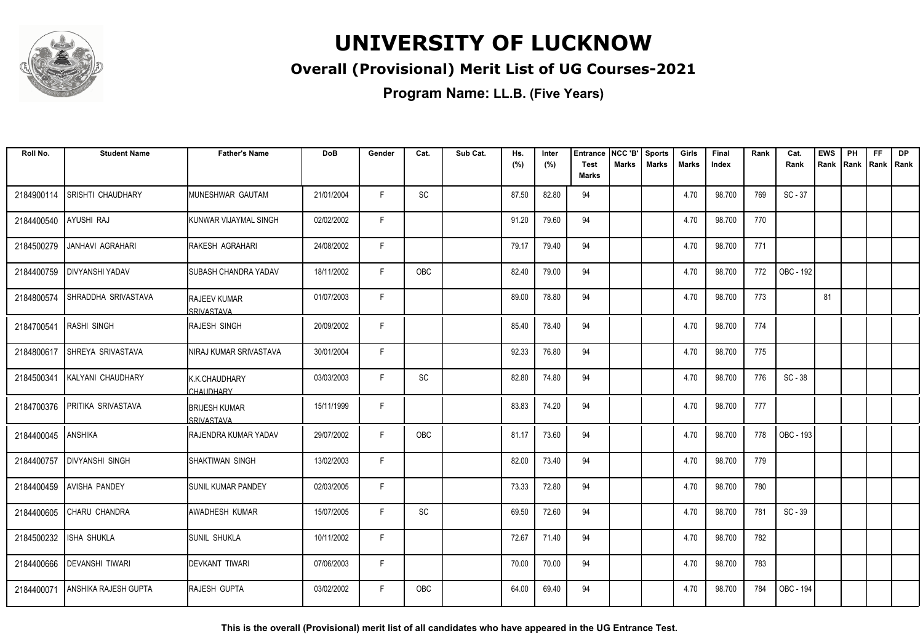

### **Overall (Provisional) Merit List of UG Courses-2021**

**Program Name: LL.B. (Five Years)**

| Roll No.   | <b>Student Name</b>         | <b>Father's Name</b>               | <b>DoB</b> | Gender | Cat.       | Sub Cat. | Hs.<br>(%) | Inter<br>(%) | <b>Entrance</b><br><b>Test</b><br><b>Marks</b> | NCC 'B'<br><b>Marks</b> | <b>Sports</b><br><b>Marks</b> | Girls<br><b>Marks</b> | Final<br>Index | Rank | Cat.<br>Rank | <b>EWS</b><br>Rank | PH<br>Rank | <b>FF</b><br>Rank   Rank | <b>DP</b> |
|------------|-----------------------------|------------------------------------|------------|--------|------------|----------|------------|--------------|------------------------------------------------|-------------------------|-------------------------------|-----------------------|----------------|------|--------------|--------------------|------------|--------------------------|-----------|
|            |                             |                                    |            |        |            |          |            |              |                                                |                         |                               |                       |                |      |              |                    |            |                          |           |
| 2184900114 | SRISHTI CHAUDHARY           | MUNESHWAR GAUTAM                   | 21/01/2004 | F.     | SC         |          | 87.50      | 82.80        | 94                                             |                         |                               | 4.70                  | 98.700         | 769  | $SC - 37$    |                    |            |                          |           |
| 2184400540 | <b>AYUSHI RAJ</b>           | KUNWAR VIJAYMAL SINGH              | 02/02/2002 | E      |            |          | 91.20      | 79.60        | 94                                             |                         |                               | 4.70                  | 98.700         | 770  |              |                    |            |                          |           |
| 2184500279 | <b>JANHAVI AGRAHARI</b>     | RAKESH AGRAHARI                    | 24/08/2002 | F      |            |          | 79.17      | 79.40        | 94                                             |                         |                               | 4.70                  | 98.700         | 771  |              |                    |            |                          |           |
| 2184400759 | <b>DIVYANSHI YADAV</b>      | <b>ISUBASH CHANDRA YADAV</b>       | 18/11/2002 | F      | <b>OBC</b> |          | 82.40      | 79.00        | 94                                             |                         |                               | 4.70                  | 98.700         | 772  | OBC - 192    |                    |            |                          |           |
| 2184800574 | SHRADDHA SRIVASTAVA         | <b>RAJEEV KUMAR</b><br>SRIVASTAVA  | 01/07/2003 | F      |            |          | 89.00      | 78.80        | 94                                             |                         |                               | 4.70                  | 98.700         | 773  |              | 81                 |            |                          |           |
| 2184700541 | <b>RASHI SINGH</b>          | <b>IRAJESH SINGH</b>               | 20/09/2002 | F.     |            |          | 85.40      | 78.40        | 94                                             |                         |                               | 4.70                  | 98.700         | 774  |              |                    |            |                          |           |
| 2184800617 | <b>SHREYA SRIVASTAVA</b>    | NIRAJ KUMAR SRIVASTAVA             | 30/01/2004 | F      |            |          | 92.33      | 76.80        | 94                                             |                         |                               | 4.70                  | 98.700         | 775  |              |                    |            |                          |           |
| 2184500341 | KALYANI CHAUDHARY           | K.K.CHAUDHARY<br>CHAUDHARY         | 03/03/2003 | F      | SC         |          | 82.80      | 74.80        | 94                                             |                         |                               | 4.70                  | 98.700         | 776  | $SC - 38$    |                    |            |                          |           |
| 2184700376 | PRITIKA SRIVASTAVA          | <b>BRIJESH KUMAR</b><br>SRIVASTAVA | 15/11/1999 | F      |            |          | 83.83      | 74.20        | 94                                             |                         |                               | 4.70                  | 98.700         | 777  |              |                    |            |                          |           |
| 2184400045 | ANSHIKA                     | <b>IRAJENDRA KUMAR YADAV</b>       | 29/07/2002 | F      | <b>OBC</b> |          | 81.17      | 73.60        | 94                                             |                         |                               | 4.70                  | 98.700         | 778  | OBC - 193    |                    |            |                          |           |
| 2184400757 | <b>DIVYANSHI SINGH</b>      | SHAKTIWAN SINGH                    | 13/02/2003 | F      |            |          | 82.00      | 73.40        | 94                                             |                         |                               | 4.70                  | 98.700         | 779  |              |                    |            |                          |           |
|            | 2184400459 AVISHA PANDEY    | <b>SUNIL KUMAR PANDEY</b>          | 02/03/2005 | F.     |            |          | 73.33      | 72.80        | 94                                             |                         |                               | 4.70                  | 98.700         | 780  |              |                    |            |                          |           |
| 2184400605 | CHARU CHANDRA               | AWADHESH KUMAR                     | 15/07/2005 | F      | SC         |          | 69.50      | 72.60        | 94                                             |                         |                               | 4.70                  | 98.700         | 781  | SC - 39      |                    |            |                          |           |
| 2184500232 | <b>ISHA SHUKLA</b>          | <b>SUNIL SHUKLA</b>                | 10/11/2002 | F      |            |          | 72.67      | 71.40        | 94                                             |                         |                               | 4.70                  | 98.700         | 782  |              |                    |            |                          |           |
| 2184400666 | <b>DEVANSHI TIWARI</b>      | DEVKANT TIWARI                     | 07/06/2003 | F.     |            |          | 70.00      | 70.00        | 94                                             |                         |                               | 4.70                  | 98.700         | 783  |              |                    |            |                          |           |
| 2184400071 | <b>ANSHIKA RAJESH GUPTA</b> | RAJESH GUPTA                       | 03/02/2002 | F.     | OBC        |          | 64.00      | 69.40        | 94                                             |                         |                               | 4.70                  | 98.700         | 784  | OBC - 194    |                    |            |                          |           |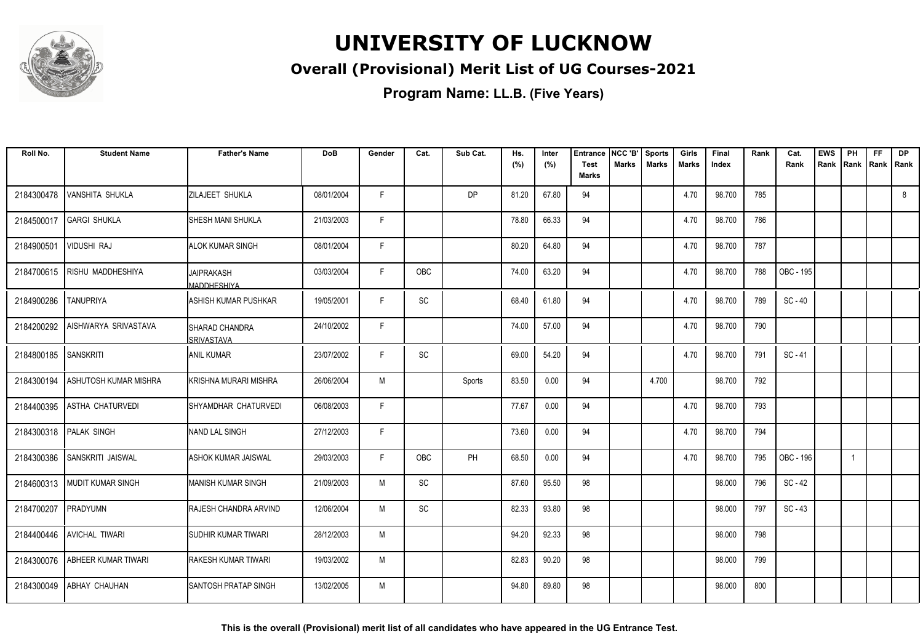

### **Overall (Provisional) Merit List of UG Courses-2021**

**Program Name: LL.B. (Five Years)**

| Roll No.   | <b>Student Name</b>          | <b>Father's Name</b>                        | <b>DoB</b> | Gender | Cat.       | Sub Cat.  | Hs.<br>(%) | Inter<br>(%) | <b>Entrance</b><br><b>Test</b><br><b>Marks</b> | NCC 'B'<br><b>Marks</b> | <b>Sports</b><br><b>Marks</b> | Girls<br>Marks | Final<br>Index | Rank | Cat.<br>Rank | <b>EWS</b><br>Rank | PH<br>Rank | FF<br>Rank | <b>DP</b><br>l Rank |
|------------|------------------------------|---------------------------------------------|------------|--------|------------|-----------|------------|--------------|------------------------------------------------|-------------------------|-------------------------------|----------------|----------------|------|--------------|--------------------|------------|------------|---------------------|
| 2184300478 | <b>VANSHITA SHUKLA</b>       | <b>ZILAJEET SHUKLA</b>                      | 08/01/2004 | F.     |            | <b>DP</b> | 81.20      | 67.80        | 94                                             |                         |                               | 4.70           | 98.700         | 785  |              |                    |            |            | 8                   |
| 2184500017 | <b>GARGI SHUKLA</b>          | ISHESH MANI SHUKLA                          | 21/03/2003 | F.     |            |           | 78.80      | 66.33        | 94                                             |                         |                               | 4.70           | 98.700         | 786  |              |                    |            |            |                     |
| 2184900501 | <b>VIDUSHI RAJ</b>           | <b>ALOK KUMAR SINGH</b>                     | 08/01/2004 | F.     |            |           | 80.20      | 64.80        | 94                                             |                         |                               | 4.70           | 98.700         | 787  |              |                    |            |            |                     |
| 2184700615 | <b>RISHU MADDHESHIYA</b>     | <b>JAIPRAKASH</b><br>MADDHESHIYA            | 03/03/2004 | F      | OBC        |           | 74.00      | 63.20        | 94                                             |                         |                               | 4.70           | 98.700         | 788  | OBC - 195    |                    |            |            |                     |
| 2184900286 | <b>TANUPRIYA</b>             | <b>ASHISH KUMAR PUSHKAR</b>                 | 19/05/2001 | F      | SC         |           | 68.40      | 61.80        | 94                                             |                         |                               | 4.70           | 98.700         | 789  | $SC - 40$    |                    |            |            |                     |
| 2184200292 | AISHWARYA SRIVASTAVA         | <b>ISHARAD CHANDRA</b><br><b>SRIVASTAVA</b> | 24/10/2002 | F.     |            |           | 74.00      | 57.00        | 94                                             |                         |                               | 4.70           | 98.700         | 790  |              |                    |            |            |                     |
| 2184800185 | <b>SANSKRITI</b>             | <b>ANIL KUMAR</b>                           | 23/07/2002 | F      | SC         |           | 69.00      | 54.20        | 94                                             |                         |                               | 4.70           | 98.700         | 791  | $SC - 41$    |                    |            |            |                     |
| 2184300194 | ASHUTOSH KUMAR MISHRA        | İKRISHNA MURARI MISHRA                      | 26/06/2004 | M      |            | Sports    | 83.50      | 0.00         | 94                                             |                         | 4.700                         |                | 98.700         | 792  |              |                    |            |            |                     |
| 2184400395 | <b>ASTHA CHATURVEDI</b>      | ISHYAMDHAR CHATURVEDI                       | 06/08/2003 | E      |            |           | 77.67      | 0.00         | 94                                             |                         |                               | 4.70           | 98.700         | 793  |              |                    |            |            |                     |
| 2184300318 | <b>PALAK SINGH</b>           | INAND LAL SINGH                             | 27/12/2003 | F.     |            |           | 73.60      | 0.00         | 94                                             |                         |                               | 4.70           | 98.700         | 794  |              |                    |            |            |                     |
| 2184300386 | SANSKRITI JAISWAL            | <b>ASHOK KUMAR JAISWAL</b>                  | 29/03/2003 | F      | <b>OBC</b> | PH        | 68.50      | 0.00         | 94                                             |                         |                               | 4.70           | 98.700         | 795  | OBC - 196    |                    |            |            |                     |
|            | 2184600313 MUDIT KUMAR SINGH | <b>I</b> MANISH KUMAR SINGH                 | 21/09/2003 | M      | SC         |           | 87.60      | 95.50        | 98                                             |                         |                               |                | 98.000         | 796  | $SC - 42$    |                    |            |            |                     |
| 2184700207 | PRADYUMN                     | RAJESH CHANDRA ARVIND                       | 12/06/2004 | M      | SC         |           | 82.33      | 93.80        | 98                                             |                         |                               |                | 98.000         | 797  | $SC - 43$    |                    |            |            |                     |
| 2184400446 | <b>AVICHAL TIWARI</b>        | <b>SUDHIR KUMAR TIWARI</b>                  | 28/12/2003 | M      |            |           | 94.20      | 92.33        | 98                                             |                         |                               |                | 98.000         | 798  |              |                    |            |            |                     |
| 2184300076 | ABHEER KUMAR TIWARI          | IRAKESH KUMAR TIWARI                        | 19/03/2002 | M      |            |           | 82.83      | 90.20        | 98                                             |                         |                               |                | 98.000         | 799  |              |                    |            |            |                     |
| 2184300049 | <b>ABHAY CHAUHAN</b>         | ISANTOSH PRATAP SINGH                       | 13/02/2005 | M      |            |           | 94.80      | 89.80        | 98                                             |                         |                               |                | 98.000         | 800  |              |                    |            |            |                     |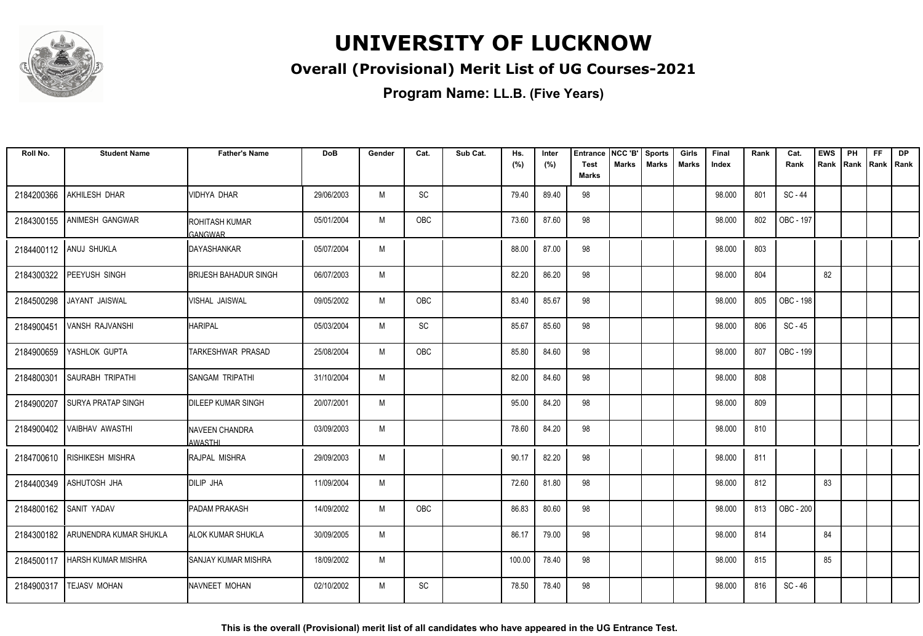

### **Overall (Provisional) Merit List of UG Courses-2021**

| Roll No.   | <b>Student Name</b>         | <b>Father's Name</b>                    | <b>DoB</b> | Gender | Cat. | Sub Cat. | Hs.    | Inter | <b>Entrance</b>      | NCC 'B'      | <b>Sports</b> | Girls        | Final  | Rank | Cat.      | <b>EWS</b> | PH             | <b>FF</b> | <b>DP</b> |
|------------|-----------------------------|-----------------------------------------|------------|--------|------|----------|--------|-------|----------------------|--------------|---------------|--------------|--------|------|-----------|------------|----------------|-----------|-----------|
|            |                             |                                         |            |        |      |          | (%)    | (%)   | <b>Test</b><br>Marks | <b>Marks</b> | <b>Marks</b>  | <b>Marks</b> | Index  |      | Rank      | Rank       | Rank Rank Rank |           |           |
| 2184200366 | AKHILESH DHAR               | <b>VIDHYA DHAR</b>                      | 29/06/2003 | M      | SC   |          | 79.40  | 89.40 | 98                   |              |               |              | 98.000 | 801  | $SC - 44$ |            |                |           |           |
| 2184300155 | <b>ANIMESH GANGWAR</b>      | <b>ROHITASH KUMAR</b><br><b>GANGWAR</b> | 05/01/2004 | M      | OBC  |          | 73.60  | 87.60 | 98                   |              |               |              | 98.000 | 802  | OBC - 197 |            |                |           |           |
|            | 2184400112 ANUJ SHUKLA      | IDAYASHANKAR                            | 05/07/2004 | M      |      |          | 88.00  | 87.00 | 98                   |              |               |              | 98.000 | 803  |           |            |                |           |           |
| 2184300322 | PEEYUSH SINGH               | <b>BRIJESH BAHADUR SINGH</b>            | 06/07/2003 | M      |      |          | 82.20  | 86.20 | 98                   |              |               |              | 98.000 | 804  |           | 82         |                |           |           |
| 2184500298 | JAYANT JAISWAL              | VISHAL JAISWAL                          | 09/05/2002 | M      | OBC  |          | 83.40  | 85.67 | 98                   |              |               |              | 98.000 | 805  | OBC - 198 |            |                |           |           |
| 2184900451 | VANSH RAJVANSHI             | <b>HARIPAL</b>                          | 05/03/2004 | M      | SC   |          | 85.67  | 85.60 | 98                   |              |               |              | 98.000 | 806  | SC - 45   |            |                |           |           |
| 2184900659 | YASHLOK GUPTA               | TARKESHWAR PRASAD                       | 25/08/2004 | M      | OBC  |          | 85.80  | 84.60 | 98                   |              |               |              | 98.000 | 807  | OBC - 199 |            |                |           |           |
| 2184800301 | <b>SAURABH TRIPATHI</b>     | SANGAM TRIPATHI                         | 31/10/2004 | M      |      |          | 82.00  | 84.60 | 98                   |              |               |              | 98.000 | 808  |           |            |                |           |           |
| 2184900207 | <b>SURYA PRATAP SINGH</b>   | <b>DILEEP KUMAR SINGH</b>               | 20/07/2001 | M      |      |          | 95.00  | 84.20 | 98                   |              |               |              | 98.000 | 809  |           |            |                |           |           |
| 2184900402 | <b>VAIBHAV AWASTHI</b>      | NAVEEN CHANDRA<br><b>AWASTHI</b>        | 03/09/2003 | M      |      |          | 78.60  | 84.20 | 98                   |              |               |              | 98.000 | 810  |           |            |                |           |           |
|            | 2184700610 RISHIKESH MISHRA | <b>I</b> RAJPAL MISHRA                  | 29/09/2003 | M      |      |          | 90.17  | 82.20 | 98                   |              |               |              | 98.000 | 811  |           |            |                |           |           |
| 2184400349 | <b>ASHUTOSH JHA</b>         | DILIP JHA                               | 11/09/2004 | M      |      |          | 72.60  | 81.80 | 98                   |              |               |              | 98.000 | 812  |           | 83         |                |           |           |
|            | 2184800162 SANIT YADAV      | <b>PADAM PRAKASH</b>                    | 14/09/2002 | M      | OBC  |          | 86.83  | 80.60 | 98                   |              |               |              | 98.000 | 813  | OBC - 200 |            |                |           |           |
| 2184300182 | ARUNENDRA KUMAR SHUKLA      | <b>ALOK KUMAR SHUKLA</b>                | 30/09/2005 | M      |      |          | 86.17  | 79.00 | 98                   |              |               |              | 98.000 | 814  |           | 84         |                |           |           |
| 2184500117 | <b>HARSH KUMAR MISHRA</b>   | <b>I</b> SANJAY KUMAR MISHRA            | 18/09/2002 | M      |      |          | 100.00 | 78.40 | 98                   |              |               |              | 98.000 | 815  |           | 85         |                |           |           |
| 2184900317 | <b>TEJASV MOHAN</b>         | NAVNEET MOHAN                           | 02/10/2002 | M      | SC   |          | 78.50  | 78.40 | 98                   |              |               |              | 98.000 | 816  | SC - 46   |            |                |           |           |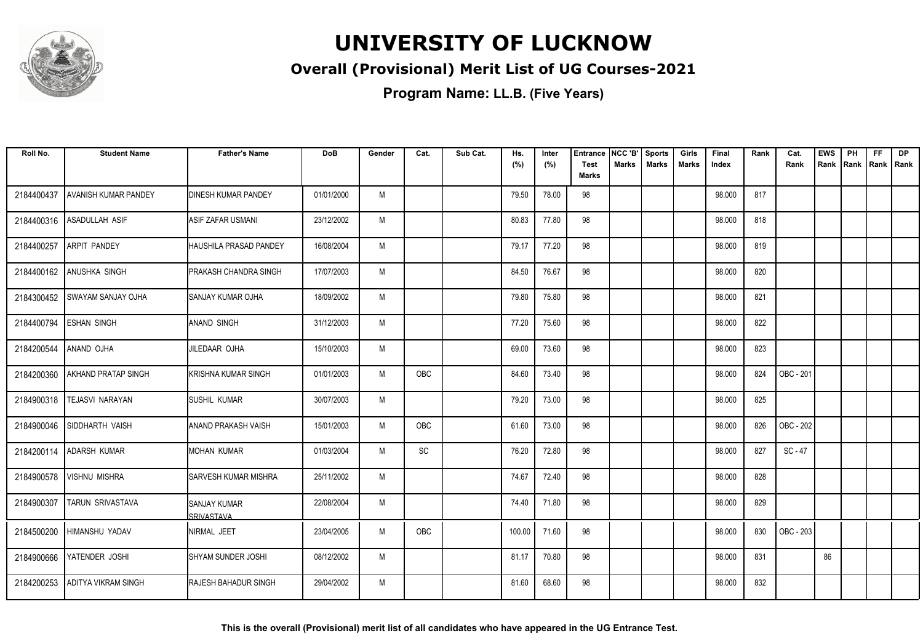

### **Overall (Provisional) Merit List of UG Courses-2021**

| Roll No.   | <b>Student Name</b>        | <b>Father's Name</b>                      | <b>DoB</b> | Gender | Cat.                         | Sub Cat. | Hs.<br>(%) | Inter<br>(%) | <b>Entrance</b><br>Test<br><b>Marks</b> | NCC 'B'<br>Marks | <b>Sports</b><br><b>Marks</b> | Girls<br>Marks | Final<br>Index | Rank | Cat.<br>Rank | <b>EWS</b><br>Rank | PH<br>Rank | <b>FF</b><br>Rank   Rank | <b>DP</b> |
|------------|----------------------------|-------------------------------------------|------------|--------|------------------------------|----------|------------|--------------|-----------------------------------------|------------------|-------------------------------|----------------|----------------|------|--------------|--------------------|------------|--------------------------|-----------|
| 2184400437 | AVANISH KUMAR PANDEY       | <b>I</b> DINESH KUMAR PANDEY              | 01/01/2000 | M      |                              |          | 79.50      | 78.00        | 98                                      |                  |                               |                | 98.000         | 817  |              |                    |            |                          |           |
| 2184400316 | <b>ASADULLAH ASIF</b>      | <b>ASIF ZAFAR USMANI</b>                  | 23/12/2002 | M      |                              |          | 80.83      | 77.80        | 98                                      |                  |                               |                | 98.000         | 818  |              |                    |            |                          |           |
| 2184400257 | <b>ARPIT PANDEY</b>        | HAUSHILA PRASAD PANDEY                    | 16/08/2004 | M      |                              |          | 79.17      | 77.20        | 98                                      |                  |                               |                | 98.000         | 819  |              |                    |            |                          |           |
| 2184400162 | <b>ANUSHKA SINGH</b>       | <b>PRAKASH CHANDRA SINGH</b>              | 17/07/2003 | M      |                              |          | 84.50      | 76.67        | 98                                      |                  |                               |                | 98.000         | 820  |              |                    |            |                          |           |
| 2184300452 | <b>SWAYAM SANJAY OJHA</b>  | <b>SANJAY KUMAR OJHA</b>                  | 18/09/2002 | M      |                              |          | 79.80      | 75.80        | 98                                      |                  |                               |                | 98.000         | 821  |              |                    |            |                          |           |
| 2184400794 | <b>ESHAN SINGH</b>         | <b>ANAND SINGH</b>                        | 31/12/2003 | M      |                              |          | 77.20      | 75.60        | 98                                      |                  |                               |                | 98.000         | 822  |              |                    |            |                          |           |
| 2184200544 | ANAND OJHA                 | JILEDAAR OJHA                             | 15/10/2003 | M      |                              |          | 69.00      | 73.60        | 98                                      |                  |                               |                | 98.000         | 823  |              |                    |            |                          |           |
| 2184200360 | <b>AKHAND PRATAP SINGH</b> | KRISHNA KUMAR SINGH                       | 01/01/2003 | M      | OBC                          |          | 84.60      | 73.40        | 98                                      |                  |                               |                | 98.000         | 824  | OBC - 201    |                    |            |                          |           |
| 2184900318 | <b>TEJASVI NARAYAN</b>     | <b>ISUSHIL KUMAR</b>                      | 30/07/2003 | M      |                              |          | 79.20      | 73.00        | 98                                      |                  |                               |                | 98.000         | 825  |              |                    |            |                          |           |
| 2184900046 | SIDDHARTH VAISH            | IANAND PRAKASH VAISH                      | 15/01/2003 | M      | OBC                          |          | 61.60      | 73.00        | 98                                      |                  |                               |                | 98.000         | 826  | OBC - 202    |                    |            |                          |           |
| 2184200114 | <b>ADARSH KUMAR</b>        | IMOHAN KUMAR                              | 01/03/2004 | M      | $\operatorname{\textsf{SC}}$ |          | 76.20      | 72.80        | 98                                      |                  |                               |                | 98.000         | 827  | $SC - 47$    |                    |            |                          |           |
| 2184900578 | <b>VISHNU MISHRA</b>       | <b>I</b> SARVESH KUMAR MISHRA             | 25/11/2002 | M      |                              |          | 74.67      | 72.40        | 98                                      |                  |                               |                | 98.000         | 828  |              |                    |            |                          |           |
| 2184900307 | TARUN SRIVASTAVA           | <b>ISANJAY KUMAR</b><br><b>SRIVASTAVA</b> | 22/08/2004 | M      |                              |          | 74.40      | 71.80        | 98                                      |                  |                               |                | 98.000         | 829  |              |                    |            |                          |           |
| 2184500200 | HIMANSHU YADAV             | <b>INIRMAL JEET</b>                       | 23/04/2005 | M      | <b>OBC</b>                   |          | 100.00     | 71.60        | 98                                      |                  |                               |                | 98.000         | 830  | OBC - 203    |                    |            |                          |           |
| 2184900666 | YATENDER JOSHI             | <b>SHYAM SUNDER JOSHI</b>                 | 08/12/2002 | M      |                              |          | 81.17      | 70.80        | 98                                      |                  |                               |                | 98.000         | 831  |              | 86                 |            |                          |           |
| 2184200253 | <b>ADITYA VIKRAM SINGH</b> | <b>I</b> RAJESH BAHADUR SINGH             | 29/04/2002 | M      |                              |          | 81.60      | 68.60        | 98                                      |                  |                               |                | 98.000         | 832  |              |                    |            |                          |           |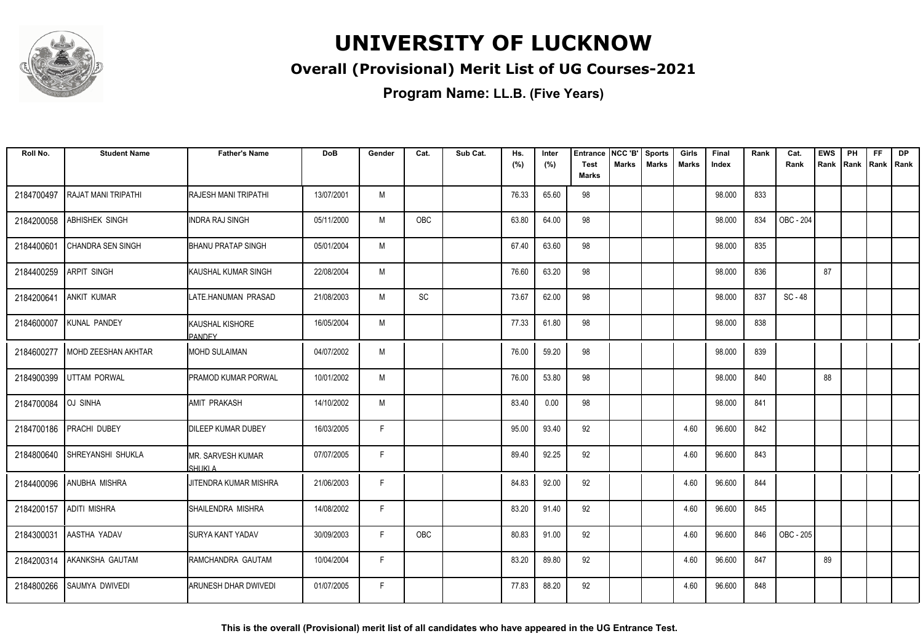

### **Overall (Provisional) Merit List of UG Courses-2021**

**Program Name: LL.B. (Five Years)**

| Roll No.   | <b>Student Name</b>   | <b>Father's Name</b>                      | <b>DoB</b> | Gender | Cat.                         | Sub Cat. | Hs.<br>(%) | Inter<br>(%) | <b>Entrance</b><br><b>Test</b> | NCC 'B'<br><b>Marks</b> | <b>Sports</b><br><b>Marks</b> | Girls<br><b>Marks</b> | Final<br>Index | Rank | Cat.<br>Rank | <b>EWS</b><br>Rank Rank | PH | <b>FF</b> | <b>DP</b><br>Rank   Rank |
|------------|-----------------------|-------------------------------------------|------------|--------|------------------------------|----------|------------|--------------|--------------------------------|-------------------------|-------------------------------|-----------------------|----------------|------|--------------|-------------------------|----|-----------|--------------------------|
|            |                       |                                           |            |        |                              |          |            |              | Marks                          |                         |                               |                       |                |      |              |                         |    |           |                          |
| 2184700497 | RAJAT MANI TRIPATHI   | <b>RAJESH MANI TRIPATHI</b>               | 13/07/2001 | M      |                              |          | 76.33      | 65.60        | 98                             |                         |                               |                       | 98.000         | 833  |              |                         |    |           |                          |
| 2184200058 | <b>ABHISHEK SINGH</b> | <b>INDRA RAJ SINGH</b>                    | 05/11/2000 | M      | <b>OBC</b>                   |          | 63.80      | 64.00        | 98                             |                         |                               |                       | 98.000         | 834  | OBC - 204    |                         |    |           |                          |
| 2184400601 | CHANDRA SEN SINGH     | <b>BHANU PRATAP SINGH</b>                 | 05/01/2004 | M      |                              |          | 67.40      | 63.60        | 98                             |                         |                               |                       | 98.000         | 835  |              |                         |    |           |                          |
| 2184400259 | <b>ARPIT SINGH</b>    | <b>I</b> KAUSHAL KUMAR SINGH              | 22/08/2004 | M      |                              |          | 76.60      | 63.20        | 98                             |                         |                               |                       | 98.000         | 836  |              | 87                      |    |           |                          |
| 2184200641 | <b>ANKIT KUMAR</b>    | LATE.HANUMAN PRASAD                       | 21/08/2003 | M      | $\operatorname{\textsf{SC}}$ |          | 73.67      | 62.00        | 98                             |                         |                               |                       | 98.000         | 837  | SC - 48      |                         |    |           |                          |
| 2184600007 | KUNAL PANDEY          | <b>I</b> KAUSHAL KISHORE<br><b>PANDEY</b> | 16/05/2004 | M      |                              |          | 77.33      | 61.80        | 98                             |                         |                               |                       | 98.000         | 838  |              |                         |    |           |                          |
| 2184600277 | MOHD ZEESHAN AKHTAR   | MOHD SULAIMAN                             | 04/07/2002 | M      |                              |          | 76.00      | 59.20        | 98                             |                         |                               |                       | 98.000         | 839  |              |                         |    |           |                          |
| 2184900399 | <b>UTTAM PORWAL</b>   | <b>PRAMOD KUMAR PORWAL</b>                | 10/01/2002 | M      |                              |          | 76.00      | 53.80        | 98                             |                         |                               |                       | 98.000         | 840  |              | 88                      |    |           |                          |
| 2184700084 | <b>OJ SINHA</b>       | <b>JAMIT PRAKASH</b>                      | 14/10/2002 | M      |                              |          | 83.40      | 0.00         | 98                             |                         |                               |                       | 98.000         | 841  |              |                         |    |           |                          |
| 2184700186 | <b>PRACHI DUBEY</b>   | <b>IDILEEP KUMAR DUBEY</b>                | 16/03/2005 | F      |                              |          | 95.00      | 93.40        | 92                             |                         |                               | 4.60                  | 96.600         | 842  |              |                         |    |           |                          |
| 2184800640 | SHREYANSHI SHUKLA     | <b>MR. SARVESH KUMAR</b><br>SHUKI A       | 07/07/2005 | F      |                              |          | 89.40      | 92.25        | 92                             |                         |                               | 4.60                  | 96.600         | 843  |              |                         |    |           |                          |
| 2184400096 | <b>ANUBHA MISHRA</b>  | JITENDRA KUMAR MISHRA                     | 21/06/2003 | F      |                              |          | 84.83      | 92.00        | 92                             |                         |                               | 4.60                  | 96.600         | 844  |              |                         |    |           |                          |
| 2184200157 | <b>ADITI MISHRA</b>   | SHAILENDRA MISHRA                         | 14/08/2002 | F      |                              |          | 83.20      | 91.40        | 92                             |                         |                               | 4.60                  | 96.600         | 845  |              |                         |    |           |                          |
| 2184300031 | AASTHA YADAV          | <b>SURYA KANT YADAV</b>                   | 30/09/2003 | F      | OBC                          |          | 80.83      | 91.00        | 92                             |                         |                               | 4.60                  | 96.600         | 846  | OBC - 205    |                         |    |           |                          |
| 2184200314 | AKANKSHA GAUTAM       | RAMCHANDRA GAUTAM                         | 10/04/2004 | F      |                              |          | 83.20      | 89.80        | 92                             |                         |                               | 4.60                  | 96.600         | 847  |              | 89                      |    |           |                          |
| 2184800266 | <b>SAUMYA DWIVEDI</b> | <b>ARUNESH DHAR DWIVEDI</b>               | 01/07/2005 | F      |                              |          | 77.83      | 88.20        | 92                             |                         |                               | 4.60                  | 96.600         | 848  |              |                         |    |           |                          |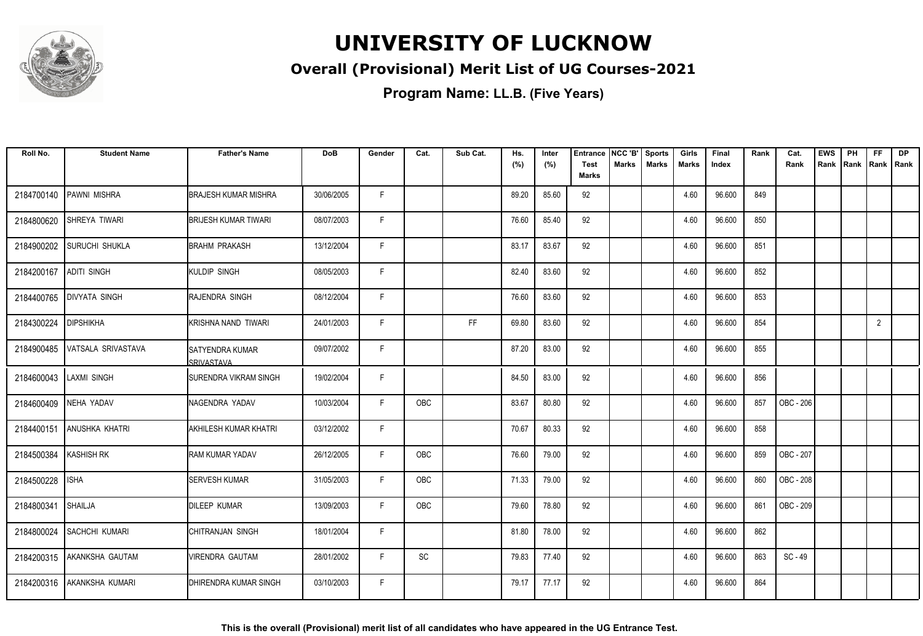

### **Overall (Provisional) Merit List of UG Courses-2021**

| Roll No.   | <b>Student Name</b>       | <b>Father's Name</b>                   | <b>DoB</b> | Gender | Cat.       | Sub Cat. | Hs.<br>(%) | Inter<br>(%) | <b>Entrance</b><br><b>Test</b> | NCC 'B'<br>Marks | <b>Sports</b><br><b>Marks</b> | Girls<br>Marks | Final<br>Index | Rank | Cat.<br>Rank | <b>EWS</b><br>Rank | PH<br>Rank | <b>FF</b><br>Rank   Rank | <b>DP</b> |
|------------|---------------------------|----------------------------------------|------------|--------|------------|----------|------------|--------------|--------------------------------|------------------|-------------------------------|----------------|----------------|------|--------------|--------------------|------------|--------------------------|-----------|
|            |                           |                                        |            |        |            |          |            |              | <b>Marks</b>                   |                  |                               |                |                |      |              |                    |            |                          |           |
| 2184700140 | PAWNI MISHRA              | <b>BRAJESH KUMAR MISHRA</b>            | 30/06/2005 | F.     |            |          | 89.20      | 85.60        | 92                             |                  |                               | 4.60           | 96.600         | 849  |              |                    |            |                          |           |
| 2184800620 | SHREYA TIWARI             | <b>BRIJESH KUMAR TIWARI</b>            | 08/07/2003 | F.     |            |          | 76.60      | 85.40        | 92                             |                  |                               | 4.60           | 96.600         | 850  |              |                    |            |                          |           |
| 2184900202 | <b>SURUCHI SHUKLA</b>     | BRAHM PRAKASH                          | 13/12/2004 | F      |            |          | 83.17      | 83.67        | 92                             |                  |                               | 4.60           | 96.600         | 851  |              |                    |            |                          |           |
| 2184200167 | <b>ADITI SINGH</b>        | KULDIP SINGH                           | 08/05/2003 | F      |            |          | 82.40      | 83.60        | 92                             |                  |                               | 4.60           | 96.600         | 852  |              |                    |            |                          |           |
| 2184400765 | <b>DIVYATA SINGH</b>      | RAJENDRA SINGH                         | 08/12/2004 | F      |            |          | 76.60      | 83.60        | 92                             |                  |                               | 4.60           | 96.600         | 853  |              |                    |            |                          |           |
| 2184300224 | <b>DIPSHIKHA</b>          | KRISHNA NAND TIWARI                    | 24/01/2003 | F.     |            | FF       | 69.80      | 83.60        | 92                             |                  |                               | 4.60           | 96.600         | 854  |              |                    |            | $\overline{2}$           |           |
| 2184900485 | VATSALA SRIVASTAVA        | <b>I</b> SATYENDRA KUMAR<br>SRIVASTAVA | 09/07/2002 | F      |            |          | 87.20      | 83.00        | 92                             |                  |                               | 4.60           | 96.600         | 855  |              |                    |            |                          |           |
|            | 2184600043 LAXMI SINGH    | SURENDRA VIKRAM SINGH                  | 19/02/2004 | F      |            |          | 84.50      | 83.00        | 92                             |                  |                               | 4.60           | 96.600         | 856  |              |                    |            |                          |           |
| 2184600409 | NEHA YADAV                | NAGENDRA YADAV                         | 10/03/2004 | F      | <b>OBC</b> |          | 83.67      | 80.80        | 92                             |                  |                               | 4.60           | 96.600         | 857  | OBC - 206    |                    |            |                          |           |
| 2184400151 | <b>ANUSHKA KHATRI</b>     | AKHILESH KUMAR KHATRI                  | 03/12/2002 | F      |            |          | 70.67      | 80.33        | 92                             |                  |                               | 4.60           | 96.600         | 858  |              |                    |            |                          |           |
| 2184500384 | <b>KASHISH RK</b>         | <b>RAM KUMAR YADAV</b>                 | 26/12/2005 | F      | OBC        |          | 76.60      | 79.00        | 92                             |                  |                               | 4.60           | 96.600         | 859  | OBC - 207    |                    |            |                          |           |
| 2184500228 | <b>ISHA</b>               | <b>SERVESH KUMAR</b>                   | 31/05/2003 | F.     | OBC        |          | 71.33      | 79.00        | 92                             |                  |                               | 4.60           | 96.600         | 860  | OBC - 208    |                    |            |                          |           |
| 2184800341 | <b>SHAILJA</b>            | <b>DILEEP KUMAR</b>                    | 13/09/2003 | F      | OBC        |          | 79.60      | 78.80        | 92                             |                  |                               | 4.60           | 96.600         | 861  | OBC - 209    |                    |            |                          |           |
|            | 2184800024 SACHCHI KUMARI | CHITRANJAN SINGH                       | 18/01/2004 | F      |            |          | 81.80      | 78.00        | 92                             |                  |                               | 4.60           | 96.600         | 862  |              |                    |            |                          |           |
| 2184200315 | AKANKSHA GAUTAM           | VIRENDRA GAUTAM                        | 28/01/2002 | F.     | SC         |          | 79.83      | 77.40        | 92                             |                  |                               | 4.60           | 96.600         | 863  | SC - 49      |                    |            |                          |           |
| 2184200316 | AKANKSHA KUMARI           | DHIRENDRA KUMAR SINGH                  | 03/10/2003 | F      |            |          | 79.17      | 77.17        | 92                             |                  |                               | 4.60           | 96.600         | 864  |              |                    |            |                          |           |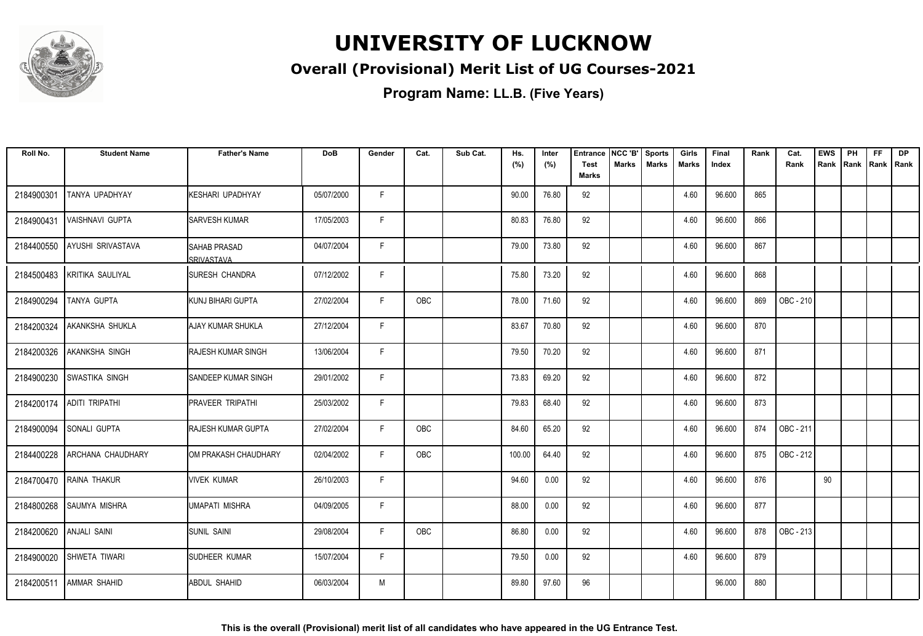

### **Overall (Provisional) Merit List of UG Courses-2021**

| Roll No.                | <b>Student Name</b>      | <b>Father's Name</b>                | <b>DoB</b> | Gender | Cat.       | Sub Cat. | Hs.    | Inter | <b>Entrance</b>      | NCC 'B'      | <b>Sports</b><br><b>Marks</b> | Girls        | Final  | Rank | Cat.      | <b>EWS</b> | PH             | <b>FF</b> | <b>DP</b> |
|-------------------------|--------------------------|-------------------------------------|------------|--------|------------|----------|--------|-------|----------------------|--------------|-------------------------------|--------------|--------|------|-----------|------------|----------------|-----------|-----------|
|                         |                          |                                     |            |        |            |          | (%)    | (%)   | <b>Test</b><br>Marks | <b>Marks</b> |                               | <b>Marks</b> | Index  |      | Rank      | Rank       | Rank Rank Rank |           |           |
| 2184900301              | TANYA UPADHYAY           | KESHARI UPADHYAY                    | 05/07/2000 | F.     |            |          | 90.00  | 76.80 | 92                   |              |                               | 4.60         | 96.600 | 865  |           |            |                |           |           |
| 2184900431              | VAISHNAVI GUPTA          | <b>I</b> SARVESH KUMAR              | 17/05/2003 | F.     |            |          | 80.83  | 76.80 | 92                   |              |                               | 4.60         | 96.600 | 866  |           |            |                |           |           |
| 2184400550              | <b>AYUSHI SRIVASTAVA</b> | <b>I</b> SAHAB PRASAD<br>SRIVASTAVA | 04/07/2004 | F      |            |          | 79.00  | 73.80 | 92                   |              |                               | 4.60         | 96.600 | 867  |           |            |                |           |           |
| 2184500483              | KRITIKA SAULIYAL         | ISURESH CHANDRA                     | 07/12/2002 | F      |            |          | 75.80  | 73.20 | 92                   |              |                               | 4.60         | 96.600 | 868  |           |            |                |           |           |
| 2184900294              | TANYA GUPTA              | <b>I</b> KUNJ BIHARI GUPTA          | 27/02/2004 | F      | <b>OBC</b> |          | 78.00  | 71.60 | 92                   |              |                               | 4.60         | 96.600 | 869  | OBC - 210 |            |                |           |           |
| 2184200324              | AKANKSHA SHUKLA          | AJAY KUMAR SHUKLA                   | 27/12/2004 | F      |            |          | 83.67  | 70.80 | 92                   |              |                               | 4.60         | 96.600 | 870  |           |            |                |           |           |
| 2184200326              | <b>AKANKSHA SINGH</b>    | <b>I</b> RAJESH KUMAR SINGH         | 13/06/2004 | F      |            |          | 79.50  | 70.20 | 92                   |              |                               | 4.60         | 96.600 | 871  |           |            |                |           |           |
| 2184900230              | <b>SWASTIKA SINGH</b>    | <b>I</b> SANDEEP KUMAR SINGH        | 29/01/2002 | F.     |            |          | 73.83  | 69.20 | 92                   |              |                               | 4.60         | 96.600 | 872  |           |            |                |           |           |
| 2184200174              | <b>ADITI TRIPATHI</b>    | <b>IPRAVEER TRIPATHI</b>            | 25/03/2002 | F.     |            |          | 79.83  | 68.40 | 92                   |              |                               | 4.60         | 96.600 | 873  |           |            |                |           |           |
| 2184900094              | <b>SONALI GUPTA</b>      | <b>I</b> RAJESH KUMAR GUPTA         | 27/02/2004 | F      | OBC        |          | 84.60  | 65.20 | 92                   |              |                               | 4.60         | 96.600 | 874  | OBC - 211 |            |                |           |           |
| 2184400228              | ARCHANA CHAUDHARY        | <b>I</b> OM PRAKASH CHAUDHARY       | 02/04/2002 | F      | OBC        |          | 100.00 | 64.40 | 92                   |              |                               | 4.60         | 96.600 | 875  | OBC - 212 |            |                |           |           |
|                         | 2184700470 RAINA THAKUR  | Ivivek kumar                        | 26/10/2003 | F      |            |          | 94.60  | 0.00  | 92                   |              |                               | 4.60         | 96.600 | 876  |           | 90         |                |           |           |
| 2184800268              | <b>SAUMYA MISHRA</b>     | UMAPATI MISHRA                      | 04/09/2005 | F.     |            |          | 88.00  | 0.00  | 92                   |              |                               | 4.60         | 96.600 | 877  |           |            |                |           |           |
| 2184200620 ANJALI SAINI |                          | <b>SUNIL SAINI</b>                  | 29/08/2004 | F      | OBC        |          | 86.80  | 0.00  | 92                   |              |                               | 4.60         | 96.600 | 878  | OBC - 213 |            |                |           |           |
| 2184900020              | <b>SHWETA TIWARI</b>     | <b>SUDHEER KUMAR</b>                | 15/07/2004 | F      |            |          | 79.50  | 0.00  | 92                   |              |                               | 4.60         | 96.600 | 879  |           |            |                |           |           |
| 2184200511              | <b>AMMAR SHAHID</b>      | ABDUL SHAHID                        | 06/03/2004 | M      |            |          | 89.80  | 97.60 | 96                   |              |                               |              | 96.000 | 880  |           |            |                |           |           |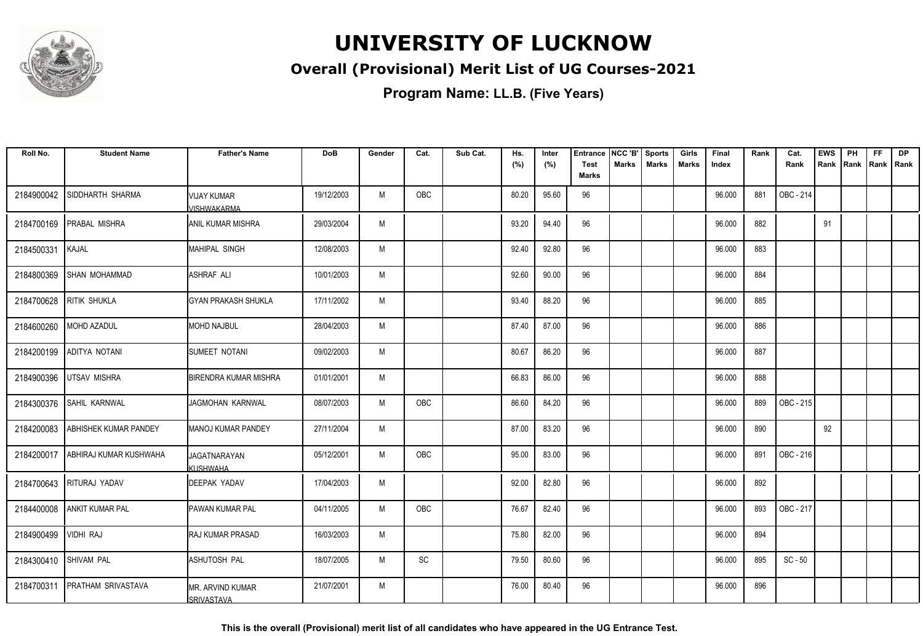

### **Overall (Provisional) Merit List of UG Courses-2021**

**Program Name: LL.B. (Five Years)**

| Roll No.   | <b>Student Name</b>          | <b>Father's Name</b>                   | <b>DoB</b> | Gender | Cat. | Sub Cat. | Hs.   | Inter | <b>Entrance</b>             | NCC 'B'      | <b>Sports</b> | Girls | Final  | Rank | Cat.      | <b>EWS</b> | PH                  | <b>FF</b> | <b>DP</b> |
|------------|------------------------------|----------------------------------------|------------|--------|------|----------|-------|-------|-----------------------------|--------------|---------------|-------|--------|------|-----------|------------|---------------------|-----------|-----------|
|            |                              |                                        |            |        |      |          | (%)   | (%)   | <b>Test</b><br><b>Marks</b> | <b>Marks</b> | <b>Marks</b>  | Marks | Index  |      | Rank      |            | Rank Rank Rank Rank |           |           |
| 2184900042 | SIDDHARTH SHARMA             | VIJAY KUMAR<br>/ISHWAKARMA             | 19/12/2003 | M      | OBC  |          | 80.20 | 95.60 | 96                          |              |               |       | 96.000 | 881  | OBC - 214 |            |                     |           |           |
| 2184700169 | <b>PRABAL MISHRA</b>         | <b>ANIL KUMAR MISHRA</b>               | 29/03/2004 | M      |      |          | 93.20 | 94.40 | 96                          |              |               |       | 96.000 | 882  |           | 91         |                     |           |           |
| 2184500331 | <b>KAJAL</b>                 | IMAHIPAL SINGH                         | 12/08/2003 | M      |      |          | 92.40 | 92.80 | 96                          |              |               |       | 96.000 | 883  |           |            |                     |           |           |
| 2184800369 | <b>SHAN MOHAMMAD</b>         | <b>ASHRAF ALI</b>                      | 10/01/2003 | M      |      |          | 92.60 | 90.00 | 96                          |              |               |       | 96.000 | 884  |           |            |                     |           |           |
| 2184700628 | <b>RITIK SHUKLA</b>          | IGYAN PRAKASH SHUKLA                   | 17/11/2002 | M      |      |          | 93.40 | 88.20 | 96                          |              |               |       | 96.000 | 885  |           |            |                     |           |           |
| 2184600260 | MOHD AZADUL                  | MOHD NAJBUL                            | 28/04/2003 | M      |      |          | 87.40 | 87.00 | 96                          |              |               |       | 96.000 | 886  |           |            |                     |           |           |
| 2184200199 | ADITYA NOTANI                | <b>ISUMEET NOTANI</b>                  | 09/02/2003 | M      |      |          | 80.67 | 86.20 | 96                          |              |               |       | 96.000 | 887  |           |            |                     |           |           |
| 2184900396 | <b>UTSAV MISHRA</b>          | <b>BIRENDRA KUMAR MISHRA</b>           | 01/01/2001 | M      |      |          | 66.83 | 86.00 | 96                          |              |               |       | 96.000 | 888  |           |            |                     |           |           |
| 2184300376 | SAHIL KARNWAL                | JAGMOHAN KARNWAL                       | 08/07/2003 | M      | OBC  |          | 86.60 | 84.20 | 96                          |              |               |       | 96.000 | 889  | OBC - 215 |            |                     |           |           |
| 2184200083 | <b>ABHISHEK KUMAR PANDEY</b> | IMANOJ KUMAR PANDEY                    | 27/11/2004 | M      |      |          | 87.00 | 83.20 | 96                          |              |               |       | 96.000 | 890  |           | 92         |                     |           |           |
| 2184200017 | ABHIRAJ KUMAR KUSHWAHA       | <b>JAGATNARAYAN</b><br>KUSHWAHA        | 05/12/2001 | M      | OBC  |          | 95.00 | 83.00 | 96                          |              |               |       | 96.000 | 891  | OBC - 216 |            |                     |           |           |
| 2184700643 | RITURAJ YADAV                | <b>DEEPAK YADAV</b>                    | 17/04/2003 | M      |      |          | 92.00 | 82.80 | 96                          |              |               |       | 96.000 | 892  |           |            |                     |           |           |
| 2184400008 | <b>ANKIT KUMAR PAL</b>       | <b>PAWAN KUMAR PAL</b>                 | 04/11/2005 | M      | OBC  |          | 76.67 | 82.40 | 96                          |              |               |       | 96.000 | 893  | OBC - 217 |            |                     |           |           |
| 2184900499 | <b>VIDHI RAJ</b>             | <b>I</b> RAJ KUMAR PRASAD              | 16/03/2003 | M      |      |          | 75.80 | 82.00 | 96                          |              |               |       | 96.000 | 894  |           |            |                     |           |           |
| 2184300410 | <b>SHIVAM PAL</b>            | <b>ASHUTOSH PAL</b>                    | 18/07/2005 | M      | SC   |          | 79.50 | 80.60 | 96                          |              |               |       | 96.000 | 895  | $SC - 50$ |            |                     |           |           |
| 2184700311 | <b>PRATHAM SRIVASTAVA</b>    | IMR. ARVIND KUMAR<br><b>SRIVASTAVA</b> | 21/07/2001 | M      |      |          | 76.00 | 80.40 | 96                          |              |               |       | 96.000 | 896  |           |            |                     |           |           |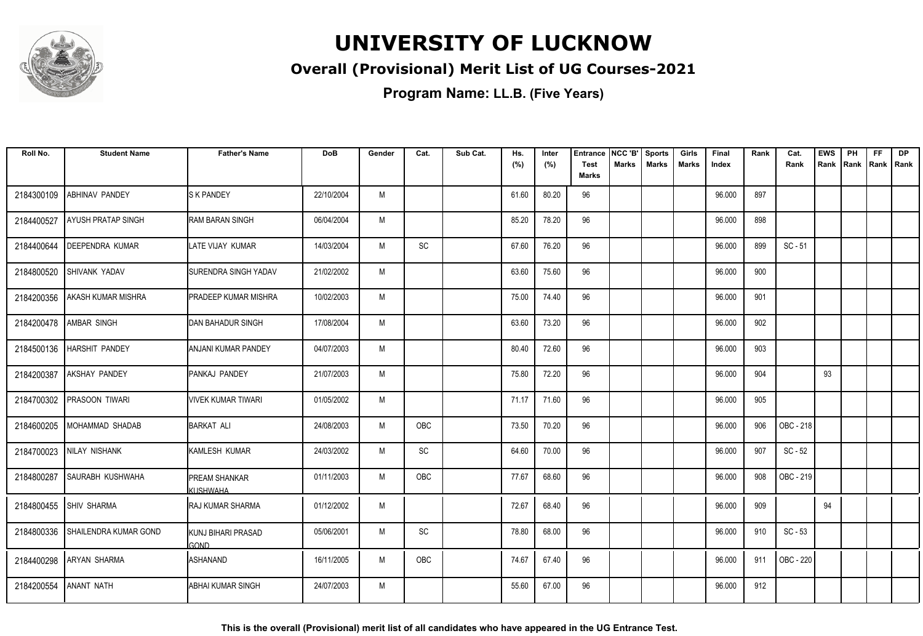

### **Overall (Provisional) Merit List of UG Courses-2021**

| Roll No.   | <b>Student Name</b>          | <b>Father's Name</b>             | <b>DoB</b> | Gender | Cat.       | Sub Cat. | Hs.<br>(%) | Inter<br>(%) | <b>Entrance</b><br><b>Test</b> | NCC 'B'<br><b>Marks</b> | <b>Sports</b><br><b>Marks</b> | Girls<br><b>Marks</b> | Final<br>Index | Rank | Cat.<br>Rank | <b>EWS</b><br>Rank | PH<br>Rank | <b>FF</b><br>Rank   Rank | <b>DP</b> |
|------------|------------------------------|----------------------------------|------------|--------|------------|----------|------------|--------------|--------------------------------|-------------------------|-------------------------------|-----------------------|----------------|------|--------------|--------------------|------------|--------------------------|-----------|
|            |                              |                                  |            |        |            |          |            |              | <b>Marks</b>                   |                         |                               |                       |                |      |              |                    |            |                          |           |
| 2184300109 | <b>ABHINAV PANDEY</b>        | <b>S K PANDEY</b>                | 22/10/2004 | M      |            |          | 61.60      | 80.20        | 96                             |                         |                               |                       | 96.000         | 897  |              |                    |            |                          |           |
| 2184400527 | AYUSH PRATAP SINGH           | <b>RAM BARAN SINGH</b>           | 06/04/2004 | M      |            |          | 85.20      | 78.20        | 96                             |                         |                               |                       | 96.000         | 898  |              |                    |            |                          |           |
| 2184400644 | <b>DEEPENDRA KUMAR</b>       | LATE VIJAY KUMAR                 | 14/03/2004 | M      | SC         |          | 67.60      | 76.20        | 96                             |                         |                               |                       | 96.000         | 899  | $SC - 51$    |                    |            |                          |           |
| 2184800520 | SHIVANK YADAV                | <b>ISURENDRA SINGH YADAV</b>     | 21/02/2002 | M      |            |          | 63.60      | 75.60        | 96                             |                         |                               |                       | 96.000         | 900  |              |                    |            |                          |           |
| 2184200356 | <b>AKASH KUMAR MISHRA</b>    | <b>PRADEEP KUMAR MISHRA</b>      | 10/02/2003 | M      |            |          | 75.00      | 74.40        | 96                             |                         |                               |                       | 96.000         | 901  |              |                    |            |                          |           |
|            | 2184200478   AMBAR SINGH     | DAN BAHADUR SINGH                | 17/08/2004 | M      |            |          | 63.60      | 73.20        | 96                             |                         |                               |                       | 96.000         | 902  |              |                    |            |                          |           |
|            | 2184500136   HARSHIT PANDEY  | ANJANI KUMAR PANDEY              | 04/07/2003 | M      |            |          | 80.40      | 72.60        | 96                             |                         |                               |                       | 96.000         | 903  |              |                    |            |                          |           |
| 2184200387 | <b>AKSHAY PANDEY</b>         | PANKAJ PANDEY                    | 21/07/2003 | M      |            |          | 75.80      | 72.20        | 96                             |                         |                               |                       | 96.000         | 904  |              | 93                 |            |                          |           |
| 2184700302 | <b>PRASOON TIWARI</b>        | <b>VIVEK KUMAR TIWARI</b>        | 01/05/2002 | M      |            |          | 71.17      | 71.60        | 96                             |                         |                               |                       | 96.000         | 905  |              |                    |            |                          |           |
| 2184600205 | MOHAMMAD SHADAB              | BARKAT ALI                       | 24/08/2003 | M      | OBC        |          | 73.50      | 70.20        | 96                             |                         |                               |                       | 96.000         | 906  | OBC - 218    |                    |            |                          |           |
| 2184700023 | NILAY NISHANK                | KAMLESH KUMAR                    | 24/03/2002 | M      | SC         |          | 64.60      | 70.00        | 96                             |                         |                               |                       | 96.000         | 907  | $SC - 52$    |                    |            |                          |           |
| 2184800287 | <b>SAURABH KUSHWAHA</b>      | <b>PREAM SHANKAR</b><br>KUSHWAHA | 01/11/2003 | M      | <b>OBC</b> |          | 77.67      | 68.60        | 96                             |                         |                               |                       | 96.000         | 908  | OBC - 219    |                    |            |                          |           |
|            | 2184800455 SHIV SHARMA       | RAJ KUMAR SHARMA                 | 01/12/2002 | M      |            |          | 72.67      | 68.40        | 96                             |                         |                               |                       | 96.000         | 909  |              | 94                 |            |                          |           |
| 2184800336 | <b>SHAILENDRA KUMAR GOND</b> | KUNJ BIHARI PRASAD<br>GOND       | 05/06/2001 | M      | <b>SC</b>  |          | 78.80      | 68.00        | 96                             |                         |                               |                       | 96.000         | 910  | $SC - 53$    |                    |            |                          |           |
| 2184400298 | <b>ARYAN SHARMA</b>          | <b>ASHANAND</b>                  | 16/11/2005 | M      | OBC        |          | 74.67      | 67.40        | 96                             |                         |                               |                       | 96.000         | 911  | OBC - 220    |                    |            |                          |           |
| 2184200554 | <b>ANANT NATH</b>            | <b>ABHAI KUMAR SINGH</b>         | 24/07/2003 | M      |            |          | 55.60      | 67.00        | 96                             |                         |                               |                       | 96.000         | 912  |              |                    |            |                          |           |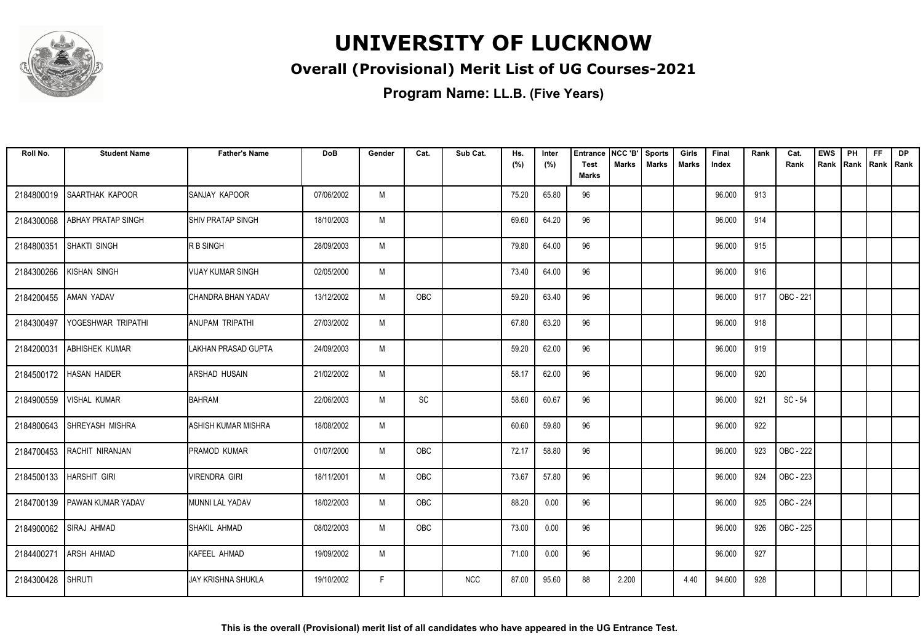

### **Overall (Provisional) Merit List of UG Courses-2021**

| Roll No.   | <b>Student Name</b>          | <b>Father's Name</b>       | <b>DoB</b> | Gender | Cat.       | Sub Cat.   | Hs.<br>(%) | Inter<br>(%) | <b>Entrance</b><br><b>Test</b> | NCC 'B'<br>Marks | <b>Sports</b><br><b>Marks</b> | Girls<br><b>Marks</b> | Final<br>Index | Rank | Cat.<br>Rank | <b>EWS</b><br>Rank | PH<br>Rank | <b>FF</b><br>Rank   Rank | <b>DP</b> |
|------------|------------------------------|----------------------------|------------|--------|------------|------------|------------|--------------|--------------------------------|------------------|-------------------------------|-----------------------|----------------|------|--------------|--------------------|------------|--------------------------|-----------|
|            |                              |                            |            |        |            |            |            |              | <b>Marks</b>                   |                  |                               |                       |                |      |              |                    |            |                          |           |
| 2184800019 | <b>SAARTHAK KAPOOR</b>       | <b>ISANJAY KAPOOR</b>      | 07/06/2002 | M      |            |            | 75.20      | 65.80        | 96                             |                  |                               |                       | 96.000         | 913  |              |                    |            |                          |           |
| 2184300068 | ABHAY PRATAP SINGH           | <b>SHIV PRATAP SINGH</b>   | 18/10/2003 | M      |            |            | 69.60      | 64.20        | 96                             |                  |                               |                       | 96.000         | 914  |              |                    |            |                          |           |
| 2184800351 | <b>SHAKTI SINGH</b>          | <b>RBSINGH</b>             | 28/09/2003 | M      |            |            | 79.80      | 64.00        | 96                             |                  |                               |                       | 96.000         | 915  |              |                    |            |                          |           |
| 2184300266 | <b>KISHAN SINGH</b>          | <b>VIJAY KUMAR SINGH</b>   | 02/05/2000 | M      |            |            | 73.40      | 64.00        | 96                             |                  |                               |                       | 96.000         | 916  |              |                    |            |                          |           |
| 2184200455 | AMAN YADAV                   | CHANDRA BHAN YADAV         | 13/12/2002 | M      | OBC        |            | 59.20      | 63.40        | 96                             |                  |                               |                       | 96.000         | 917  | OBC - 221    |                    |            |                          |           |
| 2184300497 | YOGESHWAR TRIPATHI           | <b>JANUPAM TRIPATHI</b>    | 27/03/2002 | M      |            |            | 67.80      | 63.20        | 96                             |                  |                               |                       | 96.000         | 918  |              |                    |            |                          |           |
| 2184200031 | <b>ABHISHEK KUMAR</b>        | LAKHAN PRASAD GUPTA        | 24/09/2003 | M      |            |            | 59.20      | 62.00        | 96                             |                  |                               |                       | 96.000         | 919  |              |                    |            |                          |           |
| 2184500172 | <b>HASAN HAIDER</b>          | ARSHAD HUSAIN              | 21/02/2002 | M      |            |            | 58.17      | 62.00        | 96                             |                  |                               |                       | 96.000         | 920  |              |                    |            |                          |           |
| 2184900559 | <b>VISHAL KUMAR</b>          | <b>BAHRAM</b>              | 22/06/2003 | M      | SC         |            | 58.60      | 60.67        | 96                             |                  |                               |                       | 96.000         | 921  | SC - 54      |                    |            |                          |           |
| 2184800643 | <b>SHREYASH MISHRA</b>       | <b>ASHISH KUMAR MISHRA</b> | 18/08/2002 | M      |            |            | 60.60      | 59.80        | 96                             |                  |                               |                       | 96.000         | 922  |              |                    |            |                          |           |
| 2184700453 | RACHIT NIRANJAN              | <b>PRAMOD KUMAR</b>        | 01/07/2000 | M      | OBC        |            | 72.17      | 58.80        | 96                             |                  |                               |                       | 96.000         | 923  | OBC - 222    |                    |            |                          |           |
|            | 2184500133   HARSHIT GIRI    | <b>VIRENDRA GIRI</b>       | 18/11/2001 | M      | OBC        |            | 73.67      | 57.80        | 96                             |                  |                               |                       | 96.000         | 924  | OBC - 223    |                    |            |                          |           |
|            | 2184700139 PAWAN KUMAR YADAV | MUNNI LAL YADAV            | 18/02/2003 | M      | OBC        |            | 88.20      | 0.00         | 96                             |                  |                               |                       | 96.000         | 925  | OBC - 224    |                    |            |                          |           |
|            | 2184900062 SIRAJ AHMAD       | <b>SHAKIL AHMAD</b>        | 08/02/2003 | M      | <b>OBC</b> |            | 73.00      | 0.00         | 96                             |                  |                               |                       | 96.000         | 926  | OBC - 225    |                    |            |                          |           |
| 2184400271 | <b>ARSH AHMAD</b>            | KAFEEL AHMAD               | 19/09/2002 | M      |            |            | 71.00      | 0.00         | 96                             |                  |                               |                       | 96.000         | 927  |              |                    |            |                          |           |
| 2184300428 | <b>SHRUTI</b>                | <b>JAY KRISHNA SHUKLA</b>  | 19/10/2002 | F      |            | <b>NCC</b> | 87.00      | 95.60        | 88                             | 2.200            |                               | 4.40                  | 94.600         | 928  |              |                    |            |                          |           |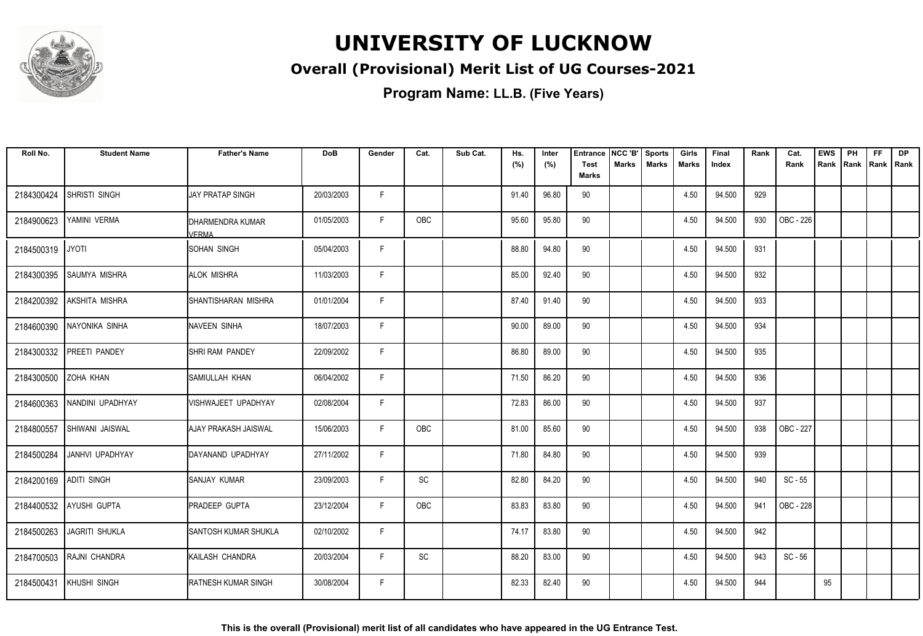

### **Overall (Provisional) Merit List of UG Courses-2021**

| Roll No.               | <b>Student Name</b>     | <b>Father's Name</b>        | <b>DoB</b> | Gender | Cat.       | Sub Cat. | Hs.<br>(%) | Inter<br>(%) | <b>Entrance</b><br><b>Test</b><br><b>Marks</b> | NCC 'B'<br><b>Marks</b> | <b>Sports</b><br><b>Marks</b> | Girls<br>Marks | Final<br>Index | Rank | Cat.<br>Rank     | <b>EWS</b><br>Rank | PH<br>Rank | <b>FF</b><br>Rank   Rank | <b>DP</b> |
|------------------------|-------------------------|-----------------------------|------------|--------|------------|----------|------------|--------------|------------------------------------------------|-------------------------|-------------------------------|----------------|----------------|------|------------------|--------------------|------------|--------------------------|-----------|
| 2184300424             | SHRISTI SINGH           | IJAY PRATAP SINGH           | 20/03/2003 | F.     |            |          | 91.40      | 96.80        | 90                                             |                         |                               | 4.50           | 94.500         | 929  |                  |                    |            |                          |           |
| 2184900623             | YAMINI VERMA            | DHARMENDRA KUMAR<br>VERMA   | 01/05/2003 | F.     | OBC        |          | 95.60      | 95.80        | 90                                             |                         |                               | 4.50           | 94.500         | 930  | OBC - 226        |                    |            |                          |           |
| 2184500319             | <b>JYOTI</b>            | <b>ISOHAN SINGH</b>         | 05/04/2003 | F      |            |          | 88.80      | 94.80        | 90                                             |                         |                               | 4.50           | 94.500         | 931  |                  |                    |            |                          |           |
| 2184300395             | <b>SAUMYA MISHRA</b>    | <b>ALOK MISHRA</b>          | 11/03/2003 | F.     |            |          | 85.00      | 92.40        | 90                                             |                         |                               | 4.50           | 94.500         | 932  |                  |                    |            |                          |           |
| 2184200392             | <b>AKSHITA MISHRA</b>   | <b>ISHANTISHARAN MISHRA</b> | 01/01/2004 | F.     |            |          | 87.40      | 91.40        | 90                                             |                         |                               | 4.50           | 94.500         | 933  |                  |                    |            |                          |           |
| 2184600390             | NAYONIKA SINHA          | NAVEEN SINHA                | 18/07/2003 | E      |            |          | 90.00      | 89.00        | 90                                             |                         |                               | 4.50           | 94.500         | 934  |                  |                    |            |                          |           |
| 2184300332             | PREETI PANDEY           | <b>ISHRI RAM PANDEY</b>     | 22/09/2002 | F      |            |          | 86.80      | 89.00        | 90                                             |                         |                               | 4.50           | 94.500         | 935  |                  |                    |            |                          |           |
| 2184300500             | ZOHA KHAN               | <b>SAMIULLAH KHAN</b>       | 06/04/2002 | F.     |            |          | 71.50      | 86.20        | 90                                             |                         |                               | 4.50           | 94.500         | 936  |                  |                    |            |                          |           |
| 2184600363             | NANDINI UPADHYAY        | VISHWAJEET UPADHYAY         | 02/08/2004 | F.     |            |          | 72.83      | 86.00        | 90                                             |                         |                               | 4.50           | 94.500         | 937  |                  |                    |            |                          |           |
| 2184800557             | <b>SHIWANI JAISWAL</b>  | IAJAY PRAKASH JAISWAL       | 15/06/2003 | F.     | <b>OBC</b> |          | 81.00      | 85.60        | 90                                             |                         |                               | 4.50           | 94.500         | 938  | <b>OBC - 227</b> |                    |            |                          |           |
| 2184500284             | JANHVI UPADHYAY         | IDAYANAND UPADHYAY          | 27/11/2002 | F.     |            |          | 71.80      | 84.80        | 90                                             |                         |                               | 4.50           | 94.500         | 939  |                  |                    |            |                          |           |
| 2184200169 ADITI SINGH |                         | ISANJAY KUMAR               | 23/09/2003 | F.     | SC         |          | 82.80      | 84.20        | 90                                             |                         |                               | 4.50           | 94.500         | 940  | $SC - 55$        |                    |            |                          |           |
|                        | 2184400532 AYUSHI GUPTA | <b>PRADEEP GUPTA</b>        | 23/12/2004 | F      | OBC        |          | 83.83      | 83.80        | 90                                             |                         |                               | 4.50           | 94.500         | 941  | OBC - 228        |                    |            |                          |           |
| 2184500263             | <b>JAGRITI SHUKLA</b>   | <b>SANTOSH KUMAR SHUKLA</b> | 02/10/2002 | F      |            |          | 74.17      | 83.80        | 90                                             |                         |                               | 4.50           | 94.500         | 942  |                  |                    |            |                          |           |
| 2184700503             | RAJNI CHANDRA           | KAILASH CHANDRA             | 20/03/2004 | F.     | SC         |          | 88.20      | 83.00        | 90                                             |                         |                               | 4.50           | 94.500         | 943  | $SC - 56$        |                    |            |                          |           |
| 2184500431             | KHUSHI SINGH            | <b>RATNESH KUMAR SINGH</b>  | 30/08/2004 | F.     |            |          | 82.33      | 82.40        | 90                                             |                         |                               | 4.50           | 94.500         | 944  |                  | 95                 |            |                          |           |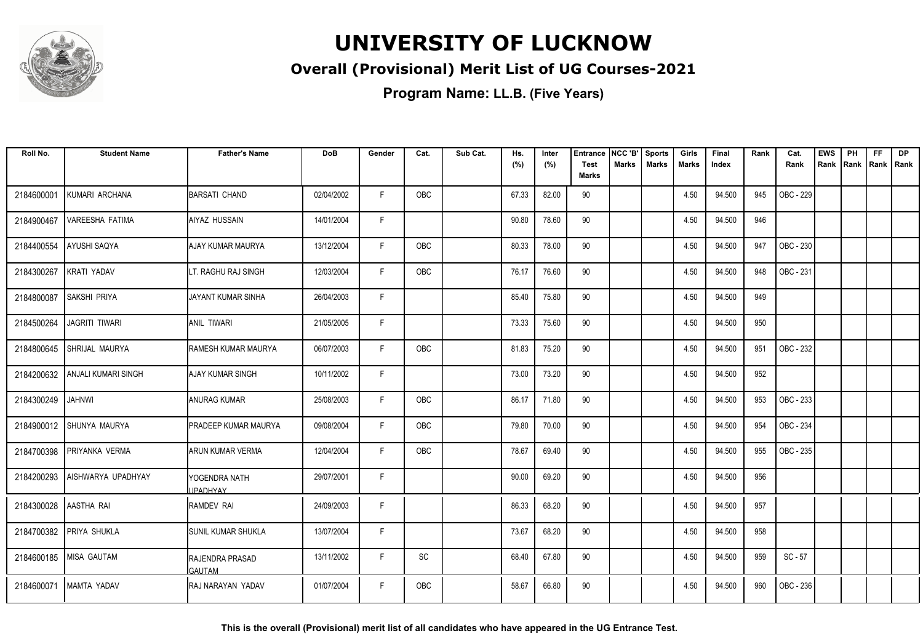

### **Overall (Provisional) Merit List of UG Courses-2021**

**Program Name: LL.B. (Five Years)**

| Roll No.   | <b>Student Name</b>            | <b>Father's Name</b>             | <b>DoB</b> | Gender      | Cat.       | Sub Cat. | Hs.   | Inter | <b>Entrance</b>             | NCC 'B' | <b>Sports</b> | Girls        | Final  | Rank | Cat.      | <b>EWS</b> | PH   | <b>FF</b>   | <b>DP</b> |
|------------|--------------------------------|----------------------------------|------------|-------------|------------|----------|-------|-------|-----------------------------|---------|---------------|--------------|--------|------|-----------|------------|------|-------------|-----------|
|            |                                |                                  |            |             |            |          | (%)   | (%)   | <b>Test</b><br><b>Marks</b> | Marks   | <b>Marks</b>  | <b>Marks</b> | Index  |      | Rank      | Rank       | Rank | Rank   Rank |           |
| 2184600001 | KUMARI ARCHANA                 | <b>BARSATI CHAND</b>             | 02/04/2002 | F           | <b>OBC</b> |          | 67.33 | 82.00 | 90                          |         |               | 4.50         | 94.500 | 945  | OBC - 229 |            |      |             |           |
| 2184900467 | VAREESHA FATIMA                | AIYAZ HUSSAIN                    | 14/01/2004 | F.          |            |          | 90.80 | 78.60 | 90                          |         |               | 4.50         | 94.500 | 946  |           |            |      |             |           |
| 2184400554 | <b>AYUSHI SAQYA</b>            | AJAY KUMAR MAURYA                | 13/12/2004 | F           | <b>OBC</b> |          | 80.33 | 78.00 | 90                          |         |               | 4.50         | 94.500 | 947  | OBC - 230 |            |      |             |           |
| 2184300267 | <b>KRATI YADAV</b>             | LT. RAGHU RAJ SINGH              | 12/03/2004 | F           | OBC        |          | 76.17 | 76.60 | 90                          |         |               | 4.50         | 94.500 | 948  | OBC - 231 |            |      |             |           |
| 2184800087 | <b>SAKSHI PRIYA</b>            | JAYANT KUMAR SINHA               | 26/04/2003 | $\mathsf F$ |            |          | 85.40 | 75.80 | 90                          |         |               | 4.50         | 94.500 | 949  |           |            |      |             |           |
| 2184500264 | <b>JAGRITI TIWARI</b>          | ANIL TIWARI                      | 21/05/2005 | F.          |            |          | 73.33 | 75.60 | 90                          |         |               | 4.50         | 94.500 | 950  |           |            |      |             |           |
| 2184800645 | SHRIJAL MAURYA                 | RAMESH KUMAR MAURYA              | 06/07/2003 | F.          | OBC        |          | 81.83 | 75.20 | 90                          |         |               | 4.50         | 94.500 | 951  | OBC - 232 |            |      |             |           |
|            | 2184200632 ANJALI KUMARI SINGH | AJAY KUMAR SINGH                 | 10/11/2002 | F           |            |          | 73.00 | 73.20 | 90                          |         |               | 4.50         | 94.500 | 952  |           |            |      |             |           |
| 2184300249 | <b>JAHNWI</b>                  | <b>ANURAG KUMAR</b>              | 25/08/2003 | F.          | OBC        |          | 86.17 | 71.80 | 90                          |         |               | 4.50         | 94.500 | 953  | OBC - 233 |            |      |             |           |
| 2184900012 | <b>SHUNYA MAURYA</b>           | <b>PRADEEP KUMAR MAURYA</b>      | 09/08/2004 | F           | OBC        |          | 79.80 | 70.00 | 90                          |         |               | 4.50         | 94.500 | 954  | OBC - 234 |            |      |             |           |
| 2184700398 | PRIYANKA VERMA                 | ARUN KUMAR VERMA                 | 12/04/2004 | F.          | OBC        |          | 78.67 | 69.40 | 90                          |         |               | 4.50         | 94.500 | 955  | OBC - 235 |            |      |             |           |
| 2184200293 | AISHWARYA UPADHYAY             | YOGENDRA NATH<br><b>JPADHYAY</b> | 29/07/2001 | F           |            |          | 90.00 | 69.20 | 90                          |         |               | 4.50         | 94.500 | 956  |           |            |      |             |           |
| 2184300028 | AASTHA RAI                     | RAMDEV RAI                       | 24/09/2003 | F           |            |          | 86.33 | 68.20 | 90                          |         |               | 4.50         | 94.500 | 957  |           |            |      |             |           |
| 2184700382 | <b>PRIYA SHUKLA</b>            | <b>SUNIL KUMAR SHUKLA</b>        | 13/07/2004 | F           |            |          | 73.67 | 68.20 | 90                          |         |               | 4.50         | 94.500 | 958  |           |            |      |             |           |
|            | 2184600185 MISA GAUTAM         | RAJENDRA PRASAD<br>GAUTAM        | 13/11/2002 | F.          | SC         |          | 68.40 | 67.80 | 90                          |         |               | 4.50         | 94.500 | 959  | $SC - 57$ |            |      |             |           |
| 2184600071 | IMAMTA YADAV                   | IRAJ NARAYAN YADAV               | 01/07/2004 | F           | <b>OBC</b> |          | 58.67 | 66.80 | 90                          |         |               | 4.50         | 94.500 | 960  | OBC - 236 |            |      |             |           |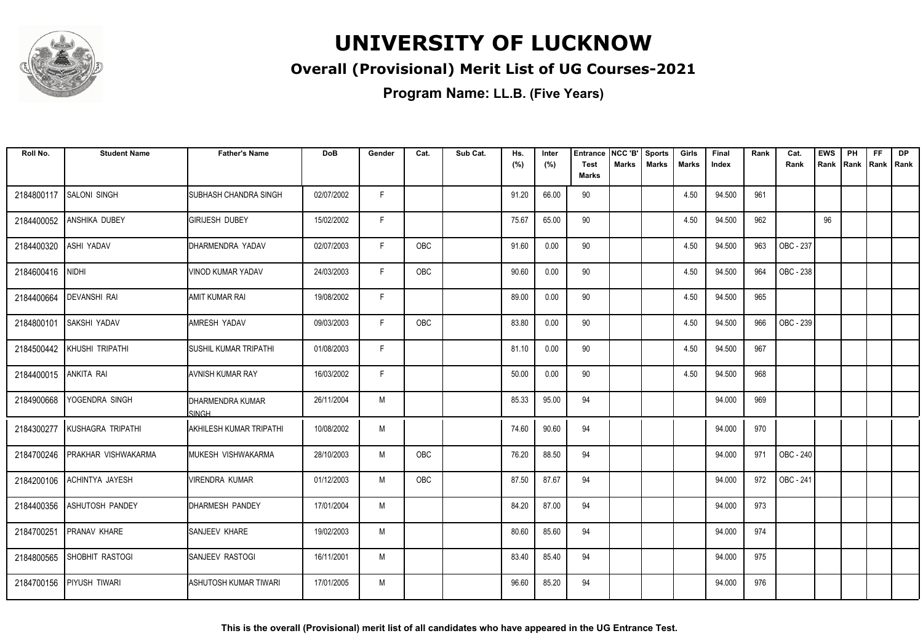

### **Overall (Provisional) Merit List of UG Courses-2021**

| Roll No.              | <b>Student Name</b>         | <b>Father's Name</b>           | DoB        | Gender | Cat.       | Sub Cat. | Hs.<br>(%) | Inter<br>(%) | <b>Entrance</b><br>Test | NCC 'B'<br><b>Marks</b> | <b>Sports</b><br><b>Marks</b> | Girls<br><b>Marks</b> | Final<br>Index | Rank | Cat.<br>Rank | <b>EWS</b><br>Rank | PH<br>Rank | FF<br>Rank   Rank | DP |
|-----------------------|-----------------------------|--------------------------------|------------|--------|------------|----------|------------|--------------|-------------------------|-------------------------|-------------------------------|-----------------------|----------------|------|--------------|--------------------|------------|-------------------|----|
|                       |                             |                                |            |        |            |          |            |              | <b>Marks</b>            |                         |                               |                       |                |      |              |                    |            |                   |    |
| 2184800117            | <b>SALONI SINGH</b>         | <b>I</b> SUBHASH CHANDRA SINGH | 02/07/2002 | F.     |            |          | 91.20      | 66.00        | 90                      |                         |                               | 4.50                  | 94.500         | 961  |              |                    |            |                   |    |
| 2184400052            | <b>ANSHIKA DUBEY</b>        | IGIRIJESH DUBEY                | 15/02/2002 | F      |            |          | 75.67      | 65.00        | 90                      |                         |                               | 4.50                  | 94.500         | 962  |              | 96                 |            |                   |    |
| 2184400320            | ASHI YADAV                  | DHARMENDRA YADAV               | 02/07/2003 | F      | <b>OBC</b> |          | 91.60      | 0.00         | 90                      |                         |                               | 4.50                  | 94.500         | 963  | OBC - 237    |                    |            |                   |    |
| 2184600416            | <b>NIDHI</b>                | VINOD KUMAR YADAV              | 24/03/2003 | F      | <b>OBC</b> |          | 90.60      | 0.00         | 90                      |                         |                               | 4.50                  | 94.500         | 964  | OBC - 238    |                    |            |                   |    |
| 2184400664            | <b>DEVANSHI RAI</b>         | AMIT KUMAR RAI                 | 19/08/2002 | F      |            |          | 89.00      | 0.00         | 90                      |                         |                               | 4.50                  | 94.500         | 965  |              |                    |            |                   |    |
| 2184800101            | <b>SAKSHI YADAV</b>         | <b>JAMRESH YADAV</b>           | 09/03/2003 | F      | OBC        |          | 83.80      | 0.00         | 90                      |                         |                               | 4.50                  | 94.500         | 966  | OBC - 239    |                    |            |                   |    |
| 2184500442            | KHUSHI TRIPATHI             | <b>ISUSHIL KUMAR TRIPATHI</b>  | 01/08/2003 | E      |            |          | 81.10      | 0.00         | 90                      |                         |                               | 4.50                  | 94.500         | 967  |              |                    |            |                   |    |
| 2184400015 ANKITA RAI |                             | <b>AVNISH KUMAR RAY</b>        | 16/03/2002 | F      |            |          | 50.00      | 0.00         | 90                      |                         |                               | 4.50                  | 94.500         | 968  |              |                    |            |                   |    |
| 2184900668            | YOGENDRA SINGH              | IDHARMENDRA KUMAR<br>SINGH     | 26/11/2004 | M      |            |          | 85.33      | 95.00        | 94                      |                         |                               |                       | 94.000         | 969  |              |                    |            |                   |    |
| 2184300277            | KUSHAGRA TRIPATHI           | IAKHILESH KUMAR TRIPATHI       | 10/08/2002 | M      |            |          | 74.60      | 90.60        | 94                      |                         |                               |                       | 94.000         | 970  |              |                    |            |                   |    |
| 2184700246            | <b>IPRAKHAR VISHWAKARMA</b> | IMUKESH VISHWAKARMA            | 28/10/2003 | M      | OBC        |          | 76.20      | 88.50        | 94                      |                         |                               |                       | 94.000         | 971  | OBC - 240    |                    |            |                   |    |
| 2184200106            | <b>ACHINTYA JAYESH</b>      | IVIRENDRA KUMAR                | 01/12/2003 | M      | OBC        |          | 87.50      | 87.67        | 94                      |                         |                               |                       | 94.000         | 972  | OBC - 241    |                    |            |                   |    |
| 2184400356            | <b>ASHUTOSH PANDEY</b>      | <b>DHARMESH PANDEY</b>         | 17/01/2004 | M      |            |          | 84.20      | 87.00        | 94                      |                         |                               |                       | 94.000         | 973  |              |                    |            |                   |    |
| 2184700251            | <b>PRANAV KHARE</b>         | SANJEEV KHARE                  | 19/02/2003 | M      |            |          | 80.60      | 85.60        | 94                      |                         |                               |                       | 94.000         | 974  |              |                    |            |                   |    |
| 2184800565            | SHOBHIT RASTOGI             | Isanjeev rastogi               | 16/11/2001 | M      |            |          | 83.40      | 85.40        | 94                      |                         |                               |                       | 94.000         | 975  |              |                    |            |                   |    |
| 2184700156            | <b>PIYUSH TIWARI</b>        | <b>ASHUTOSH KUMAR TIWARI</b>   | 17/01/2005 | M      |            |          | 96.60      | 85.20        | 94                      |                         |                               |                       | 94.000         | 976  |              |                    |            |                   |    |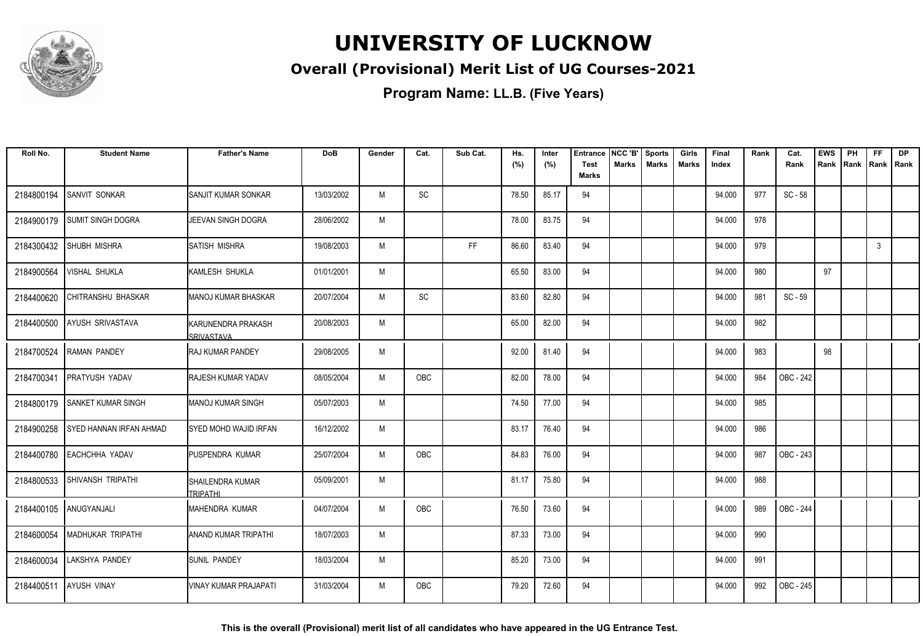

### **Overall (Provisional) Merit List of UG Courses-2021**

**Program Name: LL.B. (Five Years)**

| Roll No.   | <b>Student Name</b>       | <b>Father's Name</b>                           | <b>DoB</b> | Gender | Cat.       | Sub Cat. | Hs.<br>(%) | Inter<br>(%) | <b>Entrance</b><br><b>Test</b> | NCC 'B'<br><b>Marks</b> | <b>Sports</b><br><b>Marks</b> | Girls<br>Marks | Final<br>Index | Rank | Cat.<br>Rank     | <b>EWS</b><br>Rank | PH<br>Rank | <b>FF</b><br>Rank Rank | <b>DP</b> |
|------------|---------------------------|------------------------------------------------|------------|--------|------------|----------|------------|--------------|--------------------------------|-------------------------|-------------------------------|----------------|----------------|------|------------------|--------------------|------------|------------------------|-----------|
|            |                           |                                                |            |        |            |          |            |              | <b>Marks</b>                   |                         |                               |                |                |      |                  |                    |            |                        |           |
| 2184800194 | SANVIT SONKAR             | ISANJIT KUMAR SONKAR                           | 13/03/2002 | M      | SC         |          | 78.50      | 85.17        | 94                             |                         |                               |                | 94.000         | 977  | SC - 58          |                    |            |                        |           |
| 2184900179 | <b>SUMIT SINGH DOGRA</b>  | JEEVAN SINGH DOGRA                             | 28/06/2002 | M      |            |          | 78.00      | 83.75        | 94                             |                         |                               |                | 94.000         | 978  |                  |                    |            |                        |           |
| 2184300432 | <b>SHUBH MISHRA</b>       | <b>SATISH MISHRA</b>                           | 19/08/2003 | M      |            | FF       | 86.60      | 83.40        | 94                             |                         |                               |                | 94.000         | 979  |                  |                    |            | 3                      |           |
| 2184900564 | VISHAL SHUKLA             | KAMLESH SHUKLA                                 | 01/01/2001 | M      |            |          | 65.50      | 83.00        | 94                             |                         |                               |                | 94.000         | 980  |                  | 97                 |            |                        |           |
| 2184400620 | CHITRANSHU BHASKAR        | MANOJ KUMAR BHASKAR                            | 20/07/2004 | M      | SC         |          | 83.60      | 82.80        | 94                             |                         |                               |                | 94.000         | 981  | SC - 59          |                    |            |                        |           |
| 2184400500 | <b>AYUSH SRIVASTAVA</b>   | <b>KARUNENDRA PRAKASH</b><br><b>SRIVASTAVA</b> | 20/08/2003 | M      |            |          | 65.00      | 82.00        | 94                             |                         |                               |                | 94.000         | 982  |                  |                    |            |                        |           |
| 2184700524 | <b>RAMAN PANDEY</b>       | IRAJ KUMAR PANDEY                              | 29/08/2005 | M      |            |          | 92.00      | 81.40        | 94                             |                         |                               |                | 94.000         | 983  |                  | 98                 |            |                        |           |
| 2184700341 | <b>PRATYUSH YADAV</b>     | <b>RAJESH KUMAR YADAV</b>                      | 08/05/2004 | M      | OBC        |          | 82.00      | 78.00        | 94                             |                         |                               |                | 94.000         | 984  | OBC - 242        |                    |            |                        |           |
| 2184800179 | <b>SANKET KUMAR SINGH</b> | <b>MANOJ KUMAR SINGH</b>                       | 05/07/2003 | M      |            |          | 74.50      | 77.00        | 94                             |                         |                               |                | 94.000         | 985  |                  |                    |            |                        |           |
| 2184900258 | I SYED HANNAN IRFAN AHMAD | ISYED MOHD WAJID IRFAN                         | 16/12/2002 | M      |            |          | 83.17      | 76.40        | 94                             |                         |                               |                | 94.000         | 986  |                  |                    |            |                        |           |
| 2184400780 | <b>EACHCHHA YADAV</b>     | <b>PUSPENDRA KUMAR</b>                         | 25/07/2004 | M      | OBC        |          | 84.83      | 76.00        | 94                             |                         |                               |                | 94.000         | 987  | <b>OBC - 243</b> |                    |            |                        |           |
| 2184800533 | <b>SHIVANSH TRIPATHI</b>  | <b>SHAILENDRA KUMAR</b><br><b>TRIPATHI</b>     | 05/09/2001 | M      |            |          | 81.17      | 75.80        | 94                             |                         |                               |                | 94.000         | 988  |                  |                    |            |                        |           |
|            | 2184400105 ANUGYANJALI    | IMAHENDRA KUMAR                                | 04/07/2004 | M      | <b>OBC</b> |          | 76.50      | 73.60        | 94                             |                         |                               |                | 94.000         | 989  | OBC - 244        |                    |            |                        |           |
| 2184600054 | <b>MADHUKAR TRIPATHI</b>  | <b>ANAND KUMAR TRIPATHI</b>                    | 18/07/2003 | M      |            |          | 87.33      | 73.00        | 94                             |                         |                               |                | 94.000         | 990  |                  |                    |            |                        |           |
| 2184600034 | LAKSHYA PANDEY            | <b>ISUNIL PANDEY</b>                           | 18/03/2004 | M      |            |          | 85.20      | 73.00        | 94                             |                         |                               |                | 94.000         | 991  |                  |                    |            |                        |           |
|            | 2184400511 AYUSH VINAY    | VINAY KUMAR PRAJAPATI                          | 31/03/2004 | M      | OBC        |          | 79.20      | 72.60        | 94                             |                         |                               |                | 94.000         | 992  | OBC - 245        |                    |            |                        |           |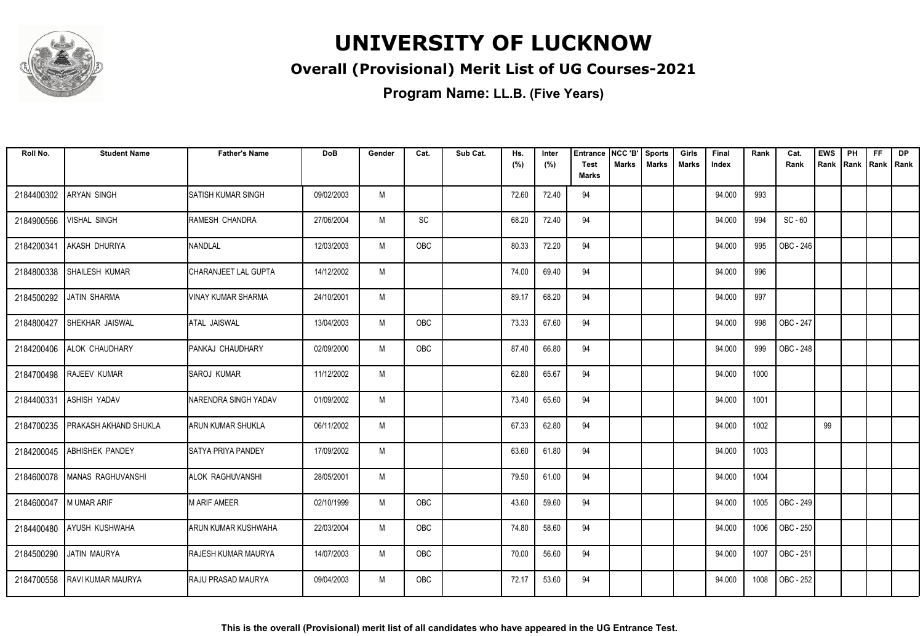

### **Overall (Provisional) Merit List of UG Courses-2021**

| Roll No.               | <b>Student Name</b>          | <b>Father's Name</b>       | <b>DoB</b> | Gender | Cat.       | Sub Cat. | Hs.<br>(%) | Inter<br>(%) | <b>Entrance</b><br><b>Test</b> | NCC 'B'<br>Marks | <b>Sports</b><br><b>Marks</b> | Girls<br>Marks | Final<br>Index | Rank | Cat.<br>Rank | <b>EWS</b><br>Rank | PH<br>Rank | <b>FF</b><br>Rank   Rank | <b>DP</b> |
|------------------------|------------------------------|----------------------------|------------|--------|------------|----------|------------|--------------|--------------------------------|------------------|-------------------------------|----------------|----------------|------|--------------|--------------------|------------|--------------------------|-----------|
|                        |                              |                            |            |        |            |          |            |              | <b>Marks</b>                   |                  |                               |                |                |      |              |                    |            |                          |           |
| 2184400302             | ARYAN SINGH                  | <b>SATISH KUMAR SINGH</b>  | 09/02/2003 | M      |            |          | 72.60      | 72.40        | 94                             |                  |                               |                | 94.000         | 993  |              |                    |            |                          |           |
| 2184900566             | <b>VISHAL SINGH</b>          | RAMESH CHANDRA             | 27/06/2004 | M      | SC         |          | 68.20      | 72.40        | 94                             |                  |                               |                | 94.000         | 994  | $SC - 60$    |                    |            |                          |           |
| 2184200341             | AKASH DHURIYA                | NANDLAL                    | 12/03/2003 | M      | <b>OBC</b> |          | 80.33      | 72.20        | 94                             |                  |                               |                | 94.000         | 995  | OBC - 246    |                    |            |                          |           |
| 2184800338             | SHAILESH KUMAR               | CHARANJEET LAL GUPTA       | 14/12/2002 | M      |            |          | 74.00      | 69.40        | 94                             |                  |                               |                | 94.000         | 996  |              |                    |            |                          |           |
| 2184500292             | JATIN SHARMA                 | VINAY KUMAR SHARMA         | 24/10/2001 | M      |            |          | 89.17      | 68.20        | 94                             |                  |                               |                | 94.000         | 997  |              |                    |            |                          |           |
| 2184800427             | SHEKHAR JAISWAL              | <b>ATAL JAISWAL</b>        | 13/04/2003 | M      | OBC        |          | 73.33      | 67.60        | 94                             |                  |                               |                | 94.000         | 998  | OBC - 247    |                    |            |                          |           |
|                        | 2184200406 ALOK CHAUDHARY    | <b>IPANKAJ CHAUDHARY</b>   | 02/09/2000 | M      | <b>OBC</b> |          | 87.40      | 66.80        | 94                             |                  |                               |                | 94.000         | 999  | OBC - 248    |                    |            |                          |           |
| 2184700498             | <b>RAJEEV KUMAR</b>          | <b>SAROJ KUMAR</b>         | 11/12/2002 | M      |            |          | 62.80      | 65.67        | 94                             |                  |                               |                | 94.000         | 1000 |              |                    |            |                          |           |
| 2184400331             | <b>ASHISH YADAV</b>          | NARENDRA SINGH YADAV       | 01/09/2002 | M      |            |          | 73.40      | 65.60        | 94                             |                  |                               |                | 94.000         | 1001 |              |                    |            |                          |           |
| 2184700235             | <b>PRAKASH AKHAND SHUKLA</b> | ARUN KUMAR SHUKLA          | 06/11/2002 | M      |            |          | 67.33      | 62.80        | 94                             |                  |                               |                | 94.000         | 1002 |              | 99                 |            |                          |           |
| 2184200045             | <b>ABHISHEK PANDEY</b>       | <b>SATYA PRIYA PANDEY</b>  | 17/09/2002 | M      |            |          | 63.60      | 61.80        | 94                             |                  |                               |                | 94.000         | 1003 |              |                    |            |                          |           |
| 2184600078             | MANAS RAGHUVANSHI            | ALOK RAGHUVANSHI           | 28/05/2001 | M      |            |          | 79.50      | 61.00        | 94                             |                  |                               |                | 94.000         | 1004 |              |                    |            |                          |           |
| 2184600047 M UMAR ARIF |                              | M ARIF AMEER               | 02/10/1999 | M      | OBC        |          | 43.60      | 59.60        | 94                             |                  |                               |                | 94.000         | 1005 | OBC - 249    |                    |            |                          |           |
|                        | 2184400480 AYUSH KUSHWAHA    | ARUN KUMAR KUSHWAHA        | 22/03/2004 | M      | <b>OBC</b> |          | 74.80      | 58.60        | 94                             |                  |                               |                | 94.000         | 1006 | OBC - 250    |                    |            |                          |           |
| 2184500290             | JATIN MAURYA                 | <b>RAJESH KUMAR MAURYA</b> | 14/07/2003 | M      | OBC        |          | 70.00      | 56.60        | 94                             |                  |                               |                | 94.000         | 1007 | OBC - 251    |                    |            |                          |           |
| 2184700558             | <b>RAVI KUMAR MAURYA</b>     | <b>IRAJU PRASAD MAURYA</b> | 09/04/2003 | M      | <b>OBC</b> |          | 72.17      | 53.60        | 94                             |                  |                               |                | 94.000         | 1008 | OBC - 252    |                    |            |                          |           |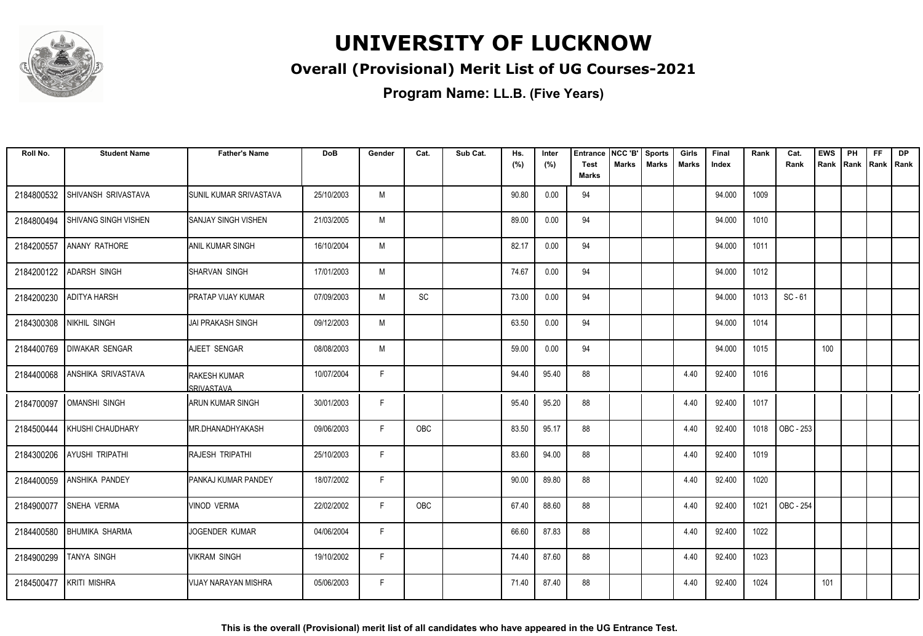

### **Overall (Provisional) Merit List of UG Courses-2021**

| Roll No.   | <b>Student Name</b>         | <b>Father's Name</b>                     | DoB        | Gender | Cat. | Sub Cat. | Hs.<br>(%) | Inter<br>(%) | <b>Entrance</b><br>Test | NCC 'B'<br><b>Marks</b> | <b>Sports</b><br><b>Marks</b> | Girls<br><b>Marks</b> | Final<br>Index | Rank | Cat.<br>Rank | <b>EWS</b><br>Rank | PH<br>Rank | FF<br>Rank   Rank | DP |
|------------|-----------------------------|------------------------------------------|------------|--------|------|----------|------------|--------------|-------------------------|-------------------------|-------------------------------|-----------------------|----------------|------|--------------|--------------------|------------|-------------------|----|
|            |                             |                                          |            |        |      |          |            |              | <b>Marks</b>            |                         |                               |                       |                |      |              |                    |            |                   |    |
| 2184800532 | SHIVANSH SRIVASTAVA         | <b>ISUNIL KUMAR SRIVASTAVA</b>           | 25/10/2003 | M      |      |          | 90.80      | 0.00         | 94                      |                         |                               |                       | 94.000         | 1009 |              |                    |            |                   |    |
| 2184800494 | <b>SHIVANG SINGH VISHEN</b> | ISANJAY SINGH VISHEN                     | 21/03/2005 | M      |      |          | 89.00      | 0.00         | 94                      |                         |                               |                       | 94.000         | 1010 |              |                    |            |                   |    |
| 2184200557 | <b>ANANY RATHORE</b>        | <b>JANIL KUMAR SINGH</b>                 | 16/10/2004 | M      |      |          | 82.17      | 0.00         | 94                      |                         |                               |                       | 94.000         | 1011 |              |                    |            |                   |    |
| 2184200122 | <b>ADARSH SINGH</b>         | ISHARVAN SINGH                           | 17/01/2003 | M      |      |          | 74.67      | 0.00         | 94                      |                         |                               |                       | 94.000         | 1012 |              |                    |            |                   |    |
| 2184200230 | <b>ADITYA HARSH</b>         | <b>PRATAP VIJAY KUMAR</b>                | 07/09/2003 | M      | SC   |          | 73.00      | 0.00         | 94                      |                         |                               |                       | 94.000         | 1013 | $SC - 61$    |                    |            |                   |    |
| 2184300308 | NIKHIL SINGH                | IJAI PRAKASH SINGH                       | 09/12/2003 | M      |      |          | 63.50      | 0.00         | 94                      |                         |                               |                       | 94.000         | 1014 |              |                    |            |                   |    |
| 2184400769 | <b>DIWAKAR SENGAR</b>       | AJEET SENGAR                             | 08/08/2003 | M      |      |          | 59.00      | 0.00         | 94                      |                         |                               |                       | 94.000         | 1015 |              | 100                |            |                   |    |
| 2184400068 | <b>ANSHIKA SRIVASTAVA</b>   | <b>RAKESH KUMAR</b><br><b>SRIVASTAVA</b> | 10/07/2004 | F      |      |          | 94.40      | 95.40        | 88                      |                         |                               | 4.40                  | 92.400         | 1016 |              |                    |            |                   |    |
| 2184700097 | <b>OMANSHI SINGH</b>        | <b>ARUN KUMAR SINGH</b>                  | 30/01/2003 | F      |      |          | 95.40      | 95.20        | 88                      |                         |                               | 4.40                  | 92.400         | 1017 |              |                    |            |                   |    |
| 2184500444 | KHUSHI CHAUDHARY            | IMR.DHANADHYAKASH                        | 09/06/2003 | F      | OBC  |          | 83.50      | 95.17        | 88                      |                         |                               | 4.40                  | 92.400         | 1018 | OBC - 253    |                    |            |                   |    |
| 2184300206 | <b>AYUSHI TRIPATHI</b>      | <b>RAJESH TRIPATHI</b>                   | 25/10/2003 | E      |      |          | 83.60      | 94.00        | 88                      |                         |                               | 4.40                  | 92.400         | 1019 |              |                    |            |                   |    |
| 2184400059 | <b>ANSHIKA PANDEY</b>       | <b>PANKAJ KUMAR PANDEY</b>               | 18/07/2002 | F      |      |          | 90.00      | 89.80        | 88                      |                         |                               | 4.40                  | 92.400         | 1020 |              |                    |            |                   |    |
| 2184900077 | <b>SNEHA VERMA</b>          | VINOD VERMA                              | 22/02/2002 | F      | OBC  |          | 67.40      | 88.60        | 88                      |                         |                               | 4.40                  | 92.400         | 1021 | OBC - 254    |                    |            |                   |    |
| 2184400580 | <b>BHUMIKA SHARMA</b>       | JOGENDER KUMAR                           | 04/06/2004 | F      |      |          | 66.60      | 87.83        | 88                      |                         |                               | 4.40                  | 92.400         | 1022 |              |                    |            |                   |    |
| 2184900299 | <b>TANYA SINGH</b>          | VIKRAM SINGH                             | 19/10/2002 | E      |      |          | 74.40      | 87.60        | 88                      |                         |                               | 4.40                  | 92.400         | 1023 |              |                    |            |                   |    |
| 2184500477 | <b>KRITI MISHRA</b>         | VIJAY NARAYAN MISHRA                     | 05/06/2003 | F      |      |          | 71.40      | 87.40        | 88                      |                         |                               | 4.40                  | 92.400         | 1024 |              | 101                |            |                   |    |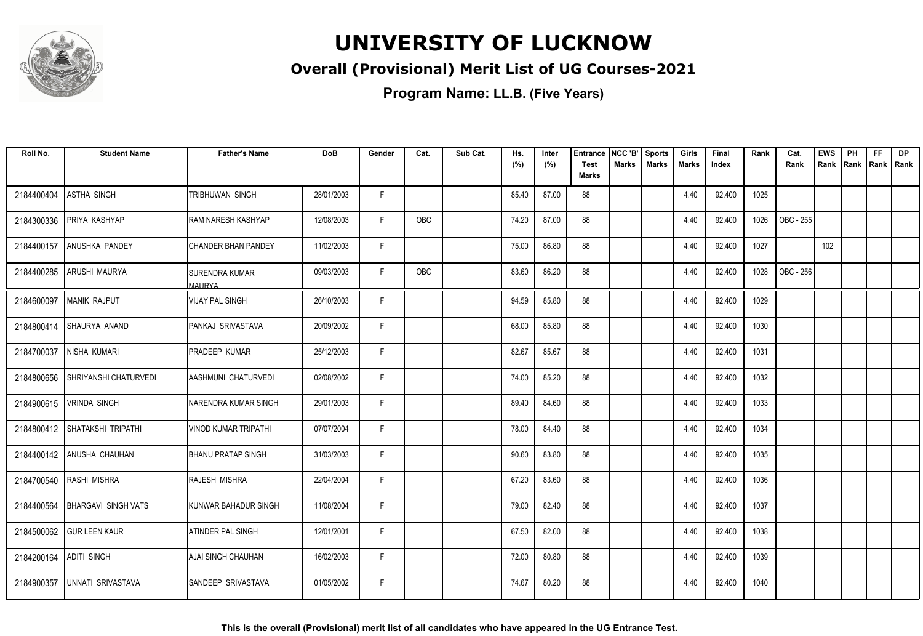

### **Overall (Provisional) Merit List of UG Courses-2021**

| Roll No.   | <b>Student Name</b>            | <b>Father's Name</b>                   | <b>DoB</b> | Gender | Cat.       | Sub Cat. | Hs.<br>(%) | Inter<br>(%) | <b>Entrance</b><br><b>Test</b> | NCC 'B'<br><b>Marks</b> | <b>Sports</b><br><b>Marks</b> | Girls<br>Marks | Final<br>Index | Rank | Cat.<br>Rank | <b>EWS</b><br>Rank | PH<br>Rank | <b>FF</b><br>Rank   Rank | <b>DP</b> |
|------------|--------------------------------|----------------------------------------|------------|--------|------------|----------|------------|--------------|--------------------------------|-------------------------|-------------------------------|----------------|----------------|------|--------------|--------------------|------------|--------------------------|-----------|
|            |                                |                                        |            |        |            |          |            |              | <b>Marks</b>                   |                         |                               |                |                |      |              |                    |            |                          |           |
| 2184400404 | <b>ASTHA SINGH</b>             | TRIBHUWAN SINGH                        | 28/01/2003 | F.     |            |          | 85.40      | 87.00        | 88                             |                         |                               | 4.40           | 92.400         | 1025 |              |                    |            |                          |           |
| 2184300336 | PRIYA KASHYAP                  | RAM NARESH KASHYAP                     | 12/08/2003 | F      | <b>OBC</b> |          | 74.20      | 87.00        | 88                             |                         |                               | 4.40           | 92.400         | 1026 | OBC - 255    |                    |            |                          |           |
| 2184400157 | ANUSHKA PANDEY                 | <b>CHANDER BHAN PANDEY</b>             | 11/02/2003 | F      |            |          | 75.00      | 86.80        | 88                             |                         |                               | 4.40           | 92.400         | 1027 |              | 102                |            |                          |           |
| 2184400285 | ARUSHI MAURYA                  | <b>SURENDRA KUMAR</b><br><b>MAURYA</b> | 09/03/2003 | F.     | OBC        |          | 83.60      | 86.20        | 88                             |                         |                               | 4.40           | 92.400         | 1028 | OBC - 256    |                    |            |                          |           |
| 2184600097 | <b>MANIK RAJPUT</b>            | <b>VIJAY PAL SINGH</b>                 | 26/10/2003 | F      |            |          | 94.59      | 85.80        | 88                             |                         |                               | 4.40           | 92.400         | 1029 |              |                    |            |                          |           |
| 2184800414 | SHAURYA ANAND                  | PANKAJ SRIVASTAVA                      | 20/09/2002 | F      |            |          | 68.00      | 85.80        | 88                             |                         |                               | 4.40           | 92.400         | 1030 |              |                    |            |                          |           |
| 2184700037 | NISHA KUMARI                   | <b>PRADEEP KUMAR</b>                   | 25/12/2003 | F      |            |          | 82.67      | 85.67        | 88                             |                         |                               | 4.40           | 92.400         | 1031 |              |                    |            |                          |           |
| 2184800656 | <b>SHRIYANSHI CHATURVEDI</b>   | AASHMUNI CHATURVEDI                    | 02/08/2002 | F.     |            |          | 74.00      | 85.20        | 88                             |                         |                               | 4.40           | 92.400         | 1032 |              |                    |            |                          |           |
| 2184900615 | <b>VRINDA SINGH</b>            | NARENDRA KUMAR SINGH                   | 29/01/2003 | F      |            |          | 89.40      | 84.60        | 88                             |                         |                               | 4.40           | 92.400         | 1033 |              |                    |            |                          |           |
|            | 2184800412 SHATAKSHI TRIPATHI  | <b>VINOD KUMAR TRIPATHI</b>            | 07/07/2004 | F      |            |          | 78.00      | 84.40        | 88                             |                         |                               | 4.40           | 92.400         | 1034 |              |                    |            |                          |           |
|            | 2184400142 ANUSHA CHAUHAN      | <b>BHANU PRATAP SINGH</b>              | 31/03/2003 | F      |            |          | 90.60      | 83.80        | 88                             |                         |                               | 4.40           | 92.400         | 1035 |              |                    |            |                          |           |
|            | 2184700540 RASHI MISHRA        | RAJESH MISHRA                          | 22/04/2004 | F.     |            |          | 67.20      | 83.60        | 88                             |                         |                               | 4.40           | 92.400         | 1036 |              |                    |            |                          |           |
|            | 2184400564 BHARGAVI SINGH VATS | KUNWAR BAHADUR SINGH                   | 11/08/2004 | F      |            |          | 79.00      | 82.40        | 88                             |                         |                               | 4.40           | 92.400         | 1037 |              |                    |            |                          |           |
|            | 2184500062 GUR LEEN KAUR       | ATINDER PAL SINGH                      | 12/01/2001 | F      |            |          | 67.50      | 82.00        | 88                             |                         |                               | 4.40           | 92.400         | 1038 |              |                    |            |                          |           |
| 2184200164 | <b>ADITI SINGH</b>             | AJAI SINGH CHAUHAN                     | 16/02/2003 | F      |            |          | 72.00      | 80.80        | 88                             |                         |                               | 4.40           | 92.400         | 1039 |              |                    |            |                          |           |
| 2184900357 | UNNATI SRIVASTAVA              | SANDEEP SRIVASTAVA                     | 01/05/2002 | F.     |            |          | 74.67      | 80.20        | 88                             |                         |                               | 4.40           | 92.400         | 1040 |              |                    |            |                          |           |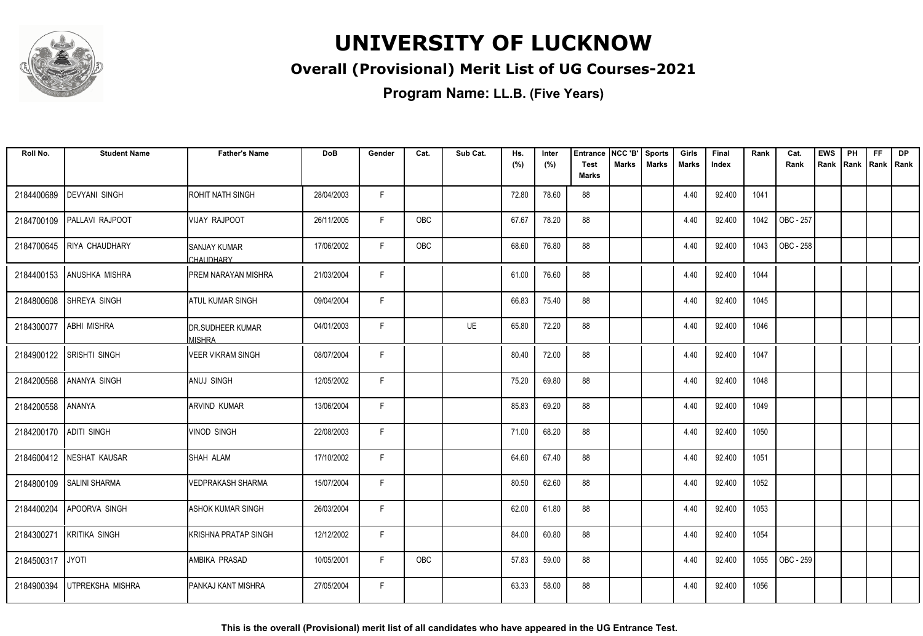

### **Overall (Provisional) Merit List of UG Courses-2021**

**Program Name: LL.B. (Five Years)**

| Roll No.               | <b>Student Name</b>      | <b>Father's Name</b>               | <b>DoB</b> | Gender | Cat.       | Sub Cat. | Hs.   | Inter | <b>Entrance</b><br><b>Test</b> | NCC 'B'<br><b>Marks</b> | <b>Sports</b><br><b>Marks</b> | Girls | Final  | Rank | Cat.      | <b>EWS</b> | PH | <b>FF</b>          | <b>DP</b> |
|------------------------|--------------------------|------------------------------------|------------|--------|------------|----------|-------|-------|--------------------------------|-------------------------|-------------------------------|-------|--------|------|-----------|------------|----|--------------------|-----------|
|                        |                          |                                    |            |        |            |          | (%)   | (%)   | <b>Marks</b>                   |                         |                               | Marks | Index  |      | Rank      | Rank       |    | Rank   Rank   Rank |           |
| 2184400689             | <b>DEVYANI SINGH</b>     | <b>ROHIT NATH SINGH</b>            | 28/04/2003 | F.     |            |          | 72.80 | 78.60 | 88                             |                         |                               | 4.40  | 92.400 | 1041 |           |            |    |                    |           |
| 2184700109             | <b>PALLAVI RAJPOOT</b>   | VIJAY RAJPOOT                      | 26/11/2005 | F.     | OBC        |          | 67.67 | 78.20 | 88                             |                         |                               | 4.40  | 92.400 | 1042 | OBC - 257 |            |    |                    |           |
| 2184700645             | <b>RIYA CHAUDHARY</b>    | <b>ISANJAY KUMAR</b><br>CHAUDHARY  | 17/06/2002 | F      | <b>OBC</b> |          | 68.60 | 76.80 | 88                             |                         |                               | 4.40  | 92.400 | 1043 | OBC - 258 |            |    |                    |           |
| 2184400153             | ANUSHKA MISHRA           | <b>PREM NARAYAN MISHRA</b>         | 21/03/2004 | F      |            |          | 61.00 | 76.60 | 88                             |                         |                               | 4.40  | 92.400 | 1044 |           |            |    |                    |           |
| 2184800608             | <b>SHREYA SINGH</b>      | <b>ATUL KUMAR SINGH</b>            | 09/04/2004 | F      |            |          | 66.83 | 75.40 | 88                             |                         |                               | 4.40  | 92.400 | 1045 |           |            |    |                    |           |
| 2184300077             | <b>ABHI MISHRA</b>       | <b>IDR.SUDHEER KUMAR</b><br>MISHRA | 04/01/2003 | F      |            | UE       | 65.80 | 72.20 | 88                             |                         |                               | 4.40  | 92.400 | 1046 |           |            |    |                    |           |
| 2184900122             | <b>SRISHTI SINGH</b>     | VEER VIKRAM SINGH                  | 08/07/2004 | F      |            |          | 80.40 | 72.00 | 88                             |                         |                               | 4.40  | 92.400 | 1047 |           |            |    |                    |           |
| 2184200568             | <b>ANANYA SINGH</b>      | <b>ANUJ SINGH</b>                  | 12/05/2002 | F      |            |          | 75.20 | 69.80 | 88                             |                         |                               | 4.40  | 92.400 | 1048 |           |            |    |                    |           |
| 2184200558             | <b>ANANYA</b>            | IARVIND KUMAR                      | 13/06/2004 | F      |            |          | 85.83 | 69.20 | 88                             |                         |                               | 4.40  | 92.400 | 1049 |           |            |    |                    |           |
| 2184200170 ADITI SINGH |                          | <b>VINOD SINGH</b>                 | 22/08/2003 | F      |            |          | 71.00 | 68.20 | 88                             |                         |                               | 4.40  | 92.400 | 1050 |           |            |    |                    |           |
|                        | 2184600412 NESHAT KAUSAR | ISHAH ALAM                         | 17/10/2002 | F      |            |          | 64.60 | 67.40 | 88                             |                         |                               | 4.40  | 92.400 | 1051 |           |            |    |                    |           |
| 2184800109             | <b>SALINI SHARMA</b>     | <b>VEDPRAKASH SHARMA</b>           | 15/07/2004 | F      |            |          | 80.50 | 62.60 | 88                             |                         |                               | 4.40  | 92.400 | 1052 |           |            |    |                    |           |
| 2184400204             | <b>APOORVA SINGH</b>     | <b>ASHOK KUMAR SINGH</b>           | 26/03/2004 | F      |            |          | 62.00 | 61.80 | 88                             |                         |                               | 4.40  | 92.400 | 1053 |           |            |    |                    |           |
| 2184300271             | <b>KRITIKA SINGH</b>     | KRISHNA PRATAP SINGH               | 12/12/2002 | F      |            |          | 84.00 | 60.80 | 88                             |                         |                               | 4.40  | 92.400 | 1054 |           |            |    |                    |           |
| 2184500317             | <b>JYOTI</b>             | IAMBIKA PRASAD                     | 10/05/2001 | F.     | OBC        |          | 57.83 | 59.00 | 88                             |                         |                               | 4.40  | 92.400 | 1055 | OBC - 259 |            |    |                    |           |
| 2184900394             | UTPREKSHA MISHRA         | <b>I</b> PANKAJ KANT MISHRA        | 27/05/2004 | F.     |            |          | 63.33 | 58.00 | 88                             |                         |                               | 4.40  | 92.400 | 1056 |           |            |    |                    |           |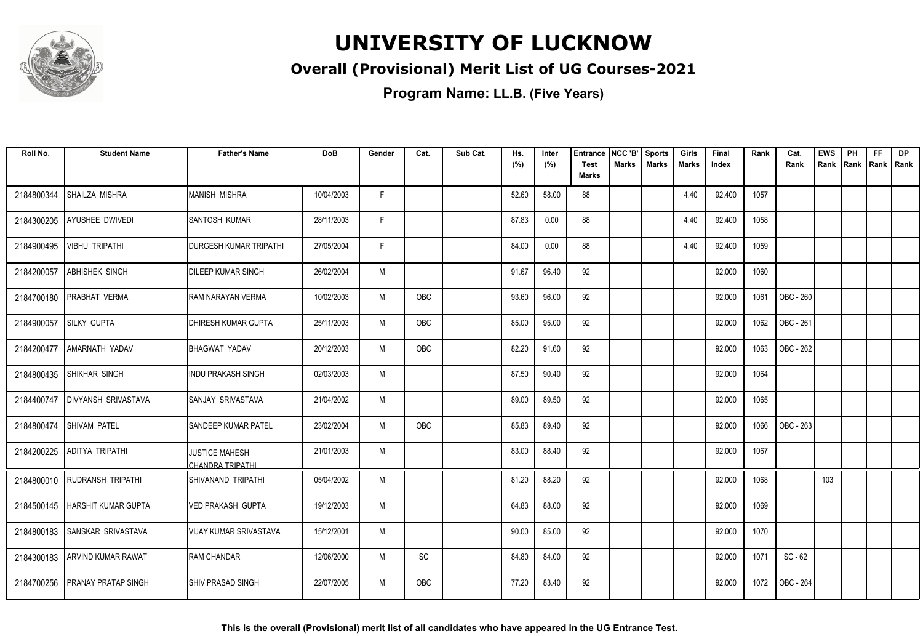

### **Overall (Provisional) Merit List of UG Courses-2021**

| Roll No.   | <b>Student Name</b>              | <b>Father's Name</b>               | <b>DoB</b> | Gender | Cat.       | Sub Cat. | Hs.<br>(%) | Inter<br>(%) | <b>Entrance</b><br><b>Test</b> | NCC 'B'<br><b>Marks</b> | <b>Sports</b><br><b>Marks</b> | Girls<br>Marks | Final<br>Index | Rank | Cat.<br>Rank | <b>EWS</b><br>Rank | PH<br>Rank | <b>FF</b><br>Rank   Rank | <b>DP</b> |
|------------|----------------------------------|------------------------------------|------------|--------|------------|----------|------------|--------------|--------------------------------|-------------------------|-------------------------------|----------------|----------------|------|--------------|--------------------|------------|--------------------------|-----------|
|            |                                  |                                    |            |        |            |          |            |              | <b>Marks</b>                   |                         |                               |                |                |      |              |                    |            |                          |           |
| 2184800344 | SHAILZA MISHRA                   | <b>MANISH MISHRA</b>               | 10/04/2003 | F.     |            |          | 52.60      | 58.00        | 88                             |                         |                               | 4.40           | 92.400         | 1057 |              |                    |            |                          |           |
| 2184300205 | AYUSHEE DWIVEDI                  | SANTOSH KUMAR                      | 28/11/2003 | F      |            |          | 87.83      | 0.00         | 88                             |                         |                               | 4.40           | 92.400         | 1058 |              |                    |            |                          |           |
| 2184900495 | <b>VIBHU TRIPATHI</b>            | <b>DURGESH KUMAR TRIPATHI</b>      | 27/05/2004 | F      |            |          | 84.00      | 0.00         | 88                             |                         |                               | 4.40           | 92.400         | 1059 |              |                    |            |                          |           |
| 2184200057 | <b>ABHISHEK SINGH</b>            | DILEEP KUMAR SINGH                 | 26/02/2004 | M      |            |          | 91.67      | 96.40        | 92                             |                         |                               |                | 92.000         | 1060 |              |                    |            |                          |           |
| 2184700180 | <b>PRABHAT VERMA</b>             | RAM NARAYAN VERMA                  | 10/02/2003 | M      | <b>OBC</b> |          | 93.60      | 96.00        | 92                             |                         |                               |                | 92.000         | 1061 | OBC - 260    |                    |            |                          |           |
| 2184900057 | <b>SILKY GUPTA</b>               | <b>DHIRESH KUMAR GUPTA</b>         | 25/11/2003 | M      | OBC        |          | 85.00      | 95.00        | 92                             |                         |                               |                | 92.000         | 1062 | OBC - 261    |                    |            |                          |           |
| 2184200477 | <b>AMARNATH YADAV</b>            | BHAGWAT YADAV                      | 20/12/2003 | M      | OBC        |          | 82.20      | 91.60        | 92                             |                         |                               |                | 92.000         | 1063 | OBC - 262    |                    |            |                          |           |
| 2184800435 | <b>SHIKHAR SINGH</b>             | <b>INDU PRAKASH SINGH</b>          | 02/03/2003 | M      |            |          | 87.50      | 90.40        | 92                             |                         |                               |                | 92.000         | 1064 |              |                    |            |                          |           |
| 2184400747 | <b>DIVYANSH SRIVASTAVA</b>       | SANJAY SRIVASTAVA                  | 21/04/2002 | M      |            |          | 89.00      | 89.50        | 92                             |                         |                               |                | 92.000         | 1065 |              |                    |            |                          |           |
| 2184800474 | <b>SHIVAM PATEL</b>              | <b>SANDEEP KUMAR PATEL</b>         | 23/02/2004 | M      | <b>OBC</b> |          | 85.83      | 89.40        | 92                             |                         |                               |                | 92.000         | 1066 | OBC - 263    |                    |            |                          |           |
| 2184200225 | <b>ADITYA TRIPATHI</b>           | JUSTICE MAHESH<br>CHANDRA TRIPATHI | 21/01/2003 | M      |            |          | 83.00      | 88.40        | 92                             |                         |                               |                | 92.000         | 1067 |              |                    |            |                          |           |
|            | 2184800010 RUDRANSH TRIPATHI     | ISHIVANAND TRIPATHI                | 05/04/2002 | M      |            |          | 81.20      | 88.20        | 92                             |                         |                               |                | 92.000         | 1068 |              | 103                |            |                          |           |
|            | 2184500145   HARSHIT KUMAR GUPTA | <b>VED PRAKASH GUPTA</b>           | 19/12/2003 | M      |            |          | 64.83      | 88.00        | 92                             |                         |                               |                | 92.000         | 1069 |              |                    |            |                          |           |
| 2184800183 | SANSKAR SRIVASTAVA               | <b>VIJAY KUMAR SRIVASTAVA</b>      | 15/12/2001 | M      |            |          | 90.00      | 85.00        | 92                             |                         |                               |                | 92.000         | 1070 |              |                    |            |                          |           |
| 2184300183 | <b>ARVIND KUMAR RAWAT</b>        | <b>RAM CHANDAR</b>                 | 12/06/2000 | M      | SC         |          | 84.80      | 84.00        | 92                             |                         |                               |                | 92.000         | 1071 | $SC - 62$    |                    |            |                          |           |
| 2184700256 | <b>PRANAY PRATAP SINGH</b>       | <b>I</b> SHIV PRASAD SINGH         | 22/07/2005 | M      | <b>OBC</b> |          | 77.20      | 83.40        | 92                             |                         |                               |                | 92.000         | 1072 | OBC - 264    |                    |            |                          |           |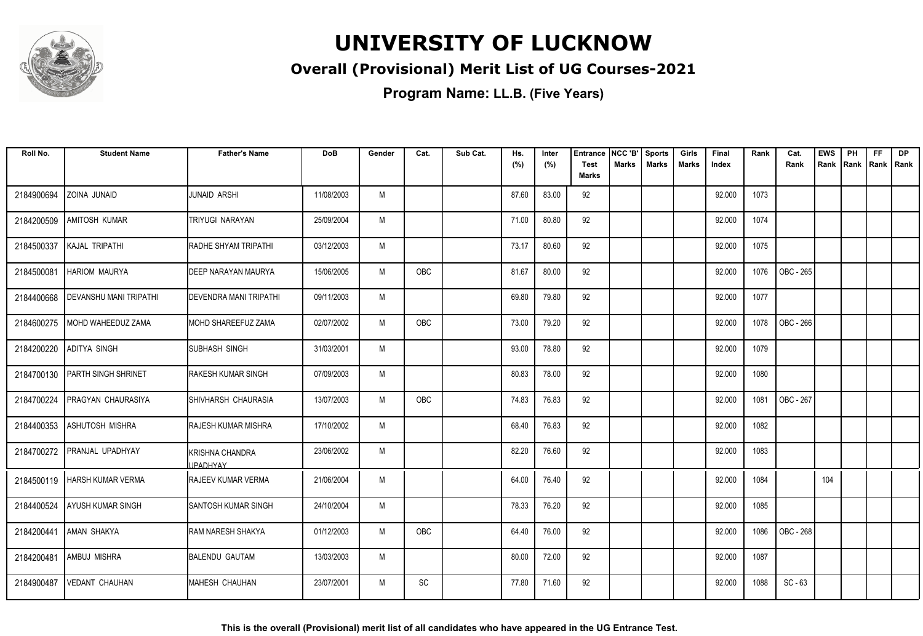

### **Overall (Provisional) Merit List of UG Courses-2021**

| Roll No.   | <b>Student Name</b>            | <b>Father's Name</b>                      | <b>DoB</b> | Gender | Cat. | Sub Cat. | Hs.<br>(%) | Inter<br>(%) | <b>Entrance</b><br><b>Test</b> | NCC 'B'<br><b>Marks</b> | <b>Sports</b><br><b>Marks</b> | Girls<br>Marks | Final<br>Index | Rank | Cat.<br>Rank | <b>EWS</b><br>Rank | PH<br>Rank | <b>FF</b><br>Rank   Rank | <b>DP</b> |
|------------|--------------------------------|-------------------------------------------|------------|--------|------|----------|------------|--------------|--------------------------------|-------------------------|-------------------------------|----------------|----------------|------|--------------|--------------------|------------|--------------------------|-----------|
|            |                                |                                           |            |        |      |          |            |              | <b>Marks</b>                   |                         |                               |                |                |      |              |                    |            |                          |           |
| 2184900694 | ZOINA JUNAID                   | <b>JUNAID ARSHI</b>                       | 11/08/2003 | M      |      |          | 87.60      | 83.00        | 92                             |                         |                               |                | 92.000         | 1073 |              |                    |            |                          |           |
| 2184200509 | <b>AMITOSH KUMAR</b>           | TRIYUGI NARAYAN                           | 25/09/2004 | M      |      |          | 71.00      | 80.80        | 92                             |                         |                               |                | 92.000         | 1074 |              |                    |            |                          |           |
| 2184500337 | KAJAL TRIPATHI                 | RADHE SHYAM TRIPATHI                      | 03/12/2003 | M      |      |          | 73.17      | 80.60        | 92                             |                         |                               |                | 92.000         | 1075 |              |                    |            |                          |           |
| 2184500081 | <b>HARIOM MAURYA</b>           | DEEP NARAYAN MAURYA                       | 15/06/2005 | M      | OBC  |          | 81.67      | 80.00        | 92                             |                         |                               |                | 92.000         | 1076 | OBC - 265    |                    |            |                          |           |
| 2184400668 | <b>DEVANSHU MANI TRIPATHI</b>  | DEVENDRA MANI TRIPATHI                    | 09/11/2003 | M      |      |          | 69.80      | 79.80        | 92                             |                         |                               |                | 92.000         | 1077 |              |                    |            |                          |           |
| 2184600275 | MOHD WAHEEDUZ ZAMA             | MOHD SHAREEFUZ ZAMA                       | 02/07/2002 | M      | OBC  |          | 73.00      | 79.20        | 92                             |                         |                               |                | 92.000         | 1078 | OBC - 266    |                    |            |                          |           |
| 2184200220 | <b>ADITYA SINGH</b>            | SUBHASH SINGH                             | 31/03/2001 | M      |      |          | 93.00      | 78.80        | 92                             |                         |                               |                | 92.000         | 1079 |              |                    |            |                          |           |
| 2184700130 | <b>PARTH SINGH SHRINET</b>     | <b>RAKESH KUMAR SINGH</b>                 | 07/09/2003 | M      |      |          | 80.83      | 78.00        | 92                             |                         |                               |                | 92.000         | 1080 |              |                    |            |                          |           |
| 2184700224 | <b>PRAGYAN CHAURASIYA</b>      | SHIVHARSH CHAURASIA                       | 13/07/2003 | M      | OBC  |          | 74.83      | 76.83        | 92                             |                         |                               |                | 92.000         | 1081 | OBC - 267    |                    |            |                          |           |
| 2184400353 | ASHUTOSH MISHRA                | RAJESH KUMAR MISHRA                       | 17/10/2002 | M      |      |          | 68.40      | 76.83        | 92                             |                         |                               |                | 92.000         | 1082 |              |                    |            |                          |           |
| 2184700272 | <b>PRANJAL UPADHYAY</b>        | <b>KRISHNA CHANDRA</b><br><b>JPADHYAY</b> | 23/06/2002 | M      |      |          | 82.20      | 76.60        | 92                             |                         |                               |                | 92.000         | 1083 |              |                    |            |                          |           |
|            | 2184500119   HARSH KUMAR VERMA | <b>IRAJEEV KUMAR VERMA</b>                | 21/06/2004 | M      |      |          | 64.00      | 76.40        | 92                             |                         |                               |                | 92.000         | 1084 |              | 104                |            |                          |           |
| 2184400524 | <b>AYUSH KUMAR SINGH</b>       | <b>SANTOSH KUMAR SINGH</b>                | 24/10/2004 | M      |      |          | 78.33      | 76.20        | 92                             |                         |                               |                | 92.000         | 1085 |              |                    |            |                          |           |
| 2184200441 | AMAN SHAKYA                    | RAM NARESH SHAKYA                         | 01/12/2003 | M      | OBC  |          | 64.40      | 76.00        | 92                             |                         |                               |                | 92.000         | 1086 | OBC - 268    |                    |            |                          |           |
| 2184200481 | AMBUJ MISHRA                   | <b>BALENDU GAUTAM</b>                     | 13/03/2003 | M      |      |          | 80.00      | 72.00        | 92                             |                         |                               |                | 92.000         | 1087 |              |                    |            |                          |           |
| 2184900487 | <b>VEDANT CHAUHAN</b>          | MAHESH CHAUHAN                            | 23/07/2001 | M      | SC   |          | 77.80      | 71.60        | 92                             |                         |                               |                | 92.000         | 1088 | $SC - 63$    |                    |            |                          |           |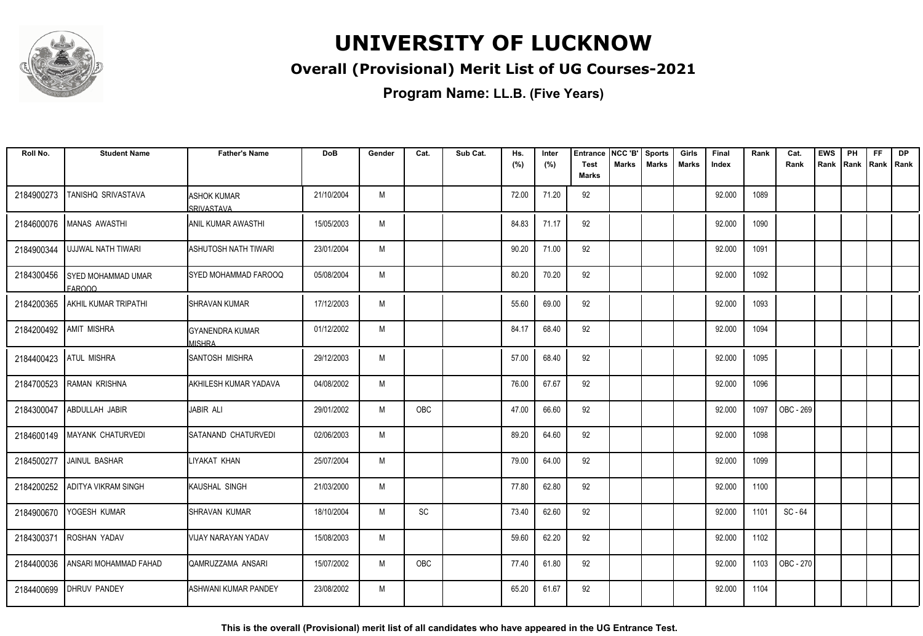

### **Overall (Provisional) Merit List of UG Courses-2021**

**Program Name: LL.B. (Five Years)**

| Roll No.   | <b>Student Name</b>                 | <b>Father's Name</b>                    | <b>DoB</b> | Gender | Cat.                         | Sub Cat. | Hs.<br>(%) | Inter<br>(%) | <b>Entrance</b><br><b>Test</b> | NCC 'B'<br><b>Marks</b> | <b>Sports</b><br><b>Marks</b> | Girls<br><b>Marks</b> | Final<br>Index | Rank | Cat.<br>Rank | <b>EWS</b><br>Rank | PH<br>Rank   Rank   Rank | FF. | <b>DP</b> |
|------------|-------------------------------------|-----------------------------------------|------------|--------|------------------------------|----------|------------|--------------|--------------------------------|-------------------------|-------------------------------|-----------------------|----------------|------|--------------|--------------------|--------------------------|-----|-----------|
|            |                                     |                                         |            |        |                              |          |            |              | <b>Marks</b>                   |                         |                               |                       |                |      |              |                    |                          |     |           |
| 2184900273 | TANISHQ SRIVASTAVA                  | <b>ASHOK KUMAR</b><br>SRIVASTAVA        | 21/10/2004 | M      |                              |          | 72.00      | 71.20        | 92                             |                         |                               |                       | 92.000         | 1089 |              |                    |                          |     |           |
| 2184600076 | MANAS AWASTHI                       | <b>ANIL KUMAR AWASTHI</b>               | 15/05/2003 | M      |                              |          | 84.83      | 71.17        | 92                             |                         |                               |                       | 92.000         | 1090 |              |                    |                          |     |           |
| 2184900344 | UJJWAL NATH TIWARI                  | ASHUTOSH NATH TIWARI                    | 23/01/2004 | M      |                              |          | 90.20      | 71.00        | 92                             |                         |                               |                       | 92.000         | 1091 |              |                    |                          |     |           |
| 2184300456 | <b>SYED MOHAMMAD UMAR</b><br>FAROOQ | SYED MOHAMMAD FAROOQ                    | 05/08/2004 | M      |                              |          | 80.20      | 70.20        | 92                             |                         |                               |                       | 92.000         | 1092 |              |                    |                          |     |           |
| 2184200365 | <b>AKHIL KUMAR TRIPATHI</b>         | <b>SHRAVAN KUMAR</b>                    | 17/12/2003 | M      |                              |          | 55.60      | 69.00        | 92                             |                         |                               |                       | 92.000         | 1093 |              |                    |                          |     |           |
| 2184200492 | <b>AMIT MISHRA</b>                  | <b>GYANENDRA KUMAR</b><br><b>MISHRA</b> | 01/12/2002 | M      |                              |          | 84.17      | 68.40        | 92                             |                         |                               |                       | 92.000         | 1094 |              |                    |                          |     |           |
|            | 2184400423 ATUL MISHRA              | <b>I</b> SANTOSH MISHRA                 | 29/12/2003 | M      |                              |          | 57.00      | 68.40        | 92                             |                         |                               |                       | 92.000         | 1095 |              |                    |                          |     |           |
| 2184700523 | RAMAN KRISHNA                       | AKHILESH KUMAR YADAVA                   | 04/08/2002 | M      |                              |          | 76.00      | 67.67        | 92                             |                         |                               |                       | 92.000         | 1096 |              |                    |                          |     |           |
| 2184300047 | ABDULLAH JABIR                      | JABIR ALI                               | 29/01/2002 | M      | <b>OBC</b>                   |          | 47.00      | 66.60        | 92                             |                         |                               |                       | 92.000         | 1097 | OBC - 269    |                    |                          |     |           |
| 2184600149 | <b>MAYANK CHATURVEDI</b>            | <b>ISATANAND CHATURVEDI</b>             | 02/06/2003 | M      |                              |          | 89.20      | 64.60        | 92                             |                         |                               |                       | 92.000         | 1098 |              |                    |                          |     |           |
| 2184500277 | JAINUL BASHAR                       | LIYAKAT KHAN                            | 25/07/2004 | M      |                              |          | 79.00      | 64.00        | 92                             |                         |                               |                       | 92.000         | 1099 |              |                    |                          |     |           |
| 2184200252 | <b>ADITYA VIKRAM SINGH</b>          | KAUSHAL SINGH                           | 21/03/2000 | M      |                              |          | 77.80      | 62.80        | 92                             |                         |                               |                       | 92.000         | 1100 |              |                    |                          |     |           |
| 2184900670 | YOGESH KUMAR                        | SHRAVAN KUMAR                           | 18/10/2004 | M      | $\operatorname{\textsf{SC}}$ |          | 73.40      | 62.60        | 92                             |                         |                               |                       | 92.000         | 1101 | SC-64        |                    |                          |     |           |
| 2184300371 | <b>ROSHAN YADAV</b>                 | VIJAY NARAYAN YADAV                     | 15/08/2003 | M      |                              |          | 59.60      | 62.20        | 92                             |                         |                               |                       | 92.000         | 1102 |              |                    |                          |     |           |
| 2184400036 | ANSARI MOHAMMAD FAHAD               | QAMRUZZAMA ANSARI                       | 15/07/2002 | M      | OBC                          |          | 77.40      | 61.80        | 92                             |                         |                               |                       | 92.000         | 1103 | OBC - 270    |                    |                          |     |           |
| 2184400699 | <b>DHRUV PANDEY</b>                 | ASHWANI KUMAR PANDEY                    | 23/08/2002 | M      |                              |          | 65.20      | 61.67        | 92                             |                         |                               |                       | 92.000         | 1104 |              |                    |                          |     |           |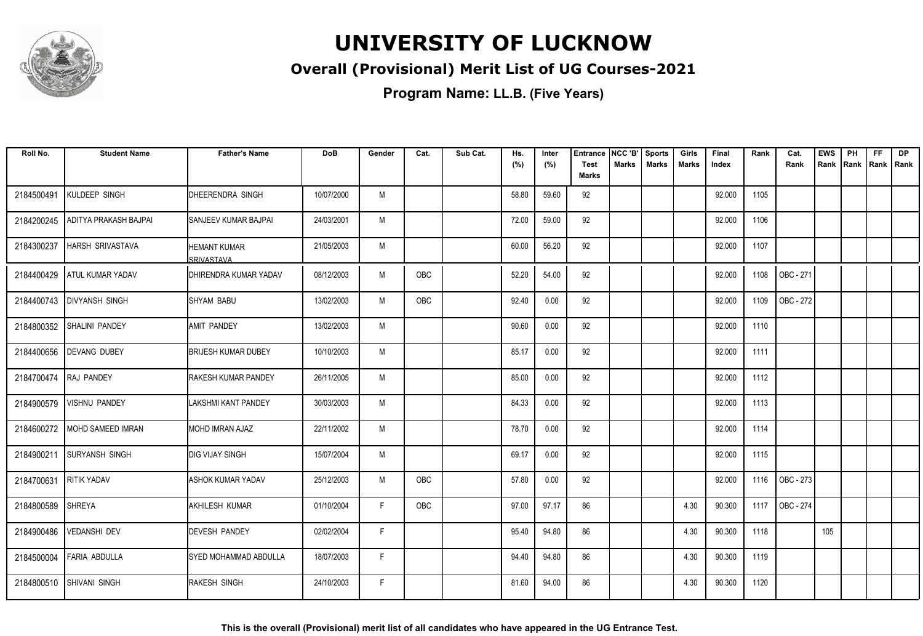

### **Overall (Provisional) Merit List of UG Courses-2021**

| Roll No.   | <b>Student Name</b>      | <b>Father's Name</b>                       | <b>DoB</b> | Gender | Cat. | Sub Cat. | Hs.<br>(%) | Inter<br>(%) | <b>Entrance</b><br><b>Test</b><br><b>Marks</b> | NCC 'B'<br><b>Marks</b> | <b>Sports</b><br><b>Marks</b> | Girls<br>Marks | Final<br>Index | Rank | Cat.<br>Rank | <b>EWS</b><br>Rank | PH | <b>FF</b><br>Rank   Rank   Rank | <b>DP</b> |
|------------|--------------------------|--------------------------------------------|------------|--------|------|----------|------------|--------------|------------------------------------------------|-------------------------|-------------------------------|----------------|----------------|------|--------------|--------------------|----|---------------------------------|-----------|
| 2184500491 | KULDEEP SINGH            | <b>IDHEERENDRA SINGH</b>                   | 10/07/2000 | M      |      |          | 58.80      | 59.60        | 92                                             |                         |                               |                | 92.000         | 1105 |              |                    |    |                                 |           |
| 2184200245 | ADITYA PRAKASH BAJPAI    | ISANJEEV KUMAR BAJPAI                      | 24/03/2001 | М      |      |          | 72.00      | 59.00        | 92                                             |                         |                               |                | 92.000         | 1106 |              |                    |    |                                 |           |
| 2184300237 | HARSH SRIVASTAVA         | <b>I</b> HEMANT KUMAR<br><b>SRIVASTAVA</b> | 21/05/2003 | M      |      |          | 60.00      | 56.20        | 92                                             |                         |                               |                | 92.000         | 1107 |              |                    |    |                                 |           |
| 2184400429 | <b>ATUL KUMAR YADAV</b>  | <b>DHIRENDRA KUMAR YADAV</b>               | 08/12/2003 | M      | OBC  |          | 52.20      | 54.00        | 92                                             |                         |                               |                | 92.000         | 1108 | OBC - 271    |                    |    |                                 |           |
| 2184400743 | <b>DIVYANSH SINGH</b>    | <b>SHYAM BABU</b>                          | 13/02/2003 | M      | OBC  |          | 92.40      | 0.00         | 92                                             |                         |                               |                | 92.000         | 1109 | OBC - 272    |                    |    |                                 |           |
| 2184800352 | <b>SHALINI PANDEY</b>    | <b>AMIT PANDEY</b>                         | 13/02/2003 | M      |      |          | 90.60      | 0.00         | 92                                             |                         |                               |                | 92.000         | 1110 |              |                    |    |                                 |           |
| 2184400656 | <b>DEVANG DUBEY</b>      | <b>BRIJESH KUMAR DUBEY</b>                 | 10/10/2003 | M      |      |          | 85.17      | 0.00         | 92                                             |                         |                               |                | 92.000         | 1111 |              |                    |    |                                 |           |
| 2184700474 | RAJ PANDEY               | <b>RAKESH KUMAR PANDEY</b>                 | 26/11/2005 | M      |      |          | 85.00      | 0.00         | 92                                             |                         |                               |                | 92.000         | 1112 |              |                    |    |                                 |           |
| 2184900579 | <b>VISHNU PANDEY</b>     | ILAKSHMI KANT PANDEY                       | 30/03/2003 | M      |      |          | 84.33      | 0.00         | 92                                             |                         |                               |                | 92.000         | 1113 |              |                    |    |                                 |           |
| 2184600272 | <b>MOHD SAMEED IMRAN</b> | IMOHD IMRAN AJAZ                           | 22/11/2002 | M      |      |          | 78.70      | 0.00         | 92                                             |                         |                               |                | 92.000         | 1114 |              |                    |    |                                 |           |
| 2184900211 | <b>SURYANSH SINGH</b>    | <b>I</b> DIG VIJAY SINGH                   | 15/07/2004 | M      |      |          | 69.17      | 0.00         | 92                                             |                         |                               |                | 92.000         | 1115 |              |                    |    |                                 |           |
| 2184700631 | <b>RITIK YADAV</b>       | <b>ASHOK KUMAR YADAV</b>                   | 25/12/2003 | M      | OBC  |          | 57.80      | 0.00         | 92                                             |                         |                               |                | 92.000         | 1116 | OBC - 273    |                    |    |                                 |           |
| 2184800589 | <b>SHREYA</b>            | <b>AKHILESH KUMAR</b>                      | 01/10/2004 | F      | OBC  |          | 97.00      | 97.17        | 86                                             |                         |                               | 4.30           | 90.300         | 1117 | OBC - 274    |                    |    |                                 |           |
| 2184900486 | <b>VEDANSHI DEV</b>      | <b>DEVESH PANDEY</b>                       | 02/02/2004 | F      |      |          | 95.40      | 94.80        | 86                                             |                         |                               | 4.30           | 90.300         | 1118 |              | 105                |    |                                 |           |
| 2184500004 | <b>FARIA ABDULLA</b>     | <b>SYED MOHAMMAD ABDULLA</b>               | 18/07/2003 | F.     |      |          | 94.40      | 94.80        | 86                                             |                         |                               | 4.30           | 90.300         | 1119 |              |                    |    |                                 |           |
|            | 2184800510 SHIVANI SINGH | <b>RAKESH SINGH</b>                        | 24/10/2003 | F      |      |          | 81.60      | 94.00        | 86                                             |                         |                               | 4.30           | 90.300         | 1120 |              |                    |    |                                 |           |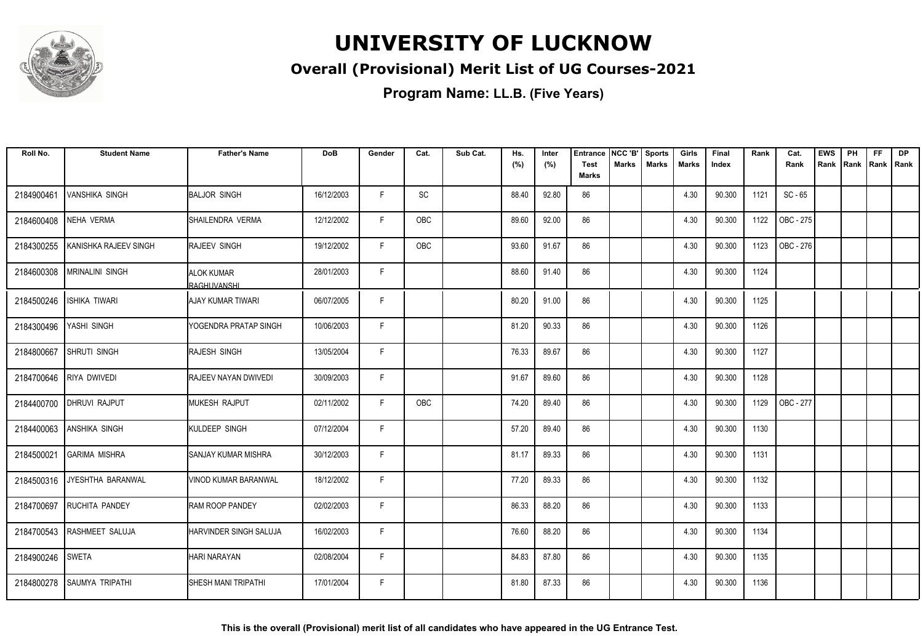

### **Overall (Provisional) Merit List of UG Courses-2021**

| Roll No.   | <b>Student Name</b>        | <b>Father's Name</b>             | <b>DoB</b> | Gender | Cat. | Sub Cat. | Hs.<br>(%) | Inter<br>(%) | <b>Entrance</b><br><b>Test</b> | NCC 'B'<br>Marks | <b>Sports</b><br><b>Marks</b> | Girls<br>Marks | Final<br>Index | Rank | Cat.<br>Rank | <b>EWS</b><br>Rank | PH<br>Rank | FF<br>Rank   Rank | <b>DP</b> |
|------------|----------------------------|----------------------------------|------------|--------|------|----------|------------|--------------|--------------------------------|------------------|-------------------------------|----------------|----------------|------|--------------|--------------------|------------|-------------------|-----------|
|            |                            |                                  |            |        |      |          |            |              | <b>Marks</b>                   |                  |                               |                |                |      |              |                    |            |                   |           |
| 2184900461 | <b>VANSHIKA SINGH</b>      | BALJOR SINGH                     | 16/12/2003 | E      | SC   |          | 88.40      | 92.80        | 86                             |                  |                               | 4.30           | 90.300         | 1121 | $SC - 65$    |                    |            |                   |           |
| 2184600408 | NEHA VERMA                 | ISHAILENDRA VERMA                | 12/12/2002 | F.     | OBC  |          | 89.60      | 92.00        | 86                             |                  |                               | 4.30           | 90.300         | 1122 | OBC - 275    |                    |            |                   |           |
| 2184300255 | KANISHKA RAJEEV SINGH      | <b>RAJEEV SINGH</b>              | 19/12/2002 | F      | OBC  |          | 93.60      | 91.67        | 86                             |                  |                               | 4.30           | 90.300         | 1123 | OBC - 276    |                    |            |                   |           |
| 2184600308 | <b>MRINALINI SINGH</b>     | <b>ALOK KUMAR</b><br>RAGHUVANSHI | 28/01/2003 | F      |      |          | 88.60      | 91.40        | 86                             |                  |                               | 4.30           | 90.300         | 1124 |              |                    |            |                   |           |
| 2184500246 | <b>ISHIKA TIWARI</b>       | IAJAY KUMAR TIWARI               | 06/07/2005 | F      |      |          | 80.20      | 91.00        | 86                             |                  |                               | 4.30           | 90.300         | 1125 |              |                    |            |                   |           |
| 2184300496 | YASHI SINGH                | YOGENDRA PRATAP SINGH            | 10/06/2003 | F      |      |          | 81.20      | 90.33        | 86                             |                  |                               | 4.30           | 90.300         | 1126 |              |                    |            |                   |           |
| 2184800667 | <b>SHRUTI SINGH</b>        | RAJESH SINGH                     | 13/05/2004 | F      |      |          | 76.33      | 89.67        | 86                             |                  |                               | 4.30           | 90.300         | 1127 |              |                    |            |                   |           |
| 2184700646 | <b>RIYA DWIVEDI</b>        | <b>RAJEEV NAYAN DWIVEDI</b>      | 30/09/2003 | F      |      |          | 91.67      | 89.60        | 86                             |                  |                               | 4.30           | 90.300         | 1128 |              |                    |            |                   |           |
| 2184400700 | <b>DHRUVI RAJPUT</b>       | MUKESH RAJPUT                    | 02/11/2002 | F      | OBC  |          | 74.20      | 89.40        | 86                             |                  |                               | 4.30           | 90.300         | 1129 | OBC - 277    |                    |            |                   |           |
| 2184400063 | <b>ANSHIKA SINGH</b>       | KULDEEP SINGH                    | 07/12/2004 | F      |      |          | 57.20      | 89.40        | 86                             |                  |                               | 4.30           | 90.300         | 1130 |              |                    |            |                   |           |
| 2184500021 | IGARIMA MISHRA             | SANJAY KUMAR MISHRA              | 30/12/2003 | F      |      |          | 81.17      | 89.33        | 86                             |                  |                               | 4.30           | 90.300         | 1131 |              |                    |            |                   |           |
| 2184500316 | <b>IJYESHTHA BARANWAL</b>  | <b>VINOD KUMAR BARANWAL</b>      | 18/12/2002 | F.     |      |          | 77.20      | 89.33        | 86                             |                  |                               | 4.30           | 90.300         | 1132 |              |                    |            |                   |           |
| 2184700697 | <b>RUCHITA PANDEY</b>      | RAM ROOP PANDEY                  | 02/02/2003 | F      |      |          | 86.33      | 88.20        | 86                             |                  |                               | 4.30           | 90.300         | 1133 |              |                    |            |                   |           |
|            | 2184700543 RASHMEET SALUJA | HARVINDER SINGH SALUJA           | 16/02/2003 | F      |      |          | 76.60      | 88.20        | 86                             |                  |                               | 4.30           | 90.300         | 1134 |              |                    |            |                   |           |
| 2184900246 | <b>SWETA</b>               | <b>HARI NARAYAN</b>              | 02/08/2004 | F      |      |          | 84.83      | 87.80        | 86                             |                  |                               | 4.30           | 90.300         | 1135 |              |                    |            |                   |           |
| 2184800278 | <b>SAUMYA TRIPATHI</b>     | <b>SHESH MANI TRIPATHI</b>       | 17/01/2004 | F      |      |          | 81.80      | 87.33        | 86                             |                  |                               | 4.30           | 90.300         | 1136 |              |                    |            |                   |           |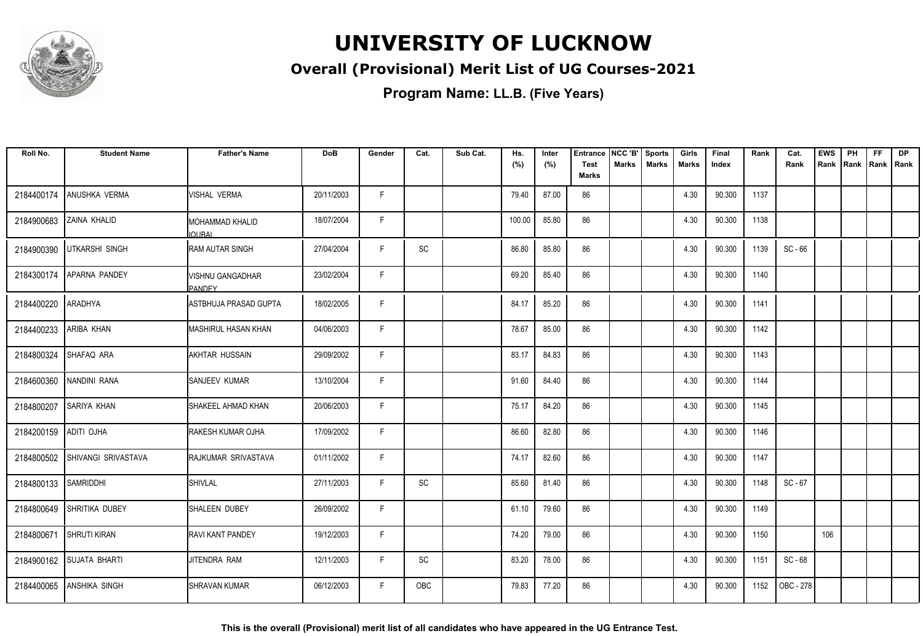

#### **Overall (Provisional) Merit List of UG Courses-2021**

**Program Name: LL.B. (Five Years)**

| Roll No.   | <b>Student Name</b>            | <b>Father's Name</b>                     | <b>DoB</b> | Gender | Cat. | Sub Cat. | Hs.<br>(%) | Inter<br>(%) | <b>Entrance</b><br><b>Test</b><br><b>Marks</b> | NCC 'B'<br><b>Marks</b> | <b>Sports</b><br><b>Marks</b> | Girls<br>Marks | Final<br>Index | Rank | Cat.<br>Rank | <b>EWS</b><br>Rank | PH<br>Rank | <b>FF</b><br>Rank   Rank | <b>DP</b> |
|------------|--------------------------------|------------------------------------------|------------|--------|------|----------|------------|--------------|------------------------------------------------|-------------------------|-------------------------------|----------------|----------------|------|--------------|--------------------|------------|--------------------------|-----------|
| 2184400174 | ANUSHKA VERMA                  | <b>VISHAL VERMA</b>                      | 20/11/2003 | F.     |      |          | 79.40      | 87.00        | 86                                             |                         |                               | 4.30           | 90.300         | 1137 |              |                    |            |                          |           |
| 2184900683 | ZAINA KHALID                   | IMOHAMMAD KHALID<br><b>IQURAL</b>        | 18/07/2004 | F.     |      |          | 100.00     | 85.80        | 86                                             |                         |                               | 4.30           | 90.300         | 1138 |              |                    |            |                          |           |
| 2184900390 | <b>UTKARSHI SINGH</b>          | IRAM AUTAR SINGH                         | 27/04/2004 | F.     | SC   |          | 86.80      | 85.80        | 86                                             |                         |                               | 4.30           | 90.300         | 1139 | $SC - 66$    |                    |            |                          |           |
| 2184300174 | APARNA PANDEY                  | <b>VISHNU GANGADHAR</b><br><b>PANDEY</b> | 23/02/2004 | F      |      |          | 69.20      | 85.40        | 86                                             |                         |                               | 4.30           | 90.300         | 1140 |              |                    |            |                          |           |
| 2184400220 | <b>ARADHYA</b>                 | ASTBHUJA PRASAD GUPTA                    | 18/02/2005 | F.     |      |          | 84.17      | 85.20        | 86                                             |                         |                               | 4.30           | 90.300         | 1141 |              |                    |            |                          |           |
| 2184400233 | ARIBA KHAN                     | IMASHIRUL HASAN KHAN                     | 04/06/2003 | F.     |      |          | 78.67      | 85.00        | 86                                             |                         |                               | 4.30           | 90.300         | 1142 |              |                    |            |                          |           |
| 2184800324 | SHAFAQ ARA                     | AKHTAR HUSSAIN                           | 29/09/2002 | F      |      |          | 83.17      | 84.83        | 86                                             |                         |                               | 4.30           | 90.300         | 1143 |              |                    |            |                          |           |
| 2184600360 | NANDINI RANA                   | <b>SANJEEV KUMAR</b>                     | 13/10/2004 | F      |      |          | 91.60      | 84.40        | 86                                             |                         |                               | 4.30           | 90.300         | 1144 |              |                    |            |                          |           |
| 2184800207 | <b>SARIYA KHAN</b>             | SHAKEEL AHMAD KHAN                       | 20/06/2003 | F      |      |          | 75.17      | 84.20        | 86                                             |                         |                               | 4.30           | 90.300         | 1145 |              |                    |            |                          |           |
| 2184200159 | ADITI OJHA                     | <b>RAKESH KUMAR OJHA</b>                 | 17/09/2002 | F      |      |          | 86.60      | 82.80        | 86                                             |                         |                               | 4.30           | 90.300         | 1146 |              |                    |            |                          |           |
|            | 2184800502 SHIVANGI SRIVASTAVA | RAJKUMAR SRIVASTAVA                      | 01/11/2002 | F      |      |          | 74.17      | 82.60        | 86                                             |                         |                               | 4.30           | 90.300         | 1147 |              |                    |            |                          |           |
| 2184800133 | <b>SAMRIDDHI</b>               | SHIVLAL                                  | 27/11/2003 | F      | SC   |          | 85.60      | 81.40        | 86                                             |                         |                               | 4.30           | 90.300         | 1148 | $SC - 67$    |                    |            |                          |           |
|            | 2184800649 SHRITIKA DUBEY      | SHALEEN DUBEY                            | 26/09/2002 | F      |      |          | 61.10      | 79.60        | 86                                             |                         |                               | 4.30           | 90.300         | 1149 |              |                    |            |                          |           |
| 2184800671 | <b>SHRUTI KIRAN</b>            | <b>RAVI KANT PANDEY</b>                  | 19/12/2003 | F      |      |          | 74.20      | 79.00        | 86                                             |                         |                               | 4.30           | 90.300         | 1150 |              | 106                |            |                          |           |
|            | 2184900162 SUJATA BHARTI       | IJITENDRA RAM                            | 12/11/2003 | F      | SC   |          | 83.20      | 78.00        | 86                                             |                         |                               | 4.30           | 90.300         | 1151 | SC - 68      |                    |            |                          |           |
| 2184400065 | <b>ANSHIKA SINGH</b>           | <b>SHRAVAN KUMAR</b>                     | 06/12/2003 | F      | OBC  |          | 79.83      | 77.20        | 86                                             |                         |                               | 4.30           | 90.300         | 1152 | OBC - 278    |                    |            |                          |           |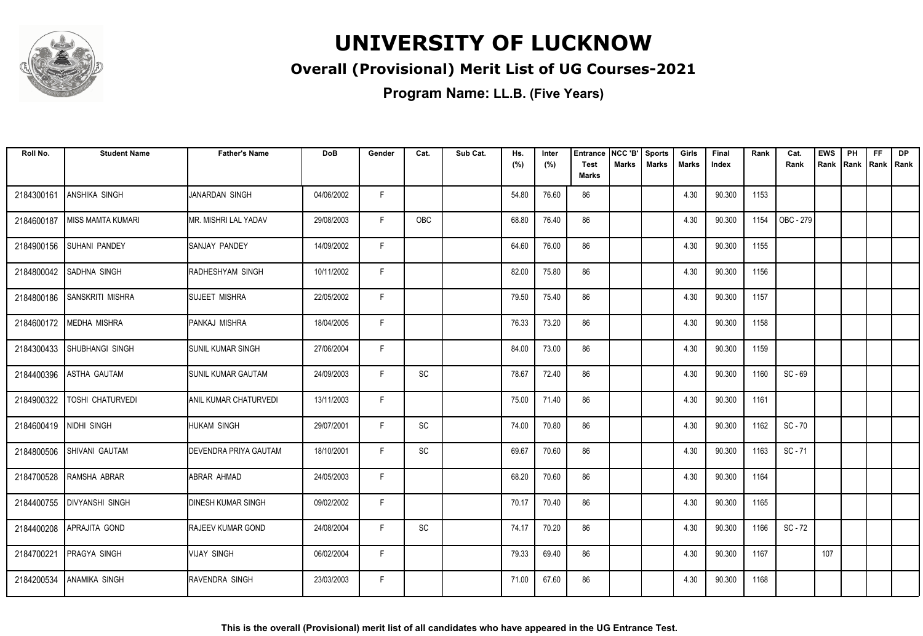

#### **Overall (Provisional) Merit List of UG Courses-2021**

| Roll No.   | <b>Student Name</b>        | <b>Father's Name</b>           | <b>DoB</b> | Gender | Cat. | Sub Cat. | Hs.<br>(%) | Inter<br>(%) | Entrance<br><b>Test</b> | NCC 'B'<br><b>Marks</b> | <b>Sports</b><br><b>Marks</b> | Girls<br>Marks | Final<br>Index | Rank | Cat.<br>Rank | <b>EWS</b><br>Rank   Rank | PH | <b>FF</b><br>Rank   Rank | <b>DP</b> |
|------------|----------------------------|--------------------------------|------------|--------|------|----------|------------|--------------|-------------------------|-------------------------|-------------------------------|----------------|----------------|------|--------------|---------------------------|----|--------------------------|-----------|
|            |                            |                                |            |        |      |          |            |              | Marks                   |                         |                               |                |                |      |              |                           |    |                          |           |
| 2184300161 | <b>ANSHIKA SINGH</b>       | <b>JANARDAN SINGH</b>          | 04/06/2002 | F      |      |          | 54.80      | 76.60        | 86                      |                         |                               | 4.30           | 90.300         | 1153 |              |                           |    |                          |           |
| 2184600187 | l MISS MAMTA KUMARI        | IMR. MISHRI LAL YADAV          | 29/08/2003 | F.     | OBC  |          | 68.80      | 76.40        | 86                      |                         |                               | 4.30           | 90.300         | 1154 | OBC - 279    |                           |    |                          |           |
| 2184900156 | <b>SUHANI PANDEY</b>       | ISANJAY PANDEY                 | 14/09/2002 | F      |      |          | 64.60      | 76.00        | 86                      |                         |                               | 4.30           | 90.300         | 1155 |              |                           |    |                          |           |
| 2184800042 | <b>SADHNA SINGH</b>        | RADHESHYAM SINGH               | 10/11/2002 | F.     |      |          | 82.00      | 75.80        | 86                      |                         |                               | 4.30           | 90.300         | 1156 |              |                           |    |                          |           |
| 2184800186 | <b>SANSKRITI MISHRA</b>    | <b>SUJEET MISHRA</b>           | 22/05/2002 | F      |      |          | 79.50      | 75.40        | 86                      |                         |                               | 4.30           | 90.300         | 1157 |              |                           |    |                          |           |
|            | 2184600172 MEDHA MISHRA    | <b>PANKAJ MISHRA</b>           | 18/04/2005 | F      |      |          | 76.33      | 73.20        | 86                      |                         |                               | 4.30           | 90.300         | 1158 |              |                           |    |                          |           |
|            | 2184300433 SHUBHANGI SINGH | <b>SUNIL KUMAR SINGH</b>       | 27/06/2004 | F      |      |          | 84.00      | 73.00        | 86                      |                         |                               | 4.30           | 90.300         | 1159 |              |                           |    |                          |           |
| 2184400396 | <b>ASTHA GAUTAM</b>        | <b>SUNIL KUMAR GAUTAM</b>      | 24/09/2003 | F.     | SC   |          | 78.67      | 72.40        | 86                      |                         |                               | 4.30           | 90.300         | 1160 | $SC - 69$    |                           |    |                          |           |
| 2184900322 | TOSHI CHATURVEDI           | IANIL KUMAR CHATURVEDI         | 13/11/2003 | F.     |      |          | 75.00      | 71.40        | 86                      |                         |                               | 4.30           | 90.300         | 1161 |              |                           |    |                          |           |
| 2184600419 | NIDHI SINGH                | HUKAM SINGH                    | 29/07/2001 | F      | SC   |          | 74.00      | 70.80        | 86                      |                         |                               | 4.30           | 90.300         | 1162 | $SC - 70$    |                           |    |                          |           |
| 2184800506 | ISHIVANI GAUTAM            | <b>I</b> DEVENDRA PRIYA GAUTAM | 18/10/2001 | F      | SC   |          | 69.67      | 70.60        | 86                      |                         |                               | 4.30           | 90.300         | 1163 | $SC - 71$    |                           |    |                          |           |
| 2184700528 | RAMSHA ABRAR               | ABRAR AHMAD                    | 24/05/2003 | F.     |      |          | 68.20      | 70.60        | 86                      |                         |                               | 4.30           | 90.300         | 1164 |              |                           |    |                          |           |
| 2184400755 | <b>DIVYANSHI SINGH</b>     | <b>DINESH KUMAR SINGH</b>      | 09/02/2002 | F      |      |          | 70.17      | 70.40        | 86                      |                         |                               | 4.30           | 90.300         | 1165 |              |                           |    |                          |           |
| 2184400208 | APRAJITA GOND              | <b>RAJEEV KUMAR GOND</b>       | 24/08/2004 | F      | SC   |          | 74.17      | 70.20        | 86                      |                         |                               | 4.30           | 90.300         | 1166 | SC - 72      |                           |    |                          |           |
| 2184700221 | <b>PRAGYA SINGH</b>        | VIJAY SINGH                    | 06/02/2004 | F.     |      |          | 79.33      | 69.40        | 86                      |                         |                               | 4.30           | 90.300         | 1167 |              | 107                       |    |                          |           |
| 2184200534 | <b>ANAMIKA SINGH</b>       | <b>RAVENDRA SINGH</b>          | 23/03/2003 | F.     |      |          | 71.00      | 67.60        | 86                      |                         |                               | 4.30           | 90.300         | 1168 |              |                           |    |                          |           |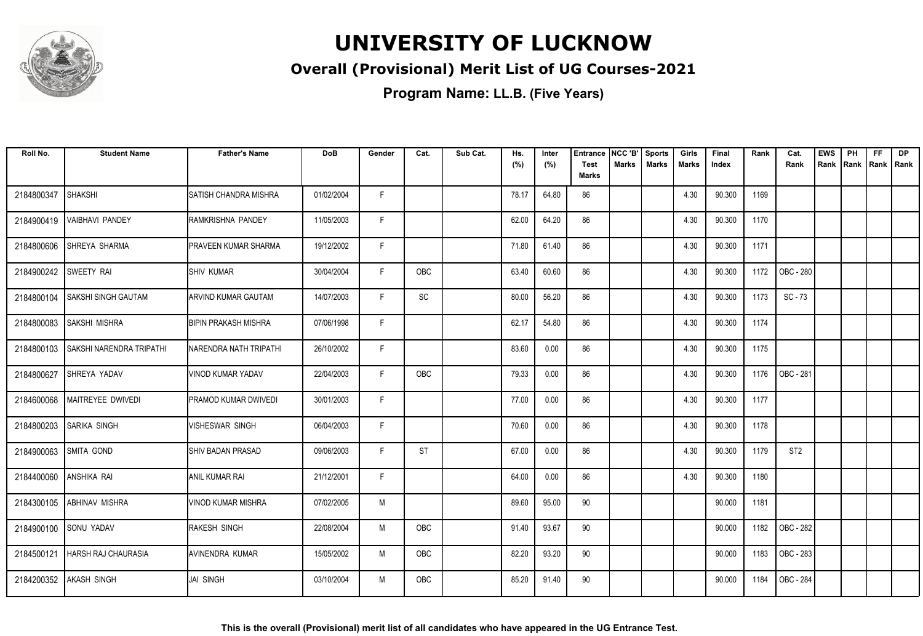

#### **Overall (Provisional) Merit List of UG Courses-2021**

| Roll No.   | <b>Student Name</b>        | <b>Father's Name</b>          | <b>DoB</b> | Gender | Cat.                         | Sub Cat. | Hs.<br>(%) | Inter<br>(%) | <b>Entrance</b><br><b>Test</b><br><b>Marks</b> | NCC 'B'<br>Marks | Sports<br><b>Marks</b> | Girls<br>Marks | Final<br>Index | Rank | Cat.<br>Rank    | <b>EWS</b><br>Rank | PH<br>Rank | <b>FF</b><br>Rank   Rank | <b>DP</b> |
|------------|----------------------------|-------------------------------|------------|--------|------------------------------|----------|------------|--------------|------------------------------------------------|------------------|------------------------|----------------|----------------|------|-----------------|--------------------|------------|--------------------------|-----------|
| 2184800347 | <b>SHAKSHI</b>             | <b>ISATISH CHANDRA MISHRA</b> | 01/02/2004 | F.     |                              |          | 78.17      | 64.80        | 86                                             |                  |                        | 4.30           | 90.300         | 1169 |                 |                    |            |                          |           |
| 2184900419 | <b>VAIBHAVI PANDEY</b>     | RAMKRISHNA PANDEY             | 11/05/2003 | F.     |                              |          | 62.00      | 64.20        | 86                                             |                  |                        | 4.30           | 90.300         | 1170 |                 |                    |            |                          |           |
| 2184800606 | SHREYA SHARMA              | PRAVEEN KUMAR SHARMA          | 19/12/2002 | F      |                              |          | 71.80      | 61.40        | 86                                             |                  |                        | 4.30           | 90.300         | 1171 |                 |                    |            |                          |           |
| 2184900242 | SWEETY RAI                 | <b>SHIV KUMAR</b>             | 30/04/2004 | F      | OBC                          |          | 63.40      | 60.60        | 86                                             |                  |                        | 4.30           | 90.300         | 1172 | OBC - 280       |                    |            |                          |           |
| 2184800104 | SAKSHI SINGH GAUTAM        | <b>ARVIND KUMAR GAUTAM</b>    | 14/07/2003 | F      | $\operatorname{\textsf{SC}}$ |          | 80.00      | 56.20        | 86                                             |                  |                        | 4.30           | 90.300         | 1173 | $SC - 73$       |                    |            |                          |           |
| 2184800083 | SAKSHI MISHRA              | <b>BIPIN PRAKASH MISHRA</b>   | 07/06/1998 | F      |                              |          | 62.17      | 54.80        | 86                                             |                  |                        | 4.30           | 90.300         | 1174 |                 |                    |            |                          |           |
| 2184800103 | SAKSHI NARENDRA TRIPATHI   | NARENDRA NATH TRIPATHI        | 26/10/2002 | F      |                              |          | 83.60      | 0.00         | 86                                             |                  |                        | 4.30           | 90.300         | 1175 |                 |                    |            |                          |           |
| 2184800627 | SHREYA YADAV               | VINOD KUMAR YADAV             | 22/04/2003 | F      | OBC                          |          | 79.33      | 0.00         | 86                                             |                  |                        | 4.30           | 90.300         | 1176 | OBC - 281       |                    |            |                          |           |
| 2184600068 | MAITREYEE DWIVEDI          | PRAMOD KUMAR DWIVEDI          | 30/01/2003 | F      |                              |          | 77.00      | 0.00         | 86                                             |                  |                        | 4.30           | 90.300         | 1177 |                 |                    |            |                          |           |
| 2184800203 | <b>SARIKA SINGH</b>        | <b>VISHESWAR SINGH</b>        | 06/04/2003 | F      |                              |          | 70.60      | 0.00         | 86                                             |                  |                        | 4.30           | 90.300         | 1178 |                 |                    |            |                          |           |
| 2184900063 | <b>SMITA GOND</b>          | <b>ISHIV BADAN PRASAD</b>     | 09/06/2003 | F      | <b>ST</b>                    |          | 67.00      | 0.00         | 86                                             |                  |                        | 4.30           | 90.300         | 1179 | ST <sub>2</sub> |                    |            |                          |           |
| 2184400060 | <b>ANSHIKA RAI</b>         | <b>ANIL KUMAR RAI</b>         | 21/12/2001 | F      |                              |          | 64.00      | 0.00         | 86                                             |                  |                        | 4.30           | 90.300         | 1180 |                 |                    |            |                          |           |
| 2184300105 | <b>ABHINAV MISHRA</b>      | <b>VINOD KUMAR MISHRA</b>     | 07/02/2005 | M      |                              |          | 89.60      | 95.00        | 90                                             |                  |                        |                | 90.000         | 1181 |                 |                    |            |                          |           |
|            | 2184900100 SONU YADAV      | <b>RAKESH SINGH</b>           | 22/08/2004 | M      | <b>OBC</b>                   |          | 91.40      | 93.67        | 90                                             |                  |                        |                | 90.000         | 1182 | OBC - 282       |                    |            |                          |           |
| 2184500121 | <b>HARSH RAJ CHAURASIA</b> | AVINENDRA KUMAR               | 15/05/2002 | M      | OBC                          |          | 82.20      | 93.20        | 90                                             |                  |                        |                | 90.000         | 1183 | OBC - 283       |                    |            |                          |           |
| 2184200352 | <b>AKASH SINGH</b>         | <b>JAI SINGH</b>              | 03/10/2004 | M      | <b>OBC</b>                   |          | 85.20      | 91.40        | 90                                             |                  |                        |                | 90.000         | 1184 | OBC - 284       |                    |            |                          |           |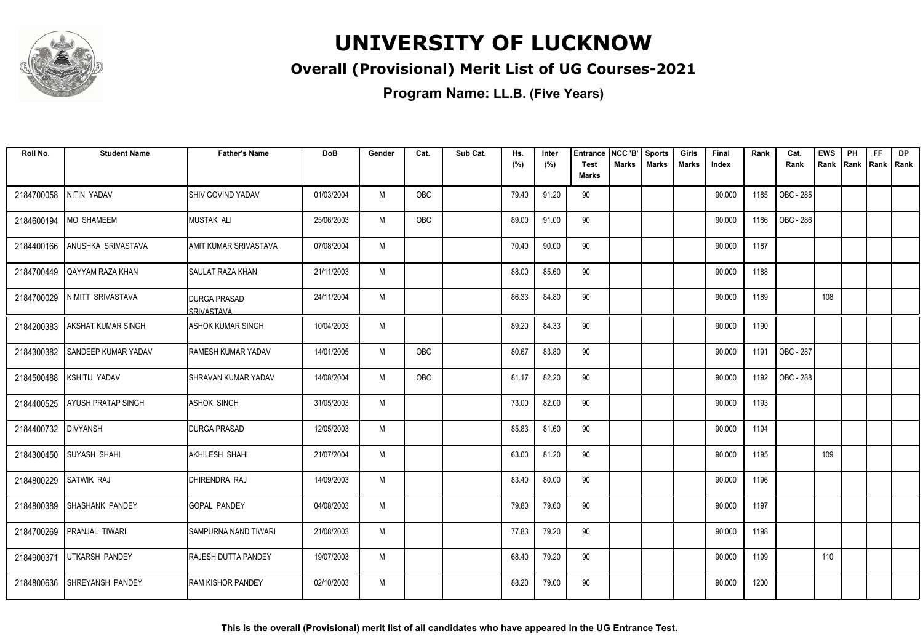

#### **Overall (Provisional) Merit List of UG Courses-2021**

| Roll No.            | <b>Student Name</b>        | <b>Father's Name</b>                     | <b>DoB</b> | Gender | Cat. | Sub Cat. | Hs.<br>(%) | Inter<br>(%) | Entrance<br><b>Test</b> | NCC 'B'<br>Marks | <b>Sports</b><br><b>Marks</b> | Girls<br><b>Marks</b> | Final<br>Index | Rank | Cat.<br>Rank | <b>EWS</b><br>Rank | PH<br>Rank | FF<br>Rank   Rank | DP |
|---------------------|----------------------------|------------------------------------------|------------|--------|------|----------|------------|--------------|-------------------------|------------------|-------------------------------|-----------------------|----------------|------|--------------|--------------------|------------|-------------------|----|
|                     |                            |                                          |            |        |      |          |            |              | <b>Marks</b>            |                  |                               |                       |                |      |              |                    |            |                   |    |
| 2184700058          | NITIN YADAV                | <b>I</b> SHIV GOVIND YADAV               | 01/03/2004 | M      | OBC  |          | 79.40      | 91.20        | 90                      |                  |                               |                       | 90.000         | 1185 | OBC - 285    |                    |            |                   |    |
| 2184600194          | <b>MO SHAMEEM</b>          | MUSTAK ALI                               | 25/06/2003 | M      | OBC  |          | 89.00      | 91.00        | 90                      |                  |                               |                       | 90.000         | 1186 | OBC - 286    |                    |            |                   |    |
| 2184400166          | ANUSHKA SRIVASTAVA         | <b>JAMIT KUMAR SRIVASTAVA</b>            | 07/08/2004 | M      |      |          | 70.40      | 90.00        | 90                      |                  |                               |                       | 90.000         | 1187 |              |                    |            |                   |    |
| 2184700449          | QAYYAM RAZA KHAN           | <b>SAULAT RAZA KHAN</b>                  | 21/11/2003 | M      |      |          | 88.00      | 85.60        | 90                      |                  |                               |                       | 90.000         | 1188 |              |                    |            |                   |    |
| 2184700029          | NIMITT SRIVASTAVA          | <b>DURGA PRASAD</b><br><b>SRIVASTAVA</b> | 24/11/2004 | M      |      |          | 86.33      | 84.80        | 90                      |                  |                               |                       | 90.000         | 1189 |              | 108                |            |                   |    |
| 2184200383          | <b>AKSHAT KUMAR SINGH</b>  | <b>ASHOK KUMAR SINGH</b>                 | 10/04/2003 | M      |      |          | 89.20      | 84.33        | 90                      |                  |                               |                       | 90.000         | 1190 |              |                    |            |                   |    |
| 2184300382          | <b>SANDEEP KUMAR YADAV</b> | <b>RAMESH KUMAR YADAV</b>                | 14/01/2005 | M      | OBC  |          | 80.67      | 83.80        | 90                      |                  |                               |                       | 90.000         | 1191 | OBC - 287    |                    |            |                   |    |
| 2184500488          | KSHITIJ YADAV              | SHRAVAN KUMAR YADAV                      | 14/08/2004 | M      | OBC  |          | 81.17      | 82.20        | 90                      |                  |                               |                       | 90.000         | 1192 | OBC - 288    |                    |            |                   |    |
| 2184400525          | <b>AYUSH PRATAP SINGH</b>  | <b>ASHOK SINGH</b>                       | 31/05/2003 | M      |      |          | 73.00      | 82.00        | 90                      |                  |                               |                       | 90.000         | 1193 |              |                    |            |                   |    |
| 2184400732 DIVYANSH |                            | <b>DURGA PRASAD</b>                      | 12/05/2003 | M      |      |          | 85.83      | 81.60        | 90                      |                  |                               |                       | 90.000         | 1194 |              |                    |            |                   |    |
| 2184300450          | <b>SUYASH SHAHI</b>        | AKHILESH SHAHI                           | 21/07/2004 | M      |      |          | 63.00      | 81.20        | 90                      |                  |                               |                       | 90.000         | 1195 |              | 109                |            |                   |    |
| 2184800229          | <b>SATWIK RAJ</b>          | DHIRENDRA RAJ                            | 14/09/2003 | M      |      |          | 83.40      | 80.00        | 90                      |                  |                               |                       | 90.000         | 1196 |              |                    |            |                   |    |
| 2184800389          | <b>SHASHANK PANDEY</b>     | <b>GOPAL PANDEY</b>                      | 04/08/2003 | M      |      |          | 79.80      | 79.60        | 90                      |                  |                               |                       | 90.000         | 1197 |              |                    |            |                   |    |
| 2184700269          | <b>PRANJAL TIWARI</b>      | SAMPURNA NAND TIWARI                     | 21/08/2003 | M      |      |          | 77.83      | 79.20        | 90                      |                  |                               |                       | 90.000         | 1198 |              |                    |            |                   |    |
| 2184900371          | <b>UTKARSH PANDEY</b>      | <b>RAJESH DUTTA PANDEY</b>               | 19/07/2003 | M      |      |          | 68.40      | 79.20        | 90                      |                  |                               |                       | 90.000         | 1199 |              | 110                |            |                   |    |
| 2184800636          | <b>SHREYANSH PANDEY</b>    | <b>RAM KISHOR PANDEY</b>                 | 02/10/2003 | M      |      |          | 88.20      | 79.00        | 90                      |                  |                               |                       | 90.000         | 1200 |              |                    |            |                   |    |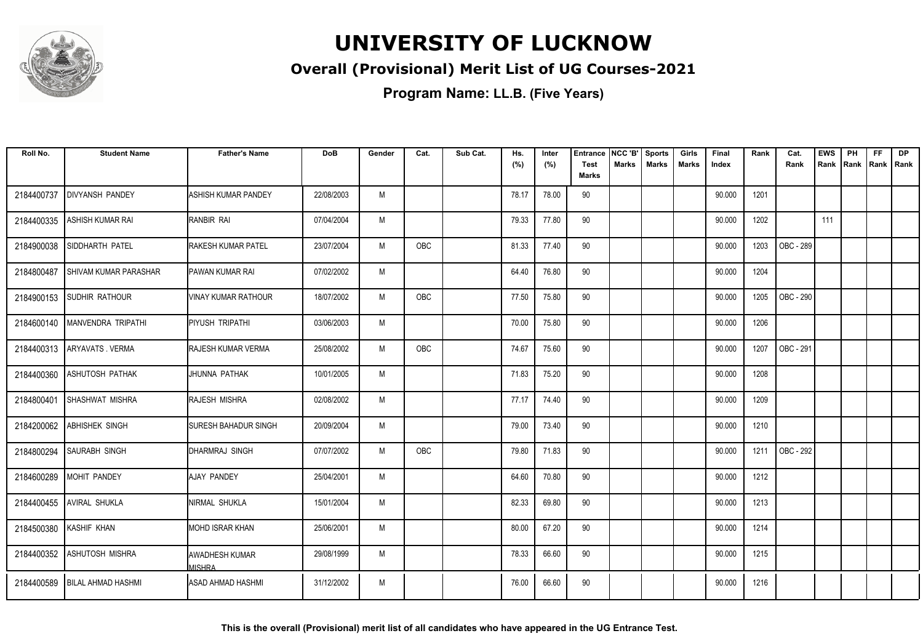

#### **Overall (Provisional) Merit List of UG Courses-2021**

**Program Name: LL.B. (Five Years)**

| Roll No.   | <b>Student Name</b>          | <b>Father's Name</b>      | <b>DoB</b> | Gender | Cat.       | Sub Cat. | Hs.<br>(%) | Inter<br>(%) | <b>Entrance</b><br><b>Test</b> | NCC 'B'<br>Marks | <b>Sports</b><br><b>Marks</b> | Girls<br>Marks | Final<br>Index | Rank | Cat.<br>Rank | <b>EWS</b><br>Rank | PH<br>Rank | <b>FF</b><br>Rank   Rank | <b>DP</b> |
|------------|------------------------------|---------------------------|------------|--------|------------|----------|------------|--------------|--------------------------------|------------------|-------------------------------|----------------|----------------|------|--------------|--------------------|------------|--------------------------|-----------|
|            |                              |                           |            |        |            |          |            |              | <b>Marks</b>                   |                  |                               |                |                |      |              |                    |            |                          |           |
| 2184400737 | <b>DIVYANSH PANDEY</b>       | ASHISH KUMAR PANDEY       | 22/08/2003 | M      |            |          | 78.17      | 78.00        | 90                             |                  |                               |                | 90.000         | 1201 |              |                    |            |                          |           |
| 2184400335 | ASHISH KUMAR RAI             | RANBIR RAI                | 07/04/2004 | M      |            |          | 79.33      | 77.80        | 90                             |                  |                               |                | 90.000         | 1202 |              | 111                |            |                          |           |
| 2184900038 | <b>SIDDHARTH PATEL</b>       | RAKESH KUMAR PATEL        | 23/07/2004 | M      | OBC        |          | 81.33      | 77.40        | 90                             |                  |                               |                | 90.000         | 1203 | OBC - 289    |                    |            |                          |           |
| 2184800487 | <b>SHIVAM KUMAR PARASHAR</b> | <b>PAWAN KUMAR RAI</b>    | 07/02/2002 | M      |            |          | 64.40      | 76.80        | 90                             |                  |                               |                | 90.000         | 1204 |              |                    |            |                          |           |
| 2184900153 | <b>SUDHIR RATHOUR</b>        | VINAY KUMAR RATHOUR       | 18/07/2002 | M      | OBC        |          | 77.50      | 75.80        | 90                             |                  |                               |                | 90.000         | 1205 | OBC - 290    |                    |            |                          |           |
| 2184600140 | MANVENDRA TRIPATHI           | PIYUSH TRIPATHI           | 03/06/2003 | M      |            |          | 70.00      | 75.80        | 90                             |                  |                               |                | 90.000         | 1206 |              |                    |            |                          |           |
| 2184400313 | ARYAVATS . VERMA             | <b>RAJESH KUMAR VERMA</b> | 25/08/2002 | M      | OBC        |          | 74.67      | 75.60        | 90                             |                  |                               |                | 90.000         | 1207 | OBC - 291    |                    |            |                          |           |
| 2184400360 | ASHUTOSH PATHAK              | JHUNNA PATHAK             | 10/01/2005 | M      |            |          | 71.83      | 75.20        | 90                             |                  |                               |                | 90.000         | 1208 |              |                    |            |                          |           |
| 2184800401 | <b>SHASHWAT MISHRA</b>       | <b>RAJESH MISHRA</b>      | 02/08/2002 | M      |            |          | 77.17      | 74.40        | 90                             |                  |                               |                | 90.000         | 1209 |              |                    |            |                          |           |
| 2184200062 | <b>ABHISHEK SINGH</b>        | SURESH BAHADUR SINGH      | 20/09/2004 | M      |            |          | 79.00      | 73.40        | 90                             |                  |                               |                | 90.000         | 1210 |              |                    |            |                          |           |
| 2184800294 | <b>SAURABH SINGH</b>         | DHARMRAJ SINGH            | 07/07/2002 | M      | <b>OBC</b> |          | 79.80      | 71.83        | 90                             |                  |                               |                | 90.000         | 1211 | OBC - 292    |                    |            |                          |           |
| 2184600289 | <b>MOHIT PANDEY</b>          | <b>AJAY PANDEY</b>        | 25/04/2001 | M      |            |          | 64.60      | 70.80        | 90                             |                  |                               |                | 90.000         | 1212 |              |                    |            |                          |           |
| 2184400455 | <b>AVIRAL SHUKLA</b>         | NIRMAL SHUKLA             | 15/01/2004 | M      |            |          | 82.33      | 69.80        | 90                             |                  |                               |                | 90.000         | 1213 |              |                    |            |                          |           |
| 2184500380 | KASHIF KHAN                  | MOHD ISRAR KHAN           | 25/06/2001 | M      |            |          | 80.00      | 67.20        | 90                             |                  |                               |                | 90.000         | 1214 |              |                    |            |                          |           |
| 2184400352 | <b>ASHUTOSH MISHRA</b>       | AWADHESH KUMAR<br>MISHRA  | 29/08/1999 | M      |            |          | 78.33      | 66.60        | 90                             |                  |                               |                | 90.000         | 1215 |              |                    |            |                          |           |
| 2184400589 | <b>BILAL AHMAD HASHMI</b>    | ASAD AHMAD HASHMI         | 31/12/2002 | M      |            |          | 76.00      | 66.60        | 90                             |                  |                               |                | 90.000         | 1216 |              |                    |            |                          |           |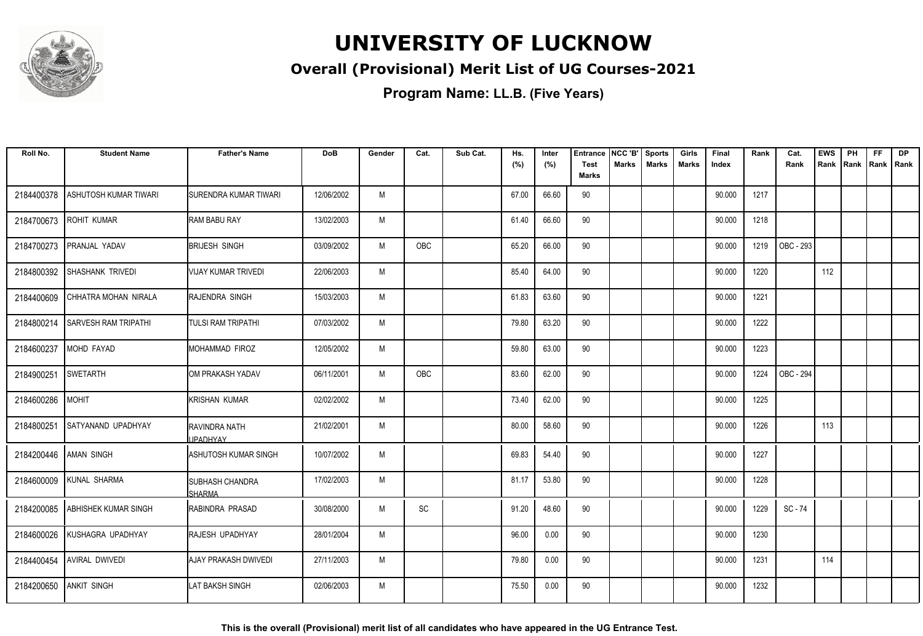

#### **Overall (Provisional) Merit List of UG Courses-2021**

| Roll No.              | <b>Student Name</b>         | <b>Father's Name</b>             | <b>DoB</b> | Gender | Cat. | Sub Cat. | Hs.   | Inter | <b>Entrance</b><br><b>Test</b> | NCC 'B'<br>Marks | <b>Sports</b> | Girls        | Final  | Rank | Cat.             | <b>EWS</b> | PH             | <b>FF</b> | <b>DP</b> |
|-----------------------|-----------------------------|----------------------------------|------------|--------|------|----------|-------|-------|--------------------------------|------------------|---------------|--------------|--------|------|------------------|------------|----------------|-----------|-----------|
|                       |                             |                                  |            |        |      |          | (%)   | (%)   | <b>Marks</b>                   |                  | <b>Marks</b>  | <b>Marks</b> | Index  |      | Rank             | Rank       | Rank Rank Rank |           |           |
| 2184400378            | ASHUTOSH KUMAR TIWARI       | SURENDRA KUMAR TIWARI            | 12/06/2002 | M      |      |          | 67.00 | 66.60 | 90                             |                  |               |              | 90.000 | 1217 |                  |            |                |           |           |
| 2184700673            | <b>ROHIT KUMAR</b>          | <b>RAM BABU RAY</b>              | 13/02/2003 | M      |      |          | 61.40 | 66.60 | 90                             |                  |               |              | 90.000 | 1218 |                  |            |                |           |           |
| 2184700273            | PRANJAL YADAV               | <b>BRIJESH SINGH</b>             | 03/09/2002 | M      | OBC  |          | 65.20 | 66.00 | 90                             |                  |               |              | 90.000 | 1219 | OBC - 293        |            |                |           |           |
| 2184800392            | SHASHANK TRIVEDI            | VIJAY KUMAR TRIVEDI              | 22/06/2003 | M      |      |          | 85.40 | 64.00 | 90                             |                  |               |              | 90.000 | 1220 |                  | 112        |                |           |           |
| 2184400609            | CHHATRA MOHAN NIRALA        | RAJENDRA SINGH                   | 15/03/2003 | M      |      |          | 61.83 | 63.60 | 90                             |                  |               |              | 90.000 | 1221 |                  |            |                |           |           |
| 2184800214            | <b>SARVESH RAM TRIPATHI</b> | <b>TULSI RAM TRIPATHI</b>        | 07/03/2002 | M      |      |          | 79.80 | 63.20 | 90                             |                  |               |              | 90.000 | 1222 |                  |            |                |           |           |
| 2184600237            | MOHD FAYAD                  | <b>MOHAMMAD FIROZ</b>            | 12/05/2002 | M      |      |          | 59.80 | 63.00 | 90                             |                  |               |              | 90.000 | 1223 |                  |            |                |           |           |
| 2184900251            | <b>SWETARTH</b>             | OM PRAKASH YADAV                 | 06/11/2001 | M      | OBC  |          | 83.60 | 62.00 | 90                             |                  |               |              | 90.000 | 1224 | <b>OBC - 294</b> |            |                |           |           |
| 2184600286            | <b>MOHIT</b>                | <b>KRISHAN KUMAR</b>             | 02/02/2002 | M      |      |          | 73.40 | 62.00 | 90                             |                  |               |              | 90.000 | 1225 |                  |            |                |           |           |
| 2184800251            | SATYANAND UPADHYAY          | RAVINDRA NATH<br><b>IPADHYAY</b> | 21/02/2001 | M      |      |          | 80.00 | 58.60 | 90                             |                  |               |              | 90.000 | 1226 |                  | 113        |                |           |           |
| 2184200446 AMAN SINGH |                             | ASHUTOSH KUMAR SINGH             | 10/07/2002 | M      |      |          | 69.83 | 54.40 | 90                             |                  |               |              | 90.000 | 1227 |                  |            |                |           |           |
| 2184600009            | <b>KUNAL SHARMA</b>         | <b>SUBHASH CHANDRA</b><br>SHARMA | 17/02/2003 | M      |      |          | 81.17 | 53.80 | 90                             |                  |               |              | 90.000 | 1228 |                  |            |                |           |           |
| 2184200085            | <b>ABHISHEK KUMAR SINGH</b> | RABINDRA PRASAD                  | 30/08/2000 | M      | SC   |          | 91.20 | 48.60 | 90                             |                  |               |              | 90.000 | 1229 | SC - 74          |            |                |           |           |
| 2184600026            | KUSHAGRA UPADHYAY           | RAJESH UPADHYAY                  | 28/01/2004 | M      |      |          | 96.00 | 0.00  | 90                             |                  |               |              | 90.000 | 1230 |                  |            |                |           |           |
| 2184400454            | <b>AVIRAL DWIVEDI</b>       | AJAY PRAKASH DWIVEDI             | 27/11/2003 | M      |      |          | 79.80 | 0.00  | 90                             |                  |               |              | 90.000 | 1231 |                  | 114        |                |           |           |
| 2184200650            | <b>ANKIT SINGH</b>          | LAT BAKSH SINGH                  | 02/06/2003 | M      |      |          | 75.50 | 0.00  | 90                             |                  |               |              | 90.000 | 1232 |                  |            |                |           |           |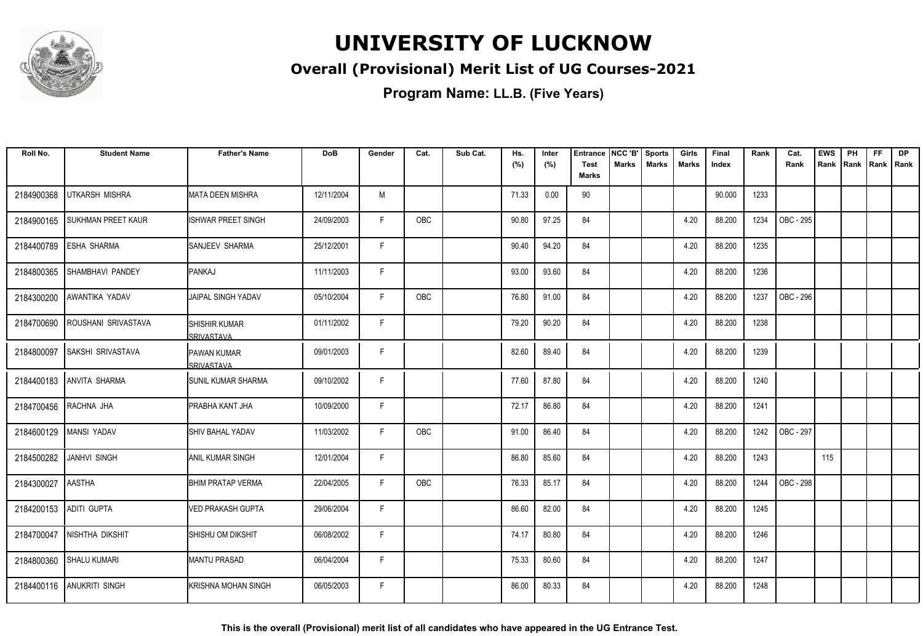

#### **Overall (Provisional) Merit List of UG Courses-2021**

| Roll No.               | <b>Student Name</b>       | <b>Father's Name</b>                        | <b>DoB</b> | Gender | Cat.       | Sub Cat. | Hs.<br>(%) | Inter<br>(%) | <b>Entrance</b><br><b>Test</b> | NCC 'B'<br><b>Marks</b> | <b>Sports</b><br><b>Marks</b> | Girls<br><b>Marks</b> | Final<br>Index | Rank | Cat.<br>Rank | <b>EWS</b><br>Rank | PH<br>Rank | FF<br>Rank | <b>DP</b><br>l Rank |
|------------------------|---------------------------|---------------------------------------------|------------|--------|------------|----------|------------|--------------|--------------------------------|-------------------------|-------------------------------|-----------------------|----------------|------|--------------|--------------------|------------|------------|---------------------|
|                        |                           |                                             |            |        |            |          |            |              | <b>Marks</b>                   |                         |                               |                       |                |      |              |                    |            |            |                     |
| 2184900368             | <b>UTKARSH MISHRA</b>     | <b>MATA DEEN MISHRA</b>                     | 12/11/2004 | M      |            |          | 71.33      | 0.00         | 90                             |                         |                               |                       | 90.000         | 1233 |              |                    |            |            |                     |
| 2184900165             | <b>SUKHMAN PREET KAUR</b> | ISHWAR PREET SINGH                          | 24/09/2003 | F.     | <b>OBC</b> |          | 90.80      | 97.25        | 84                             |                         |                               | 4.20                  | 88.200         | 1234 | OBC - 295    |                    |            |            |                     |
| 2184400789             | <b>ESHA SHARMA</b>        | SANJEEV SHARMA                              | 25/12/2001 | F      |            |          | 90.40      | 94.20        | 84                             |                         |                               | 4.20                  | 88.200         | 1235 |              |                    |            |            |                     |
| 2184800365             | <b>SHAMBHAVI PANDEY</b>   | <b>IPANKAJ</b>                              | 11/11/2003 | F      |            |          | 93.00      | 93.60        | 84                             |                         |                               | 4.20                  | 88.200         | 1236 |              |                    |            |            |                     |
| 2184300200             | AWANTIKA YADAV            | JAIPAL SINGH YADAV                          | 05/10/2004 | F      | OBC        |          | 76.80      | 91.00        | 84                             |                         |                               | 4.20                  | 88.200         | 1237 | OBC - 296    |                    |            |            |                     |
| 2184700690             | ROUSHANI SRIVASTAVA       | <b>I</b> SHISHIR KUMAR<br><b>SRIVASTAVA</b> | 01/11/2002 | F      |            |          | 79.20      | 90.20        | 84                             |                         |                               | 4.20                  | 88.200         | 1238 |              |                    |            |            |                     |
| 2184800097             | <b>SAKSHI SRIVASTAVA</b>  | PAWAN KUMAR<br>SRIVASTAVA                   | 09/01/2003 | F      |            |          | 82.60      | 89.40        | 84                             |                         |                               | 4.20                  | 88.200         | 1239 |              |                    |            |            |                     |
| 2184400183             | <b>ANVITA SHARMA</b>      | <b>I</b> SUNIL KUMAR SHARMA                 | 09/10/2002 | F      |            |          | 77.60      | 87.80        | 84                             |                         |                               | 4.20                  | 88.200         | 1240 |              |                    |            |            |                     |
| 2184700456             | RACHNA JHA                | PRABHA KANT JHA                             | 10/09/2000 | F      |            |          | 72.17      | 86.80        | 84                             |                         |                               | 4.20                  | 88.200         | 1241 |              |                    |            |            |                     |
| 2184600129             | <b>MANSI YADAV</b>        | <b>SHIV BAHAL YADAV</b>                     | 11/03/2002 | F      | OBC        |          | 91.00      | 86.40        | 84                             |                         |                               | 4.20                  | 88.200         | 1242 | OBC - 297    |                    |            |            |                     |
| 2184500282             | <b>JANHVI SINGH</b>       | IANIL KUMAR SINGH                           | 12/01/2004 | F.     |            |          | 86.80      | 85.60        | 84                             |                         |                               | 4.20                  | 88.200         | 1243 |              | 115                |            |            |                     |
| 2184300027             | <b>AASTHA</b>             | <b>BHIM PRATAP VERMA</b>                    | 22/04/2005 | F      | OBC        |          | 76.33      | 85.17        | 84                             |                         |                               | 4.20                  | 88.200         | 1244 | OBC - 298    |                    |            |            |                     |
| 2184200153 ADITI GUPTA |                           | <b>VED PRAKASH GUPTA</b>                    | 29/06/2004 | F      |            |          | 86.60      | 82.00        | 84                             |                         |                               | 4.20                  | 88.200         | 1245 |              |                    |            |            |                     |
| 2184700047             | NISHTHA DIKSHIT           | SHISHU OM DIKSHIT                           | 06/08/2002 | F.     |            |          | 74.17      | 80.80        | 84                             |                         |                               | 4.20                  | 88.200         | 1246 |              |                    |            |            |                     |
| 2184800360             | <b>SHALU KUMARI</b>       | <b>MANTU PRASAD</b>                         | 06/04/2004 | F.     |            |          | 75.33      | 80.60        | 84                             |                         |                               | 4.20                  | 88.200         | 1247 |              |                    |            |            |                     |
|                        | 2184400116 ANUKRITI SINGH | KRISHNA MOHAN SINGH                         | 06/05/2003 | F      |            |          | 86.00      | 80.33        | 84                             |                         |                               | 4.20                  | 88.200         | 1248 |              |                    |            |            |                     |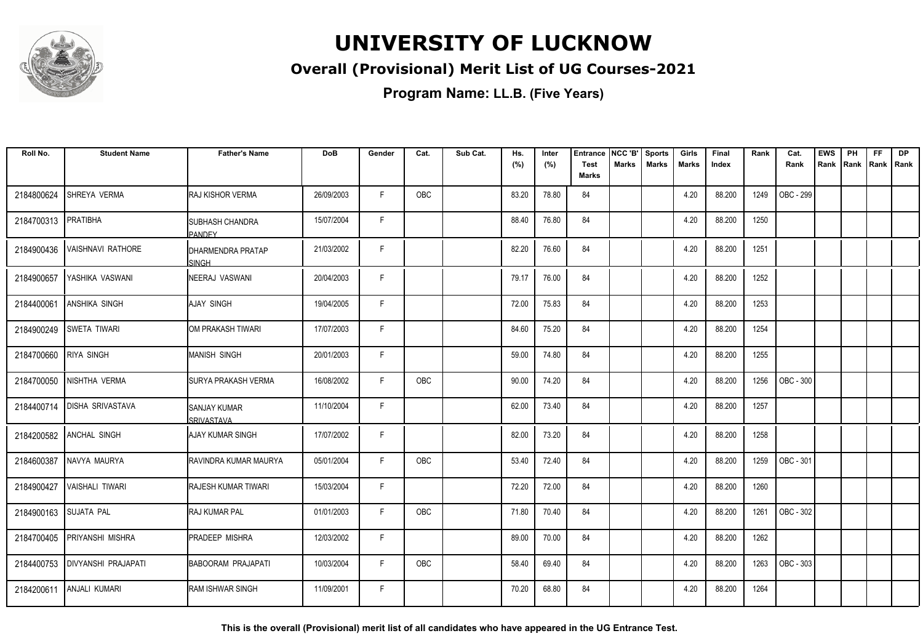

#### **Overall (Provisional) Merit List of UG Courses-2021**

**Program Name: LL.B. (Five Years)**

| Roll No.              | <b>Student Name</b>        | <b>Father's Name</b>               | DoB        | Gender | Cat.       | Sub Cat. | Hs.<br>(%) | Inter<br>(%) | <b>Entrance</b><br><b>Test</b> | NCC 'B'<br><b>Marks</b> | <b>Sports</b><br><b>Marks</b> | Girls<br>Marks | Final<br>Index | Rank | Cat.<br>Rank     | <b>EWS</b><br>Rank | PH<br>Rank Rank Rank | <b>FF</b> | <b>DP</b> |
|-----------------------|----------------------------|------------------------------------|------------|--------|------------|----------|------------|--------------|--------------------------------|-------------------------|-------------------------------|----------------|----------------|------|------------------|--------------------|----------------------|-----------|-----------|
|                       |                            |                                    |            |        |            |          |            |              | <b>Marks</b>                   |                         |                               |                |                |      |                  |                    |                      |           |           |
| 2184800624            | SHREYA VERMA               | <b>RAJ KISHOR VERMA</b>            | 26/09/2003 | F.     | <b>OBC</b> |          | 83.20      | 78.80        | 84                             |                         |                               | 4.20           | 88.200         | 1249 | OBC - 299        |                    |                      |           |           |
| 2184700313            | PRATIBHA                   | <b>I</b> SUBHASH CHANDRA<br>PANDEY | 15/07/2004 | F.     |            |          | 88.40      | 76.80        | 84                             |                         |                               | 4.20           | 88.200         | 1250 |                  |                    |                      |           |           |
| 2184900436            | <b>VAISHNAVI RATHORE</b>   | IDHARMENDRA PRATAP<br><b>SINGH</b> | 21/03/2002 | F      |            |          | 82.20      | 76.60        | 84                             |                         |                               | 4.20           | 88.200         | 1251 |                  |                    |                      |           |           |
| 2184900657            | YASHIKA VASWANI            | <b>NEERAJ VASWANI</b>              | 20/04/2003 | F      |            |          | 79.17      | 76.00        | 84                             |                         |                               | 4.20           | 88.200         | 1252 |                  |                    |                      |           |           |
| 2184400061            | <b>ANSHIKA SINGH</b>       | AJAY SINGH                         | 19/04/2005 | F      |            |          | 72.00      | 75.83        | 84                             |                         |                               | 4.20           | 88.200         | 1253 |                  |                    |                      |           |           |
| 2184900249            | <b>SWETA TIWARI</b>        | OM PRAKASH TIWARI                  | 17/07/2003 | F      |            |          | 84.60      | 75.20        | 84                             |                         |                               | 4.20           | 88.200         | 1254 |                  |                    |                      |           |           |
| 2184700660            | <b>RIYA SINGH</b>          | <b>MANISH SINGH</b>                | 20/01/2003 | F      |            |          | 59.00      | 74.80        | 84                             |                         |                               | 4.20           | 88.200         | 1255 |                  |                    |                      |           |           |
| 2184700050            | NISHTHA VERMA              | ISURYA PRAKASH VERMA               | 16/08/2002 | F      | OBC        |          | 90.00      | 74.20        | 84                             |                         |                               | 4.20           | 88.200         | 1256 | <b>OBC - 300</b> |                    |                      |           |           |
| 2184400714            | <b>DISHA SRIVASTAVA</b>    | <b>SANJAY KUMAR</b><br>SRIVASTAVA  | 11/10/2004 | F      |            |          | 62.00      | 73.40        | 84                             |                         |                               | 4.20           | 88.200         | 1257 |                  |                    |                      |           |           |
| 2184200582            | ANCHAL SINGH               | IAJAY KUMAR SINGH                  | 17/07/2002 | F      |            |          | 82.00      | 73.20        | 84                             |                         |                               | 4.20           | 88.200         | 1258 |                  |                    |                      |           |           |
| 2184600387            | NAVYA MAURYA               | <b>IRAVINDRA KUMAR MAURYA</b>      | 05/01/2004 | F      | <b>OBC</b> |          | 53.40      | 72.40        | 84                             |                         |                               | 4.20           | 88.200         | 1259 | OBC - 301        |                    |                      |           |           |
| 2184900427            | <b>VAISHALI TIWARI</b>     | <b>RAJESH KUMAR TIWARI</b>         | 15/03/2004 | F      |            |          | 72.20      | 72.00        | 84                             |                         |                               | 4.20           | 88.200         | 1260 |                  |                    |                      |           |           |
| 2184900163 SUJATA PAL |                            | <b>RAJ KUMAR PAL</b>               | 01/01/2003 | F      | OBC        |          | 71.80      | 70.40        | 84                             |                         |                               | 4.20           | 88.200         | 1261 | OBC - 302        |                    |                      |           |           |
| 2184700405            | PRIYANSHI MISHRA           | <b>PRADEEP MISHRA</b>              | 12/03/2002 | F      |            |          | 89.00      | 70.00        | 84                             |                         |                               | 4.20           | 88.200         | 1262 |                  |                    |                      |           |           |
| 2184400753            | <b>DIVYANSHI PRAJAPATI</b> | <b>BABOORAM PRAJAPATI</b>          | 10/03/2004 | F      | OBC        |          | 58.40      | 69.40        | 84                             |                         |                               | 4.20           | 88.200         | 1263 | OBC - 303        |                    |                      |           |           |
| 2184200611            | <b>ANJALI KUMARI</b>       | <b>RAM ISHWAR SINGH</b>            | 11/09/2001 | F      |            |          | 70.20      | 68.80        | 84                             |                         |                               | 4.20           | 88.200         | 1264 |                  |                    |                      |           |           |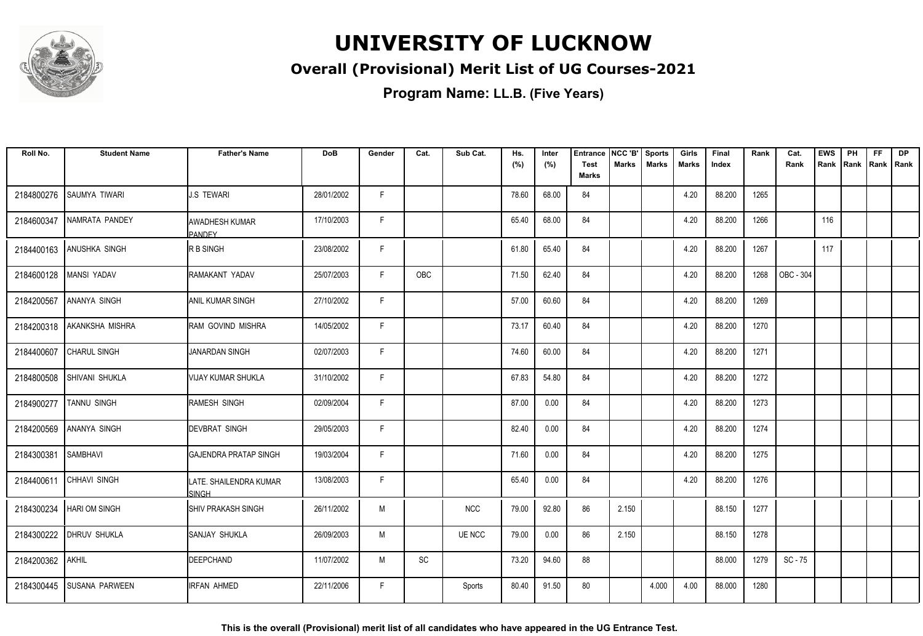

#### **Overall (Provisional) Merit List of UG Courses-2021**

**Program Name: LL.B. (Five Years)**

| Roll No.   | <b>Student Name</b>        | <b>Father's Name</b>                   | <b>DoB</b> | Gender | Cat.       | Sub Cat.   | Hs.<br>(%) | Inter | <b>Entrance</b><br><b>Test</b> | NCC 'B'<br><b>Marks</b> | <b>Sports</b><br><b>Marks</b> | Girls<br>Marks | Final<br>Index | Rank | Cat.<br>Rank     | <b>EWS</b><br>Rank | PH | <b>FF</b><br>Rank   Rank   Rank | <b>DP</b> |
|------------|----------------------------|----------------------------------------|------------|--------|------------|------------|------------|-------|--------------------------------|-------------------------|-------------------------------|----------------|----------------|------|------------------|--------------------|----|---------------------------------|-----------|
|            |                            |                                        |            |        |            |            |            | (%)   | <b>Marks</b>                   |                         |                               |                |                |      |                  |                    |    |                                 |           |
| 2184800276 | SAUMYA TIWARI              | <b>J.S TEWARI</b>                      | 28/01/2002 | F.     |            |            | 78.60      | 68.00 | 84                             |                         |                               | 4.20           | 88.200         | 1265 |                  |                    |    |                                 |           |
| 2184600347 | NAMRATA PANDEY             | <b>AWADHESH KUMAR</b><br><b>PANDEY</b> | 17/10/2003 | F      |            |            | 65.40      | 68.00 | 84                             |                         |                               | 4.20           | 88.200         | 1266 |                  | 116                |    |                                 |           |
| 2184400163 | <b>ANUSHKA SINGH</b>       | R B SINGH                              | 23/08/2002 | F      |            |            | 61.80      | 65.40 | 84                             |                         |                               | 4.20           | 88.200         | 1267 |                  | 117                |    |                                 |           |
| 2184600128 | MANSI YADAV                | RAMAKANT YADAV                         | 25/07/2003 | F      | <b>OBC</b> |            | 71.50      | 62.40 | 84                             |                         |                               | 4.20           | 88.200         | 1268 | <b>OBC - 304</b> |                    |    |                                 |           |
| 2184200567 | <b>ANANYA SINGH</b>        | <b>ANIL KUMAR SINGH</b>                | 27/10/2002 | F      |            |            | 57.00      | 60.60 | 84                             |                         |                               | 4.20           | 88.200         | 1269 |                  |                    |    |                                 |           |
|            | 2184200318 AKANKSHA MISHRA | <b>RAM GOVIND MISHRA</b>               | 14/05/2002 | F      |            |            | 73.17      | 60.40 | 84                             |                         |                               | 4.20           | 88.200         | 1270 |                  |                    |    |                                 |           |
| 2184400607 | <b>CHARUL SINGH</b>        | JANARDAN SINGH                         | 02/07/2003 | F.     |            |            | 74.60      | 60.00 | 84                             |                         |                               | 4.20           | 88.200         | 1271 |                  |                    |    |                                 |           |
| 2184800508 | SHIVANI SHUKLA             | VIJAY KUMAR SHUKLA                     | 31/10/2002 | F      |            |            | 67.83      | 54.80 | 84                             |                         |                               | 4.20           | 88.200         | 1272 |                  |                    |    |                                 |           |
| 2184900277 | TANNU SINGH                | RAMESH SINGH                           | 02/09/2004 | F      |            |            | 87.00      | 0.00  | 84                             |                         |                               | 4.20           | 88.200         | 1273 |                  |                    |    |                                 |           |
| 2184200569 | <b>ANANYA SINGH</b>        | <b>IDEVBRAT SINGH</b>                  | 29/05/2003 | F      |            |            | 82.40      | 0.00  | 84                             |                         |                               | 4.20           | 88.200         | 1274 |                  |                    |    |                                 |           |
| 2184300381 | <b>SAMBHAVI</b>            | IGAJENDRA PRATAP SINGH                 | 19/03/2004 | F.     |            |            | 71.60      | 0.00  | 84                             |                         |                               | 4.20           | 88.200         | 1275 |                  |                    |    |                                 |           |
| 2184400611 | CHHAVI SINGH               | LATE. SHAILENDRA KUMAR<br><b>SINGH</b> | 13/08/2003 | F      |            |            | 65.40      | 0.00  | 84                             |                         |                               | 4.20           | 88.200         | 1276 |                  |                    |    |                                 |           |
| 2184300234 | <b>HARI OM SINGH</b>       | <b>ISHIV PRAKASH SINGH</b>             | 26/11/2002 | M      |            | <b>NCC</b> | 79.00      | 92.80 | 86                             | 2.150                   |                               |                | 88.150         | 1277 |                  |                    |    |                                 |           |
| 2184300222 | <b>DHRUV SHUKLA</b>        | <b>SANJAY SHUKLA</b>                   | 26/09/2003 | M      |            | UE NCC     | 79.00      | 0.00  | 86                             | 2.150                   |                               |                | 88.150         | 1278 |                  |                    |    |                                 |           |
| 2184200362 | AKHIL                      | <b>IDEEPCHAND</b>                      | 11/07/2002 | M      | SC         |            | 73.20      | 94.60 | 88                             |                         |                               |                | 88.000         | 1279 | $SC - 75$        |                    |    |                                 |           |
| 2184300445 | <b>SUSANA PARWEEN</b>      | <b>IRFAN AHMED</b>                     | 22/11/2006 | F.     |            | Sports     | 80.40      | 91.50 | 80                             |                         | 4.000                         | 4.00           | 88.000         | 1280 |                  |                    |    |                                 |           |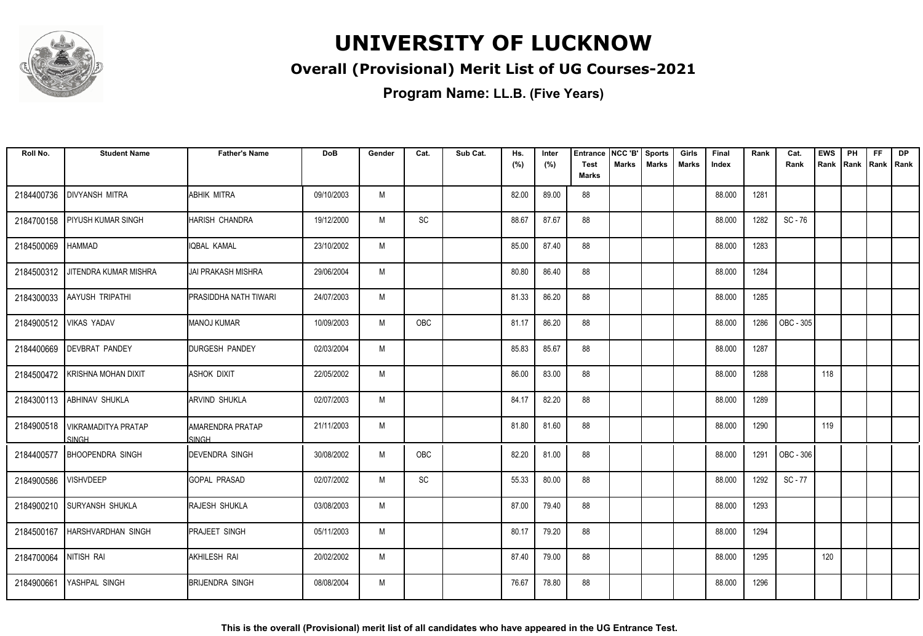

#### **Overall (Provisional) Merit List of UG Courses-2021**

| Roll No.   | <b>Student Name</b>                 | <b>Father's Name</b>              | <b>DoB</b> | Gender | Cat. | Sub Cat. | Hs.<br>(%) | Inter<br>(%) | <b>Entrance</b><br><b>Test</b> | NCC 'B'<br><b>Marks</b> | <b>Sports</b><br><b>Marks</b> | Girls<br>Marks | Final<br>Index | Rank | Cat.<br>Rank | <b>EWS</b><br>Rank | PH | <b>FF</b><br>Rank   Rank   Rank | <b>DP</b> |
|------------|-------------------------------------|-----------------------------------|------------|--------|------|----------|------------|--------------|--------------------------------|-------------------------|-------------------------------|----------------|----------------|------|--------------|--------------------|----|---------------------------------|-----------|
|            |                                     |                                   |            |        |      |          |            |              | <b>Marks</b>                   |                         |                               |                |                |      |              |                    |    |                                 |           |
| 2184400736 | <b>DIVYANSH MITRA</b>               | ABHIK MITRA                       | 09/10/2003 | M      |      |          | 82.00      | 89.00        | 88                             |                         |                               |                | 88.000         | 1281 |              |                    |    |                                 |           |
| 2184700158 | <b>PIYUSH KUMAR SINGH</b>           | HARISH CHANDRA                    | 19/12/2000 | M      | SC   |          | 88.67      | 87.67        | 88                             |                         |                               |                | 88.000         | 1282 | SC-76        |                    |    |                                 |           |
| 2184500069 | <b>HAMMAD</b>                       | IQBAL KAMAL                       | 23/10/2002 | M      |      |          | 85.00      | 87.40        | 88                             |                         |                               |                | 88.000         | 1283 |              |                    |    |                                 |           |
| 2184500312 | JITENDRA KUMAR MISHRA               | JAI PRAKASH MISHRA                | 29/06/2004 | M      |      |          | 80.80      | 86.40        | 88                             |                         |                               |                | 88.000         | 1284 |              |                    |    |                                 |           |
| 2184300033 | <b>AAYUSH TRIPATHI</b>              | <b>PRASIDDHA NATH TIWARI</b>      | 24/07/2003 | M      |      |          | 81.33      | 86.20        | 88                             |                         |                               |                | 88.000         | 1285 |              |                    |    |                                 |           |
|            | 2184900512 VIKAS YADAV              | MANOJ KUMAR                       | 10/09/2003 | M      | OBC  |          | 81.17      | 86.20        | 88                             |                         |                               |                | 88.000         | 1286 | OBC - 305    |                    |    |                                 |           |
|            | 2184400669   DEVBRAT PANDEY         | <b>DURGESH PANDEY</b>             | 02/03/2004 | M      |      |          | 85.83      | 85.67        | 88                             |                         |                               |                | 88.000         | 1287 |              |                    |    |                                 |           |
| 2184500472 | KRISHNA MOHAN DIXIT                 | <b>ASHOK DIXIT</b>                | 22/05/2002 | M      |      |          | 86.00      | 83.00        | 88                             |                         |                               |                | 88.000         | 1288 |              | 118                |    |                                 |           |
| 2184300113 | <b>ABHINAV SHUKLA</b>               | <b>ARVIND SHUKLA</b>              | 02/07/2003 | M      |      |          | 84.17      | 82.20        | 88                             |                         |                               |                | 88.000         | 1289 |              |                    |    |                                 |           |
| 2184900518 | VIKRAMADITYA PRATAP<br><b>SINGH</b> | IAMARENDRA PRATAP<br><b>SINGH</b> | 21/11/2003 | M      |      |          | 81.80      | 81.60        | 88                             |                         |                               |                | 88.000         | 1290 |              | 119                |    |                                 |           |
| 2184400577 | <b>BHOOPENDRA SINGH</b>             | <b>DEVENDRA SINGH</b>             | 30/08/2002 | M      | OBC  |          | 82.20      | 81.00        | 88                             |                         |                               |                | 88.000         | 1291 | OBC - 306    |                    |    |                                 |           |
| 2184900586 | <b>VISHVDEEP</b>                    | IGOPAL PRASAD                     | 02/07/2002 | M      | SC   |          | 55.33      | 80.00        | 88                             |                         |                               |                | 88.000         | 1292 | SC - 77      |                    |    |                                 |           |
|            | 2184900210 SURYANSH SHUKLA          | <b>RAJESH SHUKLA</b>              | 03/08/2003 | M      |      |          | 87.00      | 79.40        | 88                             |                         |                               |                | 88.000         | 1293 |              |                    |    |                                 |           |
| 2184500167 | <b>HARSHVARDHAN SINGH</b>           | <b>PRAJEET SINGH</b>              | 05/11/2003 | M      |      |          | 80.17      | 79.20        | 88                             |                         |                               |                | 88.000         | 1294 |              |                    |    |                                 |           |
| 2184700064 | NITISH RAI                          | <b>AKHILESH RAI</b>               | 20/02/2002 | M      |      |          | 87.40      | 79.00        | 88                             |                         |                               |                | 88.000         | 1295 |              | 120                |    |                                 |           |
| 2184900661 | YASHPAL SINGH                       | Ibrijendra singh                  | 08/08/2004 | M      |      |          | 76.67      | 78.80        | 88                             |                         |                               |                | 88.000         | 1296 |              |                    |    |                                 |           |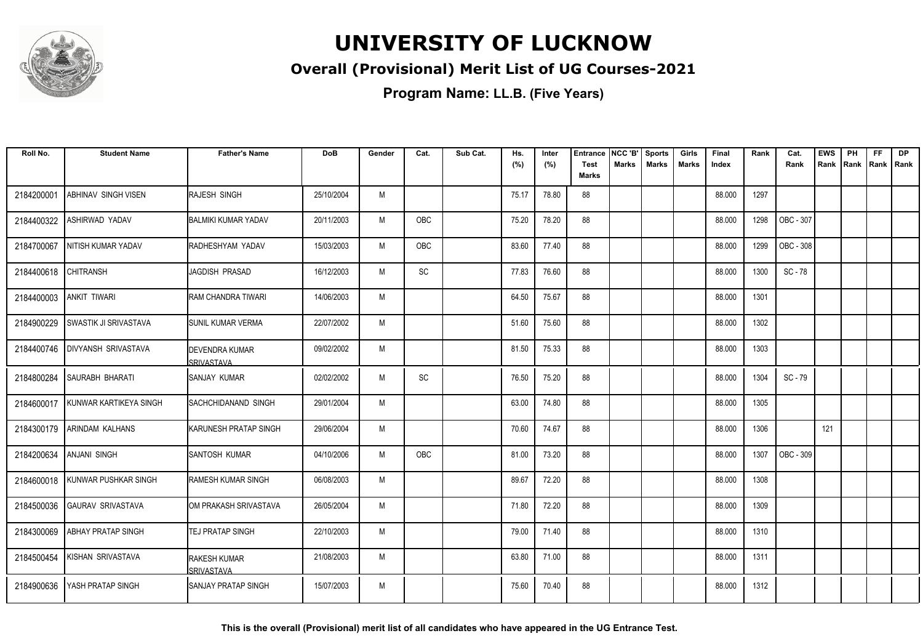

#### **Overall (Provisional) Merit List of UG Courses-2021**

**Program Name: LL.B. (Five Years)**

| Roll No.   | <b>Student Name</b>          | <b>Father's Name</b>                       | DoB        | Gender | Cat. | Sub Cat. | Hs.<br>(%) | Inter<br>(%) | <b>Entrance</b><br><b>Test</b> | NCC 'B'<br>Marks | <b>Sports</b><br><b>Marks</b> | Girls<br><b>Marks</b> | Final<br>Index | Rank | Cat.<br>Rank | <b>EWS</b><br>Rank | PH<br>Rank | FF<br>Rank   Rank | <b>DP</b> |
|------------|------------------------------|--------------------------------------------|------------|--------|------|----------|------------|--------------|--------------------------------|------------------|-------------------------------|-----------------------|----------------|------|--------------|--------------------|------------|-------------------|-----------|
|            |                              |                                            |            |        |      |          |            |              | <b>Marks</b>                   |                  |                               |                       |                |      |              |                    |            |                   |           |
| 2184200001 | <b>ABHINAV SINGH VISEN</b>   | <b>I</b> RAJESH SINGH                      | 25/10/2004 | M      |      |          | 75.17      | 78.80        | 88                             |                  |                               |                       | 88.000         | 1297 |              |                    |            |                   |           |
| 2184400322 | <b>ASHIRWAD YADAV</b>        | IBALMIKI KUMAR YADAV                       | 20/11/2003 | M      | OBC  |          | 75.20      | 78.20        | 88                             |                  |                               |                       | 88.000         | 1298 | OBC - 307    |                    |            |                   |           |
| 2184700067 | NITISH KUMAR YADAV           | RADHESHYAM YADAV                           | 15/03/2003 | M      | OBC  |          | 83.60      | 77.40        | 88                             |                  |                               |                       | 88.000         | 1299 | OBC - 308    |                    |            |                   |           |
| 2184400618 | <b>CHITRANSH</b>             | JAGDISH PRASAD                             | 16/12/2003 | M      | SC   |          | 77.83      | 76.60        | 88                             |                  |                               |                       | 88.000         | 1300 | SC - 78      |                    |            |                   |           |
| 2184400003 | <b>ANKIT TIWARI</b>          | <b>RAM CHANDRA TIWARI</b>                  | 14/06/2003 | M      |      |          | 64.50      | 75.67        | 88                             |                  |                               |                       | 88.000         | 1301 |              |                    |            |                   |           |
| 2184900229 | <b>SWASTIK JI SRIVASTAVA</b> | ISUNIL KUMAR VERMA                         | 22/07/2002 | M      |      |          | 51.60      | 75.60        | 88                             |                  |                               |                       | 88.000         | 1302 |              |                    |            |                   |           |
| 2184400746 | <b>DIVYANSH SRIVASTAVA</b>   | <b>DEVENDRA KUMAR</b><br><b>SRIVASTAVA</b> | 09/02/2002 | M      |      |          | 81.50      | 75.33        | 88                             |                  |                               |                       | 88.000         | 1303 |              |                    |            |                   |           |
| 2184800284 | ISAURABH BHARATI             | ISANJAY KUMAR                              | 02/02/2002 | M      | SC   |          | 76.50      | 75.20        | 88                             |                  |                               |                       | 88.000         | 1304 | SC - 79      |                    |            |                   |           |
| 2184600017 | KUNWAR KARTIKEYA SINGH       | ISACHCHIDANAND SINGH                       | 29/01/2004 | M      |      |          | 63.00      | 74.80        | 88                             |                  |                               |                       | 88.000         | 1305 |              |                    |            |                   |           |
| 2184300179 | <b>ARINDAM KALHANS</b>       | IKARUNESH PRATAP SINGH                     | 29/06/2004 | M      |      |          | 70.60      | 74.67        | 88                             |                  |                               |                       | 88.000         | 1306 |              | 121                |            |                   |           |
| 2184200634 | <b>ANJANI SINGH</b>          | SANTOSH KUMAR                              | 04/10/2006 | M      | OBC  |          | 81.00      | 73.20        | 88                             |                  |                               |                       | 88.000         | 1307 | OBC - 309    |                    |            |                   |           |
| 2184600018 | KUNWAR PUSHKAR SINGH         | RAMESH KUMAR SINGH                         | 06/08/2003 | M      |      |          | 89.67      | 72.20        | 88                             |                  |                               |                       | 88.000         | 1308 |              |                    |            |                   |           |
| 2184500036 | <b>GAURAV SRIVASTAVA</b>     | <b>I</b> OM PRAKASH SRIVASTAVA             | 26/05/2004 | M      |      |          | 71.80      | 72.20        | 88                             |                  |                               |                       | 88.000         | 1309 |              |                    |            |                   |           |
| 2184300069 | <b>ABHAY PRATAP SINGH</b>    | ITEJ PRATAP SINGH                          | 22/10/2003 | M      |      |          | 79.00      | 71.40        | 88                             |                  |                               |                       | 88.000         | 1310 |              |                    |            |                   |           |
| 2184500454 | KISHAN SRIVASTAVA            | <b>RAKESH KUMAR</b><br>SRIVASTAVA          | 21/08/2003 | M      |      |          | 63.80      | 71.00        | 88                             |                  |                               |                       | 88.000         | 1311 |              |                    |            |                   |           |
| 2184900636 | <b>YASH PRATAP SINGH</b>     | ISANJAY PRATAP SINGH                       | 15/07/2003 | M      |      |          | 75.60      | 70.40        | 88                             |                  |                               |                       | 88.000         | 1312 |              |                    |            |                   |           |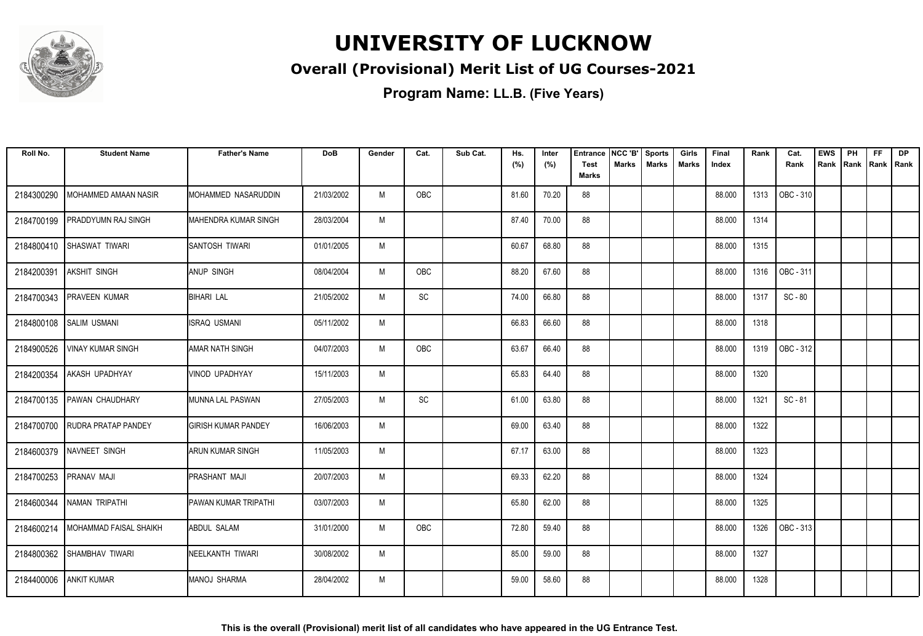

#### **Overall (Provisional) Merit List of UG Courses-2021**

| Roll No.   | <b>Student Name</b>                 | <b>Father's Name</b>       | <b>DoB</b> | Gender | Cat.       | Sub Cat. | Hs.<br>(%) | Inter<br>(%) | <b>Entrance</b><br><b>Test</b> | NCC 'B'<br>Marks | <b>Sports</b><br><b>Marks</b> | Girls<br><b>Marks</b> | Final<br>Index | Rank | Cat.<br>Rank | <b>EWS</b><br>Rank | PH<br>Rank | <b>FF</b><br>Rank   Rank | <b>DP</b> |
|------------|-------------------------------------|----------------------------|------------|--------|------------|----------|------------|--------------|--------------------------------|------------------|-------------------------------|-----------------------|----------------|------|--------------|--------------------|------------|--------------------------|-----------|
|            |                                     |                            |            |        |            |          |            |              | <b>Marks</b>                   |                  |                               |                       |                |      |              |                    |            |                          |           |
| 2184300290 | MOHAMMED AMAAN NASIR                | MOHAMMED NASARUDDIN        | 21/03/2002 | M      | OBC        |          | 81.60      | 70.20        | 88                             |                  |                               |                       | 88.000         | 1313 | OBC - 310    |                    |            |                          |           |
| 2184700199 | PRADDYUMN RAJ SINGH                 | MAHENDRA KUMAR SINGH       | 28/03/2004 | M      |            |          | 87.40      | 70.00        | 88                             |                  |                               |                       | 88.000         | 1314 |              |                    |            |                          |           |
| 2184800410 | SHASWAT TIWARI                      | ISANTOSH TIWARI            | 01/01/2005 | M      |            |          | 60.67      | 68.80        | 88                             |                  |                               |                       | 88.000         | 1315 |              |                    |            |                          |           |
| 2184200391 | <b>AKSHIT SINGH</b>                 | <b>ANUP SINGH</b>          | 08/04/2004 | M      | OBC        |          | 88.20      | 67.60        | 88                             |                  |                               |                       | 88.000         | 1316 | OBC - 311    |                    |            |                          |           |
| 2184700343 | <b>PRAVEEN KUMAR</b>                | <b>BIHARI LAL</b>          | 21/05/2002 | M      | SC         |          | 74.00      | 66.80        | 88                             |                  |                               |                       | 88.000         | 1317 | SC - 80      |                    |            |                          |           |
| 2184800108 | <b>SALIM USMANI</b>                 | <b>ISRAQ USMANI</b>        | 05/11/2002 | M      |            |          | 66.83      | 66.60        | 88                             |                  |                               |                       | 88.000         | 1318 |              |                    |            |                          |           |
| 2184900526 | <b>VINAY KUMAR SINGH</b>            | <b>AMAR NATH SINGH</b>     | 04/07/2003 | M      | OBC        |          | 63.67      | 66.40        | 88                             |                  |                               |                       | 88.000         | 1319 | OBC - 312    |                    |            |                          |           |
| 2184200354 | <b>AKASH UPADHYAY</b>               | VINOD UPADHYAY             | 15/11/2003 | M      |            |          | 65.83      | 64.40        | 88                             |                  |                               |                       | 88.000         | 1320 |              |                    |            |                          |           |
| 2184700135 | <b>PAWAN CHAUDHARY</b>              | MUNNA LAL PASWAN           | 27/05/2003 | M      | SC         |          | 61.00      | 63.80        | 88                             |                  |                               |                       | 88.000         | 1321 | SC - 81      |                    |            |                          |           |
| 2184700700 | <b>RUDRA PRATAP PANDEY</b>          | <b>GIRISH KUMAR PANDEY</b> | 16/06/2003 | M      |            |          | 69.00      | 63.40        | 88                             |                  |                               |                       | 88.000         | 1322 |              |                    |            |                          |           |
| 2184600379 | <b>NAVNEET SINGH</b>                | <b>ARUN KUMAR SINGH</b>    | 11/05/2003 | M      |            |          | 67.17      | 63.00        | 88                             |                  |                               |                       | 88.000         | 1323 |              |                    |            |                          |           |
| 2184700253 | <b>PRANAV MAJI</b>                  | <b>PRASHANT MAJI</b>       | 20/07/2003 | M      |            |          | 69.33      | 62.20        | 88                             |                  |                               |                       | 88.000         | 1324 |              |                    |            |                          |           |
|            | 2184600344 NAMAN TRIPATHI           | PAWAN KUMAR TRIPATHI       | 03/07/2003 | M      |            |          | 65.80      | 62.00        | 88                             |                  |                               |                       | 88.000         | 1325 |              |                    |            |                          |           |
|            | 2184600214   MOHAMMAD FAISAL SHAIKH | <b>ABDUL SALAM</b>         | 31/01/2000 | M      | <b>OBC</b> |          | 72.80      | 59.40        | 88                             |                  |                               |                       | 88.000         | 1326 | OBC - 313    |                    |            |                          |           |
| 2184800362 | SHAMBHAV TIWARI                     | NEELKANTH TIWARI           | 30/08/2002 | M      |            |          | 85.00      | 59.00        | 88                             |                  |                               |                       | 88.000         | 1327 |              |                    |            |                          |           |
| 2184400006 | <b>ANKIT KUMAR</b>                  | <b>MANOJ SHARMA</b>        | 28/04/2002 | M      |            |          | 59.00      | 58.60        | 88                             |                  |                               |                       | 88.000         | 1328 |              |                    |            |                          |           |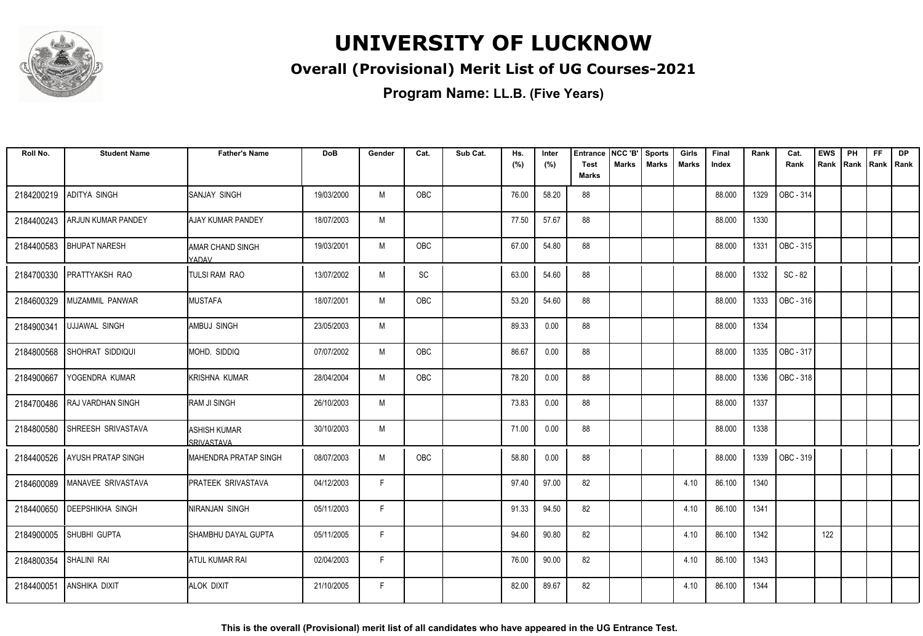

#### **Overall (Provisional) Merit List of UG Courses-2021**

| Roll No.   | <b>Student Name</b>        | <b>Father's Name</b>                | <b>DoB</b> | Gender | Cat.       | Sub Cat. | Hs.   | Inter | <b>Entrance</b>             | NCC 'B'      | <b>Sports</b> | Girls | Final  | Rank | Cat.      | <b>EWS</b> | PH | <b>FF</b>          | <b>DP</b> |
|------------|----------------------------|-------------------------------------|------------|--------|------------|----------|-------|-------|-----------------------------|--------------|---------------|-------|--------|------|-----------|------------|----|--------------------|-----------|
|            |                            |                                     |            |        |            |          | (%)   | (%)   | <b>Test</b><br><b>Marks</b> | <b>Marks</b> | <b>Marks</b>  | Marks | Index  |      | Rank      | Rank       |    | Rank   Rank   Rank |           |
| 2184200219 | ADITYA SINGH               | <b>ISANJAY SINGH</b>                | 19/03/2000 | M      | <b>OBC</b> |          | 76.00 | 58.20 | 88                          |              |               |       | 88.000 | 1329 | OBC - 314 |            |    |                    |           |
| 2184400243 | <b>ARJUN KUMAR PANDEY</b>  | <b>AJAY KUMAR PANDEY</b>            | 18/07/2003 | M      |            |          | 77.50 | 57.67 | 88                          |              |               |       | 88.000 | 1330 |           |            |    |                    |           |
| 2184400583 | <b>BHUPAT NARESH</b>       | <b>AMAR CHAND SINGH</b><br>YADAV    | 19/03/2001 | M      | OBC        |          | 67.00 | 54.80 | 88                          |              |               |       | 88.000 | 1331 | OBC - 315 |            |    |                    |           |
| 2184700330 | <b>PRATTYAKSH RAO</b>      | <b>TULSI RAM RAO</b>                | 13/07/2002 | M      | SC         |          | 63.00 | 54.60 | 88                          |              |               |       | 88.000 | 1332 | SC - 82   |            |    |                    |           |
| 2184600329 | MUZAMMIL PANWAR            | <b>I</b> MUSTAFA                    | 18/07/2001 | M      | <b>OBC</b> |          | 53.20 | 54.60 | 88                          |              |               |       | 88.000 | 1333 | OBC - 316 |            |    |                    |           |
| 2184900341 | <b>UJJAWAL SINGH</b>       | AMBUJ SINGH                         | 23/05/2003 | M      |            |          | 89.33 | 0.00  | 88                          |              |               |       | 88.000 | 1334 |           |            |    |                    |           |
| 2184800568 | SHOHRAT SIDDIQUI           | IMOHD. SIDDIQ                       | 07/07/2002 | M      | OBC        |          | 86.67 | 0.00  | 88                          |              |               |       | 88.000 | 1335 | OBC - 317 |            |    |                    |           |
| 2184900667 | YOGENDRA KUMAR             | İKRISHNA KUMAR                      | 28/04/2004 | M      | OBC        |          | 78.20 | 0.00  | 88                          |              |               |       | 88.000 | 1336 | OBC - 318 |            |    |                    |           |
| 2184700486 | <b>RAJ VARDHAN SINGH</b>   | <b>RAM JI SINGH</b>                 | 26/10/2003 | M      |            |          | 73.83 | 0.00  | 88                          |              |               |       | 88.000 | 1337 |           |            |    |                    |           |
| 2184800580 | SHREESH SRIVASTAVA         | <b>I</b> ASHISH KUMAR<br>SRIVASTAVA | 30/10/2003 | M      |            |          | 71.00 | 0.00  | 88                          |              |               |       | 88.000 | 1338 |           |            |    |                    |           |
| 2184400526 | <b>AYUSH PRATAP SINGH</b>  | IMAHENDRA PRATAP SINGH              | 08/07/2003 | M      | OBC        |          | 58.80 | 0.00  | 88                          |              |               |       | 88.000 | 1339 | OBC - 319 |            |    |                    |           |
| 2184600089 | <b>IMANAVEE SRIVASTAVA</b> | <b>PRATEEK SRIVASTAVA</b>           | 04/12/2003 | F      |            |          | 97.40 | 97.00 | 82                          |              |               | 4.10  | 86.100 | 1340 |           |            |    |                    |           |
| 2184400650 | <b>DEEPSHIKHA SINGH</b>    | NIRANJAN SINGH                      | 05/11/2003 | F      |            |          | 91.33 | 94.50 | 82                          |              |               | 4.10  | 86.100 | 1341 |           |            |    |                    |           |
| 2184900005 | SHUBHI GUPTA               | SHAMBHU DAYAL GUPTA                 | 05/11/2005 | F      |            |          | 94.60 | 90.80 | 82                          |              |               | 4.10  | 86.100 | 1342 |           | 122        |    |                    |           |
| 2184800354 | SHALINI RAI                | <b>ATUL KUMAR RAI</b>               | 02/04/2003 | F      |            |          | 76.00 | 90.00 | 82                          |              |               | 4.10  | 86.100 | 1343 |           |            |    |                    |           |
| 2184400051 | <b>ANSHIKA DIXIT</b>       | <b>ALOK DIXIT</b>                   | 21/10/2005 | F      |            |          | 82.00 | 89.67 | 82                          |              |               | 4.10  | 86.100 | 1344 |           |            |    |                    |           |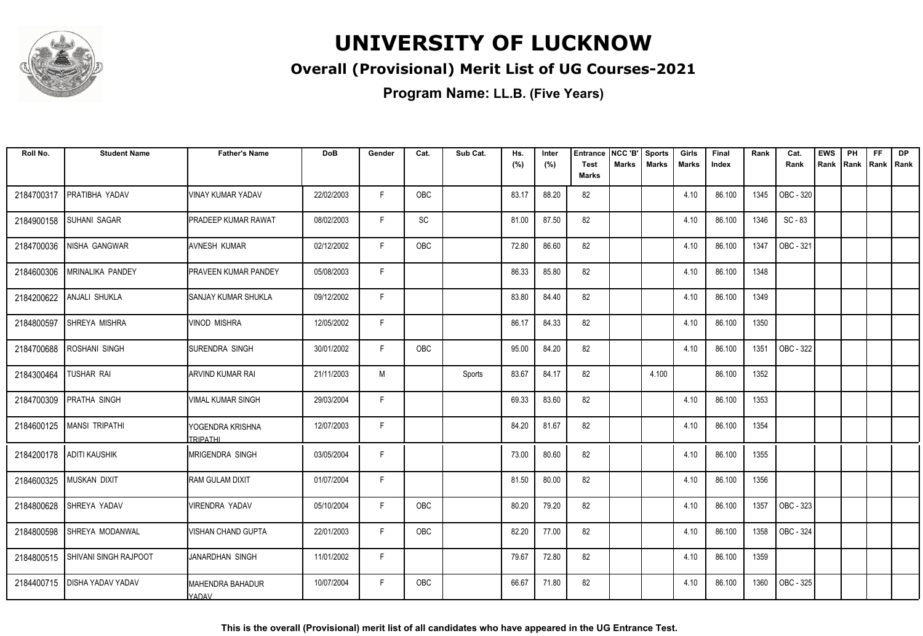

#### **Overall (Provisional) Merit List of UG Courses-2021**

**Program Name: LL.B. (Five Years)**

| Roll No.   | <b>Student Name</b>              | <b>Father's Name</b>                | <b>DoB</b> | Gender | Cat.       | Sub Cat. | Hs.   | Inter | <b>Entrance</b>             | NCC 'B'      | <b>Sports</b> | Girls        | Final  | Rank | Cat.      | <b>EWS</b> | PH   | <b>FF</b> | <b>DP</b>   |
|------------|----------------------------------|-------------------------------------|------------|--------|------------|----------|-------|-------|-----------------------------|--------------|---------------|--------------|--------|------|-----------|------------|------|-----------|-------------|
|            |                                  |                                     |            |        |            |          | (%)   | (%)   | <b>Test</b><br><b>Marks</b> | <b>Marks</b> | <b>Marks</b>  | <b>Marks</b> | Index  |      | Rank      | Rank       | Rank |           | Rank   Rank |
| 2184700317 | PRATIBHA YADAV                   | VINAY KUMAR YADAV                   | 22/02/2003 | F      | OBC        |          | 83.17 | 88.20 | 82                          |              |               | 4.10         | 86.100 | 1345 | OBC - 320 |            |      |           |             |
| 2184900158 | <b>SUHANI SAGAR</b>              | <b>PRADEEP KUMAR RAWAT</b>          | 08/02/2003 | F      | SC         |          | 81.00 | 87.50 | 82                          |              |               | 4.10         | 86.100 | 1346 | $SC - 83$ |            |      |           |             |
| 2184700036 | NISHA GANGWAR                    | <b>JAVNESH KUMAR</b>                | 02/12/2002 | F      | OBC        |          | 72.80 | 86.60 | 82                          |              |               | 4.10         | 86.100 | 1347 | OBC - 321 |            |      |           |             |
| 2184600306 | <b>MRINALIKA PANDEY</b>          | <b>PRAVEEN KUMAR PANDEY</b>         | 05/08/2003 | F      |            |          | 86.33 | 85.80 | 82                          |              |               | 4.10         | 86.100 | 1348 |           |            |      |           |             |
| 2184200622 | <b>ANJALI SHUKLA</b>             | <b>SANJAY KUMAR SHUKLA</b>          | 09/12/2002 | F      |            |          | 83.80 | 84.40 | 82                          |              |               | 4.10         | 86.100 | 1349 |           |            |      |           |             |
| 2184800597 | SHREYA MISHRA                    | <b>VINOD MISHRA</b>                 | 12/05/2002 | F      |            |          | 86.17 | 84.33 | 82                          |              |               | 4.10         | 86.100 | 1350 |           |            |      |           |             |
| 2184700688 | <b>ROSHANI SINGH</b>             | SURENDRA SINGH                      | 30/01/2002 | F      | <b>OBC</b> |          | 95.00 | 84.20 | 82                          |              |               | 4.10         | 86.100 | 1351 | OBC - 322 |            |      |           |             |
| 2184300464 | TUSHAR RAI                       | <b>ARVIND KUMAR RAI</b>             | 21/11/2003 | M      |            | Sports   | 83.67 | 84.17 | 82                          |              | 4.100         |              | 86.100 | 1352 |           |            |      |           |             |
| 2184700309 | <b>PRATHA SINGH</b>              | <b>VIMAL KUMAR SINGH</b>            | 29/03/2004 | F      |            |          | 69.33 | 83.60 | 82                          |              |               | 4.10         | 86.100 | 1353 |           |            |      |           |             |
| 2184600125 | <b>MANSI TRIPATHI</b>            | YOGENDRA KRISHNA<br><b>TRIPATHI</b> | 12/07/2003 | F      |            |          | 84.20 | 81.67 | 82                          |              |               | 4.10         | 86.100 | 1354 |           |            |      |           |             |
| 2184200178 | <b>ADITI KAUSHIK</b>             | <b>MRIGENDRA SINGH</b>              | 03/05/2004 | F      |            |          | 73.00 | 80.60 | 82                          |              |               | 4.10         | 86.100 | 1355 |           |            |      |           |             |
| 2184600325 | <b>MUSKAN DIXIT</b>              | <b>RAM GULAM DIXIT</b>              | 01/07/2004 | F      |            |          | 81.50 | 80.00 | 82                          |              |               | 4.10         | 86.100 | 1356 |           |            |      |           |             |
| 2184800628 | SHREYA YADAV                     | VIRENDRA YADAV                      | 05/10/2004 | F      | <b>OBC</b> |          | 80.20 | 79.20 | 82                          |              |               | 4.10         | 86.100 | 1357 | OBC - 323 |            |      |           |             |
| 2184800598 | <b>SHREYA MODANWAL</b>           | VISHAN CHAND GUPTA                  | 22/01/2003 | F.     | OBC        |          | 82.20 | 77.00 | 82                          |              |               | 4.10         | 86.100 | 1358 | OBC - 324 |            |      |           |             |
|            | 2184800515 SHIVANI SINGH RAJPOOT | JANARDHAN SINGH                     | 11/01/2002 | F      |            |          | 79.67 | 72.80 | 82                          |              |               | 4.10         | 86.100 | 1359 |           |            |      |           |             |
|            | 2184400715   DISHA YADAV YADAV   | <b>MAHENDRA BAHADUR</b><br>YADAV    | 10/07/2004 | F      | OBC        |          | 66.67 | 71.80 | 82                          |              |               | 4.10         | 86.100 | 1360 | OBC - 325 |            |      |           |             |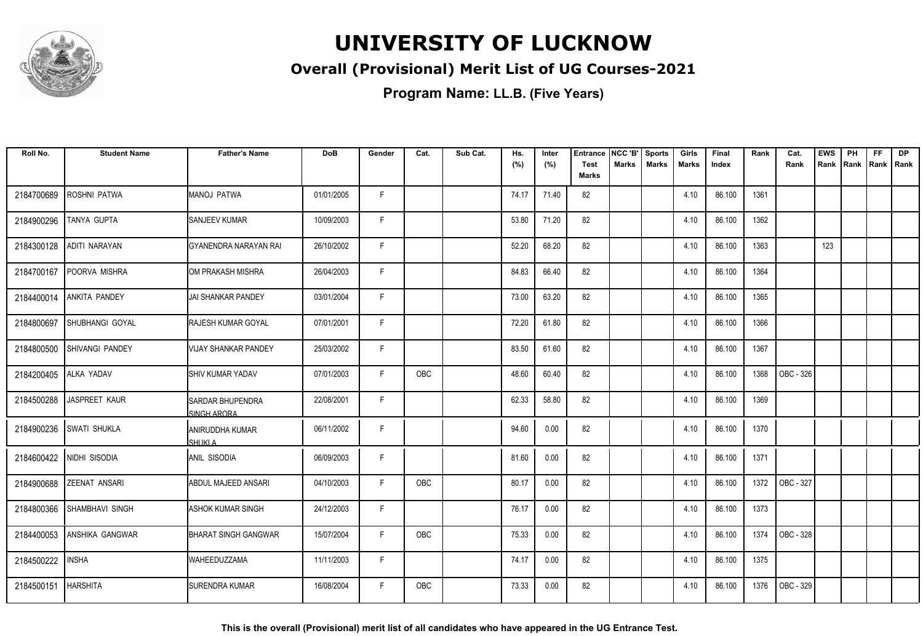

#### **Overall (Provisional) Merit List of UG Courses-2021**

**Program Name: LL.B. (Five Years)**

| Roll No.   | <b>Student Name</b>      | <b>Father's Name</b>                   | <b>DoB</b> | Gender | Cat. | Sub Cat. | Hs.<br>(%) | Inter<br>(%) | <b>Entrance</b><br><b>Test</b><br><b>Marks</b> | NCC 'B'<br>Marks | <b>Sports</b><br><b>Marks</b> | Girls<br>Marks | Final<br>Index | Rank | Cat.<br>Rank | <b>EWS</b><br>Rank | PH<br>Rank | FF<br>Rank   Rank | <b>DP</b> |
|------------|--------------------------|----------------------------------------|------------|--------|------|----------|------------|--------------|------------------------------------------------|------------------|-------------------------------|----------------|----------------|------|--------------|--------------------|------------|-------------------|-----------|
| 2184700689 | <b>ROSHNI PATWA</b>      | MANOJ PATWA                            | 01/01/2005 | F.     |      |          | 74.17      | 71.40        | 82                                             |                  |                               | 4.10           | 86.100         | 1361 |              |                    |            |                   |           |
| 2184900296 | TANYA GUPTA              | SANJEEV KUMAR                          | 10/09/2003 | F.     |      |          | 53.80      | 71.20        | 82                                             |                  |                               | 4.10           | 86.100         | 1362 |              |                    |            |                   |           |
| 2184300128 | ADITI NARAYAN            | GYANENDRA NARAYAN RAI                  | 26/10/2002 | F      |      |          | 52.20      | 68.20        | 82                                             |                  |                               | 4.10           | 86.100         | 1363 |              | 123                |            |                   |           |
| 2184700167 | POORVA MISHRA            | OM PRAKASH MISHRA                      | 26/04/2003 | F      |      |          | 84.83      | 66.40        | 82                                             |                  |                               | 4.10           | 86.100         | 1364 |              |                    |            |                   |           |
| 2184400014 | ANKITA PANDEY            | <b>JAI SHANKAR PANDEY</b>              | 03/01/2004 | F      |      |          | 73.00      | 63.20        | 82                                             |                  |                               | 4.10           | 86.100         | 1365 |              |                    |            |                   |           |
| 2184800697 | SHUBHANGI GOYAL          | <b>RAJESH KUMAR GOYAL</b>              | 07/01/2001 | F      |      |          | 72.20      | 61.80        | 82                                             |                  |                               | 4.10           | 86.100         | 1366 |              |                    |            |                   |           |
| 2184800500 | <b>SHIVANGI PANDEY</b>   | VIJAY SHANKAR PANDEY                   | 25/03/2002 | F      |      |          | 83.50      | 61.60        | 82                                             |                  |                               | 4.10           | 86.100         | 1367 |              |                    |            |                   |           |
| 2184200405 | ALKA YADAV               | <b>I</b> SHIV KUMAR YADAV              | 07/01/2003 | F      | OBC  |          | 48.60      | 60.40        | 82                                             |                  |                               | 4.10           | 86.100         | 1368 | OBC - 326    |                    |            |                   |           |
| 2184500288 | JASPREET KAUR            | <b>SARDAR BHUPENDRA</b><br>SINGH ARORA | 22/08/2001 | F      |      |          | 62.33      | 58.80        | 82                                             |                  |                               | 4.10           | 86.100         | 1369 |              |                    |            |                   |           |
| 2184900236 | <b>SWATI SHUKLA</b>      | ANIRUDDHA KUMAR<br><b>SHUKLA</b>       | 06/11/2002 | F.     |      |          | 94.60      | 0.00         | 82                                             |                  |                               | 4.10           | 86.100         | 1370 |              |                    |            |                   |           |
|            | 2184600422 NIDHI SISODIA | <b>ANIL SISODIA</b>                    | 06/09/2003 | F      |      |          | 81.60      | 0.00         | 82                                             |                  |                               | 4.10           | 86.100         | 1371 |              |                    |            |                   |           |
| 2184900688 | <b>ZEENAT ANSARI</b>     | ABDUL MAJEED ANSARI                    | 04/10/2003 | F      | OBC  |          | 80.17      | 0.00         | 82                                             |                  |                               | 4.10           | 86.100         | 1372 | OBC - 327    |                    |            |                   |           |
| 2184800366 | <b>SHAMBHAVI SINGH</b>   | <b>ASHOK KUMAR SINGH</b>               | 24/12/2003 | F      |      |          | 76.17      | 0.00         | 82                                             |                  |                               | 4.10           | 86.100         | 1373 |              |                    |            |                   |           |
| 2184400053 | <b>ANSHIKA GANGWAR</b>   | <b>BHARAT SINGH GANGWAR</b>            | 15/07/2004 | F      | OBC  |          | 75.33      | 0.00         | 82                                             |                  |                               | 4.10           | 86.100         | 1374 | OBC - 328    |                    |            |                   |           |
| 2184500222 | <b>INSHA</b>             | <b>WAHEEDUZZAMA</b>                    | 11/11/2003 | F      |      |          | 74.17      | 0.00         | 82                                             |                  |                               | 4.10           | 86.100         | 1375 |              |                    |            |                   |           |
| 2184500151 | <b>HARSHITA</b>          | <b>SURENDRA KUMAR</b>                  | 16/08/2004 | F      | OBC  |          | 73.33      | 0.00         | 82                                             |                  |                               | 4.10           | 86.100         | 1376 | OBC - 329    |                    |            |                   |           |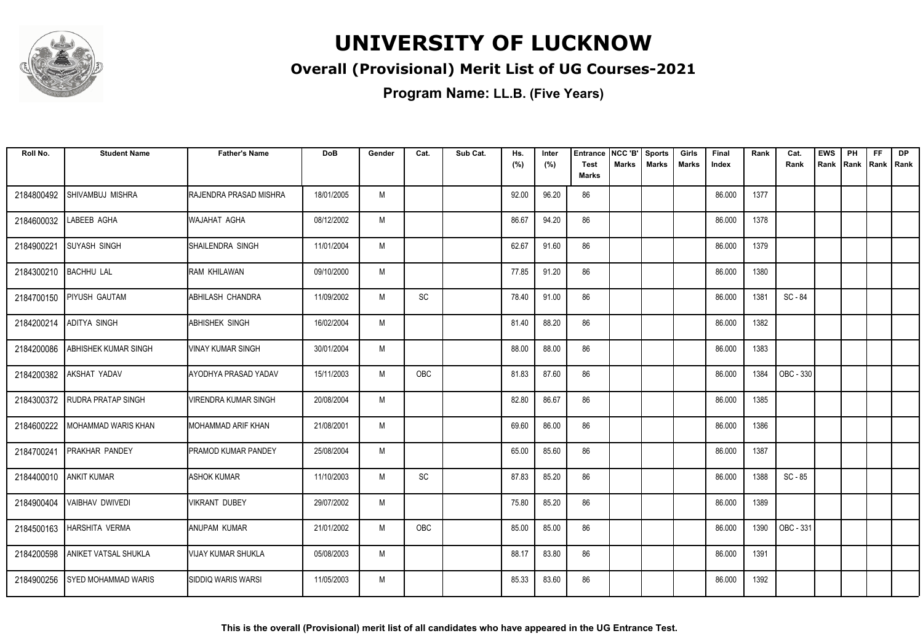

#### **Overall (Provisional) Merit List of UG Courses-2021**

| Roll No.   | <b>Student Name</b>         | <b>Father's Name</b>            | <b>DoB</b> | Gender | Cat.                         | Sub Cat. | Hs.<br>(%) | Inter<br>(%) | Entrance<br><b>Test</b> | NCC 'B'<br><b>Marks</b> | <b>Sports</b><br><b>Marks</b> | Girls<br>Marks | Final<br>Index | Rank | Cat.<br>Rank | <b>EWS</b><br>Rank   Rank | PH | <b>FF</b> | <b>DP</b><br>Rank   Rank |
|------------|-----------------------------|---------------------------------|------------|--------|------------------------------|----------|------------|--------------|-------------------------|-------------------------|-------------------------------|----------------|----------------|------|--------------|---------------------------|----|-----------|--------------------------|
|            |                             |                                 |            |        |                              |          |            |              | Marks                   |                         |                               |                |                |      |              |                           |    |           |                          |
| 2184800492 | SHIVAMBUJ MISHRA            | <b>I</b> RAJENDRA PRASAD MISHRA | 18/01/2005 | M      |                              |          | 92.00      | 96.20        | 86                      |                         |                               |                | 86.000         | 1377 |              |                           |    |           |                          |
| 2184600032 | LABEEB AGHA                 | IWAJAHAT AGHA                   | 08/12/2002 | M      |                              |          | 86.67      | 94.20        | 86                      |                         |                               |                | 86.000         | 1378 |              |                           |    |           |                          |
| 2184900221 | <b>SUYASH SINGH</b>         | SHAILENDRA SINGH                | 11/01/2004 | M      |                              |          | 62.67      | 91.60        | 86                      |                         |                               |                | 86.000         | 1379 |              |                           |    |           |                          |
| 2184300210 | <b>BACHHU LAL</b>           | IRAM KHILAWAN                   | 09/10/2000 | M      |                              |          | 77.85      | 91.20        | 86                      |                         |                               |                | 86.000         | 1380 |              |                           |    |           |                          |
| 2184700150 | <b>PIYUSH GAUTAM</b>        | <b>ABHILASH CHANDRA</b>         | 11/09/2002 | M      | $\operatorname{\textsf{SC}}$ |          | 78.40      | 91.00        | 86                      |                         |                               |                | 86.000         | 1381 | SC - 84      |                           |    |           |                          |
| 2184200214 | <b>ADITYA SINGH</b>         | ABHISHEK SINGH                  | 16/02/2004 | M      |                              |          | 81.40      | 88.20        | 86                      |                         |                               |                | 86.000         | 1382 |              |                           |    |           |                          |
| 2184200086 | <b>ABHISHEK KUMAR SINGH</b> | <b>VINAY KUMAR SINGH</b>        | 30/01/2004 | M      |                              |          | 88.00      | 88.00        | 86                      |                         |                               |                | 86.000         | 1383 |              |                           |    |           |                          |
| 2184200382 | AKSHAT YADAV                | AYODHYA PRASAD YADAV            | 15/11/2003 | M      | OBC                          |          | 81.83      | 87.60        | 86                      |                         |                               |                | 86.000         | 1384 | OBC - 330    |                           |    |           |                          |
| 2184300372 | <b>RUDRA PRATAP SINGH</b>   | VIRENDRA KUMAR SINGH            | 20/08/2004 | M      |                              |          | 82.80      | 86.67        | 86                      |                         |                               |                | 86.000         | 1385 |              |                           |    |           |                          |
| 2184600222 | I MOHAMMAD WARIS KHAN       | IMOHAMMAD ARIF KHAN             | 21/08/2001 | M      |                              |          | 69.60      | 86.00        | 86                      |                         |                               |                | 86.000         | 1386 |              |                           |    |           |                          |
| 2184700241 | <b>PRAKHAR PANDEY</b>       | <b>I</b> PRAMOD KUMAR PANDEY    | 25/08/2004 | M      |                              |          | 65.00      | 85.60        | 86                      |                         |                               |                | 86.000         | 1387 |              |                           |    |           |                          |
| 2184400010 | <b>ANKIT KUMAR</b>          | <b>ASHOK KUMAR</b>              | 11/10/2003 | M      | $\operatorname{\textsf{SC}}$ |          | 87.83      | 85.20        | 86                      |                         |                               |                | 86.000         | 1388 | $SC - 85$    |                           |    |           |                          |
| 2184900404 | <b>VAIBHAV DWIVEDI</b>      | VIKRANT DUBEY                   | 29/07/2002 | M      |                              |          | 75.80      | 85.20        | 86                      |                         |                               |                | 86.000         | 1389 |              |                           |    |           |                          |
| 2184500163 | <b>HARSHITA VERMA</b>       | IANUPAM KUMAR                   | 21/01/2002 | M      | OBC                          |          | 85.00      | 85.00        | 86                      |                         |                               |                | 86.000         | 1390 | OBC - 331    |                           |    |           |                          |
| 2184200598 | <b>ANIKET VATSAL SHUKLA</b> | <b>VIJAY KUMAR SHUKLA</b>       | 05/08/2003 | M      |                              |          | 88.17      | 83.80        | 86                      |                         |                               |                | 86.000         | 1391 |              |                           |    |           |                          |
| 2184900256 | <b>SYED MOHAMMAD WARIS</b>  | ISIDDIQ WARIS WARSI             | 11/05/2003 | M      |                              |          | 85.33      | 83.60        | 86                      |                         |                               |                | 86.000         | 1392 |              |                           |    |           |                          |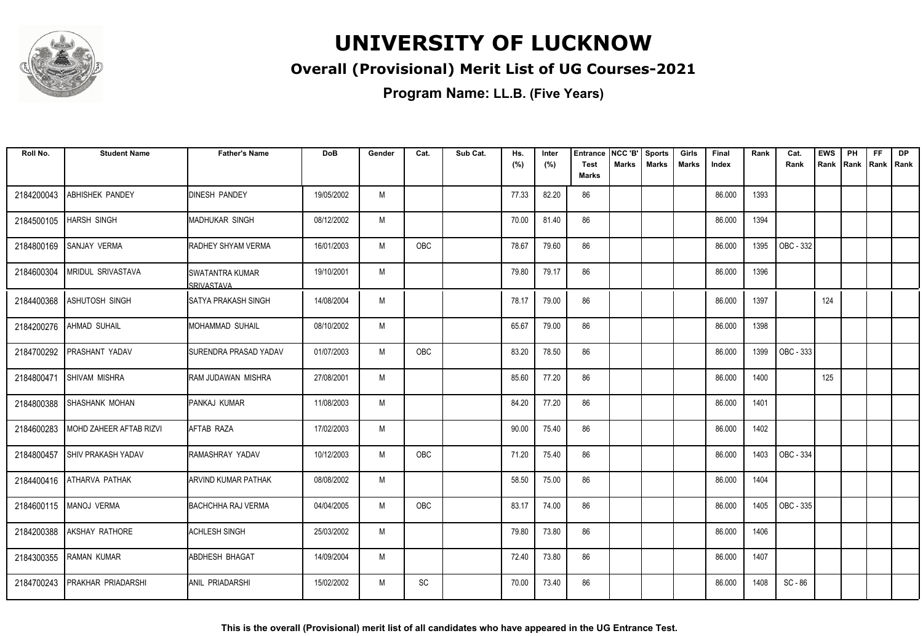

#### **Overall (Provisional) Merit List of UG Courses-2021**

| Roll No.   | <b>Student Name</b>       | <b>Father's Name</b>                 | <b>DoB</b> | Gender | Cat.       | Sub Cat. | Hs.<br>(%) | Inter<br>(%) | <b>Entrance</b><br><b>Test</b> | NCC 'B'<br><b>Marks</b> | <b>Sports</b><br><b>Marks</b> | Girls<br>Marks | Final<br>Index | Rank | Cat.<br>Rank | <b>EWS</b><br>Rank | PH<br>Rank | FF<br>Rank   Rank | <b>DP</b> |
|------------|---------------------------|--------------------------------------|------------|--------|------------|----------|------------|--------------|--------------------------------|-------------------------|-------------------------------|----------------|----------------|------|--------------|--------------------|------------|-------------------|-----------|
|            |                           |                                      |            |        |            |          |            |              | <b>Marks</b>                   |                         |                               |                |                |      |              |                    |            |                   |           |
| 2184200043 | <b>ABHISHEK PANDEY</b>    | <b>DINESH PANDEY</b>                 | 19/05/2002 | M      |            |          | 77.33      | 82.20        | 86                             |                         |                               |                | 86.000         | 1393 |              |                    |            |                   |           |
| 2184500105 | <b>HARSH SINGH</b>        | <b>MADHUKAR SINGH</b>                | 08/12/2002 | M      |            |          | 70.00      | 81.40        | 86                             |                         |                               |                | 86.000         | 1394 |              |                    |            |                   |           |
| 2184800169 | <b>SANJAY VERMA</b>       | <b>RADHEY SHYAM VERMA</b>            | 16/01/2003 | M      | <b>OBC</b> |          | 78.67      | 79.60        | 86                             |                         |                               |                | 86.000         | 1395 | OBC - 332    |                    |            |                   |           |
| 2184600304 | <b>MRIDUL SRIVASTAVA</b>  | <b>SWATANTRA KUMAR</b><br>SRIVASTAVA | 19/10/2001 | M      |            |          | 79.80      | 79.17        | 86                             |                         |                               |                | 86.000         | 1396 |              |                    |            |                   |           |
| 2184400368 | <b>ASHUTOSH SINGH</b>     | <b>I</b> SATYA PRAKASH SINGH         | 14/08/2004 | M      |            |          | 78.17      | 79.00        | 86                             |                         |                               |                | 86.000         | 1397 |              | 124                |            |                   |           |
| 2184200276 | <b>AHMAD SUHAIL</b>       | <b>MOHAMMAD SUHAIL</b>               | 08/10/2002 | M      |            |          | 65.67      | 79.00        | 86                             |                         |                               |                | 86.000         | 1398 |              |                    |            |                   |           |
| 2184700292 | <b>PRASHANT YADAV</b>     | SURENDRA PRASAD YADAV                | 01/07/2003 | M      | OBC        |          | 83.20      | 78.50        | 86                             |                         |                               |                | 86.000         | 1399 | OBC - 333    |                    |            |                   |           |
| 2184800471 | SHIVAM MISHRA             | RAM JUDAWAN MISHRA                   | 27/08/2001 | M      |            |          | 85.60      | 77.20        | 86                             |                         |                               |                | 86.000         | 1400 |              | 125                |            |                   |           |
| 2184800388 | <b>SHASHANK MOHAN</b>     | PANKAJ KUMAR                         | 11/08/2003 | M      |            |          | 84.20      | 77.20        | 86                             |                         |                               |                | 86.000         | 1401 |              |                    |            |                   |           |
| 2184600283 | MOHD ZAHEER AFTAB RIZVI   | AFTAB RAZA                           | 17/02/2003 | M      |            |          | 90.00      | 75.40        | 86                             |                         |                               |                | 86.000         | 1402 |              |                    |            |                   |           |
| 2184800457 | <b>SHIV PRAKASH YADAV</b> | RAMASHRAY YADAV                      | 10/12/2003 | M      | OBC        |          | 71.20      | 75.40        | 86                             |                         |                               |                | 86.000         | 1403 | OBC - 334    |                    |            |                   |           |
|            | 2184400416 ATHARVA PATHAK | <b>ARVIND KUMAR PATHAK</b>           | 08/08/2002 | M      |            |          | 58.50      | 75.00        | 86                             |                         |                               |                | 86.000         | 1404 |              |                    |            |                   |           |
|            | 2184600115   MANOJ VERMA  | <b>BACHCHHA RAJ VERMA</b>            | 04/04/2005 | M      | OBC        |          | 83.17      | 74.00        | 86                             |                         |                               |                | 86.000         | 1405 | OBC - 335    |                    |            |                   |           |
| 2184200388 | <b>AKSHAY RATHORE</b>     | <b>ACHLESH SINGH</b>                 | 25/03/2002 | M      |            |          | 79.80      | 73.80        | 86                             |                         |                               |                | 86.000         | 1406 |              |                    |            |                   |           |
| 2184300355 | <b>RAMAN KUMAR</b>        | <b>ABDHESH BHAGAT</b>                | 14/09/2004 | M      |            |          | 72.40      | 73.80        | 86                             |                         |                               |                | 86.000         | 1407 |              |                    |            |                   |           |
| 2184700243 | <b>PRAKHAR PRIADARSHI</b> | <b>JANIL PRIADARSHI</b>              | 15/02/2002 | M      | SC         |          | 70.00      | 73.40        | 86                             |                         |                               |                | 86.000         | 1408 | SC - 86      |                    |            |                   |           |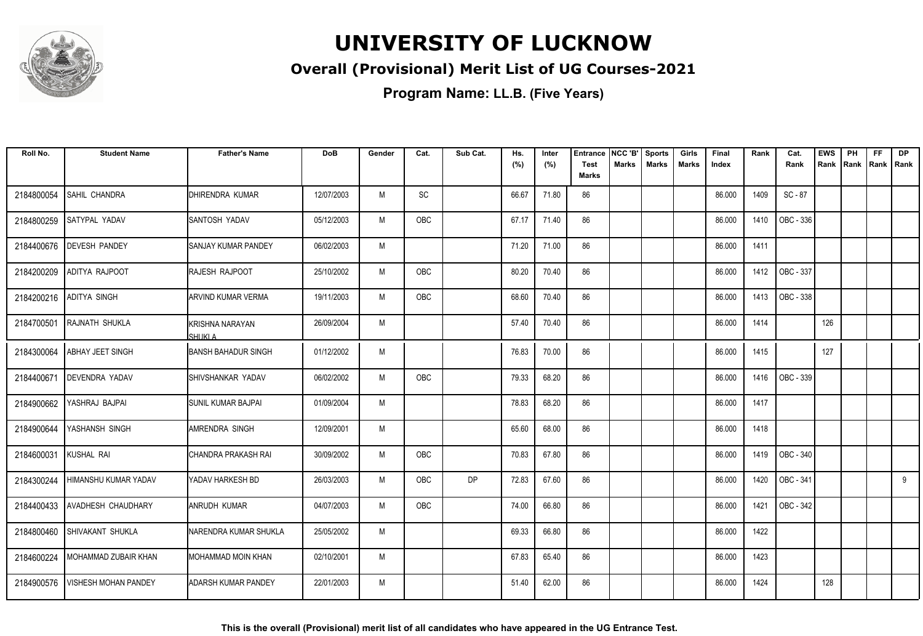

#### **Overall (Provisional) Merit List of UG Courses-2021**

| Roll No.   | <b>Student Name</b>         | <b>Father's Name</b>             | <b>DoB</b> | Gender | Cat.       | Sub Cat.  | Hs.<br>(%) | Inter<br>(%) | <b>Entrance</b><br><b>Test</b><br><b>Marks</b> | NCC 'B'<br><b>Marks</b> | <b>Sports</b><br><b>Marks</b> | Girls<br>Marks | Final<br>Index | Rank | Cat.<br>Rank     | <b>EWS</b><br>Rank | PH<br>Rank | <b>FF</b><br>Rank   Rank | <b>DP</b> |
|------------|-----------------------------|----------------------------------|------------|--------|------------|-----------|------------|--------------|------------------------------------------------|-------------------------|-------------------------------|----------------|----------------|------|------------------|--------------------|------------|--------------------------|-----------|
| 2184800054 | SAHIL CHANDRA               | <b>IDHIRENDRA KUMAR</b>          | 12/07/2003 | M      | SC         |           | 66.67      | 71.80        | 86                                             |                         |                               |                | 86.000         | 1409 | SC - 87          |                    |            |                          |           |
| 2184800259 | SATYPAL YADAV               | ISANTOSH YADAV                   | 05/12/2003 | М      | OBC        |           | 67.17      | 71.40        | 86                                             |                         |                               |                | 86.000         | 1410 | OBC - 336        |                    |            |                          |           |
| 2184400676 | <b>DEVESH PANDEY</b>        | ISANJAY KUMAR PANDEY             | 06/02/2003 | M      |            |           | 71.20      | 71.00        | 86                                             |                         |                               |                | 86.000         | 1411 |                  |                    |            |                          |           |
| 2184200209 | ADITYA RAJPOOT              | <b>RAJESH RAJPOOT</b>            | 25/10/2002 | M      | OBC        |           | 80.20      | 70.40        | 86                                             |                         |                               |                | 86.000         | 1412 | OBC - 337        |                    |            |                          |           |
| 2184200216 | <b>ADITYA SINGH</b>         | <b>ARVIND KUMAR VERMA</b>        | 19/11/2003 | M      | <b>OBC</b> |           | 68.60      | 70.40        | 86                                             |                         |                               |                | 86.000         | 1413 | OBC - 338        |                    |            |                          |           |
| 2184700501 | <b>RAJNATH SHUKLA</b>       | KRISHNA NARAYAN<br><b>SHUKLA</b> | 26/09/2004 | M      |            |           | 57.40      | 70.40        | 86                                             |                         |                               |                | 86.000         | 1414 |                  | 126                |            |                          |           |
| 2184300064 | <b>ABHAY JEET SINGH</b>     | <b>BANSH BAHADUR SINGH</b>       | 01/12/2002 | M      |            |           | 76.83      | 70.00        | 86                                             |                         |                               |                | 86.000         | 1415 |                  | 127                |            |                          |           |
| 2184400671 | <b>DEVENDRA YADAV</b>       | <b>ISHIVSHANKAR YADAV</b>        | 06/02/2002 | M      | <b>OBC</b> |           | 79.33      | 68.20        | 86                                             |                         |                               |                | 86.000         | 1416 | OBC - 339        |                    |            |                          |           |
| 2184900662 | YASHRAJ BAJPAI              | ISUNIL KUMAR BAJPAI              | 01/09/2004 | M      |            |           | 78.83      | 68.20        | 86                                             |                         |                               |                | 86.000         | 1417 |                  |                    |            |                          |           |
| 2184900644 | YASHANSH SINGH              | IAMRENDRA SINGH                  | 12/09/2001 | M      |            |           | 65.60      | 68.00        | 86                                             |                         |                               |                | 86.000         | 1418 |                  |                    |            |                          |           |
| 2184600031 | KUSHAL RAI                  | ICHANDRA PRAKASH RAI             | 30/09/2002 | M      | OBC        |           | 70.83      | 67.80        | 86                                             |                         |                               |                | 86.000         | 1419 | <b>OBC - 340</b> |                    |            |                          |           |
| 2184300244 | <b>HIMANSHU KUMAR YADAV</b> | <b>YADAV HARKESH BD</b>          | 26/03/2003 | M      | OBC        | <b>DP</b> | 72.83      | 67.60        | 86                                             |                         |                               |                | 86.000         | 1420 | OBC - 341        |                    |            |                          | 9         |
| 2184400433 | <b>AVADHESH CHAUDHARY</b>   | <b>ANRUDH KUMAR</b>              | 04/07/2003 | M      | OBC        |           | 74.00      | 66.80        | 86                                             |                         |                               |                | 86.000         | 1421 | OBC - 342        |                    |            |                          |           |
| 2184800460 | SHIVAKANT SHUKLA            | NARENDRA KUMAR SHUKLA            | 25/05/2002 | M      |            |           | 69.33      | 66.80        | 86                                             |                         |                               |                | 86.000         | 1422 |                  |                    |            |                          |           |
| 2184600224 | MOHAMMAD ZUBAIR KHAN        | IMOHAMMAD MOIN KHAN              | 02/10/2001 | M      |            |           | 67.83      | 65.40        | 86                                             |                         |                               |                | 86.000         | 1423 |                  |                    |            |                          |           |
| 2184900576 | <b>VISHESH MOHAN PANDEY</b> | IADARSH KUMAR PANDEY             | 22/01/2003 | M      |            |           | 51.40      | 62.00        | 86                                             |                         |                               |                | 86.000         | 1424 |                  | 128                |            |                          |           |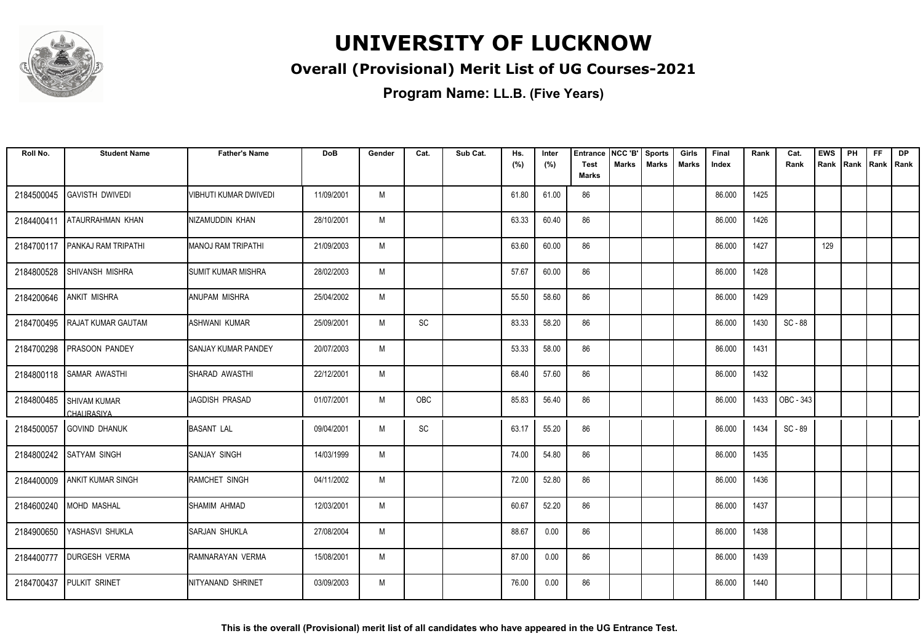

#### **Overall (Provisional) Merit List of UG Courses-2021**

| Roll No.   | <b>Student Name</b>                      | <b>Father's Name</b>      | DoB        | Gender | Cat.                         | Sub Cat. | Hs.<br>(%) | Inter<br>(%) | <b>Entrance</b><br>Test | NCC 'B'<br><b>Marks</b> | <b>Sports</b><br><b>Marks</b> | Girls<br><b>Marks</b> | Final<br>Index | Rank | Cat.<br>Rank | <b>EWS</b><br>Rank | PH<br>Rank | <b>FF</b><br>Rank   Rank | DP |
|------------|------------------------------------------|---------------------------|------------|--------|------------------------------|----------|------------|--------------|-------------------------|-------------------------|-------------------------------|-----------------------|----------------|------|--------------|--------------------|------------|--------------------------|----|
|            |                                          |                           |            |        |                              |          |            |              | <b>Marks</b>            |                         |                               |                       |                |      |              |                    |            |                          |    |
| 2184500045 | <b>GAVISTH DWIVEDI</b>                   | VIBHUTI KUMAR DWIVEDI     | 11/09/2001 | M      |                              |          | 61.80      | 61.00        | 86                      |                         |                               |                       | 86.000         | 1425 |              |                    |            |                          |    |
| 2184400411 | <b>ATAURRAHMAN KHAN</b>                  | NIZAMUDDIN KHAN           | 28/10/2001 | M      |                              |          | 63.33      | 60.40        | 86                      |                         |                               |                       | 86.000         | 1426 |              |                    |            |                          |    |
| 2184700117 | <b>PANKAJ RAM TRIPATHI</b>               | IMANOJ RAM TRIPATHI       | 21/09/2003 | M      |                              |          | 63.60      | 60.00        | 86                      |                         |                               |                       | 86.000         | 1427 |              | 129                |            |                          |    |
| 2184800528 | SHIVANSH MISHRA                          | <b>SUMIT KUMAR MISHRA</b> | 28/02/2003 | M      |                              |          | 57.67      | 60.00        | 86                      |                         |                               |                       | 86.000         | 1428 |              |                    |            |                          |    |
| 2184200646 | <b>ANKIT MISHRA</b>                      | IANUPAM MISHRA            | 25/04/2002 | M      |                              |          | 55.50      | 58.60        | 86                      |                         |                               |                       | 86.000         | 1429 |              |                    |            |                          |    |
| 2184700495 | <b>RAJAT KUMAR GAUTAM</b>                | IASHWANI KUMAR            | 25/09/2001 | M      | SC                           |          | 83.33      | 58.20        | 86                      |                         |                               |                       | 86.000         | 1430 | SC - 88      |                    |            |                          |    |
| 2184700298 | <b>PRASOON PANDEY</b>                    | ISANJAY KUMAR PANDEY      | 20/07/2003 | M      |                              |          | 53.33      | 58.00        | 86                      |                         |                               |                       | 86.000         | 1431 |              |                    |            |                          |    |
| 2184800118 | <b>SAMAR AWASTHI</b>                     | SHARAD AWASTHI            | 22/12/2001 | M      |                              |          | 68.40      | 57.60        | 86                      |                         |                               |                       | 86.000         | 1432 |              |                    |            |                          |    |
| 2184800485 | <b>SHIVAM KUMAR</b><br><b>CHAURASIYA</b> | IJAGDISH PRASAD           | 01/07/2001 | M      | OBC                          |          | 85.83      | 56.40        | 86                      |                         |                               |                       | 86.000         | 1433 | OBC - 343    |                    |            |                          |    |
| 2184500057 | GOVIND DHANUK                            | <b>BASANT LAL</b>         | 09/04/2001 | M      | $\operatorname{\textsf{SC}}$ |          | 63.17      | 55.20        | 86                      |                         |                               |                       | 86.000         | 1434 | SC - 89      |                    |            |                          |    |
| 2184800242 | <b>SATYAM SINGH</b>                      | SANJAY SINGH              | 14/03/1999 | M      |                              |          | 74.00      | 54.80        | 86                      |                         |                               |                       | 86.000         | 1435 |              |                    |            |                          |    |
|            | 2184400009 ANKIT KUMAR SINGH             | IRAMCHET SINGH            | 04/11/2002 | M      |                              |          | 72.00      | 52.80        | 86                      |                         |                               |                       | 86.000         | 1436 |              |                    |            |                          |    |
| 2184600240 | <b>MOHD MASHAL</b>                       | <b>ISHAMIM AHMAD</b>      | 12/03/2001 | M      |                              |          | 60.67      | 52.20        | 86                      |                         |                               |                       | 86.000         | 1437 |              |                    |            |                          |    |
| 2184900650 | YASHASVI SHUKLA                          | SARJAN SHUKLA             | 27/08/2004 | M      |                              |          | 88.67      | 0.00         | 86                      |                         |                               |                       | 86.000         | 1438 |              |                    |            |                          |    |
| 2184400777 | <b>DURGESH VERMA</b>                     | RAMNARAYAN VERMA          | 15/08/2001 | M      |                              |          | 87.00      | 0.00         | 86                      |                         |                               |                       | 86.000         | 1439 |              |                    |            |                          |    |
| 2184700437 | <b>PULKIT SRINET</b>                     | INITYANAND SHRINET        | 03/09/2003 | M      |                              |          | 76.00      | 0.00         | 86                      |                         |                               |                       | 86.000         | 1440 |              |                    |            |                          |    |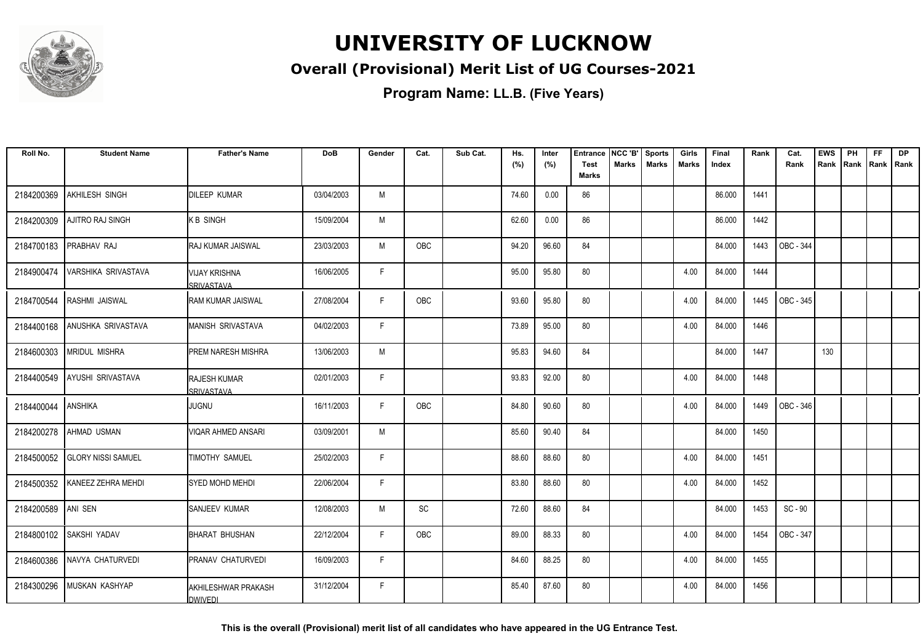

#### **Overall (Provisional) Merit List of UG Courses-2021**

**Program Name: LL.B. (Five Years)**

| Roll No.   | <b>Student Name</b>          | <b>Father's Name</b>                   | <b>DoB</b> | Gender      | Cat.       | Sub Cat. | Hs.   | Inter | <b>Entrance</b>             | NCC 'B'      | <b>Sports</b> | Girls | Final  | Rank | Cat.      | <b>EWS</b> | PH   | <b>FF</b>   | <b>DP</b> |
|------------|------------------------------|----------------------------------------|------------|-------------|------------|----------|-------|-------|-----------------------------|--------------|---------------|-------|--------|------|-----------|------------|------|-------------|-----------|
|            |                              |                                        |            |             |            |          | (%)   | (%)   | <b>Test</b><br><b>Marks</b> | <b>Marks</b> | <b>Marks</b>  | Marks | Index  |      | Rank      | Rank       | Rank | Rank   Rank |           |
| 2184200369 | AKHILESH SINGH               | <b>DILEEP KUMAR</b>                    | 03/04/2003 | M           |            |          | 74.60 | 0.00  | 86                          |              |               |       | 86.000 | 1441 |           |            |      |             |           |
| 2184200309 | <b>AJITRO RAJ SINGH</b>      | K B SINGH                              | 15/09/2004 | M           |            |          | 62.60 | 0.00  | 86                          |              |               |       | 86.000 | 1442 |           |            |      |             |           |
| 2184700183 | PRABHAV RAJ                  | <b>RAJ KUMAR JAISWAL</b>               | 23/03/2003 | M           | <b>OBC</b> |          | 94.20 | 96.60 | 84                          |              |               |       | 84.000 | 1443 | OBC - 344 |            |      |             |           |
| 2184900474 | VARSHIKA SRIVASTAVA          | <b>VIJAY KRISHNA</b><br>SRIVASTAVA     | 16/06/2005 | $\mathsf F$ |            |          | 95.00 | 95.80 | 80                          |              |               | 4.00  | 84.000 | 1444 |           |            |      |             |           |
| 2184700544 | RASHMI JAISWAL               | <b>RAM KUMAR JAISWAL</b>               | 27/08/2004 | F           | OBC        |          | 93.60 | 95.80 | 80                          |              |               | 4.00  | 84.000 | 1445 | OBC - 345 |            |      |             |           |
| 2184400168 | ANUSHKA SRIVASTAVA           | <b>MANISH SRIVASTAVA</b>               | 04/02/2003 | F           |            |          | 73.89 | 95.00 | 80                          |              |               | 4.00  | 84.000 | 1446 |           |            |      |             |           |
|            | 2184600303 MRIDUL MISHRA     | <b>PREM NARESH MISHRA</b>              | 13/06/2003 | M           |            |          | 95.83 | 94.60 | 84                          |              |               |       | 84.000 | 1447 |           | 130        |      |             |           |
|            | 2184400549 AYUSHI SRIVASTAVA | <b>RAJESH KUMAR</b><br>SRIVASTAVA      | 02/01/2003 | F           |            |          | 93.83 | 92.00 | 80                          |              |               | 4.00  | 84.000 | 1448 |           |            |      |             |           |
| 2184400044 | <b>ANSHIKA</b>               | <b>JUGNU</b>                           | 16/11/2003 | F.          | OBC        |          | 84.80 | 90.60 | 80                          |              |               | 4.00  | 84.000 | 1449 | OBC - 346 |            |      |             |           |
| 2184200278 | AHMAD USMAN                  | VIQAR AHMED ANSARI                     | 03/09/2001 | M           |            |          | 85.60 | 90.40 | 84                          |              |               |       | 84.000 | 1450 |           |            |      |             |           |
| 2184500052 | <b>GLORY NISSI SAMUEL</b>    | TIMOTHY SAMUEL                         | 25/02/2003 | F           |            |          | 88.60 | 88.60 | 80                          |              |               | 4.00  | 84.000 | 1451 |           |            |      |             |           |
| 2184500352 | KANEEZ ZEHRA MEHDI           | <b>SYED MOHD MEHDI</b>                 | 22/06/2004 | F.          |            |          | 83.80 | 88.60 | 80                          |              |               | 4.00  | 84.000 | 1452 |           |            |      |             |           |
| 2184200589 | ANI SEN                      | SANJEEV KUMAR                          | 12/08/2003 | M           | SC         |          | 72.60 | 88.60 | 84                          |              |               |       | 84.000 | 1453 | SC - 90   |            |      |             |           |
|            | 2184800102 SAKSHI YADAV      | <b>BHARAT BHUSHAN</b>                  | 22/12/2004 | F           | OBC        |          | 89.00 | 88.33 | 80                          |              |               | 4.00  | 84.000 | 1454 | OBC - 347 |            |      |             |           |
|            | 2184600386 NAVYA CHATURVEDI  | PRANAV CHATURVEDI                      | 16/09/2003 | F.          |            |          | 84.60 | 88.25 | 80                          |              |               | 4.00  | 84.000 | 1455 |           |            |      |             |           |
| 2184300296 | MUSKAN KASHYAP               | IAKHILESHWAR PRAKASH<br><b>DWIVEDI</b> | 31/12/2004 | F           |            |          | 85.40 | 87.60 | 80                          |              |               | 4.00  | 84.000 | 1456 |           |            |      |             |           |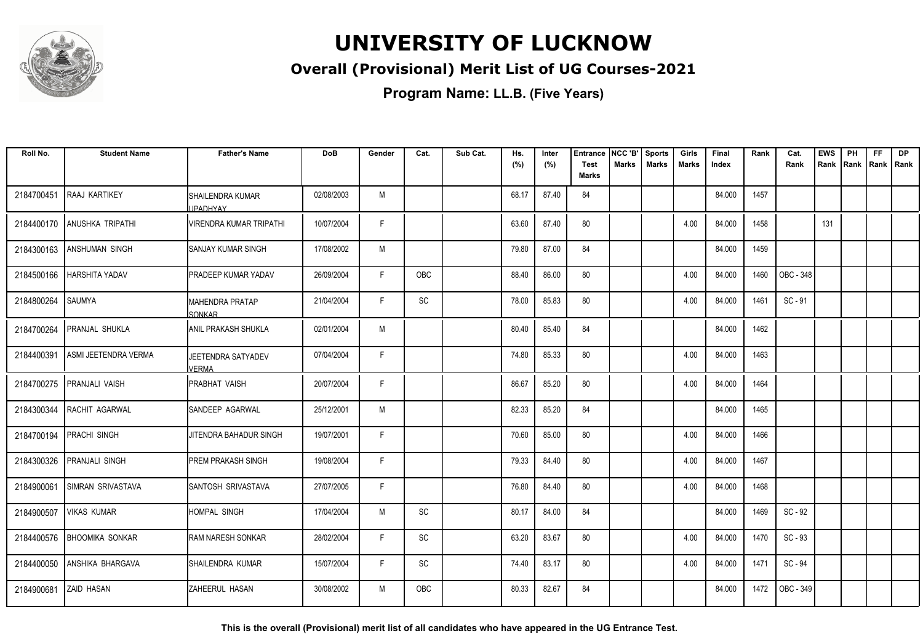

#### **Overall (Provisional) Merit List of UG Courses-2021**

**Program Name: LL.B. (Five Years)**

| Roll No.   | <b>Student Name</b>         | <b>Father's Name</b>                         | <b>DoB</b> | Gender | Cat.                         | Sub Cat. | Hs.<br>(%) | Inter<br>(%) | <b>Entrance</b><br><b>Test</b> | NCC 'B'<br><b>Marks</b> | <b>Sports</b><br><b>Marks</b> | Girls<br><b>Marks</b> | Final<br>Index | Rank | Cat.<br>Rank | <b>EWS</b> | PH<br>Rank   Rank   Rank   Rank | <b>FF</b> | <b>DP</b> |
|------------|-----------------------------|----------------------------------------------|------------|--------|------------------------------|----------|------------|--------------|--------------------------------|-------------------------|-------------------------------|-----------------------|----------------|------|--------------|------------|---------------------------------|-----------|-----------|
|            |                             |                                              |            |        |                              |          |            |              | <b>Marks</b>                   |                         |                               |                       |                |      |              |            |                                 |           |           |
| 2184700451 | <b>RAAJ KARTIKEY</b>        | <b>I</b> SHAILENDRA KUMAR<br><b>JPADHYAY</b> | 02/08/2003 | M      |                              |          | 68.17      | 87.40        | 84                             |                         |                               |                       | 84.000         | 1457 |              |            |                                 |           |           |
|            | 2184400170 ANUSHKA TRIPATHI | VIRENDRA KUMAR TRIPATHI                      | 10/07/2004 | F      |                              |          | 63.60      | 87.40        | 80                             |                         |                               | 4.00                  | 84.000         | 1458 |              | 131        |                                 |           |           |
| 2184300163 | <b>ANSHUMAN SINGH</b>       | <b>SANJAY KUMAR SINGH</b>                    | 17/08/2002 | M      |                              |          | 79.80      | 87.00        | 84                             |                         |                               |                       | 84.000         | 1459 |              |            |                                 |           |           |
| 2184500166 | <b>HARSHITA YADAV</b>       | IPRADEEP KUMAR YADAV                         | 26/09/2004 | F.     | OBC                          |          | 88.40      | 86.00        | 80                             |                         |                               | 4.00                  | 84.000         | 1460 | OBC - 348    |            |                                 |           |           |
| 2184800264 | <b>SAUMYA</b>               | <b>MAHENDRA PRATAP</b><br><b>SONKAR</b>      | 21/04/2004 | F      | SC                           |          | 78.00      | 85.83        | 80                             |                         |                               | 4.00                  | 84.000         | 1461 | $SC - 91$    |            |                                 |           |           |
| 2184700264 | <b>PRANJAL SHUKLA</b>       | <b>ANIL PRAKASH SHUKLA</b>                   | 02/01/2004 | M      |                              |          | 80.40      | 85.40        | 84                             |                         |                               |                       | 84.000         | 1462 |              |            |                                 |           |           |
| 2184400391 | ASMI JEETENDRA VERMA        | JEETENDRA SATYADEV<br>VFRMA                  | 07/04/2004 | F      |                              |          | 74.80      | 85.33        | 80                             |                         |                               | 4.00                  | 84.000         | 1463 |              |            |                                 |           |           |
| 2184700275 | <b>IPRANJALI VAISH</b>      | <b>I</b> PRABHAT VAISH                       | 20/07/2004 | F      |                              |          | 86.67      | 85.20        | 80                             |                         |                               | 4.00                  | 84.000         | 1464 |              |            |                                 |           |           |
| 2184300344 | RACHIT AGARWAL              | SANDEEP AGARWAL                              | 25/12/2001 | M      |                              |          | 82.33      | 85.20        | 84                             |                         |                               |                       | 84.000         | 1465 |              |            |                                 |           |           |
| 2184700194 | <b>PRACHI SINGH</b>         | JITENDRA BAHADUR SINGH                       | 19/07/2001 | F.     |                              |          | 70.60      | 85.00        | 80                             |                         |                               | 4.00                  | 84.000         | 1466 |              |            |                                 |           |           |
| 2184300326 | <b>PRANJALI SINGH</b>       | <b>PREM PRAKASH SINGH</b>                    | 19/08/2004 | F      |                              |          | 79.33      | 84.40        | 80                             |                         |                               | 4.00                  | 84.000         | 1467 |              |            |                                 |           |           |
| 2184900061 | SIMRAN SRIVASTAVA           | SANTOSH SRIVASTAVA                           | 27/07/2005 | F.     |                              |          | 76.80      | 84.40        | 80                             |                         |                               | 4.00                  | 84.000         | 1468 |              |            |                                 |           |           |
| 2184900507 | <b>VIKAS KUMAR</b>          | <b>HOMPAL SINGH</b>                          | 17/04/2004 | M      | <b>SC</b>                    |          | 80.17      | 84.00        | 84                             |                         |                               |                       | 84.000         | 1469 | SC - 92      |            |                                 |           |           |
| 2184400576 | <b>BHOOMIKA SONKAR</b>      | <b>RAM NARESH SONKAR</b>                     | 28/02/2004 | F      | $\operatorname{\textsf{SC}}$ |          | 63.20      | 83.67        | 80                             |                         |                               | 4.00                  | 84.000         | 1470 | $SC - 93$    |            |                                 |           |           |
| 2184400050 | <b>ANSHIKA BHARGAVA</b>     | SHAILENDRA KUMAR                             | 15/07/2004 | F      | SC                           |          | 74.40      | 83.17        | 80                             |                         |                               | 4.00                  | 84.000         | 1471 | SC - 94      |            |                                 |           |           |
| 2184900681 | <b>ZAID HASAN</b>           | ZAHEERUL HASAN                               | 30/08/2002 | M      | <b>OBC</b>                   |          | 80.33      | 82.67        | 84                             |                         |                               |                       | 84.000         | 1472 | OBC - 349    |            |                                 |           |           |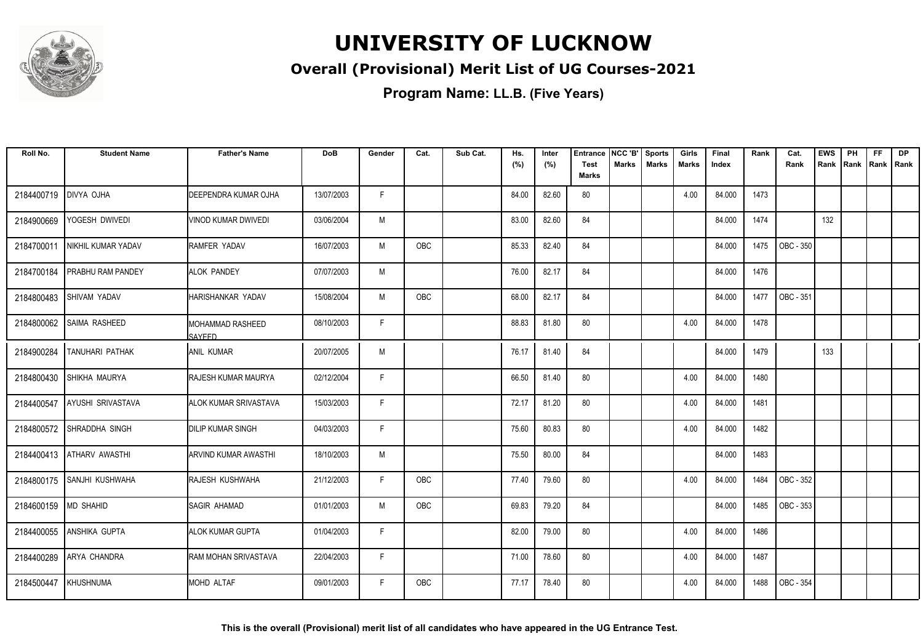

#### **Overall (Provisional) Merit List of UG Courses-2021**

| Roll No.             | <b>Student Name</b>      | <b>Father's Name</b>              | <b>DoB</b> | Gender | Cat.       | Sub Cat. | Hs.<br>(%) | Inter<br>(%) | <b>Entrance</b><br>Test | NCC 'B'<br>Marks | <b>Sports</b><br><b>Marks</b> | Girls<br>Marks | Final<br>Index | Rank | Cat.<br>Rank | <b>EWS</b><br>Rank | PH<br>Rank | FF<br>Rank | <b>DP</b><br>Rank |
|----------------------|--------------------------|-----------------------------------|------------|--------|------------|----------|------------|--------------|-------------------------|------------------|-------------------------------|----------------|----------------|------|--------------|--------------------|------------|------------|-------------------|
|                      |                          |                                   |            |        |            |          |            |              | <b>Marks</b>            |                  |                               |                |                |      |              |                    |            |            |                   |
| 2184400719           | <b>DIVYA OJHA</b>        | <b>DEEPENDRA KUMAR OJHA</b>       | 13/07/2003 | F.     |            |          | 84.00      | 82.60        | 80                      |                  |                               | 4.00           | 84.000         | 1473 |              |                    |            |            |                   |
| 2184900669           | YOGESH DWIVEDI           | VINOD KUMAR DWIVEDI               | 03/06/2004 | M      |            |          | 83.00      | 82.60        | 84                      |                  |                               |                | 84.000         | 1474 |              | 132                |            |            |                   |
| 2184700011           | NIKHIL KUMAR YADAV       | <b>RAMFER YADAV</b>               | 16/07/2003 | M      | <b>OBC</b> |          | 85.33      | 82.40        | 84                      |                  |                               |                | 84.000         | 1475 | OBC - 350    |                    |            |            |                   |
| 2184700184           | <b>PRABHU RAM PANDEY</b> | <b>ALOK PANDEY</b>                | 07/07/2003 | M      |            |          | 76.00      | 82.17        | 84                      |                  |                               |                | 84.000         | 1476 |              |                    |            |            |                   |
| 2184800483           | <b>SHIVAM YADAV</b>      | HARISHANKAR YADAV                 | 15/08/2004 | M      | OBC        |          | 68.00      | 82.17        | 84                      |                  |                               |                | 84.000         | 1477 | OBC - 351    |                    |            |            |                   |
| 2184800062           | <b>SAIMA RASHEED</b>     | MOHAMMAD RASHEED<br><b>SAYFED</b> | 08/10/2003 | F      |            |          | 88.83      | 81.80        | 80                      |                  |                               | 4.00           | 84.000         | 1478 |              |                    |            |            |                   |
| 2184900284           | <b>TANUHARI PATHAK</b>   | IANIL KUMAR                       | 20/07/2005 | M      |            |          | 76.17      | 81.40        | 84                      |                  |                               |                | 84.000         | 1479 |              | 133                |            |            |                   |
| 2184800430           | SHIKHA MAURYA            | <b>RAJESH KUMAR MAURYA</b>        | 02/12/2004 | F      |            |          | 66.50      | 81.40        | 80                      |                  |                               | 4.00           | 84.000         | 1480 |              |                    |            |            |                   |
| 2184400547           | AYUSHI SRIVASTAVA        | <b>JALOK KUMAR SRIVASTAVA</b>     | 15/03/2003 | F.     |            |          | 72.17      | 81.20        | 80                      |                  |                               | 4.00           | 84.000         | 1481 |              |                    |            |            |                   |
| 2184800572           | SHRADDHA SINGH           | <b>DILIP KUMAR SINGH</b>          | 04/03/2003 | F.     |            |          | 75.60      | 80.83        | 80                      |                  |                               | 4.00           | 84.000         | 1482 |              |                    |            |            |                   |
| 2184400413           | <b>ATHARV AWASTHI</b>    | IARVIND KUMAR AWASTHI             | 18/10/2003 | M      |            |          | 75.50      | 80.00        | 84                      |                  |                               |                | 84.000         | 1483 |              |                    |            |            |                   |
| 2184800175           | SANJHI KUSHWAHA          | RAJESH KUSHWAHA                   | 21/12/2003 | F      | OBC        |          | 77.40      | 79.60        | 80                      |                  |                               | 4.00           | 84.000         | 1484 | OBC - 352    |                    |            |            |                   |
| 2184600159 MD SHAHID |                          | SAGIR AHAMAD                      | 01/01/2003 | M      | OBC        |          | 69.83      | 79.20        | 84                      |                  |                               |                | 84.000         | 1485 | OBC - 353    |                    |            |            |                   |
| 2184400055           | <b>ANSHIKA GUPTA</b>     | <b>ALOK KUMAR GUPTA</b>           | 01/04/2003 | F      |            |          | 82.00      | 79.00        | 80                      |                  |                               | 4.00           | 84.000         | 1486 |              |                    |            |            |                   |
| 2184400289           | <b>ARYA CHANDRA</b>      | <b>RAM MOHAN SRIVASTAVA</b>       | 22/04/2003 | E      |            |          | 71.00      | 78.60        | 80                      |                  |                               | 4.00           | 84.000         | 1487 |              |                    |            |            |                   |
| 2184500447           | KHUSHNUMA                | <b>IMOHD ALTAF</b>                | 09/01/2003 | F      | <b>OBC</b> |          | 77.17      | 78.40        | 80                      |                  |                               | 4.00           | 84.000         | 1488 | OBC - 354    |                    |            |            |                   |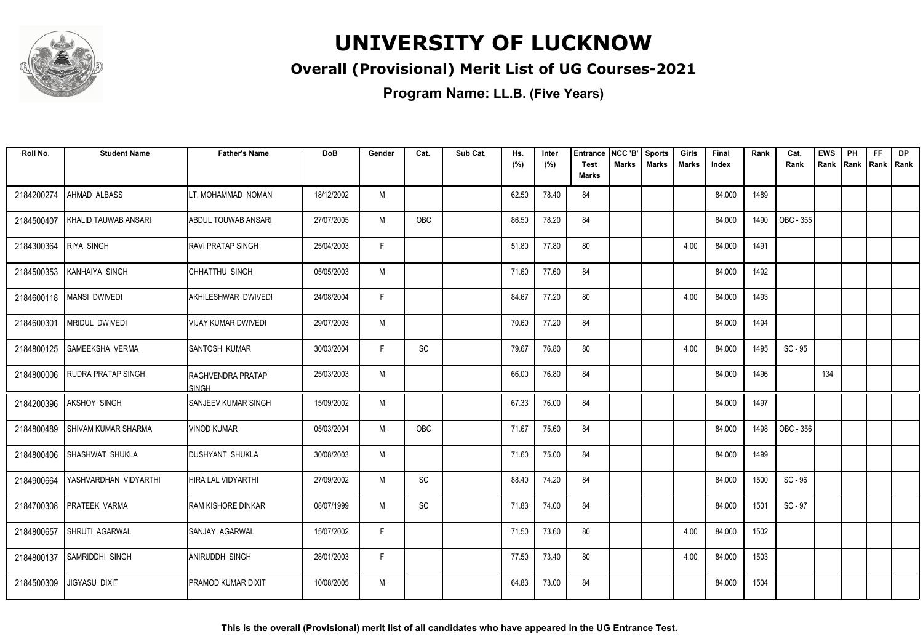

#### **Overall (Provisional) Merit List of UG Courses-2021**

| Roll No.   | <b>Student Name</b>        | <b>Father's Name</b>                     | DoB        | Gender | Cat.       | Sub Cat. | Hs.<br>(%) | Inter<br>(%) | <b>Entrance</b><br>Test | NCC 'B'<br><b>Marks</b> | <b>Sports</b><br><b>Marks</b> | Girls<br><b>Marks</b> | Final<br>Index | Rank | Cat.<br>Rank | <b>EWS</b><br>Rank | PH<br>Rank | FF<br>Rank   Rank | <b>DP</b> |
|------------|----------------------------|------------------------------------------|------------|--------|------------|----------|------------|--------------|-------------------------|-------------------------|-------------------------------|-----------------------|----------------|------|--------------|--------------------|------------|-------------------|-----------|
|            |                            |                                          |            |        |            |          |            |              | <b>Marks</b>            |                         |                               |                       |                |      |              |                    |            |                   |           |
| 2184200274 | AHMAD ALBASS               | LT. MOHAMMAD NOMAN                       | 18/12/2002 | M      |            |          | 62.50      | 78.40        | 84                      |                         |                               |                       | 84.000         | 1489 |              |                    |            |                   |           |
| 2184500407 | KHALID TAUWAB ANSARI       | IABDUL TOUWAB ANSARI                     | 27/07/2005 | M      | <b>OBC</b> |          | 86.50      | 78.20        | 84                      |                         |                               |                       | 84.000         | 1490 | OBC - 355    |                    |            |                   |           |
| 2184300364 | <b>RIYA SINGH</b>          | <b>IRAVI PRATAP SINGH</b>                | 25/04/2003 | F      |            |          | 51.80      | 77.80        | 80                      |                         |                               | 4.00                  | 84.000         | 1491 |              |                    |            |                   |           |
| 2184500353 | KANHAIYA SINGH             | CHHATTHU SINGH                           | 05/05/2003 | M      |            |          | 71.60      | 77.60        | 84                      |                         |                               |                       | 84.000         | 1492 |              |                    |            |                   |           |
| 2184600118 | <b>MANSI DWIVEDI</b>       | AKHILESHWAR DWIVEDI                      | 24/08/2004 | F.     |            |          | 84.67      | 77.20        | 80                      |                         |                               | 4.00                  | 84.000         | 1493 |              |                    |            |                   |           |
| 2184600301 | <b>MRIDUL DWIVEDI</b>      | IVIJAY KUMAR DWIVEDI                     | 29/07/2003 | M      |            |          | 70.60      | 77.20        | 84                      |                         |                               |                       | 84.000         | 1494 |              |                    |            |                   |           |
| 2184800125 | ISAMEEKSHA VERMA           | <b>ISANTOSH KUMAR</b>                    | 30/03/2004 | F      | <b>SC</b>  |          | 79.67      | 76.80        | 80                      |                         |                               | 4.00                  | 84.000         | 1495 | $SC - 95$    |                    |            |                   |           |
| 2184800006 | <b>RUDRA PRATAP SINGH</b>  | <b>RAGHVENDRA PRATAP</b><br><b>SINGH</b> | 25/03/2003 | M      |            |          | 66.00      | 76.80        | 84                      |                         |                               |                       | 84.000         | 1496 |              | 134                |            |                   |           |
| 2184200396 | <b>AKSHOY SINGH</b>        | ISANJEEV KUMAR SINGH                     | 15/09/2002 | M      |            |          | 67.33      | 76.00        | 84                      |                         |                               |                       | 84.000         | 1497 |              |                    |            |                   |           |
| 2184800489 | <b>SHIVAM KUMAR SHARMA</b> | VINOD KUMAR                              | 05/03/2004 | M      | OBC        |          | 71.67      | 75.60        | 84                      |                         |                               |                       | 84.000         | 1498 | OBC - 356    |                    |            |                   |           |
| 2184800406 | SHASHWAT SHUKLA            | <b>DUSHYANT SHUKLA</b>                   | 30/08/2003 | M      |            |          | 71.60      | 75.00        | 84                      |                         |                               |                       | 84.000         | 1499 |              |                    |            |                   |           |
| 2184900664 | YASHVARDHAN VIDYARTHI      | IHIRA LAL VIDYARTHI                      | 27/09/2002 | M      | SC         |          | 88.40      | 74.20        | 84                      |                         |                               |                       | 84.000         | 1500 | SC - 96      |                    |            |                   |           |
| 2184700308 | <b>PRATEEK VARMA</b>       | <b>RAM KISHORE DINKAR</b>                | 08/07/1999 | M      | <b>SC</b>  |          | 71.83      | 74.00        | 84                      |                         |                               |                       | 84.000         | 1501 | SC - 97      |                    |            |                   |           |
| 2184800657 | SHRUTI AGARWAL             | SANJAY AGARWAL                           | 15/07/2002 | E      |            |          | 71.50      | 73.60        | 80                      |                         |                               | 4.00                  | 84.000         | 1502 |              |                    |            |                   |           |
| 2184800137 | <b>SAMRIDDHI SINGH</b>     | <b>ANIRUDDH SINGH</b>                    | 28/01/2003 | E      |            |          | 77.50      | 73.40        | 80                      |                         |                               | 4.00                  | 84.000         | 1503 |              |                    |            |                   |           |
| 2184500309 | <b>JIGYASU DIXIT</b>       | IPRAMOD KUMAR DIXIT                      | 10/08/2005 | M      |            |          | 64.83      | 73.00        | 84                      |                         |                               |                       | 84.000         | 1504 |              |                    |            |                   |           |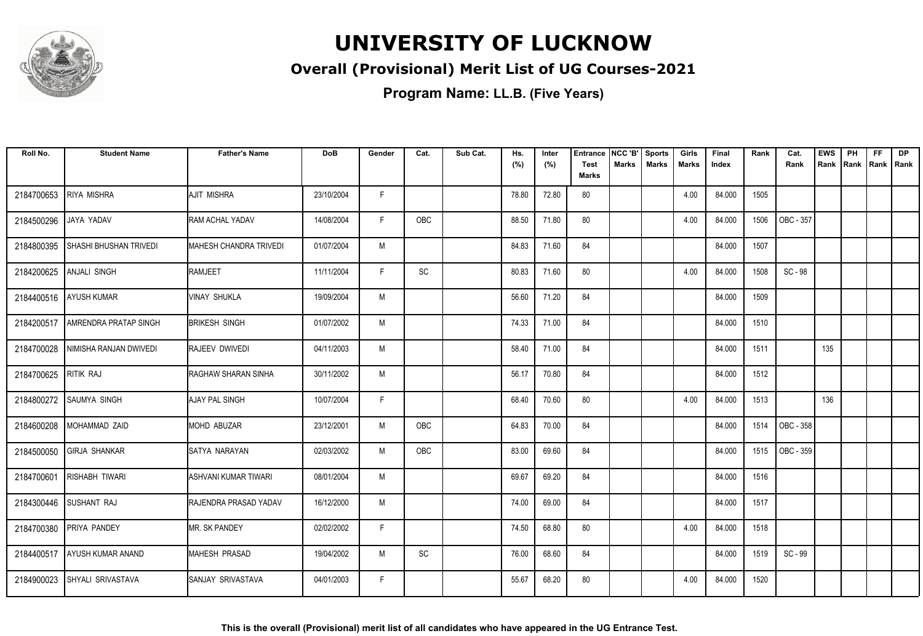

#### **Overall (Provisional) Merit List of UG Courses-2021**

| Roll No.   | <b>Student Name</b>           | <b>Father's Name</b>        | <b>DoB</b> | Gender | Cat.       | Sub Cat. | Hs.<br>(%) | Inter<br>(%) | <b>Entrance</b><br><b>Test</b> | NCC 'B'<br>Marks | Sports<br><b>Marks</b> | Girls<br>Marks | Final<br>Index | Rank | Cat.<br>Rank | <b>EWS</b><br>Rank | PH<br> Rank | <b>FF</b><br>Rank   Rank | <b>DP</b> |
|------------|-------------------------------|-----------------------------|------------|--------|------------|----------|------------|--------------|--------------------------------|------------------|------------------------|----------------|----------------|------|--------------|--------------------|-------------|--------------------------|-----------|
|            |                               |                             |            |        |            |          |            |              | <b>Marks</b>                   |                  |                        |                |                |      |              |                    |             |                          |           |
| 2184700653 | RIYA MISHRA                   | <b>AJIT MISHRA</b>          | 23/10/2004 | F.     |            |          | 78.80      | 72.80        | 80                             |                  |                        | 4.00           | 84.000         | 1505 |              |                    |             |                          |           |
| 2184500296 | JAYA YADAV                    | RAM ACHAL YADAV             | 14/08/2004 | F.     | <b>OBC</b> |          | 88.50      | 71.80        | 80                             |                  |                        | 4.00           | 84.000         | 1506 | OBC - 357    |                    |             |                          |           |
| 2184800395 | <b>SHASHI BHUSHAN TRIVEDI</b> | MAHESH CHANDRA TRIVEDI      | 01/07/2004 | M      |            |          | 84.83      | 71.60        | 84                             |                  |                        |                | 84.000         | 1507 |              |                    |             |                          |           |
| 2184200625 | <b>ANJALI SINGH</b>           | RAMJEET                     | 11/11/2004 | F      | SC         |          | 80.83      | 71.60        | 80                             |                  |                        | 4.00           | 84.000         | 1508 | SC - 98      |                    |             |                          |           |
| 2184400516 | <b>AYUSH KUMAR</b>            | <b>VINAY SHUKLA</b>         | 19/09/2004 | M      |            |          | 56.60      | 71.20        | 84                             |                  |                        |                | 84.000         | 1509 |              |                    |             |                          |           |
| 2184200517 | <b>AMRENDRA PRATAP SINGH</b>  | <b>BRIKESH SINGH</b>        | 01/07/2002 | M      |            |          | 74.33      | 71.00        | 84                             |                  |                        |                | 84.000         | 1510 |              |                    |             |                          |           |
| 2184700028 | NIMISHA RANJAN DWIVEDI        | <b>RAJEEV DWIVEDI</b>       | 04/11/2003 | M      |            |          | 58.40      | 71.00        | 84                             |                  |                        |                | 84.000         | 1511 |              | 135                |             |                          |           |
| 2184700625 | RITIK RAJ                     | RAGHAW SHARAN SINHA         | 30/11/2002 | M      |            |          | 56.17      | 70.80        | 84                             |                  |                        |                | 84.000         | 1512 |              |                    |             |                          |           |
| 2184800272 | <b>SAUMYA SINGH</b>           | <b>AJAY PAL SINGH</b>       | 10/07/2004 | F.     |            |          | 68.40      | 70.60        | 80                             |                  |                        | 4.00           | 84.000         | 1513 |              | 136                |             |                          |           |
| 2184600208 | MOHAMMAD ZAID                 | <b>MOHD ABUZAR</b>          | 23/12/2001 | M      | OBC        |          | 64.83      | 70.00        | 84                             |                  |                        |                | 84.000         | 1514 | OBC - 358    |                    |             |                          |           |
| 2184500050 | <b>GIRJA SHANKAR</b>          | SATYA NARAYAN               | 02/03/2002 | M      | OBC        |          | 83.00      | 69.60        | 84                             |                  |                        |                | 84.000         | 1515 | OBC - 359    |                    |             |                          |           |
| 2184700601 | <b>RISHABH TIWARI</b>         | <b>ASHVANI KUMAR TIWARI</b> | 08/01/2004 | M      |            |          | 69.67      | 69.20        | 84                             |                  |                        |                | 84.000         | 1516 |              |                    |             |                          |           |
| 2184300446 | SUSHANT RAJ                   | RAJENDRA PRASAD YADAV       | 16/12/2000 | M      |            |          | 74.00      | 69.00        | 84                             |                  |                        |                | 84.000         | 1517 |              |                    |             |                          |           |
|            | 2184700380 PRIYA PANDEY       | <b>MR. SK PANDEY</b>        | 02/02/2002 | F      |            |          | 74.50      | 68.80        | 80                             |                  |                        | 4.00           | 84.000         | 1518 |              |                    |             |                          |           |
| 2184400517 | AYUSH KUMAR ANAND             | <b>MAHESH PRASAD</b>        | 19/04/2002 | M      | SC         |          | 76.00      | 68.60        | 84                             |                  |                        |                | 84.000         | 1519 | SC - 99      |                    |             |                          |           |
| 2184900023 | <b>SHYALI SRIVASTAVA</b>      | <b>ISANJAY SRIVASTAVA</b>   | 04/01/2003 | F.     |            |          | 55.67      | 68.20        | 80                             |                  |                        | 4.00           | 84.000         | 1520 |              |                    |             |                          |           |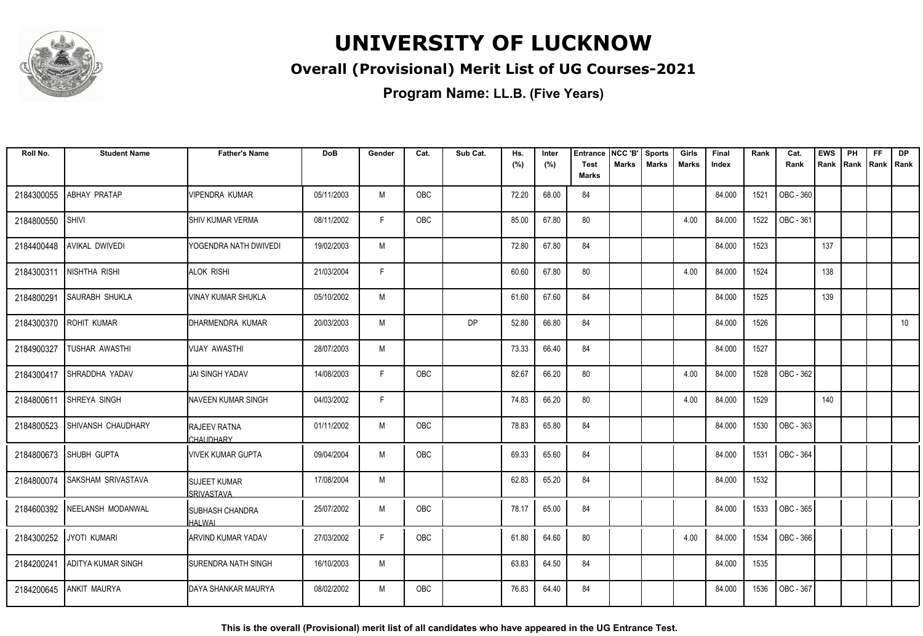

#### **Overall (Provisional) Merit List of UG Courses-2021**

**Program Name: LL.B. (Five Years)**

| Roll No.   | <b>Student Name</b>       | <b>Father's Name</b>                     | <b>DoB</b> | Gender | Cat.       | Sub Cat. | Hs.   | Inter | <b>Entrance</b>             | NCC 'B'      | <b>Sports</b> | Girls        | Final  | Rank | Cat.      | <b>EWS</b> | PH   | <b>FF</b>   | <b>DP</b> |
|------------|---------------------------|------------------------------------------|------------|--------|------------|----------|-------|-------|-----------------------------|--------------|---------------|--------------|--------|------|-----------|------------|------|-------------|-----------|
|            |                           |                                          |            |        |            |          | (%)   | (%)   | <b>Test</b><br><b>Marks</b> | <b>Marks</b> | <b>Marks</b>  | <b>Marks</b> | Index  |      | Rank      | Rank       | Rank | Rank   Rank |           |
| 2184300055 | ABHAY PRATAP              | VIPENDRA KUMAR                           | 05/11/2003 | M      | OBC        |          | 72.20 | 68.00 | 84                          |              |               |              | 84.000 | 1521 | OBC - 360 |            |      |             |           |
| 2184800550 | <b>SHIVI</b>              | ISHIV KUMAR VERMA                        | 08/11/2002 | F.     | OBC        |          | 85.00 | 67.80 | 80                          |              |               | 4.00         | 84.000 | 1522 | OBC - 361 |            |      |             |           |
| 2184400448 | AVIKAL DWIVEDI            | YOGENDRA NATH DWIVEDI                    | 19/02/2003 | M      |            |          | 72.80 | 67.80 | 84                          |              |               |              | 84.000 | 1523 |           | 137        |      |             |           |
| 2184300311 | NISHTHA RISHI             | <b>ALOK RISHI</b>                        | 21/03/2004 | F.     |            |          | 60.60 | 67.80 | 80                          |              |               | 4.00         | 84.000 | 1524 |           | 138        |      |             |           |
| 2184800291 | SAURABH SHUKLA            | <b>VINAY KUMAR SHUKLA</b>                | 05/10/2002 | M      |            |          | 61.60 | 67.60 | 84                          |              |               |              | 84.000 | 1525 |           | 139        |      |             |           |
| 2184300370 | ROHIT KUMAR               | DHARMENDRA KUMAR                         | 20/03/2003 | M      |            | DP       | 52.80 | 66.80 | 84                          |              |               |              | 84.000 | 1526 |           |            |      |             | 10        |
| 2184900327 | TUSHAR AWASTHI            | VIJAY AWASTHI                            | 28/07/2003 | M      |            |          | 73.33 | 66.40 | 84                          |              |               |              | 84.000 | 1527 |           |            |      |             |           |
| 2184300417 | SHRADDHA YADAV            | JAI SINGH YADAV                          | 14/08/2003 | F      | OBC        |          | 82.67 | 66.20 | 80                          |              |               | 4.00         | 84.000 | 1528 | OBC - 362 |            |      |             |           |
| 2184800611 | <b>SHREYA SINGH</b>       | <b>I</b> NAVEEN KUMAR SINGH              | 04/03/2002 | F      |            |          | 74.83 | 66.20 | 80                          |              |               | 4.00         | 84.000 | 1529 |           | 140        |      |             |           |
| 2184800523 | SHIVANSH CHAUDHARY        | RAJEEV RATNA<br>CHAUDHARY                | 01/11/2002 | M      | OBC        |          | 78.83 | 65.80 | 84                          |              |               |              | 84.000 | 1530 | OBC - 363 |            |      |             |           |
| 2184800673 | SHUBH GUPTA               | <b>VIVEK KUMAR GUPTA</b>                 | 09/04/2004 | M      | <b>OBC</b> |          | 69.33 | 65.60 | 84                          |              |               |              | 84.000 | 1531 | OBC - 364 |            |      |             |           |
| 2184800074 | <b>SAKSHAM SRIVASTAVA</b> | <b>SUJEET KUMAR</b><br>SRIVASTAVA        | 17/08/2004 | M      |            |          | 62.83 | 65.20 | 84                          |              |               |              | 84.000 | 1532 |           |            |      |             |           |
| 2184600392 | NEELANSH MODANWAL         | <b>ISUBHASH CHANDRA</b><br><b>HALWAL</b> | 25/07/2002 | M      | OBC        |          | 78.17 | 65.00 | 84                          |              |               |              | 84.000 | 1533 | OBC - 365 |            |      |             |           |
| 2184300252 | <b>JYOTI KUMARI</b>       | IARVIND KUMAR YADAV                      | 27/03/2002 | F.     | OBC        |          | 61.80 | 64.60 | 80                          |              |               | 4.00         | 84.000 | 1534 | OBC - 366 |            |      |             |           |
| 2184200241 | ADITYA KUMAR SINGH        | ISURENDRA NATH SINGH                     | 16/10/2003 | M      |            |          | 63.83 | 64.50 | 84                          |              |               |              | 84.000 | 1535 |           |            |      |             |           |
| 2184200645 | <b>ANKIT MAURYA</b>       | IDAYA SHANKAR MAURYA                     | 08/02/2002 | M      | <b>OBC</b> |          | 76.83 | 64.40 | 84                          |              |               |              | 84.000 | 1536 | OBC - 367 |            |      |             |           |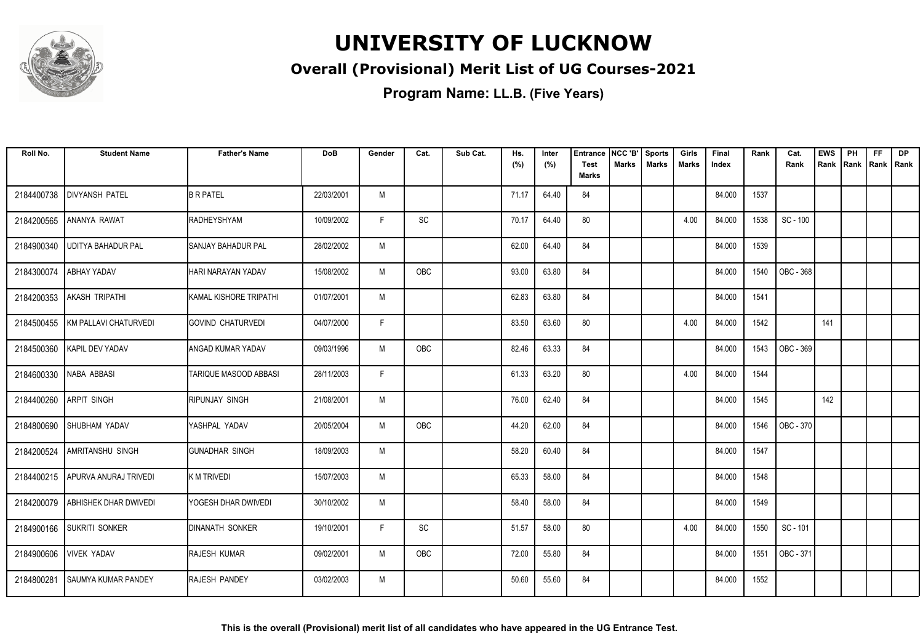

#### **Overall (Provisional) Merit List of UG Courses-2021**

| Roll No.   | <b>Student Name</b>           | <b>Father's Name</b>      | <b>DoB</b> | Gender | Cat.       | Sub Cat. | Hs.<br>(%) | Inter<br>(%) | <b>Entrance</b><br><b>Test</b> | NCC 'B'<br><b>Marks</b> | <b>Sports</b><br><b>Marks</b> | Girls<br>Marks | Final<br>Index | Rank | Cat.<br>Rank | <b>EWS</b><br>Rank | PH<br>Rank | <b>FF</b><br>Rank   Rank | <b>DP</b> |
|------------|-------------------------------|---------------------------|------------|--------|------------|----------|------------|--------------|--------------------------------|-------------------------|-------------------------------|----------------|----------------|------|--------------|--------------------|------------|--------------------------|-----------|
|            |                               |                           |            |        |            |          |            |              | <b>Marks</b>                   |                         |                               |                |                |      |              |                    |            |                          |           |
| 2184400738 | <b>DIVYANSH PATEL</b>         | <b>B R PATEL</b>          | 22/03/2001 | M      |            |          | 71.17      | 64.40        | 84                             |                         |                               |                | 84.000         | 1537 |              |                    |            |                          |           |
| 2184200565 | ANANYA RAWAT                  | RADHEYSHYAM               | 10/09/2002 | F      | SC         |          | 70.17      | 64.40        | 80                             |                         |                               | 4.00           | 84.000         | 1538 | SC - 100     |                    |            |                          |           |
| 2184900340 | <b>UDITYA BAHADUR PAL</b>     | <b>SANJAY BAHADUR PAL</b> | 28/02/2002 | M      |            |          | 62.00      | 64.40        | 84                             |                         |                               |                | 84.000         | 1539 |              |                    |            |                          |           |
| 2184300074 | <b>ABHAY YADAV</b>            | HARI NARAYAN YADAV        | 15/08/2002 | M      | OBC        |          | 93.00      | 63.80        | 84                             |                         |                               |                | 84.000         | 1540 | OBC - 368    |                    |            |                          |           |
| 2184200353 | AKASH TRIPATHI                | KAMAL KISHORE TRIPATHI    | 01/07/2001 | M      |            |          | 62.83      | 63.80        | 84                             |                         |                               |                | 84.000         | 1541 |              |                    |            |                          |           |
| 2184500455 | <b>IKM PALLAVI CHATURVEDI</b> | IGOVIND CHATURVEDI        | 04/07/2000 | F      |            |          | 83.50      | 63.60        | 80                             |                         |                               | 4.00           | 84.000         | 1542 |              | 141                |            |                          |           |
|            | 2184500360   KAPIL DEV YADAV  | ANGAD KUMAR YADAV         | 09/03/1996 | M      | OBC        |          | 82.46      | 63.33        | 84                             |                         |                               |                | 84.000         | 1543 | OBC - 369    |                    |            |                          |           |
| 2184600330 | NABA ABBASI                   | TARIQUE MASOOD ABBASI     | 28/11/2003 | F      |            |          | 61.33      | 63.20        | 80                             |                         |                               | 4.00           | 84.000         | 1544 |              |                    |            |                          |           |
| 2184400260 | <b>ARPIT SINGH</b>            | RIPUNJAY SINGH            | 21/08/2001 | M      |            |          | 76.00      | 62.40        | 84                             |                         |                               |                | 84.000         | 1545 |              | 142                |            |                          |           |
| 2184800690 | <b>SHUBHAM YADAV</b>          | YASHPAL YADAV             | 20/05/2004 | M      | <b>OBC</b> |          | 44.20      | 62.00        | 84                             |                         |                               |                | 84.000         | 1546 | OBC - 370    |                    |            |                          |           |
| 2184200524 | AMRITANSHU SINGH              | <b>GUNADHAR SINGH</b>     | 18/09/2003 | M      |            |          | 58.20      | 60.40        | 84                             |                         |                               |                | 84.000         | 1547 |              |                    |            |                          |           |
| 2184400215 | APURVA ANURAJ TRIVEDI         | K M TRIVEDI               | 15/07/2003 | M      |            |          | 65.33      | 58.00        | 84                             |                         |                               |                | 84.000         | 1548 |              |                    |            |                          |           |
| 2184200079 | <b>ABHISHEK DHAR DWIVEDI</b>  | YOGESH DHAR DWIVEDI       | 30/10/2002 | M      |            |          | 58.40      | 58.00        | 84                             |                         |                               |                | 84.000         | 1549 |              |                    |            |                          |           |
| 2184900166 | <b>SUKRITI SONKER</b>         | <b>DINANATH SONKER</b>    | 19/10/2001 | F      | SC         |          | 51.57      | 58.00        | 80                             |                         |                               | 4.00           | 84.000         | 1550 | SC - 101     |                    |            |                          |           |
| 2184900606 | <b>VIVEK YADAV</b>            | RAJESH KUMAR              | 09/02/2001 | M      | OBC        |          | 72.00      | 55.80        | 84                             |                         |                               |                | 84.000         | 1551 | OBC - 371    |                    |            |                          |           |
| 2184800281 | <b>SAUMYA KUMAR PANDEY</b>    | <b>RAJESH PANDEY</b>      | 03/02/2003 | M      |            |          | 50.60      | 55.60        | 84                             |                         |                               |                | 84.000         | 1552 |              |                    |            |                          |           |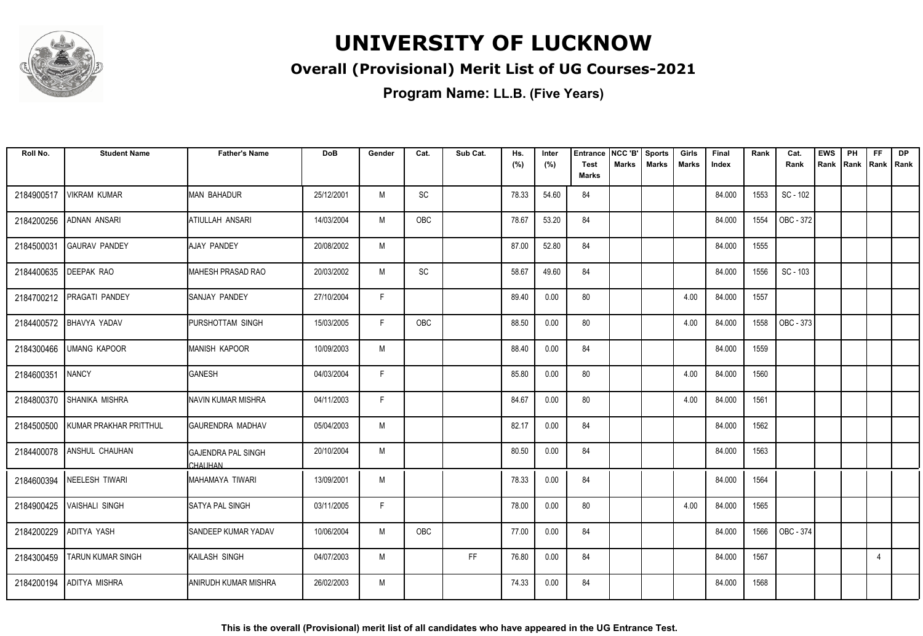

#### **Overall (Provisional) Merit List of UG Courses-2021**

| Roll No.   | <b>Student Name</b>             | <b>Father's Name</b>                 | <b>DoB</b> | Gender | Cat. | Sub Cat.  | Hs.   | Inter | <b>Entrance</b>             | NCC 'B'      | <b>Sports</b> | Girls | Final  | Rank | Cat.      | <b>EWS</b> | PH   | <b>FF</b>      | DP |
|------------|---------------------------------|--------------------------------------|------------|--------|------|-----------|-------|-------|-----------------------------|--------------|---------------|-------|--------|------|-----------|------------|------|----------------|----|
|            |                                 |                                      |            |        |      |           | (%)   | (%)   | <b>Test</b><br><b>Marks</b> | <b>Marks</b> | <b>Marks</b>  | Marks | Index  |      | Rank      | Rank       | Rank | Rank   Rank    |    |
| 2184900517 | VIKRAM KUMAR                    | <b>MAN BAHADUR</b>                   | 25/12/2001 | M      | SC   |           | 78.33 | 54.60 | 84                          |              |               |       | 84.000 | 1553 | SC - 102  |            |      |                |    |
| 2184200256 | ADNAN ANSARI                    | <b>ATIULLAH ANSARI</b>               | 14/03/2004 | M      | OBC  |           | 78.67 | 53.20 | 84                          |              |               |       | 84.000 | 1554 | OBC - 372 |            |      |                |    |
| 2184500031 | <b>GAURAV PANDEY</b>            | <b>AJAY PANDEY</b>                   | 20/08/2002 | M      |      |           | 87.00 | 52.80 | 84                          |              |               |       | 84.000 | 1555 |           |            |      |                |    |
| 2184400635 | <b>DEEPAK RAO</b>               | MAHESH PRASAD RAO                    | 20/03/2002 | M      | SC   |           | 58.67 | 49.60 | 84                          |              |               |       | 84.000 | 1556 | SC - 103  |            |      |                |    |
| 2184700212 | PRAGATI PANDEY                  | <b>SANJAY PANDEY</b>                 | 27/10/2004 | F      |      |           | 89.40 | 0.00  | 80                          |              |               | 4.00  | 84.000 | 1557 |           |            |      |                |    |
| 2184400572 | <b>BHAVYA YADAV</b>             | <b>IPURSHOTTAM SINGH</b>             | 15/03/2005 | F      | OBC  |           | 88.50 | 0.00  | 80                          |              |               | 4.00  | 84.000 | 1558 | OBC - 373 |            |      |                |    |
|            | 2184300466 UMANG KAPOOR         | <b>MANISH KAPOOR</b>                 | 10/09/2003 | M      |      |           | 88.40 | 0.00  | 84                          |              |               |       | 84.000 | 1559 |           |            |      |                |    |
| 2184600351 | <b>NANCY</b>                    | <b>GANESH</b>                        | 04/03/2004 | F      |      |           | 85.80 | 0.00  | 80                          |              |               | 4.00  | 84.000 | 1560 |           |            |      |                |    |
| 2184800370 | <b>SHANIKA MISHRA</b>           | INAVIN KUMAR MISHRA                  | 04/11/2003 | F      |      |           | 84.67 | 0.00  | 80                          |              |               | 4.00  | 84.000 | 1561 |           |            |      |                |    |
| 2184500500 | <b>I KUMAR PRAKHAR PRITTHUL</b> | <b>GAURENDRA MADHAV</b>              | 05/04/2003 | M      |      |           | 82.17 | 0.00  | 84                          |              |               |       | 84.000 | 1562 |           |            |      |                |    |
| 2184400078 | <b>ANSHUL CHAUHAN</b>           | <b>GAJENDRA PAL SINGH</b><br>CHAUHAN | 20/10/2004 | M      |      |           | 80.50 | 0.00  | 84                          |              |               |       | 84.000 | 1563 |           |            |      |                |    |
|            | 2184600394 NEELESH TIWARI       | MAHAMAYA TIWARI                      | 13/09/2001 | M      |      |           | 78.33 | 0.00  | 84                          |              |               |       | 84.000 | 1564 |           |            |      |                |    |
| 2184900425 | <b>VAISHALI SINGH</b>           | <b>SATYA PAL SINGH</b>               | 03/11/2005 | F      |      |           | 78.00 | 0.00  | 80                          |              |               | 4.00  | 84.000 | 1565 |           |            |      |                |    |
| 2184200229 | <b>ADITYA YASH</b>              | SANDEEP KUMAR YADAV                  | 10/06/2004 | M      | OBC  |           | 77.00 | 0.00  | 84                          |              |               |       | 84.000 | 1566 | OBC - 374 |            |      |                |    |
| 2184300459 | <b>TARUN KUMAR SINGH</b>        | KAILASH SINGH                        | 04/07/2003 | M      |      | <b>FF</b> | 76.80 | 0.00  | 84                          |              |               |       | 84.000 | 1567 |           |            |      | $\overline{4}$ |    |
| 2184200194 | ADITYA MISHRA                   | <b>JANIRUDH KUMAR MISHRA</b>         | 26/02/2003 | M      |      |           | 74.33 | 0.00  | 84                          |              |               |       | 84.000 | 1568 |           |            |      |                |    |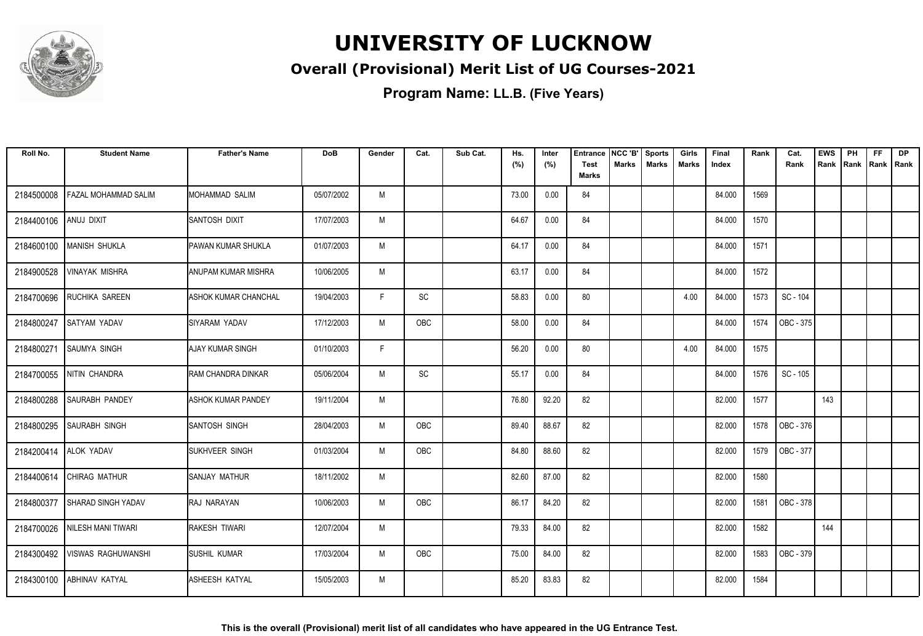

#### **Overall (Provisional) Merit List of UG Courses-2021**

| Roll No.   | <b>Student Name</b>         | <b>Father's Name</b>        | <b>DoB</b> | Gender | Cat.       | Sub Cat. | Hs.<br>(%) | Inter<br>(%) | Entrance<br><b>Test</b><br><b>Marks</b> | NCC 'B'<br><b>Marks</b> | <b>Sports</b><br><b>Marks</b> | Girls<br><b>Marks</b> | Final<br>Index | Rank | Cat.<br>Rank | <b>EWS</b><br>Rank | PH<br>Rank | FF<br>Rank   Rank | <b>DP</b> |
|------------|-----------------------------|-----------------------------|------------|--------|------------|----------|------------|--------------|-----------------------------------------|-------------------------|-------------------------------|-----------------------|----------------|------|--------------|--------------------|------------|-------------------|-----------|
|            |                             |                             |            |        |            |          |            |              |                                         |                         |                               |                       |                |      |              |                    |            |                   |           |
| 2184500008 | <b>FAZAL MOHAMMAD SALIM</b> | IMOHAMMAD SALIM             | 05/07/2002 | M      |            |          | 73.00      | 0.00         | 84                                      |                         |                               |                       | 84.000         | 1569 |              |                    |            |                   |           |
| 2184400106 | ANUJ DIXIT                  | <b>ISANTOSH DIXIT</b>       | 17/07/2003 | M      |            |          | 64.67      | 0.00         | 84                                      |                         |                               |                       | 84.000         | 1570 |              |                    |            |                   |           |
| 2184600100 | MANISH SHUKLA               | <b>IPAWAN KUMAR SHUKLA</b>  | 01/07/2003 | M      |            |          | 64.17      | 0.00         | 84                                      |                         |                               |                       | 84.000         | 1571 |              |                    |            |                   |           |
| 2184900528 | <b>VINAYAK MISHRA</b>       | ANUPAM KUMAR MISHRA         | 10/06/2005 | M      |            |          | 63.17      | 0.00         | 84                                      |                         |                               |                       | 84.000         | 1572 |              |                    |            |                   |           |
| 2184700696 | <b>RUCHIKA SAREEN</b>       | <b>ASHOK KUMAR CHANCHAL</b> | 19/04/2003 | F.     | SC         |          | 58.83      | 0.00         | 80                                      |                         |                               | 4.00                  | 84.000         | 1573 | SC - 104     |                    |            |                   |           |
| 2184800247 | <b>SATYAM YADAV</b>         | <b>ISIYARAM YADAV</b>       | 17/12/2003 | M      | <b>OBC</b> |          | 58.00      | 0.00         | 84                                      |                         |                               |                       | 84.000         | 1574 | OBC - 375    |                    |            |                   |           |
| 2184800271 | <b>SAUMYA SINGH</b>         | <b>AJAY KUMAR SINGH</b>     | 01/10/2003 | E      |            |          | 56.20      | 0.00         | 80                                      |                         |                               | 4.00                  | 84.000         | 1575 |              |                    |            |                   |           |
| 2184700055 | <b>NITIN CHANDRA</b>        | IRAM CHANDRA DINKAR         | 05/06/2004 | M      | <b>SC</b>  |          | 55.17      | 0.00         | 84                                      |                         |                               |                       | 84.000         | 1576 | SC - 105     |                    |            |                   |           |
| 2184800288 | <b>SAURABH PANDEY</b>       | <b>ASHOK KUMAR PANDEY</b>   | 19/11/2004 | M      |            |          | 76.80      | 92.20        | 82                                      |                         |                               |                       | 82.000         | 1577 |              | 143                |            |                   |           |
| 2184800295 | <b>SAURABH SINGH</b>        | SANTOSH SINGH               | 28/04/2003 | M      | OBC        |          | 89.40      | 88.67        | 82                                      |                         |                               |                       | 82.000         | 1578 | OBC - 376    |                    |            |                   |           |
| 2184200414 | <b>ALOK YADAV</b>           | SUKHVEER SINGH              | 01/03/2004 | M      | OBC        |          | 84.80      | 88.60        | 82                                      |                         |                               |                       | 82.000         | 1579 | OBC - 377    |                    |            |                   |           |
| 2184400614 | <b>CHIRAG MATHUR</b>        | ISANJAY MATHUR              | 18/11/2002 | M      |            |          | 82.60      | 87.00        | 82                                      |                         |                               |                       | 82.000         | 1580 |              |                    |            |                   |           |
| 2184800377 | <b>SHARAD SINGH YADAV</b>   | RAJ NARAYAN                 | 10/06/2003 | M      | OBC        |          | 86.17      | 84.20        | 82                                      |                         |                               |                       | 82.000         | 1581 | OBC - 378    |                    |            |                   |           |
| 2184700026 | NILESH MANI TIWARI          | <b>RAKESH TIWARI</b>        | 12/07/2004 | M      |            |          | 79.33      | 84.00        | 82                                      |                         |                               |                       | 82.000         | 1582 |              | 144                |            |                   |           |
| 2184300492 | VISWAS RAGHUWANSHI          | <b>SUSHIL KUMAR</b>         | 17/03/2004 | M      | OBC        |          | 75.00      | 84.00        | 82                                      |                         |                               |                       | 82.000         | 1583 | OBC - 379    |                    |            |                   |           |
| 2184300100 | <b>ABHINAV KATYAL</b>       | <b>I</b> ASHEESH KATYAL     | 15/05/2003 | M      |            |          | 85.20      | 83.83        | 82                                      |                         |                               |                       | 82.000         | 1584 |              |                    |            |                   |           |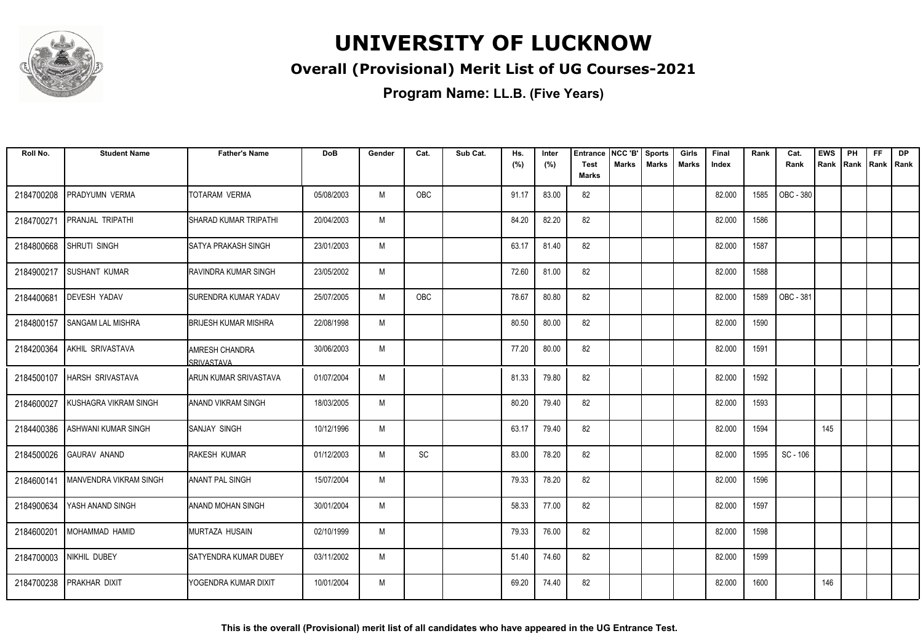

#### **Overall (Provisional) Merit List of UG Courses-2021**

| Roll No.   | <b>Student Name</b>           | <b>Father's Name</b>           | <b>DoB</b> | Gender | Cat.       | Sub Cat. | Hs.<br>(%) | Inter<br>(%) | Entrance<br><b>Test</b> | NCC 'B'<br>Marks | <b>Sports</b><br><b>Marks</b> | Girls<br><b>Marks</b> | Final<br>Index | Rank | Cat.<br>Rank | <b>EWS</b><br>Rank | PH<br>Rank | FF<br>Rank   Rank | DP |
|------------|-------------------------------|--------------------------------|------------|--------|------------|----------|------------|--------------|-------------------------|------------------|-------------------------------|-----------------------|----------------|------|--------------|--------------------|------------|-------------------|----|
|            |                               |                                |            |        |            |          |            |              | <b>Marks</b>            |                  |                               |                       |                |      |              |                    |            |                   |    |
| 2184700208 | PRADYUMN VERMA                | <b>TOTARAM VERMA</b>           | 05/08/2003 | M      | OBC        |          | 91.17      | 83.00        | 82                      |                  |                               |                       | 82.000         | 1585 | OBC - 380    |                    |            |                   |    |
| 2184700271 | <b>PRANJAL TRIPATHI</b>       | ISHARAD KUMAR TRIPATHI         | 20/04/2003 | M      |            |          | 84.20      | 82.20        | 82                      |                  |                               |                       | 82.000         | 1586 |              |                    |            |                   |    |
| 2184800668 | <b>SHRUTI SINGH</b>           | <b>SATYA PRAKASH SINGH</b>     | 23/01/2003 | M      |            |          | 63.17      | 81.40        | 82                      |                  |                               |                       | 82.000         | 1587 |              |                    |            |                   |    |
| 2184900217 | <b>SUSHANT KUMAR</b>          | IRAVINDRA KUMAR SINGH          | 23/05/2002 | M      |            |          | 72.60      | 81.00        | 82                      |                  |                               |                       | 82.000         | 1588 |              |                    |            |                   |    |
| 2184400681 | <b>DEVESH YADAV</b>           | ISURENDRA KUMAR YADAV          | 25/07/2005 | M      | <b>OBC</b> |          | 78.67      | 80.80        | 82                      |                  |                               |                       | 82.000         | 1589 | OBC - 381    |                    |            |                   |    |
| 2184800157 | <b>SANGAM LAL MISHRA</b>      | <b>BRIJESH KUMAR MISHRA</b>    | 22/08/1998 | M      |            |          | 80.50      | 80.00        | 82                      |                  |                               |                       | 82.000         | 1590 |              |                    |            |                   |    |
| 2184200364 | AKHIL SRIVASTAVA              | IAMRESH CHANDRA<br>SRIVASTAVA  | 30/06/2003 | M      |            |          | 77.20      | 80.00        | 82                      |                  |                               |                       | 82.000         | 1591 |              |                    |            |                   |    |
| 2184500107 | <b>HARSH SRIVASTAVA</b>       | <b>ARUN KUMAR SRIVASTAVA</b>   | 01/07/2004 | M      |            |          | 81.33      | 79.80        | 82                      |                  |                               |                       | 82.000         | 1592 |              |                    |            |                   |    |
| 2184600027 | KUSHAGRA VIKRAM SINGH         | IANAND VIKRAM SINGH            | 18/03/2005 | M      |            |          | 80.20      | 79.40        | 82                      |                  |                               |                       | 82.000         | 1593 |              |                    |            |                   |    |
| 2184400386 | ASHWANI KUMAR SINGH           | ISANJAY SINGH                  | 10/12/1996 | M      |            |          | 63.17      | 79.40        | 82                      |                  |                               |                       | 82.000         | 1594 |              | 145                |            |                   |    |
| 2184500026 | <b>GAURAV ANAND</b>           | <b>RAKESH KUMAR</b>            | 01/12/2003 | M      | SC         |          | 83.00      | 78.20        | 82                      |                  |                               |                       | 82.000         | 1595 | SC - 106     |                    |            |                   |    |
| 2184600141 | <b>MANVENDRA VIKRAM SINGH</b> | IANANT PAL SINGH               | 15/07/2004 | M      |            |          | 79.33      | 78.20        | 82                      |                  |                               |                       | 82.000         | 1596 |              |                    |            |                   |    |
| 2184900634 | YASH ANAND SINGH              | <b>ANAND MOHAN SINGH</b>       | 30/01/2004 | M      |            |          | 58.33      | 77.00        | 82                      |                  |                               |                       | 82.000         | 1597 |              |                    |            |                   |    |
| 2184600201 | IMOHAMMAD HAMID               | MURTAZA HUSAIN                 | 02/10/1999 | M      |            |          | 79.33      | 76.00        | 82                      |                  |                               |                       | 82.000         | 1598 |              |                    |            |                   |    |
| 2184700003 | NIKHIL DUBEY                  | <b>I</b> SATYENDRA KUMAR DUBEY | 03/11/2002 | M      |            |          | 51.40      | 74.60        | 82                      |                  |                               |                       | 82.000         | 1599 |              |                    |            |                   |    |
| 2184700238 | <b>PRAKHAR DIXIT</b>          | YOGENDRA KUMAR DIXIT           | 10/01/2004 | M      |            |          | 69.20      | 74.40        | 82                      |                  |                               |                       | 82.000         | 1600 |              | 146                |            |                   |    |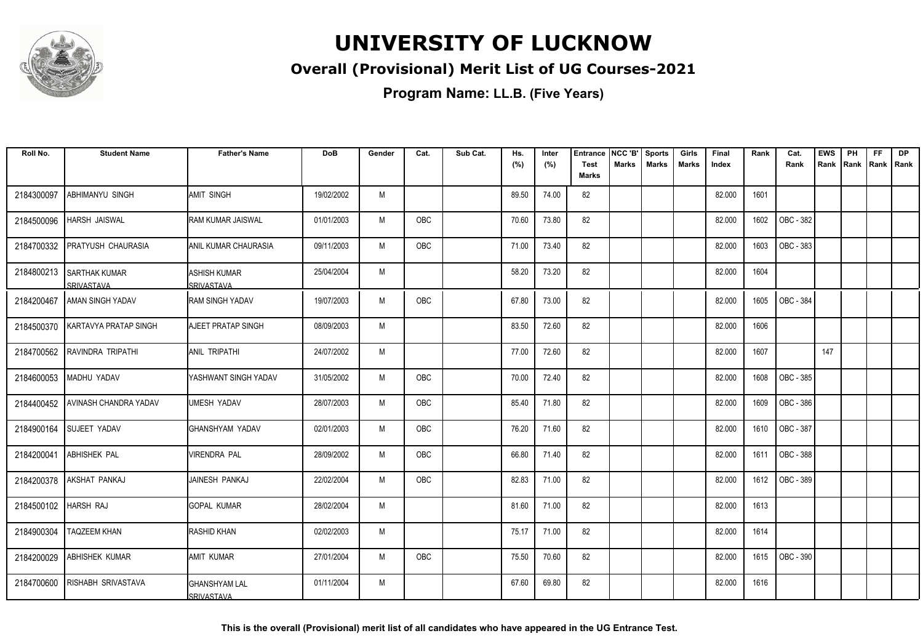

#### **Overall (Provisional) Merit List of UG Courses-2021**

**Program Name: LL.B. (Five Years)**

| Roll No.   | <b>Student Name</b>                    | <b>Father's Name</b>                        | DoB        | Gender | Cat.       | Sub Cat. | Hs.   | Inter | <b>Entrance</b>      | NCC 'B'      | <b>Sports</b> | Girls        | Final  | Rank | Cat.      | <b>EWS</b> | PH   | <b>FF</b>   | <b>DP</b> |
|------------|----------------------------------------|---------------------------------------------|------------|--------|------------|----------|-------|-------|----------------------|--------------|---------------|--------------|--------|------|-----------|------------|------|-------------|-----------|
|            |                                        |                                             |            |        |            |          | (%)   | (%)   | Test<br><b>Marks</b> | <b>Marks</b> | <b>Marks</b>  | <b>Marks</b> | Index  |      | Rank      | Rank       | Rank | Rank   Rank |           |
| 2184300097 | ABHIMANYU SINGH                        | <b>AMIT SINGH</b>                           | 19/02/2002 | M      |            |          | 89.50 | 74.00 | 82                   |              |               |              | 82.000 | 1601 |           |            |      |             |           |
| 2184500096 | <b>HARSH JAISWAL</b>                   | <b>RAM KUMAR JAISWAL</b>                    | 01/01/2003 | M      | OBC        |          | 70.60 | 73.80 | 82                   |              |               |              | 82.000 | 1602 | OBC - 382 |            |      |             |           |
| 2184700332 | <b>PRATYUSH CHAURASIA</b>              | IANIL KUMAR CHAURASIA                       | 09/11/2003 | M      | OBC        |          | 71.00 | 73.40 | 82                   |              |               |              | 82.000 | 1603 | OBC - 383 |            |      |             |           |
|            | 2184800213 SARTHAK KUMAR<br>SRIVASTAVA | <b>ASHISH KUMAR</b><br>SRIVASTAVA           | 25/04/2004 | M      |            |          | 58.20 | 73.20 | 82                   |              |               |              | 82.000 | 1604 |           |            |      |             |           |
| 2184200467 | AMAN SINGH YADAV                       | <b>I</b> RAM SINGH YADAV                    | 19/07/2003 | M      | OBC        |          | 67.80 | 73.00 | 82                   |              |               |              | 82.000 | 1605 | OBC - 384 |            |      |             |           |
| 2184500370 | <b>KARTAVYA PRATAP SINGH</b>           | <b>AJEET PRATAP SINGH</b>                   | 08/09/2003 | M      |            |          | 83.50 | 72.60 | 82                   |              |               |              | 82.000 | 1606 |           |            |      |             |           |
| 2184700562 | RAVINDRA TRIPATHI                      | <b>JANIL TRIPATHI</b>                       | 24/07/2002 | M      |            |          | 77.00 | 72.60 | 82                   |              |               |              | 82.000 | 1607 |           | 147        |      |             |           |
| 2184600053 | MADHU YADAV                            | YASHWANT SINGH YADAV                        | 31/05/2002 | M      | OBC        |          | 70.00 | 72.40 | 82                   |              |               |              | 82.000 | 1608 | OBC - 385 |            |      |             |           |
| 2184400452 | AVINASH CHANDRA YADAV                  | UMESH YADAV                                 | 28/07/2003 | M      | OBC        |          | 85.40 | 71.80 | 82                   |              |               |              | 82.000 | 1609 | OBC - 386 |            |      |             |           |
| 2184900164 | <b>SUJEET YADAV</b>                    | IGHANSHYAM YADAV                            | 02/01/2003 | M      | OBC        |          | 76.20 | 71.60 | 82                   |              |               |              | 82.000 | 1610 | OBC - 387 |            |      |             |           |
| 2184200041 | <b>ABHISHEK PAL</b>                    | <b>VIRENDRA PAL</b>                         | 28/09/2002 | M      | <b>OBC</b> |          | 66.80 | 71.40 | 82                   |              |               |              | 82.000 | 1611 | OBC - 388 |            |      |             |           |
| 2184200378 | IAKSHAT PANKAJ                         | JAINESH PANKAJ                              | 22/02/2004 | M      | OBC        |          | 82.83 | 71.00 | 82                   |              |               |              | 82.000 | 1612 | OBC - 389 |            |      |             |           |
| 2184500102 | HARSH RAJ                              | IGOPAL KUMAR                                | 28/02/2004 | M      |            |          | 81.60 | 71.00 | 82                   |              |               |              | 82.000 | 1613 |           |            |      |             |           |
| 2184900304 | <b>TAQZEEM KHAN</b>                    | <b>RASHID KHAN</b>                          | 02/02/2003 | M      |            |          | 75.17 | 71.00 | 82                   |              |               |              | 82.000 | 1614 |           |            |      |             |           |
| 2184200029 | <b>ABHISHEK KUMAR</b>                  | <b>AMIT KUMAR</b>                           | 27/01/2004 | M      | OBC        |          | 75.50 | 70.60 | 82                   |              |               |              | 82.000 | 1615 | OBC - 390 |            |      |             |           |
| 2184700600 | <b>RISHABH SRIVASTAVA</b>              | <b>I</b> GHANSHYAM LAL<br><b>SRIVASTAVA</b> | 01/11/2004 | M      |            |          | 67.60 | 69.80 | 82                   |              |               |              | 82.000 | 1616 |           |            |      |             |           |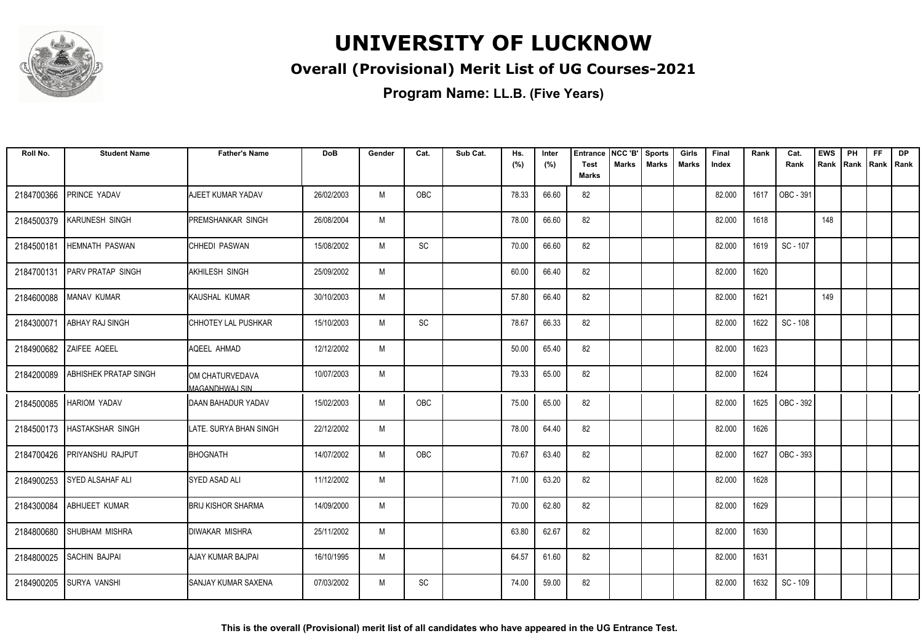

#### **Overall (Provisional) Merit List of UG Courses-2021**

| Roll No.   | <b>Student Name</b>          | <b>Father's Name</b>                     | <b>DoB</b> | Gender | Cat.       | Sub Cat. | Hs.<br>(%) | Inter<br>(%) | <b>Entrance</b><br><b>Test</b> | NCC 'B'<br>Marks | <b>Sports</b><br><b>Marks</b> | Girls<br>Marks | Final<br>Index | Rank | Cat.<br>Rank | <b>EWS</b><br>Rank | PH<br>Rank | FF<br>Rank   Rank | <b>DP</b> |
|------------|------------------------------|------------------------------------------|------------|--------|------------|----------|------------|--------------|--------------------------------|------------------|-------------------------------|----------------|----------------|------|--------------|--------------------|------------|-------------------|-----------|
|            |                              |                                          |            |        |            |          |            |              | <b>Marks</b>                   |                  |                               |                |                |      |              |                    |            |                   |           |
| 2184700366 | PRINCE YADAV                 | AJEET KUMAR YADAV                        | 26/02/2003 | M      | OBC        |          | 78.33      | 66.60        | 82                             |                  |                               |                | 82.000         | 1617 | OBC - 391    |                    |            |                   |           |
| 2184500379 | <b>KARUNESH SINGH</b>        | <b>PREMSHANKAR SINGH</b>                 | 26/08/2004 | M      |            |          | 78.00      | 66.60        | 82                             |                  |                               |                | 82.000         | 1618 |              | 148                |            |                   |           |
| 2184500181 | <b>HEMNATH PASWAN</b>        | CHHEDI PASWAN                            | 15/08/2002 | M      | SC         |          | 70.00      | 66.60        | 82                             |                  |                               |                | 82.000         | 1619 | SC - 107     |                    |            |                   |           |
| 2184700131 | <b>PARV PRATAP SINGH</b>     | <b>AKHILESH SINGH</b>                    | 25/09/2002 | M      |            |          | 60.00      | 66.40        | 82                             |                  |                               |                | 82.000         | 1620 |              |                    |            |                   |           |
| 2184600088 | <b>MANAV KUMAR</b>           | KAUSHAL KUMAR                            | 30/10/2003 | M      |            |          | 57.80      | 66.40        | 82                             |                  |                               |                | 82.000         | 1621 |              | 149                |            |                   |           |
| 2184300071 | <b>ABHAY RAJ SINGH</b>       | CHHOTEY LAL PUSHKAR                      | 15/10/2003 | M      | SC         |          | 78.67      | 66.33        | 82                             |                  |                               |                | 82.000         | 1622 | SC - 108     |                    |            |                   |           |
|            | 2184900682 ZAIFEE AQEEL      | AQEEL AHMAD                              | 12/12/2002 | M      |            |          | 50.00      | 65.40        | 82                             |                  |                               |                | 82.000         | 1623 |              |                    |            |                   |           |
| 2184200089 | <b>ABHISHEK PRATAP SINGH</b> | OM CHATURVEDAVA<br><b>MAGANDHWAJ SIN</b> | 10/07/2003 | M      |            |          | 79.33      | 65.00        | 82                             |                  |                               |                | 82.000         | 1624 |              |                    |            |                   |           |
| 2184500085 | <b>HARIOM YADAV</b>          | <b>IDAAN BAHADUR YADAV</b>               | 15/02/2003 | M      | <b>OBC</b> |          | 75.00      | 65.00        | 82                             |                  |                               |                | 82.000         | 1625 | OBC - 392    |                    |            |                   |           |
| 2184500173 | <b>HASTAKSHAR SINGH</b>      | LATE. SURYA BHAN SINGH                   | 22/12/2002 | M      |            |          | 78.00      | 64.40        | 82                             |                  |                               |                | 82.000         | 1626 |              |                    |            |                   |           |
| 2184700426 | <b>PRIYANSHU RAJPUT</b>      | <b>BHOGNATH</b>                          | 14/07/2002 | M      | OBC        |          | 70.67      | 63.40        | 82                             |                  |                               |                | 82.000         | 1627 | OBC - 393    |                    |            |                   |           |
| 2184900253 | <b>SYED ALSAHAF ALI</b>      | <b>SYED ASAD ALI</b>                     | 11/12/2002 | M      |            |          | 71.00      | 63.20        | 82                             |                  |                               |                | 82.000         | 1628 |              |                    |            |                   |           |
| 2184300084 | <b>ABHIJEET KUMAR</b>        | <b>BRIJ KISHOR SHARMA</b>                | 14/09/2000 | M      |            |          | 70.00      | 62.80        | 82                             |                  |                               |                | 82.000         | 1629 |              |                    |            |                   |           |
| 2184800680 | <b>SHUBHAM MISHRA</b>        | <b>DIWAKAR MISHRA</b>                    | 25/11/2002 | M      |            |          | 63.80      | 62.67        | 82                             |                  |                               |                | 82.000         | 1630 |              |                    |            |                   |           |
| 2184800025 | <b>SACHIN BAJPAI</b>         | AJAY KUMAR BAJPAI                        | 16/10/1995 | M      |            |          | 64.57      | 61.60        | 82                             |                  |                               |                | 82.000         | 1631 |              |                    |            |                   |           |
| 2184900205 | <b>SURYA VANSHI</b>          | <b>I</b> SANJAY KUMAR SAXENA             | 07/03/2002 | M      | SC         |          | 74.00      | 59.00        | 82                             |                  |                               |                | 82.000         | 1632 | SC - 109     |                    |            |                   |           |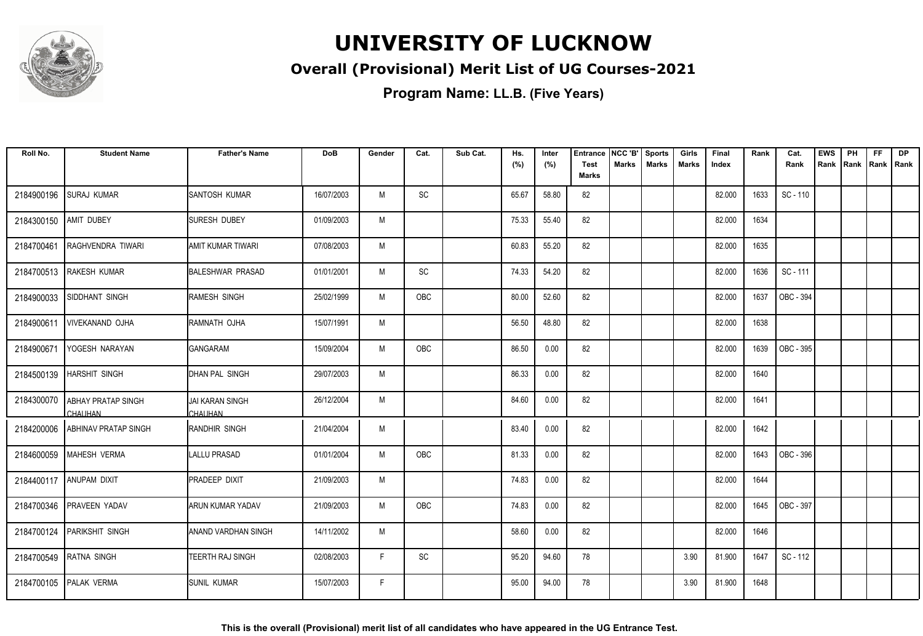

#### **Overall (Provisional) Merit List of UG Courses-2021**

| Roll No.   | <b>Student Name</b>                         | <b>Father's Name</b>              | <b>DoB</b> | Gender | Cat. | Sub Cat. | Hs.<br>(%) | Inter<br>(%) | <b>Entrance</b><br><b>Test</b> | NCC 'B'<br>Marks | <b>Sports</b><br><b>Marks</b> | Girls<br>Marks | Final<br>Index | Rank | Cat.<br>Rank | <b>EWS</b><br>Rank | PH | <b>FF</b><br>Rank Rank Rank | <b>DP</b> |
|------------|---------------------------------------------|-----------------------------------|------------|--------|------|----------|------------|--------------|--------------------------------|------------------|-------------------------------|----------------|----------------|------|--------------|--------------------|----|-----------------------------|-----------|
|            |                                             |                                   |            |        |      |          |            |              | <b>Marks</b>                   |                  |                               |                |                |      |              |                    |    |                             |           |
| 2184900196 | <b>SURAJ KUMAR</b>                          | SANTOSH KUMAR                     | 16/07/2003 | M      | SC   |          | 65.67      | 58.80        | 82                             |                  |                               |                | 82.000         | 1633 | SC - 110     |                    |    |                             |           |
| 2184300150 | <b>AMIT DUBEY</b>                           | <b>SURESH DUBEY</b>               | 01/09/2003 | M      |      |          | 75.33      | 55.40        | 82                             |                  |                               |                | 82.000         | 1634 |              |                    |    |                             |           |
| 2184700461 | RAGHVENDRA TIWARI                           | AMIT KUMAR TIWARI                 | 07/08/2003 | M      |      |          | 60.83      | 55.20        | 82                             |                  |                               |                | 82.000         | 1635 |              |                    |    |                             |           |
| 2184700513 | <b>RAKESH KUMAR</b>                         | <b>BALESHWAR PRASAD</b>           | 01/01/2001 | M      | SC   |          | 74.33      | 54.20        | 82                             |                  |                               |                | 82.000         | 1636 | SC - 111     |                    |    |                             |           |
| 2184900033 | SIDDHANT SINGH                              | RAMESH SINGH                      | 25/02/1999 | M      | OBC  |          | 80.00      | 52.60        | 82                             |                  |                               |                | 82.000         | 1637 | OBC - 394    |                    |    |                             |           |
| 2184900611 | <b>VIVEKANAND OJHA</b>                      | RAMNATH OJHA                      | 15/07/1991 | M      |      |          | 56.50      | 48.80        | 82                             |                  |                               |                | 82.000         | 1638 |              |                    |    |                             |           |
| 2184900671 | YOGESH NARAYAN                              | <b>GANGARAM</b>                   | 15/09/2004 | M      | OBC  |          | 86.50      | 0.00         | 82                             |                  |                               |                | 82.000         | 1639 | OBC - 395    |                    |    |                             |           |
|            | 2184500139 HARSHIT SINGH                    | DHAN PAL SINGH                    | 29/07/2003 | M      |      |          | 86.33      | 0.00         | 82                             |                  |                               |                | 82.000         | 1640 |              |                    |    |                             |           |
| 2184300070 | <b>ABHAY PRATAP SINGH</b><br><b>CHAUHAN</b> | <b>JAI KARAN SINGH</b><br>CHAUHAN | 26/12/2004 | M      |      |          | 84.60      | 0.00         | 82                             |                  |                               |                | 82.000         | 1641 |              |                    |    |                             |           |
| 2184200006 | ABHINAV PRATAP SINGH                        | IRANDHIR SINGH                    | 21/04/2004 | M      |      |          | 83.40      | 0.00         | 82                             |                  |                               |                | 82.000         | 1642 |              |                    |    |                             |           |
| 2184600059 | MAHESH VERMA                                | LALLU PRASAD                      | 01/01/2004 | M      | OBC  |          | 81.33      | 0.00         | 82                             |                  |                               |                | 82.000         | 1643 | OBC - 396    |                    |    |                             |           |
|            | 2184400117   ANUPAM DIXIT                   | PRADEEP DIXIT                     | 21/09/2003 | M      |      |          | 74.83      | 0.00         | 82                             |                  |                               |                | 82.000         | 1644 |              |                    |    |                             |           |
|            | 2184700346 PRAVEEN YADAV                    | <b>ARUN KUMAR YADAV</b>           | 21/09/2003 | M      | OBC  |          | 74.83      | 0.00         | 82                             |                  |                               |                | 82.000         | 1645 | OBC - 397    |                    |    |                             |           |
|            | 2184700124 PARIKSHIT SINGH                  | <b>ANAND VARDHAN SINGH</b>        | 14/11/2002 | M      |      |          | 58.60      | 0.00         | 82                             |                  |                               |                | 82.000         | 1646 |              |                    |    |                             |           |
| 2184700549 | RATNA SINGH                                 | TEERTH RAJ SINGH                  | 02/08/2003 | F      | SC   |          | 95.20      | 94.60        | 78                             |                  |                               | 3.90           | 81.900         | 1647 | SC - 112     |                    |    |                             |           |
|            | 2184700105 PALAK VERMA                      | SUNIL KUMAR                       | 15/07/2003 | F      |      |          | 95.00      | 94.00        | 78                             |                  |                               | 3.90           | 81.900         | 1648 |              |                    |    |                             |           |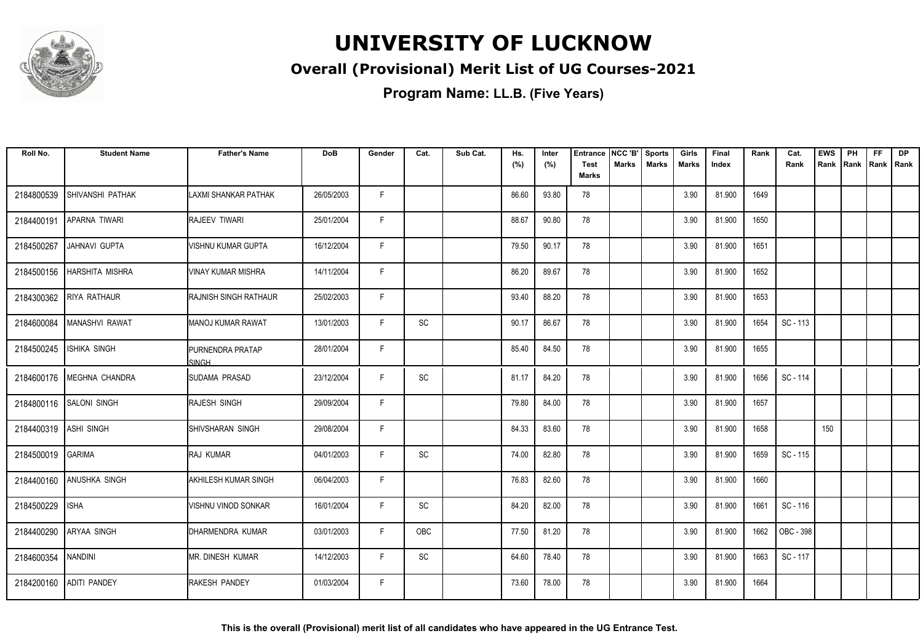

#### **Overall (Provisional) Merit List of UG Courses-2021**

| Roll No.   | <b>Student Name</b>       | <b>Father's Name</b>                    | DoB        | Gender | Cat.                         | Sub Cat. | Hs.<br>(%) | Inter<br>(%) | <b>Entrance</b><br><b>Test</b> | NCC 'B'<br><b>Marks</b> | <b>Sports</b><br><b>Marks</b> | Girls<br>Marks | Final<br>Index | Rank | Cat.<br>Rank | <b>EWS</b><br>Rank | PH<br>Rank | FF<br>Rank   Rank | DP |
|------------|---------------------------|-----------------------------------------|------------|--------|------------------------------|----------|------------|--------------|--------------------------------|-------------------------|-------------------------------|----------------|----------------|------|--------------|--------------------|------------|-------------------|----|
|            |                           |                                         |            |        |                              |          |            |              | <b>Marks</b>                   |                         |                               |                |                |      |              |                    |            |                   |    |
| 2184800539 | ISHIVANSHI PATHAK         | LAXMI SHANKAR PATHAK                    | 26/05/2003 | F.     |                              |          | 86.60      | 93.80        | 78                             |                         |                               | 3.90           | 81.900         | 1649 |              |                    |            |                   |    |
| 2184400191 | <b>APARNA TIWARI</b>      | <b>RAJEEV TIWARI</b>                    | 25/01/2004 | F      |                              |          | 88.67      | 90.80        | 78                             |                         |                               | 3.90           | 81.900         | 1650 |              |                    |            |                   |    |
| 2184500267 | JAHNAVI GUPTA             | <b>VISHNU KUMAR GUPTA</b>               | 16/12/2004 | F      |                              |          | 79.50      | 90.17        | 78                             |                         |                               | 3.90           | 81.900         | 1651 |              |                    |            |                   |    |
| 2184500156 | <b>HARSHITA MISHRA</b>    | IVINAY KUMAR MISHRA                     | 14/11/2004 | F      |                              |          | 86.20      | 89.67        | 78                             |                         |                               | 3.90           | 81.900         | 1652 |              |                    |            |                   |    |
| 2184300362 | <b>RIYA RATHAUR</b>       | RAJNISH SINGH RATHAUR                   | 25/02/2003 | F      |                              |          | 93.40      | 88.20        | 78                             |                         |                               | 3.90           | 81.900         | 1653 |              |                    |            |                   |    |
| 2184600084 | MANASHVI RAWAT            | <b>MANOJ KUMAR RAWAT</b>                | 13/01/2003 | F      | SC                           |          | 90.17      | 86.67        | 78                             |                         |                               | 3.90           | 81.900         | 1654 | SC - 113     |                    |            |                   |    |
| 2184500245 | <b>ISHIKA SINGH</b>       | <b>PURNENDRA PRATAP</b><br><b>SINGH</b> | 28/01/2004 | F.     |                              |          | 85.40      | 84.50        | 78                             |                         |                               | 3.90           | 81.900         | 1655 |              |                    |            |                   |    |
|            | 2184600176 MEGHNA CHANDRA | <b>ISUDAMA PRASAD</b>                   | 23/12/2004 | F      | SC                           |          | 81.17      | 84.20        | 78                             |                         |                               | 3.90           | 81.900         | 1656 | SC - 114     |                    |            |                   |    |
| 2184800116 | <b>SALONI SINGH</b>       | <b>RAJESH SINGH</b>                     | 29/09/2004 | F      |                              |          | 79.80      | 84.00        | 78                             |                         |                               | 3.90           | 81.900         | 1657 |              |                    |            |                   |    |
| 2184400319 | <b>ASHI SINGH</b>         | <b>SHIVSHARAN SINGH</b>                 | 29/08/2004 | E      |                              |          | 84.33      | 83.60        | 78                             |                         |                               | 3.90           | 81.900         | 1658 |              | 150                |            |                   |    |
| 2184500019 | GARIMA                    | <b>RAJ KUMAR</b>                        | 04/01/2003 | E      | SC                           |          | 74.00      | 82.80        | 78                             |                         |                               | 3.90           | 81.900         | 1659 | SC - 115     |                    |            |                   |    |
| 2184400160 | <b>ANUSHKA SINGH</b>      | <b>AKHILESH KUMAR SINGH</b>             | 06/04/2003 | F      |                              |          | 76.83      | 82.60        | 78                             |                         |                               | 3.90           | 81.900         | 1660 |              |                    |            |                   |    |
| 2184500229 | <b>ISHA</b>               | VISHNU VINOD SONKAR                     | 16/01/2004 | F      | <b>SC</b>                    |          | 84.20      | 82.00        | 78                             |                         |                               | 3.90           | 81.900         | 1661 | SC - 116     |                    |            |                   |    |
| 2184400290 | <b>ARYAA SINGH</b>        | DHARMENDRA KUMAR                        | 03/01/2003 | F      | OBC                          |          | 77.50      | 81.20        | 78                             |                         |                               | 3.90           | 81.900         | 1662 | OBC - 398    |                    |            |                   |    |
| 2184600354 | NANDINI                   | IMR. DINESH KUMAR                       | 14/12/2003 | E      | $\operatorname{\textsf{SC}}$ |          | 64.60      | 78.40        | 78                             |                         |                               | 3.90           | 81.900         | 1663 | SC - 117     |                    |            |                   |    |
| 2184200160 | <b>ADITI PANDEY</b>       | <b>RAKESH PANDEY</b>                    | 01/03/2004 | F      |                              |          | 73.60      | 78.00        | 78                             |                         |                               | 3.90           | 81.900         | 1664 |              |                    |            |                   |    |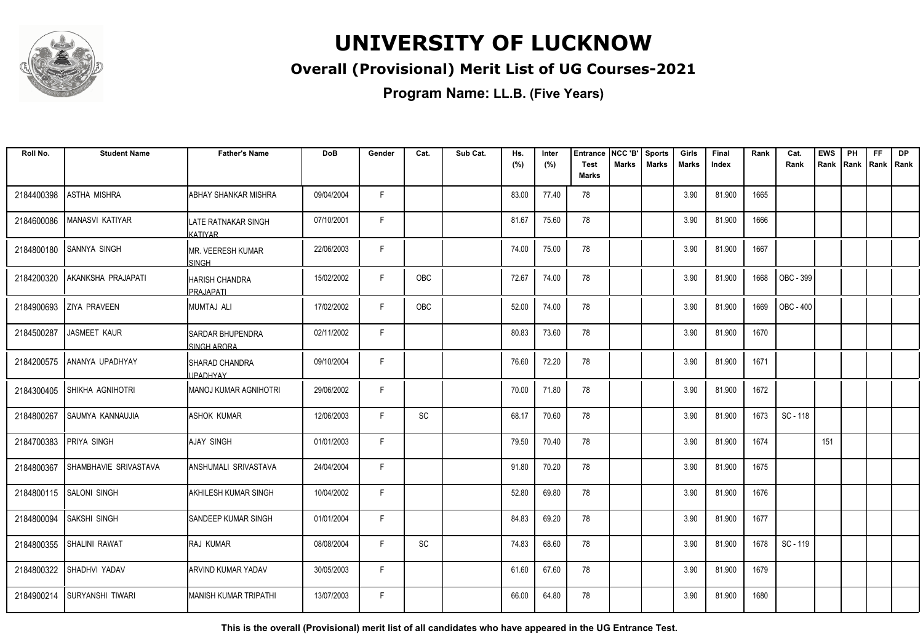

#### **Overall (Provisional) Merit List of UG Courses-2021**

**Program Name: LL.B. (Five Years)**

| Roll No.   | <b>Student Name</b>   | <b>Father's Name</b>                   | <b>DoB</b> | Gender | Cat.                         | Sub Cat. | Hs.<br>(%) | Inter<br>(%) | <b>Entrance</b><br><b>Test</b> | NCC 'B'<br><b>Marks</b> | <b>Sports</b><br><b>Marks</b> | Girls<br>Marks | Final<br>Index | Rank | Cat.<br>Rank | <b>EWS</b><br>Rank | PH<br>Rank Rank Rank | <b>FF</b> | <b>DP</b> |
|------------|-----------------------|----------------------------------------|------------|--------|------------------------------|----------|------------|--------------|--------------------------------|-------------------------|-------------------------------|----------------|----------------|------|--------------|--------------------|----------------------|-----------|-----------|
|            |                       |                                        |            |        |                              |          |            |              | <b>Marks</b>                   |                         |                               |                |                |      |              |                    |                      |           |           |
| 2184400398 | ASTHA MISHRA          | <b>ABHAY SHANKAR MISHRA</b>            | 09/04/2004 | F.     |                              |          | 83.00      | 77.40        | 78                             |                         |                               | 3.90           | 81.900         | 1665 |              |                    |                      |           |           |
| 2184600086 | MANASVI KATIYAR       | LATE RATNAKAR SINGH<br>KATIYAR         | 07/10/2001 | F      |                              |          | 81.67      | 75.60        | 78                             |                         |                               | 3.90           | 81.900         | 1666 |              |                    |                      |           |           |
| 2184800180 | <b>SANNYA SINGH</b>   | IMR. VEERESH KUMAR<br>SINGH            | 22/06/2003 | F      |                              |          | 74.00      | 75.00        | 78                             |                         |                               | 3.90           | 81.900         | 1667 |              |                    |                      |           |           |
| 2184200320 | AKANKSHA PRAJAPATI    | <b>HARISH CHANDRA</b><br>PRAJAPATI     | 15/02/2002 | F.     | OBC                          |          | 72.67      | 74.00        | 78                             |                         |                               | 3.90           | 81.900         | 1668 | OBC - 399    |                    |                      |           |           |
| 2184900693 | <b>ZIYA PRAVEEN</b>   | MUMTAJ ALI                             | 17/02/2002 | F      | OBC                          |          | 52.00      | 74.00        | 78                             |                         |                               | 3.90           | 81.900         | 1669 | OBC - 400    |                    |                      |           |           |
| 2184500287 | JASMEET KAUR          | <b>SARDAR BHUPENDRA</b><br>SINGH ARORA | 02/11/2002 | F      |                              |          | 80.83      | 73.60        | 78                             |                         |                               | 3.90           | 81.900         | 1670 |              |                    |                      |           |           |
| 2184200575 | ANANYA UPADHYAY       | ISHARAD CHANDRA<br><b>JPADHYAY</b>     | 09/10/2004 | F      |                              |          | 76.60      | 72.20        | 78                             |                         |                               | 3.90           | 81.900         | 1671 |              |                    |                      |           |           |
| 2184300405 | SHIKHA AGNIHOTRI      | MANOJ KUMAR AGNIHOTRI                  | 29/06/2002 | F      |                              |          | 70.00      | 71.80        | 78                             |                         |                               | 3.90           | 81.900         | 1672 |              |                    |                      |           |           |
| 2184800267 | SAUMYA KANNAUJIA      | <b>ASHOK KUMAR</b>                     | 12/06/2003 | F      | SC                           |          | 68.17      | 70.60        | 78                             |                         |                               | 3.90           | 81.900         | 1673 | SC-118       |                    |                      |           |           |
| 2184700383 | <b>PRIYA SINGH</b>    | AJAY SINGH                             | 01/01/2003 | F      |                              |          | 79.50      | 70.40        | 78                             |                         |                               | 3.90           | 81.900         | 1674 |              | 151                |                      |           |           |
| 2184800367 | SHAMBHAVIE SRIVASTAVA | ANSHUMALI SRIVASTAVA                   | 24/04/2004 | F.     |                              |          | 91.80      | 70.20        | 78                             |                         |                               | 3.90           | 81.900         | 1675 |              |                    |                      |           |           |
| 2184800115 | <b>SALONI SINGH</b>   | AKHILESH KUMAR SINGH                   | 10/04/2002 | F      |                              |          | 52.80      | 69.80        | 78                             |                         |                               | 3.90           | 81.900         | 1676 |              |                    |                      |           |           |
| 2184800094 | <b>SAKSHI SINGH</b>   | SANDEEP KUMAR SINGH                    | 01/01/2004 | F      |                              |          | 84.83      | 69.20        | 78                             |                         |                               | 3.90           | 81.900         | 1677 |              |                    |                      |           |           |
| 2184800355 | SHALINI RAWAT         | <b>RAJ KUMAR</b>                       | 08/08/2004 | F.     | $\operatorname{\textsf{SC}}$ |          | 74.83      | 68.60        | 78                             |                         |                               | 3.90           | 81.900         | 1678 | SC-119       |                    |                      |           |           |
| 2184800322 | SHADHVI YADAV         | ARVIND KUMAR YADAV                     | 30/05/2003 | F      |                              |          | 61.60      | 67.60        | 78                             |                         |                               | 3.90           | 81.900         | 1679 |              |                    |                      |           |           |
| 2184900214 | Isuryanshi tiwari     | IMANISH KUMAR TRIPATHI                 | 13/07/2003 | F      |                              |          | 66.00      | 64.80        | 78                             |                         |                               | 3.90           | 81.900         | 1680 |              |                    |                      |           |           |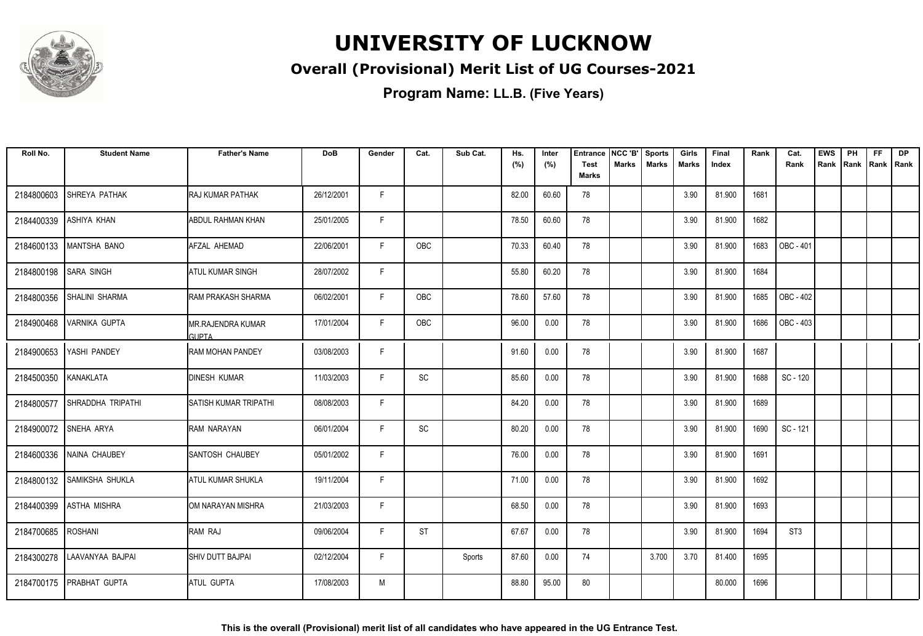

#### **Overall (Provisional) Merit List of UG Courses-2021**

| Roll No.   | <b>Student Name</b>        | <b>Father's Name</b>               | DoB        | Gender | Cat.                         | Sub Cat. | Hs.<br>(%) | Inter<br>(%) | <b>Entrance</b><br><b>Test</b> | NCC 'B'<br><b>Marks</b> | <b>Sports</b><br><b>Marks</b> | Girls<br>Marks | Final<br>Index | Rank | Cat.<br>Rank     | <b>EWS</b><br>Rank | PH | <b>FF</b><br>Rank   Rank   Rank | <b>DP</b> |
|------------|----------------------------|------------------------------------|------------|--------|------------------------------|----------|------------|--------------|--------------------------------|-------------------------|-------------------------------|----------------|----------------|------|------------------|--------------------|----|---------------------------------|-----------|
|            |                            |                                    |            |        |                              |          |            |              | <b>Marks</b>                   |                         |                               |                |                |      |                  |                    |    |                                 |           |
| 2184800603 | <b>SHREYA PATHAK</b>       | <b>RAJ KUMAR PATHAK</b>            | 26/12/2001 | F.     |                              |          | 82.00      | 60.60        | 78                             |                         |                               | 3.90           | 81.900         | 1681 |                  |                    |    |                                 |           |
| 2184400339 | <b>ASHIYA KHAN</b>         | <b>ABDUL RAHMAN KHAN</b>           | 25/01/2005 | F      |                              |          | 78.50      | 60.60        | 78                             |                         |                               | 3.90           | 81.900         | 1682 |                  |                    |    |                                 |           |
| 2184600133 | MANTSHA BANO               | AFZAL AHEMAD                       | 22/06/2001 | F      | <b>OBC</b>                   |          | 70.33      | 60.40        | 78                             |                         |                               | 3.90           | 81.900         | 1683 | <b>OBC - 401</b> |                    |    |                                 |           |
| 2184800198 | <b>SARA SINGH</b>          | <b>ATUL KUMAR SINGH</b>            | 28/07/2002 | F.     |                              |          | 55.80      | 60.20        | 78                             |                         |                               | 3.90           | 81.900         | 1684 |                  |                    |    |                                 |           |
| 2184800356 | <b>SHALINI SHARMA</b>      | IRAM PRAKASH SHARMA                | 06/02/2001 | F.     | OBC                          |          | 78.60      | 57.60        | 78                             |                         |                               | 3.90           | 81.900         | 1685 | OBC - 402        |                    |    |                                 |           |
| 2184900468 | <b>VARNIKA GUPTA</b>       | IMR.RAJENDRA KUMAR<br><b>GUPTA</b> | 17/01/2004 | F.     | OBC                          |          | 96.00      | 0.00         | 78                             |                         |                               | 3.90           | 81.900         | 1686 | OBC - 403        |                    |    |                                 |           |
| 2184900653 | YASHI PANDEY               | <b>RAM MOHAN PANDEY</b>            | 03/08/2003 | F      |                              |          | 91.60      | 0.00         | 78                             |                         |                               | 3.90           | 81.900         | 1687 |                  |                    |    |                                 |           |
| 2184500350 | KANAKLATA                  | <b>DINESH KUMAR</b>                | 11/03/2003 | F.     | SC                           |          | 85.60      | 0.00         | 78                             |                         |                               | 3.90           | 81.900         | 1688 | SC - 120         |                    |    |                                 |           |
| 2184800577 | SHRADDHA TRIPATHI          | ISATISH KUMAR TRIPATHI             | 08/08/2003 | F      |                              |          | 84.20      | 0.00         | 78                             |                         |                               | 3.90           | 81.900         | 1689 |                  |                    |    |                                 |           |
| 2184900072 | SNEHA ARYA                 | IRAM NARAYAN                       | 06/01/2004 | F.     | $\operatorname{\textsf{SC}}$ |          | 80.20      | 0.00         | 78                             |                         |                               | 3.90           | 81.900         | 1690 | SC - 121         |                    |    |                                 |           |
| 2184600336 | NAINA CHAUBEY              | <b>SANTOSH CHAUBEY</b>             | 05/01/2002 | F.     |                              |          | 76.00      | 0.00         | 78                             |                         |                               | 3.90           | 81.900         | 1691 |                  |                    |    |                                 |           |
|            | 2184800132 SAMIKSHA SHUKLA | <b>ATUL KUMAR SHUKLA</b>           | 19/11/2004 | F.     |                              |          | 71.00      | 0.00         | 78                             |                         |                               | 3.90           | 81.900         | 1692 |                  |                    |    |                                 |           |
| 2184400399 | <b>ASTHA MISHRA</b>        | OM NARAYAN MISHRA                  | 21/03/2003 | F      |                              |          | 68.50      | 0.00         | 78                             |                         |                               | 3.90           | 81.900         | 1693 |                  |                    |    |                                 |           |
| 2184700685 | <b>ROSHANI</b>             | <b>RAM RAJ</b>                     | 09/06/2004 | F      | <b>ST</b>                    |          | 67.67      | 0.00         | 78                             |                         |                               | 3.90           | 81.900         | 1694 | ST <sub>3</sub>  |                    |    |                                 |           |
| 2184300278 | LAAVANYAA BAJPAI           | <b>SHIV DUTT BAJPAI</b>            | 02/12/2004 | F.     |                              | Sports   | 87.60      | 0.00         | 74                             |                         | 3.700                         | 3.70           | 81.400         | 1695 |                  |                    |    |                                 |           |
|            | 2184700175   PRABHAT GUPTA | <b>ATUL GUPTA</b>                  | 17/08/2003 | М      |                              |          | 88.80      | 95.00        | 80                             |                         |                               |                | 80.000         | 1696 |                  |                    |    |                                 |           |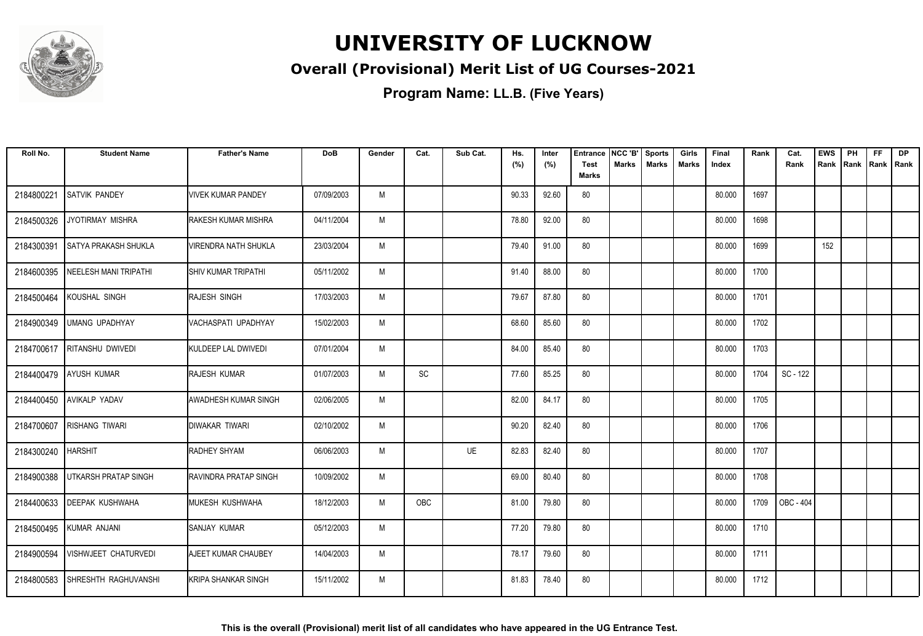

#### **Overall (Provisional) Merit List of UG Courses-2021**

| Roll No.   | <b>Student Name</b>         | <b>Father's Name</b>         | <b>DoB</b> | Gender | Cat. | Sub Cat. | Hs.<br>(%) | Inter<br>(%) | Entrance<br>Test<br><b>Marks</b> | NCC 'B'<br>Marks | <b>Sports</b><br><b>Marks</b> | Girls<br>Marks | Final<br>Index | Rank | Cat.<br>Rank | <b>EWS</b><br>Rank | PH<br> Rank | <b>FF</b><br>Rank   Rank | <b>DP</b> |
|------------|-----------------------------|------------------------------|------------|--------|------|----------|------------|--------------|----------------------------------|------------------|-------------------------------|----------------|----------------|------|--------------|--------------------|-------------|--------------------------|-----------|
|            |                             |                              |            |        |      |          |            |              |                                  |                  |                               |                |                |      |              |                    |             |                          |           |
| 2184800221 | <b>SATVIK PANDEY</b>        | <b>VIVEK KUMAR PANDEY</b>    | 07/09/2003 | M      |      |          | 90.33      | 92.60        | 80                               |                  |                               |                | 80.000         | 1697 |              |                    |             |                          |           |
| 2184500326 | JYOTIRMAY MISHRA            | <b>I</b> RAKESH KUMAR MISHRA | 04/11/2004 | M      |      |          | 78.80      | 92.00        | 80                               |                  |                               |                | 80.000         | 1698 |              |                    |             |                          |           |
| 2184300391 | <b>SATYA PRAKASH SHUKLA</b> | <b>VIRENDRA NATH SHUKLA</b>  | 23/03/2004 | M      |      |          | 79.40      | 91.00        | 80                               |                  |                               |                | 80.000         | 1699 |              | 152                |             |                          |           |
| 2184600395 | NEELESH MANI TRIPATHI       | <b>I</b> SHIV KUMAR TRIPATHI | 05/11/2002 | M      |      |          | 91.40      | 88.00        | 80                               |                  |                               |                | 80.000         | 1700 |              |                    |             |                          |           |
| 2184500464 | KOUSHAL SINGH               | <b>RAJESH SINGH</b>          | 17/03/2003 | M      |      |          | 79.67      | 87.80        | 80                               |                  |                               |                | 80.000         | 1701 |              |                    |             |                          |           |
| 2184900349 | UMANG UPADHYAY              | IVACHASPATI UPADHYAY         | 15/02/2003 | M      |      |          | 68.60      | 85.60        | 80                               |                  |                               |                | 80.000         | 1702 |              |                    |             |                          |           |
| 2184700617 | <b>RITANSHU DWIVEDI</b>     | KULDEEP LAL DWIVEDI          | 07/01/2004 | M      |      |          | 84.00      | 85.40        | 80                               |                  |                               |                | 80.000         | 1703 |              |                    |             |                          |           |
| 2184400479 | <b>AYUSH KUMAR</b>          | <b>RAJESH KUMAR</b>          | 01/07/2003 | M      | SC   |          | 77.60      | 85.25        | 80                               |                  |                               |                | 80.000         | 1704 | SC - 122     |                    |             |                          |           |
| 2184400450 | <b>AVIKALP YADAV</b>        | IAWADHESH KUMAR SINGH        | 02/06/2005 | M      |      |          | 82.00      | 84.17        | 80                               |                  |                               |                | 80.000         | 1705 |              |                    |             |                          |           |
| 2184700607 | <b>RISHANG TIWARI</b>       | Idiwakar Tiwari              | 02/10/2002 | M      |      |          | 90.20      | 82.40        | 80                               |                  |                               |                | 80.000         | 1706 |              |                    |             |                          |           |
| 2184300240 | <b>HARSHIT</b>              | <b>RADHEY SHYAM</b>          | 06/06/2003 | M      |      | UE       | 82.83      | 82.40        | 80                               |                  |                               |                | 80.000         | 1707 |              |                    |             |                          |           |
| 2184900388 | <b>UTKARSH PRATAP SINGH</b> | <b>RAVINDRA PRATAP SINGH</b> | 10/09/2002 | M      |      |          | 69.00      | 80.40        | 80                               |                  |                               |                | 80.000         | 1708 |              |                    |             |                          |           |
| 2184400633 | <b>DEEPAK KUSHWAHA</b>      | MUKESH KUSHWAHA              | 18/12/2003 | M      | OBC  |          | 81.00      | 79.80        | 80                               |                  |                               |                | 80.000         | 1709 | OBC - 404    |                    |             |                          |           |
| 2184500495 | KUMAR ANJANI                | <b>SANJAY KUMAR</b>          | 05/12/2003 | M      |      |          | 77.20      | 79.80        | 80                               |                  |                               |                | 80.000         | 1710 |              |                    |             |                          |           |
| 2184900594 | VISHWJEET CHATURVEDI        | <b>AJEET KUMAR CHAUBEY</b>   | 14/04/2003 | M      |      |          | 78.17      | 79.60        | 80                               |                  |                               |                | 80.000         | 1711 |              |                    |             |                          |           |
| 2184800583 | SHRESHTH RAGHUVANSHI        | <b>I</b> KRIPA SHANKAR SINGH | 15/11/2002 | M      |      |          | 81.83      | 78.40        | 80                               |                  |                               |                | 80.000         | 1712 |              |                    |             |                          |           |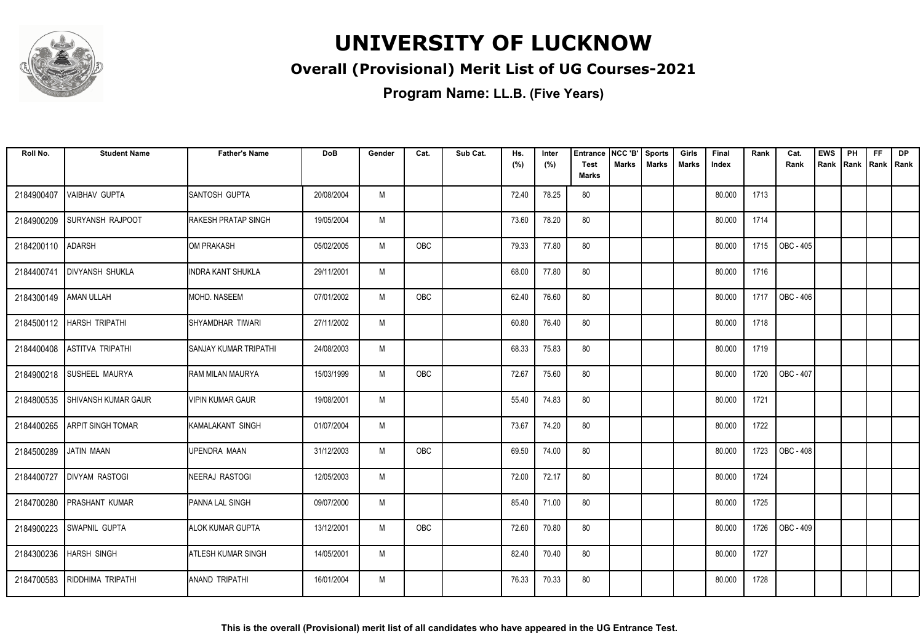

### **Overall (Provisional) Merit List of UG Courses-2021**

| Roll No.   | <b>Student Name</b>         | <b>Father's Name</b>         | <b>DoB</b> | Gender | Cat.       | Sub Cat. | Hs.<br>(%) | Inter<br>(%) | Entrance<br><b>Test</b> | NCC 'B'<br><b>Marks</b> | <b>Sports</b><br><b>Marks</b> | Girls<br><b>Marks</b> | Final<br>Index | Rank | Cat.<br>Rank | <b>EWS</b><br>Rank | PH<br>Rank | <b>FF</b><br>Rank   Rank | <b>DP</b> |
|------------|-----------------------------|------------------------------|------------|--------|------------|----------|------------|--------------|-------------------------|-------------------------|-------------------------------|-----------------------|----------------|------|--------------|--------------------|------------|--------------------------|-----------|
|            |                             |                              |            |        |            |          |            |              | <b>Marks</b>            |                         |                               |                       |                |      |              |                    |            |                          |           |
| 2184900407 | <b>VAIBHAV GUPTA</b>        | <b>ISANTOSH GUPTA</b>        | 20/08/2004 | M      |            |          | 72.40      | 78.25        | 80                      |                         |                               |                       | 80.000         | 1713 |              |                    |            |                          |           |
| 2184900209 | <b>SURYANSH RAJPOOT</b>     | <b>RAKESH PRATAP SINGH</b>   | 19/05/2004 | M      |            |          | 73.60      | 78.20        | 80                      |                         |                               |                       | 80.000         | 1714 |              |                    |            |                          |           |
| 2184200110 | <b>ADARSH</b>               | <b>I</b> OM PRAKASH          | 05/02/2005 | M      | <b>OBC</b> |          | 79.33      | 77.80        | 80                      |                         |                               |                       | 80.000         | 1715 | OBC - 405    |                    |            |                          |           |
| 2184400741 | <b>DIVYANSH SHUKLA</b>      | <b>INDRA KANT SHUKLA</b>     | 29/11/2001 | M      |            |          | 68.00      | 77.80        | 80                      |                         |                               |                       | 80.000         | 1716 |              |                    |            |                          |           |
| 2184300149 | <b>AMAN ULLAH</b>           | <b>I</b> MOHD. NASEEM        | 07/01/2002 | M      | OBC        |          | 62.40      | 76.60        | 80                      |                         |                               |                       | 80.000         | 1717 | OBC - 406    |                    |            |                          |           |
|            | 2184500112   HARSH TRIPATHI | <b>ISHYAMDHAR TIWARI</b>     | 27/11/2002 | M      |            |          | 60.80      | 76.40        | 80                      |                         |                               |                       | 80.000         | 1718 |              |                    |            |                          |           |
| 2184400408 | <b>ASTITVA TRIPATHI</b>     | <b>SANJAY KUMAR TRIPATHI</b> | 24/08/2003 | M      |            |          | 68.33      | 75.83        | 80                      |                         |                               |                       | 80.000         | 1719 |              |                    |            |                          |           |
| 2184900218 | <b>SUSHEEL MAURYA</b>       | IRAM MILAN MAURYA            | 15/03/1999 | M      | OBC        |          | 72.67      | 75.60        | 80                      |                         |                               |                       | 80.000         | 1720 | OBC - 407    |                    |            |                          |           |
| 2184800535 | <b>SHIVANSH KUMAR GAUR</b>  | <b>VIPIN KUMAR GAUR</b>      | 19/08/2001 | M      |            |          | 55.40      | 74.83        | 80                      |                         |                               |                       | 80.000         | 1721 |              |                    |            |                          |           |
| 2184400265 | <b>ARPIT SINGH TOMAR</b>    | KAMALAKANT SINGH             | 01/07/2004 | M      |            |          | 73.67      | 74.20        | 80                      |                         |                               |                       | 80.000         | 1722 |              |                    |            |                          |           |
| 2184500289 | JATIN MAAN                  | <b>UPENDRA MAAN</b>          | 31/12/2003 | M      | OBC        |          | 69.50      | 74.00        | 80                      |                         |                               |                       | 80.000         | 1723 | OBC - 408    |                    |            |                          |           |
| 2184400727 | <b>DIVYAM RASTOGI</b>       | INEERAJ RASTOGI              | 12/05/2003 | M      |            |          | 72.00      | 72.17        | 80                      |                         |                               |                       | 80.000         | 1724 |              |                    |            |                          |           |
| 2184700280 | <b>PRASHANT KUMAR</b>       | PANNA LAL SINGH              | 09/07/2000 | M      |            |          | 85.40      | 71.00        | 80                      |                         |                               |                       | 80.000         | 1725 |              |                    |            |                          |           |
| 2184900223 | <b>SWAPNIL GUPTA</b>        | <b>ALOK KUMAR GUPTA</b>      | 13/12/2001 | M      | <b>OBC</b> |          | 72.60      | 70.80        | 80                      |                         |                               |                       | 80.000         | 1726 | OBC - 409    |                    |            |                          |           |
| 2184300236 | <b>HARSH SINGH</b>          | <b>ATLESH KUMAR SINGH</b>    | 14/05/2001 | M      |            |          | 82.40      | 70.40        | 80                      |                         |                               |                       | 80.000         | 1727 |              |                    |            |                          |           |
| 2184700583 | RIDDHIMA TRIPATHI           | IANAND TRIPATHI              | 16/01/2004 | M      |            |          | 76.33      | 70.33        | 80                      |                         |                               |                       | 80.000         | 1728 |              |                    |            |                          |           |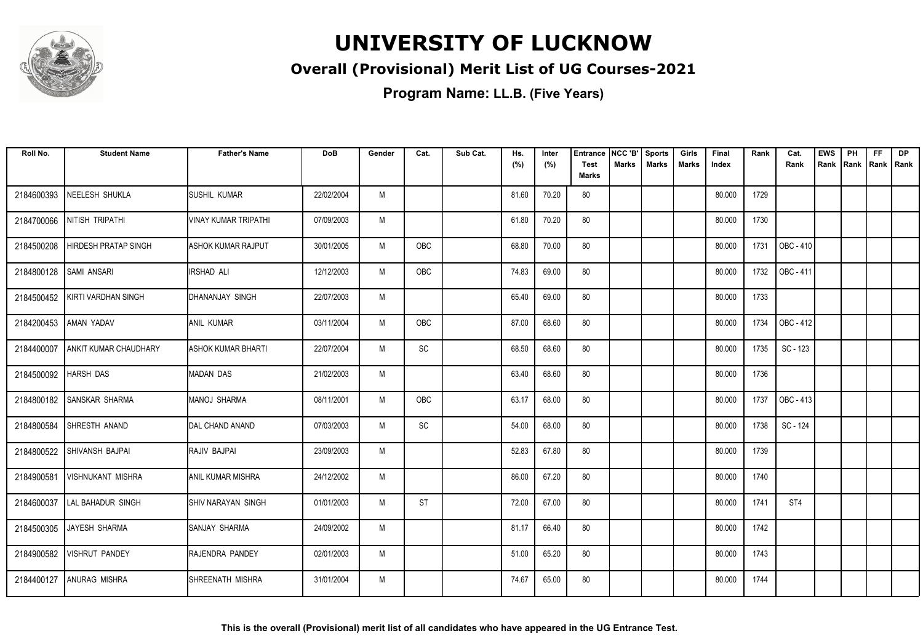

### **Overall (Provisional) Merit List of UG Courses-2021**

| Roll No.   | <b>Student Name</b>          | <b>Father's Name</b>        | <b>DoB</b> | Gender | Cat.                         | Sub Cat. | Hs.<br>(%) | Inter<br>(%) | <b>Entrance</b><br><b>Test</b> | NCC 'B'<br>Marks | <b>Sports</b><br><b>Marks</b> | Girls<br><b>Marks</b> | Final<br>Index | Rank | Cat.<br>Rank | <b>EWS</b><br>Rank | PH<br>Rank | <b>FF</b><br>Rank   Rank | <b>DP</b> |
|------------|------------------------------|-----------------------------|------------|--------|------------------------------|----------|------------|--------------|--------------------------------|------------------|-------------------------------|-----------------------|----------------|------|--------------|--------------------|------------|--------------------------|-----------|
|            |                              |                             |            |        |                              |          |            |              | <b>Marks</b>                   |                  |                               |                       |                |      |              |                    |            |                          |           |
| 2184600393 | NEELESH SHUKLA               | <b>SUSHIL KUMAR</b>         | 22/02/2004 | M      |                              |          | 81.60      | 70.20        | 80                             |                  |                               |                       | 80.000         | 1729 |              |                    |            |                          |           |
| 2184700066 | NITISH TRIPATHI              | <b>VINAY KUMAR TRIPATHI</b> | 07/09/2003 | M      |                              |          | 61.80      | 70.20        | 80                             |                  |                               |                       | 80.000         | 1730 |              |                    |            |                          |           |
| 2184500208 | <b>HIRDESH PRATAP SINGH</b>  | <b>JASHOK KUMAR RAJPUT</b>  | 30/01/2005 | M      | <b>OBC</b>                   |          | 68.80      | 70.00        | 80                             |                  |                               |                       | 80.000         | 1731 | OBC - 410    |                    |            |                          |           |
| 2184800128 | <b>SAMI ANSARI</b>           | <b>IRSHAD ALI</b>           | 12/12/2003 | M      | OBC                          |          | 74.83      | 69.00        | 80                             |                  |                               |                       | 80.000         | 1732 | OBC - 411    |                    |            |                          |           |
| 2184500452 | KIRTI VARDHAN SINGH          | DHANANJAY SINGH             | 22/07/2003 | M      |                              |          | 65.40      | 69.00        | 80                             |                  |                               |                       | 80.000         | 1733 |              |                    |            |                          |           |
|            | 2184200453 AMAN YADAV        | <b>JANIL KUMAR</b>          | 03/11/2004 | M      | <b>OBC</b>                   |          | 87.00      | 68.60        | 80                             |                  |                               |                       | 80.000         | 1734 | OBC - 412    |                    |            |                          |           |
| 2184400007 | <b>ANKIT KUMAR CHAUDHARY</b> | <b>ASHOK KUMAR BHARTI</b>   | 22/07/2004 | M      | $\operatorname{\textsf{SC}}$ |          | 68.50      | 68.60        | 80                             |                  |                               |                       | 80.000         | 1735 | SC - 123     |                    |            |                          |           |
| 2184500092 | <b>HARSH DAS</b>             | <b>MADAN DAS</b>            | 21/02/2003 | M      |                              |          | 63.40      | 68.60        | 80                             |                  |                               |                       | 80.000         | 1736 |              |                    |            |                          |           |
| 2184800182 | <b>SANSKAR SHARMA</b>        | MANOJ SHARMA                | 08/11/2001 | M      | OBC                          |          | 63.17      | 68.00        | 80                             |                  |                               |                       | 80.000         | 1737 | OBC - 413    |                    |            |                          |           |
| 2184800584 | SHRESTH ANAND                | DAL CHAND ANAND             | 07/03/2003 | M      | SC                           |          | 54.00      | 68.00        | 80                             |                  |                               |                       | 80.000         | 1738 | SC - 124     |                    |            |                          |           |
| 2184800522 | SHIVANSH BAJPAI              | RAJIV BAJPAI                | 23/09/2003 | M      |                              |          | 52.83      | 67.80        | 80                             |                  |                               |                       | 80.000         | 1739 |              |                    |            |                          |           |
| 2184900581 | <b>VISHNUKANT MISHRA</b>     | <b>ANIL KUMAR MISHRA</b>    | 24/12/2002 | M      |                              |          | 86.00      | 67.20        | 80                             |                  |                               |                       | 80.000         | 1740 |              |                    |            |                          |           |
| 2184600037 | LAL BAHADUR SINGH            | <b>SHIV NARAYAN SINGH</b>   | 01/01/2003 | M      | ST                           |          | 72.00      | 67.00        | 80                             |                  |                               |                       | 80.000         | 1741 | ST4          |                    |            |                          |           |
|            | 2184500305 JAYESH SHARMA     | SANJAY SHARMA               | 24/09/2002 | M      |                              |          | 81.17      | 66.40        | 80                             |                  |                               |                       | 80.000         | 1742 |              |                    |            |                          |           |
| 2184900582 | <b>VISHRUT PANDEY</b>        | RAJENDRA PANDEY             | 02/01/2003 | M      |                              |          | 51.00      | 65.20        | 80                             |                  |                               |                       | 80.000         | 1743 |              |                    |            |                          |           |
| 2184400127 | <b>ANURAG MISHRA</b>         | <b>ISHREENATH MISHRA</b>    | 31/01/2004 | M      |                              |          | 74.67      | 65.00        | 80                             |                  |                               |                       | 80.000         | 1744 |              |                    |            |                          |           |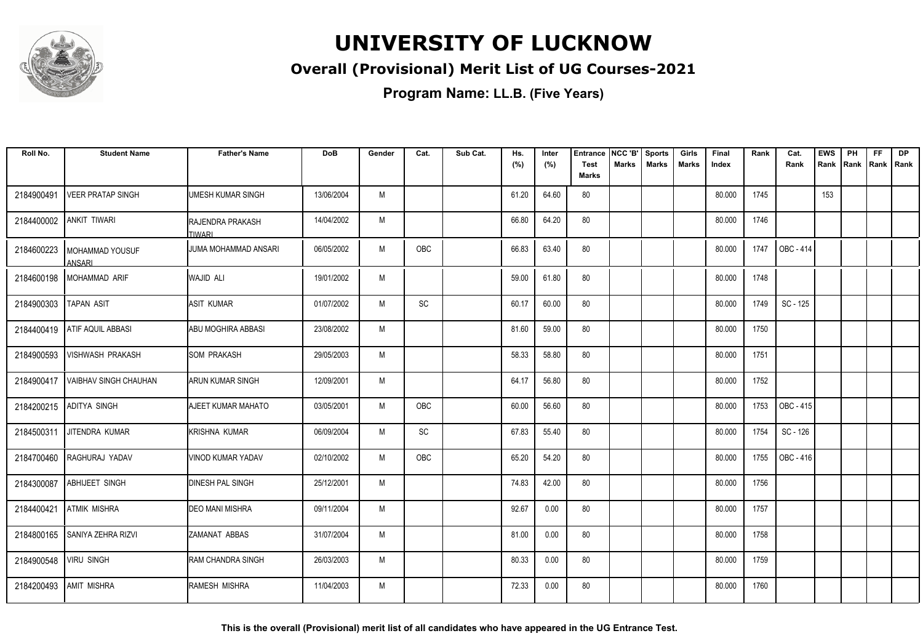

### **Overall (Provisional) Merit List of UG Courses-2021**

| Roll No.   | <b>Student Name</b>                | <b>Father's Name</b>                       | <b>DoB</b> | Gender | Cat.      | Sub Cat. | Hs.<br>(%) | Inter<br>(%) | <b>Entrance</b><br><b>Test</b><br>Marks | NCC 'B'<br><b>Marks</b> | <b>Sports</b><br><b>Marks</b> | Girls<br>Marks | Final<br>Index | Rank | Cat.<br>Rank | <b>EWS</b><br>Rank | PH<br>Rank Rank Rank | <b>FF</b> | DP |
|------------|------------------------------------|--------------------------------------------|------------|--------|-----------|----------|------------|--------------|-----------------------------------------|-------------------------|-------------------------------|----------------|----------------|------|--------------|--------------------|----------------------|-----------|----|
| 2184900491 | <b>VEER PRATAP SINGH</b>           | UMESH KUMAR SINGH                          | 13/06/2004 | M      |           |          | 61.20      | 64.60        | 80                                      |                         |                               |                | 80.000         | 1745 |              | 153                |                      |           |    |
| 2184400002 | <b>ANKIT TIWARI</b>                | <b>I</b> RAJENDRA PRAKASH<br><b>TIWARI</b> | 14/04/2002 | M      |           |          | 66.80      | 64.20        | 80                                      |                         |                               |                | 80.000         | 1746 |              |                    |                      |           |    |
| 2184600223 | <b>I MOHAMMAD YOUSUF</b><br>ANSARI | IJUMA MOHAMMAD ANSARI                      | 06/05/2002 | M      | OBC       |          | 66.83      | 63.40        | 80                                      |                         |                               |                | 80.000         | 1747 | OBC - 414    |                    |                      |           |    |
| 2184600198 | MOHAMMAD ARIF                      | <b>WAJID ALI</b>                           | 19/01/2002 | M      |           |          | 59.00      | 61.80        | 80                                      |                         |                               |                | 80.000         | 1748 |              |                    |                      |           |    |
| 2184900303 | <b>TAPAN ASIT</b>                  | ASIT KUMAR                                 | 01/07/2002 | M      | SC        |          | 60.17      | 60.00        | 80                                      |                         |                               |                | 80.000         | 1749 | SC - 125     |                    |                      |           |    |
|            | 2184400419 ATIF AQUIL ABBASI       | IABU MOGHIRA ABBASI                        | 23/08/2002 | M      |           |          | 81.60      | 59.00        | 80                                      |                         |                               |                | 80.000         | 1750 |              |                    |                      |           |    |
| 2184900593 | VISHWASH PRAKASH                   | <b>ISOM PRAKASH</b>                        | 29/05/2003 | M      |           |          | 58.33      | 58.80        | 80                                      |                         |                               |                | 80.000         | 1751 |              |                    |                      |           |    |
| 2184900417 | <b>VAIBHAV SINGH CHAUHAN</b>       | IARUN KUMAR SINGH                          | 12/09/2001 | M      |           |          | 64.17      | 56.80        | 80                                      |                         |                               |                | 80.000         | 1752 |              |                    |                      |           |    |
| 2184200215 | <b>ADITYA SINGH</b>                | <b>AJEET KUMAR MAHATO</b>                  | 03/05/2001 | M      | OBC       |          | 60.00      | 56.60        | 80                                      |                         |                               |                | 80.000         | 1753 | OBC - 415    |                    |                      |           |    |
| 2184500311 | JITENDRA KUMAR                     | IKRISHNA KUMAR                             | 06/09/2004 | M      | <b>SC</b> |          | 67.83      | 55.40        | 80                                      |                         |                               |                | 80.000         | 1754 | SC - 126     |                    |                      |           |    |
| 2184700460 | RAGHURAJ YADAV                     | VINOD KUMAR YADAV                          | 02/10/2002 | M      | OBC       |          | 65.20      | 54.20        | 80                                      |                         |                               |                | 80.000         | 1755 | OBC - 416    |                    |                      |           |    |
| 2184300087 | <b>ABHIJEET SINGH</b>              | <b>DINESH PAL SINGH</b>                    | 25/12/2001 | M      |           |          | 74.83      | 42.00        | 80                                      |                         |                               |                | 80.000         | 1756 |              |                    |                      |           |    |
| 2184400421 | <b>ATMIK MISHRA</b>                | IDEO MANI MISHRA                           | 09/11/2004 | M      |           |          | 92.67      | 0.00         | 80                                      |                         |                               |                | 80.000         | 1757 |              |                    |                      |           |    |
| 2184800165 | SANIYA ZEHRA RIZVI                 | <b>ZAMANAT ABBAS</b>                       | 31/07/2004 | M      |           |          | 81.00      | 0.00         | 80                                      |                         |                               |                | 80.000         | 1758 |              |                    |                      |           |    |
| 2184900548 | <b>VIRU SINGH</b>                  | <b>RAM CHANDRA SINGH</b>                   | 26/03/2003 | M      |           |          | 80.33      | 0.00         | 80                                      |                         |                               |                | 80.000         | 1759 |              |                    |                      |           |    |
| 2184200493 | <b>AMIT MISHRA</b>                 | RAMESH MISHRA                              | 11/04/2003 | M      |           |          | 72.33      | 0.00         | 80                                      |                         |                               |                | 80.000         | 1760 |              |                    |                      |           |    |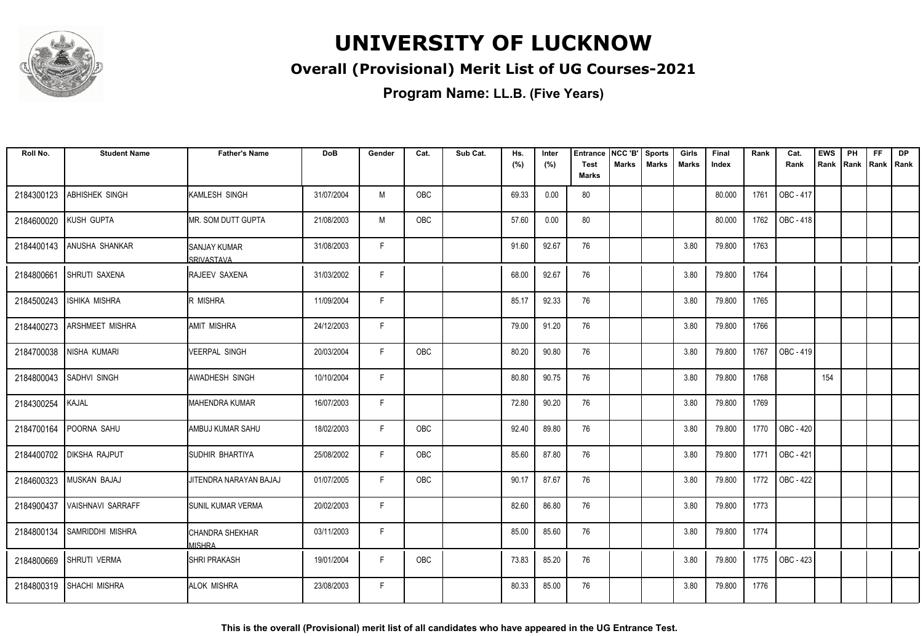

### **Overall (Provisional) Merit List of UG Courses-2021**

| Roll No.   | <b>Student Name</b>      | <b>Father's Name</b>               | <b>DoB</b> | Gender | Cat.       | Sub Cat. | Hs.<br>(%) | Inter<br>(%) | <b>Entrance</b><br><b>Test</b> | NCC 'B'<br><b>Marks</b> | <b>Sports</b><br><b>Marks</b> | Girls<br>Marks | Final<br>Index | Rank | Cat.<br>Rank     | <b>EWS</b><br>Rank | PH<br>Rank | <b>FF</b><br>Rank Rank | <b>DP</b> |
|------------|--------------------------|------------------------------------|------------|--------|------------|----------|------------|--------------|--------------------------------|-------------------------|-------------------------------|----------------|----------------|------|------------------|--------------------|------------|------------------------|-----------|
|            |                          |                                    |            |        |            |          |            |              | <b>Marks</b>                   |                         |                               |                |                |      |                  |                    |            |                        |           |
| 2184300123 | ABHISHEK SINGH           | <b>I</b> KAMLESH SINGH             | 31/07/2004 | M      | OBC        |          | 69.33      | 0.00         | 80                             |                         |                               |                | 80.000         | 1761 | OBC - 417        |                    |            |                        |           |
| 2184600020 | KUSH GUPTA               | IMR. SOM DUTT GUPTA                | 21/08/2003 | M      | <b>OBC</b> |          | 57.60      | 0.00         | 80                             |                         |                               |                | 80.000         | 1762 | OBC - 418        |                    |            |                        |           |
| 2184400143 | <b>ANUSHA SHANKAR</b>    | ISANJAY KUMAR<br><b>SRIVASTAVA</b> | 31/08/2003 | F      |            |          | 91.60      | 92.67        | 76                             |                         |                               | 3.80           | 79.800         | 1763 |                  |                    |            |                        |           |
| 2184800661 | <b>SHRUTI SAXENA</b>     | RAJEEV SAXENA                      | 31/03/2002 | F      |            |          | 68.00      | 92.67        | 76                             |                         |                               | 3.80           | 79.800         | 1764 |                  |                    |            |                        |           |
| 2184500243 | <b>ISHIKA MISHRA</b>     | R MISHRA                           | 11/09/2004 | F.     |            |          | 85.17      | 92.33        | 76                             |                         |                               | 3.80           | 79.800         | 1765 |                  |                    |            |                        |           |
| 2184400273 | <b>ARSHMEET MISHRA</b>   | <b>AMIT MISHRA</b>                 | 24/12/2003 | F      |            |          | 79.00      | 91.20        | 76                             |                         |                               | 3.80           | 79.800         | 1766 |                  |                    |            |                        |           |
| 2184700038 | NISHA KUMARI             | <b>VEERPAL SINGH</b>               | 20/03/2004 | F.     | OBC        |          | 80.20      | 90.80        | 76                             |                         |                               | 3.80           | 79.800         | 1767 | OBC - 419        |                    |            |                        |           |
| 2184800043 | <b>SADHVI SINGH</b>      | <b>AWADHESH SINGH</b>              | 10/10/2004 | F.     |            |          | 80.80      | 90.75        | 76                             |                         |                               | 3.80           | 79.800         | 1768 |                  | 154                |            |                        |           |
| 2184300254 | <b>KAJAL</b>             | IMAHENDRA KUMAR                    | 16/07/2003 | F      |            |          | 72.80      | 90.20        | 76                             |                         |                               | 3.80           | 79.800         | 1769 |                  |                    |            |                        |           |
| 2184700164 | POORNA SAHU              | IAMBUJ KUMAR SAHU                  | 18/02/2003 | F.     | <b>OBC</b> |          | 92.40      | 89.80        | 76                             |                         |                               | 3.80           | 79.800         | 1770 | <b>OBC - 420</b> |                    |            |                        |           |
| 2184400702 | <b>DIKSHA RAJPUT</b>     | <b>ISUDHIR BHARTIYA</b>            | 25/08/2002 | F.     | OBC        |          | 85.60      | 87.80        | 76                             |                         |                               | 3.80           | 79.800         | 1771 | OBC - 421        |                    |            |                        |           |
| 2184600323 | MUSKAN BAJAJ             | JITENDRA NARAYAN BAJAJ             | 01/07/2005 | F      | OBC        |          | 90.17      | 87.67        | 76                             |                         |                               | 3.80           | 79.800         | 1772 | <b>OBC - 422</b> |                    |            |                        |           |
| 2184900437 | <b>VAISHNAVI SARRAFF</b> | <b>I</b> SUNIL KUMAR VERMA         | 20/02/2003 | F      |            |          | 82.60      | 86.80        | 76                             |                         |                               | 3.80           | 79.800         | 1773 |                  |                    |            |                        |           |
| 2184800134 | <b>SAMRIDDHI MISHRA</b>  | CHANDRA SHEKHAR<br><b>MISHRA</b>   | 03/11/2003 | F.     |            |          | 85.00      | 85.60        | 76                             |                         |                               | 3.80           | 79.800         | 1774 |                  |                    |            |                        |           |
| 2184800669 | <b>SHRUTI VERMA</b>      | <b>ISHRI PRAKASH</b>               | 19/01/2004 | F      | OBC        |          | 73.83      | 85.20        | 76                             |                         |                               | 3.80           | 79.800         | 1775 | <b>OBC - 423</b> |                    |            |                        |           |
| 2184800319 | <b>SHACHI MISHRA</b>     | <b>ALOK MISHRA</b>                 | 23/08/2003 | F      |            |          | 80.33      | 85.00        | 76                             |                         |                               | 3.80           | 79.800         | 1776 |                  |                    |            |                        |           |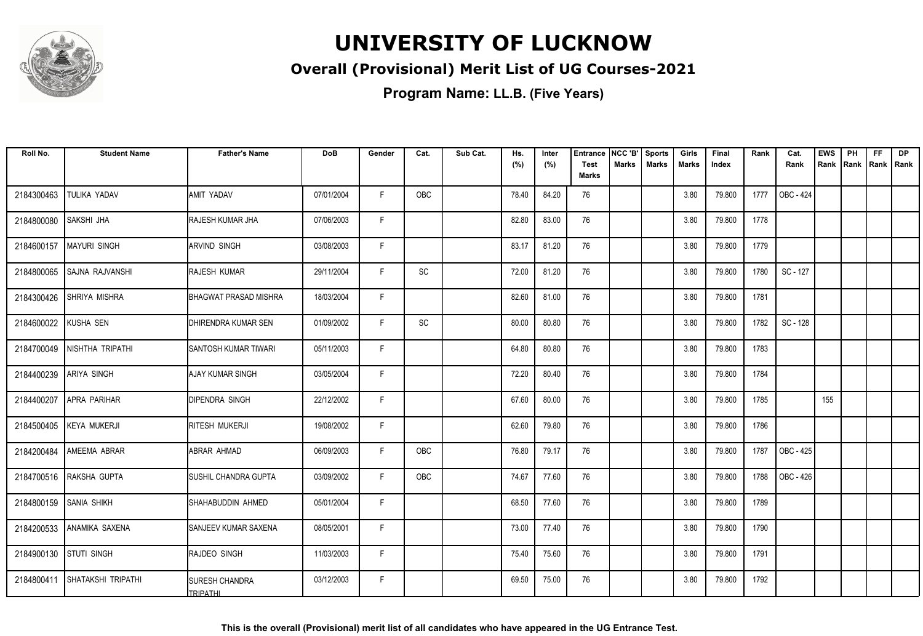

### **Overall (Provisional) Merit List of UG Courses-2021**

| Roll No.               | <b>Student Name</b>         | <b>Father's Name</b>                     | <b>DoB</b> | Gender | Cat.                         | Sub Cat. | Hs.   | Inter | <b>Entrance</b>             | NCC 'B' | <b>Sports</b> | Girls | Final  | Rank | Cat.      | <b>EWS</b> | PH   | <b>FF</b> | DP          |
|------------------------|-----------------------------|------------------------------------------|------------|--------|------------------------------|----------|-------|-------|-----------------------------|---------|---------------|-------|--------|------|-----------|------------|------|-----------|-------------|
|                        |                             |                                          |            |        |                              |          | (%)   | (%)   | <b>Test</b><br><b>Marks</b> | Marks   | <b>Marks</b>  | Marks | Index  |      | Rank      | Rank       | Rank |           | Rank   Rank |
| 2184300463             | TULIKA YADAV                | AMIT YADAV                               | 07/01/2004 | F      | OBC                          |          | 78.40 | 84.20 | 76                          |         |               | 3.80  | 79.800 | 1777 | OBC - 424 |            |      |           |             |
| 2184800080             | <b>SAKSHI JHA</b>           | RAJESH KUMAR JHA                         | 07/06/2003 | F      |                              |          | 82.80 | 83.00 | 76                          |         |               | 3.80  | 79.800 | 1778 |           |            |      |           |             |
| 2184600157             | <b>MAYURI SINGH</b>         | <b>ARVIND SINGH</b>                      | 03/08/2003 | F.     |                              |          | 83.17 | 81.20 | 76                          |         |               | 3.80  | 79.800 | 1779 |           |            |      |           |             |
| 2184800065             | <b>SAJNA RAJVANSHI</b>      | <b>RAJESH KUMAR</b>                      | 29/11/2004 | F      | SC                           |          | 72.00 | 81.20 | 76                          |         |               | 3.80  | 79.800 | 1780 | SC - 127  |            |      |           |             |
| 2184300426             | SHRIYA MISHRA               | <b>BHAGWAT PRASAD MISHRA</b>             | 18/03/2004 | F.     |                              |          | 82.60 | 81.00 | 76                          |         |               | 3.80  | 79.800 | 1781 |           |            |      |           |             |
| 2184600022             | KUSHA SEN                   | DHIRENDRA KUMAR SEN                      | 01/09/2002 | F.     | $\operatorname{\textsf{SC}}$ |          | 80.00 | 80.80 | 76                          |         |               | 3.80  | 79.800 | 1782 | SC - 128  |            |      |           |             |
|                        | 2184700049 NISHTHA TRIPATHI | SANTOSH KUMAR TIWARI                     | 05/11/2003 | F      |                              |          | 64.80 | 80.80 | 76                          |         |               | 3.80  | 79.800 | 1783 |           |            |      |           |             |
| 2184400239             | <b>ARIYA SINGH</b>          | <b>AJAY KUMAR SINGH</b>                  | 03/05/2004 | F      |                              |          | 72.20 | 80.40 | 76                          |         |               | 3.80  | 79.800 | 1784 |           |            |      |           |             |
| 2184400207             | APRA PARIHAR                | <b>DIPENDRA SINGH</b>                    | 22/12/2002 | F.     |                              |          | 67.60 | 80.00 | 76                          |         |               | 3.80  | 79.800 | 1785 |           | 155        |      |           |             |
| 2184500405             | <b>KEYA MUKERJI</b>         | RITESH MUKERJI                           | 19/08/2002 | F.     |                              |          | 62.60 | 79.80 | 76                          |         |               | 3.80  | 79.800 | 1786 |           |            |      |           |             |
| 2184200484             | AMEEMA ABRAR                | ABRAR AHMAD                              | 06/09/2003 | F.     | OBC                          |          | 76.80 | 79.17 | 76                          |         |               | 3.80  | 79.800 | 1787 | OBC - 425 |            |      |           |             |
| 2184700516             | RAKSHA GUPTA                | SUSHIL CHANDRA GUPTA                     | 03/09/2002 | F.     | OBC                          |          | 74.67 | 77.60 | 76                          |         |               | 3.80  | 79.800 | 1788 | OBC - 426 |            |      |           |             |
| 2184800159             | <b>SANIA SHIKH</b>          | SHAHABUDDIN AHMED                        | 05/01/2004 | F.     |                              |          | 68.50 | 77.60 | 76                          |         |               | 3.80  | 79.800 | 1789 |           |            |      |           |             |
| 2184200533             | <b>ANAMIKA SAXENA</b>       | <b>SANJEEV KUMAR SAXENA</b>              | 08/05/2001 | F      |                              |          | 73.00 | 77.40 | 76                          |         |               | 3.80  | 79.800 | 1790 |           |            |      |           |             |
| 2184900130 STUTI SINGH |                             | RAJDEO SINGH                             | 11/03/2003 | F.     |                              |          | 75.40 | 75.60 | 76                          |         |               | 3.80  | 79.800 | 1791 |           |            |      |           |             |
| 2184800411             | <b>SHATAKSHI TRIPATHI</b>   | <b>SURESH CHANDRA</b><br><b>TRIPATHL</b> | 03/12/2003 | F      |                              |          | 69.50 | 75.00 | 76                          |         |               | 3.80  | 79.800 | 1792 |           |            |      |           |             |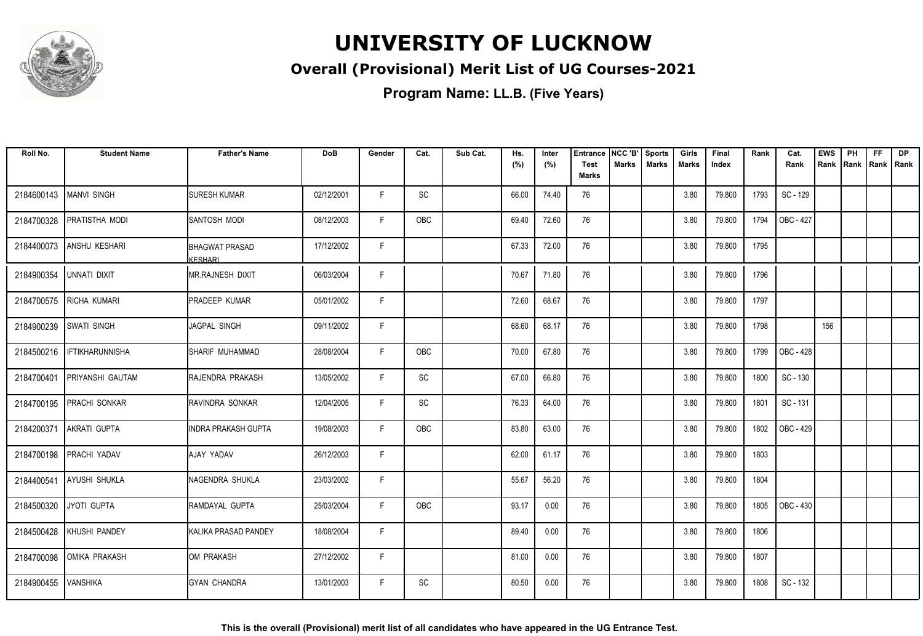

### **Overall (Provisional) Merit List of UG Courses-2021**

| Roll No.   | <b>Student Name</b>     | <b>Father's Name</b>                      | <b>DoB</b> | Gender | Cat. | Sub Cat. | Hs.<br>(%) | Inter<br>(%) | <b>Entrance</b><br><b>Test</b> | NCC 'B'<br><b>Marks</b> | <b>Sports</b><br><b>Marks</b> | Girls<br>Marks | Final<br>Index | Rank | Cat.<br>Rank | <b>EWS</b><br>Rank | PH<br>Rank   Rank   Rank | <b>FF</b> | <b>DP</b> |
|------------|-------------------------|-------------------------------------------|------------|--------|------|----------|------------|--------------|--------------------------------|-------------------------|-------------------------------|----------------|----------------|------|--------------|--------------------|--------------------------|-----------|-----------|
|            |                         |                                           |            |        |      |          |            |              | <b>Marks</b>                   |                         |                               |                |                |      |              |                    |                          |           |           |
| 2184600143 | <b>MANVI SINGH</b>      | <b>I</b> SURESH KUMAR                     | 02/12/2001 | F.     | SC   |          | 66.00      | 74.40        | 76                             |                         |                               | 3.80           | 79.800         | 1793 | SC - 129     |                    |                          |           |           |
| 2184700328 | <b>PRATISTHA MODI</b>   | <b>ISANTOSH MODI</b>                      | 08/12/2003 | F.     | OBC  |          | 69.40      | 72.60        | 76                             |                         |                               | 3.80           | 79.800         | 1794 | OBC - 427    |                    |                          |           |           |
| 2184400073 | <b>ANSHU KESHARI</b>    | <b>I</b> BHAGWAT PRASAD<br><b>KFSHARI</b> | 17/12/2002 | F.     |      |          | 67.33      | 72.00        | 76                             |                         |                               | 3.80           | 79.800         | 1795 |              |                    |                          |           |           |
| 2184900354 | UNNATI DIXIT            | <b>IMR.RAJNESH DIXIT</b>                  | 06/03/2004 | F      |      |          | 70.67      | 71.80        | 76                             |                         |                               | 3.80           | 79.800         | 1796 |              |                    |                          |           |           |
| 2184700575 | <b>RICHA KUMARI</b>     | <b>PRADEEP KUMAR</b>                      | 05/01/2002 | F      |      |          | 72.60      | 68.67        | 76                             |                         |                               | 3.80           | 79.800         | 1797 |              |                    |                          |           |           |
| 2184900239 | <b>SWATI SINGH</b>      | JAGPAL SINGH                              | 09/11/2002 | F      |      |          | 68.60      | 68.17        | 76                             |                         |                               | 3.80           | 79.800         | 1798 |              | 156                |                          |           |           |
| 2184500216 | <b>IFTIKHARUNNISHA</b>  | <b>I</b> SHARIF MUHAMMAD                  | 28/08/2004 | F.     | OBC  |          | 70.00      | 67.80        | 76                             |                         |                               | 3.80           | 79.800         | 1799 | OBC - 428    |                    |                          |           |           |
| 2184700401 | <b>PRIYANSHI GAUTAM</b> | <b>IRAJENDRA PRAKASH</b>                  | 13/05/2002 | F.     | SC   |          | 67.00      | 66.80        | 76                             |                         |                               | 3.80           | 79.800         | 1800 | SC - 130     |                    |                          |           |           |
| 2184700195 | <b>PRACHI SONKAR</b>    | <b>RAVINDRA SONKAR</b>                    | 12/04/2005 | F.     | SC   |          | 76.33      | 64.00        | 76                             |                         |                               | 3.80           | 79.800         | 1801 | SC - 131     |                    |                          |           |           |
| 2184200371 | AKRATI GUPTA            | INDRA PRAKASH GUPTA                       | 19/08/2003 | F.     | OBC  |          | 83.80      | 63.00        | 76                             |                         |                               | 3.80           | 79.800         | 1802 | OBC - 429    |                    |                          |           |           |
| 2184700198 | PRACHI YADAV            | AJAY YADAV                                | 26/12/2003 | F.     |      |          | 62.00      | 61.17        | 76                             |                         |                               | 3.80           | 79.800         | 1803 |              |                    |                          |           |           |
| 2184400541 | <b>AYUSHI SHUKLA</b>    | <b>I</b> NAGENDRA SHUKLA                  | 23/03/2002 | F      |      |          | 55.67      | 56.20        | 76                             |                         |                               | 3.80           | 79.800         | 1804 |              |                    |                          |           |           |
| 2184500320 | JYOTI GUPTA             | RAMDAYAL GUPTA                            | 25/03/2004 | F      | OBC  |          | 93.17      | 0.00         | 76                             |                         |                               | 3.80           | 79.800         | 1805 | OBC - 430    |                    |                          |           |           |
| 2184500428 | KHUSHI PANDEY           | KALIKA PRASAD PANDEY                      | 18/08/2004 | F.     |      |          | 89.40      | 0.00         | 76                             |                         |                               | 3.80           | 79.800         | 1806 |              |                    |                          |           |           |
| 2184700098 | <b>OMIKA PRAKASH</b>    | <b>I</b> OM PRAKASH                       | 27/12/2002 | F.     |      |          | 81.00      | 0.00         | 76                             |                         |                               | 3.80           | 79.800         | 1807 |              |                    |                          |           |           |
| 2184900455 | <b>VANSHIKA</b>         | IGYAN CHANDRA                             | 13/01/2003 | F.     | SC   |          | 80.50      | 0.00         | 76                             |                         |                               | 3.80           | 79.800         | 1808 | SC - 132     |                    |                          |           |           |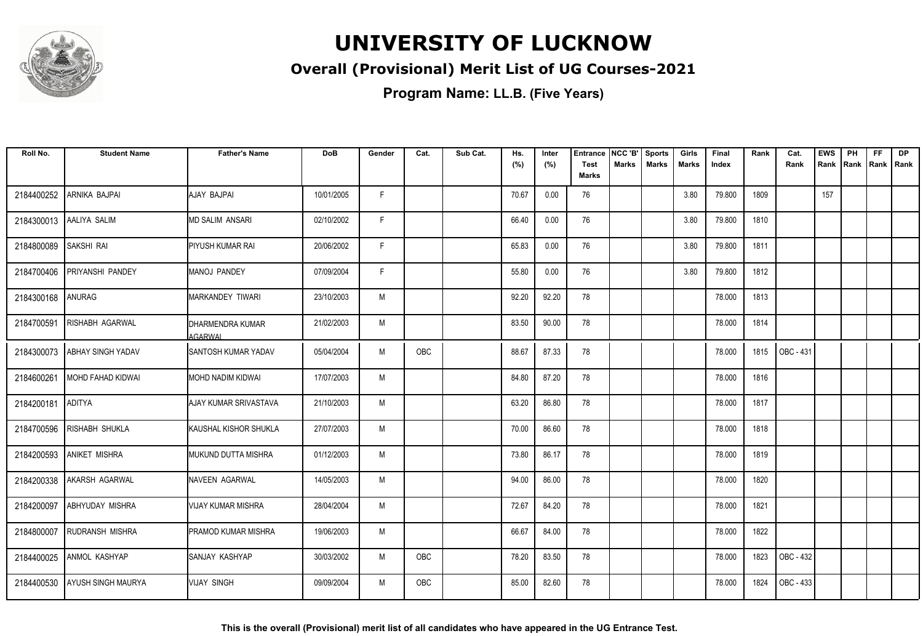

### **Overall (Provisional) Merit List of UG Courses-2021**

| Roll No.   | <b>Student Name</b>       | <b>Father's Name</b>        | <b>DoB</b> | Gender | Cat.       | Sub Cat. | Hs.<br>(%) | Inter<br>(%) | Entrance<br><b>Test</b><br><b>Marks</b> | NCC 'B'<br>Marks | <b>Sports</b><br><b>Marks</b> | Girls<br>Marks | Final<br>Index | Rank | Cat.<br>Rank     | <b>EWS</b><br>Rank | PH<br>Rank | FF.<br>Rank   Rank | <b>DP</b> |
|------------|---------------------------|-----------------------------|------------|--------|------------|----------|------------|--------------|-----------------------------------------|------------------|-------------------------------|----------------|----------------|------|------------------|--------------------|------------|--------------------|-----------|
| 2184400252 | ARNIKA BAJPAI             | AJAY BAJPAI                 | 10/01/2005 | F      |            |          | 70.67      | 0.00         | 76                                      |                  |                               | 3.80           | 79.800         | 1809 |                  | 157                |            |                    |           |
| 2184300013 | AALIYA SALIM              | <b>MD SALIM ANSARI</b>      | 02/10/2002 | F.     |            |          | 66.40      | 0.00         | 76                                      |                  |                               | 3.80           | 79.800         | 1810 |                  |                    |            |                    |           |
| 2184800089 | <b>SAKSHI RAI</b>         | PIYUSH KUMAR RAI            | 20/06/2002 | F      |            |          | 65.83      | 0.00         | 76                                      |                  |                               | 3.80           | 79.800         | 1811 |                  |                    |            |                    |           |
| 2184700406 | PRIYANSHI PANDEY          | MANOJ PANDEY                | 07/09/2004 | F      |            |          | 55.80      | 0.00         | 76                                      |                  |                               | 3.80           | 79.800         | 1812 |                  |                    |            |                    |           |
| 2184300168 | ANURAG                    | MARKANDEY TIWARI            | 23/10/2003 | M      |            |          | 92.20      | 92.20        | 78                                      |                  |                               |                | 78.000         | 1813 |                  |                    |            |                    |           |
| 2184700591 | <b>RISHABH AGARWAL</b>    | DHARMENDRA KUMAR<br>AGARWAI | 21/02/2003 | M      |            |          | 83.50      | 90.00        | 78                                      |                  |                               |                | 78.000         | 1814 |                  |                    |            |                    |           |
| 2184300073 | <b>ABHAY SINGH YADAV</b>  | ISANTOSH KUMAR YADAV        | 05/04/2004 | M      | OBC        |          | 88.67      | 87.33        | 78                                      |                  |                               |                | 78.000         | 1815 | <b>OBC - 431</b> |                    |            |                    |           |
| 2184600261 | MOHD FAHAD KIDWAI         | IMOHD NADIM KIDWAI          | 17/07/2003 | M      |            |          | 84.80      | 87.20        | 78                                      |                  |                               |                | 78.000         | 1816 |                  |                    |            |                    |           |
| 2184200181 | <b>ADITYA</b>             | AJAY KUMAR SRIVASTAVA       | 21/10/2003 | M      |            |          | 63.20      | 86.80        | 78                                      |                  |                               |                | 78.000         | 1817 |                  |                    |            |                    |           |
| 2184700596 | <b>RISHABH SHUKLA</b>     | KAUSHAL KISHOR SHUKLA       | 27/07/2003 | M      |            |          | 70.00      | 86.60        | 78                                      |                  |                               |                | 78.000         | 1818 |                  |                    |            |                    |           |
| 2184200593 | <b>ANIKET MISHRA</b>      | MUKUND DUTTA MISHRA         | 01/12/2003 | M      |            |          | 73.80      | 86.17        | 78                                      |                  |                               |                | 78.000         | 1819 |                  |                    |            |                    |           |
| 2184200338 | AKARSH AGARWAL            | <b>INAVEEN AGARWAL</b>      | 14/05/2003 | M      |            |          | 94.00      | 86.00        | 78                                      |                  |                               |                | 78.000         | 1820 |                  |                    |            |                    |           |
| 2184200097 | <b>ABHYUDAY MISHRA</b>    | VIJAY KUMAR MISHRA          | 28/04/2004 | M      |            |          | 72.67      | 84.20        | 78                                      |                  |                               |                | 78.000         | 1821 |                  |                    |            |                    |           |
| 2184800007 | RUDRANSH MISHRA           | PRAMOD KUMAR MISHRA         | 19/06/2003 | M      |            |          | 66.67      | 84.00        | 78                                      |                  |                               |                | 78.000         | 1822 |                  |                    |            |                    |           |
| 2184400025 | ANMOL KASHYAP             | SANJAY KASHYAP              | 30/03/2002 | M      | OBC        |          | 78.20      | 83.50        | 78                                      |                  |                               |                | 78.000         | 1823 | OBC - 432        |                    |            |                    |           |
| 2184400530 | <b>AYUSH SINGH MAURYA</b> | <b>VIJAY SINGH</b>          | 09/09/2004 | M      | <b>OBC</b> |          | 85.00      | 82.60        | 78                                      |                  |                               |                | 78.000         | 1824 | OBC - 433        |                    |            |                    |           |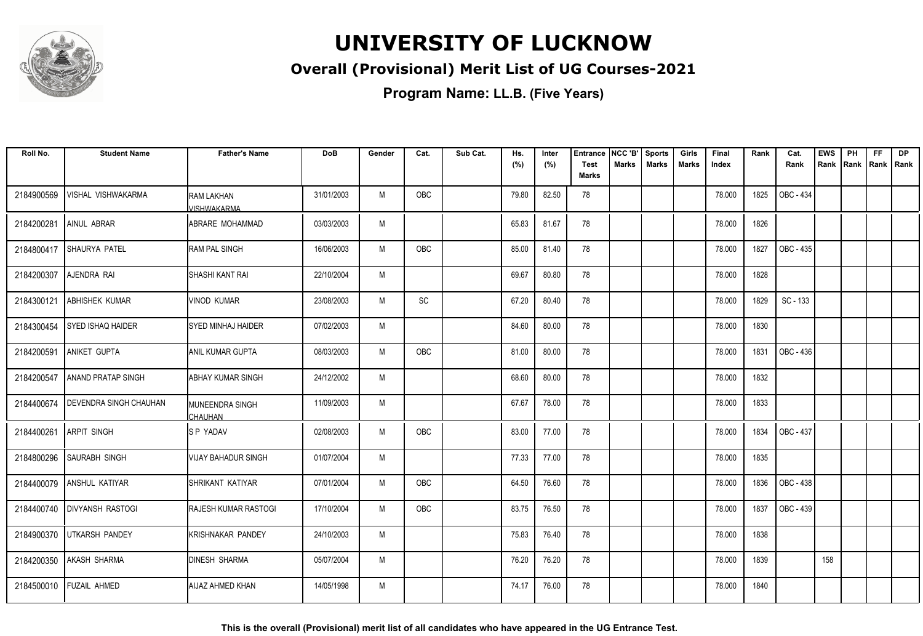

### **Overall (Provisional) Merit List of UG Courses-2021**

| Roll No.   | <b>Student Name</b>           | <b>Father's Name</b>             | <b>DoB</b> | Gender | Cat.       | Sub Cat. | Hs.<br>(%) | Inter<br>(%) | <b>Entrance</b><br><b>Test</b> | NCC 'B'<br><b>Marks</b> | <b>Sports</b><br><b>Marks</b> | Girls<br><b>Marks</b> | Final<br>Index | Rank | Cat.<br>Rank     | <b>EWS</b><br>Rank | PH<br>Rank | FF<br>Rank | <b>DP</b><br>l Rank |
|------------|-------------------------------|----------------------------------|------------|--------|------------|----------|------------|--------------|--------------------------------|-------------------------|-------------------------------|-----------------------|----------------|------|------------------|--------------------|------------|------------|---------------------|
|            |                               |                                  |            |        |            |          |            |              | <b>Marks</b>                   |                         |                               |                       |                |      |                  |                    |            |            |                     |
| 2184900569 | VISHAL VISHWAKARMA            | <b>RAM LAKHAN</b><br>/ISHWAKARMA | 31/01/2003 | M      | OBC        |          | 79.80      | 82.50        | 78                             |                         |                               |                       | 78.000         | 1825 | <b>OBC - 434</b> |                    |            |            |                     |
| 2184200281 | AINUL ABRAR                   | ABRARE MOHAMMAD                  | 03/03/2003 | M      |            |          | 65.83      | 81.67        | 78                             |                         |                               |                       | 78.000         | 1826 |                  |                    |            |            |                     |
| 2184800417 | SHAURYA PATEL                 | <b>RAM PAL SINGH</b>             | 16/06/2003 | M      | <b>OBC</b> |          | 85.00      | 81.40        | 78                             |                         |                               |                       | 78.000         | 1827 | OBC - 435        |                    |            |            |                     |
| 2184200307 | AJENDRA RAI                   | <b>SHASHI KANT RAI</b>           | 22/10/2004 | M      |            |          | 69.67      | 80.80        | 78                             |                         |                               |                       | 78.000         | 1828 |                  |                    |            |            |                     |
| 2184300121 | <b>ABHISHEK KUMAR</b>         | <b>VINOD KUMAR</b>               | 23/08/2003 | M      | SC         |          | 67.20      | 80.40        | 78                             |                         |                               |                       | 78.000         | 1829 | SC - 133         |                    |            |            |                     |
| 2184300454 | <b>SYED ISHAQ HAIDER</b>      | <b>SYED MINHAJ HAIDER</b>        | 07/02/2003 | M      |            |          | 84.60      | 80.00        | 78                             |                         |                               |                       | 78.000         | 1830 |                  |                    |            |            |                     |
| 2184200591 | ANIKET GUPTA                  | ANIL KUMAR GUPTA                 | 08/03/2003 | M      | OBC        |          | 81.00      | 80.00        | 78                             |                         |                               |                       | 78.000         | 1831 | OBC - 436        |                    |            |            |                     |
| 2184200547 | <b>ANAND PRATAP SINGH</b>     | <b>ABHAY KUMAR SINGH</b>         | 24/12/2002 | M      |            |          | 68.60      | 80.00        | 78                             |                         |                               |                       | 78.000         | 1832 |                  |                    |            |            |                     |
| 2184400674 | <b>DEVENDRA SINGH CHAUHAN</b> | MUNEENDRA SINGH<br>CHAUHAN       | 11/09/2003 | M      |            |          | 67.67      | 78.00        | 78                             |                         |                               |                       | 78.000         | 1833 |                  |                    |            |            |                     |
| 2184400261 | <b>ARPIT SINGH</b>            | <b>SPYADAV</b>                   | 02/08/2003 | M      | <b>OBC</b> |          | 83.00      | 77.00        | 78                             |                         |                               |                       | 78.000         | 1834 | <b>OBC - 437</b> |                    |            |            |                     |
| 2184800296 | <b>SAURABH SINGH</b>          | <b>VIJAY BAHADUR SINGH</b>       | 01/07/2004 | M      |            |          | 77.33      | 77.00        | 78                             |                         |                               |                       | 78.000         | 1835 |                  |                    |            |            |                     |
| 2184400079 | <b>ANSHUL KATIYAR</b>         | SHRIKANT KATIYAR                 | 07/01/2004 | M      | OBC        |          | 64.50      | 76.60        | 78                             |                         |                               |                       | 78.000         | 1836 | OBC - 438        |                    |            |            |                     |
|            | 2184400740   DIVYANSH RASTOGI | <b>IRAJESH KUMAR RASTOGI</b>     | 17/10/2004 | M      | <b>OBC</b> |          | 83.75      | 76.50        | 78                             |                         |                               |                       | 78.000         | 1837 | OBC - 439        |                    |            |            |                     |
| 2184900370 | UTKARSH PANDEY                | <b>KRISHNAKAR PANDEY</b>         | 24/10/2003 | M      |            |          | 75.83      | 76.40        | 78                             |                         |                               |                       | 78.000         | 1838 |                  |                    |            |            |                     |
| 2184200350 | <b>AKASH SHARMA</b>           | <b>DINESH SHARMA</b>             | 05/07/2004 | M      |            |          | 76.20      | 76.20        | 78                             |                         |                               |                       | 78.000         | 1839 |                  | 158                |            |            |                     |
|            | 2184500010 FUZAIL AHMED       | <b>AIJAZ AHMED KHAN</b>          | 14/05/1998 | M      |            |          | 74.17      | 76.00        | 78                             |                         |                               |                       | 78.000         | 1840 |                  |                    |            |            |                     |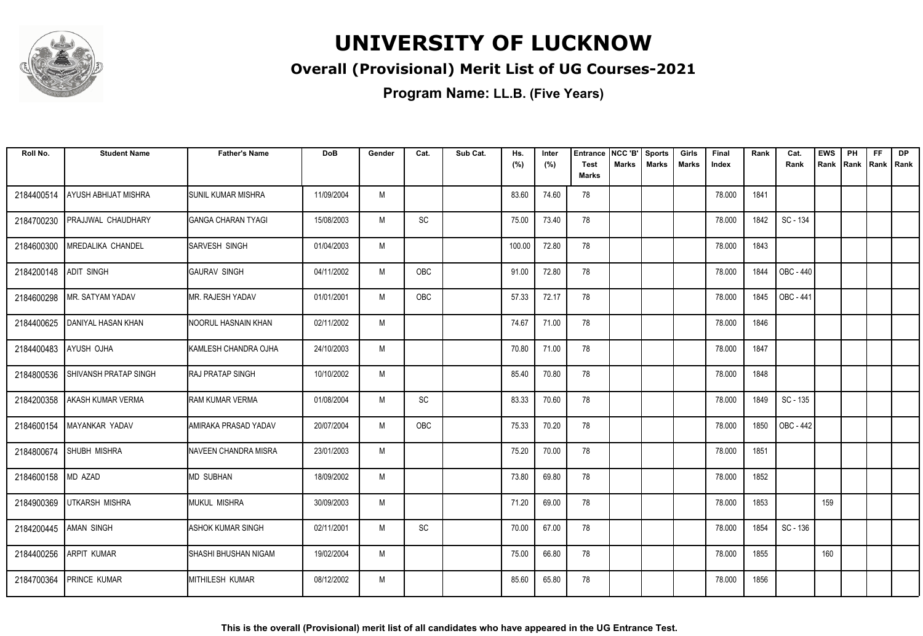

### **Overall (Provisional) Merit List of UG Courses-2021**

| Roll No.              | <b>Student Name</b>          | <b>Father's Name</b>          | <b>DoB</b> | Gender | Cat.      | Sub Cat. | Hs.<br>(%) | Inter<br>(%) | Entrance<br><b>Test</b> | NCC 'B'<br>Marks | <b>Sports</b><br><b>Marks</b> | Girls<br><b>Marks</b> | Final<br>Index | Rank | Cat.<br>Rank | <b>EWS</b><br>Rank | PH<br>Rank | FF<br>Rank   Rank | <b>DP</b> |
|-----------------------|------------------------------|-------------------------------|------------|--------|-----------|----------|------------|--------------|-------------------------|------------------|-------------------------------|-----------------------|----------------|------|--------------|--------------------|------------|-------------------|-----------|
|                       |                              |                               |            |        |           |          |            |              | <b>Marks</b>            |                  |                               |                       |                |      |              |                    |            |                   |           |
| 2184400514            | AYUSH ABHIJAT MISHRA         | <b>ISUNIL KUMAR MISHRA</b>    | 11/09/2004 | M      |           |          | 83.60      | 74.60        | 78                      |                  |                               |                       | 78.000         | 1841 |              |                    |            |                   |           |
| 2184700230            | PRAJJWAL CHAUDHARY           | <b>GANGA CHARAN TYAGI</b>     | 15/08/2003 | M      | SC        |          | 75.00      | 73.40        | 78                      |                  |                               |                       | 78.000         | 1842 | SC - 134     |                    |            |                   |           |
| 2184600300            | MREDALIKA CHANDEL            | <b>ISARVESH SINGH</b>         | 01/04/2003 | M      |           |          | 100.00     | 72.80        | 78                      |                  |                               |                       | 78.000         | 1843 |              |                    |            |                   |           |
| 2184200148            | <b>ADIT SINGH</b>            | IGAURAV SINGH                 | 04/11/2002 | M      | OBC       |          | 91.00      | 72.80        | 78                      |                  |                               |                       | 78.000         | 1844 | OBC - 440    |                    |            |                   |           |
| 2184600298            | MR. SATYAM YADAV             | MR. RAJESH YADAV              | 01/01/2001 | M      | OBC       |          | 57.33      | 72.17        | 78                      |                  |                               |                       | 78.000         | 1845 | OBC - 441    |                    |            |                   |           |
| 2184400625            | <b>DANIYAL HASAN KHAN</b>    | INOORUL HASNAIN KHAN          | 02/11/2002 | M      |           |          | 74.67      | 71.00        | 78                      |                  |                               |                       | 78.000         | 1846 |              |                    |            |                   |           |
| 2184400483            | AYUSH OJHA                   | KAMLESH CHANDRA OJHA          | 24/10/2003 | M      |           |          | 70.80      | 71.00        | 78                      |                  |                               |                       | 78.000         | 1847 |              |                    |            |                   |           |
| 2184800536            | <b>SHIVANSH PRATAP SINGH</b> | IRAJ PRATAP SINGH             | 10/10/2002 | M      |           |          | 85.40      | 70.80        | 78                      |                  |                               |                       | 78.000         | 1848 |              |                    |            |                   |           |
| 2184200358            | <b>AKASH KUMAR VERMA</b>     | <b>RAM KUMAR VERMA</b>        | 01/08/2004 | M      | <b>SC</b> |          | 83.33      | 70.60        | 78                      |                  |                               |                       | 78.000         | 1849 | SC - 135     |                    |            |                   |           |
| 2184600154            | MAYANKAR YADAV               | AMIRAKA PRASAD YADAV          | 20/07/2004 | M      | OBC       |          | 75.33      | 70.20        | 78                      |                  |                               |                       | 78.000         | 1850 | OBC - 442    |                    |            |                   |           |
| 2184800674            | <b>SHUBH MISHRA</b>          | <b>I</b> NAVEEN CHANDRA MISRA | 23/01/2003 | M      |           |          | 75.20      | 70.00        | 78                      |                  |                               |                       | 78.000         | 1851 |              |                    |            |                   |           |
| 2184600158 MD AZAD    |                              | IMD SUBHAN                    | 18/09/2002 | M      |           |          | 73.80      | 69.80        | 78                      |                  |                               |                       | 78.000         | 1852 |              |                    |            |                   |           |
| 2184900369            | <b>UTKARSH MISHRA</b>        | <b>MUKUL MISHRA</b>           | 30/09/2003 | M      |           |          | 71.20      | 69.00        | 78                      |                  |                               |                       | 78.000         | 1853 |              | 159                |            |                   |           |
| 2184200445 AMAN SINGH |                              | <b>ASHOK KUMAR SINGH</b>      | 02/11/2001 | M      | SC        |          | 70.00      | 67.00        | 78                      |                  |                               |                       | 78.000         | 1854 | SC - 136     |                    |            |                   |           |
| 2184400256            | ARPIT KUMAR                  | <b>SHASHI BHUSHAN NIGAM</b>   | 19/02/2004 | M      |           |          | 75.00      | 66.80        | 78                      |                  |                               |                       | 78.000         | 1855 |              | 160                |            |                   |           |
| 2184700364            | <b>PRINCE KUMAR</b>          | <b>IMITHILESH KUMAR</b>       | 08/12/2002 | M      |           |          | 85.60      | 65.80        | 78                      |                  |                               |                       | 78.000         | 1856 |              |                    |            |                   |           |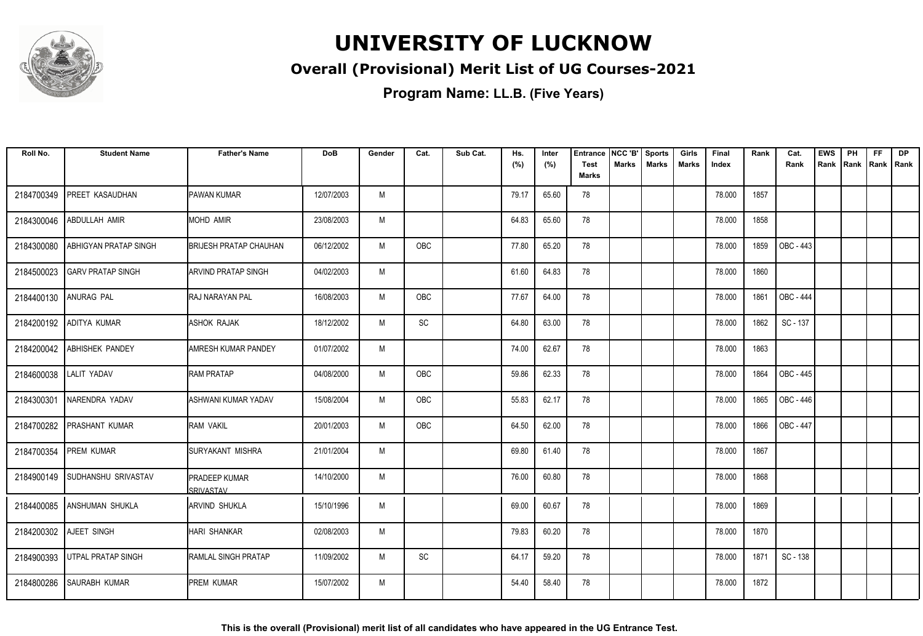

### **Overall (Provisional) Merit List of UG Courses-2021**

| Roll No.               | <b>Student Name</b>            | <b>Father's Name</b>              | <b>DoB</b> | Gender | Cat.       | Sub Cat. | Hs.<br>(%) | Inter<br>(%) | <b>Entrance</b><br><b>Test</b> | NCC 'B'<br><b>Marks</b> | <b>Sports</b><br><b>Marks</b> | Girls<br>Marks | Final<br>Index | Rank | Cat.<br>Rank     | <b>EWS</b><br>Rank | PH<br>Rank | <b>FF</b><br>Rank   Rank | <b>DP</b> |
|------------------------|--------------------------------|-----------------------------------|------------|--------|------------|----------|------------|--------------|--------------------------------|-------------------------|-------------------------------|----------------|----------------|------|------------------|--------------------|------------|--------------------------|-----------|
|                        |                                |                                   |            |        |            |          |            |              | <b>Marks</b>                   |                         |                               |                |                |      |                  |                    |            |                          |           |
| 2184700349             | PREET KASAUDHAN                | <b>PAWAN KUMAR</b>                | 12/07/2003 | M      |            |          | 79.17      | 65.60        | 78                             |                         |                               |                | 78.000         | 1857 |                  |                    |            |                          |           |
| 2184300046             | ABDULLAH AMIR                  | <b>MOHD AMIR</b>                  | 23/08/2003 | M      |            |          | 64.83      | 65.60        | 78                             |                         |                               |                | 78.000         | 1858 |                  |                    |            |                          |           |
| 2184300080             | ABHIGYAN PRATAP SINGH          | <b>BRIJESH PRATAP CHAUHAN</b>     | 06/12/2002 | M      | <b>OBC</b> |          | 77.80      | 65.20        | 78                             |                         |                               |                | 78.000         | 1859 | OBC - 443        |                    |            |                          |           |
| 2184500023             | <b>GARV PRATAP SINGH</b>       | <b>ARVIND PRATAP SINGH</b>        | 04/02/2003 | M      |            |          | 61.60      | 64.83        | 78                             |                         |                               |                | 78.000         | 1860 |                  |                    |            |                          |           |
| 2184400130             | <b>ANURAG PAL</b>              | <b>RAJ NARAYAN PAL</b>            | 16/08/2003 | M      | <b>OBC</b> |          | 77.67      | 64.00        | 78                             |                         |                               |                | 78.000         | 1861 | <b>OBC - 444</b> |                    |            |                          |           |
| 2184200192             | ADITYA KUMAR                   | <b>ASHOK RAJAK</b>                | 18/12/2002 | M      | SC         |          | 64.80      | 63.00        | 78                             |                         |                               |                | 78.000         | 1862 | SC - 137         |                    |            |                          |           |
|                        | 2184200042 ABHISHEK PANDEY     | <b>AMRESH KUMAR PANDEY</b>        | 01/07/2002 | M      |            |          | 74.00      | 62.67        | 78                             |                         |                               |                | 78.000         | 1863 |                  |                    |            |                          |           |
| 2184600038 LALIT YADAV |                                | <b>RAM PRATAP</b>                 | 04/08/2000 | M      | <b>OBC</b> |          | 59.86      | 62.33        | 78                             |                         |                               |                | 78.000         | 1864 | OBC - 445        |                    |            |                          |           |
| 2184300301             | <b>NARENDRA YADAV</b>          | ASHWANI KUMAR YADAV               | 15/08/2004 | M      | OBC        |          | 55.83      | 62.17        | 78                             |                         |                               |                | 78.000         | 1865 | OBC - 446        |                    |            |                          |           |
| 2184700282             | <b>PRASHANT KUMAR</b>          | RAM VAKIL                         | 20/01/2003 | M      | <b>OBC</b> |          | 64.50      | 62.00        | 78                             |                         |                               |                | 78.000         | 1866 | <b>OBC - 447</b> |                    |            |                          |           |
| 2184700354             | <b>PREM KUMAR</b>              | ISURYAKANT MISHRA                 | 21/01/2004 | M      |            |          | 69.80      | 61.40        | 78                             |                         |                               |                | 78.000         | 1867 |                  |                    |            |                          |           |
|                        | 2184900149 SUDHANSHU SRIVASTAV | PRADEEP KUMAR<br><b>SRIVASTAV</b> | 14/10/2000 | M      |            |          | 76.00      | 60.80        | 78                             |                         |                               |                | 78.000         | 1868 |                  |                    |            |                          |           |
|                        | 2184400085 ANSHUMAN SHUKLA     | <b>JARVIND SHUKLA</b>             | 15/10/1996 | M      |            |          | 69.00      | 60.67        | 78                             |                         |                               |                | 78.000         | 1869 |                  |                    |            |                          |           |
|                        | 2184200302 AJEET SINGH         | HARI SHANKAR                      | 02/08/2003 | M      |            |          | 79.83      | 60.20        | 78                             |                         |                               |                | 78.000         | 1870 |                  |                    |            |                          |           |
| 2184900393             | <b>UTPAL PRATAP SINGH</b>      | <b>RAMLAL SINGH PRATAP</b>        | 11/09/2002 | M      | SC         |          | 64.17      | 59.20        | 78                             |                         |                               |                | 78.000         | 1871 | SC - 138         |                    |            |                          |           |
| 2184800286             | SAURABH KUMAR                  | PREM KUMAR                        | 15/07/2002 | M      |            |          | 54.40      | 58.40        | 78                             |                         |                               |                | 78.000         | 1872 |                  |                    |            |                          |           |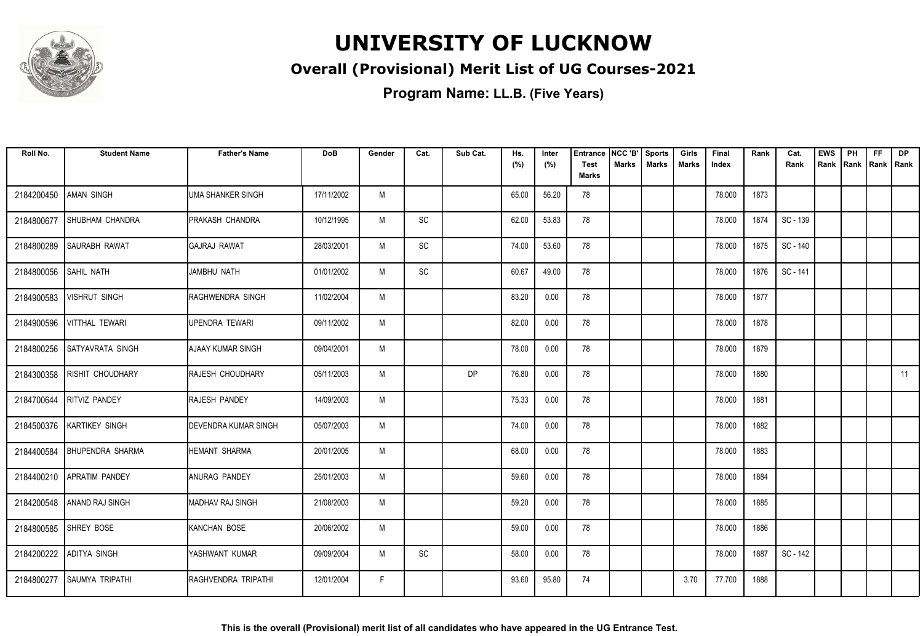

### **Overall (Provisional) Merit List of UG Courses-2021**

| Roll No.   | <b>Student Name</b>         | <b>Father's Name</b>        | <b>DoB</b> | Gender | Cat.                         | Sub Cat.  | Hs.<br>(%) | Inter<br>(%) | <b>Entrance</b><br><b>Test</b> | NCC 'B'<br>Marks | <b>Sports</b><br><b>Marks</b> | Girls<br><b>Marks</b> | Final<br>Index | Rank | Cat.<br>Rank | <b>EWS</b><br>Rank | PH<br>Rank | <b>FF</b><br>Rank   Rank | <b>DP</b> |
|------------|-----------------------------|-----------------------------|------------|--------|------------------------------|-----------|------------|--------------|--------------------------------|------------------|-------------------------------|-----------------------|----------------|------|--------------|--------------------|------------|--------------------------|-----------|
|            |                             |                             |            |        |                              |           |            |              | <b>Marks</b>                   |                  |                               |                       |                |      |              |                    |            |                          |           |
| 2184200450 | <b>AMAN SINGH</b>           | <b>UMA SHANKER SINGH</b>    | 17/11/2002 | M      |                              |           | 65.00      | 56.20        | 78                             |                  |                               |                       | 78.000         | 1873 |              |                    |            |                          |           |
| 2184800677 | SHUBHAM CHANDRA             | PRAKASH CHANDRA             | 10/12/1995 | M      | SC                           |           | 62.00      | 53.83        | 78                             |                  |                               |                       | 78.000         | 1874 | SC - 139     |                    |            |                          |           |
| 2184800289 | <b>SAURABH RAWAT</b>        | <b>IGAJRAJ RAWAT</b>        | 28/03/2001 | M      | SC                           |           | 74.00      | 53.60        | 78                             |                  |                               |                       | 78.000         | 1875 | SC - 140     |                    |            |                          |           |
| 2184800056 | <b>SAHIL NATH</b>           | JAMBHU NATH                 | 01/01/2002 | M      | $\operatorname{\textsf{SC}}$ |           | 60.67      | 49.00        | 78                             |                  |                               |                       | 78.000         | 1876 | SC - 141     |                    |            |                          |           |
| 2184900583 | <b>VISHRUT SINGH</b>        | RAGHWENDRA SINGH            | 11/02/2004 | M      |                              |           | 83.20      | 0.00         | 78                             |                  |                               |                       | 78.000         | 1877 |              |                    |            |                          |           |
| 2184900596 | <b>VITTHAL TEWARI</b>       | UPENDRA TEWARI              | 09/11/2002 | M      |                              |           | 82.00      | 0.00         | 78                             |                  |                               |                       | 78.000         | 1878 |              |                    |            |                          |           |
|            | 2184800256 SATYAVRATA SINGH | <b>AJAAY KUMAR SINGH</b>    | 09/04/2001 | M      |                              |           | 78.00      | 0.00         | 78                             |                  |                               |                       | 78.000         | 1879 |              |                    |            |                          |           |
| 2184300358 | <b>RISHIT CHOUDHARY</b>     | RAJESH CHOUDHARY            | 05/11/2003 | M      |                              | <b>DP</b> | 76.80      | 0.00         | 78                             |                  |                               |                       | 78.000         | 1880 |              |                    |            |                          | 11        |
| 2184700644 | <b>RITVIZ PANDEY</b>        | RAJESH PANDEY               | 14/09/2003 | M      |                              |           | 75.33      | 0.00         | 78                             |                  |                               |                       | 78.000         | 1881 |              |                    |            |                          |           |
| 2184500376 | <b>KARTIKEY SINGH</b>       | <b>DEVENDRA KUMAR SINGH</b> | 05/07/2003 | M      |                              |           | 74.00      | 0.00         | 78                             |                  |                               |                       | 78.000         | 1882 |              |                    |            |                          |           |
| 2184400584 | <b>BHUPENDRA SHARMA</b>     | <b>HEMANT SHARMA</b>        | 20/01/2005 | M      |                              |           | 68.00      | 0.00         | 78                             |                  |                               |                       | 78.000         | 1883 |              |                    |            |                          |           |
|            | 2184400210 APRATIM PANDEY   | ANURAG PANDEY               | 25/01/2003 | M      |                              |           | 59.60      | 0.00         | 78                             |                  |                               |                       | 78.000         | 1884 |              |                    |            |                          |           |
|            | 2184200548 ANAND RAJ SINGH  | MADHAV RAJ SINGH            | 21/08/2003 | M      |                              |           | 59.20      | 0.00         | 78                             |                  |                               |                       | 78.000         | 1885 |              |                    |            |                          |           |
|            | 2184800585 SHREY BOSE       | KANCHAN BOSE                | 20/06/2002 | M      |                              |           | 59.00      | 0.00         | 78                             |                  |                               |                       | 78.000         | 1886 |              |                    |            |                          |           |
| 2184200222 | ADITYA SINGH                | YASHWANT KUMAR              | 09/09/2004 | M      | SC                           |           | 58.00      | 0.00         | 78                             |                  |                               |                       | 78.000         | 1887 | SC - 142     |                    |            |                          |           |
| 2184800277 | <b>SAUMYA TRIPATHI</b>      | RAGHVENDRA TRIPATHI         | 12/01/2004 | F.     |                              |           | 93.60      | 95.80        | 74                             |                  |                               | 3.70                  | 77.700         | 1888 |              |                    |            |                          |           |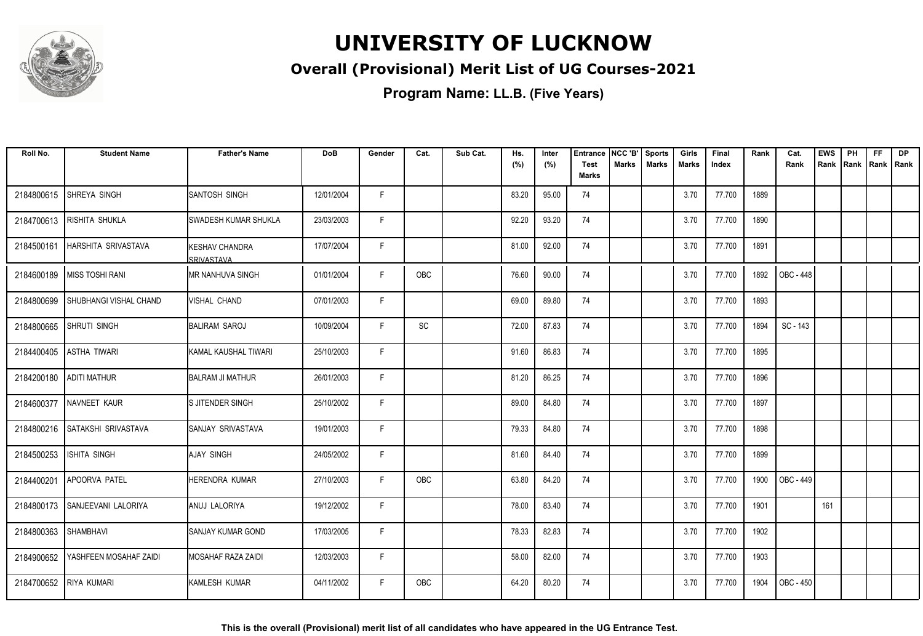

### **Overall (Provisional) Merit List of UG Courses-2021**

| Roll No.   | <b>Student Name</b>            | <b>Father's Name</b>                | <b>DoB</b> | Gender | Cat.       | Sub Cat. | Hs.<br>(%) | Inter<br>(%) | <b>Entrance</b><br><b>Test</b> | NCC 'B'<br><b>Marks</b> | <b>Sports</b><br><b>Marks</b> | Girls<br>Marks | Final<br>Index | Rank | Cat.<br>Rank | <b>EWS</b><br>Rank | PH<br>Rank | <b>FF</b><br>Rank   Rank | <b>DP</b> |
|------------|--------------------------------|-------------------------------------|------------|--------|------------|----------|------------|--------------|--------------------------------|-------------------------|-------------------------------|----------------|----------------|------|--------------|--------------------|------------|--------------------------|-----------|
|            |                                |                                     |            |        |            |          |            |              | <b>Marks</b>                   |                         |                               |                |                |      |              |                    |            |                          |           |
| 2184800615 | SHREYA SINGH                   | SANTOSH SINGH                       | 12/01/2004 | F.     |            |          | 83.20      | 95.00        | 74                             |                         |                               | 3.70           | 77.700         | 1889 |              |                    |            |                          |           |
| 2184700613 | RISHITA SHUKLA                 | <b>SWADESH KUMAR SHUKLA</b>         | 23/03/2003 | F      |            |          | 92.20      | 93.20        | 74                             |                         |                               | 3.70           | 77.700         | 1890 |              |                    |            |                          |           |
| 2184500161 | <b>HARSHITA SRIVASTAVA</b>     | <b>KESHAV CHANDRA</b><br>SRIVASTAVA | 17/07/2004 | F      |            |          | 81.00      | 92.00        | 74                             |                         |                               | 3.70           | 77.700         | 1891 |              |                    |            |                          |           |
| 2184600189 | <b>MISS TOSHI RANI</b>         | <b>MR NANHUVA SINGH</b>             | 01/01/2004 | F      | OBC        |          | 76.60      | 90.00        | 74                             |                         |                               | 3.70           | 77.700         | 1892 | OBC - 448    |                    |            |                          |           |
| 2184800699 | SHUBHANGI VISHAL CHAND         | VISHAL CHAND                        | 07/01/2003 | F      |            |          | 69.00      | 89.80        | 74                             |                         |                               | 3.70           | 77.700         | 1893 |              |                    |            |                          |           |
| 2184800665 | <b>SHRUTI SINGH</b>            | <b>BALIRAM SAROJ</b>                | 10/09/2004 | F      | SC         |          | 72.00      | 87.83        | 74                             |                         |                               | 3.70           | 77.700         | 1894 | SC - 143     |                    |            |                          |           |
| 2184400405 | <b>ASTHA TIWARI</b>            | KAMAL KAUSHAL TIWARI                | 25/10/2003 | F      |            |          | 91.60      | 86.83        | 74                             |                         |                               | 3.70           | 77.700         | 1895 |              |                    |            |                          |           |
| 2184200180 | <b>ADITI MATHUR</b>            | BALRAM JI MATHUR                    | 26/01/2003 | F      |            |          | 81.20      | 86.25        | 74                             |                         |                               | 3.70           | 77.700         | 1896 |              |                    |            |                          |           |
| 2184600377 | NAVNEET KAUR                   | IS JITENDER SINGH                   | 25/10/2002 | F.     |            |          | 89.00      | 84.80        | 74                             |                         |                               | 3.70           | 77.700         | 1897 |              |                    |            |                          |           |
| 2184800216 | <b>SATAKSHI SRIVASTAVA</b>     | SANJAY SRIVASTAVA                   | 19/01/2003 | F      |            |          | 79.33      | 84.80        | 74                             |                         |                               | 3.70           | 77.700         | 1898 |              |                    |            |                          |           |
| 2184500253 | ISHITA SINGH                   | AJAY SINGH                          | 24/05/2002 | F      |            |          | 81.60      | 84.40        | 74                             |                         |                               | 3.70           | 77.700         | 1899 |              |                    |            |                          |           |
| 2184400201 | APOORVA PATEL                  | <b>HERENDRA KUMAR</b>               | 27/10/2003 | F.     | OBC        |          | 63.80      | 84.20        | 74                             |                         |                               | 3.70           | 77.700         | 1900 | OBC - 449    |                    |            |                          |           |
|            | 2184800173 SANJEEVANI LALORIYA | <b>JANUJ LALORIYA</b>               | 19/12/2002 | F      |            |          | 78.00      | 83.40        | 74                             |                         |                               | 3.70           | 77.700         | 1901 |              | 161                |            |                          |           |
| 2184800363 | <b>SHAMBHAVI</b>               | <b>SANJAY KUMAR GOND</b>            | 17/03/2005 | F      |            |          | 78.33      | 82.83        | 74                             |                         |                               | 3.70           | 77.700         | 1902 |              |                    |            |                          |           |
| 2184900652 | YASHFEEN MOSAHAF ZAIDI         | <b>MOSAHAF RAZA ZAIDI</b>           | 12/03/2003 | F      |            |          | 58.00      | 82.00        | 74                             |                         |                               | 3.70           | 77.700         | 1903 |              |                    |            |                          |           |
| 2184700652 | <b>RIYA KUMARI</b>             | KAMLESH KUMAR                       | 04/11/2002 | F.     | <b>OBC</b> |          | 64.20      | 80.20        | 74                             |                         |                               | 3.70           | 77.700         | 1904 | OBC - 450    |                    |            |                          |           |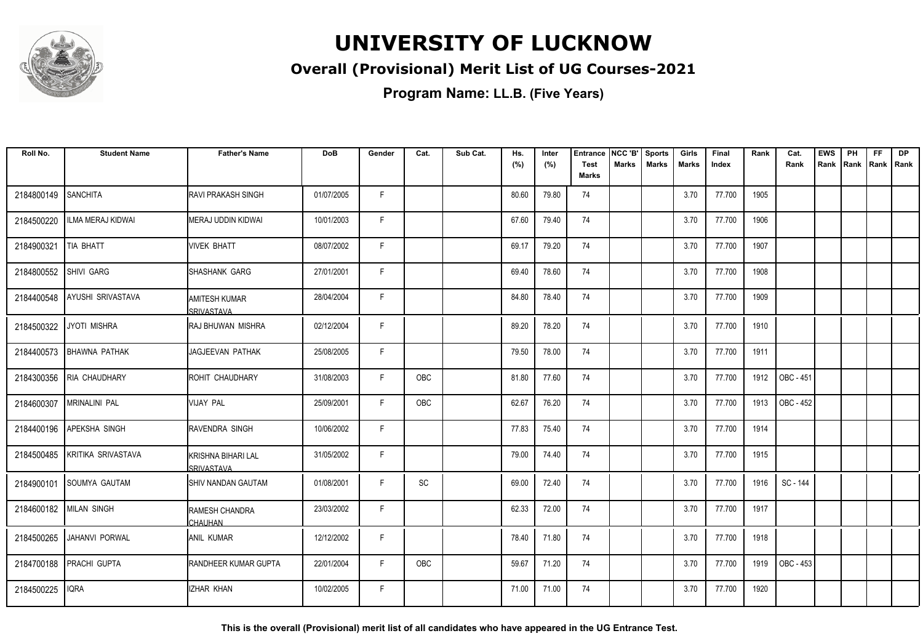

### **Overall (Provisional) Merit List of UG Courses-2021**

**Program Name: LL.B. (Five Years)**

| Roll No.               | <b>Student Name</b>      | <b>Father's Name</b>                    | <b>DoB</b> | Gender | Cat. | Sub Cat. | Hs.<br>(%) | Inter<br>(%) | <b>Entrance</b><br><b>Test</b> | NCC 'B'<br><b>Marks</b> | <b>Sports</b><br><b>Marks</b> | Girls<br><b>Marks</b> | Final<br>Index | Rank | Cat.<br>Rank | <b>EWS</b><br>Rank | PH<br>Rank Rank Rank | <b>FF</b> | <b>DP</b> |
|------------------------|--------------------------|-----------------------------------------|------------|--------|------|----------|------------|--------------|--------------------------------|-------------------------|-------------------------------|-----------------------|----------------|------|--------------|--------------------|----------------------|-----------|-----------|
|                        |                          |                                         |            |        |      |          |            |              | <b>Marks</b>                   |                         |                               |                       |                |      |              |                    |                      |           |           |
| 2184800149             | <b>SANCHITA</b>          | <b>RAVI PRAKASH SINGH</b>               | 01/07/2005 | F      |      |          | 80.60      | 79.80        | 74                             |                         |                               | 3.70                  | 77.700         | 1905 |              |                    |                      |           |           |
| 2184500220             | ILMA MERAJ KIDWAI        | MERAJ UDDIN KIDWAI                      | 10/01/2003 | F.     |      |          | 67.60      | 79.40        | 74                             |                         |                               | 3.70                  | 77.700         | 1906 |              |                    |                      |           |           |
| 2184900321             | TIA BHATT                | VIVEK BHATT                             | 08/07/2002 | F.     |      |          | 69.17      | 79.20        | 74                             |                         |                               | 3.70                  | 77.700         | 1907 |              |                    |                      |           |           |
| 2184800552             | SHIVI GARG               | SHASHANK GARG                           | 27/01/2001 | F.     |      |          | 69.40      | 78.60        | 74                             |                         |                               | 3.70                  | 77.700         | 1908 |              |                    |                      |           |           |
| 2184400548             | AYUSHI SRIVASTAVA        | <b>AMITESH KUMAR</b><br>SRIVASTAVA      | 28/04/2004 | F.     |      |          | 84.80      | 78.40        | 74                             |                         |                               | 3.70                  | 77.700         | 1909 |              |                    |                      |           |           |
|                        | 2184500322 JYOTI MISHRA  | IRAJ BHUWAN MISHRA                      | 02/12/2004 | F      |      |          | 89.20      | 78.20        | 74                             |                         |                               | 3.70                  | 77.700         | 1910 |              |                    |                      |           |           |
|                        | 2184400573 BHAWNA PATHAK | <b>JAGJEEVAN PATHAK</b>                 | 25/08/2005 | F      |      |          | 79.50      | 78.00        | 74                             |                         |                               | 3.70                  | 77.700         | 1911 |              |                    |                      |           |           |
|                        | 2184300356 RIA CHAUDHARY | ROHIT CHAUDHARY                         | 31/08/2003 | F.     | OBC  |          | 81.80      | 77.60        | 74                             |                         |                               | 3.70                  | 77.700         | 1912 | OBC - 451    |                    |                      |           |           |
| 2184600307             | <b>MRINALINI PAL</b>     | <b>VIJAY PAL</b>                        | 25/09/2001 | F      | OBC  |          | 62.67      | 76.20        | 74                             |                         |                               | 3.70                  | 77.700         | 1913 | OBC - 452    |                    |                      |           |           |
| 2184400196             | <b>APEKSHA SINGH</b>     | RAVENDRA SINGH                          | 10/06/2002 | F.     |      |          | 77.83      | 75.40        | 74                             |                         |                               | 3.70                  | 77.700         | 1914 |              |                    |                      |           |           |
| 2184500485             | KRITIKA SRIVASTAVA       | KRISHNA BIHARI LAL<br><b>SRIVASTAVA</b> | 31/05/2002 | F.     |      |          | 79.00      | 74.40        | 74                             |                         |                               | 3.70                  | 77.700         | 1915 |              |                    |                      |           |           |
| 2184900101             | <b>ISOUMYA GAUTAM</b>    | <b>I</b> SHIV NANDAN GAUTAM             | 01/08/2001 | F.     | SC   |          | 69.00      | 72.40        | 74                             |                         |                               | 3.70                  | 77.700         | 1916 | SC - 144     |                    |                      |           |           |
| 2184600182 MILAN SINGH |                          | <b>RAMESH CHANDRA</b><br><b>CHAUHAN</b> | 23/03/2002 | F      |      |          | 62.33      | 72.00        | 74                             |                         |                               | 3.70                  | 77.700         | 1917 |              |                    |                      |           |           |
| 2184500265             | <b>JAHANVI PORWAL</b>    | <b>ANIL KUMAR</b>                       | 12/12/2002 | F      |      |          | 78.40      | 71.80        | 74                             |                         |                               | 3.70                  | 77.700         | 1918 |              |                    |                      |           |           |
| 2184700188             | PRACHI GUPTA             | <b>RANDHEER KUMAR GUPTA</b>             | 22/01/2004 | F      | OBC  |          | 59.67      | 71.20        | 74                             |                         |                               | 3.70                  | 77.700         | 1919 | OBC - 453    |                    |                      |           |           |
| 2184500225             | <b>IQRA</b>              | IZHAR KHAN                              | 10/02/2005 | F      |      |          | 71.00      | 71.00        | 74                             |                         |                               | 3.70                  | 77.700         | 1920 |              |                    |                      |           |           |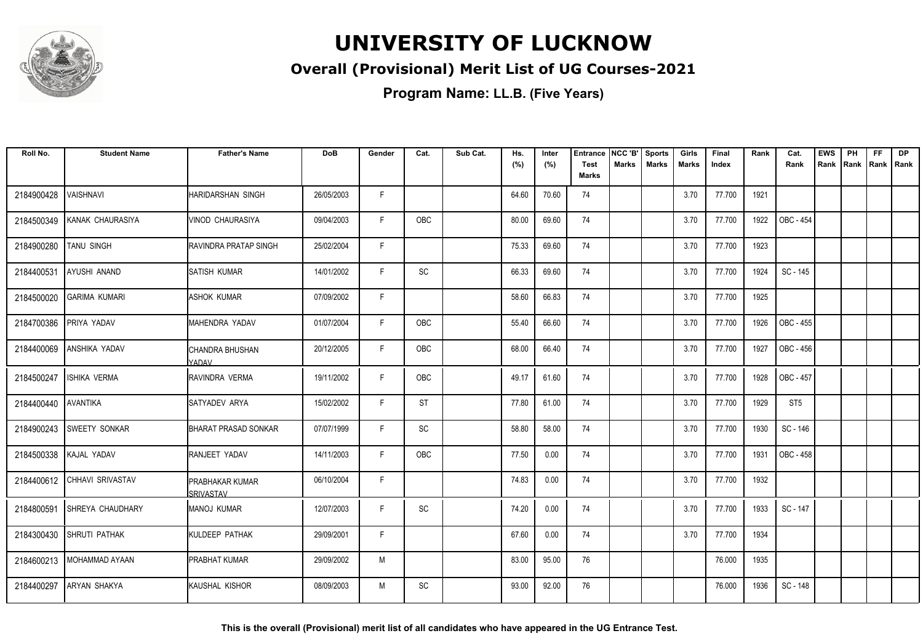

### **Overall (Provisional) Merit List of UG Courses-2021**

**Program Name: LL.B. (Five Years)**

| Roll No.   | <b>Student Name</b>     | <b>Father's Name</b>                | <b>DoB</b> | Gender | Cat.                         | Sub Cat. | Hs.<br>(%) | Inter<br>(%) | <b>Entrance</b><br><b>Test</b> | NCC 'B'<br><b>Marks</b> | <b>Sports</b><br><b>Marks</b> | Girls<br><b>Marks</b> | Final<br>Index | Rank | Cat.<br>Rank     | <b>EWS</b><br>Rank Rank | PH | <b>FF</b> | <b>DP</b><br>Rank   Rank |
|------------|-------------------------|-------------------------------------|------------|--------|------------------------------|----------|------------|--------------|--------------------------------|-------------------------|-------------------------------|-----------------------|----------------|------|------------------|-------------------------|----|-----------|--------------------------|
|            |                         |                                     |            |        |                              |          |            |              | Marks                          |                         |                               |                       |                |      |                  |                         |    |           |                          |
| 2184900428 | VAISHNAVI               | <b>HARIDARSHAN SINGH</b>            | 26/05/2003 | F      |                              |          | 64.60      | 70.60        | 74                             |                         |                               | 3.70                  | 77.700         | 1921 |                  |                         |    |           |                          |
| 2184500349 | KANAK CHAURASIYA        | VINOD CHAURASIYA                    | 09/04/2003 | F      | <b>OBC</b>                   |          | 80.00      | 69.60        | 74                             |                         |                               | 3.70                  | 77.700         | 1922 | OBC - 454        |                         |    |           |                          |
| 2184900280 | <b>TANU SINGH</b>       | RAVINDRA PRATAP SINGH               | 25/02/2004 | F      |                              |          | 75.33      | 69.60        | 74                             |                         |                               | 3.70                  | 77.700         | 1923 |                  |                         |    |           |                          |
| 2184400531 | AYUSHI ANAND            | <b>SATISH KUMAR</b>                 | 14/01/2002 | F      | $\operatorname{\textsf{SC}}$ |          | 66.33      | 69.60        | 74                             |                         |                               | 3.70                  | 77.700         | 1924 | SC - 145         |                         |    |           |                          |
| 2184500020 | <b>GARIMA KUMARI</b>    | <b>ASHOK KUMAR</b>                  | 07/09/2002 | F      |                              |          | 58.60      | 66.83        | 74                             |                         |                               | 3.70                  | 77.700         | 1925 |                  |                         |    |           |                          |
| 2184700386 | <b>PRIYA YADAV</b>      | MAHENDRA YADAV                      | 01/07/2004 | F      | OBC                          |          | 55.40      | 66.60        | 74                             |                         |                               | 3.70                  | 77.700         | 1926 | OBC - 455        |                         |    |           |                          |
| 2184400069 | <b>ANSHIKA YADAV</b>    | CHANDRA BHUSHAN<br>YADAV            | 20/12/2005 | F.     | OBC                          |          | 68.00      | 66.40        | 74                             |                         |                               | 3.70                  | 77.700         | 1927 | OBC - 456        |                         |    |           |                          |
| 2184500247 | <b>ISHIKA VERMA</b>     | IRAVINDRA VERMA                     | 19/11/2002 | F      | OBC                          |          | 49.17      | 61.60        | 74                             |                         |                               | 3.70                  | 77.700         | 1928 | OBC - 457        |                         |    |           |                          |
| 2184400440 | AVANTIKA                | <b>ISATYADEV ARYA</b>               | 15/02/2002 | F      | <b>ST</b>                    |          | 77.80      | 61.00        | 74                             |                         |                               | 3.70                  | 77.700         | 1929 | ST <sub>5</sub>  |                         |    |           |                          |
| 2184900243 | <b>SWEETY SONKAR</b>    | <b>BHARAT PRASAD SONKAR</b>         | 07/07/1999 | F      | SC                           |          | 58.80      | 58.00        | 74                             |                         |                               | 3.70                  | 77.700         | 1930 | SC - 146         |                         |    |           |                          |
| 2184500338 | KAJAL YADAV             | <b>IRANJEET YADAV</b>               | 14/11/2003 | F      | <b>OBC</b>                   |          | 77.50      | 0.00         | 74                             |                         |                               | 3.70                  | 77.700         | 1931 | <b>OBC - 458</b> |                         |    |           |                          |
| 2184400612 | <b>CHHAVI SRIVASTAV</b> | <b>PRABHAKAR KUMAR</b><br>SRIVASTAV | 06/10/2004 | F.     |                              |          | 74.83      | 0.00         | 74                             |                         |                               | 3.70                  | 77.700         | 1932 |                  |                         |    |           |                          |
| 2184800591 | <b>SHREYA CHAUDHARY</b> | MANOJ KUMAR                         | 12/07/2003 | F      | SC                           |          | 74.20      | 0.00         | 74                             |                         |                               | 3.70                  | 77.700         | 1933 | SC - 147         |                         |    |           |                          |
| 2184300430 | <b>SHRUTI PATHAK</b>    | <b>I</b> KULDEEP PATHAK             | 29/09/2001 | F      |                              |          | 67.60      | 0.00         | 74                             |                         |                               | 3.70                  | 77.700         | 1934 |                  |                         |    |           |                          |
| 2184600213 | MOHAMMAD AYAAN          | <b>PRABHAT KUMAR</b>                | 29/09/2002 | M      |                              |          | 83.00      | 95.00        | 76                             |                         |                               |                       | 76.000         | 1935 |                  |                         |    |           |                          |
| 2184400297 | <b>ARYAN SHAKYA</b>     | KAUSHAL KISHOR                      | 08/09/2003 | M      | SC                           |          | 93.00      | 92.00        | 76                             |                         |                               |                       | 76.000         | 1936 | SC - 148         |                         |    |           |                          |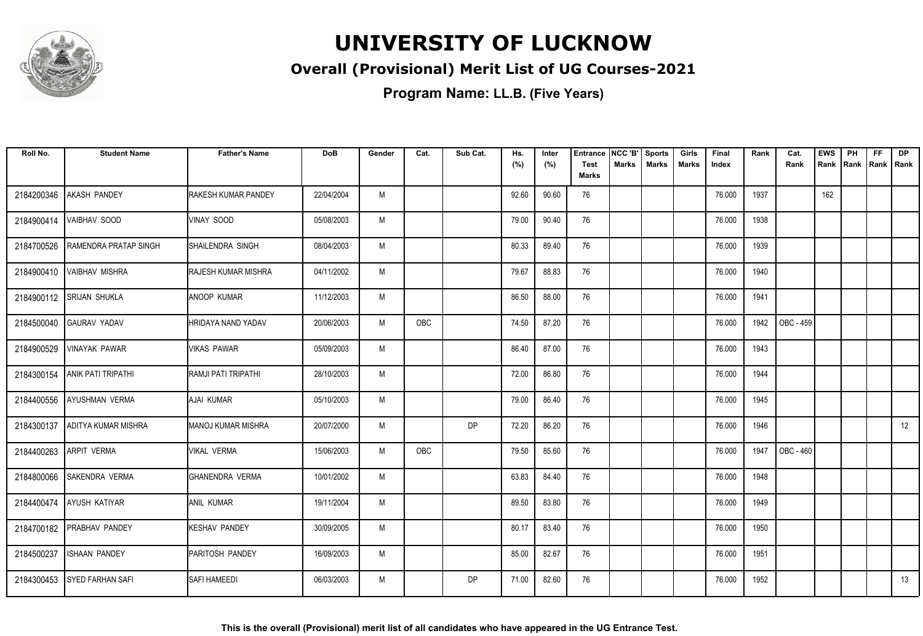

### **Overall (Provisional) Merit List of UG Courses-2021**

| Roll No.   | <b>Student Name</b>          | <b>Father's Name</b>      | <b>DoB</b> | Gender | Cat. | Sub Cat.  | Hs.<br>(%) | Inter<br>(%) | <b>Entrance</b><br><b>Test</b> | NCC 'B'<br>Marks | <b>Sports</b><br><b>Marks</b> | Girls<br>Marks | Final<br>Index | Rank | Cat.<br>Rank | <b>EWS</b><br>Rank | PH<br>Rank Rank Rank | <b>FF</b> | <b>DP</b> |
|------------|------------------------------|---------------------------|------------|--------|------|-----------|------------|--------------|--------------------------------|------------------|-------------------------------|----------------|----------------|------|--------------|--------------------|----------------------|-----------|-----------|
|            |                              |                           |            |        |      |           |            |              | <b>Marks</b>                   |                  |                               |                |                |      |              |                    |                      |           |           |
| 2184200346 | <b>AKASH PANDEY</b>          | RAKESH KUMAR PANDEY       | 22/04/2004 | M      |      |           | 92.60      | 90.60        | 76                             |                  |                               |                | 76.000         | 1937 |              | 162                |                      |           |           |
| 2184900414 | <b>VAIBHAV SOOD</b>          | <b>VINAY SOOD</b>         | 05/08/2003 | M      |      |           | 79.00      | 90.40        | 76                             |                  |                               |                | 76.000         | 1938 |              |                    |                      |           |           |
| 2184700526 | <b>RAMENDRA PRATAP SINGH</b> | ISHAILENDRA SINGH         | 08/04/2003 | M      |      |           | 80.33      | 89.40        | 76                             |                  |                               |                | 76.000         | 1939 |              |                    |                      |           |           |
| 2184900410 | <b>VAIBHAV MISHRA</b>        | RAJESH KUMAR MISHRA       | 04/11/2002 | M      |      |           | 79.67      | 88.83        | 76                             |                  |                               |                | 76.000         | 1940 |              |                    |                      |           |           |
| 2184900112 | <b>SRIJAN SHUKLA</b>         | <b>ANOOP KUMAR</b>        | 11/12/2003 | M      |      |           | 86.50      | 88.00        | 76                             |                  |                               |                | 76.000         | 1941 |              |                    |                      |           |           |
|            | 2184500040 GAURAV YADAV      | <b>HRIDAYA NAND YADAV</b> | 20/06/2003 | M      | OBC  |           | 74.50      | 87.20        | 76                             |                  |                               |                | 76.000         | 1942 | OBC - 459    |                    |                      |           |           |
| 2184900529 | <b>VINAYAK PAWAR</b>         | <b>VIKAS PAWAR</b>        | 05/09/2003 | M      |      |           | 86.40      | 87.00        | 76                             |                  |                               |                | 76.000         | 1943 |              |                    |                      |           |           |
| 2184300154 | <b>ANIK PATI TRIPATHI</b>    | RAMJI PATI TRIPATHI       | 28/10/2003 | M      |      |           | 72.00      | 86.80        | 76                             |                  |                               |                | 76.000         | 1944 |              |                    |                      |           |           |
| 2184400556 | <b>AYUSHMAN VERMA</b>        | AJAI KUMAR                | 05/10/2003 | M      |      |           | 79.00      | 86.40        | 76                             |                  |                               |                | 76.000         | 1945 |              |                    |                      |           |           |
| 2184300137 | ADITYA KUMAR MISHRA          | MANOJ KUMAR MISHRA        | 20/07/2000 | M      |      | DP        | 72.20      | 86.20        | 76                             |                  |                               |                | 76.000         | 1946 |              |                    |                      |           | 12        |
| 2184400263 | <b>ARPIT VERMA</b>           | <b>VIKAL VERMA</b>        | 15/06/2003 | M      | OBC  |           | 79.50      | 85.60        | 76                             |                  |                               |                | 76.000         | 1947 | OBC - 460    |                    |                      |           |           |
| 2184800066 | <b>SAKENDRA VERMA</b>        | <b>GHANENDRA VERMA</b>    | 10/01/2002 | M      |      |           | 63.83      | 84.40        | 76                             |                  |                               |                | 76.000         | 1948 |              |                    |                      |           |           |
|            | 2184400474 AYUSH KATIYAR     | <b>ANIL KUMAR</b>         | 19/11/2004 | M      |      |           | 89.50      | 83.80        | 76                             |                  |                               |                | 76.000         | 1949 |              |                    |                      |           |           |
|            | 2184700182 PRABHAV PANDEY    | <b>KESHAV PANDEY</b>      | 30/09/2005 | M      |      |           | 80.17      | 83.40        | 76                             |                  |                               |                | 76.000         | 1950 |              |                    |                      |           |           |
| 2184500237 | <b>ISHAAN PANDEY</b>         | PARITOSH PANDEY           | 16/09/2003 | M      |      |           | 85.00      | 82.67        | 76                             |                  |                               |                | 76.000         | 1951 |              |                    |                      |           |           |
|            | 2184300453 SYED FARHAN SAFI  | SAFI HAMEEDI              | 06/03/2003 | M      |      | <b>DP</b> | 71.00      | 82.60        | 76                             |                  |                               |                | 76.000         | 1952 |              |                    |                      |           | 13        |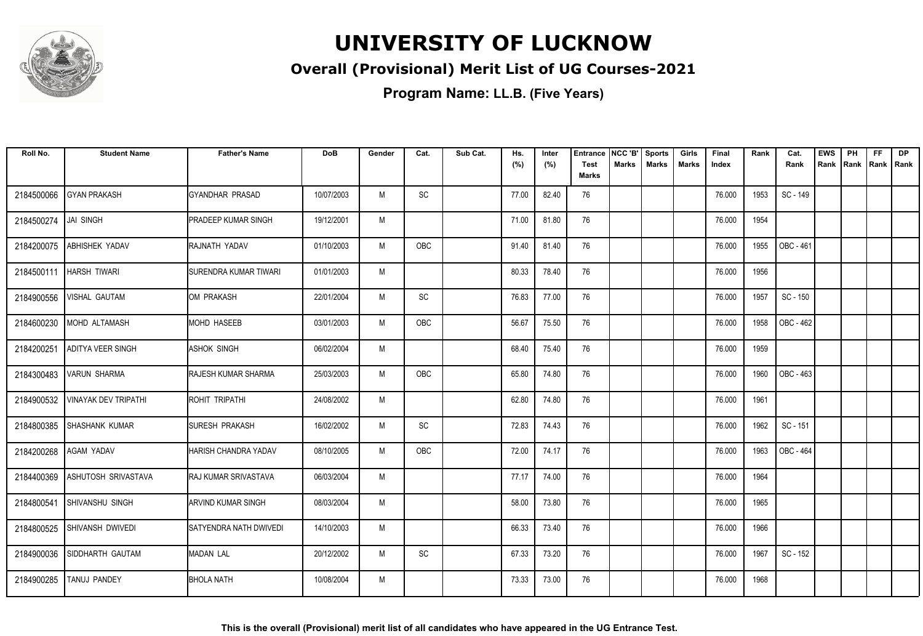

### **Overall (Provisional) Merit List of UG Courses-2021**

| Roll No.   | <b>Student Name</b>         | <b>Father's Name</b>       | <b>DoB</b> | Gender | Cat.       | Sub Cat. | Hs.<br>(%) | Inter<br>(%) | <b>Entrance</b><br><b>Test</b> | NCC 'B'<br><b>Marks</b> | <b>Sports</b><br><b>Marks</b> | Girls<br><b>Marks</b> | Final<br>Index | Rank | Cat.<br>Rank | <b>EWS</b><br>Rank | PH<br>Rank | <b>FF</b><br>Rank   Rank | <b>DP</b> |
|------------|-----------------------------|----------------------------|------------|--------|------------|----------|------------|--------------|--------------------------------|-------------------------|-------------------------------|-----------------------|----------------|------|--------------|--------------------|------------|--------------------------|-----------|
|            |                             |                            |            |        |            |          |            |              | <b>Marks</b>                   |                         |                               |                       |                |      |              |                    |            |                          |           |
| 2184500066 | <b>GYAN PRAKASH</b>         | GYANDHAR PRASAD            | 10/07/2003 | M      | SC         |          | 77.00      | 82.40        | 76                             |                         |                               |                       | 76.000         | 1953 | SC - 149     |                    |            |                          |           |
| 2184500274 | <b>JAI SINGH</b>            | <b>PRADEEP KUMAR SINGH</b> | 19/12/2001 | M      |            |          | 71.00      | 81.80        | 76                             |                         |                               |                       | 76.000         | 1954 |              |                    |            |                          |           |
| 2184200075 | <b>ABHISHEK YADAV</b>       | RAJNATH YADAV              | 01/10/2003 | M      | <b>OBC</b> |          | 91.40      | 81.40        | 76                             |                         |                               |                       | 76.000         | 1955 | OBC - 461    |                    |            |                          |           |
| 2184500111 | <b>HARSH TIWARI</b>         | SURENDRA KUMAR TIWARI      | 01/01/2003 | M      |            |          | 80.33      | 78.40        | 76                             |                         |                               |                       | 76.000         | 1956 |              |                    |            |                          |           |
| 2184900556 | VISHAL GAUTAM               | OM PRAKASH                 | 22/01/2004 | M      | SC         |          | 76.83      | 77.00        | 76                             |                         |                               |                       | 76.000         | 1957 | SC - 150     |                    |            |                          |           |
| 2184600230 | MOHD ALTAMASH               | <b>MOHD HASEEB</b>         | 03/01/2003 | M      | <b>OBC</b> |          | 56.67      | 75.50        | 76                             |                         |                               |                       | 76.000         | 1958 | OBC - 462    |                    |            |                          |           |
| 2184200251 | <b>ADITYA VEER SINGH</b>    | <b>ASHOK SINGH</b>         | 06/02/2004 | M      |            |          | 68.40      | 75.40        | 76                             |                         |                               |                       | 76.000         | 1959 |              |                    |            |                          |           |
| 2184300483 | <b>VARUN SHARMA</b>         | <b>RAJESH KUMAR SHARMA</b> | 25/03/2003 | M      | <b>OBC</b> |          | 65.80      | 74.80        | 76                             |                         |                               |                       | 76.000         | 1960 | OBC - 463    |                    |            |                          |           |
| 2184900532 | <b>VINAYAK DEV TRIPATHI</b> | ROHIT TRIPATHI             | 24/08/2002 | M      |            |          | 62.80      | 74.80        | 76                             |                         |                               |                       | 76.000         | 1961 |              |                    |            |                          |           |
| 2184800385 | <b>SHASHANK KUMAR</b>       | <b>SURESH PRAKASH</b>      | 16/02/2002 | M      | SC         |          | 72.83      | 74.43        | 76                             |                         |                               |                       | 76.000         | 1962 | SC - 151     |                    |            |                          |           |
| 2184200268 | <b>AGAM YADAV</b>           | HARISH CHANDRA YADAV       | 08/10/2005 | M      | OBC        |          | 72.00      | 74.17        | 76                             |                         |                               |                       | 76.000         | 1963 | OBC - 464    |                    |            |                          |           |
| 2184400369 | <b>ASHUTOSH SRIVASTAVA</b>  | IRAJ KUMAR SRIVASTAVA      | 06/03/2004 | M      |            |          | 77.17      | 74.00        | 76                             |                         |                               |                       | 76.000         | 1964 |              |                    |            |                          |           |
| 2184800541 | <b>SHIVANSHU SINGH</b>      | <b>ARVIND KUMAR SINGH</b>  | 08/03/2004 | M      |            |          | 58.00      | 73.80        | 76                             |                         |                               |                       | 76.000         | 1965 |              |                    |            |                          |           |
|            | 2184800525 SHIVANSH DWIVEDI | SATYENDRA NATH DWIVEDI     | 14/10/2003 | M      |            |          | 66.33      | 73.40        | 76                             |                         |                               |                       | 76.000         | 1966 |              |                    |            |                          |           |
| 2184900036 | SIDDHARTH GAUTAM            | <b>MADAN LAL</b>           | 20/12/2002 | M      | SC         |          | 67.33      | 73.20        | 76                             |                         |                               |                       | 76.000         | 1967 | SC - 152     |                    |            |                          |           |
| 2184900285 | TANUJ PANDEY                | <b>BHOLA NATH</b>          | 10/08/2004 | M      |            |          | 73.33      | 73.00        | 76                             |                         |                               |                       | 76.000         | 1968 |              |                    |            |                          |           |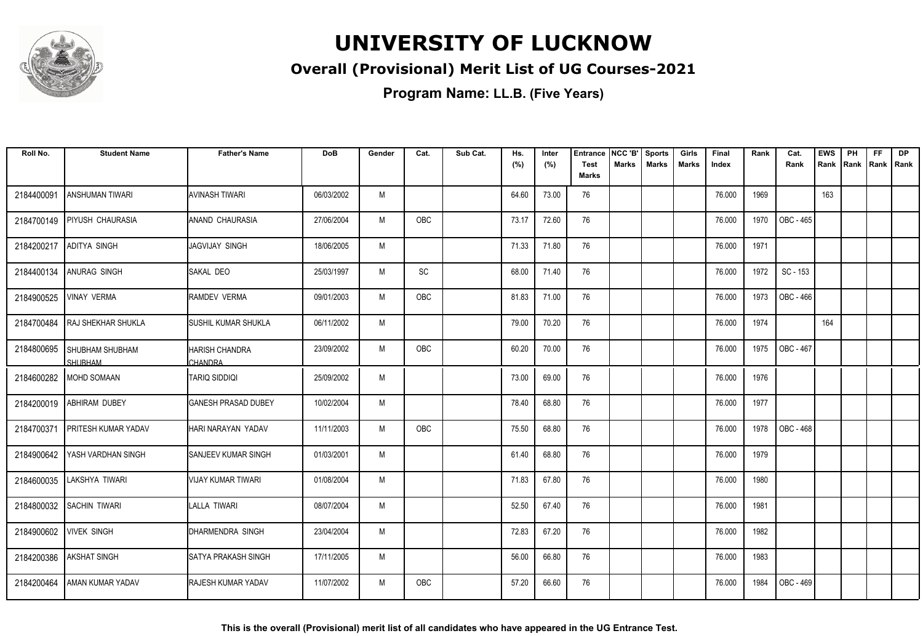

### **Overall (Provisional) Merit List of UG Courses-2021**

| Roll No.   | <b>Student Name</b>                      | <b>Father's Name</b>                    | DoB        | Gender | Cat.       | Sub Cat. | Hs.<br>(%) | Inter<br>(%) | <b>Entrance</b><br><b>Test</b> | NCC 'B'<br><b>Marks</b> | <b>Sports</b><br><b>Marks</b> | Girls<br><b>Marks</b> | Final<br>Index | Rank | Cat.<br>Rank     | <b>EWS</b><br>Rank | PH<br>Rank | FF<br>Rank   Rank | DP |
|------------|------------------------------------------|-----------------------------------------|------------|--------|------------|----------|------------|--------------|--------------------------------|-------------------------|-------------------------------|-----------------------|----------------|------|------------------|--------------------|------------|-------------------|----|
|            |                                          |                                         |            |        |            |          |            |              | <b>Marks</b>                   |                         |                               |                       |                |      |                  |                    |            |                   |    |
| 2184400091 | <b>ANSHUMAN TIWARI</b>                   | <b>AVINASH TIWARI</b>                   | 06/03/2002 | M      |            |          | 64.60      | 73.00        | 76                             |                         |                               |                       | 76.000         | 1969 |                  | 163                |            |                   |    |
| 2184700149 | <b>PIYUSH CHAURASIA</b>                  | <b>ANAND CHAURASIA</b>                  | 27/06/2004 | M      | OBC        |          | 73.17      | 72.60        | 76                             |                         |                               |                       | 76.000         | 1970 | OBC - 465        |                    |            |                   |    |
| 2184200217 | <b>ADITYA SINGH</b>                      | JAGVIJAY SINGH                          | 18/06/2005 | M      |            |          | 71.33      | 71.80        | 76                             |                         |                               |                       | 76.000         | 1971 |                  |                    |            |                   |    |
| 2184400134 | <b>ANURAG SINGH</b>                      | <b>ISAKAL DEO</b>                       | 25/03/1997 | M      | SC         |          | 68.00      | 71.40        | 76                             |                         |                               |                       | 76.000         | 1972 | SC - 153         |                    |            |                   |    |
| 2184900525 | <b>VINAY VERMA</b>                       | <b>RAMDEV VERMA</b>                     | 09/01/2003 | M      | <b>OBC</b> |          | 81.83      | 71.00        | 76                             |                         |                               |                       | 76.000         | 1973 | OBC - 466        |                    |            |                   |    |
| 2184700484 | <b>RAJ SHEKHAR SHUKLA</b>                | <b>ISUSHIL KUMAR SHUKLA</b>             | 06/11/2002 | M      |            |          | 79.00      | 70.20        | 76                             |                         |                               |                       | 76.000         | 1974 |                  | 164                |            |                   |    |
| 2184800695 | <b>SHUBHAM SHUBHAM</b><br><b>SHURHAM</b> | <b>HARISH CHANDRA</b><br><b>CHANDRA</b> | 23/09/2002 | M      | <b>OBC</b> |          | 60.20      | 70.00        | 76                             |                         |                               |                       | 76.000         | 1975 | <b>OBC - 467</b> |                    |            |                   |    |
| 2184600282 | <b>MOHD SOMAAN</b>                       | TARIQ SIDDIQI                           | 25/09/2002 | M      |            |          | 73.00      | 69.00        | 76                             |                         |                               |                       | 76.000         | 1976 |                  |                    |            |                   |    |
| 2184200019 | <b>ABHIRAM DUBEY</b>                     | <b>GANESH PRASAD DUBEY</b>              | 10/02/2004 | M      |            |          | 78.40      | 68.80        | 76                             |                         |                               |                       | 76.000         | 1977 |                  |                    |            |                   |    |
| 2184700371 | <b>PRITESH KUMAR YADAV</b>               | HARI NARAYAN YADAV                      | 11/11/2003 | M      | OBC        |          | 75.50      | 68.80        | 76                             |                         |                               |                       | 76.000         | 1978 | OBC - 468        |                    |            |                   |    |
| 2184900642 | YASH VARDHAN SINGH                       | ISANJEEV KUMAR SINGH                    | 01/03/2001 | M      |            |          | 61.40      | 68.80        | 76                             |                         |                               |                       | 76.000         | 1979 |                  |                    |            |                   |    |
| 2184600035 | LAKSHYA TIWARI                           | IVIJAY KUMAR TIWARI                     | 01/08/2004 | M      |            |          | 71.83      | 67.80        | 76                             |                         |                               |                       | 76.000         | 1980 |                  |                    |            |                   |    |
| 2184800032 | <b>SACHIN TIWARI</b>                     | LALLA TIWARI                            | 08/07/2004 | M      |            |          | 52.50      | 67.40        | 76                             |                         |                               |                       | 76.000         | 1981 |                  |                    |            |                   |    |
| 2184900602 | <b>VIVEK SINGH</b>                       | DHARMENDRA SINGH                        | 23/04/2004 | M      |            |          | 72.83      | 67.20        | 76                             |                         |                               |                       | 76.000         | 1982 |                  |                    |            |                   |    |
| 2184200386 | <b>AKSHAT SINGH</b>                      | ISATYA PRAKASH SINGH                    | 17/11/2005 | M      |            |          | 56.00      | 66.80        | 76                             |                         |                               |                       | 76.000         | 1983 |                  |                    |            |                   |    |
| 2184200464 | <b>AMAN KUMAR YADAV</b>                  | <b>RAJESH KUMAR YADAV</b>               | 11/07/2002 | M      | OBC        |          | 57.20      | 66.60        | 76                             |                         |                               |                       | 76.000         | 1984 | OBC - 469        |                    |            |                   |    |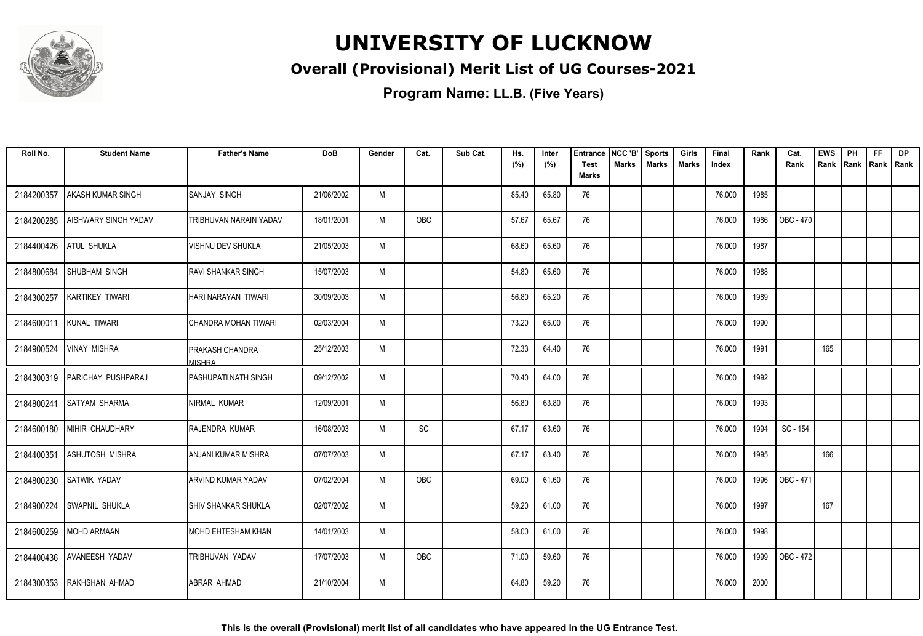

### **Overall (Provisional) Merit List of UG Courses-2021**

| Roll No.   | <b>Student Name</b>       | <b>Father's Name</b>             | DoB        | Gender | Cat.                         | Sub Cat. | Hs.<br>(%) | Inter<br>(%) | <b>Entrance</b><br>Test | NCC 'B'<br><b>Marks</b> | <b>Sports</b><br><b>Marks</b> | Girls<br><b>Marks</b> | Final<br>Index | Rank | Cat.<br>Rank     | <b>EWS</b><br>Rank | PH<br>Rank | FF<br>Rank   Rank | <b>DP</b> |
|------------|---------------------------|----------------------------------|------------|--------|------------------------------|----------|------------|--------------|-------------------------|-------------------------|-------------------------------|-----------------------|----------------|------|------------------|--------------------|------------|-------------------|-----------|
|            |                           |                                  |            |        |                              |          |            |              | <b>Marks</b>            |                         |                               |                       |                |      |                  |                    |            |                   |           |
| 2184200357 | AKASH KUMAR SINGH         | <b>ISANJAY SINGH</b>             | 21/06/2002 | M      |                              |          | 85.40      | 65.80        | 76                      |                         |                               |                       | 76.000         | 1985 |                  |                    |            |                   |           |
| 2184200285 | AISHWARY SINGH YADAV      | <b>TRIBHUVAN NARAIN YADAV</b>    | 18/01/2001 | M      | OBC                          |          | 57.67      | 65.67        | 76                      |                         |                               |                       | 76.000         | 1986 | <b>OBC - 470</b> |                    |            |                   |           |
| 2184400426 | <b>ATUL SHUKLA</b>        | VISHNU DEV SHUKLA                | 21/05/2003 | M      |                              |          | 68.60      | 65.60        | 76                      |                         |                               |                       | 76.000         | 1987 |                  |                    |            |                   |           |
| 2184800684 | <b>SHUBHAM SINGH</b>      | <b>RAVI SHANKAR SINGH</b>        | 15/07/2003 | M      |                              |          | 54.80      | 65.60        | 76                      |                         |                               |                       | 76.000         | 1988 |                  |                    |            |                   |           |
| 2184300257 | <b>KARTIKEY TIWARI</b>    | HARI NARAYAN TIWARI              | 30/09/2003 | M      |                              |          | 56.80      | 65.20        | 76                      |                         |                               |                       | 76.000         | 1989 |                  |                    |            |                   |           |
| 2184600011 | KUNAL TIWARI              | ICHANDRA MOHAN TIWARI            | 02/03/2004 | M      |                              |          | 73.20      | 65.00        | 76                      |                         |                               |                       | 76.000         | 1990 |                  |                    |            |                   |           |
| 2184900524 | <b>VINAY MISHRA</b>       | <b>PRAKASH CHANDRA</b><br>MISHRA | 25/12/2003 | M      |                              |          | 72.33      | 64.40        | 76                      |                         |                               |                       | 76.000         | 1991 |                  | 165                |            |                   |           |
| 2184300319 | <b>PARICHAY PUSHPARAJ</b> | IPASHUPATI NATH SINGH            | 09/12/2002 | M      |                              |          | 70.40      | 64.00        | 76                      |                         |                               |                       | 76.000         | 1992 |                  |                    |            |                   |           |
| 2184800241 | <b>SATYAM SHARMA</b>      | INIRMAL KUMAR                    | 12/09/2001 | M      |                              |          | 56.80      | 63.80        | 76                      |                         |                               |                       | 76.000         | 1993 |                  |                    |            |                   |           |
| 2184600180 | MIHIR CHAUDHARY           | RAJENDRA KUMAR                   | 16/08/2003 | M      | $\operatorname{\textsf{SC}}$ |          | 67.17      | 63.60        | 76                      |                         |                               |                       | 76.000         | 1994 | SC - 154         |                    |            |                   |           |
| 2184400351 | <b>ASHUTOSH MISHRA</b>    | IANJANI KUMAR MISHRA             | 07/07/2003 | M      |                              |          | 67.17      | 63.40        | 76                      |                         |                               |                       | 76.000         | 1995 |                  | 166                |            |                   |           |
| 2184800230 | <b>SATWIK YADAV</b>       | IARVIND KUMAR YADAV              | 07/02/2004 | M      | OBC                          |          | 69.00      | 61.60        | 76                      |                         |                               |                       | 76.000         | 1996 | OBC - 471        |                    |            |                   |           |
| 2184900224 | <b>SWAPNIL SHUKLA</b>     | <b>ISHIV SHANKAR SHUKLA</b>      | 02/07/2002 | M      |                              |          | 59.20      | 61.00        | 76                      |                         |                               |                       | 76.000         | 1997 |                  | 167                |            |                   |           |
| 2184600259 | MOHD ARMAAN               | MOHD EHTESHAM KHAN               | 14/01/2003 | M      |                              |          | 58.00      | 61.00        | 76                      |                         |                               |                       | 76.000         | 1998 |                  |                    |            |                   |           |
| 2184400436 | <b>AVANEESH YADAV</b>     | TRIBHUVAN YADAV                  | 17/07/2003 | M      | OBC                          |          | 71.00      | 59.60        | 76                      |                         |                               |                       | 76.000         | 1999 | OBC - 472        |                    |            |                   |           |
| 2184300353 | RAKHSHAN AHMAD            | IABRAR AHMAD                     | 21/10/2004 | M      |                              |          | 64.80      | 59.20        | 76                      |                         |                               |                       | 76.000         | 2000 |                  |                    |            |                   |           |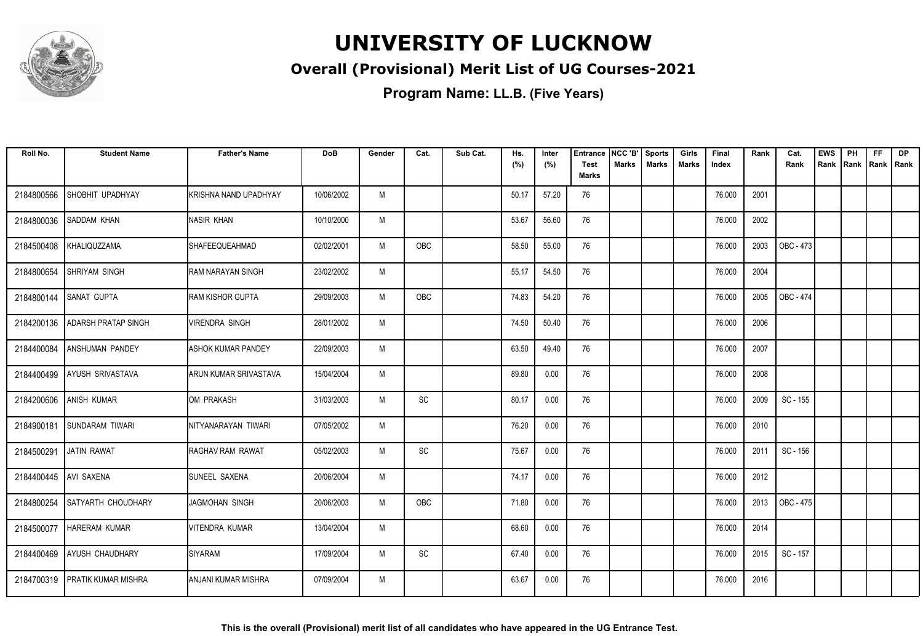

### **Overall (Provisional) Merit List of UG Courses-2021**

| Roll No.   | <b>Student Name</b>            | <b>Father's Name</b>      | <b>DoB</b> | Gender | Cat.                         | Sub Cat. | Hs.<br>(%) | Inter<br>(%) | <b>Entrance</b><br><b>Test</b> | NCC 'B'<br><b>Marks</b> | <b>Sports</b><br><b>Marks</b> | Girls<br><b>Marks</b> | Final<br>Index | Rank | Cat.<br>Rank | <b>EWS</b><br>Rank Rank | PH | <b>FF</b><br>Rank   Rank | <b>DP</b> |
|------------|--------------------------------|---------------------------|------------|--------|------------------------------|----------|------------|--------------|--------------------------------|-------------------------|-------------------------------|-----------------------|----------------|------|--------------|-------------------------|----|--------------------------|-----------|
|            |                                |                           |            |        |                              |          |            |              | Marks                          |                         |                               |                       |                |      |              |                         |    |                          |           |
| 2184800566 | SHOBHIT UPADHYAY               | KRISHNA NAND UPADHYAY     | 10/06/2002 | M      |                              |          | 50.17      | 57.20        | 76                             |                         |                               |                       | 76.000         | 2001 |              |                         |    |                          |           |
| 2184800036 | <b>SADDAM KHAN</b>             | NASIR KHAN                | 10/10/2000 | M      |                              |          | 53.67      | 56.60        | 76                             |                         |                               |                       | 76.000         | 2002 |              |                         |    |                          |           |
| 2184500408 | KHALIQUZZAMA                   | <b>I</b> SHAFEEQUEAHMAD   | 02/02/2001 | M      | OBC                          |          | 58.50      | 55.00        | 76                             |                         |                               |                       | 76.000         | 2003 | OBC - 473    |                         |    |                          |           |
| 2184800654 | SHRIYAM SINGH                  | RAM NARAYAN SINGH         | 23/02/2002 | M      |                              |          | 55.17      | 54.50        | 76                             |                         |                               |                       | 76.000         | 2004 |              |                         |    |                          |           |
| 2184800144 | <b>SANAT GUPTA</b>             | <b>RAM KISHOR GUPTA</b>   | 29/09/2003 | M      | OBC                          |          | 74.83      | 54.20        | 76                             |                         |                               |                       | 76.000         | 2005 | OBC - 474    |                         |    |                          |           |
| 2184200136 | <b>ADARSH PRATAP SINGH</b>     | <b>VIRENDRA SINGH</b>     | 28/01/2002 | M      |                              |          | 74.50      | 50.40        | 76                             |                         |                               |                       | 76.000         | 2006 |              |                         |    |                          |           |
| 2184400084 | <b>ANSHUMAN PANDEY</b>         | <b>ASHOK KUMAR PANDEY</b> | 22/09/2003 | M      |                              |          | 63.50      | 49.40        | 76                             |                         |                               |                       | 76.000         | 2007 |              |                         |    |                          |           |
| 2184400499 | <b>AYUSH SRIVASTAVA</b>        | IARUN KUMAR SRIVASTAVA    | 15/04/2004 | M      |                              |          | 89.80      | 0.00         | 76                             |                         |                               |                       | 76.000         | 2008 |              |                         |    |                          |           |
| 2184200606 | <b>ANISH KUMAR</b>             | IOM PRAKASH               | 31/03/2003 | M      | SC                           |          | 80.17      | 0.00         | 76                             |                         |                               |                       | 76.000         | 2009 | SC - 155     |                         |    |                          |           |
| 2184900181 | <b>SUNDARAM TIWARI</b>         | NITYANARAYAN TIWARI       | 07/05/2002 | M      |                              |          | 76.20      | 0.00         | 76                             |                         |                               |                       | 76.000         | 2010 |              |                         |    |                          |           |
| 2184500291 | <b>JATIN RAWAT</b>             | <b>I</b> RAGHAV RAM RAWAT | 05/02/2003 | M      | SC                           |          | 75.67      | 0.00         | 76                             |                         |                               |                       | 76.000         | 2011 | SC - 156     |                         |    |                          |           |
| 2184400445 | <b>AVI SAXENA</b>              | SUNEEL SAXENA             | 20/06/2004 | M      |                              |          | 74.17      | 0.00         | 76                             |                         |                               |                       | 76.000         | 2012 |              |                         |    |                          |           |
| 2184800254 | <b>SATYARTH CHOUDHARY</b>      | JAGMOHAN SINGH            | 20/06/2003 | M      | OBC                          |          | 71.80      | 0.00         | 76                             |                         |                               |                       | 76.000         | 2013 | OBC - 475    |                         |    |                          |           |
| 2184500077 | <b>HARERAM KUMAR</b>           | <b>VITENDRA KUMAR</b>     | 13/04/2004 | M      |                              |          | 68.60      | 0.00         | 76                             |                         |                               |                       | 76.000         | 2014 |              |                         |    |                          |           |
| 2184400469 | <b>AYUSH CHAUDHARY</b>         | SIYARAM                   | 17/09/2004 | M      | $\operatorname{\textsf{SC}}$ |          | 67.40      | 0.00         | 76                             |                         |                               |                       | 76.000         | 2015 | SC - 157     |                         |    |                          |           |
|            | 2184700319 PRATIK KUMAR MISHRA | IANJANI KUMAR MISHRA      | 07/09/2004 | M      |                              |          | 63.67      | 0.00         | 76                             |                         |                               |                       | 76.000         | 2016 |              |                         |    |                          |           |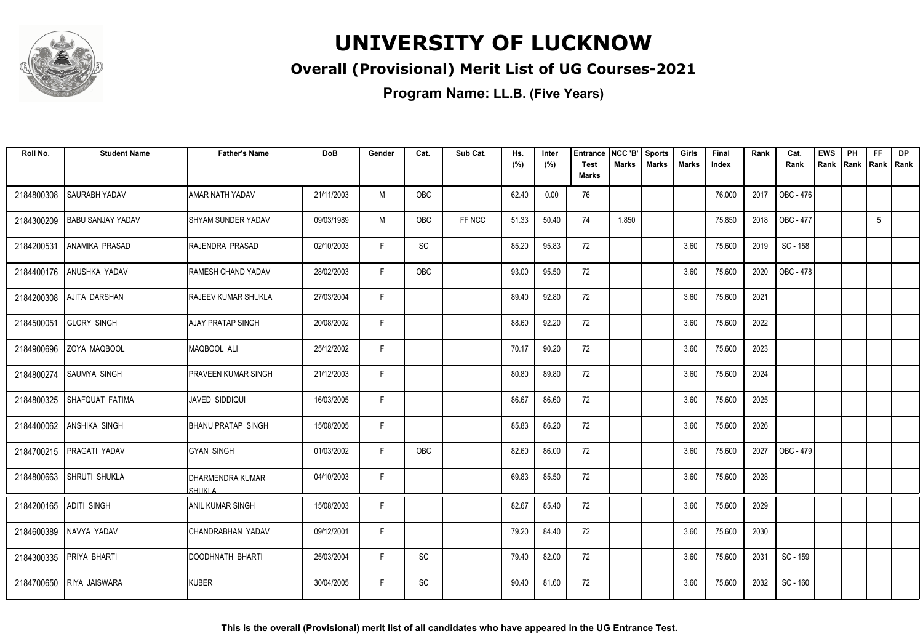

### **Overall (Provisional) Merit List of UG Courses-2021**

| Roll No.               | <b>Student Name</b>      | <b>Father's Name</b>       | <b>DoB</b> | Gender | Cat. | Sub Cat. | Hs.<br>(%) | Inter<br>(%) | <b>Entrance</b><br><b>Test</b> | NCC 'B'<br><b>Marks</b> | <b>Sports</b><br><b>Marks</b> | Girls<br>Marks | Final<br>Index | Rank | Cat.<br>Rank | <b>EWS</b><br>Rank | PH<br>Rank | <b>FF</b><br>Rank   Rank | <b>DP</b> |
|------------------------|--------------------------|----------------------------|------------|--------|------|----------|------------|--------------|--------------------------------|-------------------------|-------------------------------|----------------|----------------|------|--------------|--------------------|------------|--------------------------|-----------|
|                        |                          |                            |            |        |      |          |            |              | <b>Marks</b>                   |                         |                               |                |                |      |              |                    |            |                          |           |
| 2184800308             | <b>SAURABH YADAV</b>     | AMAR NATH YADAV            | 21/11/2003 | M      | OBC  |          | 62.40      | 0.00         | 76                             |                         |                               |                | 76.000         | 2017 | OBC - 476    |                    |            |                          |           |
| 2184300209             | <b>BABU SANJAY YADAV</b> | ISHYAM SUNDER YADAV        | 09/03/1989 | M      | OBC  | FF NCC   | 51.33      | 50.40        | 74                             | 1.850                   |                               |                | 75.850         | 2018 | OBC - 477    |                    |            | 5                        |           |
| 2184200531             | LANAMIKA PRASAD          | RAJENDRA PRASAD            | 02/10/2003 | F      | SC   |          | 85.20      | 95.83        | 72                             |                         |                               | 3.60           | 75.600         | 2019 | SC - 158     |                    |            |                          |           |
| 2184400176             | ANUSHKA YADAV            | RAMESH CHAND YADAV         | 28/02/2003 | F      | OBC  |          | 93.00      | 95.50        | 72                             |                         |                               | 3.60           | 75.600         | 2020 | OBC - 478    |                    |            |                          |           |
| 2184200308             | AJITA DARSHAN            | RAJEEV KUMAR SHUKLA        | 27/03/2004 | F.     |      |          | 89.40      | 92.80        | 72                             |                         |                               | 3.60           | 75.600         | 2021 |              |                    |            |                          |           |
| 2184500051             | <b>GLORY SINGH</b>       | AJAY PRATAP SINGH          | 20/08/2002 | F.     |      |          | 88.60      | 92.20        | 72                             |                         |                               | 3.60           | 75.600         | 2022 |              |                    |            |                          |           |
|                        | 2184900696 ZOYA MAQBOOL  | MAQBOOL ALI                | 25/12/2002 | F.     |      |          | 70.17      | 90.20        | 72                             |                         |                               | 3.60           | 75.600         | 2023 |              |                    |            |                          |           |
| 2184800274             | <b>SAUMYA SINGH</b>      | <b>PRAVEEN KUMAR SINGH</b> | 21/12/2003 | F      |      |          | 80.80      | 89.80        | 72                             |                         |                               | 3.60           | 75.600         | 2024 |              |                    |            |                          |           |
| 2184800325             | SHAFQUAT FATIMA          | <b>JAVED SIDDIQUI</b>      | 16/03/2005 | F      |      |          | 86.67      | 86.60        | 72                             |                         |                               | 3.60           | 75.600         | 2025 |              |                    |            |                          |           |
| 2184400062             | <b>ANSHIKA SINGH</b>     | <b>BHANU PRATAP SINGH</b>  | 15/08/2005 | F.     |      |          | 85.83      | 86.20        | 72                             |                         |                               | 3.60           | 75.600         | 2026 |              |                    |            |                          |           |
|                        | 2184700215 PRAGATI YADAV | <b>GYAN SINGH</b>          | 01/03/2002 | F.     | OBC  |          | 82.60      | 86.00        | 72                             |                         |                               | 3.60           | 75.600         | 2027 | OBC - 479    |                    |            |                          |           |
| 2184800663             | <b>SHRUTI SHUKLA</b>     | DHARMENDRA KUMAR<br>SHUKLA | 04/10/2003 | F.     |      |          | 69.83      | 85.50        | 72                             |                         |                               | 3.60           | 75.600         | 2028 |              |                    |            |                          |           |
| 2184200165 ADITI SINGH |                          | <b>ANIL KUMAR SINGH</b>    | 15/08/2003 | F      |      |          | 82.67      | 85.40        | 72                             |                         |                               | 3.60           | 75.600         | 2029 |              |                    |            |                          |           |
|                        | 2184600389 NAVYA YADAV   | CHANDRABHAN YADAV          | 09/12/2001 | F      |      |          | 79.20      | 84.40        | 72                             |                         |                               | 3.60           | 75.600         | 2030 |              |                    |            |                          |           |
| 2184300335             | PRIYA BHARTI             | DOODHNATH BHARTI           | 25/03/2004 | F.     | SC   |          | 79.40      | 82.00        | 72                             |                         |                               | 3.60           | 75.600         | 2031 | SC - 159     |                    |            |                          |           |
|                        | 2184700650 RIYA JAISWARA | <b>KUBER</b>               | 30/04/2005 | F      | SC   |          | 90.40      | 81.60        | 72                             |                         |                               | 3.60           | 75.600         | 2032 | SC - 160     |                    |            |                          |           |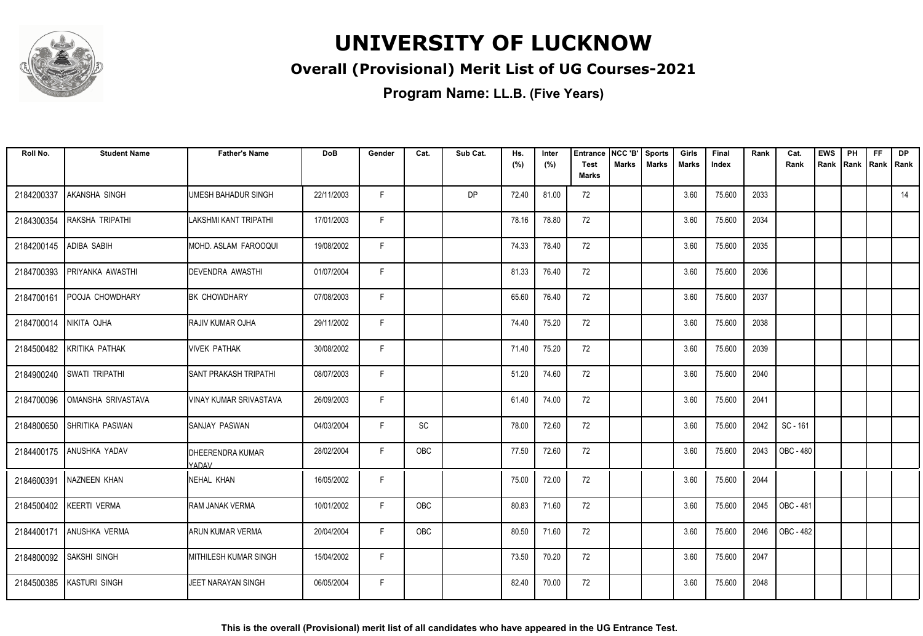

### **Overall (Provisional) Merit List of UG Courses-2021**

**Program Name: LL.B. (Five Years)**

| Roll No.   | <b>Student Name</b>       | <b>Father's Name</b>             | <b>DoB</b> | Gender | Cat.       | Sub Cat.  | Hs.<br>(%) | Inter<br>(%) | <b>Entrance</b><br><b>Test</b><br><b>Marks</b> | NCC 'B'<br>Marks | <b>Sports</b><br><b>Marks</b> | Girls<br>Marks | Final<br>Index | Rank | Cat.<br>Rank     | <b>EWS</b><br>Rank | PH<br>Rank | <b>FF</b><br>Rank   Rank | <b>DP</b> |
|------------|---------------------------|----------------------------------|------------|--------|------------|-----------|------------|--------------|------------------------------------------------|------------------|-------------------------------|----------------|----------------|------|------------------|--------------------|------------|--------------------------|-----------|
| 2184200337 | AKANSHA SINGH             | <b>UMESH BAHADUR SINGH</b>       | 22/11/2003 | F      |            | <b>DP</b> | 72.40      | 81.00        | 72                                             |                  |                               | 3.60           | 75.600         | 2033 |                  |                    |            |                          | 14        |
| 2184300354 | RAKSHA TRIPATHI           | LAKSHMI KANT TRIPATHI            | 17/01/2003 | F.     |            |           | 78.16      | 78.80        | 72                                             |                  |                               | 3.60           | 75.600         | 2034 |                  |                    |            |                          |           |
| 2184200145 | <b>ADIBA SABIH</b>        | MOHD. ASLAM FAROOQUI             | 19/08/2002 | F.     |            |           | 74.33      | 78.40        | 72                                             |                  |                               | 3.60           | 75.600         | 2035 |                  |                    |            |                          |           |
| 2184700393 | PRIYANKA AWASTHI          | <b>DEVENDRA AWASTHI</b>          | 01/07/2004 | F.     |            |           | 81.33      | 76.40        | 72                                             |                  |                               | 3.60           | 75.600         | 2036 |                  |                    |            |                          |           |
| 2184700161 | POOJA CHOWDHARY           | <b>BK CHOWDHARY</b>              | 07/08/2003 | F.     |            |           | 65.60      | 76.40        | 72                                             |                  |                               | 3.60           | 75.600         | 2037 |                  |                    |            |                          |           |
| 2184700014 | NIKITA OJHA               | RAJIV KUMAR OJHA                 | 29/11/2002 | F      |            |           | 74.40      | 75.20        | 72                                             |                  |                               | 3.60           | 75.600         | 2038 |                  |                    |            |                          |           |
|            | 2184500482 KRITIKA PATHAK | <b>VIVEK PATHAK</b>              | 30/08/2002 | F      |            |           | 71.40      | 75.20        | 72                                             |                  |                               | 3.60           | 75.600         | 2039 |                  |                    |            |                          |           |
|            | 2184900240 SWATI TRIPATHI | <b>SANT PRAKASH TRIPATHI</b>     | 08/07/2003 | F      |            |           | 51.20      | 74.60        | 72                                             |                  |                               | 3.60           | 75.600         | 2040 |                  |                    |            |                          |           |
| 2184700096 | OMANSHA SRIVASTAVA        | <b>VINAY KUMAR SRIVASTAVA</b>    | 26/09/2003 | F.     |            |           | 61.40      | 74.00        | 72                                             |                  |                               | 3.60           | 75.600         | 2041 |                  |                    |            |                          |           |
| 2184800650 | <b>SHRITIKA PASWAN</b>    | SANJAY PASWAN                    | 04/03/2004 | F.     | SC         |           | 78.00      | 72.60        | 72                                             |                  |                               | 3.60           | 75.600         | 2042 | SC - 161         |                    |            |                          |           |
| 2184400175 | ANUSHKA YADAV             | <b>DHEERENDRA KUMAR</b><br>YADAV | 28/02/2004 | F      | <b>OBC</b> |           | 77.50      | 72.60        | 72                                             |                  |                               | 3.60           | 75.600         | 2043 | OBC - 480        |                    |            |                          |           |
| 2184600391 | <b>NAZNEEN KHAN</b>       | NEHAL KHAN                       | 16/05/2002 | F      |            |           | 75.00      | 72.00        | 72                                             |                  |                               | 3.60           | 75.600         | 2044 |                  |                    |            |                          |           |
|            | 2184500402   KEERTI VERMA | RAM JANAK VERMA                  | 10/01/2002 | F.     | <b>OBC</b> |           | 80.83      | 71.60        | 72                                             |                  |                               | 3.60           | 75.600         | 2045 | <b>OBC - 481</b> |                    |            |                          |           |
|            | 2184400171 ANUSHKA VERMA  | ARUN KUMAR VERMA                 | 20/04/2004 | F      | <b>OBC</b> |           | 80.50      | 71.60        | 72                                             |                  |                               | 3.60           | 75.600         | 2046 | OBC - 482        |                    |            |                          |           |
| 2184800092 | SAKSHI SINGH              | <b>MITHILESH KUMAR SINGH</b>     | 15/04/2002 | F.     |            |           | 73.50      | 70.20        | 72                                             |                  |                               | 3.60           | 75.600         | 2047 |                  |                    |            |                          |           |
| 2184500385 | <b>KASTURI SINGH</b>      | <b>JEET NARAYAN SINGH</b>        | 06/05/2004 | F      |            |           | 82.40      | 70.00        | 72                                             |                  |                               | 3.60           | 75.600         | 2048 |                  |                    |            |                          |           |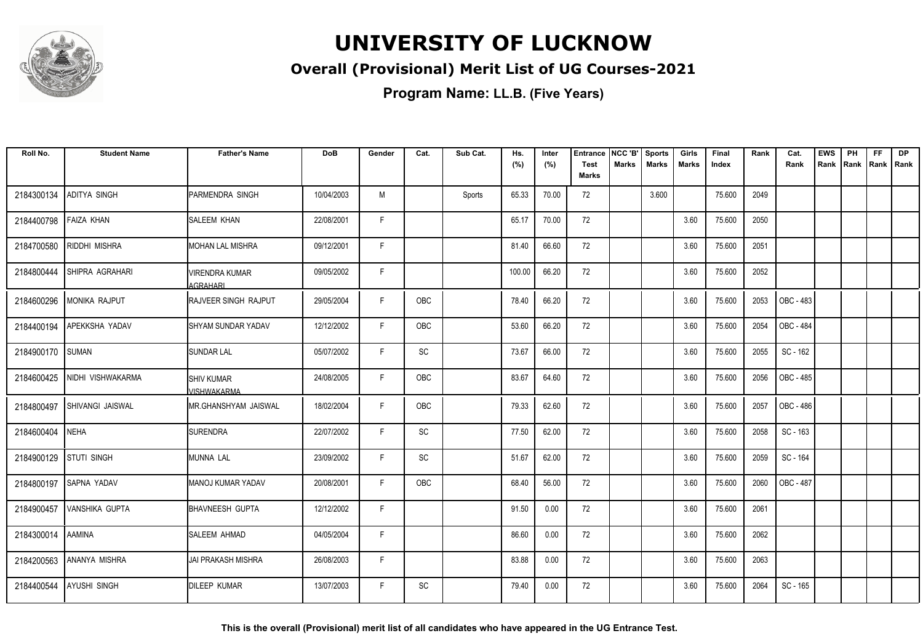

### **Overall (Provisional) Merit List of UG Courses-2021**

| Roll No.   | <b>Student Name</b>     | <b>Father's Name</b>              | <b>DoB</b> | Gender | Cat. | Sub Cat. | Hs.<br>(%) | Inter<br>(%) | <b>Entrance</b><br><b>Test</b><br><b>Marks</b> | NCC 'B'<br><b>Marks</b> | <b>Sports</b><br><b>Marks</b> | Girls<br><b>Marks</b> | Final<br>Index | Rank | Cat.<br>Rank     | <b>EWS</b><br>Rank | PH<br>Rank | FF<br>Rank | <b>DP</b><br>l Rank |
|------------|-------------------------|-----------------------------------|------------|--------|------|----------|------------|--------------|------------------------------------------------|-------------------------|-------------------------------|-----------------------|----------------|------|------------------|--------------------|------------|------------|---------------------|
| 2184300134 | ADITYA SINGH            | PARMENDRA SINGH                   | 10/04/2003 | M      |      | Sports   | 65.33      | 70.00        | 72                                             |                         | 3.600                         |                       | 75.600         | 2049 |                  |                    |            |            |                     |
| 2184400798 | <b>FAIZA KHAN</b>       | <b>SALEEM KHAN</b>                | 22/08/2001 | F.     |      |          | 65.17      | 70.00        | 72                                             |                         |                               | 3.60                  | 75.600         | 2050 |                  |                    |            |            |                     |
| 2184700580 | RIDDHI MISHRA           | <b>MOHAN LAL MISHRA</b>           | 09/12/2001 | F.     |      |          | 81.40      | 66.60        | 72                                             |                         |                               | 3.60                  | 75.600         | 2051 |                  |                    |            |            |                     |
| 2184800444 | SHIPRA AGRAHARI         | <b>VIRENDRA KUMAR</b><br>AGRAHARI | 09/05/2002 | F.     |      |          | 100.00     | 66.20        | 72                                             |                         |                               | 3.60                  | 75.600         | 2052 |                  |                    |            |            |                     |
| 2184600296 | <b>MONIKA RAJPUT</b>    | RAJVEER SINGH RAJPUT              | 29/05/2004 | F.     | OBC  |          | 78.40      | 66.20        | 72                                             |                         |                               | 3.60                  | 75.600         | 2053 | OBC - 483        |                    |            |            |                     |
| 2184400194 | <b>APEKKSHA YADAV</b>   | <b>SHYAM SUNDAR YADAV</b>         | 12/12/2002 | F      | OBC  |          | 53.60      | 66.20        | 72                                             |                         |                               | 3.60                  | 75.600         | 2054 | <b>OBC - 484</b> |                    |            |            |                     |
| 2184900170 | <b>SUMAN</b>            | <b>SUNDAR LAL</b>                 | 05/07/2002 | F.     | SC   |          | 73.67      | 66.00        | 72                                             |                         |                               | 3.60                  | 75.600         | 2055 | SC - 162         |                    |            |            |                     |
| 2184600425 | NIDHI VISHWAKARMA       | <b>SHIV KUMAR</b><br>VISHWAKARMA  | 24/08/2005 | F      | OBC  |          | 83.67      | 64.60        | 72                                             |                         |                               | 3.60                  | 75.600         | 2056 | OBC - 485        |                    |            |            |                     |
| 2184800497 | <b>SHIVANGI JAISWAL</b> | MR.GHANSHYAM JAISWAL              | 18/02/2004 | F.     | OBC  |          | 79.33      | 62.60        | 72                                             |                         |                               | 3.60                  | 75.600         | 2057 | OBC - 486        |                    |            |            |                     |
| 2184600404 | <b>NEHA</b>             | <b>SURENDRA</b>                   | 22/07/2002 | F.     | SC   |          | 77.50      | 62.00        | 72                                             |                         |                               | 3.60                  | 75.600         | 2058 | SC - 163         |                    |            |            |                     |
| 2184900129 | <b>STUTI SINGH</b>      | MUNNA LAL                         | 23/09/2002 | F      | SC   |          | 51.67      | 62.00        | 72                                             |                         |                               | 3.60                  | 75.600         | 2059 | SC - 164         |                    |            |            |                     |
| 2184800197 | SAPNA YADAV             | MANOJ KUMAR YADAV                 | 20/08/2001 | F.     | OBC  |          | 68.40      | 56.00        | 72                                             |                         |                               | 3.60                  | 75.600         | 2060 | <b>OBC - 487</b> |                    |            |            |                     |
| 2184900457 | <b>VANSHIKA GUPTA</b>   | <b>BHAVNEESH GUPTA</b>            | 12/12/2002 | F      |      |          | 91.50      | 0.00         | 72                                             |                         |                               | 3.60                  | 75.600         | 2061 |                  |                    |            |            |                     |
| 2184300014 | <b>AAMINA</b>           | <b>SALEEM AHMAD</b>               | 04/05/2004 | F      |      |          | 86.60      | 0.00         | 72                                             |                         |                               | 3.60                  | 75.600         | 2062 |                  |                    |            |            |                     |
| 2184200563 | ANANYA MISHRA           | <b>JAI PRAKASH MISHRA</b>         | 26/08/2003 | F      |      |          | 83.88      | 0.00         | 72                                             |                         |                               | 3.60                  | 75.600         | 2063 |                  |                    |            |            |                     |
| 2184400544 | <b>AYUSHI SINGH</b>     | <b>DILEEP KUMAR</b>               | 13/07/2003 | F      | SC   |          | 79.40      | 0.00         | 72                                             |                         |                               | 3.60                  | 75.600         | 2064 | SC - 165         |                    |            |            |                     |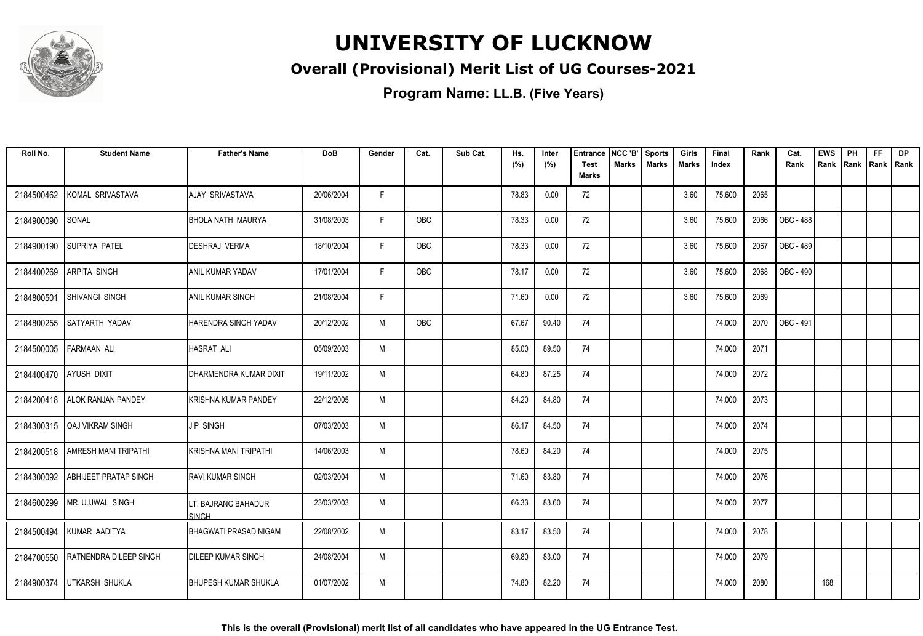

### **Overall (Provisional) Merit List of UG Courses-2021**

| Roll No.               | <b>Student Name</b>           | <b>Father's Name</b>                | <b>DoB</b> | Gender | Cat. | Sub Cat. | Hs.<br>(%) | Inter<br>(%) | <b>Entrance</b><br>Test<br><b>Marks</b> | NCC 'B'<br>Marks | <b>Sports</b><br><b>Marks</b> | Girls<br>Marks | Final<br>Index | Rank | Cat.<br>Rank | <b>EWS</b><br>Rank | PH<br>Rank | <b>FF</b><br>Rank   Rank | <b>DP</b> |
|------------------------|-------------------------------|-------------------------------------|------------|--------|------|----------|------------|--------------|-----------------------------------------|------------------|-------------------------------|----------------|----------------|------|--------------|--------------------|------------|--------------------------|-----------|
| 2184500462             | KOMAL SRIVASTAVA              | <b>AJAY SRIVASTAVA</b>              | 20/06/2004 | F      |      |          | 78.83      | 0.00         | 72                                      |                  |                               | 3.60           | 75.600         | 2065 |              |                    |            |                          |           |
| 2184900090             | SONAL                         | IBHOLA NATH MAURYA                  | 31/08/2003 | F.     | OBC  |          | 78.33      | 0.00         | 72                                      |                  |                               | 3.60           | 75.600         | 2066 | OBC - 488    |                    |            |                          |           |
| 2184900190             | <b>SUPRIYA PATEL</b>          | DESHRAJ VERMA                       | 18/10/2004 | F      | OBC  |          | 78.33      | 0.00         | 72                                      |                  |                               | 3.60           | 75.600         | 2067 | OBC - 489    |                    |            |                          |           |
| 2184400269             | <b>ARPITA SINGH</b>           | <b>ANIL KUMAR YADAV</b>             | 17/01/2004 | F      | OBC  |          | 78.17      | 0.00         | 72                                      |                  |                               | 3.60           | 75.600         | 2068 | OBC - 490    |                    |            |                          |           |
| 2184800501             | <b>SHIVANGI SINGH</b>         | <b>ANIL KUMAR SINGH</b>             | 21/08/2004 | F      |      |          | 71.60      | 0.00         | 72                                      |                  |                               | 3.60           | 75.600         | 2069 |              |                    |            |                          |           |
| 2184800255             | <b>SATYARTH YADAV</b>         | IHARENDRA SINGH YADAV               | 20/12/2002 | M      | OBC  |          | 67.67      | 90.40        | 74                                      |                  |                               |                | 74.000         | 2070 | OBC - 491    |                    |            |                          |           |
| 2184500005             | <b>FARMAAN ALI</b>            | <b>HASRAT ALI</b>                   | 05/09/2003 | M      |      |          | 85.00      | 89.50        | 74                                      |                  |                               |                | 74.000         | 2071 |              |                    |            |                          |           |
| 2184400470 AYUSH DIXIT |                               | DHARMENDRA KUMAR DIXIT              | 19/11/2002 | M      |      |          | 64.80      | 87.25        | 74                                      |                  |                               |                | 74.000         | 2072 |              |                    |            |                          |           |
| 2184200418             | <b>ALOK RANJAN PANDEY</b>     | KRISHNA KUMAR PANDEY                | 22/12/2005 | M      |      |          | 84.20      | 84.80        | 74                                      |                  |                               |                | 74.000         | 2073 |              |                    |            |                          |           |
|                        | 2184300315   OAJ VIKRAM SINGH | IJ P SINGH                          | 07/03/2003 | M      |      |          | 86.17      | 84.50        | 74                                      |                  |                               |                | 74.000         | 2074 |              |                    |            |                          |           |
| 2184200518             | <b>AMRESH MANI TRIPATHI</b>   | <b>KRISHNA MANI TRIPATHI</b>        | 14/06/2003 | M      |      |          | 78.60      | 84.20        | 74                                      |                  |                               |                | 74.000         | 2075 |              |                    |            |                          |           |
| 2184300092             | <b>ABHIJEET PRATAP SINGH</b>  | <b>RAVI KUMAR SINGH</b>             | 02/03/2004 | M      |      |          | 71.60      | 83.80        | 74                                      |                  |                               |                | 74.000         | 2076 |              |                    |            |                          |           |
| 2184600299             | MR. UJJWAL SINGH              | LT. BAJRANG BAHADUR<br><b>SINGH</b> | 23/03/2003 | M      |      |          | 66.33      | 83.60        | 74                                      |                  |                               |                | 74.000         | 2077 |              |                    |            |                          |           |
| 2184500494             | KUMAR AADITYA                 | BHAGWATI PRASAD NIGAM               | 22/08/2002 | M      |      |          | 83.17      | 83.50        | 74                                      |                  |                               |                | 74.000         | 2078 |              |                    |            |                          |           |
| 2184700550             | RATNENDRA DILEEP SINGH        | <b>DILEEP KUMAR SINGH</b>           | 24/08/2004 | M      |      |          | 69.80      | 83.00        | 74                                      |                  |                               |                | 74.000         | 2079 |              |                    |            |                          |           |
| 2184900374             | UTKARSH SHUKLA                | <b>BHUPESH KUMAR SHUKLA</b>         | 01/07/2002 | M      |      |          | 74.80      | 82.20        | 74                                      |                  |                               |                | 74.000         | 2080 |              | 168                |            |                          |           |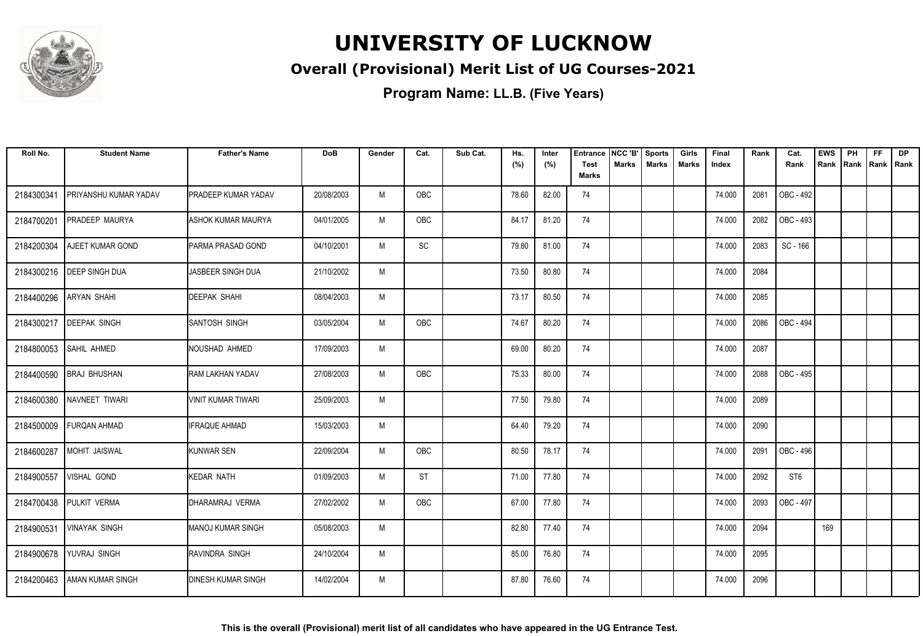

### **Overall (Provisional) Merit List of UG Courses-2021**

| Roll No.   | <b>Student Name</b>       | <b>Father's Name</b>       | <b>DoB</b> | Gender | Cat.       | Sub Cat. | Hs.<br>(%) | Inter<br>(%) | Entrance<br><b>Test</b> | NCC 'B'<br>Marks | <b>Sports</b><br><b>Marks</b> | Girls<br><b>Marks</b> | Final<br>Index | Rank | Cat.<br>Rank     | <b>EWS</b><br>Rank | PH<br>Rank | <b>FF</b><br>Rank   Rank | <b>DP</b> |
|------------|---------------------------|----------------------------|------------|--------|------------|----------|------------|--------------|-------------------------|------------------|-------------------------------|-----------------------|----------------|------|------------------|--------------------|------------|--------------------------|-----------|
|            |                           |                            |            |        |            |          |            |              | <b>Marks</b>            |                  |                               |                       |                |      |                  |                    |            |                          |           |
| 2184300341 | PRIYANSHU KUMAR YADAV     | <b>PRADEEP KUMAR YADAV</b> | 20/08/2003 | M      | OBC        |          | 78.60      | 82.00        | 74                      |                  |                               |                       | 74.000         | 2081 | OBC - 492        |                    |            |                          |           |
| 2184700201 | <b>PRADEEP MAURYA</b>     | <b>ASHOK KUMAR MAURYA</b>  | 04/01/2005 | M      | OBC        |          | 84.17      | 81.20        | 74                      |                  |                               |                       | 74.000         | 2082 | OBC - 493        |                    |            |                          |           |
| 2184200304 | <b>AJEET KUMAR GOND</b>   | <b>IPARMA PRASAD GOND</b>  | 04/10/2001 | M      | SC         |          | 79.80      | 81.00        | 74                      |                  |                               |                       | 74.000         | 2083 | SC - 166         |                    |            |                          |           |
| 2184300216 | <b>DEEP SINGH DUA</b>     | JASBEER SINGH DUA          | 21/10/2002 | M      |            |          | 73.50      | 80.80        | 74                      |                  |                               |                       | 74.000         | 2084 |                  |                    |            |                          |           |
| 2184400296 | <b>ARYAN SHAHI</b>        | <b>DEEPAK SHAHI</b>        | 08/04/2003 | M      |            |          | 73.17      | 80.50        | 74                      |                  |                               |                       | 74.000         | 2085 |                  |                    |            |                          |           |
|            | 2184300217   DEEPAK SINGH | SANTOSH SINGH              | 03/05/2004 | M      | <b>OBC</b> |          | 74.67      | 80.20        | 74                      |                  |                               |                       | 74.000         | 2086 | <b>OBC - 494</b> |                    |            |                          |           |
|            | 2184800053 SAHIL AHMED    | NOUSHAD AHMED              | 17/09/2003 | M      |            |          | 69.00      | 80.20        | 74                      |                  |                               |                       | 74.000         | 2087 |                  |                    |            |                          |           |
| 2184400590 | <b>BRAJ BHUSHAN</b>       | RAM LAKHAN YADAV           | 27/08/2003 | M      | <b>OBC</b> |          | 75.33      | 80.00        | 74                      |                  |                               |                       | 74.000         | 2088 | OBC - 495        |                    |            |                          |           |
| 2184600380 | NAVNEET TIWARI            | <b>VINIT KUMAR TIWARI</b>  | 25/09/2003 | M      |            |          | 77.50      | 79.80        | 74                      |                  |                               |                       | 74.000         | 2089 |                  |                    |            |                          |           |
| 2184500009 | <b>FURQAN AHMAD</b>       | <b>IFRAQUE AHMAD</b>       | 15/03/2003 | M      |            |          | 64.40      | 79.20        | 74                      |                  |                               |                       | 74.000         | 2090 |                  |                    |            |                          |           |
| 2184600287 | MOHIT JAISWAL             | <b>KUNWAR SEN</b>          | 22/09/2004 | M      | OBC        |          | 80.50      | 78.17        | 74                      |                  |                               |                       | 74.000         | 2091 | OBC - 496        |                    |            |                          |           |
| 2184900557 | <b>VISHAL GOND</b>        | KEDAR NATH                 | 01/09/2003 | M      | ST         |          | 71.00      | 77.80        | 74                      |                  |                               |                       | 74.000         | 2092 | ST <sub>6</sub>  |                    |            |                          |           |
| 2184700438 | PULKIT VERMA              | DHARAMRAJ VERMA            | 27/02/2002 | M      | OBC        |          | 67.00      | 77.80        | 74                      |                  |                               |                       | 74.000         | 2093 | OBC - 497        |                    |            |                          |           |
| 2184900531 | <b>VINAYAK SINGH</b>      | MANOJ KUMAR SINGH          | 05/08/2003 | M      |            |          | 82.80      | 77.40        | 74                      |                  |                               |                       | 74.000         | 2094 |                  | 169                |            |                          |           |
| 2184900678 | YUVRAJ SINGH              | RAVINDRA SINGH             | 24/10/2004 | M      |            |          | 85.00      | 76.80        | 74                      |                  |                               |                       | 74.000         | 2095 |                  |                    |            |                          |           |
| 2184200463 | <b>JAMAN KUMAR SINGH</b>  | <b>DINESH KUMAR SINGH</b>  | 14/02/2004 | M      |            |          | 87.80      | 76.60        | 74                      |                  |                               |                       | 74.000         | 2096 |                  |                    |            |                          |           |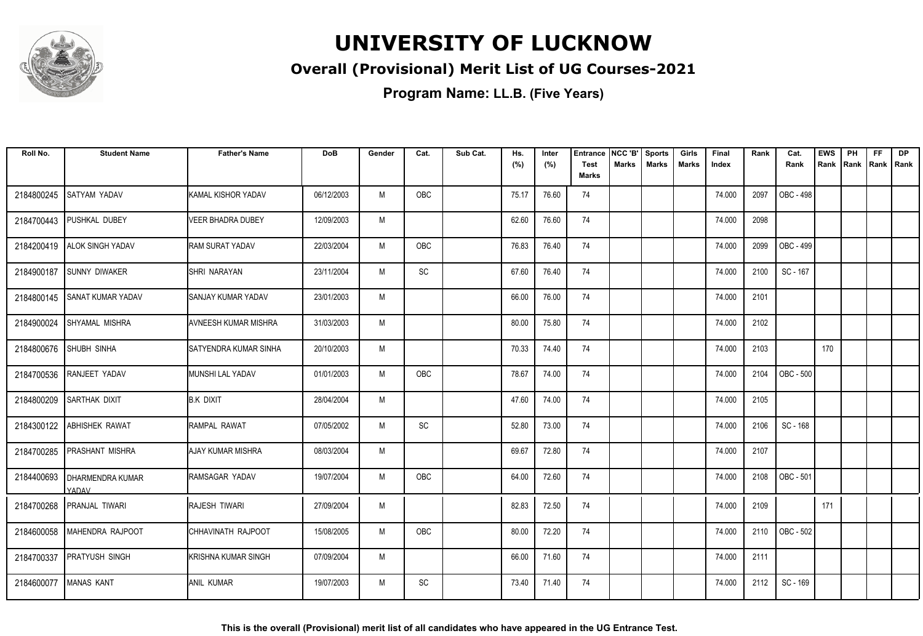

### **Overall (Provisional) Merit List of UG Courses-2021**

| Roll No.   | <b>Student Name</b>              | <b>Father's Name</b>          | <b>DoB</b> | Gender | Cat.       | Sub Cat. | Hs.<br>(%) | Inter<br>(%) | <b>Entrance</b><br><b>Test</b> | NCC 'B'<br><b>Marks</b> | <b>Sports</b><br><b>Marks</b> | Girls<br>Marks | Final<br>Index | Rank | Cat.<br>Rank     | <b>EWS</b><br>Rank | PH<br>Rank | <b>FF</b><br>Rank   Rank | <b>DP</b> |
|------------|----------------------------------|-------------------------------|------------|--------|------------|----------|------------|--------------|--------------------------------|-------------------------|-------------------------------|----------------|----------------|------|------------------|--------------------|------------|--------------------------|-----------|
|            |                                  |                               |            |        |            |          |            |              | <b>Marks</b>                   |                         |                               |                |                |      |                  |                    |            |                          |           |
| 2184800245 | SATYAM YADAV                     | KAMAL KISHOR YADAV            | 06/12/2003 | M      | <b>OBC</b> |          | 75.17      | 76.60        | 74                             |                         |                               |                | 74.000         | 2097 | OBC - 498        |                    |            |                          |           |
| 2184700443 | PUSHKAL DUBEY                    | <b>VEER BHADRA DUBEY</b>      | 12/09/2003 | M      |            |          | 62.60      | 76.60        | 74                             |                         |                               |                | 74.000         | 2098 |                  |                    |            |                          |           |
|            | 2184200419   ALOK SINGH YADAV    | <b>RAM SURAT YADAV</b>        | 22/03/2004 | M      | <b>OBC</b> |          | 76.83      | 76.40        | 74                             |                         |                               |                | 74.000         | 2099 | OBC - 499        |                    |            |                          |           |
| 2184900187 | <b>SUNNY DIWAKER</b>             | SHRI NARAYAN                  | 23/11/2004 | M      | SC         |          | 67.60      | 76.40        | 74                             |                         |                               |                | 74.000         | 2100 | SC - 167         |                    |            |                          |           |
| 2184800145 | <b>SANAT KUMAR YADAV</b>         | SANJAY KUMAR YADAV            | 23/01/2003 | M      |            |          | 66.00      | 76.00        | 74                             |                         |                               |                | 74.000         | 2101 |                  |                    |            |                          |           |
| 2184900024 | SHYAMAL MISHRA                   | <b>AVNEESH KUMAR MISHRA</b>   | 31/03/2003 | M      |            |          | 80.00      | 75.80        | 74                             |                         |                               |                | 74.000         | 2102 |                  |                    |            |                          |           |
|            | 2184800676 SHUBH SINHA           | <b>ISATYENDRA KUMAR SINHA</b> | 20/10/2003 | M      |            |          | 70.33      | 74.40        | 74                             |                         |                               |                | 74.000         | 2103 |                  | 170                |            |                          |           |
| 2184700536 | RANJEET YADAV                    | MUNSHI LAL YADAV              | 01/01/2003 | M      | <b>OBC</b> |          | 78.67      | 74.00        | 74                             |                         |                               |                | 74.000         | 2104 | <b>OBC - 500</b> |                    |            |                          |           |
| 2184800209 | <b>SARTHAK DIXIT</b>             | <b>B.K DIXIT</b>              | 28/04/2004 | M      |            |          | 47.60      | 74.00        | 74                             |                         |                               |                | 74.000         | 2105 |                  |                    |            |                          |           |
| 2184300122 | <b>ABHISHEK RAWAT</b>            | RAMPAL RAWAT                  | 07/05/2002 | M      | SC         |          | 52.80      | 73.00        | 74                             |                         |                               |                | 74.000         | 2106 | SC - 168         |                    |            |                          |           |
| 2184700285 | <b>PRASHANT MISHRA</b>           | AJAY KUMAR MISHRA             | 08/03/2004 | M      |            |          | 69.67      | 72.80        | 74                             |                         |                               |                | 74.000         | 2107 |                  |                    |            |                          |           |
| 2184400693 | <b>DHARMENDRA KUMAR</b><br>YADAV | RAMSAGAR YADAV                | 19/07/2004 | M      | <b>OBC</b> |          | 64.00      | 72.60        | 74                             |                         |                               |                | 74.000         | 2108 | OBC - 501        |                    |            |                          |           |
| 2184700268 | <b>PRANJAL TIWARI</b>            | <b>RAJESH TIWARI</b>          | 27/09/2004 | M      |            |          | 82.83      | 72.50        | 74                             |                         |                               |                | 74.000         | 2109 |                  | 171                |            |                          |           |
|            | 2184600058   MAHENDRA RAJPOOT    | CHHAVINATH RAJPOOT            | 15/08/2005 | M      | OBC        |          | 80.00      | 72.20        | 74                             |                         |                               |                | 74.000         | 2110 | OBC - 502        |                    |            |                          |           |
| 2184700337 | <b>PRATYUSH SINGH</b>            | <b>KRISHNA KUMAR SINGH</b>    | 07/09/2004 | M      |            |          | 66.00      | 71.60        | 74                             |                         |                               |                | 74.000         | 2111 |                  |                    |            |                          |           |
| 2184600077 | <b>MANAS KANT</b>                | <b>ANIL KUMAR</b>             | 19/07/2003 | M      | SC         |          | 73.40      | 71.40        | 74                             |                         |                               |                | 74.000         | 2112 | SC - 169         |                    |            |                          |           |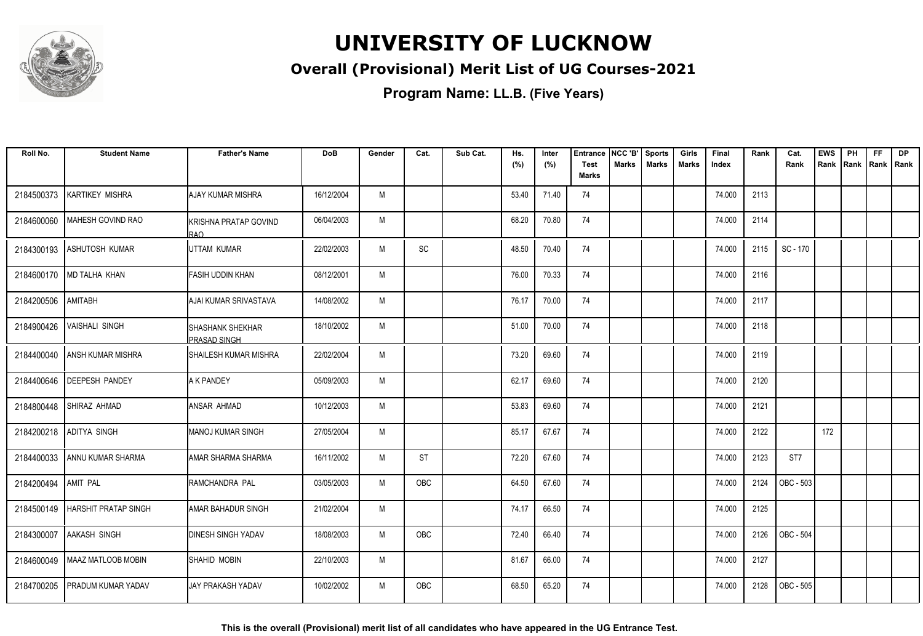

### **Overall (Provisional) Merit List of UG Courses-2021**

**Program Name: LL.B. (Five Years)**

| Roll No.   | <b>Student Name</b>         | <b>Father's Name</b>                           | <b>DoB</b> | Gender | Cat.      | Sub Cat. | Hs.<br>(%) | Inter<br>(%) | <b>Entrance</b><br><b>Test</b><br><b>Marks</b> | NCC 'B'<br><b>Marks</b> | <b>Sports</b><br><b>Marks</b> | Girls<br>Marks | Final<br>Index | Rank | Cat.<br>Rank    | <b>EWS</b><br>Rank | PH<br>Rank | <b>FF</b><br>Rank | <b>DP</b><br><b>Rank</b> |
|------------|-----------------------------|------------------------------------------------|------------|--------|-----------|----------|------------|--------------|------------------------------------------------|-------------------------|-------------------------------|----------------|----------------|------|-----------------|--------------------|------------|-------------------|--------------------------|
| 2184500373 | <b>KARTIKEY MISHRA</b>      | AJAY KUMAR MISHRA                              | 16/12/2004 | M      |           |          | 53.40      | 71.40        | 74                                             |                         |                               |                | 74.000         | 2113 |                 |                    |            |                   |                          |
| 2184600060 | MAHESH GOVIND RAO           | KRISHNA PRATAP GOVIND<br>IRAO.                 | 06/04/2003 | M      |           |          | 68.20      | 70.80        | 74                                             |                         |                               |                | 74.000         | 2114 |                 |                    |            |                   |                          |
| 2184300193 | ASHUTOSH KUMAR              | IUTTAM KUMAR                                   | 22/02/2003 | M      | SC        |          | 48.50      | 70.40        | 74                                             |                         |                               |                | 74.000         | 2115 | SC - 170        |                    |            |                   |                          |
|            | 2184600170   MD TALHA KHAN  | <b>FASIH UDDIN KHAN</b>                        | 08/12/2001 | M      |           |          | 76.00      | 70.33        | 74                                             |                         |                               |                | 74.000         | 2116 |                 |                    |            |                   |                          |
| 2184200506 | AMITABH                     | AJAI KUMAR SRIVASTAVA                          | 14/08/2002 | M      |           |          | 76.17      | 70.00        | 74                                             |                         |                               |                | 74.000         | 2117 |                 |                    |            |                   |                          |
| 2184900426 | <b>VAISHALI SINGH</b>       | <b>SHASHANK SHEKHAR</b><br><b>PRASAD SINGH</b> | 18/10/2002 | M      |           |          | 51.00      | 70.00        | 74                                             |                         |                               |                | 74.000         | 2118 |                 |                    |            |                   |                          |
| 2184400040 | <b>ANSH KUMAR MISHRA</b>    | <b>SHAILESH KUMAR MISHRA</b>                   | 22/02/2004 | M      |           |          | 73.20      | 69.60        | 74                                             |                         |                               |                | 74.000         | 2119 |                 |                    |            |                   |                          |
| 2184400646 | <b>DEEPESH PANDEY</b>       | <b>A K PANDEY</b>                              | 05/09/2003 | M      |           |          | 62.17      | 69.60        | 74                                             |                         |                               |                | 74.000         | 2120 |                 |                    |            |                   |                          |
| 2184800448 | SHIRAZ AHMAD                | ANSAR AHMAD                                    | 10/12/2003 | M      |           |          | 53.83      | 69.60        | 74                                             |                         |                               |                | 74.000         | 2121 |                 |                    |            |                   |                          |
| 2184200218 | <b>ADITYA SINGH</b>         | <b>I</b> MANOJ KUMAR SINGH                     | 27/05/2004 | M      |           |          | 85.17      | 67.67        | 74                                             |                         |                               |                | 74.000         | 2122 |                 | 172                |            |                   |                          |
| 2184400033 | I ANNU KUMAR SHARMA         | IAMAR SHARMA SHARMA                            | 16/11/2002 | M      | <b>ST</b> |          | 72.20      | 67.60        | 74                                             |                         |                               |                | 74.000         | 2123 | ST <sub>7</sub> |                    |            |                   |                          |
| 2184200494 | <b>AMIT PAL</b>             | IRAMCHANDRA PAL                                | 03/05/2003 | M      | OBC       |          | 64.50      | 67.60        | 74                                             |                         |                               |                | 74.000         | 2124 | OBC - 503       |                    |            |                   |                          |
| 2184500149 | <b>HARSHIT PRATAP SINGH</b> | AMAR BAHADUR SINGH                             | 21/02/2004 | M      |           |          | 74.17      | 66.50        | 74                                             |                         |                               |                | 74.000         | 2125 |                 |                    |            |                   |                          |
| 2184300007 | <b>AAKASH SINGH</b>         | <b>DINESH SINGH YADAV</b>                      | 18/08/2003 | M      | OBC       |          | 72.40      | 66.40        | 74                                             |                         |                               |                | 74.000         | 2126 | OBC - 504       |                    |            |                   |                          |
| 2184600049 | <b>MAAZ MATLOOB MOBIN</b>   | <b>ISHAHID MOBIN</b>                           | 22/10/2003 | M      |           |          | 81.67      | 66.00        | 74                                             |                         |                               |                | 74.000         | 2127 |                 |                    |            |                   |                          |
| 2184700205 | <b>PRADUM KUMAR YADAV</b>   | <b>JAY PRAKASH YADAV</b>                       | 10/02/2002 | M      | OBC       |          | 68.50      | 65.20        | 74                                             |                         |                               |                | 74.000         | 2128 | OBC - 505       |                    |            |                   |                          |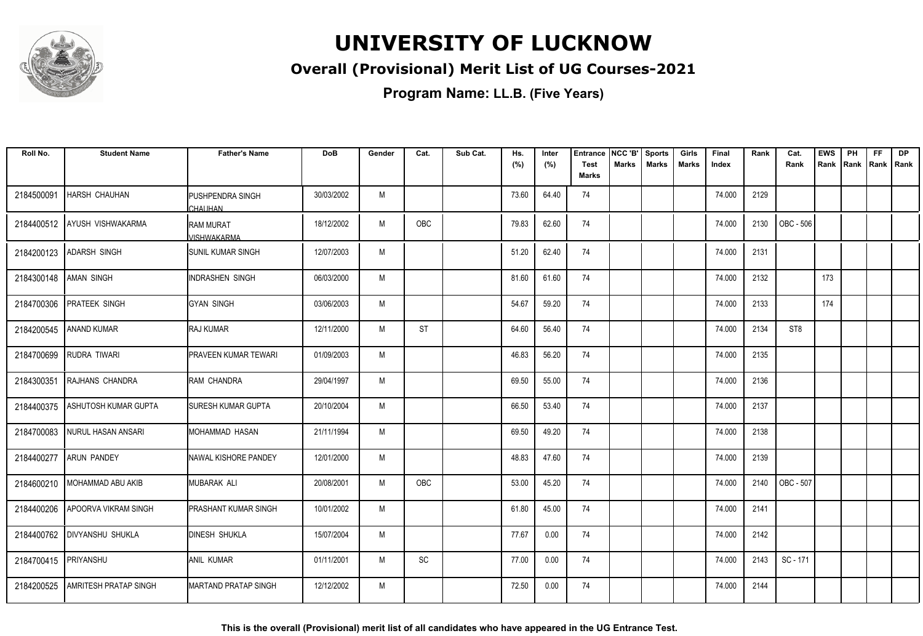

### **Overall (Provisional) Merit List of UG Courses-2021**

**Program Name: LL.B. (Five Years)**

| Roll No.   | <b>Student Name</b>          | <b>Father's Name</b>                   | <b>DoB</b> | Gender | Cat.       | Sub Cat. | Hs.<br>(%) | Inter<br>(%) | <b>Entrance</b><br><b>Test</b> | NCC 'B'<br><b>Marks</b> | <b>Sports</b><br><b>Marks</b> | Girls<br><b>Marks</b> | Final<br>Index | Rank | Cat.<br>Rank    | <b>EWS</b><br>Rank | PH | <b>FF</b><br>Rank Rank Rank | DP |
|------------|------------------------------|----------------------------------------|------------|--------|------------|----------|------------|--------------|--------------------------------|-------------------------|-------------------------------|-----------------------|----------------|------|-----------------|--------------------|----|-----------------------------|----|
|            |                              |                                        |            |        |            |          |            |              | <b>Marks</b>                   |                         |                               |                       |                |      |                 |                    |    |                             |    |
| 2184500091 | <b>HARSH CHAUHAN</b>         | PUSHPENDRA SINGH<br><b>CHAUHAN</b>     | 30/03/2002 | M      |            |          | 73.60      | 64.40        | 74                             |                         |                               |                       | 74.000         | 2129 |                 |                    |    |                             |    |
| 2184400512 | AYUSH VISHWAKARMA            | <b>RAM MURAT</b><br><b>JISHWAKARMA</b> | 18/12/2002 | M      | OBC        |          | 79.83      | 62.60        | 74                             |                         |                               |                       | 74.000         | 2130 | OBC - 506       |                    |    |                             |    |
| 2184200123 | <b>ADARSH SINGH</b>          | <b>I</b> SUNIL KUMAR SINGH             | 12/07/2003 | M      |            |          | 51.20      | 62.40        | 74                             |                         |                               |                       | 74.000         | 2131 |                 |                    |    |                             |    |
| 2184300148 | <b>AMAN SINGH</b>            | <b>INDRASHEN SINGH</b>                 | 06/03/2000 | M      |            |          | 81.60      | 61.60        | 74                             |                         |                               |                       | 74.000         | 2132 |                 | 173                |    |                             |    |
| 2184700306 | PRATEEK SINGH                | <b>GYAN SINGH</b>                      | 03/06/2003 | M      |            |          | 54.67      | 59.20        | 74                             |                         |                               |                       | 74.000         | 2133 |                 | 174                |    |                             |    |
| 2184200545 | <b>ANAND KUMAR</b>           | <b>RAJ KUMAR</b>                       | 12/11/2000 | M      | <b>ST</b>  |          | 64.60      | 56.40        | 74                             |                         |                               |                       | 74.000         | 2134 | ST <sub>8</sub> |                    |    |                             |    |
| 2184700699 | RUDRA TIWARI                 | <b>PRAVEEN KUMAR TEWARI</b>            | 01/09/2003 | M      |            |          | 46.83      | 56.20        | 74                             |                         |                               |                       | 74.000         | 2135 |                 |                    |    |                             |    |
| 2184300351 | RAJHANS CHANDRA              | <b>RAM CHANDRA</b>                     | 29/04/1997 | M      |            |          | 69.50      | 55.00        | 74                             |                         |                               |                       | 74.000         | 2136 |                 |                    |    |                             |    |
| 2184400375 | <b>ASHUTOSH KUMAR GUPTA</b>  | <b>SURESH KUMAR GUPTA</b>              | 20/10/2004 | M      |            |          | 66.50      | 53.40        | 74                             |                         |                               |                       | 74.000         | 2137 |                 |                    |    |                             |    |
| 2184700083 | NURUL HASAN ANSARI           | MOHAMMAD HASAN                         | 21/11/1994 | M      |            |          | 69.50      | 49.20        | 74                             |                         |                               |                       | 74.000         | 2138 |                 |                    |    |                             |    |
| 2184400277 | <b>ARUN PANDEY</b>           | <b>INAWAL KISHORE PANDEY</b>           | 12/01/2000 | M      |            |          | 48.83      | 47.60        | 74                             |                         |                               |                       | 74.000         | 2139 |                 |                    |    |                             |    |
| 2184600210 | <b>MOHAMMAD ABU AKIB</b>     | MUBARAK ALI                            | 20/08/2001 | M      | <b>OBC</b> |          | 53.00      | 45.20        | 74                             |                         |                               |                       | 74.000         | 2140 | OBC - 507       |                    |    |                             |    |
| 2184400206 | <b>APOORVA VIKRAM SINGH</b>  | <b>PRASHANT KUMAR SINGH</b>            | 10/01/2002 | M      |            |          | 61.80      | 45.00        | 74                             |                         |                               |                       | 74.000         | 2141 |                 |                    |    |                             |    |
| 2184400762 | <b>DIVYANSHU SHUKLA</b>      | <b>DINESH SHUKLA</b>                   | 15/07/2004 | M      |            |          | 77.67      | 0.00         | 74                             |                         |                               |                       | 74.000         | 2142 |                 |                    |    |                             |    |
| 2184700415 | PRIYANSHU                    | ANIL KUMAR                             | 01/11/2001 | M      | SC         |          | 77.00      | 0.00         | 74                             |                         |                               |                       | 74.000         | 2143 | SC - 171        |                    |    |                             |    |
| 2184200525 | <b>AMRITESH PRATAP SINGH</b> | IMARTAND PRATAP SINGH                  | 12/12/2002 | M      |            |          | 72.50      | 0.00         | 74                             |                         |                               |                       | 74.000         | 2144 |                 |                    |    |                             |    |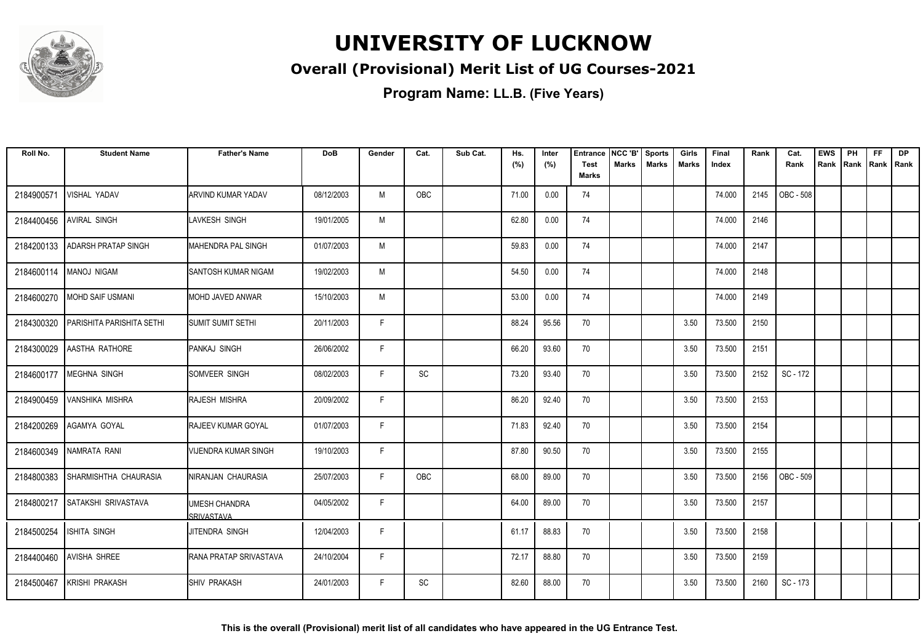

### **Overall (Provisional) Merit List of UG Courses-2021**

| Roll No.   | <b>Student Name</b>              | <b>Father's Name</b>               | <b>DoB</b> | Gender | Cat.       | Sub Cat. | Hs.<br>(%) | Inter<br>(%) | <b>Entrance</b><br><b>Test</b> | NCC 'B'<br><b>Marks</b> | <b>Sports</b><br><b>Marks</b> | Girls<br>Marks | Final<br>Index | Rank | Cat.<br>Rank | <b>EWS</b><br>Rank | PH<br>Rank | <b>FF</b><br>Rank   Rank | <b>DP</b> |
|------------|----------------------------------|------------------------------------|------------|--------|------------|----------|------------|--------------|--------------------------------|-------------------------|-------------------------------|----------------|----------------|------|--------------|--------------------|------------|--------------------------|-----------|
|            |                                  |                                    |            |        |            |          |            |              | <b>Marks</b>                   |                         |                               |                |                |      |              |                    |            |                          |           |
| 2184900571 | VISHAL YADAV                     | <b>ARVIND KUMAR YADAV</b>          | 08/12/2003 | M      | <b>OBC</b> |          | 71.00      | 0.00         | 74                             |                         |                               |                | 74.000         | 2145 | OBC - 508    |                    |            |                          |           |
| 2184400456 | <b>AVIRAL SINGH</b>              | LAVKESH SINGH                      | 19/01/2005 | M      |            |          | 62.80      | 0.00         | 74                             |                         |                               |                | 74.000         | 2146 |              |                    |            |                          |           |
| 2184200133 | <b>ADARSH PRATAP SINGH</b>       | MAHENDRA PAL SINGH                 | 01/07/2003 | M      |            |          | 59.83      | 0.00         | 74                             |                         |                               |                | 74.000         | 2147 |              |                    |            |                          |           |
| 2184600114 | MANOJ NIGAM                      | SANTOSH KUMAR NIGAM                | 19/02/2003 | M      |            |          | 54.50      | 0.00         | 74                             |                         |                               |                | 74.000         | 2148 |              |                    |            |                          |           |
| 2184600270 | <b>MOHD SAIF USMANI</b>          | MOHD JAVED ANWAR                   | 15/10/2003 | M      |            |          | 53.00      | 0.00         | 74                             |                         |                               |                | 74.000         | 2149 |              |                    |            |                          |           |
| 2184300320 | <b>PARISHITA PARISHITA SETHI</b> | <b>SUMIT SUMIT SETHI</b>           | 20/11/2003 | F      |            |          | 88.24      | 95.56        | 70                             |                         |                               | 3.50           | 73.500         | 2150 |              |                    |            |                          |           |
|            | 2184300029 AASTHA RATHORE        | PANKAJ SINGH                       | 26/06/2002 | F      |            |          | 66.20      | 93.60        | 70                             |                         |                               | 3.50           | 73.500         | 2151 |              |                    |            |                          |           |
| 2184600177 | MEGHNA SINGH                     | SOMVEER SINGH                      | 08/02/2003 | F.     | SC         |          | 73.20      | 93.40        | 70                             |                         |                               | 3.50           | 73.500         | 2152 | SC - 172     |                    |            |                          |           |
| 2184900459 | <b>VANSHIKA MISHRA</b>           | RAJESH MISHRA                      | 20/09/2002 | F      |            |          | 86.20      | 92.40        | 70                             |                         |                               | 3.50           | 73.500         | 2153 |              |                    |            |                          |           |
| 2184200269 | AGAMYA GOYAL                     | RAJEEV KUMAR GOYAL                 | 01/07/2003 | F.     |            |          | 71.83      | 92.40        | 70                             |                         |                               | 3.50           | 73.500         | 2154 |              |                    |            |                          |           |
| 2184600349 | NAMRATA RANI                     | <b>VIJENDRA KUMAR SINGH</b>        | 19/10/2003 | F      |            |          | 87.80      | 90.50        | 70                             |                         |                               | 3.50           | 73.500         | 2155 |              |                    |            |                          |           |
| 2184800383 | ISHARMISHTHA CHAURASIA           | INIRANJAN CHAURASIA                | 25/07/2003 | F      | <b>OBC</b> |          | 68.00      | 89.00        | 70                             |                         |                               | 3.50           | 73.500         | 2156 | OBC - 509    |                    |            |                          |           |
| 2184800217 | SATAKSHI SRIVASTAVA              | <b>JMESH CHANDRA</b><br>SRIVASTAVA | 04/05/2002 | F.     |            |          | 64.00      | 89.00        | 70                             |                         |                               | 3.50           | 73.500         | 2157 |              |                    |            |                          |           |
| 2184500254 | <b>ISHITA SINGH</b>              | JITENDRA SINGH                     | 12/04/2003 | F      |            |          | 61.17      | 88.83        | 70                             |                         |                               | 3.50           | 73.500         | 2158 |              |                    |            |                          |           |
| 2184400460 | <b>AVISHA SHREE</b>              | RANA PRATAP SRIVASTAVA             | 24/10/2004 | F.     |            |          | 72.17      | 88.80        | 70                             |                         |                               | 3.50           | 73.500         | 2159 |              |                    |            |                          |           |
| 2184500467 | <b>KRISHI PRAKASH</b>            | <b>I</b> SHIV PRAKASH              | 24/01/2003 | F.     | SC         |          | 82.60      | 88.00        | 70                             |                         |                               | 3.50           | 73.500         | 2160 | SC - 173     |                    |            |                          |           |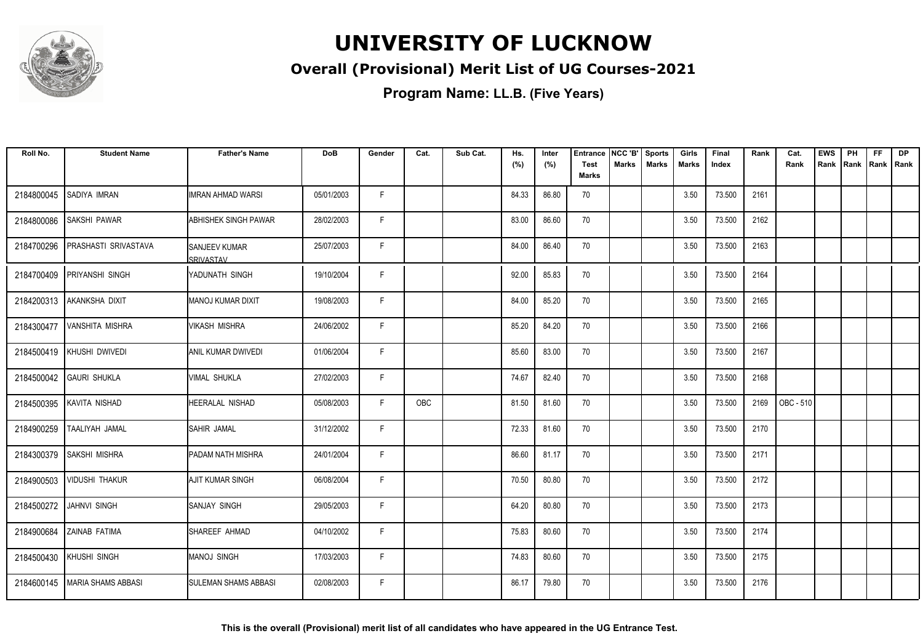

### **Overall (Provisional) Merit List of UG Courses-2021**

**Program Name: LL.B. (Five Years)**

| Roll No.   | <b>Student Name</b>    | <b>Father's Name</b>              | <b>DoB</b> | Gender | Cat.       | Sub Cat. | Hs.<br>(%) | Inter<br>(%) | <b>Entrance</b><br><b>Test</b> | NCC 'B'<br><b>Marks</b> | <b>Sports</b><br><b>Marks</b> | Girls<br>Marks | Final<br>Index | Rank | Cat.<br>Rank | <b>EWS</b><br>Rank | PH | <b>FF</b><br>Rank   Rank   Rank | <b>DP</b> |
|------------|------------------------|-----------------------------------|------------|--------|------------|----------|------------|--------------|--------------------------------|-------------------------|-------------------------------|----------------|----------------|------|--------------|--------------------|----|---------------------------------|-----------|
|            |                        |                                   |            |        |            |          |            |              | <b>Marks</b>                   |                         |                               |                |                |      |              |                    |    |                                 |           |
| 2184800045 | SADIYA IMRAN           | IIMRAN AHMAD WARSI                | 05/01/2003 | F.     |            |          | 84.33      | 86.80        | 70                             |                         |                               | 3.50           | 73.500         | 2161 |              |                    |    |                                 |           |
| 2184800086 | SAKSHI PAWAR           | <b>ABHISHEK SINGH PAWAR</b>       | 28/02/2003 | F.     |            |          | 83.00      | 86.60        | 70                             |                         |                               | 3.50           | 73.500         | 2162 |              |                    |    |                                 |           |
| 2184700296 | PRASHASTI SRIVASTAVA   | <b>SANJEEV KUMAR</b><br>SRIVASTAV | 25/07/2003 | F.     |            |          | 84.00      | 86.40        | 70                             |                         |                               | 3.50           | 73.500         | 2163 |              |                    |    |                                 |           |
| 2184700409 | <b>PRIYANSHI SINGH</b> | IYADUNATH SINGH                   | 19/10/2004 | F      |            |          | 92.00      | 85.83        | 70                             |                         |                               | 3.50           | 73.500         | 2164 |              |                    |    |                                 |           |
| 2184200313 | AKANKSHA DIXIT         | MANOJ KUMAR DIXIT                 | 19/08/2003 | F.     |            |          | 84.00      | 85.20        | 70                             |                         |                               | 3.50           | 73.500         | 2165 |              |                    |    |                                 |           |
| 2184300477 | VANSHITA MISHRA        | <b>VIKASH MISHRA</b>              | 24/06/2002 | F      |            |          | 85.20      | 84.20        | 70                             |                         |                               | 3.50           | 73.500         | 2166 |              |                    |    |                                 |           |
| 2184500419 | KHUSHI DWIVEDI         | <b>ANIL KUMAR DWIVEDI</b>         | 01/06/2004 | F.     |            |          | 85.60      | 83.00        | 70                             |                         |                               | 3.50           | 73.500         | 2167 |              |                    |    |                                 |           |
| 2184500042 | <b>GAURI SHUKLA</b>    | IVIMAL SHUKLA                     | 27/02/2003 | F.     |            |          | 74.67      | 82.40        | 70                             |                         |                               | 3.50           | 73.500         | 2168 |              |                    |    |                                 |           |
| 2184500395 | KAVITA NISHAD          | <b>HEERALAL NISHAD</b>            | 05/08/2003 | F      | <b>OBC</b> |          | 81.50      | 81.60        | 70                             |                         |                               | 3.50           | 73.500         | 2169 | OBC-510      |                    |    |                                 |           |
| 2184900259 | TAALIYAH JAMAL         | <b>ISAHIR JAMAL</b>               | 31/12/2002 | F      |            |          | 72.33      | 81.60        | 70                             |                         |                               | 3.50           | 73.500         | 2170 |              |                    |    |                                 |           |
| 2184300379 | <b>SAKSHI MISHRA</b>   | <b>PADAM NATH MISHRA</b>          | 24/01/2004 | F      |            |          | 86.60      | 81.17        | 70                             |                         |                               | 3.50           | 73.500         | 2171 |              |                    |    |                                 |           |
| 2184900503 | <b>VIDUSHI THAKUR</b>  | <b>AJIT KUMAR SINGH</b>           | 06/08/2004 | F.     |            |          | 70.50      | 80.80        | 70                             |                         |                               | 3.50           | 73.500         | 2172 |              |                    |    |                                 |           |
| 2184500272 | JAHNVI SINGH           | <b>ISANJAY SINGH</b>              | 29/05/2003 | F      |            |          | 64.20      | 80.80        | 70                             |                         |                               | 3.50           | 73.500         | 2173 |              |                    |    |                                 |           |
| 2184900684 | ZAINAB FATIMA          | SHAREEF AHMAD                     | 04/10/2002 | F      |            |          | 75.83      | 80.60        | 70                             |                         |                               | 3.50           | 73.500         | 2174 |              |                    |    |                                 |           |
| 2184500430 | KHUSHI SINGH           | Imanoj singh                      | 17/03/2003 | F.     |            |          | 74.83      | 80.60        | 70                             |                         |                               | 3.50           | 73.500         | 2175 |              |                    |    |                                 |           |
| 2184600145 | MARIA SHAMS ABBASI     | <b>SULEMAN SHAMS ABBASI</b>       | 02/08/2003 | F      |            |          | 86.17      | 79.80        | 70                             |                         |                               | 3.50           | 73.500         | 2176 |              |                    |    |                                 |           |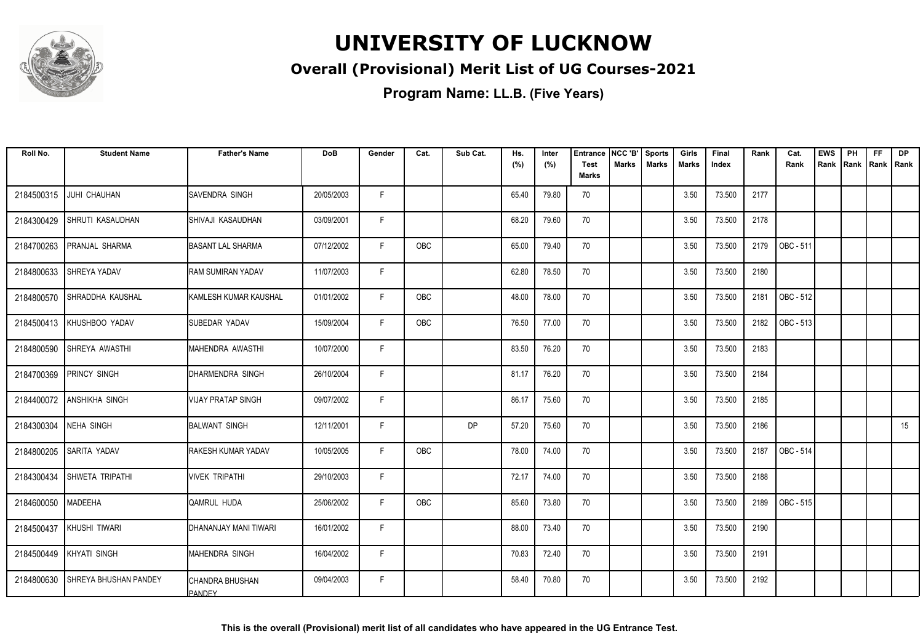

### **Overall (Provisional) Merit List of UG Courses-2021**

| Roll No.   | <b>Student Name</b>          | <b>Father's Name</b>              | <b>DoB</b> | Gender | Cat. | Sub Cat.  | Hs.<br>(%) | Inter<br>(%) | <b>Entrance</b><br>Test | NCC 'B'<br>Marks | <b>Sports</b><br><b>Marks</b> | Girls<br>Marks | Final<br>Index | Rank | Cat.<br>Rank | <b>EWS</b><br>Rank | PH<br>Rank | <b>FF</b><br>Rank   Rank | <b>DP</b> |
|------------|------------------------------|-----------------------------------|------------|--------|------|-----------|------------|--------------|-------------------------|------------------|-------------------------------|----------------|----------------|------|--------------|--------------------|------------|--------------------------|-----------|
|            |                              |                                   |            |        |      |           |            |              | <b>Marks</b>            |                  |                               |                |                |      |              |                    |            |                          |           |
| 2184500315 | JUHI CHAUHAN                 | <b>SAVENDRA SINGH</b>             | 20/05/2003 | F      |      |           | 65.40      | 79.80        | 70                      |                  |                               | 3.50           | 73.500         | 2177 |              |                    |            |                          |           |
| 2184300429 | SHRUTI KASAUDHAN             | SHIVAJI KASAUDHAN                 | 03/09/2001 | F      |      |           | 68.20      | 79.60        | 70                      |                  |                               | 3.50           | 73.500         | 2178 |              |                    |            |                          |           |
| 2184700263 | PRANJAL SHARMA               | <b>BASANT LAL SHARMA</b>          | 07/12/2002 | F      | OBC  |           | 65.00      | 79.40        | 70                      |                  |                               | 3.50           | 73.500         | 2179 | OBC - 511    |                    |            |                          |           |
| 2184800633 | <b>SHREYA YADAV</b>          | <b>RAM SUMIRAN YADAV</b>          | 11/07/2003 | F      |      |           | 62.80      | 78.50        | 70                      |                  |                               | 3.50           | 73.500         | 2180 |              |                    |            |                          |           |
| 2184800570 | SHRADDHA KAUSHAL             | <b>I</b> KAMLESH KUMAR KAUSHAL    | 01/01/2002 | F.     | OBC  |           | 48.00      | 78.00        | 70                      |                  |                               | 3.50           | 73.500         | 2181 | OBC - 512    |                    |            |                          |           |
| 2184500413 | KHUSHBOO YADAV               | SUBEDAR YADAV                     | 15/09/2004 | F.     | OBC  |           | 76.50      | 77.00        | 70                      |                  |                               | 3.50           | 73.500         | 2182 | OBC - 513    |                    |            |                          |           |
| 2184800590 | SHREYA AWASTHI               | MAHENDRA AWASTHI                  | 10/07/2000 | F      |      |           | 83.50      | 76.20        | 70                      |                  |                               | 3.50           | 73.500         | 2183 |              |                    |            |                          |           |
|            | 2184700369 PRINCY SINGH      | DHARMENDRA SINGH                  | 26/10/2004 | F      |      |           | 81.17      | 76.20        | 70                      |                  |                               | 3.50           | 73.500         | 2184 |              |                    |            |                          |           |
| 2184400072 | <b>ANSHIKHA SINGH</b>        | <b>VIJAY PRATAP SINGH</b>         | 09/07/2002 | F      |      |           | 86.17      | 75.60        | 70                      |                  |                               | 3.50           | 73.500         | 2185 |              |                    |            |                          |           |
| 2184300304 | <b>NEHA SINGH</b>            | <b>BALWANT SINGH</b>              | 12/11/2001 | F      |      | <b>DP</b> | 57.20      | 75.60        | 70                      |                  |                               | 3.50           | 73.500         | 2186 |              |                    |            |                          | 15        |
| 2184800205 | <b>SARITA YADAV</b>          | <b>RAKESH KUMAR YADAV</b>         | 10/05/2005 | F      | OBC  |           | 78.00      | 74.00        | 70                      |                  |                               | 3.50           | 73.500         | 2187 | OBC - 514    |                    |            |                          |           |
| 2184300434 | SHWETA TRIPATHI              | Ivivek tripathi                   | 29/10/2003 | F      |      |           | 72.17      | 74.00        | 70                      |                  |                               | 3.50           | 73.500         | 2188 |              |                    |            |                          |           |
| 2184600050 | <b>MADEEHA</b>               | QAMRUL HUDA                       | 25/06/2002 | F      | OBC  |           | 85.60      | 73.80        | 70                      |                  |                               | 3.50           | 73.500         | 2189 | OBC - 515    |                    |            |                          |           |
| 2184500437 | KHUSHI TIWARI                | <b>I</b> DHANANJAY MANI TIWARI    | 16/01/2002 | E      |      |           | 88.00      | 73.40        | 70                      |                  |                               | 3.50           | 73.500         | 2190 |              |                    |            |                          |           |
| 2184500449 | KHYATI SINGH                 | MAHENDRA SINGH                    | 16/04/2002 | F.     |      |           | 70.83      | 72.40        | 70                      |                  |                               | 3.50           | 73.500         | 2191 |              |                    |            |                          |           |
| 2184800630 | <b>SHREYA BHUSHAN PANDEY</b> | CHANDRA BHUSHAN<br><b>IPANDEY</b> | 09/04/2003 | F      |      |           | 58.40      | 70.80        | 70                      |                  |                               | 3.50           | 73.500         | 2192 |              |                    |            |                          |           |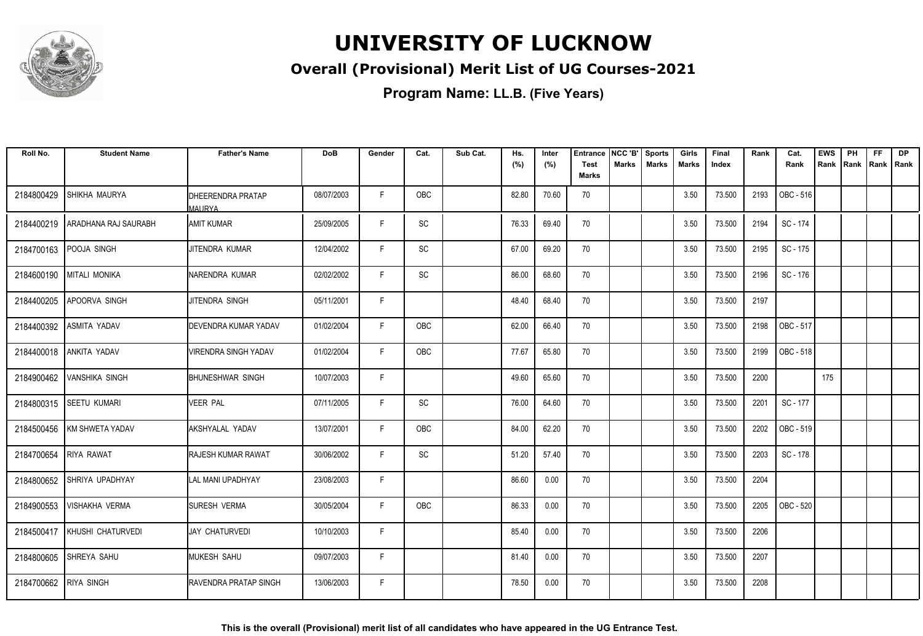

### **Overall (Provisional) Merit List of UG Courses-2021**

| Roll No.              | <b>Student Name</b>    | <b>Father's Name</b>                      | <b>DoB</b> | Gender | Cat.                         | Sub Cat. | Hs.<br>(%) | Inter<br>(%) | <b>Entrance</b><br><b>Test</b> | NCC 'B'<br><b>Marks</b> | <b>Sports</b><br><b>Marks</b> | Girls<br><b>Marks</b> | Final<br>Index | Rank | Cat.<br>Rank | <b>EWS</b><br>Rank | PH<br>Rank Rank Rank | <b>FF</b> | <b>DP</b> |
|-----------------------|------------------------|-------------------------------------------|------------|--------|------------------------------|----------|------------|--------------|--------------------------------|-------------------------|-------------------------------|-----------------------|----------------|------|--------------|--------------------|----------------------|-----------|-----------|
|                       |                        |                                           |            |        |                              |          |            |              | Marks                          |                         |                               |                       |                |      |              |                    |                      |           |           |
| 2184800429            | <b>SHIKHA MAURYA</b>   | <b>DHEERENDRA PRATAP</b><br><b>MAURYA</b> | 08/07/2003 | F.     | OBC                          |          | 82.80      | 70.60        | 70                             |                         |                               | 3.50                  | 73.500         | 2193 | OBC - 516    |                    |                      |           |           |
| 2184400219            | I ARADHANA RAJ SAURABH | IAMIT KUMAR                               | 25/09/2005 | F      | <b>SC</b>                    |          | 76.33      | 69.40        | 70                             |                         |                               | 3.50                  | 73.500         | 2194 | SC - 174     |                    |                      |           |           |
| 2184700163            | POOJA SINGH            | JITENDRA KUMAR                            | 12/04/2002 | F      | <b>SC</b>                    |          | 67.00      | 69.20        | 70                             |                         |                               | 3.50                  | 73.500         | 2195 | SC - 175     |                    |                      |           |           |
| 2184600190            | <b>MITALI MONIKA</b>   | INARENDRA KUMAR                           | 02/02/2002 | F      | $\operatorname{\textsf{SC}}$ |          | 86.00      | 68.60        | 70                             |                         |                               | 3.50                  | 73.500         | 2196 | SC - 176     |                    |                      |           |           |
| 2184400205            | <b>APOORVA SINGH</b>   | JITENDRA SINGH                            | 05/11/2001 | F      |                              |          | 48.40      | 68.40        | 70                             |                         |                               | 3.50                  | 73.500         | 2197 |              |                    |                      |           |           |
| 2184400392            | ASMITA YADAV           | <b>DEVENDRA KUMAR YADAV</b>               | 01/02/2004 | F.     | OBC                          |          | 62.00      | 66.40        | 70                             |                         |                               | 3.50                  | 73.500         | 2198 | OBC - 517    |                    |                      |           |           |
| 2184400018            | <b>ANKITA YADAV</b>    | <b>VIRENDRA SINGH YADAV</b>               | 01/02/2004 | F.     | OBC                          |          | 77.67      | 65.80        | 70                             |                         |                               | 3.50                  | 73.500         | 2199 | OBC - 518    |                    |                      |           |           |
| 2184900462            | <b>VANSHIKA SINGH</b>  | <b>I</b> BHUNESHWAR SINGH                 | 10/07/2003 | F      |                              |          | 49.60      | 65.60        | 70                             |                         |                               | 3.50                  | 73.500         | 2200 |              | 175                |                      |           |           |
| 2184800315            | <b>SEETU KUMARI</b>    | <b>VEER PAL</b>                           | 07/11/2005 | F      | <b>SC</b>                    |          | 76.00      | 64.60        | 70                             |                         |                               | 3.50                  | 73.500         | 2201 | SC - 177     |                    |                      |           |           |
| 2184500456            | KM SHWETA YADAV        | AKSHYALAL YADAV                           | 13/07/2001 | F      | OBC                          |          | 84.00      | 62.20        | 70                             |                         |                               | 3.50                  | 73.500         | 2202 | OBC - 519    |                    |                      |           |           |
| 2184700654            | <b>RIYA RAWAT</b>      | IRAJESH KUMAR RAWAT                       | 30/06/2002 | F      | SC                           |          | 51.20      | 57.40        | 70                             |                         |                               | 3.50                  | 73.500         | 2203 | SC - 178     |                    |                      |           |           |
| 2184800652            | ISHRIYA UPADHYAY       | LAL MANI UPADHYAY                         | 23/08/2003 | F      |                              |          | 86.60      | 0.00         | 70                             |                         |                               | 3.50                  | 73.500         | 2204 |              |                    |                      |           |           |
| 2184900553            | <b>VISHAKHA VERMA</b>  | <b>SURESH VERMA</b>                       | 30/05/2004 | F      | OBC                          |          | 86.33      | 0.00         | 70                             |                         |                               | 3.50                  | 73.500         | 2205 | OBC - 520    |                    |                      |           |           |
| 2184500417            | KHUSHI CHATURVEDI      | JAY CHATURVEDI                            | 10/10/2003 | F      |                              |          | 85.40      | 0.00         | 70                             |                         |                               | 3.50                  | 73.500         | 2206 |              |                    |                      |           |           |
| 2184800605            | <b>SHREYA SAHU</b>     | <b>I</b> MUKESH SAHU                      | 09/07/2003 | F.     |                              |          | 81.40      | 0.00         | 70                             |                         |                               | 3.50                  | 73.500         | 2207 |              |                    |                      |           |           |
| 2184700662 RIYA SINGH |                        | <b>RAVENDRA PRATAP SINGH</b>              | 13/06/2003 | F      |                              |          | 78.50      | 0.00         | 70                             |                         |                               | 3.50                  | 73.500         | 2208 |              |                    |                      |           |           |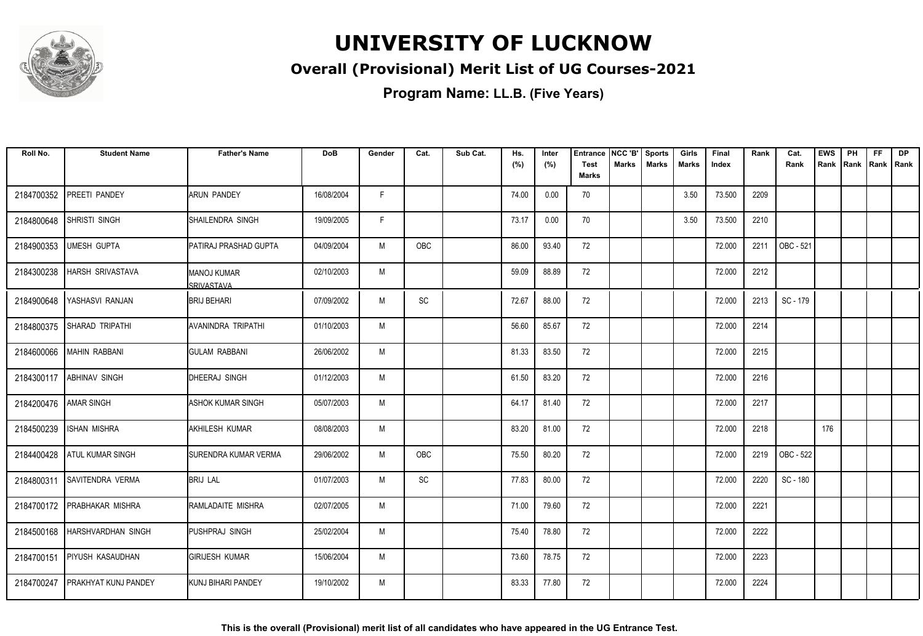

### **Overall (Provisional) Merit List of UG Courses-2021**

| Roll No.   | <b>Student Name</b>         | <b>Father's Name</b>          | DoB        | Gender | Cat.       | Sub Cat. | Hs.<br>(%) | Inter<br>(%) | <b>Entrance</b><br>Test | NCC 'B'<br><b>Marks</b> | <b>Sports</b><br><b>Marks</b> | Girls<br><b>Marks</b> | Final<br>Index | Rank | Cat.<br>Rank | <b>EWS</b><br>Rank | PH<br>Rank | <b>FF</b><br>Rank   Rank | <b>DP</b> |
|------------|-----------------------------|-------------------------------|------------|--------|------------|----------|------------|--------------|-------------------------|-------------------------|-------------------------------|-----------------------|----------------|------|--------------|--------------------|------------|--------------------------|-----------|
|            |                             |                               |            |        |            |          |            |              | <b>Marks</b>            |                         |                               |                       |                |      |              |                    |            |                          |           |
| 2184700352 | PREETI PANDEY               | IARUN PANDEY                  | 16/08/2004 | F      |            |          | 74.00      | 0.00         | 70                      |                         |                               | 3.50                  | 73.500         | 2209 |              |                    |            |                          |           |
| 2184800648 | <b>SHRISTI SINGH</b>        | ISHAILENDRA SINGH             | 19/09/2005 | F      |            |          | 73.17      | 0.00         | 70                      |                         |                               | 3.50                  | 73.500         | 2210 |              |                    |            |                          |           |
| 2184900353 | <b>UMESH GUPTA</b>          | PATIRAJ PRASHAD GUPTA         | 04/09/2004 | M      | <b>OBC</b> |          | 86.00      | 93.40        | 72                      |                         |                               |                       | 72.000         | 2211 | OBC - 521    |                    |            |                          |           |
| 2184300238 | <b>HARSH SRIVASTAVA</b>     | IMANOJ KUMAR<br>SRIVASTAVA    | 02/10/2003 | M      |            |          | 59.09      | 88.89        | 72                      |                         |                               |                       | 72.000         | 2212 |              |                    |            |                          |           |
| 2184900648 | IYASHASVI RANJAN            | IBRIJ BEHARI                  | 07/09/2002 | M      | <b>SC</b>  |          | 72.67      | 88.00        | 72                      |                         |                               |                       | 72.000         | 2213 | SC - 179     |                    |            |                          |           |
| 2184800375 | <b>SHARAD TRIPATHI</b>      | <b>AVANINDRA TRIPATHI</b>     | 01/10/2003 | M      |            |          | 56.60      | 85.67        | 72                      |                         |                               |                       | 72.000         | 2214 |              |                    |            |                          |           |
| 2184600066 | MAHIN RABBANI               | IGULAM RABBANI                | 26/06/2002 | M      |            |          | 81.33      | 83.50        | 72                      |                         |                               |                       | 72.000         | 2215 |              |                    |            |                          |           |
| 2184300117 | <b>ABHINAV SINGH</b>        | DHEERAJ SINGH                 | 01/12/2003 | M      |            |          | 61.50      | 83.20        | 72                      |                         |                               |                       | 72.000         | 2216 |              |                    |            |                          |           |
| 2184200476 | <b>AMAR SINGH</b>           | IASHOK KUMAR SINGH            | 05/07/2003 | M      |            |          | 64.17      | 81.40        | 72                      |                         |                               |                       | 72.000         | 2217 |              |                    |            |                          |           |
| 2184500239 | <b>ISHAN MISHRA</b>         | <b>AKHILESH KUMAR</b>         | 08/08/2003 | M      |            |          | 83.20      | 81.00        | 72                      |                         |                               |                       | 72.000         | 2218 |              | 176                |            |                          |           |
| 2184400428 | <b>ATUL KUMAR SINGH</b>     | <b>I</b> SURENDRA KUMAR VERMA | 29/06/2002 | M      | OBC        |          | 75.50      | 80.20        | 72                      |                         |                               |                       | 72.000         | 2219 | OBC - 522    |                    |            |                          |           |
| 2184800311 | <b>SAVITENDRA VERMA</b>     | <b>BRIJ LAL</b>               | 01/07/2003 | M      | SC         |          | 77.83      | 80.00        | 72                      |                         |                               |                       | 72.000         | 2220 | SC - 180     |                    |            |                          |           |
|            | 2184700172 PRABHAKAR MISHRA | RAMLADAITE MISHRA             | 02/07/2005 | M      |            |          | 71.00      | 79.60        | 72                      |                         |                               |                       | 72.000         | 2221 |              |                    |            |                          |           |
| 2184500168 | HARSHVARDHAN SINGH          | PUSHPRAJ SINGH                | 25/02/2004 | M      |            |          | 75.40      | 78.80        | 72                      |                         |                               |                       | 72.000         | 2222 |              |                    |            |                          |           |
| 2184700151 | <b>PIYUSH KASAUDHAN</b>     | <b>GIRIJESH KUMAR</b>         | 15/06/2004 | M      |            |          | 73.60      | 78.75        | 72                      |                         |                               |                       | 72.000         | 2223 |              |                    |            |                          |           |
| 2184700247 | <b>PRAKHYAT KUNJ PANDEY</b> | <b>KUNJ BIHARI PANDEY</b>     | 19/10/2002 | M      |            |          | 83.33      | 77.80        | 72                      |                         |                               |                       | 72.000         | 2224 |              |                    |            |                          |           |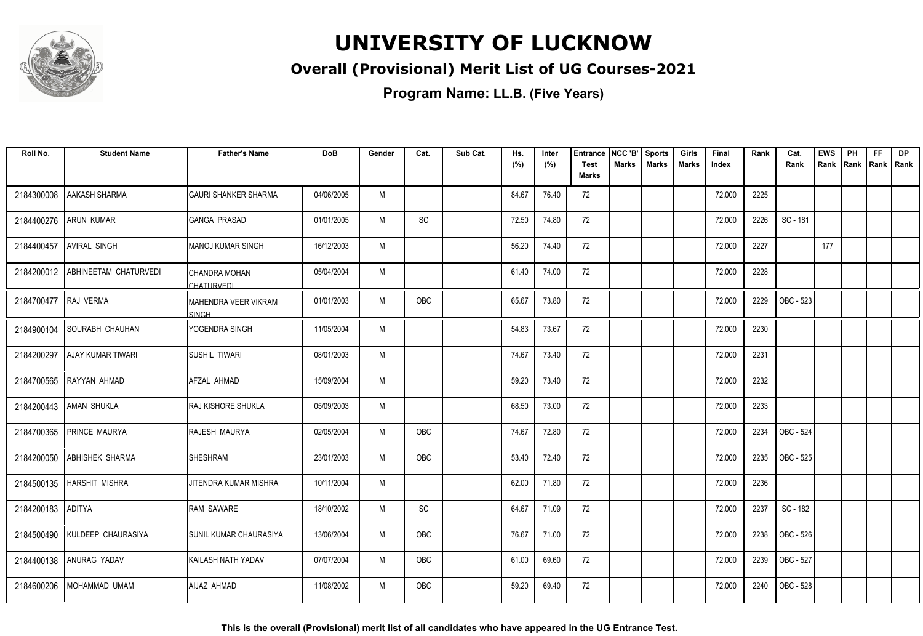

### **Overall (Provisional) Merit List of UG Courses-2021**

**Program Name: LL.B. (Five Years)**

| Roll No.             | <b>Student Name</b>           | <b>Father's Name</b>                 | <b>DoB</b> | Gender | Cat.       | Sub Cat. | Hs.<br>(%) | Inter<br>(%) | <b>Entrance</b><br><b>Test</b> | NCC 'B'<br>Marks | <b>Sports</b><br><b>Marks</b> | Girls<br><b>Marks</b> | Final<br>Index | Rank | Cat.<br>Rank | <b>EWS</b><br>Rank | PH<br>Rank | FF<br>Rank   Rank | <b>DP</b> |
|----------------------|-------------------------------|--------------------------------------|------------|--------|------------|----------|------------|--------------|--------------------------------|------------------|-------------------------------|-----------------------|----------------|------|--------------|--------------------|------------|-------------------|-----------|
|                      |                               |                                      |            |        |            |          |            |              | <b>Marks</b>                   |                  |                               |                       |                |      |              |                    |            |                   |           |
| 2184300008           | AAKASH SHARMA                 | <b>GAURI SHANKER SHARMA</b>          | 04/06/2005 | M      |            |          | 84.67      | 76.40        | 72                             |                  |                               |                       | 72.000         | 2225 |              |                    |            |                   |           |
| 2184400276           | <b>ARUN KUMAR</b>             | <b>GANGA PRASAD</b>                  | 01/01/2005 | M      | SC         |          | 72.50      | 74.80        | 72                             |                  |                               |                       | 72.000         | 2226 | SC - 181     |                    |            |                   |           |
| 2184400457           | <b>AVIRAL SINGH</b>           | <b>MANOJ KUMAR SINGH</b>             | 16/12/2003 | M      |            |          | 56.20      | 74.40        | 72                             |                  |                               |                       | 72.000         | 2227 |              | 177                |            |                   |           |
| 2184200012           | <b>ABHINEETAM CHATURVEDI</b>  | CHANDRA MOHAN<br>CHATURVEDI          | 05/04/2004 | M      |            |          | 61.40      | 74.00        | 72                             |                  |                               |                       | 72.000         | 2228 |              |                    |            |                   |           |
| 2184700477 RAJ VERMA |                               | MAHENDRA VEER VIKRAM<br><b>SINGH</b> | 01/01/2003 | M      | OBC        |          | 65.67      | 73.80        | 72                             |                  |                               |                       | 72.000         | 2229 | OBC - 523    |                    |            |                   |           |
| 2184900104           | <b>SOURABH CHAUHAN</b>        | YOGENDRA SINGH                       | 11/05/2004 | M      |            |          | 54.83      | 73.67        | 72                             |                  |                               |                       | 72.000         | 2230 |              |                    |            |                   |           |
| 2184200297           | <b>AJAY KUMAR TIWARI</b>      | <b>SUSHIL TIWARI</b>                 | 08/01/2003 | M      |            |          | 74.67      | 73.40        | 72                             |                  |                               |                       | 72.000         | 2231 |              |                    |            |                   |           |
| 2184700565           | RAYYAN AHMAD                  | AFZAL AHMAD                          | 15/09/2004 | M      |            |          | 59.20      | 73.40        | 72                             |                  |                               |                       | 72.000         | 2232 |              |                    |            |                   |           |
|                      | 2184200443   AMAN SHUKLA      | RAJ KISHORE SHUKLA                   | 05/09/2003 | M      |            |          | 68.50      | 73.00        | 72                             |                  |                               |                       | 72.000         | 2233 |              |                    |            |                   |           |
| 2184700365           | PRINCE MAURYA                 | RAJESH MAURYA                        | 02/05/2004 | M      | OBC        |          | 74.67      | 72.80        | 72                             |                  |                               |                       | 72.000         | 2234 | OBC - 524    |                    |            |                   |           |
| 2184200050           | <b>ABHISHEK SHARMA</b>        | <b>SHESHRAM</b>                      | 23/01/2003 | M      | <b>OBC</b> |          | 53.40      | 72.40        | 72                             |                  |                               |                       | 72.000         | 2235 | OBC - 525    |                    |            |                   |           |
|                      | 2184500135   HARSHIT MISHRA   | JITENDRA KUMAR MISHRA                | 10/11/2004 | M      |            |          | 62.00      | 71.80        | 72                             |                  |                               |                       | 72.000         | 2236 |              |                    |            |                   |           |
| 2184200183           | ADITYA                        | RAM SAWARE                           | 18/10/2002 | M      | SC         |          | 64.67      | 71.09        | 72                             |                  |                               |                       | 72.000         | 2237 | SC - 182     |                    |            |                   |           |
|                      | 2184500490 KULDEEP CHAURASIYA | <b>SUNIL KUMAR CHAURASIYA</b>        | 13/06/2004 | M      | OBC        |          | 76.67      | 71.00        | 72                             |                  |                               |                       | 72.000         | 2238 | OBC - 526    |                    |            |                   |           |
| 2184400138           | ANURAG YADAV                  | KAILASH NATH YADAV                   | 07/07/2004 | M      | <b>OBC</b> |          | 61.00      | 69.60        | 72                             |                  |                               |                       | 72.000         | 2239 | OBC - 527    |                    |            |                   |           |
| 2184600206           | MOHAMMAD UMAM                 | AIJAZ AHMAD                          | 11/08/2002 | M      | <b>OBC</b> |          | 59.20      | 69.40        | 72                             |                  |                               |                       | 72.000         | 2240 | OBC - 528    |                    |            |                   |           |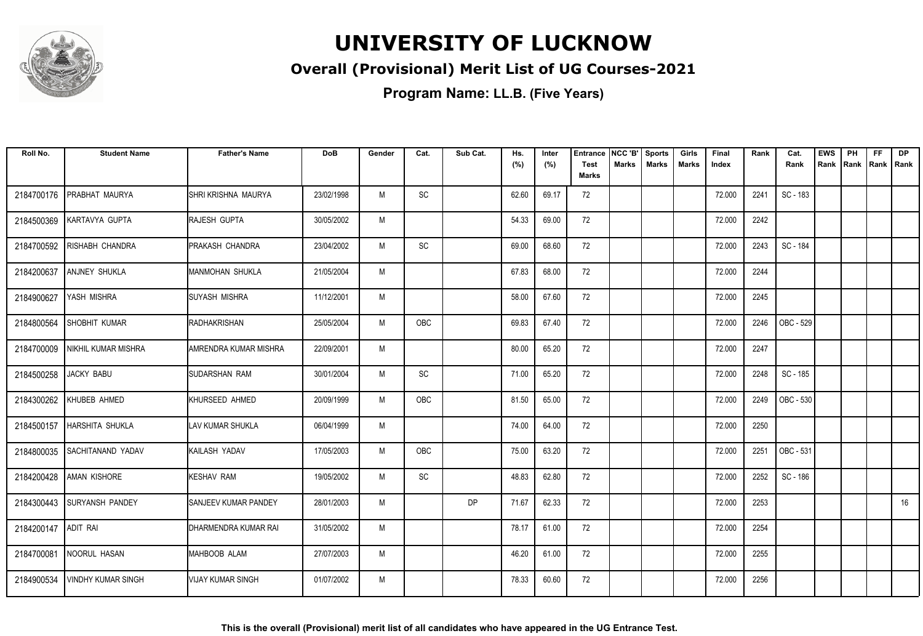

### **Overall (Provisional) Merit List of UG Courses-2021**

| Roll No.            | <b>Student Name</b>        | <b>Father's Name</b>     | <b>DoB</b> | Gender | Cat.       | Sub Cat. | Hs.<br>(%) | Inter<br>(%) | Entrance<br><b>Test</b> | NCC 'B'<br>Marks | <b>Sports</b><br><b>Marks</b> | Girls<br><b>Marks</b> | Final<br>Index | Rank | Cat.<br>Rank | <b>EWS</b><br>Rank | PH<br>Rank | <b>FF</b><br>Rank   Rank | <b>DP</b> |
|---------------------|----------------------------|--------------------------|------------|--------|------------|----------|------------|--------------|-------------------------|------------------|-------------------------------|-----------------------|----------------|------|--------------|--------------------|------------|--------------------------|-----------|
|                     |                            |                          |            |        |            |          |            |              | <b>Marks</b>            |                  |                               |                       |                |      |              |                    |            |                          |           |
| 2184700176          | PRABHAT MAURYA             | SHRI KRISHNA MAURYA      | 23/02/1998 | M      | SC         |          | 62.60      | 69.17        | 72                      |                  |                               |                       | 72.000         | 2241 | SC - 183     |                    |            |                          |           |
| 2184500369          | KARTAVYA GUPTA             | RAJESH GUPTA             | 30/05/2002 | M      |            |          | 54.33      | 69.00        | 72                      |                  |                               |                       | 72.000         | 2242 |              |                    |            |                          |           |
| 2184700592          | RISHABH CHANDRA            | <b>IPRAKASH CHANDRA</b>  | 23/04/2002 | M      | SC         |          | 69.00      | 68.60        | 72                      |                  |                               |                       | 72.000         | 2243 | SC - 184     |                    |            |                          |           |
| 2184200637          | ANJNEY SHUKLA              | MANMOHAN SHUKLA          | 21/05/2004 | M      |            |          | 67.83      | 68.00        | 72                      |                  |                               |                       | 72.000         | 2244 |              |                    |            |                          |           |
| 2184900627          | YASH MISHRA                | <b>SUYASH MISHRA</b>     | 11/12/2001 | M      |            |          | 58.00      | 67.60        | 72                      |                  |                               |                       | 72.000         | 2245 |              |                    |            |                          |           |
| 2184800564          | <b>SHOBHIT KUMAR</b>       | <b>RADHAKRISHAN</b>      | 25/05/2004 | M      | <b>OBC</b> |          | 69.83      | 67.40        | 72                      |                  |                               |                       | 72.000         | 2246 | OBC - 529    |                    |            |                          |           |
| 2184700009          | NIKHIL KUMAR MISHRA        | AMRENDRA KUMAR MISHRA    | 22/09/2001 | M      |            |          | 80.00      | 65.20        | 72                      |                  |                               |                       | 72.000         | 2247 |              |                    |            |                          |           |
| 2184500258          | <b>JACKY BABU</b>          | SUDARSHAN RAM            | 30/01/2004 | M      | SC         |          | 71.00      | 65.20        | 72                      |                  |                               |                       | 72.000         | 2248 | SC - 185     |                    |            |                          |           |
| 2184300262          | KHUBEB AHMED               | KHURSEED AHMED           | 20/09/1999 | M      | OBC        |          | 81.50      | 65.00        | 72                      |                  |                               |                       | 72.000         | 2249 | OBC - 530    |                    |            |                          |           |
| 2184500157          | <b>HARSHITA SHUKLA</b>     | LAV KUMAR SHUKLA         | 06/04/1999 | M      |            |          | 74.00      | 64.00        | 72                      |                  |                               |                       | 72.000         | 2250 |              |                    |            |                          |           |
| 2184800035          | <b>SACHITANAND YADAV</b>   | KAILASH YADAV            | 17/05/2003 | M      | OBC        |          | 75.00      | 63.20        | 72                      |                  |                               |                       | 72.000         | 2251 | OBC - 531    |                    |            |                          |           |
| 2184200428          | <b>AMAN KISHORE</b>        | <b>KESHAV RAM</b>        | 19/05/2002 | M      | SC         |          | 48.83      | 62.80        | 72                      |                  |                               |                       | 72.000         | 2252 | SC - 186     |                    |            |                          |           |
|                     | 2184300443 SURYANSH PANDEY | SANJEEV KUMAR PANDEY     | 28/01/2003 | M      |            | DP       | 71.67      | 62.33        | 72                      |                  |                               |                       | 72.000         | 2253 |              |                    |            |                          | 16        |
| 2184200147 ADIT RAI |                            | DHARMENDRA KUMAR RAI     | 31/05/2002 | M      |            |          | 78.17      | 61.00        | 72                      |                  |                               |                       | 72.000         | 2254 |              |                    |            |                          |           |
| 2184700081          | NOORUL HASAN               | MAHBOOB ALAM             | 27/07/2003 | M      |            |          | 46.20      | 61.00        | 72                      |                  |                               |                       | 72.000         | 2255 |              |                    |            |                          |           |
| 2184900534          | <b>VINDHY KUMAR SINGH</b>  | <b>VIJAY KUMAR SINGH</b> | 01/07/2002 | M      |            |          | 78.33      | 60.60        | 72                      |                  |                               |                       | 72.000         | 2256 |              |                    |            |                          |           |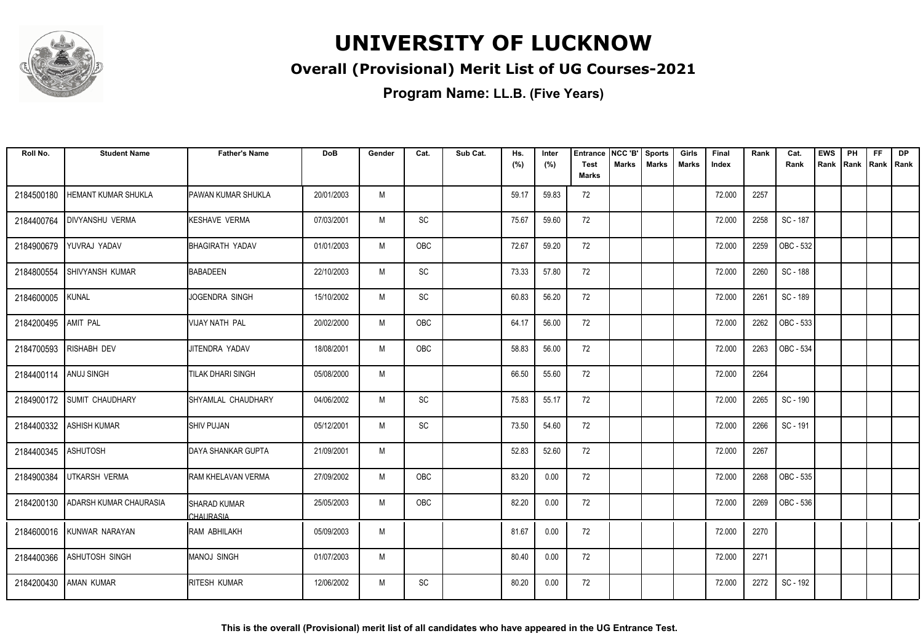

### **Overall (Provisional) Merit List of UG Courses-2021**

| Roll No.              | <b>Student Name</b>           | <b>Father's Name</b>                    | <b>DoB</b> | Gender | Cat. | Sub Cat. | Hs.<br>(%) | Inter<br>(%) | <b>Entrance</b><br><b>Test</b> | NCC 'B'<br><b>Marks</b> | <b>Sports</b><br><b>Marks</b> | Girls<br>Marks | Final<br>Index | Rank | Cat.<br>Rank | <b>EWS</b><br>Rank | PH<br>Rank | <b>FF</b><br>Rank   Rank | <b>DP</b> |
|-----------------------|-------------------------------|-----------------------------------------|------------|--------|------|----------|------------|--------------|--------------------------------|-------------------------|-------------------------------|----------------|----------------|------|--------------|--------------------|------------|--------------------------|-----------|
|                       |                               |                                         |            |        |      |          |            |              | <b>Marks</b>                   |                         |                               |                |                |      |              |                    |            |                          |           |
| 2184500180            | HEMANT KUMAR SHUKLA           | PAWAN KUMAR SHUKLA                      | 20/01/2003 | M      |      |          | 59.17      | 59.83        | 72                             |                         |                               |                | 72.000         | 2257 |              |                    |            |                          |           |
| 2184400764            | <b>DIVYANSHU VERMA</b>        | <b>KESHAVE VERMA</b>                    | 07/03/2001 | M      | SC   |          | 75.67      | 59.60        | 72                             |                         |                               |                | 72.000         | 2258 | SC - 187     |                    |            |                          |           |
| 2184900679            | YUVRAJ YADAV                  | BHAGIRATH YADAV                         | 01/01/2003 | M      | OBC  |          | 72.67      | 59.20        | 72                             |                         |                               |                | 72.000         | 2259 | OBC - 532    |                    |            |                          |           |
| 2184800554            | <b>SHIVYANSH KUMAR</b>        | BABADEEN                                | 22/10/2003 | M      | SC   |          | 73.33      | 57.80        | 72                             |                         |                               |                | 72.000         | 2260 | SC - 188     |                    |            |                          |           |
| 2184600005            | <b>KUNAL</b>                  | JOGENDRA SINGH                          | 15/10/2002 | M      | SC   |          | 60.83      | 56.20        | 72                             |                         |                               |                | 72.000         | 2261 | SC - 189     |                    |            |                          |           |
| 2184200495            | <b>AMIT PAL</b>               | VIJAY NATH PAL                          | 20/02/2000 | M      | OBC  |          | 64.17      | 56.00        | 72                             |                         |                               |                | 72.000         | 2262 | OBC - 533    |                    |            |                          |           |
|                       | 2184700593 RISHABH DEV        | JITENDRA YADAV                          | 18/08/2001 | M      | OBC  |          | 58.83      | 56.00        | 72                             |                         |                               |                | 72.000         | 2263 | OBC - 534    |                    |            |                          |           |
| 2184400114 ANUJ SINGH |                               | TILAK DHARI SINGH                       | 05/08/2000 | M      |      |          | 66.50      | 55.60        | 72                             |                         |                               |                | 72.000         | 2264 |              |                    |            |                          |           |
| 2184900172            | <b>SUMIT CHAUDHARY</b>        | SHYAMLAL CHAUDHARY                      | 04/06/2002 | M      | SC   |          | 75.83      | 55.17        | 72                             |                         |                               |                | 72.000         | 2265 | SC - 190     |                    |            |                          |           |
| 2184400332            | <b>ASHISH KUMAR</b>           | <b>SHIV PUJAN</b>                       | 05/12/2001 | M      | SC   |          | 73.50      | 54.60        | 72                             |                         |                               |                | 72.000         | 2266 | SC - 191     |                    |            |                          |           |
| 2184400345            | <b>ASHUTOSH</b>               | DAYA SHANKAR GUPTA                      | 21/09/2001 | M      |      |          | 52.83      | 52.60        | 72                             |                         |                               |                | 72.000         | 2267 |              |                    |            |                          |           |
| 2184900384            | <b>UTKARSH VERMA</b>          | RAM KHELAVAN VERMA                      | 27/09/2002 | M      | OBC  |          | 83.20      | 0.00         | 72                             |                         |                               |                | 72.000         | 2268 | OBC - 535    |                    |            |                          |           |
| 2184200130            | <b>ADARSH KUMAR CHAURASIA</b> | <b>SHARAD KUMAR</b><br><b>CHAURASIA</b> | 25/05/2003 | M      | OBC  |          | 82.20      | 0.00         | 72                             |                         |                               |                | 72.000         | 2269 | OBC - 536    |                    |            |                          |           |
|                       | 2184600016 KUNWAR NARAYAN     | RAM ABHILAKH                            | 05/09/2003 | M      |      |          | 81.67      | 0.00         | 72                             |                         |                               |                | 72.000         | 2270 |              |                    |            |                          |           |
| 2184400366            | <b>ASHUTOSH SINGH</b>         | MANOJ SINGH                             | 01/07/2003 | M      |      |          | 80.40      | 0.00         | 72                             |                         |                               |                | 72.000         | 2271 |              |                    |            |                          |           |
| 2184200430            | <b>AMAN KUMAR</b>             | <b>RITESH KUMAR</b>                     | 12/06/2002 | M      | SC   |          | 80.20      | 0.00         | 72                             |                         |                               |                | 72.000         | 2272 | SC - 192     |                    |            |                          |           |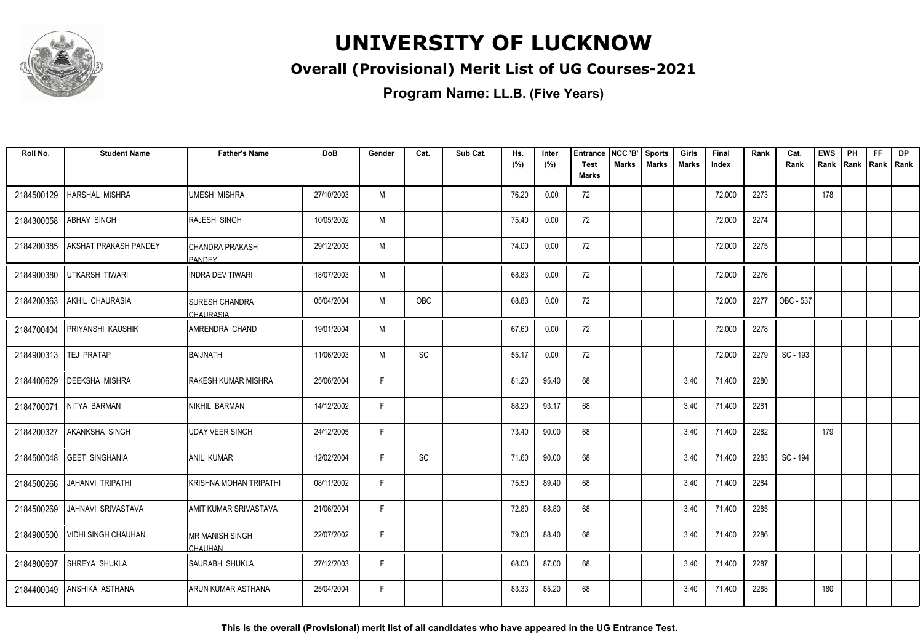

### **Overall (Provisional) Merit List of UG Courses-2021**

**Program Name: LL.B. (Five Years)**

| Roll No.   | <b>Student Name</b>          | <b>Father's Name</b>                       | <b>DoB</b> | Gender | Cat.                         | Sub Cat. | Hs.<br>(%) | Inter<br>(%) | <b>Entrance</b><br><b>Test</b> | NCC 'B'<br><b>Marks</b> | <b>Sports</b><br><b>Marks</b> | Girls<br><b>Marks</b> | Final<br>Index | Rank | Cat.<br>Rank | <b>EWS</b><br>Rank | PH | <b>FF</b><br>Rank   Rank   Rank | <b>DP</b> |
|------------|------------------------------|--------------------------------------------|------------|--------|------------------------------|----------|------------|--------------|--------------------------------|-------------------------|-------------------------------|-----------------------|----------------|------|--------------|--------------------|----|---------------------------------|-----------|
|            |                              |                                            |            |        |                              |          |            |              | <b>Marks</b>                   |                         |                               |                       |                |      |              |                    |    |                                 |           |
| 2184500129 | <b>HARSHAL MISHRA</b>        | UMESH MISHRA                               | 27/10/2003 | M      |                              |          | 76.20      | 0.00         | 72                             |                         |                               |                       | 72.000         | 2273 |              | 178                |    |                                 |           |
| 2184300058 | <b>ABHAY SINGH</b>           | <b>RAJESH SINGH</b>                        | 10/05/2002 | M      |                              |          | 75.40      | 0.00         | 72                             |                         |                               |                       | 72.000         | 2274 |              |                    |    |                                 |           |
| 2184200385 | <b>AKSHAT PRAKASH PANDEY</b> | ICHANDRA PRAKASH<br><b>PANDEY</b>          | 29/12/2003 | M      |                              |          | 74.00      | 0.00         | 72                             |                         |                               |                       | 72.000         | 2275 |              |                    |    |                                 |           |
| 2184900380 | UTKARSH TIWARI               | lINDRA DEV TIWARI                          | 18/07/2003 | M      |                              |          | 68.83      | 0.00         | 72                             |                         |                               |                       | 72.000         | 2276 |              |                    |    |                                 |           |
| 2184200363 | AKHIL CHAURASIA              | <b>ISURESH CHANDRA</b><br><b>CHAURASIA</b> | 05/04/2004 | M      | OBC                          |          | 68.83      | 0.00         | 72                             |                         |                               |                       | 72.000         | 2277 | OBC - 537    |                    |    |                                 |           |
| 2184700404 | <b>PRIYANSHI KAUSHIK</b>     | AMRENDRA CHAND                             | 19/01/2004 | M      |                              |          | 67.60      | 0.00         | 72                             |                         |                               |                       | 72.000         | 2278 |              |                    |    |                                 |           |
| 2184900313 | <b>TEJ PRATAP</b>            | BAIJNATH                                   | 11/06/2003 | M      | SC                           |          | 55.17      | 0.00         | 72                             |                         |                               |                       | 72.000         | 2279 | SC - 193     |                    |    |                                 |           |
| 2184400629 | <b>DEEKSHA MISHRA</b>        | IRAKESH KUMAR MISHRA                       | 25/06/2004 | F      |                              |          | 81.20      | 95.40        | 68                             |                         |                               | 3.40                  | 71.400         | 2280 |              |                    |    |                                 |           |
| 2184700071 | NITYA BARMAN                 | INIKHIL BARMAN                             | 14/12/2002 | F.     |                              |          | 88.20      | 93.17        | 68                             |                         |                               | 3.40                  | 71.400         | 2281 |              |                    |    |                                 |           |
| 2184200327 | <b>AKANKSHA SINGH</b>        | <b>UDAY VEER SINGH</b>                     | 24/12/2005 | F.     |                              |          | 73.40      | 90.00        | 68                             |                         |                               | 3.40                  | 71.400         | 2282 |              | 179                |    |                                 |           |
| 2184500048 | <b>GEET SINGHANIA</b>        | <b>ANIL KUMAR</b>                          | 12/02/2004 | F      | $\operatorname{\textsf{SC}}$ |          | 71.60      | 90.00        | 68                             |                         |                               | 3.40                  | 71.400         | 2283 | SC - 194     |                    |    |                                 |           |
| 2184500266 | JAHANVI TRIPATHI             | İKRISHNA MOHAN TRIPATHI                    | 08/11/2002 | F.     |                              |          | 75.50      | 89.40        | 68                             |                         |                               | 3.40                  | 71.400         | 2284 |              |                    |    |                                 |           |
| 2184500269 | JAHNAVI SRIVASTAVA           | <b>I</b> AMIT KUMAR SRIVASTAVA             | 21/06/2004 | F.     |                              |          | 72.80      | 88.80        | 68                             |                         |                               | 3.40                  | 71.400         | 2285 |              |                    |    |                                 |           |
| 2184900500 | <b>VIDHI SINGH CHAUHAN</b>   | IMR MANISH SINGH<br>CHAUHAN                | 22/07/2002 | F.     |                              |          | 79.00      | 88.40        | 68                             |                         |                               | 3.40                  | 71.400         | 2286 |              |                    |    |                                 |           |
| 2184800607 | <b>SHREYA SHUKLA</b>         | SAURABH SHUKLA                             | 27/12/2003 | F      |                              |          | 68.00      | 87.00        | 68                             |                         |                               | 3.40                  | 71.400         | 2287 |              |                    |    |                                 |           |
| 2184400049 | <b>ANSHIKA ASTHANA</b>       | IARUN KUMAR ASTHANA                        | 25/04/2004 | F.     |                              |          | 83.33      | 85.20        | 68                             |                         |                               | 3.40                  | 71.400         | 2288 |              | 180                |    |                                 |           |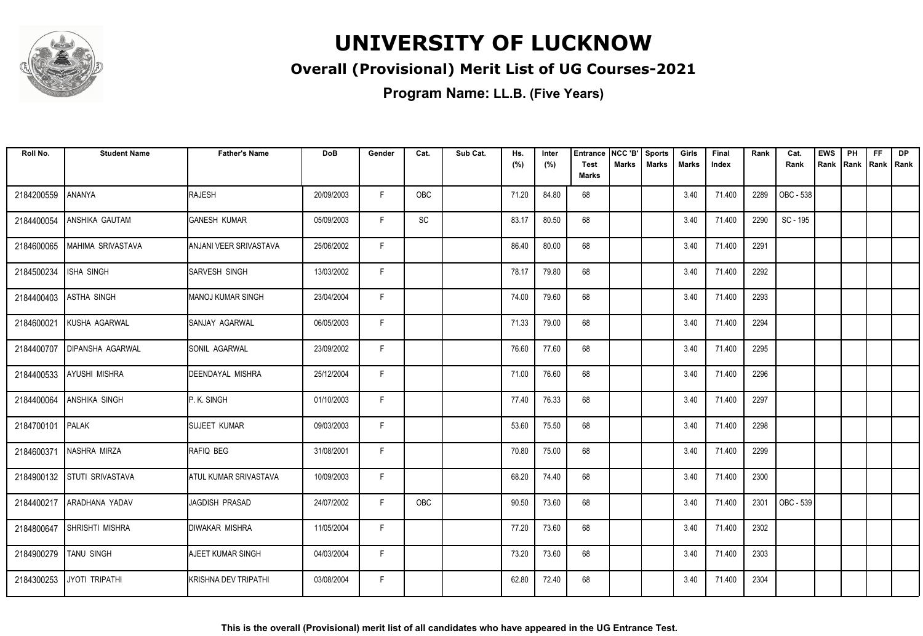

### **Overall (Provisional) Merit List of UG Courses-2021**

| Roll No.   | <b>Student Name</b>     | <b>Father's Name</b>        | <b>DoB</b> | Gender | Cat.       | Sub Cat. | Hs.<br>(%) | Inter<br>(%) | <b>Entrance</b><br><b>Test</b> | NCC 'B'<br>Marks | <b>Sports</b><br><b>Marks</b> | Girls<br>Marks | Final<br>Index | Rank | Cat.<br>Rank | <b>EWS</b><br>Rank | PH<br> Rank | <b>FF</b><br>Rank   Rank | <b>DP</b> |
|------------|-------------------------|-----------------------------|------------|--------|------------|----------|------------|--------------|--------------------------------|------------------|-------------------------------|----------------|----------------|------|--------------|--------------------|-------------|--------------------------|-----------|
|            |                         |                             |            |        |            |          |            |              | <b>Marks</b>                   |                  |                               |                |                |      |              |                    |             |                          |           |
| 2184200559 | ANANYA                  | RAJESH                      | 20/09/2003 | F      | <b>OBC</b> |          | 71.20      | 84.80        | 68                             |                  |                               | 3.40           | 71.400         | 2289 | OBC - 538    |                    |             |                          |           |
| 2184400054 | ANSHIKA GAUTAM          | <b>GANESH KUMAR</b>         | 05/09/2003 | F.     | SC         |          | 83.17      | 80.50        | 68                             |                  |                               | 3.40           | 71.400         | 2290 | SC - 195     |                    |             |                          |           |
| 2184600065 | MAHIMA SRIVASTAVA       | ANJANI VEER SRIVASTAVA      | 25/06/2002 | F      |            |          | 86.40      | 80.00        | 68                             |                  |                               | 3.40           | 71.400         | 2291 |              |                    |             |                          |           |
| 2184500234 | <b>ISHA SINGH</b>       | <b>SARVESH SINGH</b>        | 13/03/2002 | F      |            |          | 78.17      | 79.80        | 68                             |                  |                               | 3.40           | 71.400         | 2292 |              |                    |             |                          |           |
| 2184400403 | <b>ASTHA SINGH</b>      | MANOJ KUMAR SINGH           | 23/04/2004 | F      |            |          | 74.00      | 79.60        | 68                             |                  |                               | 3.40           | 71.400         | 2293 |              |                    |             |                          |           |
| 2184600021 | KUSHA AGARWAL           | SANJAY AGARWAL              | 06/05/2003 | F      |            |          | 71.33      | 79.00        | 68                             |                  |                               | 3.40           | 71.400         | 2294 |              |                    |             |                          |           |
| 2184400707 | <b>DIPANSHA AGARWAL</b> | <b>SONIL AGARWAL</b>        | 23/09/2002 | F      |            |          | 76.60      | 77.60        | 68                             |                  |                               | 3.40           | 71.400         | 2295 |              |                    |             |                          |           |
| 2184400533 | <b>AYUSHI MISHRA</b>    | DEENDAYAL MISHRA            | 25/12/2004 | F.     |            |          | 71.00      | 76.60        | 68                             |                  |                               | 3.40           | 71.400         | 2296 |              |                    |             |                          |           |
| 2184400064 | ANSHIKA SINGH           | IP. K. SINGH                | 01/10/2003 | F.     |            |          | 77.40      | 76.33        | 68                             |                  |                               | 3.40           | 71.400         | 2297 |              |                    |             |                          |           |
| 2184700101 | <b>PALAK</b>            | <b>SUJEET KUMAR</b>         | 09/03/2003 | F      |            |          | 53.60      | 75.50        | 68                             |                  |                               | 3.40           | 71.400         | 2298 |              |                    |             |                          |           |
| 2184600371 | NASHRA MIRZA            | RAFIQ BEG                   | 31/08/2001 | F      |            |          | 70.80      | 75.00        | 68                             |                  |                               | 3.40           | 71.400         | 2299 |              |                    |             |                          |           |
| 2184900132 | <b>STUTI SRIVASTAVA</b> | ATUL KUMAR SRIVASTAVA       | 10/09/2003 | F      |            |          | 68.20      | 74.40        | 68                             |                  |                               | 3.40           | 71.400         | 2300 |              |                    |             |                          |           |
| 2184400217 | ARADHANA YADAV          | JAGDISH PRASAD              | 24/07/2002 | F.     | OBC        |          | 90.50      | 73.60        | 68                             |                  |                               | 3.40           | 71.400         | 2301 | OBC - 539    |                    |             |                          |           |
| 2184800647 | SHRISHTI MISHRA         | <b>DIWAKAR MISHRA</b>       | 11/05/2004 | F      |            |          | 77.20      | 73.60        | 68                             |                  |                               | 3.40           | 71.400         | 2302 |              |                    |             |                          |           |
| 2184900279 | <b>TANU SINGH</b>       | AJEET KUMAR SINGH           | 04/03/2004 | F      |            |          | 73.20      | 73.60        | 68                             |                  |                               | 3.40           | 71.400         | 2303 |              |                    |             |                          |           |
| 2184300253 | JYOTI TRIPATHI          | <b>KRISHNA DEV TRIPATHI</b> | 03/08/2004 | F.     |            |          | 62.80      | 72.40        | 68                             |                  |                               | 3.40           | 71.400         | 2304 |              |                    |             |                          |           |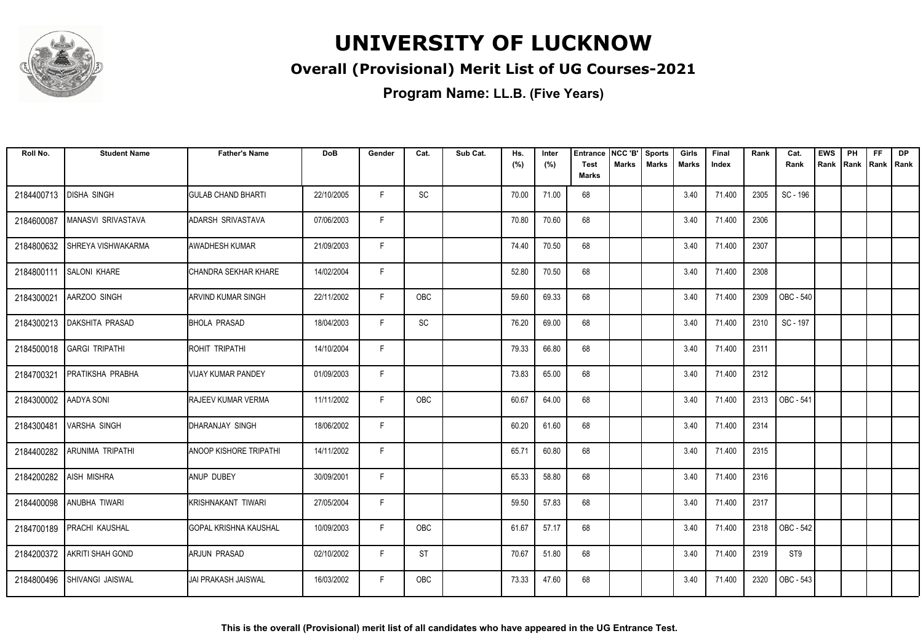

### **Overall (Provisional) Merit List of UG Courses-2021**

| Roll No.   | <b>Student Name</b>          | <b>Father's Name</b>         | <b>DoB</b> | Gender | Cat.       | Sub Cat. | Hs.<br>(%) | Inter<br>(%) | <b>Entrance</b><br><b>Test</b><br><b>Marks</b> | NCC 'B'<br>Marks | Sports<br><b>Marks</b> | Girls<br>Marks | Final<br>Index | Rank | Cat.<br>Rank | <b>EWS</b><br>Rank | PH<br> Rank | <b>FF</b><br>Rank   Rank | <b>DP</b> |
|------------|------------------------------|------------------------------|------------|--------|------------|----------|------------|--------------|------------------------------------------------|------------------|------------------------|----------------|----------------|------|--------------|--------------------|-------------|--------------------------|-----------|
|            |                              |                              |            |        |            |          |            |              |                                                |                  |                        |                |                |      |              |                    |             |                          |           |
| 2184400713 | <b>DISHA SINGH</b>           | <b>GULAB CHAND BHARTI</b>    | 22/10/2005 | F.     | SC         |          | 70.00      | 71.00        | 68                                             |                  |                        | 3.40           | 71.400         | 2305 | SC - 196     |                    |             |                          |           |
| 2184600087 | <b>MANASVI SRIVASTAVA</b>    | ADARSH SRIVASTAVA            | 07/06/2003 | F.     |            |          | 70.80      | 70.60        | 68                                             |                  |                        | 3.40           | 71.400         | 2306 |              |                    |             |                          |           |
| 2184800632 | <b>SHREYA VISHWAKARMA</b>    | AWADHESH KUMAR               | 21/09/2003 | F      |            |          | 74.40      | 70.50        | 68                                             |                  |                        | 3.40           | 71.400         | 2307 |              |                    |             |                          |           |
| 2184800111 | <b>SALONI KHARE</b>          | CHANDRA SEKHAR KHARE         | 14/02/2004 | F      |            |          | 52.80      | 70.50        | 68                                             |                  |                        | 3.40           | 71.400         | 2308 |              |                    |             |                          |           |
| 2184300021 | AARZOO SINGH                 | <b>ARVIND KUMAR SINGH</b>    | 22/11/2002 | F      | OBC        |          | 59.60      | 69.33        | 68                                             |                  |                        | 3.40           | 71.400         | 2309 | OBC - 540    |                    |             |                          |           |
|            | 2184300213   DAKSHITA PRASAD | <b>BHOLA PRASAD</b>          | 18/04/2003 | F      | SC         |          | 76.20      | 69.00        | 68                                             |                  |                        | 3.40           | 71.400         | 2310 | SC - 197     |                    |             |                          |           |
|            | 2184500018 GARGI TRIPATHI    | ROHIT TRIPATHI               | 14/10/2004 | F      |            |          | 79.33      | 66.80        | 68                                             |                  |                        | 3.40           | 71.400         | 2311 |              |                    |             |                          |           |
| 2184700321 | PRATIKSHA PRABHA             | <b>VIJAY KUMAR PANDEY</b>    | 01/09/2003 | F.     |            |          | 73.83      | 65.00        | 68                                             |                  |                        | 3.40           | 71.400         | 2312 |              |                    |             |                          |           |
| 2184300002 | <b>AADYA SONI</b>            | RAJEEV KUMAR VERMA           | 11/11/2002 | F.     | <b>OBC</b> |          | 60.67      | 64.00        | 68                                             |                  |                        | 3.40           | 71.400         | 2313 | OBC - 541    |                    |             |                          |           |
| 2184300481 | <b>VARSHA SINGH</b>          | IDHARANJAY SINGH             | 18/06/2002 | F      |            |          | 60.20      | 61.60        | 68                                             |                  |                        | 3.40           | 71.400         | 2314 |              |                    |             |                          |           |
| 2184400282 | <b>ARUNIMA TRIPATHI</b>      | ANOOP KISHORE TRIPATHI       | 14/11/2002 | F      |            |          | 65.71      | 60.80        | 68                                             |                  |                        | 3.40           | 71.400         | 2315 |              |                    |             |                          |           |
| 2184200282 | AISH MISHRA                  | ANUP DUBEY                   | 30/09/2001 | F      |            |          | 65.33      | 58.80        | 68                                             |                  |                        | 3.40           | 71.400         | 2316 |              |                    |             |                          |           |
| 2184400098 | <b>ANUBHA TIWARI</b>         | KRISHNAKANT TIWARI           | 27/05/2004 | F.     |            |          | 59.50      | 57.83        | 68                                             |                  |                        | 3.40           | 71.400         | 2317 |              |                    |             |                          |           |
|            | 2184700189 PRACHI KAUSHAL    | <b>GOPAL KRISHNA KAUSHAL</b> | 10/09/2003 | F      | <b>OBC</b> |          | 61.67      | 57.17        | 68                                             |                  |                        | 3.40           | 71.400         | 2318 | OBC - 542    |                    |             |                          |           |
| 2184200372 | <b>AKRITI SHAH GOND</b>      | ARJUN PRASAD                 | 02/10/2002 | F      | <b>ST</b>  |          | 70.67      | 51.80        | 68                                             |                  |                        | 3.40           | 71.400         | 2319 | ST9          |                    |             |                          |           |
| 2184800496 | <b>SHIVANGI JAISWAL</b>      | <b>JAI PRAKASH JAISWAL</b>   | 16/03/2002 | F.     | <b>OBC</b> |          | 73.33      | 47.60        | 68                                             |                  |                        | 3.40           | 71.400         | 2320 | OBC - 543    |                    |             |                          |           |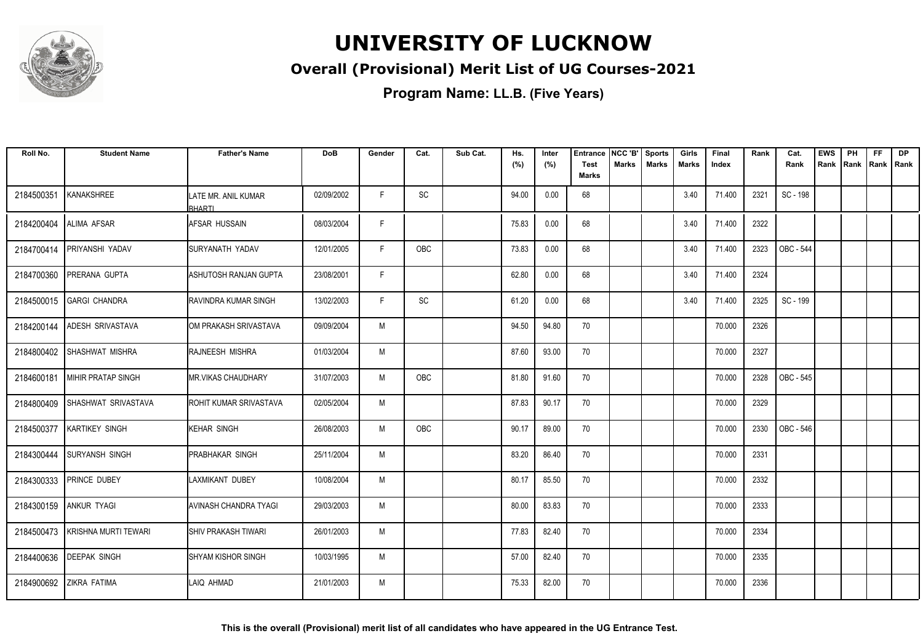

### **Overall (Provisional) Merit List of UG Courses-2021**

| Roll No.   | <b>Student Name</b>        | <b>Father's Name</b>            | <b>DoB</b> | Gender | Cat.      | Sub Cat. | Hs.<br>(%) | Inter<br>(%) | <b>Entrance</b><br><b>Test</b> | NCC 'B'<br><b>Marks</b> | <b>Sports</b><br><b>Marks</b> | Girls<br><b>Marks</b> | Final<br>Index | Rank | Cat.<br>Rank | <b>EWS</b><br>Rank | PH<br>Rank Rank Rank | <b>FF</b> | DP |
|------------|----------------------------|---------------------------------|------------|--------|-----------|----------|------------|--------------|--------------------------------|-------------------------|-------------------------------|-----------------------|----------------|------|--------------|--------------------|----------------------|-----------|----|
|            |                            |                                 |            |        |           |          |            |              | Marks                          |                         |                               |                       |                |      |              |                    |                      |           |    |
| 2184500351 | KANAKSHREE                 | LATE MR. ANIL KUMAR<br>RHARTI   | 02/09/2002 | F.     | SC        |          | 94.00      | 0.00         | 68                             |                         |                               | 3.40                  | 71.400         | 2321 | SC - 198     |                    |                      |           |    |
| 2184200404 | <b>ALIMA AFSAR</b>         | IAFSAR HUSSAIN                  | 08/03/2004 | F      |           |          | 75.83      | 0.00         | 68                             |                         |                               | 3.40                  | 71.400         | 2322 |              |                    |                      |           |    |
| 2184700414 | PRIYANSHI YADAV            | Isuryanath Yadav                | 12/01/2005 | F      | OBC       |          | 73.83      | 0.00         | 68                             |                         |                               | 3.40                  | 71.400         | 2323 | OBC - 544    |                    |                      |           |    |
| 2184700360 | PRERANA GUPTA              | ASHUTOSH RANJAN GUPTA           | 23/08/2001 | F      |           |          | 62.80      | 0.00         | 68                             |                         |                               | 3.40                  | 71.400         | 2324 |              |                    |                      |           |    |
| 2184500015 | <b>GARGI CHANDRA</b>       | IRAVINDRA KUMAR SINGH           | 13/02/2003 | F      | <b>SC</b> |          | 61.20      | 0.00         | 68                             |                         |                               | 3.40                  | 71.400         | 2325 | SC - 199     |                    |                      |           |    |
| 2184200144 | <b>ADESH SRIVASTAVA</b>    | OM PRAKASH SRIVASTAVA           | 09/09/2004 | M      |           |          | 94.50      | 94.80        | 70                             |                         |                               |                       | 70.000         | 2326 |              |                    |                      |           |    |
| 2184800402 | ISHASHWAT MISHRA           | <b>RAJNEESH MISHRA</b>          | 01/03/2004 | M      |           |          | 87.60      | 93.00        | 70                             |                         |                               |                       | 70.000         | 2327 |              |                    |                      |           |    |
| 2184600181 | <b>IMIHIR PRATAP SINGH</b> | <b>I</b> MR VIKAS CHAUDHARY     | 31/07/2003 | M      | OBC       |          | 81.80      | 91.60        | 70                             |                         |                               |                       | 70.000         | 2328 | OBC - 545    |                    |                      |           |    |
| 2184800409 | SHASHWAT SRIVASTAVA        | <b>I</b> ROHIT KUMAR SRIVASTAVA | 02/05/2004 | M      |           |          | 87.83      | 90.17        | 70                             |                         |                               |                       | 70.000         | 2329 |              |                    |                      |           |    |
| 2184500377 | <b>KARTIKEY SINGH</b>      | KEHAR SINGH                     | 26/08/2003 | M      | OBC       |          | 90.17      | 89.00        | 70                             |                         |                               |                       | 70.000         | 2330 | OBC - 546    |                    |                      |           |    |
| 2184300444 | <b>SURYANSH SINGH</b>      | PRABHAKAR SINGH                 | 25/11/2004 | M      |           |          | 83.20      | 86.40        | 70                             |                         |                               |                       | 70.000         | 2331 |              |                    |                      |           |    |
| 2184300333 | <b>PRINCE DUBEY</b>        | ILAXMIKANT DUBEY                | 10/08/2004 | M      |           |          | 80.17      | 85.50        | 70                             |                         |                               |                       | 70.000         | 2332 |              |                    |                      |           |    |
|            | 2184300159 ANKUR TYAGI     | <b>AVINASH CHANDRA TYAGI</b>    | 29/03/2003 | M      |           |          | 80.00      | 83.83        | 70                             |                         |                               |                       | 70.000         | 2333 |              |                    |                      |           |    |
| 2184500473 | KRISHNA MURTI TEWARI       | <b>SHIV PRAKASH TIWARI</b>      | 26/01/2003 | M      |           |          | 77.83      | 82.40        | 70                             |                         |                               |                       | 70.000         | 2334 |              |                    |                      |           |    |
| 2184400636 | <b>DEEPAK SINGH</b>        | <b>SHYAM KISHOR SINGH</b>       | 10/03/1995 | M      |           |          | 57.00      | 82.40        | 70                             |                         |                               |                       | 70.000         | 2335 |              |                    |                      |           |    |
| 2184900692 | <b>ZIKRA FATIMA</b>        | LAIQ AHMAD                      | 21/01/2003 | M      |           |          | 75.33      | 82.00        | 70                             |                         |                               |                       | 70.000         | 2336 |              |                    |                      |           |    |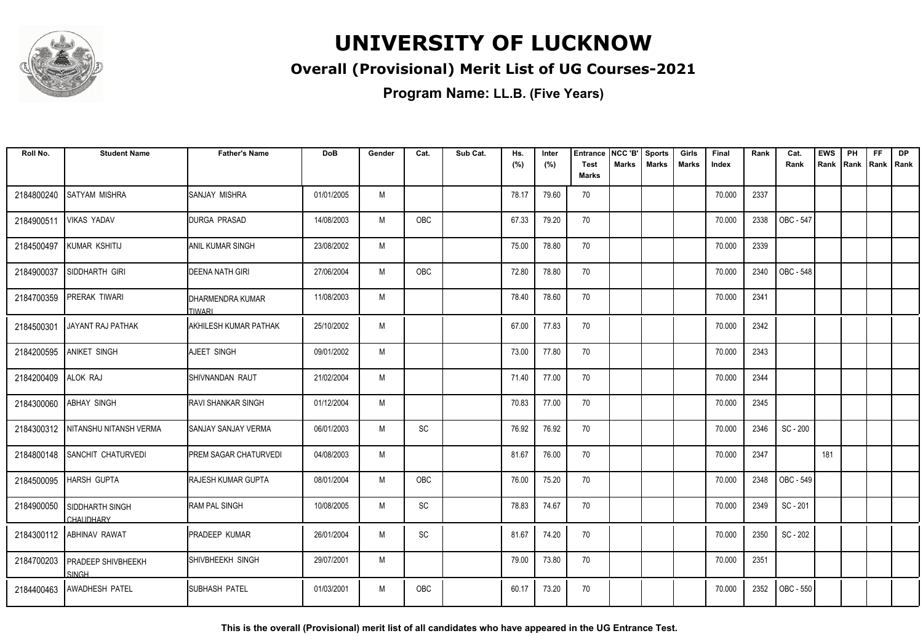

### **Overall (Provisional) Merit List of UG Courses-2021**

**Program Name: LL.B. (Five Years)**

| Roll No.            | <b>Student Name</b>                        | <b>Father's Name</b>         | <b>DoB</b> | Gender | Cat.       | Sub Cat. | Hs.   | Inter | <b>Entrance</b>             | NCC 'B'      | <b>Sports</b> | Girls        | Final  | Rank | Cat.      | <b>EWS</b> | PH   | <b>FF</b> | <b>DP</b>   |
|---------------------|--------------------------------------------|------------------------------|------------|--------|------------|----------|-------|-------|-----------------------------|--------------|---------------|--------------|--------|------|-----------|------------|------|-----------|-------------|
|                     |                                            |                              |            |        |            |          | (%)   | (%)   | <b>Test</b><br><b>Marks</b> | <b>Marks</b> | <b>Marks</b>  | <b>Marks</b> | Index  |      | Rank      | Rank       | Rank |           | Rank   Rank |
| 2184800240          | SATYAM MISHRA                              | SANJAY MISHRA                | 01/01/2005 | M      |            |          | 78.17 | 79.60 | 70                          |              |               |              | 70.000 | 2337 |           |            |      |           |             |
| 2184900511          | <b>VIKAS YADAV</b>                         | <b>DURGA PRASAD</b>          | 14/08/2003 | M      | OBC        |          | 67.33 | 79.20 | 70                          |              |               |              | 70.000 | 2338 | OBC - 547 |            |      |           |             |
| 2184500497          | KUMAR KSHITIJ                              | ANIL KUMAR SINGH             | 23/08/2002 | M      |            |          | 75.00 | 78.80 | 70                          |              |               |              | 70.000 | 2339 |           |            |      |           |             |
| 2184900037          | SIDDHARTH GIRI                             | <b>DEENA NATH GIRI</b>       | 27/06/2004 | M      | <b>OBC</b> |          | 72.80 | 78.80 | 70                          |              |               |              | 70.000 | 2340 | OBC - 548 |            |      |           |             |
| 2184700359          | PRERAK TIWARI                              | DHARMENDRA KUMAR<br>TIWARI   | 11/08/2003 | M      |            |          | 78.40 | 78.60 | 70                          |              |               |              | 70.000 | 2341 |           |            |      |           |             |
| 2184500301          | JAYANT RAJ PATHAK                          | <b>AKHILESH KUMAR PATHAK</b> | 25/10/2002 | M      |            |          | 67.00 | 77.83 | 70                          |              |               |              | 70.000 | 2342 |           |            |      |           |             |
| 2184200595          | <b>ANIKET SINGH</b>                        | AJEET SINGH                  | 09/01/2002 | M      |            |          | 73.00 | 77.80 | 70                          |              |               |              | 70.000 | 2343 |           |            |      |           |             |
| 2184200409 ALOK RAJ |                                            | SHIVNANDAN RAUT              | 21/02/2004 | M      |            |          | 71.40 | 77.00 | 70                          |              |               |              | 70.000 | 2344 |           |            |      |           |             |
| 2184300060          | <b>ABHAY SINGH</b>                         | <b>RAVI SHANKAR SINGH</b>    | 01/12/2004 | M      |            |          | 70.83 | 77.00 | 70                          |              |               |              | 70.000 | 2345 |           |            |      |           |             |
|                     | 2184300312   NITANSHU NITANSH VERMA        | SANJAY SANJAY VERMA          | 06/01/2003 | M      | SC         |          | 76.92 | 76.92 | 70                          |              |               |              | 70.000 | 2346 | SC - 200  |            |      |           |             |
| 2184800148          | <b>SANCHIT CHATURVEDI</b>                  | <b>PREM SAGAR CHATURVEDI</b> | 04/08/2003 | M      |            |          | 81.67 | 76.00 | 70                          |              |               |              | 70.000 | 2347 |           | 181        |      |           |             |
| 2184500095          | <b>HARSH GUPTA</b>                         | <b>RAJESH KUMAR GUPTA</b>    | 08/01/2004 | M      | <b>OBC</b> |          | 76.00 | 75.20 | 70                          |              |               |              | 70.000 | 2348 | OBC - 549 |            |      |           |             |
| 2184900050          | <b>SIDDHARTH SINGH</b><br><b>CHAUDHARY</b> | <b>RAM PAL SINGH</b>         | 10/08/2005 | M      | SC         |          | 78.83 | 74.67 | 70                          |              |               |              | 70.000 | 2349 | SC - 201  |            |      |           |             |
|                     | 2184300112 ABHINAV RAWAT                   | <b>PRADEEP KUMAR</b>         | 26/01/2004 | M      | SC         |          | 81.67 | 74.20 | 70                          |              |               |              | 70.000 | 2350 | SC - 202  |            |      |           |             |
|                     | 2184700203 PRADEEP SHIVBHEEKH<br>SINGH     | SHIVBHEEKH SINGH             | 29/07/2001 | M      |            |          | 79.00 | 73.80 | 70                          |              |               |              | 70.000 | 2351 |           |            |      |           |             |
|                     | 2184400463 AWADHESH PATEL                  | ISUBHASH PATEL               | 01/03/2001 | M      | OBC        |          | 60.17 | 73.20 | 70                          |              |               |              | 70.000 | 2352 | OBC - 550 |            |      |           |             |

**This is the overall (Provisional) merit list of all candidates who have appeared in the UG Entrance Test.**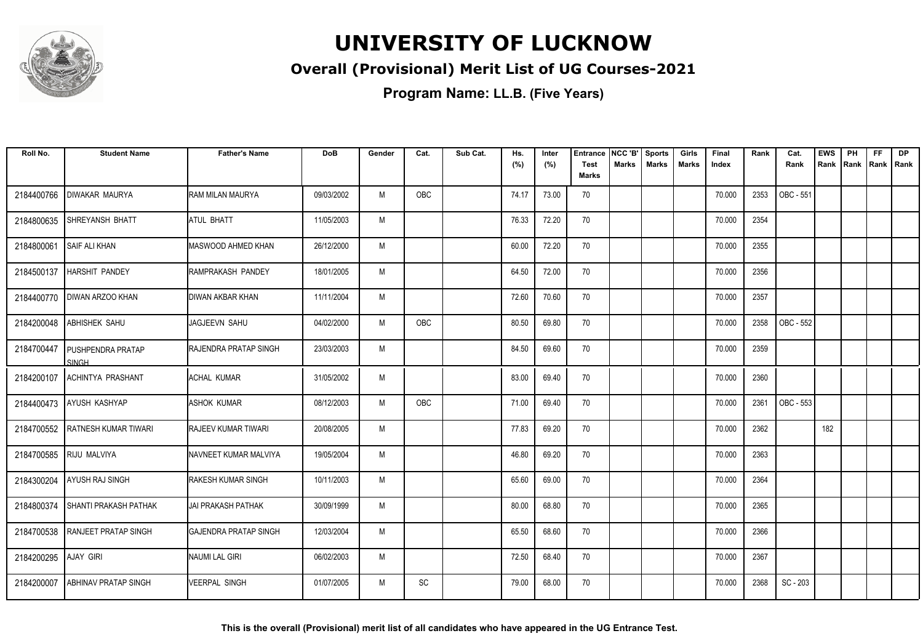

### **Overall (Provisional) Merit List of UG Courses-2021**

| Roll No.   | <b>Student Name</b>               | <b>Father's Name</b>         | <b>DoB</b> | Gender | Cat.       | Sub Cat. | Hs.<br>(%) | Inter<br>(%) | Entrance<br><b>Test</b> | NCC 'B'<br><b>Marks</b> | <b>Sports</b><br><b>Marks</b> | Girls<br>Marks | Final<br>Index | Rank | Cat.<br>Rank | <b>EWS</b><br>Rank | PH<br>Rank | FF<br>Rank   Rank | <b>DP</b> |
|------------|-----------------------------------|------------------------------|------------|--------|------------|----------|------------|--------------|-------------------------|-------------------------|-------------------------------|----------------|----------------|------|--------------|--------------------|------------|-------------------|-----------|
|            |                                   |                              |            |        |            |          |            |              | <b>Marks</b>            |                         |                               |                |                |      |              |                    |            |                   |           |
| 2184400766 | <b>DIWAKAR MAURYA</b>             | <b>RAM MILAN MAURYA</b>      | 09/03/2002 | M      | OBC        |          | 74.17      | 73.00        | 70                      |                         |                               |                | 70.000         | 2353 | OBC - 551    |                    |            |                   |           |
| 2184800635 | <b>SHREYANSH BHATT</b>            | ATUL BHATT                   | 11/05/2003 | M      |            |          | 76.33      | 72.20        | 70                      |                         |                               |                | 70.000         | 2354 |              |                    |            |                   |           |
| 2184800061 | SAIF ALI KHAN                     | MASWOOD AHMED KHAN           | 26/12/2000 | M      |            |          | 60.00      | 72.20        | 70                      |                         |                               |                | 70.000         | 2355 |              |                    |            |                   |           |
| 2184500137 | <b>HARSHIT PANDEY</b>             | RAMPRAKASH PANDEY            | 18/01/2005 | M      |            |          | 64.50      | 72.00        | 70                      |                         |                               |                | 70.000         | 2356 |              |                    |            |                   |           |
| 2184400770 | <b>DIWAN ARZOO KHAN</b>           | <b>DIWAN AKBAR KHAN</b>      | 11/11/2004 | M      |            |          | 72.60      | 70.60        | 70                      |                         |                               |                | 70.000         | 2357 |              |                    |            |                   |           |
| 2184200048 | <b>ABHISHEK SAHU</b>              | JAGJEEVN SAHU                | 04/02/2000 | M      | OBC        |          | 80.50      | 69.80        | 70                      |                         |                               |                | 70.000         | 2358 | OBC - 552    |                    |            |                   |           |
| 2184700447 | <b>PUSHPENDRA PRATAP</b><br>SINGH | RAJENDRA PRATAP SINGH        | 23/03/2003 | M      |            |          | 84.50      | 69.60        | 70                      |                         |                               |                | 70.000         | 2359 |              |                    |            |                   |           |
| 2184200107 | <b>ACHINTYA PRASHANT</b>          | ACHAL KUMAR                  | 31/05/2002 | M      |            |          | 83.00      | 69.40        | 70                      |                         |                               |                | 70.000         | 2360 |              |                    |            |                   |           |
|            | 2184400473 AYUSH KASHYAP          | <b>ASHOK KUMAR</b>           | 08/12/2003 | M      | <b>OBC</b> |          | 71.00      | 69.40        | 70                      |                         |                               |                | 70.000         | 2361 | OBC - 553    |                    |            |                   |           |
| 2184700552 | <b>RATNESH KUMAR TIWARI</b>       | <b>RAJEEV KUMAR TIWARI</b>   | 20/08/2005 | M      |            |          | 77.83      | 69.20        | 70                      |                         |                               |                | 70.000         | 2362 |              | 182                |            |                   |           |
| 2184700585 | <b>RIJU MALVIYA</b>               | NAVNEET KUMAR MALVIYA        | 19/05/2004 | M      |            |          | 46.80      | 69.20        | 70                      |                         |                               |                | 70.000         | 2363 |              |                    |            |                   |           |
| 2184300204 | <b>AYUSH RAJ SINGH</b>            | RAKESH KUMAR SINGH           | 10/11/2003 | M      |            |          | 65.60      | 69.00        | 70                      |                         |                               |                | 70.000         | 2364 |              |                    |            |                   |           |
| 2184800374 | <b>SHANTI PRAKASH PATHAK</b>      | <b>JAI PRAKASH PATHAK</b>    | 30/09/1999 | M      |            |          | 80.00      | 68.80        | 70                      |                         |                               |                | 70.000         | 2365 |              |                    |            |                   |           |
| 2184700538 | <b>RANJEET PRATAP SINGH</b>       | <b>GAJENDRA PRATAP SINGH</b> | 12/03/2004 | M      |            |          | 65.50      | 68.60        | 70                      |                         |                               |                | 70.000         | 2366 |              |                    |            |                   |           |
| 2184200295 | <b>AJAY GIRI</b>                  | NAUMI LAL GIRI               | 06/02/2003 | M      |            |          | 72.50      | 68.40        | 70                      |                         |                               |                | 70.000         | 2367 |              |                    |            |                   |           |
| 2184200007 | ABHINAV PRATAP SINGH              | <b>VEERPAL SINGH</b>         | 01/07/2005 | M      | SC         |          | 79.00      | 68.00        | 70                      |                         |                               |                | 70.000         | 2368 | SC - 203     |                    |            |                   |           |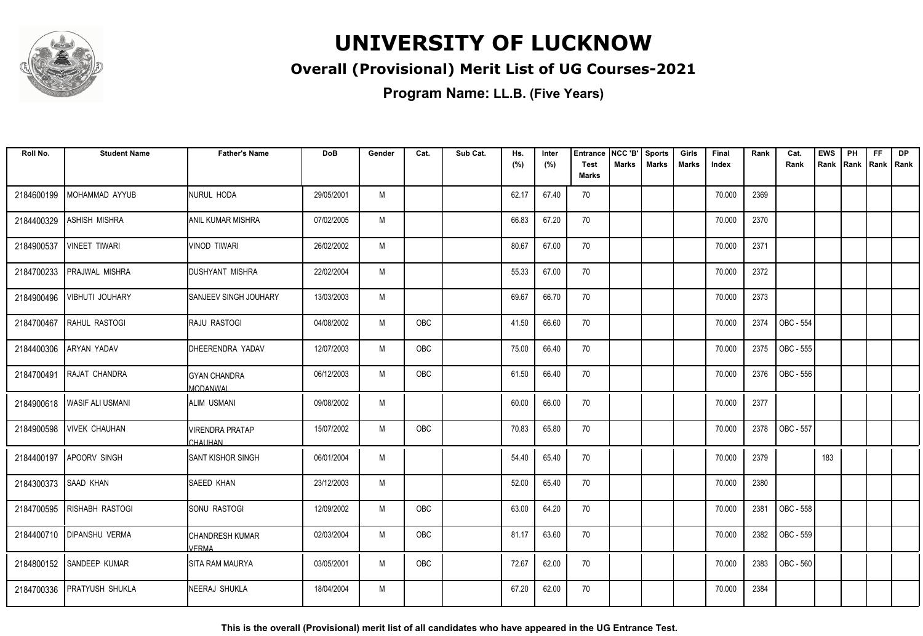

### **Overall (Provisional) Merit List of UG Courses-2021**

**Program Name: LL.B. (Five Years)**

| Roll No.             | <b>Student Name</b>         | <b>Father's Name</b>              | <b>DoB</b> | Gender | Cat.       | Sub Cat. | Hs.<br>(%) | Inter<br>(%) | <b>Entrance</b><br><b>Test</b> | NCC 'B'<br><b>Marks</b> | <b>Sports</b><br><b>Marks</b> | Girls<br><b>Marks</b> | Final<br>Index | Rank | Cat.<br>Rank | <b>EWS</b><br>Rank | PH | <b>FF</b><br>Rank   Rank   Rank | <b>DP</b> |
|----------------------|-----------------------------|-----------------------------------|------------|--------|------------|----------|------------|--------------|--------------------------------|-------------------------|-------------------------------|-----------------------|----------------|------|--------------|--------------------|----|---------------------------------|-----------|
|                      |                             |                                   |            |        |            |          |            |              | <b>Marks</b>                   |                         |                               |                       |                |      |              |                    |    |                                 |           |
| 2184600199           | MOHAMMAD AYYUB              | NURUL HODA                        | 29/05/2001 | M      |            |          | 62.17      | 67.40        | 70                             |                         |                               |                       | 70.000         | 2369 |              |                    |    |                                 |           |
| 2184400329           | <b>ASHISH MISHRA</b>        | <b>ANIL KUMAR MISHRA</b>          | 07/02/2005 | M      |            |          | 66.83      | 67.20        | 70                             |                         |                               |                       | 70.000         | 2370 |              |                    |    |                                 |           |
| 2184900537           | <b>VINEET TIWARI</b>        | <b>VINOD TIWARI</b>               | 26/02/2002 | M      |            |          | 80.67      | 67.00        | 70                             |                         |                               |                       | 70.000         | 2371 |              |                    |    |                                 |           |
| 2184700233           | <b>PRAJWAL MISHRA</b>       | DUSHYANT MISHRA                   | 22/02/2004 | M      |            |          | 55.33      | 67.00        | 70                             |                         |                               |                       | 70.000         | 2372 |              |                    |    |                                 |           |
| 2184900496           | VIBHUTI JOUHARY             | <b>ISANJEEV SINGH JOUHARY</b>     | 13/03/2003 | M      |            |          | 69.67      | 66.70        | 70                             |                         |                               |                       | 70.000         | 2373 |              |                    |    |                                 |           |
| 2184700467           | RAHUL RASTOGI               | <b>RAJU RASTOGI</b>               | 04/08/2002 | M      | OBC        |          | 41.50      | 66.60        | 70                             |                         |                               |                       | 70.000         | 2374 | OBC - 554    |                    |    |                                 |           |
| 2184400306           | <b>ARYAN YADAV</b>          | DHEERENDRA YADAV                  | 12/07/2003 | M      | OBC        |          | 75.00      | 66.40        | 70                             |                         |                               |                       | 70.000         | 2375 | OBC - 555    |                    |    |                                 |           |
| 2184700491           | RAJAT CHANDRA               | <b>GYAN CHANDRA</b><br>MODANWAL   | 06/12/2003 | M      | OBC        |          | 61.50      | 66.40        | 70                             |                         |                               |                       | 70.000         | 2376 | OBC - 556    |                    |    |                                 |           |
|                      | 2184900618 WASIF ALI USMANI | ALIM USMANI                       | 09/08/2002 | M      |            |          | 60.00      | 66.00        | 70                             |                         |                               |                       | 70.000         | 2377 |              |                    |    |                                 |           |
| 2184900598           | <b>VIVEK CHAUHAN</b>        | <b>VIRENDRA PRATAP</b><br>CHAUHAN | 15/07/2002 | M      | <b>OBC</b> |          | 70.83      | 65.80        | 70                             |                         |                               |                       | 70.000         | 2378 | OBC - 557    |                    |    |                                 |           |
| 2184400197           | <b>APOORV SINGH</b>         | <b>SANT KISHOR SINGH</b>          | 06/01/2004 | M      |            |          | 54.40      | 65.40        | 70                             |                         |                               |                       | 70.000         | 2379 |              | 183                |    |                                 |           |
| 2184300373 SAAD KHAN |                             | <b>SAEED KHAN</b>                 | 23/12/2003 | M      |            |          | 52.00      | 65.40        | 70                             |                         |                               |                       | 70.000         | 2380 |              |                    |    |                                 |           |
|                      | 2184700595 RISHABH RASTOGI  | <b>I</b> sonu rastogi             | 12/09/2002 | M      | OBC        |          | 63.00      | 64.20        | 70                             |                         |                               |                       | 70.000         | 2381 | OBC - 558    |                    |    |                                 |           |
|                      | 2184400710   DIPANSHU VERMA | <b>CHANDRESH KUMAR</b><br>VERMA   | 02/03/2004 | M      | OBC        |          | 81.17      | 63.60        | 70                             |                         |                               |                       | 70.000         | 2382 | OBC - 559    |                    |    |                                 |           |
|                      | 2184800152 SANDEEP KUMAR    | <b>SITA RAM MAURYA</b>            | 03/05/2001 | M      | OBC        |          | 72.67      | 62.00        | 70                             |                         |                               |                       | 70.000         | 2383 | OBC - 560    |                    |    |                                 |           |
| 2184700336           | <b>PRATYUSH SHUKLA</b>      | <b>NEERAJ SHUKLA</b>              | 18/04/2004 | M      |            |          | 67.20      | 62.00        | 70                             |                         |                               |                       | 70.000         | 2384 |              |                    |    |                                 |           |

**This is the overall (Provisional) merit list of all candidates who have appeared in the UG Entrance Test.**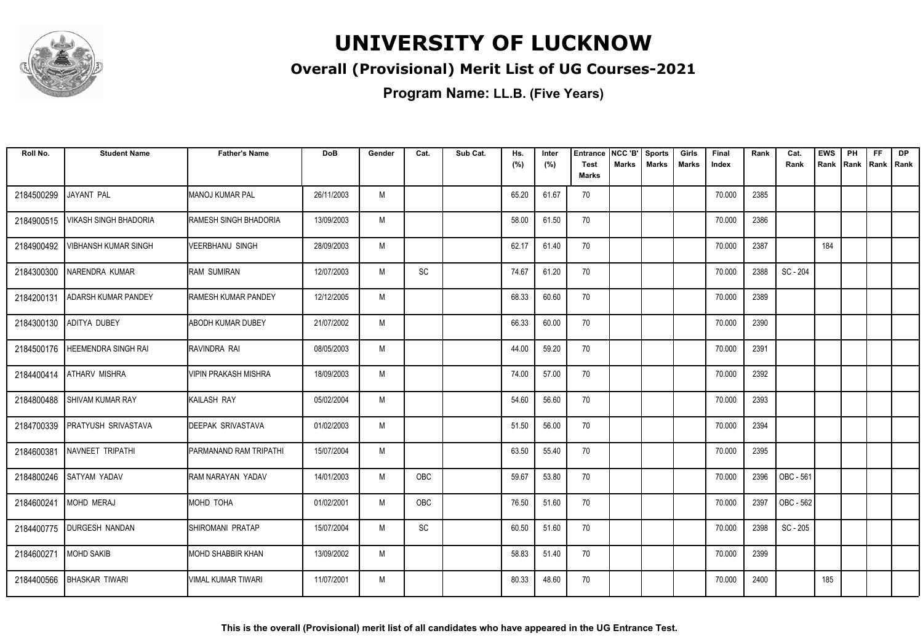

### **Overall (Provisional) Merit List of UG Courses-2021**

| Roll No.   | <b>Student Name</b>          | <b>Father's Name</b>          | <b>DoB</b> | Gender | Cat.                         | Sub Cat. | Hs.<br>(%) | Inter<br>(%) | Entrance<br><b>Test</b><br><b>Marks</b> | NCC 'B'<br>Marks | <b>Sports</b><br><b>Marks</b> | Girls<br><b>Marks</b> | Final<br>Index | Rank | Cat.<br>Rank | <b>EWS</b><br>Rank | PH<br>Rank | FF<br>Rank   Rank | <b>DP</b> |
|------------|------------------------------|-------------------------------|------------|--------|------------------------------|----------|------------|--------------|-----------------------------------------|------------------|-------------------------------|-----------------------|----------------|------|--------------|--------------------|------------|-------------------|-----------|
| 2184500299 | JAYANT PAL                   | <b>MANOJ KUMAR PAL</b>        | 26/11/2003 | M      |                              |          | 65.20      | 61.67        | 70                                      |                  |                               |                       | 70.000         | 2385 |              |                    |            |                   |           |
| 2184900515 | <b>VIKASH SINGH BHADORIA</b> | <b>RAMESH SINGH BHADORIA</b>  | 13/09/2003 | M      |                              |          | 58.00      | 61.50        | 70                                      |                  |                               |                       | 70.000         | 2386 |              |                    |            |                   |           |
| 2184900492 | <b>VIBHANSH KUMAR SINGH</b>  | <b>VEERBHANU SINGH</b>        | 28/09/2003 | M      |                              |          | 62.17      | 61.40        | 70                                      |                  |                               |                       | 70.000         | 2387 |              | 184                |            |                   |           |
| 2184300300 | NARENDRA KUMAR               | <b>RAM SUMIRAN</b>            | 12/07/2003 | M      | $\operatorname{\textsf{SC}}$ |          | 74.67      | 61.20        | 70                                      |                  |                               |                       | 70.000         | 2388 | SC - 204     |                    |            |                   |           |
| 2184200131 | <b>ADARSH KUMAR PANDEY</b>   | <b>I</b> RAMESH KUMAR PANDEY  | 12/12/2005 | M      |                              |          | 68.33      | 60.60        | 70                                      |                  |                               |                       | 70.000         | 2389 |              |                    |            |                   |           |
| 2184300130 | <b>ADITYA DUBEY</b>          | <b>ABODH KUMAR DUBEY</b>      | 21/07/2002 | M      |                              |          | 66.33      | 60.00        | 70                                      |                  |                               |                       | 70.000         | 2390 |              |                    |            |                   |           |
| 2184500176 | <b>HEEMENDRA SINGH RAI</b>   | Iravindra rai                 | 08/05/2003 | M      |                              |          | 44.00      | 59.20        | 70                                      |                  |                               |                       | 70.000         | 2391 |              |                    |            |                   |           |
| 2184400414 | <b>ATHARV MISHRA</b>         | <b>VIPIN PRAKASH MISHRA</b>   | 18/09/2003 | M      |                              |          | 74.00      | 57.00        | 70                                      |                  |                               |                       | 70.000         | 2392 |              |                    |            |                   |           |
| 2184800488 | <b>SHIVAM KUMAR RAY</b>      | <b>KAILASH RAY</b>            | 05/02/2004 | M      |                              |          | 54.60      | 56.60        | 70                                      |                  |                               |                       | 70.000         | 2393 |              |                    |            |                   |           |
| 2184700339 | <b>PRATYUSH SRIVASTAVA</b>   | <b>DEEPAK SRIVASTAVA</b>      | 01/02/2003 | M      |                              |          | 51.50      | 56.00        | 70                                      |                  |                               |                       | 70.000         | 2394 |              |                    |            |                   |           |
| 2184600381 | NAVNEET TRIPATHI             | <b>PARMANAND RAM TRIPATHI</b> | 15/07/2004 | M      |                              |          | 63.50      | 55.40        | 70                                      |                  |                               |                       | 70.000         | 2395 |              |                    |            |                   |           |
| 2184800246 | <b>SATYAM YADAV</b>          | IRAM NARAYAN YADAV            | 14/01/2003 | M      | OBC                          |          | 59.67      | 53.80        | 70                                      |                  |                               |                       | 70.000         | 2396 | OBC - 561    |                    |            |                   |           |
| 2184600241 | MOHD MERAJ                   | MOHD TOHA                     | 01/02/2001 | M      | OBC                          |          | 76.50      | 51.60        | 70                                      |                  |                               |                       | 70.000         | 2397 | OBC - 562    |                    |            |                   |           |
| 2184400775 | <b>DURGESH NANDAN</b>        | <b>ISHIROMANI PRATAP</b>      | 15/07/2004 | M      | SC                           |          | 60.50      | 51.60        | 70                                      |                  |                               |                       | 70.000         | 2398 | SC - 205     |                    |            |                   |           |
| 2184600271 | <b>MOHD SAKIB</b>            | MOHD SHABBIR KHAN             | 13/09/2002 | M      |                              |          | 58.83      | 51.40        | 70                                      |                  |                               |                       | 70.000         | 2399 |              |                    |            |                   |           |
| 2184400566 | <b>BHASKAR TIWARI</b>        | IVIMAL KUMAR TIWARI           | 11/07/2001 | M      |                              |          | 80.33      | 48.60        | 70                                      |                  |                               |                       | 70.000         | 2400 |              | 185                |            |                   |           |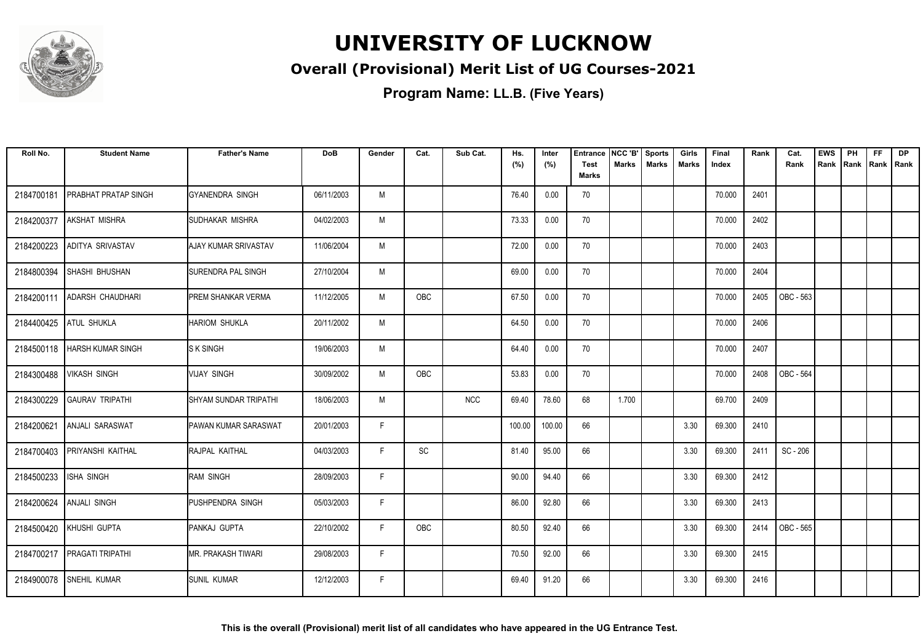

### **Overall (Provisional) Merit List of UG Courses-2021**

| Roll No.   | <b>Student Name</b>            | <b>Father's Name</b>         | <b>DoB</b> | Gender | Cat. | Sub Cat.   | Hs.<br>(%) | Inter<br>(%) | <b>Entrance</b><br><b>Test</b> | NCC 'B'<br><b>Marks</b> | <b>Sports</b><br><b>Marks</b> | Girls<br>Marks | Final<br>Index | Rank | Cat.<br>Rank | <b>EWS</b><br>Rank | PH<br>Rank | <b>FF</b><br>Rank   Rank | <b>DP</b> |
|------------|--------------------------------|------------------------------|------------|--------|------|------------|------------|--------------|--------------------------------|-------------------------|-------------------------------|----------------|----------------|------|--------------|--------------------|------------|--------------------------|-----------|
|            |                                |                              |            |        |      |            |            |              | <b>Marks</b>                   |                         |                               |                |                |      |              |                    |            |                          |           |
| 2184700181 | <b>PRABHAT PRATAP SINGH</b>    | IGYANENDRA SINGH             | 06/11/2003 | M      |      |            | 76.40      | 0.00         | 70                             |                         |                               |                | 70.000         | 2401 |              |                    |            |                          |           |
| 2184200377 | AKSHAT MISHRA                  | <b>I</b> SUDHAKAR MISHRA     | 04/02/2003 | M      |      |            | 73.33      | 0.00         | 70                             |                         |                               |                | 70.000         | 2402 |              |                    |            |                          |           |
| 2184200223 | ADITYA SRIVASTAV               | <b>AJAY KUMAR SRIVASTAV</b>  | 11/06/2004 | M      |      |            | 72.00      | 0.00         | 70                             |                         |                               |                | 70.000         | 2403 |              |                    |            |                          |           |
| 2184800394 | SHASHI BHUSHAN                 | <b>SURENDRA PAL SINGH</b>    | 27/10/2004 | M      |      |            | 69.00      | 0.00         | 70                             |                         |                               |                | 70.000         | 2404 |              |                    |            |                          |           |
| 2184200111 | ADARSH CHAUDHARI               | <b>PREM SHANKAR VERMA</b>    | 11/12/2005 | M      | OBC  |            | 67.50      | 0.00         | 70                             |                         |                               |                | 70.000         | 2405 | OBC - 563    |                    |            |                          |           |
| 2184400425 | <b>ATUL SHUKLA</b>             | <b>HARIOM SHUKLA</b>         | 20/11/2002 | M      |      |            | 64.50      | 0.00         | 70                             |                         |                               |                | 70.000         | 2406 |              |                    |            |                          |           |
|            | 2184500118   HARSH KUMAR SINGH | <b>S K SINGH</b>             | 19/06/2003 | M      |      |            | 64.40      | 0.00         | 70                             |                         |                               |                | 70.000         | 2407 |              |                    |            |                          |           |
| 2184300488 | <b>VIKASH SINGH</b>            | <b>VIJAY SINGH</b>           | 30/09/2002 | M      | OBC  |            | 53.83      | 0.00         | 70                             |                         |                               |                | 70.000         | 2408 | OBC - 564    |                    |            |                          |           |
| 2184300229 | <b>GAURAV TRIPATHI</b>         | ISHYAM SUNDAR TRIPATHI       | 18/06/2003 | M      |      | <b>NCC</b> | 69.40      | 78.60        | 68                             | 1.700                   |                               |                | 69.700         | 2409 |              |                    |            |                          |           |
| 2184200621 | ANJALI SARASWAT                | <b>IPAWAN KUMAR SARASWAT</b> | 20/01/2003 | F      |      |            | 100.00     | 100.00       | 66                             |                         |                               | 3.30           | 69.300         | 2410 |              |                    |            |                          |           |
| 2184700403 | PRIYANSHI KAITHAL              | RAJPAL KAITHAL               | 04/03/2003 | F      | SC   |            | 81.40      | 95.00        | 66                             |                         |                               | 3.30           | 69.300         | 2411 | SC - 206     |                    |            |                          |           |
| 2184500233 | <b>ISHA SINGH</b>              | <b>RAM SINGH</b>             | 28/09/2003 | F      |      |            | 90.00      | 94.40        | 66                             |                         |                               | 3.30           | 69.300         | 2412 |              |                    |            |                          |           |
| 2184200624 | <b>ANJALI SINGH</b>            | IPUSHPENDRA SINGH            | 05/03/2003 | F.     |      |            | 86.00      | 92.80        | 66                             |                         |                               | 3.30           | 69.300         | 2413 |              |                    |            |                          |           |
|            | 2184500420 KHUSHI GUPTA        | PANKAJ GUPTA                 | 22/10/2002 | F      | OBC  |            | 80.50      | 92.40        | 66                             |                         |                               | 3.30           | 69.300         | 2414 | OBC - 565    |                    |            |                          |           |
| 2184700217 | <b>PRAGATI TRIPATHI</b>        | <b>MR. PRAKASH TIWARI</b>    | 29/08/2003 | F      |      |            | 70.50      | 92.00        | 66                             |                         |                               | 3.30           | 69.300         | 2415 |              |                    |            |                          |           |
| 2184900078 | <b>SNEHIL KUMAR</b>            | <b>SUNIL KUMAR</b>           | 12/12/2003 | F.     |      |            | 69.40      | 91.20        | 66                             |                         |                               | 3.30           | 69.300         | 2416 |              |                    |            |                          |           |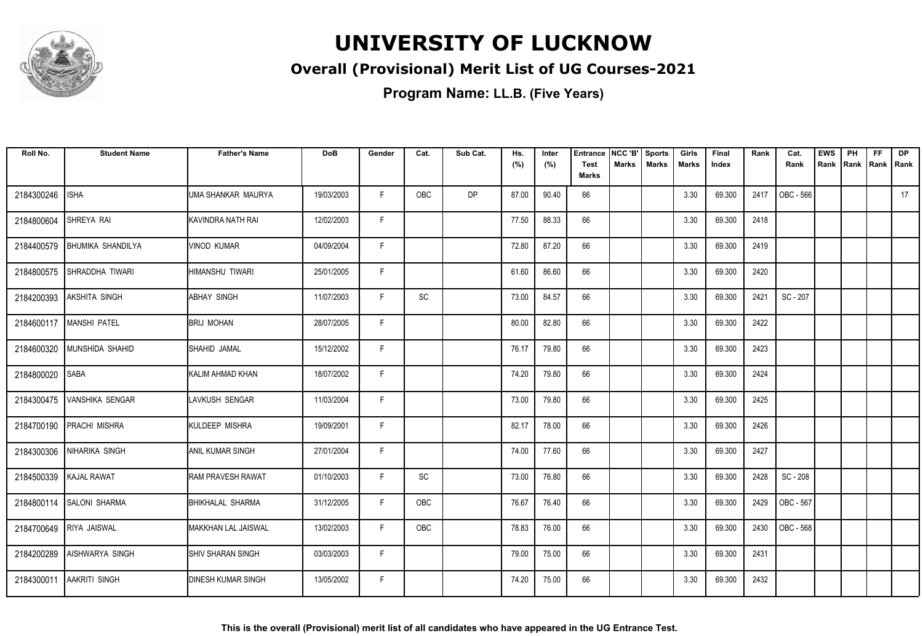

### **Overall (Provisional) Merit List of UG Courses-2021**

| Roll No.   | <b>Student Name</b>        | <b>Father's Name</b>      | <b>DoB</b> | Gender | Cat.                         | Sub Cat.  | Hs.<br>(%) | Inter<br>(%) | <b>Entrance</b><br><b>Test</b> | NCC 'B'<br>Marks | Sports<br><b>Marks</b> | Girls<br>Marks | Final<br>Index | Rank | Cat.<br>Rank | <b>EWS</b><br>Rank | PH<br> Rank | <b>FF</b><br>Rank   Rank | <b>DP</b> |
|------------|----------------------------|---------------------------|------------|--------|------------------------------|-----------|------------|--------------|--------------------------------|------------------|------------------------|----------------|----------------|------|--------------|--------------------|-------------|--------------------------|-----------|
|            |                            |                           |            |        |                              |           |            |              | <b>Marks</b>                   |                  |                        |                |                |      |              |                    |             |                          |           |
| 2184300246 | <b>ISHA</b>                | UMA SHANKAR MAURYA        | 19/03/2003 | F      | <b>OBC</b>                   | <b>DP</b> | 87.00      | 90.40        | 66                             |                  |                        | 3.30           | 69.300         | 2417 | OBC - 566    |                    |             |                          | 17        |
| 2184800604 | SHREYA RAI                 | KAVINDRA NATH RAI         | 12/02/2003 | F.     |                              |           | 77.50      | 88.33        | 66                             |                  |                        | 3.30           | 69.300         | 2418 |              |                    |             |                          |           |
| 2184400579 | <b>BHUMIKA SHANDILYA</b>   | <b>VINOD KUMAR</b>        | 04/09/2004 | F      |                              |           | 72.80      | 87.20        | 66                             |                  |                        | 3.30           | 69.300         | 2419 |              |                    |             |                          |           |
| 2184800575 | SHRADDHA TIWARI            | HIMANSHU TIWARI           | 25/01/2005 | F      |                              |           | 61.60      | 86.60        | 66                             |                  |                        | 3.30           | 69.300         | 2420 |              |                    |             |                          |           |
| 2184200393 | <b>AKSHITA SINGH</b>       | <b>ABHAY SINGH</b>        | 11/07/2003 | F      | $\operatorname{\textsf{SC}}$ |           | 73.00      | 84.57        | 66                             |                  |                        | 3.30           | 69.300         | 2421 | SC - 207     |                    |             |                          |           |
|            | 2184600117   MANSHI PATEL  | <b>BRIJ MOHAN</b>         | 28/07/2005 | F      |                              |           | 80.00      | 82.80        | 66                             |                  |                        | 3.30           | 69.300         | 2422 |              |                    |             |                          |           |
|            | 2184600320 MUNSHIDA SHAHID | <b>SHAHID JAMAL</b>       | 15/12/2002 | F      |                              |           | 76.17      | 79.80        | 66                             |                  |                        | 3.30           | 69.300         | 2423 |              |                    |             |                          |           |
| 2184800020 | <b>SABA</b>                | KALIM AHMAD KHAN          | 18/07/2002 | F.     |                              |           | 74.20      | 79.80        | 66                             |                  |                        | 3.30           | 69.300         | 2424 |              |                    |             |                          |           |
| 2184300475 | <b>VANSHIKA SENGAR</b>     | LAVKUSH SENGAR            | 11/03/2004 | F.     |                              |           | 73.00      | 79.80        | 66                             |                  |                        | 3.30           | 69.300         | 2425 |              |                    |             |                          |           |
| 2184700190 | <b>PRACHI MISHRA</b>       | KULDEEP MISHRA            | 19/09/2001 | F      |                              |           | 82.17      | 78.00        | 66                             |                  |                        | 3.30           | 69.300         | 2426 |              |                    |             |                          |           |
| 2184300306 | INIHARIKA SINGH            | ANIL KUMAR SINGH          | 27/01/2004 | F      |                              |           | 74.00      | 77.60        | 66                             |                  |                        | 3.30           | 69.300         | 2427 |              |                    |             |                          |           |
|            | 2184500339 KAJAL RAWAT     | <b>RAM PRAVESH RAWAT</b>  | 01/10/2003 | F      | $\operatorname{\textsf{SC}}$ |           | 73.00      | 76.80        | 66                             |                  |                        | 3.30           | 69.300         | 2428 | SC - 208     |                    |             |                          |           |
|            | 2184800114 SALONI SHARMA   | <b>BHIKHALAL SHARMA</b>   | 31/12/2005 | F.     | OBC                          |           | 76.67      | 76.40        | 66                             |                  |                        | 3.30           | 69.300         | 2429 | OBC - 567    |                    |             |                          |           |
|            | 2184700649 RIYA JAISWAL    | MAKKHAN LAL JAISWAL       | 13/02/2003 | F      | <b>OBC</b>                   |           | 78.83      | 76.00        | 66                             |                  |                        | 3.30           | 69.300         | 2430 | OBC - 568    |                    |             |                          |           |
| 2184200289 | <b>AISHWARYA SINGH</b>     | <b>SHIV SHARAN SINGH</b>  | 03/03/2003 | F      |                              |           | 79.00      | 75.00        | 66                             |                  |                        | 3.30           | 69.300         | 2431 |              |                    |             |                          |           |
| 2184300011 | <b>AAKRITI SINGH</b>       | <b>DINESH KUMAR SINGH</b> | 13/05/2002 | F.     |                              |           | 74.20      | 75.00        | 66                             |                  |                        | 3.30           | 69.300         | 2432 |              |                    |             |                          |           |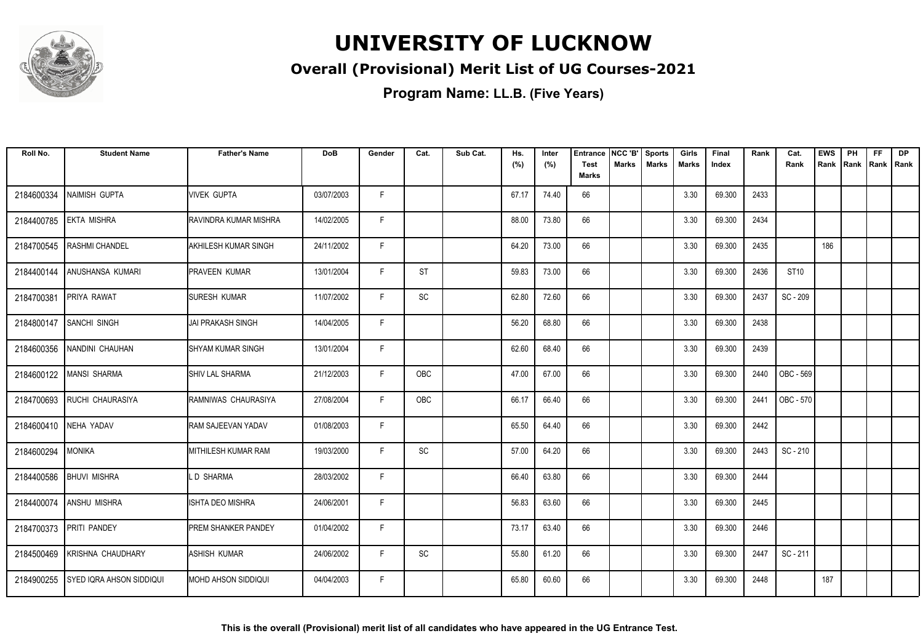

### **Overall (Provisional) Merit List of UG Courses-2021**

| Roll No.   | <b>Student Name</b>        | <b>Father's Name</b>        | <b>DoB</b> | Gender | Cat.      | Sub Cat. | Hs.<br>(%) | Inter<br>(%) | <b>Entrance</b><br><b>Test</b><br><b>Marks</b> | INCC 'B'<br><b>Marks</b> | <b>Sports</b><br><b>Marks</b> | Girls<br>Marks | Final<br>Index | Rank | Cat.<br>Rank | <b>EWS</b><br>Rank | PH<br>Rank | <b>FF</b><br>Rank   Rank | <b>DP</b> |
|------------|----------------------------|-----------------------------|------------|--------|-----------|----------|------------|--------------|------------------------------------------------|--------------------------|-------------------------------|----------------|----------------|------|--------------|--------------------|------------|--------------------------|-----------|
|            |                            |                             |            |        |           |          |            |              |                                                |                          |                               |                |                |      |              |                    |            |                          |           |
| 2184600334 | NAIMISH GUPTA              | <b>VIVEK GUPTA</b>          | 03/07/2003 | F.     |           |          | 67.17      | 74.40        | 66                                             |                          |                               | 3.30           | 69.300         | 2433 |              |                    |            |                          |           |
| 2184400785 | <b>EKTA MISHRA</b>         | RAVINDRA KUMAR MISHRA       | 14/02/2005 | F      |           |          | 88.00      | 73.80        | 66                                             |                          |                               | 3.30           | 69.300         | 2434 |              |                    |            |                          |           |
| 2184700545 | <b>RASHMI CHANDEL</b>      | AKHILESH KUMAR SINGH        | 24/11/2002 | F      |           |          | 64.20      | 73.00        | 66                                             |                          |                               | 3.30           | 69.300         | 2435 |              | 186                |            |                          |           |
| 2184400144 | ANUSHANSA KUMARI           | <b>IPRAVEEN KUMAR</b>       | 13/01/2004 | F.     | <b>ST</b> |          | 59.83      | 73.00        | 66                                             |                          |                               | 3.30           | 69.300         | 2436 | ST10         |                    |            |                          |           |
| 2184700381 | PRIYA RAWAT                | <b>SURESH KUMAR</b>         | 11/07/2002 | F      | SC        |          | 62.80      | 72.60        | 66                                             |                          |                               | 3.30           | 69.300         | 2437 | SC - 209     |                    |            |                          |           |
| 2184800147 | SANCHI SINGH               | <b>JAI PRAKASH SINGH</b>    | 14/04/2005 | F      |           |          | 56.20      | 68.80        | 66                                             |                          |                               | 3.30           | 69.300         | 2438 |              |                    |            |                          |           |
| 2184600356 | INANDINI CHAUHAN           | <b>I</b> SHYAM KUMAR SINGH  | 13/01/2004 | F      |           |          | 62.60      | 68.40        | 66                                             |                          |                               | 3.30           | 69.300         | 2439 |              |                    |            |                          |           |
| 2184600122 | MANSI SHARMA               | <b>SHIV LAL SHARMA</b>      | 21/12/2003 | F      | OBC       |          | 47.00      | 67.00        | 66                                             |                          |                               | 3.30           | 69.300         | 2440 | OBC - 569    |                    |            |                          |           |
| 2184700693 | <b>RUCHI CHAURASIYA</b>    | RAMNIWAS CHAURASIYA         | 27/08/2004 | F.     | OBC       |          | 66.17      | 66.40        | 66                                             |                          |                               | 3.30           | 69.300         | 2441 | OBC - 570    |                    |            |                          |           |
|            | 2184600410 NEHA YADAV      | RAM SAJEEVAN YADAV          | 01/08/2003 | F      |           |          | 65.50      | 64.40        | 66                                             |                          |                               | 3.30           | 69.300         | 2442 |              |                    |            |                          |           |
| 2184600294 | <b>MONIKA</b>              | MITHILESH KUMAR RAM         | 19/03/2000 | F      | SC        |          | 57.00      | 64.20        | 66                                             |                          |                               | 3.30           | 69.300         | 2443 | SC - 210     |                    |            |                          |           |
| 2184400586 | <b>BHUVI MISHRA</b>        | .D SHARMA                   | 28/03/2002 | F      |           |          | 66.40      | 63.80        | 66                                             |                          |                               | 3.30           | 69.300         | 2444 |              |                    |            |                          |           |
| 2184400074 | <b>ANSHU MISHRA</b>        | <b>ISHTA DEO MISHRA</b>     | 24/06/2001 | F.     |           |          | 56.83      | 63.60        | 66                                             |                          |                               | 3.30           | 69.300         | 2445 |              |                    |            |                          |           |
|            | 2184700373 PRITI PANDEY    | <b>IPREM SHANKER PANDEY</b> | 01/04/2002 | F      |           |          | 73.17      | 63.40        | 66                                             |                          |                               | 3.30           | 69.300         | 2446 |              |                    |            |                          |           |
| 2184500469 | <b>KRISHNA CHAUDHARY</b>   | <b>ASHISH KUMAR</b>         | 24/06/2002 | F.     | SC        |          | 55.80      | 61.20        | 66                                             |                          |                               | 3.30           | 69.300         | 2447 | SC - 211     |                    |            |                          |           |
| 2184900255 | I SYED IQRA AHSON SIDDIQUI | IMOHD AHSON SIDDIQUI        | 04/04/2003 | F.     |           |          | 65.80      | 60.60        | 66                                             |                          |                               | 3.30           | 69.300         | 2448 |              | 187                |            |                          |           |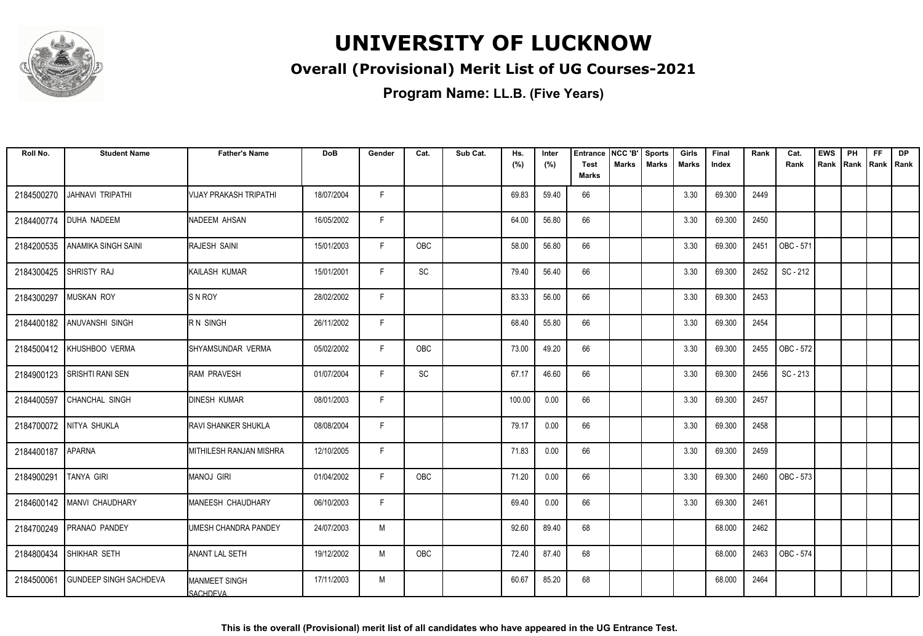

### **Overall (Provisional) Merit List of UG Courses-2021**

| Roll No.   | <b>Student Name</b>           | <b>Father's Name</b>                     | <b>DoB</b> | Gender | Cat.                         | Sub Cat. | Hs.<br>(%) | Inter<br>(%) | <b>Entrance</b><br>Test | NCC 'B'<br><b>Marks</b> | <b>Sports</b><br><b>Marks</b> | Girls<br>Marks | Final<br>Index | Rank | Cat.<br>Rank | <b>EWS</b><br>Rank | PH<br>Rank | FF<br>Rank   Rank | <b>DP</b> |
|------------|-------------------------------|------------------------------------------|------------|--------|------------------------------|----------|------------|--------------|-------------------------|-------------------------|-------------------------------|----------------|----------------|------|--------------|--------------------|------------|-------------------|-----------|
|            |                               |                                          |            |        |                              |          |            |              | <b>Marks</b>            |                         |                               |                |                |      |              |                    |            |                   |           |
| 2184500270 | <b>JAHNAVI TRIPATHI</b>       | VIJAY PRAKASH TRIPATHI                   | 18/07/2004 | F      |                              |          | 69.83      | 59.40        | 66                      |                         |                               | 3.30           | 69.300         | 2449 |              |                    |            |                   |           |
| 2184400774 | <b>DUHA NADEEM</b>            | <b>NADEEM AHSAN</b>                      | 16/05/2002 | F      |                              |          | 64.00      | 56.80        | 66                      |                         |                               | 3.30           | 69.300         | 2450 |              |                    |            |                   |           |
| 2184200535 | ANAMIKA SINGH SAINI           | RAJESH SAINI                             | 15/01/2003 | F      | OBC                          |          | 58.00      | 56.80        | 66                      |                         |                               | 3.30           | 69.300         | 2451 | OBC - 571    |                    |            |                   |           |
| 2184300425 | <b>SHRISTY RAJ</b>            | <b>KAILASH KUMAR</b>                     | 15/01/2001 | F      | $\operatorname{\textsf{SC}}$ |          | 79.40      | 56.40        | 66                      |                         |                               | 3.30           | 69.300         | 2452 | SC-212       |                    |            |                   |           |
| 2184300297 | <b>MUSKAN ROY</b>             | <b>SNROY</b>                             | 28/02/2002 | F      |                              |          | 83.33      | 56.00        | 66                      |                         |                               | 3.30           | 69.300         | 2453 |              |                    |            |                   |           |
|            | 2184400182 ANUVANSHI SINGH    | R N SINGH                                | 26/11/2002 | F      |                              |          | 68.40      | 55.80        | 66                      |                         |                               | 3.30           | 69.300         | 2454 |              |                    |            |                   |           |
|            | 2184500412 KHUSHBOO VERMA     | SHYAMSUNDAR VERMA                        | 05/02/2002 | F      | OBC                          |          | 73.00      | 49.20        | 66                      |                         |                               | 3.30           | 69.300         | 2455 | OBC - 572    |                    |            |                   |           |
| 2184900123 | <b>SRISHTI RANI SEN</b>       | <b>RAM PRAVESH</b>                       | 01/07/2004 | F      | SC                           |          | 67.17      | 46.60        | 66                      |                         |                               | 3.30           | 69.300         | 2456 | SC - 213     |                    |            |                   |           |
| 2184400597 | CHANCHAL SINGH                | <b>DINESH KUMAR</b>                      | 08/01/2003 | F      |                              |          | 100.00     | 0.00         | 66                      |                         |                               | 3.30           | 69.300         | 2457 |              |                    |            |                   |           |
|            | 2184700072 NITYA SHUKLA       | <b>IRAVI SHANKER SHUKLA</b>              | 08/08/2004 | F      |                              |          | 79.17      | 0.00         | 66                      |                         |                               | 3.30           | 69.300         | 2458 |              |                    |            |                   |           |
| 2184400187 | <b>APARNA</b>                 | MITHILESH RANJAN MISHRA                  | 12/10/2005 | F      |                              |          | 71.83      | 0.00         | 66                      |                         |                               | 3.30           | 69.300         | 2459 |              |                    |            |                   |           |
| 2184900291 | TANYA GIRI                    | MANOJ GIRI                               | 01/04/2002 | F      | OBC                          |          | 71.20      | 0.00         | 66                      |                         |                               | 3.30           | 69.300         | 2460 | OBC - 573    |                    |            |                   |           |
| 2184600142 | MANVI CHAUDHARY               | MANEESH CHAUDHARY                        | 06/10/2003 | E      |                              |          | 69.40      | 0.00         | 66                      |                         |                               | 3.30           | 69.300         | 2461 |              |                    |            |                   |           |
| 2184700249 | <b>PRANAO PANDEY</b>          | UMESH CHANDRA PANDEY                     | 24/07/2003 | M      |                              |          | 92.60      | 89.40        | 68                      |                         |                               |                | 68.000         | 2462 |              |                    |            |                   |           |
| 2184800434 | SHIKHAR SETH                  | <b>ANANT LAL SETH</b>                    | 19/12/2002 | M      | OBC                          |          | 72.40      | 87.40        | 68                      |                         |                               |                | 68.000         | 2463 | OBC - 574    |                    |            |                   |           |
| 2184500061 | <b>GUNDEEP SINGH SACHDEVA</b> | <b>IMANMEET SINGH</b><br><b>SACHDEVA</b> | 17/11/2003 | M      |                              |          | 60.67      | 85.20        | 68                      |                         |                               |                | 68.000         | 2464 |              |                    |            |                   |           |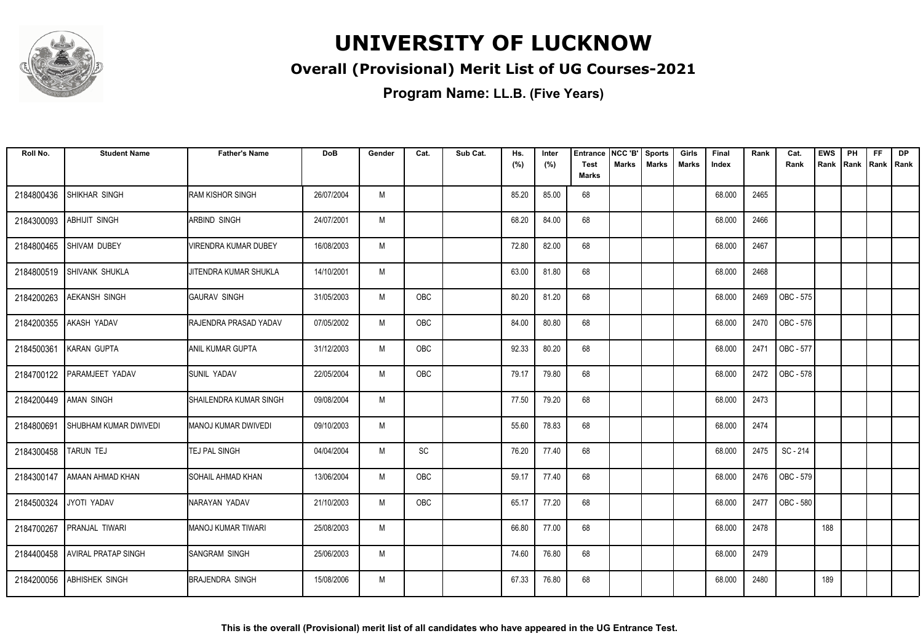

### **Overall (Provisional) Merit List of UG Courses-2021**

| Roll No.   | <b>Student Name</b>          | <b>Father's Name</b>         | <b>DoB</b> | Gender | Cat. | Sub Cat. | Hs.<br>(%) | Inter<br>(%) | <b>Entrance</b><br>Test<br><b>Marks</b> | NCC 'B'<br>Marks | <b>Sports</b><br><b>Marks</b> | Girls<br>Marks | Final<br>Index | Rank | Cat.<br>Rank | <b>EWS</b><br>Rank | PH<br> Rank | <b>FF</b><br>Rank   Rank | <b>DP</b> |
|------------|------------------------------|------------------------------|------------|--------|------|----------|------------|--------------|-----------------------------------------|------------------|-------------------------------|----------------|----------------|------|--------------|--------------------|-------------|--------------------------|-----------|
| 2184800436 | SHIKHAR SINGH                | <b>I</b> RAM KISHOR SINGH    | 26/07/2004 | M      |      |          | 85.20      | 85.00        | 68                                      |                  |                               |                | 68.000         | 2465 |              |                    |             |                          |           |
| 2184300093 | <b>ABHIJIT SINGH</b>         | IARBIND SINGH                | 24/07/2001 | M      |      |          | 68.20      | 84.00        | 68                                      |                  |                               |                | 68.000         | 2466 |              |                    |             |                          |           |
| 2184800465 | <b>SHIVAM DUBEY</b>          | VIRENDRA KUMAR DUBEY         | 16/08/2003 | M      |      |          | 72.80      | 82.00        | 68                                      |                  |                               |                | 68.000         | 2467 |              |                    |             |                          |           |
| 2184800519 | SHIVANK SHUKLA               | JITENDRA KUMAR SHUKLA        | 14/10/2001 | M      |      |          | 63.00      | 81.80        | 68                                      |                  |                               |                | 68.000         | 2468 |              |                    |             |                          |           |
| 2184200263 | <b>AEKANSH SINGH</b>         | <b>GAURAV SINGH</b>          | 31/05/2003 | M      | OBC  |          | 80.20      | 81.20        | 68                                      |                  |                               |                | 68.000         | 2469 | OBC - 575    |                    |             |                          |           |
| 2184200355 | <b>AKASH YADAV</b>           | <b>RAJENDRA PRASAD YADAV</b> | 07/05/2002 | M      | OBC  |          | 84.00      | 80.80        | 68                                      |                  |                               |                | 68.000         | 2470 | OBC - 576    |                    |             |                          |           |
| 2184500361 | KARAN GUPTA                  | <b>ANIL KUMAR GUPTA</b>      | 31/12/2003 | M      | OBC  |          | 92.33      | 80.20        | 68                                      |                  |                               |                | 68.000         | 2471 | OBC - 577    |                    |             |                          |           |
| 2184700122 | PARAMJEET YADAV              | <b>SUNIL YADAV</b>           | 22/05/2004 | M      | OBC  |          | 79.17      | 79.80        | 68                                      |                  |                               |                | 68.000         | 2472 | OBC - 578    |                    |             |                          |           |
| 2184200449 | <b>AMAN SINGH</b>            | ISHAILENDRA KUMAR SINGH      | 09/08/2004 | M      |      |          | 77.50      | 79.20        | 68                                      |                  |                               |                | 68.000         | 2473 |              |                    |             |                          |           |
| 2184800691 | <b>SHUBHAM KUMAR DWIVEDI</b> | IMANOJ KUMAR DWIVEDI         | 09/10/2003 | M      |      |          | 55.60      | 78.83        | 68                                      |                  |                               |                | 68.000         | 2474 |              |                    |             |                          |           |
| 2184300458 | <b>TARUN TEJ</b>             | <b>TEJ PAL SINGH</b>         | 04/04/2004 | M      | SC   |          | 76.20      | 77.40        | 68                                      |                  |                               |                | 68.000         | 2475 | SC - 214     |                    |             |                          |           |
| 2184300147 | AMAAN AHMAD KHAN             | <b>SOHAIL AHMAD KHAN</b>     | 13/06/2004 | M      | OBC  |          | 59.17      | 77.40        | 68                                      |                  |                               |                | 68.000         | 2476 | OBC - 579    |                    |             |                          |           |
| 2184500324 | JYOTI YADAV                  | NARAYAN YADAV                | 21/10/2003 | M      | OBC  |          | 65.17      | 77.20        | 68                                      |                  |                               |                | 68.000         | 2477 | OBC - 580    |                    |             |                          |           |
| 2184700267 | <b>PRANJAL TIWARI</b>        | <b>MANOJ KUMAR TIWARI</b>    | 25/08/2003 | M      |      |          | 66.80      | 77.00        | 68                                      |                  |                               |                | 68.000         | 2478 |              | 188                |             |                          |           |
| 2184400458 | <b>AVIRAL PRATAP SINGH</b>   | <b>SANGRAM SINGH</b>         | 25/06/2003 | M      |      |          | 74.60      | 76.80        | 68                                      |                  |                               |                | 68.000         | 2479 |              |                    |             |                          |           |
| 2184200056 | <b>ABHISHEK SINGH</b>        | <b>BRAJENDRA SINGH</b>       | 15/08/2006 | M      |      |          | 67.33      | 76.80        | 68                                      |                  |                               |                | 68.000         | 2480 |              | 189                |             |                          |           |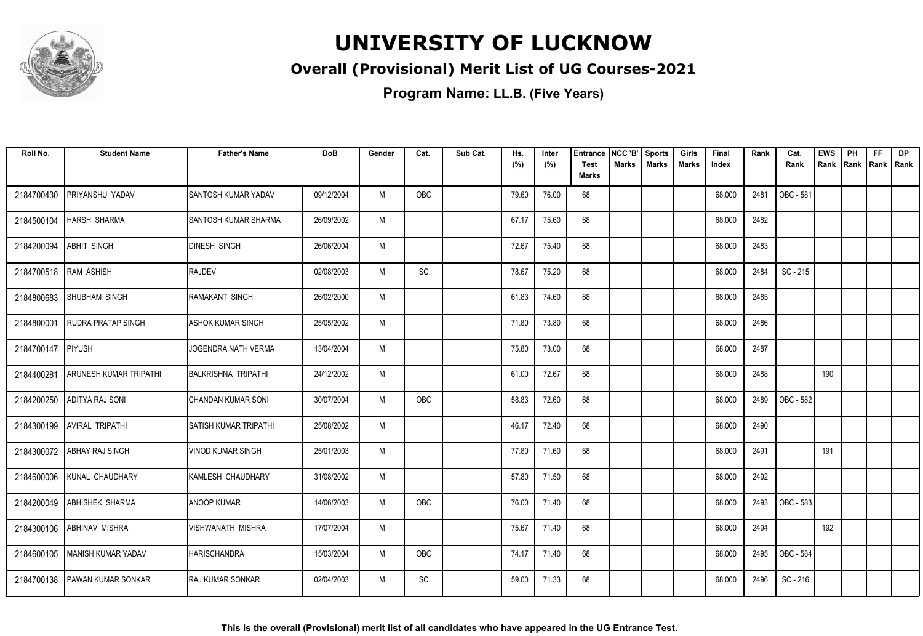

### **Overall (Provisional) Merit List of UG Courses-2021**

| Roll No.   | <b>Student Name</b>           | <b>Father's Name</b>         | <b>DoB</b> | Gender | Cat.                         | Sub Cat. | Hs.<br>(%) | Inter<br>(%) | <b>Entrance</b><br><b>Test</b> | NCC 'B'<br>Marks | <b>Sports</b><br><b>Marks</b> | Girls<br>Marks | Final<br>Index | Rank | Cat.<br>Rank | <b>EWS</b><br>Rank | PH<br> Rank | <b>FF</b><br>Rank   Rank | <b>DP</b> |
|------------|-------------------------------|------------------------------|------------|--------|------------------------------|----------|------------|--------------|--------------------------------|------------------|-------------------------------|----------------|----------------|------|--------------|--------------------|-------------|--------------------------|-----------|
|            |                               |                              |            |        |                              |          |            |              | <b>Marks</b>                   |                  |                               |                |                |      |              |                    |             |                          |           |
| 2184700430 | PRIYANSHU YADAV               | SANTOSH KUMAR YADAV          | 09/12/2004 | M      | <b>OBC</b>                   |          | 79.60      | 76.00        | 68                             |                  |                               |                | 68.000         | 2481 | OBC - 581    |                    |             |                          |           |
| 2184500104 | <b>HARSH SHARMA</b>           | SANTOSH KUMAR SHARMA         | 26/09/2002 | M      |                              |          | 67.17      | 75.60        | 68                             |                  |                               |                | 68.000         | 2482 |              |                    |             |                          |           |
| 2184200094 | ABHIT SINGH                   | <b>DINESH SINGH</b>          | 26/06/2004 | M      |                              |          | 72.67      | 75.40        | 68                             |                  |                               |                | 68.000         | 2483 |              |                    |             |                          |           |
| 2184700518 | RAM ASHISH                    | <b>RAJDEV</b>                | 02/08/2003 | M      | $\operatorname{\textsf{SC}}$ |          | 78.67      | 75.20        | 68                             |                  |                               |                | 68.000         | 2484 | SC - 215     |                    |             |                          |           |
| 2184800683 | <b>SHUBHAM SINGH</b>          | IRAMAKANT SINGH              | 26/02/2000 | M      |                              |          | 61.83      | 74.60        | 68                             |                  |                               |                | 68.000         | 2485 |              |                    |             |                          |           |
| 2184800001 | <b>RUDRA PRATAP SINGH</b>     | <b>ASHOK KUMAR SINGH</b>     | 25/05/2002 | M      |                              |          | 71.80      | 73.80        | 68                             |                  |                               |                | 68.000         | 2486 |              |                    |             |                          |           |
| 2184700147 | PIYUSH                        | JOGENDRA NATH VERMA          | 13/04/2004 | M      |                              |          | 75.80      | 73.00        | 68                             |                  |                               |                | 68.000         | 2487 |              |                    |             |                          |           |
| 2184400281 | <b>ARUNESH KUMAR TRIPATHI</b> | <b>BALKRISHNA TRIPATHI</b>   | 24/12/2002 | M      |                              |          | 61.00      | 72.67        | 68                             |                  |                               |                | 68.000         | 2488 |              | 190                |             |                          |           |
| 2184200250 | ADITYA RAJ SONI               | CHANDAN KUMAR SONI           | 30/07/2004 | M      | OBC                          |          | 58.83      | 72.60        | 68                             |                  |                               |                | 68.000         | 2489 | OBC - 582    |                    |             |                          |           |
| 2184300199 | <b>AVIRAL TRIPATHI</b>        | <b>SATISH KUMAR TRIPATHI</b> | 25/08/2002 | M      |                              |          | 46.17      | 72.40        | 68                             |                  |                               |                | 68.000         | 2490 |              |                    |             |                          |           |
| 2184300072 | <b>ABHAY RAJ SINGH</b>        | <b>VINOD KUMAR SINGH</b>     | 25/01/2003 | M      |                              |          | 77.80      | 71.60        | 68                             |                  |                               |                | 68.000         | 2491 |              | 191                |             |                          |           |
| 2184600006 | KUNAL CHAUDHARY               | KAMLESH CHAUDHARY            | 31/08/2002 | M      |                              |          | 57.80      | 71.50        | 68                             |                  |                               |                | 68.000         | 2492 |              |                    |             |                          |           |
|            | 2184200049 ABHISHEK SHARMA    | <b>ANOOP KUMAR</b>           | 14/06/2003 | M      | OBC                          |          | 76.00      | 71.40        | 68                             |                  |                               |                | 68.000         | 2493 | OBC - 583    |                    |             |                          |           |
| 2184300106 | <b>JABHINAV MISHRA</b>        | <b>VISHWANATH MISHRA</b>     | 17/07/2004 | M      |                              |          | 75.67      | 71.40        | 68                             |                  |                               |                | 68.000         | 2494 |              | 192                |             |                          |           |
| 2184600105 | MANISH KUMAR YADAV            | <b>HARISCHANDRA</b>          | 15/03/2004 | M      | OBC                          |          | 74.17      | 71.40        | 68                             |                  |                               |                | 68.000         | 2495 | OBC - 584    |                    |             |                          |           |
| 2184700138 | <b>PAWAN KUMAR SONKAR</b>     | <b>IRAJ KUMAR SONKAR</b>     | 02/04/2003 | M      | SC                           |          | 59.00      | 71.33        | 68                             |                  |                               |                | 68.000         | 2496 | SC - 216     |                    |             |                          |           |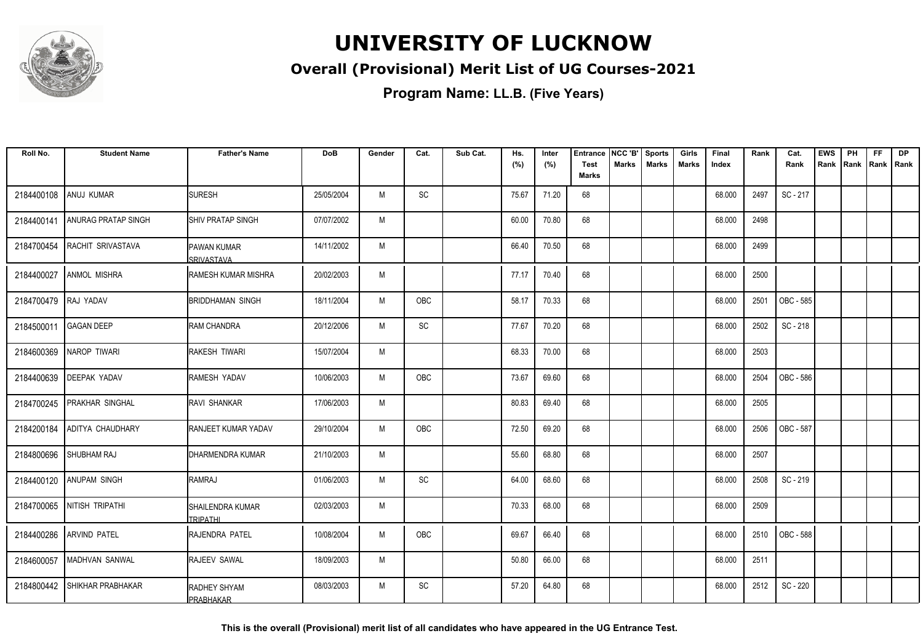

### **Overall (Provisional) Merit List of UG Courses-2021**

**Program Name: LL.B. (Five Years)**

| Roll No.             | <b>Student Name</b>      | <b>Father's Name</b>                    | <b>DoB</b> | Gender | Cat.                         | Sub Cat. | Hs.   | Inter | <b>Entrance</b>             | NCC 'B'      | <b>Sports</b> | Girls | Final  | Rank | Cat.             | <b>EWS</b> | PH | <b>FF</b>          | <b>DP</b> |
|----------------------|--------------------------|-----------------------------------------|------------|--------|------------------------------|----------|-------|-------|-----------------------------|--------------|---------------|-------|--------|------|------------------|------------|----|--------------------|-----------|
|                      |                          |                                         |            |        |                              |          | (%)   | (%)   | <b>Test</b><br><b>Marks</b> | <b>Marks</b> | <b>Marks</b>  | Marks | Index  |      | Rank             | Rank       |    | Rank   Rank   Rank |           |
| 2184400108           | ANUJ KUMAR               | <b>SURESH</b>                           | 25/05/2004 | M      | SC                           |          | 75.67 | 71.20 | 68                          |              |               |       | 68.000 | 2497 | SC-217           |            |    |                    |           |
| 2184400141           | ANURAG PRATAP SINGH      | ISHIV PRATAP SINGH                      | 07/07/2002 | M      |                              |          | 60.00 | 70.80 | 68                          |              |               |       | 68.000 | 2498 |                  |            |    |                    |           |
| 2184700454           | RACHIT SRIVASTAVA        | <b>PAWAN KUMAR</b><br><b>SRIVASTAVA</b> | 14/11/2002 | M      |                              |          | 66.40 | 70.50 | 68                          |              |               |       | 68.000 | 2499 |                  |            |    |                    |           |
| 2184400027           | <b>ANMOL MISHRA</b>      | IRAMESH KUMAR MISHRA                    | 20/02/2003 | M      |                              |          | 77.17 | 70.40 | 68                          |              |               |       | 68.000 | 2500 |                  |            |    |                    |           |
| 2184700479 RAJ YADAV |                          | <b>BRIDDHAMAN SINGH</b>                 | 18/11/2004 | M      | OBC                          |          | 58.17 | 70.33 | 68                          |              |               |       | 68.000 | 2501 | OBC - 585        |            |    |                    |           |
| 2184500011           | <b>GAGAN DEEP</b>        | <b>RAM CHANDRA</b>                      | 20/12/2006 | M      | $\operatorname{\textsf{SC}}$ |          | 77.67 | 70.20 | 68                          |              |               |       | 68.000 | 2502 | SC-218           |            |    |                    |           |
| 2184600369           | NAROP TIWARI             | <b>RAKESH TIWARI</b>                    | 15/07/2004 | M      |                              |          | 68.33 | 70.00 | 68                          |              |               |       | 68.000 | 2503 |                  |            |    |                    |           |
| 2184400639           | <b>DEEPAK YADAV</b>      | <b>RAMESH YADAV</b>                     | 10/06/2003 | M      | <b>OBC</b>                   |          | 73.67 | 69.60 | 68                          |              |               |       | 68.000 | 2504 | <b>OBC - 586</b> |            |    |                    |           |
| 2184700245           | <b>PRAKHAR SINGHAL</b>   | RAVI SHANKAR                            | 17/06/2003 | M      |                              |          | 80.83 | 69.40 | 68                          |              |               |       | 68.000 | 2505 |                  |            |    |                    |           |
| 2184200184           | <b>ADITYA CHAUDHARY</b>  | <b>RANJEET KUMAR YADAV</b>              | 29/10/2004 | M      | OBC                          |          | 72.50 | 69.20 | 68                          |              |               |       | 68.000 | 2506 | OBC - 587        |            |    |                    |           |
| 2184800696           | <b>SHUBHAM RAJ</b>       | IDHARMENDRA KUMAR                       | 21/10/2003 | M      |                              |          | 55.60 | 68.80 | 68                          |              |               |       | 68.000 | 2507 |                  |            |    |                    |           |
| 2184400120           | <b>ANUPAM SINGH</b>      | RAMRAJ                                  | 01/06/2003 | M      | SC                           |          | 64.00 | 68.60 | 68                          |              |               |       | 68.000 | 2508 | SC-219           |            |    |                    |           |
| 2184700065           | NITISH TRIPATHI          | SHAILENDRA KUMAR<br><b>TRIPATHI</b>     | 02/03/2003 | M      |                              |          | 70.33 | 68.00 | 68                          |              |               |       | 68.000 | 2509 |                  |            |    |                    |           |
| 2184400286           | <b>ARVIND PATEL</b>      | RAJENDRA PATEL                          | 10/08/2004 | M      | OBC                          |          | 69.67 | 66.40 | 68                          |              |               |       | 68.000 | 2510 | OBC - 588        |            |    |                    |           |
| 2184600057           | MADHVAN SANWAL           | RAJEEV SAWAL                            | 18/09/2003 | M      |                              |          | 50.80 | 66.00 | 68                          |              |               |       | 68.000 | 2511 |                  |            |    |                    |           |
| 2184800442           | <b>SHIKHAR PRABHAKAR</b> | IRADHEY SHYAM<br><u>IPRABHAKAR</u>      | 08/03/2003 | M      | SC                           |          | 57.20 | 64.80 | 68                          |              |               |       | 68.000 | 2512 | SC - 220         |            |    |                    |           |

**This is the overall (Provisional) merit list of all candidates who have appeared in the UG Entrance Test.**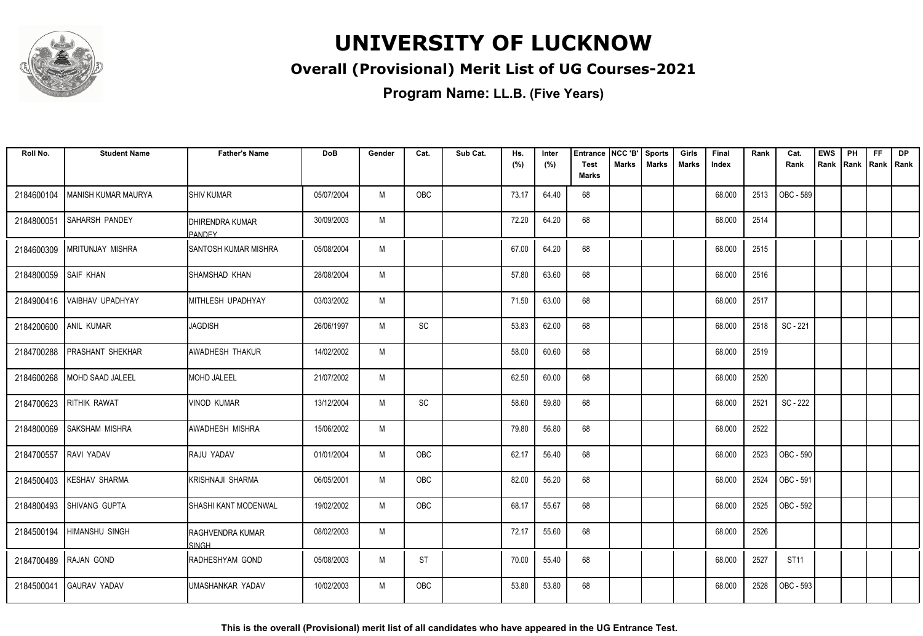

### **Overall (Provisional) Merit List of UG Courses-2021**

| Roll No.              | <b>Student Name</b>     | <b>Father's Name</b>                      | <b>DoB</b> | Gender | Cat.       | Sub Cat. | Hs.<br>(%) | Inter<br>(%) | <b>Entrance</b><br><b>Test</b> | NCC 'B'<br><b>Marks</b> | <b>Sports</b><br><b>Marks</b> | Girls<br>Marks | Final<br>Index | Rank | Cat.<br>Rank     | <b>EWS</b><br>Rank | PH<br>Rank | <b>FF</b><br>Rank Rank | <b>DP</b> |
|-----------------------|-------------------------|-------------------------------------------|------------|--------|------------|----------|------------|--------------|--------------------------------|-------------------------|-------------------------------|----------------|----------------|------|------------------|--------------------|------------|------------------------|-----------|
|                       |                         |                                           |            |        |            |          |            |              | <b>Marks</b>                   |                         |                               |                |                |      |                  |                    |            |                        |           |
| 2184600104            | MANISH KUMAR MAURYA     | <b>I</b> SHIV KUMAR                       | 05/07/2004 | M      | <b>OBC</b> |          | 73.17      | 64.40        | 68                             |                         |                               |                | 68.000         | 2513 | OBC - 589        |                    |            |                        |           |
| 2184800051            | <b>SAHARSH PANDEY</b>   | <b>I</b> DHIRENDRA KUMAR<br><b>PANDEY</b> | 30/09/2003 | M      |            |          | 72.20      | 64.20        | 68                             |                         |                               |                | 68.000         | 2514 |                  |                    |            |                        |           |
| 2184600309            | <b>MRITUNJAY MISHRA</b> | <b>SANTOSH KUMAR MISHRA</b>               | 05/08/2004 | M      |            |          | 67.00      | 64.20        | 68                             |                         |                               |                | 68.000         | 2515 |                  |                    |            |                        |           |
| 2184800059            | <b>SAIF KHAN</b>        | SHAMSHAD KHAN                             | 28/08/2004 | M      |            |          | 57.80      | 63.60        | 68                             |                         |                               |                | 68.000         | 2516 |                  |                    |            |                        |           |
| 2184900416            | VAIBHAV UPADHYAY        | MITHLESH UPADHYAY                         | 03/03/2002 | M      |            |          | 71.50      | 63.00        | 68                             |                         |                               |                | 68.000         | 2517 |                  |                    |            |                        |           |
| 2184200600 ANIL KUMAR |                         | <b>JAGDISH</b>                            | 26/06/1997 | M      | SC         |          | 53.83      | 62.00        | 68                             |                         |                               |                | 68.000         | 2518 | SC - 221         |                    |            |                        |           |
| 2184700288            | <b>PRASHANT SHEKHAR</b> | <b>AWADHESH THAKUR</b>                    | 14/02/2002 | M      |            |          | 58.00      | 60.60        | 68                             |                         |                               |                | 68.000         | 2519 |                  |                    |            |                        |           |
| 2184600268            | MOHD SAAD JALEEL        | MOHD JALEEL                               | 21/07/2002 | M      |            |          | 62.50      | 60.00        | 68                             |                         |                               |                | 68.000         | 2520 |                  |                    |            |                        |           |
| 2184700623            | <b>RITHIK RAWAT</b>     | Ivinod kumar                              | 13/12/2004 | M      | SC         |          | 58.60      | 59.80        | 68                             |                         |                               |                | 68.000         | 2521 | SC - 222         |                    |            |                        |           |
| 2184800069            | <b>SAKSHAM MISHRA</b>   | <b>AWADHESH MISHRA</b>                    | 15/06/2002 | M      |            |          | 79.80      | 56.80        | 68                             |                         |                               |                | 68.000         | 2522 |                  |                    |            |                        |           |
| 2184700557            | RAVI YADAV              | <b>RAJU YADAV</b>                         | 01/01/2004 | M      | OBC        |          | 62.17      | 56.40        | 68                             |                         |                               |                | 68.000         | 2523 | <b>OBC - 590</b> |                    |            |                        |           |
| 2184500403            | <b>KESHAV SHARMA</b>    | <b>KRISHNAJI SHARMA</b>                   | 06/05/2001 | M      | OBC        |          | 82.00      | 56.20        | 68                             |                         |                               |                | 68.000         | 2524 | OBC - 591        |                    |            |                        |           |
| 2184800493            | <b>SHIVANG GUPTA</b>    | <b>SHASHI KANT MODENWAL</b>               | 19/02/2002 | M      | OBC        |          | 68.17      | 55.67        | 68                             |                         |                               |                | 68.000         | 2525 | OBC - 592        |                    |            |                        |           |
| 2184500194            | <b>HIMANSHU SINGH</b>   | <b>RAGHVENDRA KUMAR</b><br><b>SINGH</b>   | 08/02/2003 | M      |            |          | 72.17      | 55.60        | 68                             |                         |                               |                | 68.000         | 2526 |                  |                    |            |                        |           |
|                       | 2184700489 RAJAN GOND   | RADHESHYAM GOND                           | 05/08/2003 | M      | <b>ST</b>  |          | 70.00      | 55.40        | 68                             |                         |                               |                | 68.000         | 2527 | <b>ST11</b>      |                    |            |                        |           |
| 2184500041            | <b>GAURAV YADAV</b>     | UMASHANKAR YADAV                          | 10/02/2003 | M      | OBC        |          | 53.80      | 53.80        | 68                             |                         |                               |                | 68.000         | 2528 | OBC - 593        |                    |            |                        |           |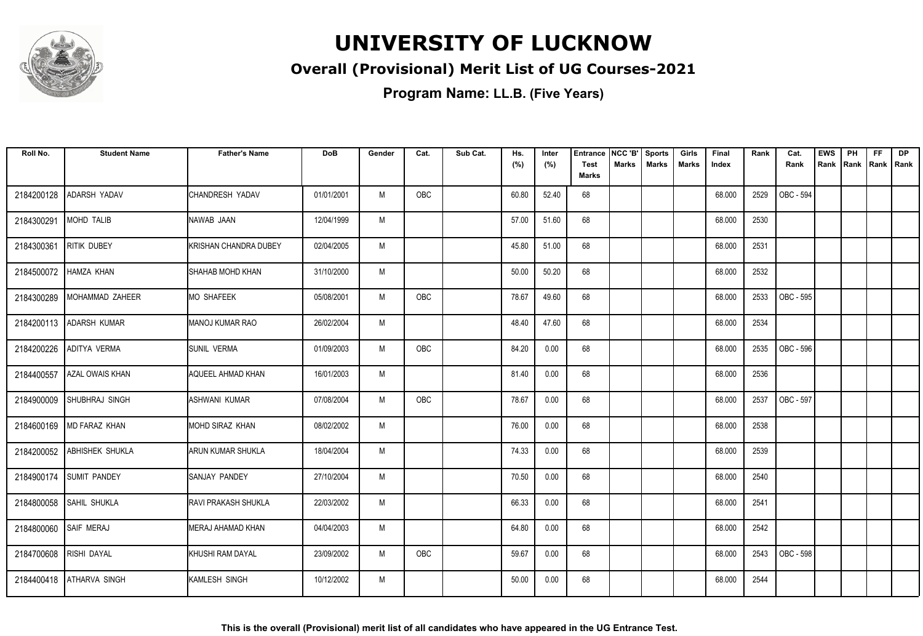

### **Overall (Provisional) Merit List of UG Courses-2021**

| Roll No.              | <b>Student Name</b>      | <b>Father's Name</b>         | <b>DoB</b> | Gender | Cat.       | Sub Cat. | Hs.<br>(%) | Inter<br>(%) | <b>Entrance</b><br><b>Test</b> | NCC 'B'<br>Marks | <b>Sports</b><br><b>Marks</b> | Girls<br><b>Marks</b> | Final<br>Index | Rank | Cat.<br>Rank | <b>EWS</b><br>Rank | PH<br>Rank | <b>FF</b><br>Rank   Rank | <b>DP</b> |
|-----------------------|--------------------------|------------------------------|------------|--------|------------|----------|------------|--------------|--------------------------------|------------------|-------------------------------|-----------------------|----------------|------|--------------|--------------------|------------|--------------------------|-----------|
|                       |                          |                              |            |        |            |          |            |              | <b>Marks</b>                   |                  |                               |                       |                |      |              |                    |            |                          |           |
| 2184200128            | ADARSH YADAV             | CHANDRESH YADAV              | 01/01/2001 | M      | OBC        |          | 60.80      | 52.40        | 68                             |                  |                               |                       | 68.000         | 2529 | OBC - 594    |                    |            |                          |           |
| 2184300291            | MOHD TALIB               | NAWAB JAAN                   | 12/04/1999 | M      |            |          | 57.00      | 51.60        | 68                             |                  |                               |                       | 68.000         | 2530 |              |                    |            |                          |           |
| 2184300361            | <b>RITIK DUBEY</b>       | <b>KRISHAN CHANDRA DUBEY</b> | 02/04/2005 | M      |            |          | 45.80      | 51.00        | 68                             |                  |                               |                       | 68.000         | 2531 |              |                    |            |                          |           |
| 2184500072            | <b>HAMZA KHAN</b>        | <b>SHAHAB MOHD KHAN</b>      | 31/10/2000 | M      |            |          | 50.00      | 50.20        | 68                             |                  |                               |                       | 68.000         | 2532 |              |                    |            |                          |           |
| 2184300289            | MOHAMMAD ZAHEER          | <b>MO SHAFEEK</b>            | 05/08/2001 | M      | OBC        |          | 78.67      | 49.60        | 68                             |                  |                               |                       | 68.000         | 2533 | OBC - 595    |                    |            |                          |           |
|                       | 2184200113 ADARSH KUMAR  | <b>MANOJ KUMAR RAO</b>       | 26/02/2004 | M      |            |          | 48.40      | 47.60        | 68                             |                  |                               |                       | 68.000         | 2534 |              |                    |            |                          |           |
| 2184200226            | <b>ADITYA VERMA</b>      | <b>ISUNIL VERMA</b>          | 01/09/2003 | M      | <b>OBC</b> |          | 84.20      | 0.00         | 68                             |                  |                               |                       | 68.000         | 2535 | OBC - 596    |                    |            |                          |           |
| 2184400557            | <b>AZAL OWAIS KHAN</b>   | <b>AQUEEL AHMAD KHAN</b>     | 16/01/2003 | M      |            |          | 81.40      | 0.00         | 68                             |                  |                               |                       | 68.000         | 2536 |              |                    |            |                          |           |
| 2184900009            | SHUBHRAJ SINGH           | ASHWANI KUMAR                | 07/08/2004 | M      | OBC        |          | 78.67      | 0.00         | 68                             |                  |                               |                       | 68.000         | 2537 | OBC - 597    |                    |            |                          |           |
| 2184600169            | <b>MD FARAZ KHAN</b>     | MOHD SIRAZ KHAN              | 08/02/2002 | M      |            |          | 76.00      | 0.00         | 68                             |                  |                               |                       | 68.000         | 2538 |              |                    |            |                          |           |
| 2184200052            | <b>ABHISHEK SHUKLA</b>   | <b>ARUN KUMAR SHUKLA</b>     | 18/04/2004 | M      |            |          | 74.33      | 0.00         | 68                             |                  |                               |                       | 68.000         | 2539 |              |                    |            |                          |           |
|                       | 2184900174 SUMIT PANDEY  | SANJAY PANDEY                | 27/10/2004 | M      |            |          | 70.50      | 0.00         | 68                             |                  |                               |                       | 68.000         | 2540 |              |                    |            |                          |           |
|                       | 2184800058 SAHIL SHUKLA  | <b>RAVI PRAKASH SHUKLA</b>   | 22/03/2002 | M      |            |          | 66.33      | 0.00         | 68                             |                  |                               |                       | 68.000         | 2541 |              |                    |            |                          |           |
| 2184800060 SAIF MERAJ |                          | MERAJ AHAMAD KHAN            | 04/04/2003 | M      |            |          | 64.80      | 0.00         | 68                             |                  |                               |                       | 68.000         | 2542 |              |                    |            |                          |           |
| 2184700608            | RISHI DAYAL              | KHUSHI RAM DAYAL             | 23/09/2002 | M      | OBC        |          | 59.67      | 0.00         | 68                             |                  |                               |                       | 68.000         | 2543 | OBC - 598    |                    |            |                          |           |
|                       | 2184400418 ATHARVA SINGH | KAMLESH SINGH                | 10/12/2002 | M      |            |          | 50.00      | 0.00         | 68                             |                  |                               |                       | 68.000         | 2544 |              |                    |            |                          |           |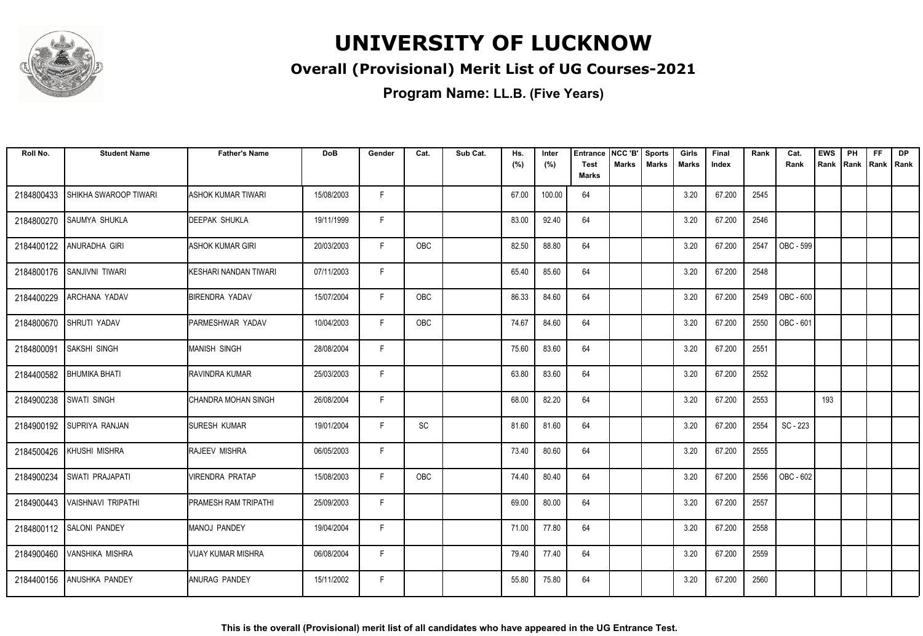

### **Overall (Provisional) Merit List of UG Courses-2021**

| Roll No.   | <b>Student Name</b>      | <b>Father's Name</b>         | <b>DoB</b> | Gender | Cat.       | Sub Cat. | Hs.<br>(%) | Inter<br>(%) | <b>Entrance</b><br><b>Test</b><br><b>Marks</b> | NCC 'B'<br>Marks | Sports<br><b>Marks</b> | Girls<br>Marks | Final<br>Index | Rank | Cat.<br>Rank | <b>EWS</b><br>Rank | PH<br> Rank | <b>FF</b><br>Rank   Rank | <b>DP</b> |
|------------|--------------------------|------------------------------|------------|--------|------------|----------|------------|--------------|------------------------------------------------|------------------|------------------------|----------------|----------------|------|--------------|--------------------|-------------|--------------------------|-----------|
|            |                          |                              |            |        |            |          |            |              |                                                |                  |                        |                |                |      |              |                    |             |                          |           |
| 2184800433 | SHIKHA SWAROOP TIWARI    | ASHOK KUMAR TIWARI           | 15/08/2003 | F.     |            |          | 67.00      | 100.00       | 64                                             |                  |                        | 3.20           | 67.200         | 2545 |              |                    |             |                          |           |
| 2184800270 | <b>SAUMYA SHUKLA</b>     | <b>DEEPAK SHUKLA</b>         | 19/11/1999 | F.     |            |          | 83.00      | 92.40        | 64                                             |                  |                        | 3.20           | 67.200         | 2546 |              |                    |             |                          |           |
| 2184400122 | ANURADHA GIRI            | ASHOK KUMAR GIRI             | 20/03/2003 | F.     | OBC        |          | 82.50      | 88.80        | 64                                             |                  |                        | 3.20           | 67.200         | 2547 | OBC - 599    |                    |             |                          |           |
| 2184800176 | <b>SANJIVNI TIWARI</b>   | <b>KESHARI NANDAN TIWARI</b> | 07/11/2003 | F      |            |          | 65.40      | 85.60        | 64                                             |                  |                        | 3.20           | 67.200         | 2548 |              |                    |             |                          |           |
| 2184400229 | ARCHANA YADAV            | <b>BIRENDRA YADAV</b>        | 15/07/2004 | F.     | OBC        |          | 86.33      | 84.60        | 64                                             |                  |                        | 3.20           | 67.200         | 2549 | OBC - 600    |                    |             |                          |           |
| 2184800670 | <b>SHRUTI YADAV</b>      | PARMESHWAR YADAV             | 10/04/2003 | F      | <b>OBC</b> |          | 74.67      | 84.60        | 64                                             |                  |                        | 3.20           | 67.200         | 2550 | OBC - 601    |                    |             |                          |           |
| 2184800091 | <b>SAKSHI SINGH</b>      | <b>MANISH SINGH</b>          | 28/08/2004 | F      |            |          | 75.60      | 83.60        | 64                                             |                  |                        | 3.20           | 67.200         | 2551 |              |                    |             |                          |           |
| 2184400582 | <b>BHUMIKA BHATI</b>     | RAVINDRA KUMAR               | 25/03/2003 | F      |            |          | 63.80      | 83.60        | 64                                             |                  |                        | 3.20           | 67.200         | 2552 |              |                    |             |                          |           |
| 2184900238 | <b>SWATI SINGH</b>       | CHANDRA MOHAN SINGH          | 26/08/2004 | F.     |            |          | 68.00      | 82.20        | 64                                             |                  |                        | 3.20           | 67.200         | 2553 |              | 193                |             |                          |           |
| 2184900192 | <b>SUPRIYA RANJAN</b>    | <b>SURESH KUMAR</b>          | 19/01/2004 | F      | SC         |          | 81.60      | 81.60        | 64                                             |                  |                        | 3.20           | 67.200         | 2554 | SC - 223     |                    |             |                          |           |
| 2184500426 | KHUSHI MISHRA            | <b>RAJEEV MISHRA</b>         | 06/05/2003 | F      |            |          | 73.40      | 80.60        | 64                                             |                  |                        | 3.20           | 67.200         | 2555 |              |                    |             |                          |           |
| 2184900234 | SWATI PRAJAPATI          | <b>VIRENDRA PRATAP</b>       | 15/08/2003 | F      | OBC        |          | 74.40      | 80.40        | 64                                             |                  |                        | 3.20           | 67.200         | 2556 | OBC - 602    |                    |             |                          |           |
| 2184900443 | VAISHNAVI TRIPATHI       | <b>PRAMESH RAM TRIPATHI</b>  | 25/09/2003 | F.     |            |          | 69.00      | 80.00        | 64                                             |                  |                        | 3.20           | 67.200         | 2557 |              |                    |             |                          |           |
|            | 2184800112 SALONI PANDEY | <b>MANOJ PANDEY</b>          | 19/04/2004 | F      |            |          | 71.00      | 77.80        | 64                                             |                  |                        | 3.20           | 67.200         | 2558 |              |                    |             |                          |           |
| 2184900460 | <b>VANSHIKA MISHRA</b>   | <b>VIJAY KUMAR MISHRA</b>    | 06/08/2004 | F      |            |          | 79.40      | 77.40        | 64                                             |                  |                        | 3.20           | 67.200         | 2559 |              |                    |             |                          |           |
| 2184400156 | <b>ANUSHKA PANDEY</b>    | <b>ANURAG PANDEY</b>         | 15/11/2002 | F.     |            |          | 55.80      | 75.80        | 64                                             |                  |                        | 3.20           | 67.200         | 2560 |              |                    |             |                          |           |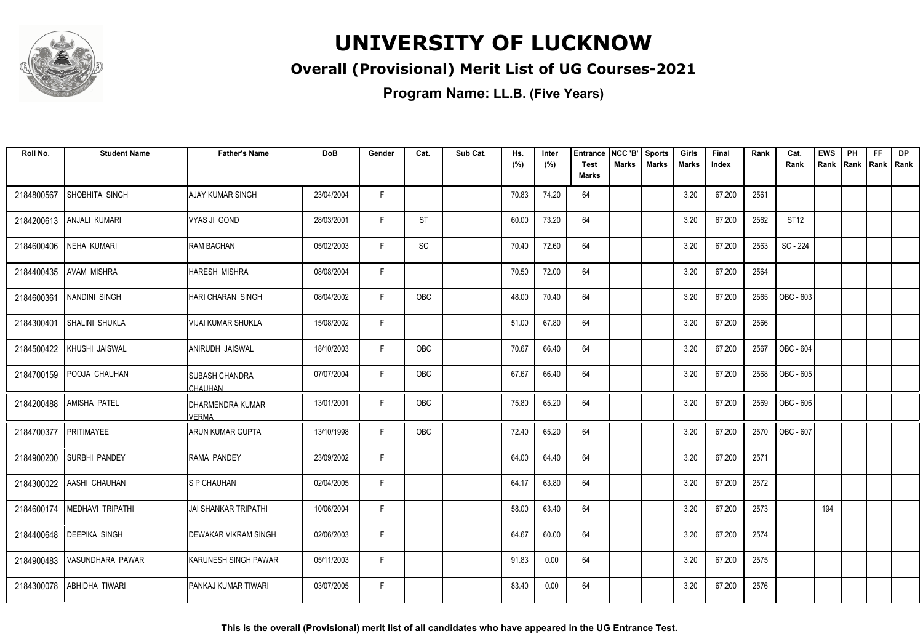

### **Overall (Provisional) Merit List of UG Courses-2021**

| Roll No.   | <b>Student Name</b>           | <b>Father's Name</b>              | <b>DoB</b> | Gender | Cat.       | Sub Cat. | Hs.<br>(%) | Inter<br>(%) | <b>Entrance</b><br><b>Test</b> | NCC 'B'<br><b>Marks</b> | <b>Sports</b><br><b>Marks</b> | Girls<br><b>Marks</b> | Final<br>Index | Rank | Cat.<br>Rank | <b>EWS</b><br>Rank | PH<br>Rank | FF<br>Rank   Rank | <b>DP</b> |
|------------|-------------------------------|-----------------------------------|------------|--------|------------|----------|------------|--------------|--------------------------------|-------------------------|-------------------------------|-----------------------|----------------|------|--------------|--------------------|------------|-------------------|-----------|
|            |                               |                                   |            |        |            |          |            |              | <b>Marks</b>                   |                         |                               |                       |                |      |              |                    |            |                   |           |
| 2184800567 | SHOBHITA SINGH                | AJAY KUMAR SINGH                  | 23/04/2004 | F.     |            |          | 70.83      | 74.20        | 64                             |                         |                               | 3.20                  | 67.200         | 2561 |              |                    |            |                   |           |
| 2184200613 | <b>ANJALI KUMARI</b>          | VYAS JI GOND                      | 28/03/2001 | F.     | <b>ST</b>  |          | 60.00      | 73.20        | 64                             |                         |                               | 3.20                  | 67.200         | 2562 | ST12         |                    |            |                   |           |
| 2184600406 | <b>NEHA KUMARI</b>            | <b>RAM BACHAN</b>                 | 05/02/2003 | F      | SC         |          | 70.40      | 72.60        | 64                             |                         |                               | 3.20                  | 67.200         | 2563 | SC - 224     |                    |            |                   |           |
| 2184400435 | <b>AVAM MISHRA</b>            | <b>HARESH MISHRA</b>              | 08/08/2004 | F      |            |          | 70.50      | 72.00        | 64                             |                         |                               | 3.20                  | 67.200         | 2564 |              |                    |            |                   |           |
| 2184600361 | <b>NANDINI SINGH</b>          | <b>HARI CHARAN SINGH</b>          | 08/04/2002 | F      | OBC        |          | 48.00      | 70.40        | 64                             |                         |                               | 3.20                  | 67.200         | 2565 | OBC - 603    |                    |            |                   |           |
| 2184300401 | SHALINI SHUKLA                | <b>VIJAI KUMAR SHUKLA</b>         | 15/08/2002 | F      |            |          | 51.00      | 67.80        | 64                             |                         |                               | 3.20                  | 67.200         | 2566 |              |                    |            |                   |           |
| 2184500422 | KHUSHI JAISWAL                | ANIRUDH JAISWAL                   | 18/10/2003 | F      | OBC        |          | 70.67      | 66.40        | 64                             |                         |                               | 3.20                  | 67.200         | 2567 | OBC - 604    |                    |            |                   |           |
|            | 2184700159 POOJA CHAUHAN      | ISUBASH CHANDRA<br>`HAUHAN        | 07/07/2004 | F      | OBC        |          | 67.67      | 66.40        | 64                             |                         |                               | 3.20                  | 67.200         | 2568 | OBC - 605    |                    |            |                   |           |
| 2184200488 | <b>AMISHA PATEL</b>           | IDHARMENDRA KUMAR<br><b>VERMA</b> | 13/01/2001 | F.     | OBC        |          | 75.80      | 65.20        | 64                             |                         |                               | 3.20                  | 67.200         | 2569 | OBC - 606    |                    |            |                   |           |
| 2184700377 | PRITIMAYEE                    | ARUN KUMAR GUPTA                  | 13/10/1998 | F.     | <b>OBC</b> |          | 72.40      | 65.20        | 64                             |                         |                               | 3.20                  | 67.200         | 2570 | OBC - 607    |                    |            |                   |           |
| 2184900200 | <b>SURBHI PANDEY</b>          | RAMA PANDEY                       | 23/09/2002 | F.     |            |          | 64.00      | 64.40        | 64                             |                         |                               | 3.20                  | 67.200         | 2571 |              |                    |            |                   |           |
|            | 2184300022 AASHI CHAUHAN      | <b>S P CHAUHAN</b>                | 02/04/2005 | F      |            |          | 64.17      | 63.80        | 64                             |                         |                               | 3.20                  | 67.200         | 2572 |              |                    |            |                   |           |
|            | 2184600174   MEDHAVI TRIPATHI | <b>JAI SHANKAR TRIPATHI</b>       | 10/06/2004 | F      |            |          | 58.00      | 63.40        | 64                             |                         |                               | 3.20                  | 67.200         | 2573 |              | 194                |            |                   |           |
| 2184400648 | <b>DEEPIKA SINGH</b>          | <b>DEWAKAR VIKRAM SINGH</b>       | 02/06/2003 | F.     |            |          | 64.67      | 60.00        | 64                             |                         |                               | 3.20                  | 67.200         | 2574 |              |                    |            |                   |           |
| 2184900483 | VASUNDHARA PAWAR              | KARUNESH SINGH PAWAR              | 05/11/2003 | F.     |            |          | 91.83      | 0.00         | 64                             |                         |                               | 3.20                  | 67.200         | 2575 |              |                    |            |                   |           |
| 2184300078 | ABHIDHA TIWARI                | IPANKAJ KUMAR TIWARI              | 03/07/2005 | F      |            |          | 83.40      | 0.00         | 64                             |                         |                               | 3.20                  | 67.200         | 2576 |              |                    |            |                   |           |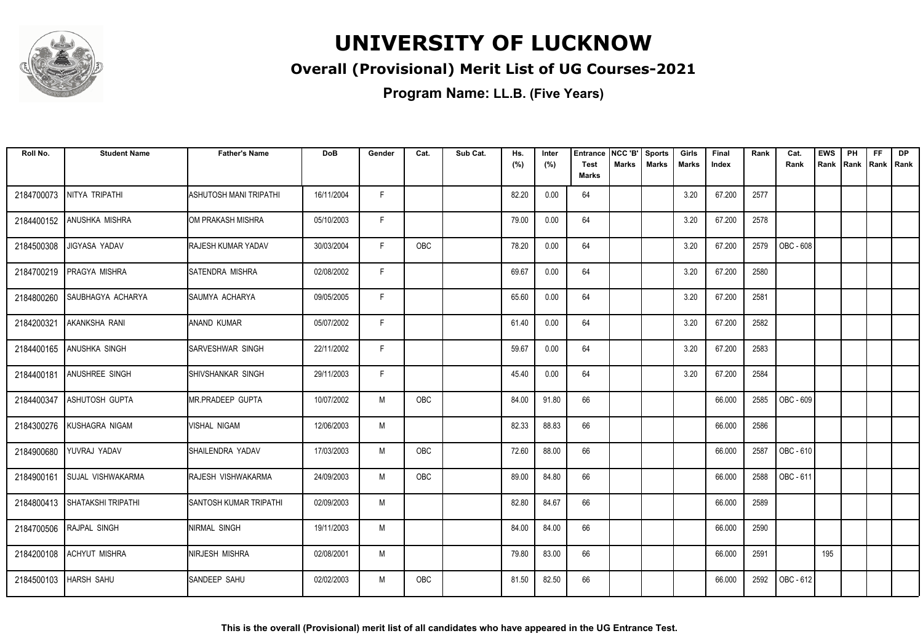

### **Overall (Provisional) Merit List of UG Courses-2021**

| Roll No.   | <b>Student Name</b>           | <b>Father's Name</b>          | <b>DoB</b> | Gender | Cat.       | Sub Cat. | Hs.<br>(%) | Inter<br>(%) | <b>Entrance</b><br><b>Test</b> | NCC 'B'<br>Marks | <b>Sports</b><br><b>Marks</b> | Girls<br>Marks | Final<br>Index | Rank | Cat.<br>Rank | <b>EWS</b><br>Rank | PH<br> Rank | <b>FF</b><br>Rank   Rank | <b>DP</b> |
|------------|-------------------------------|-------------------------------|------------|--------|------------|----------|------------|--------------|--------------------------------|------------------|-------------------------------|----------------|----------------|------|--------------|--------------------|-------------|--------------------------|-----------|
|            |                               |                               |            |        |            |          |            |              | <b>Marks</b>                   |                  |                               |                |                |      |              |                    |             |                          |           |
| 2184700073 | NITYA TRIPATHI                | <b>ASHUTOSH MANI TRIPATHI</b> | 16/11/2004 | F.     |            |          | 82.20      | 0.00         | 64                             |                  |                               | 3.20           | 67.200         | 2577 |              |                    |             |                          |           |
| 2184400152 | <b>ANUSHKA MISHRA</b>         | OM PRAKASH MISHRA             | 05/10/2003 | F.     |            |          | 79.00      | 0.00         | 64                             |                  |                               | 3.20           | 67.200         | 2578 |              |                    |             |                          |           |
| 2184500308 | JIGYASA YADAV                 | RAJESH KUMAR YADAV            | 30/03/2004 | F      | <b>OBC</b> |          | 78.20      | 0.00         | 64                             |                  |                               | 3.20           | 67.200         | 2579 | OBC - 608    |                    |             |                          |           |
| 2184700219 | PRAGYA MISHRA                 | SATENDRA MISHRA               | 02/08/2002 | F      |            |          | 69.67      | 0.00         | 64                             |                  |                               | 3.20           | 67.200         | 2580 |              |                    |             |                          |           |
| 2184800260 | <b>SAUBHAGYA ACHARYA</b>      | ISAUMYA ACHARYA               | 09/05/2005 | F.     |            |          | 65.60      | 0.00         | 64                             |                  |                               | 3.20           | 67.200         | 2581 |              |                    |             |                          |           |
| 2184200321 | AKANKSHA RANI                 | ANAND KUMAR                   | 05/07/2002 | F      |            |          | 61.40      | 0.00         | 64                             |                  |                               | 3.20           | 67.200         | 2582 |              |                    |             |                          |           |
|            | 2184400165 ANUSHKA SINGH      | <b>ISARVESHWAR SINGH</b>      | 22/11/2002 | F      |            |          | 59.67      | 0.00         | 64                             |                  |                               | 3.20           | 67.200         | 2583 |              |                    |             |                          |           |
| 2184400181 | <b>ANUSHREE SINGH</b>         | SHIVSHANKAR SINGH             | 29/11/2003 | F.     |            |          | 45.40      | 0.00         | 64                             |                  |                               | 3.20           | 67.200         | 2584 |              |                    |             |                          |           |
| 2184400347 | <b>ASHUTOSH GUPTA</b>         | <b>MR.PRADEEP GUPTA</b>       | 10/07/2002 | M      | OBC        |          | 84.00      | 91.80        | 66                             |                  |                               |                | 66.000         | 2585 | OBC - 609    |                    |             |                          |           |
| 2184300276 | KUSHAGRA NIGAM                | <b>VISHAL NIGAM</b>           | 12/06/2003 | M      |            |          | 82.33      | 88.83        | 66                             |                  |                               |                | 66.000         | 2586 |              |                    |             |                          |           |
| 2184900680 | YUVRAJ YADAV                  | SHAILENDRA YADAV              | 17/03/2003 | M      | OBC        |          | 72.60      | 88.00        | 66                             |                  |                               |                | 66.000         | 2587 | OBC - 610    |                    |             |                          |           |
| 2184900161 | <b>SUJAL VISHWAKARMA</b>      | RAJESH VISHWAKARMA            | 24/09/2003 | M      | OBC        |          | 89.00      | 84.80        | 66                             |                  |                               |                | 66.000         | 2588 | OBC - 611    |                    |             |                          |           |
|            | 2184800413 SHATAKSHI TRIPATHI | <b>SANTOSH KUMAR TRIPATHI</b> | 02/09/2003 | M      |            |          | 82.80      | 84.67        | 66                             |                  |                               |                | 66.000         | 2589 |              |                    |             |                          |           |
|            | 2184700506 RAJPAL SINGH       | NIRMAL SINGH                  | 19/11/2003 | M      |            |          | 84.00      | 84.00        | 66                             |                  |                               |                | 66.000         | 2590 |              |                    |             |                          |           |
| 2184200108 | <b>ACHYUT MISHRA</b>          | NIRJESH MISHRA                | 02/08/2001 | M      |            |          | 79.80      | 83.00        | 66                             |                  |                               |                | 66.000         | 2591 |              | 195                |             |                          |           |
| 2184500103 | <b>HARSH SAHU</b>             | <b>SANDEEP SAHU</b>           | 02/02/2003 | M      | <b>OBC</b> |          | 81.50      | 82.50        | 66                             |                  |                               |                | 66.000         | 2592 | OBC - 612    |                    |             |                          |           |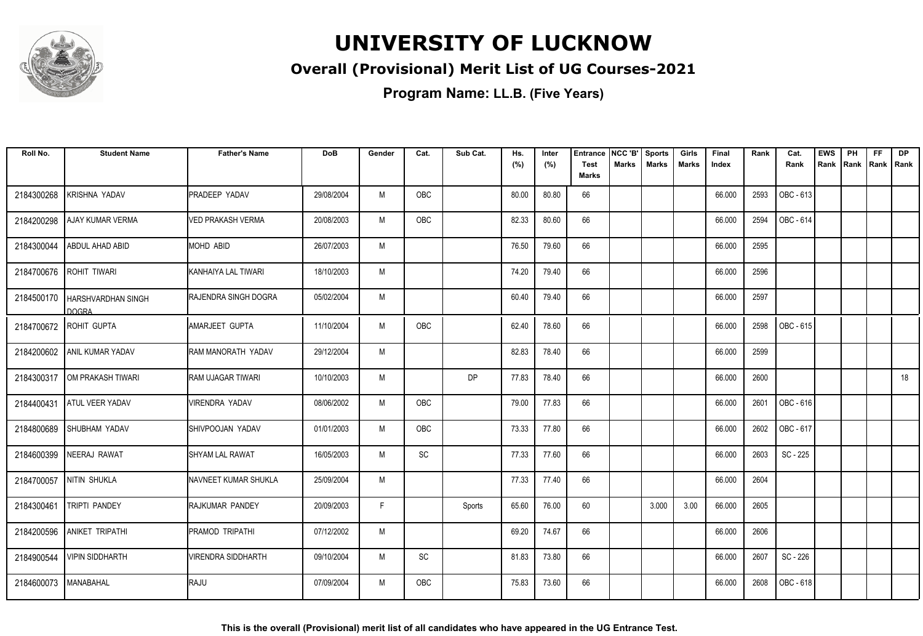

### **Overall (Provisional) Merit List of UG Courses-2021**

| Roll No.   | <b>Student Name</b>                             | <b>Father's Name</b>      | <b>DoB</b> | Gender | Cat.                         | Sub Cat.  | Hs.<br>(%) | Inter<br>(%) | <b>Entrance</b><br><b>Test</b> | NCC 'B'<br>Marks | <b>Sports</b><br><b>Marks</b> | Girls<br>Marks | Final<br>Index | Rank | Cat.<br>Rank | <b>EWS</b><br>Rank | PH<br>Rank | FF<br>Rank   Rank | <b>DP</b> |
|------------|-------------------------------------------------|---------------------------|------------|--------|------------------------------|-----------|------------|--------------|--------------------------------|------------------|-------------------------------|----------------|----------------|------|--------------|--------------------|------------|-------------------|-----------|
|            |                                                 |                           |            |        |                              |           |            |              | <b>Marks</b>                   |                  |                               |                |                |      |              |                    |            |                   |           |
| 2184300268 | <b>KRISHNA YADAV</b>                            | <b>PRADEEP YADAV</b>      | 29/08/2004 | M      | OBC                          |           | 80.00      | 80.80        | 66                             |                  |                               |                | 66.000         | 2593 | OBC - 613    |                    |            |                   |           |
| 2184200298 | <b>AJAY KUMAR VERMA</b>                         | VED PRAKASH VERMA         | 20/08/2003 | M      | <b>OBC</b>                   |           | 82.33      | 80.60        | 66                             |                  |                               |                | 66.000         | 2594 | OBC - 614    |                    |            |                   |           |
| 2184300044 | ABDUL AHAD ABID                                 | MOHD ABID                 | 26/07/2003 | M      |                              |           | 76.50      | 79.60        | 66                             |                  |                               |                | 66.000         | 2595 |              |                    |            |                   |           |
| 2184700676 | ROHIT TIWARI                                    | IKANHAIYA LAL TIWARI      | 18/10/2003 | M      |                              |           | 74.20      | 79.40        | 66                             |                  |                               |                | 66.000         | 2596 |              |                    |            |                   |           |
|            | 2184500170   HARSHVARDHAN SINGH<br><b>DOGRA</b> | RAJENDRA SINGH DOGRA      | 05/02/2004 | M      |                              |           | 60.40      | 79.40        | 66                             |                  |                               |                | 66.000         | 2597 |              |                    |            |                   |           |
|            | 2184700672 ROHIT GUPTA                          | AMARJEET GUPTA            | 11/10/2004 | M      | OBC                          |           | 62.40      | 78.60        | 66                             |                  |                               |                | 66.000         | 2598 | OBC - 615    |                    |            |                   |           |
|            | 2184200602 ANIL KUMAR YADAV                     | RAM MANORATH YADAV        | 29/12/2004 | M      |                              |           | 82.83      | 78.40        | 66                             |                  |                               |                | 66.000         | 2599 |              |                    |            |                   |           |
| 2184300317 | OM PRAKASH TIWARI                               | <b>RAM UJAGAR TIWARI</b>  | 10/10/2003 | M      |                              | <b>DP</b> | 77.83      | 78.40        | 66                             |                  |                               |                | 66.000         | 2600 |              |                    |            |                   | 18        |
| 2184400431 | <b>ATUL VEER YADAV</b>                          | <b>VIRENDRA YADAV</b>     | 08/06/2002 | M      | <b>OBC</b>                   |           | 79.00      | 77.83        | 66                             |                  |                               |                | 66.000         | 2601 | OBC-616      |                    |            |                   |           |
| 2184800689 | SHUBHAM YADAV                                   | SHIVPOOJAN YADAV          | 01/01/2003 | M      | OBC                          |           | 73.33      | 77.80        | 66                             |                  |                               |                | 66.000         | 2602 | OBC - 617    |                    |            |                   |           |
| 2184600399 | NEERAJ RAWAT                                    | <b>SHYAM LAL RAWAT</b>    | 16/05/2003 | M      | $\operatorname{\textsf{SC}}$ |           | 77.33      | 77.60        | 66                             |                  |                               |                | 66.000         | 2603 | SC - 225     |                    |            |                   |           |
|            | 2184700057 NITIN SHUKLA                         | NAVNEET KUMAR SHUKLA      | 25/09/2004 | M      |                              |           | 77.33      | 77.40        | 66                             |                  |                               |                | 66.000         | 2604 |              |                    |            |                   |           |
| 2184300461 | <b>TRIPTI PANDEY</b>                            | RAJKUMAR PANDEY           | 20/09/2003 | F      |                              | Sports    | 65.60      | 76.00        | 60                             |                  | 3.000                         | 3.00           | 66.000         | 2605 |              |                    |            |                   |           |
|            | 2184200596 ANIKET TRIPATHI                      | PRAMOD TRIPATHI           | 07/12/2002 | M      |                              |           | 69.20      | 74.67        | 66                             |                  |                               |                | 66.000         | 2606 |              |                    |            |                   |           |
| 2184900544 | <b>VIPIN SIDDHARTH</b>                          | <b>VIRENDRA SIDDHARTH</b> | 09/10/2004 | M      | SC                           |           | 81.83      | 73.80        | 66                             |                  |                               |                | 66.000         | 2607 | SC - 226     |                    |            |                   |           |
| 2184600073 | MANABAHAL                                       | RAJU                      | 07/09/2004 | M      | <b>OBC</b>                   |           | 75.83      | 73.60        | 66                             |                  |                               |                | 66.000         | 2608 | OBC - 618    |                    |            |                   |           |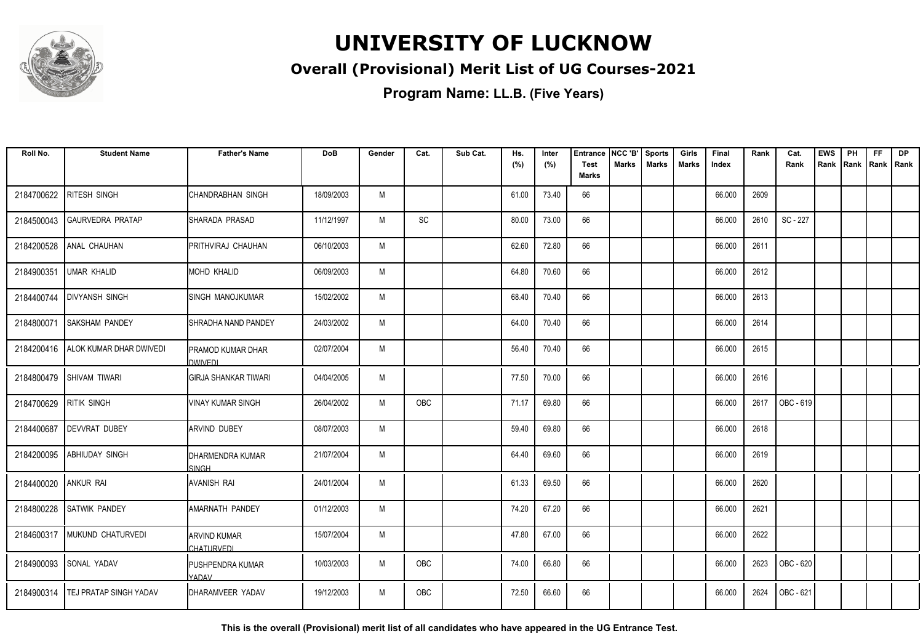

### **Overall (Provisional) Merit List of UG Courses-2021**

**Program Name: LL.B. (Five Years)**

| Roll No.               | <b>Student Name</b>                  | <b>Father's Name</b>             | <b>DoB</b> | Gender | Cat.       | Sub Cat. | Hs.<br>(%) | Inter<br>(%) | <b>Entrance</b><br><b>Test</b> | NCC 'B'<br>Marks | <b>Sports</b><br><b>Marks</b> | Girls<br>Marks | Final<br>Index | Rank | Cat.<br>Rank | <b>EWS</b><br>Rank | PH<br>Rank | <b>FF</b><br>Rank   Rank | <b>DP</b> |
|------------------------|--------------------------------------|----------------------------------|------------|--------|------------|----------|------------|--------------|--------------------------------|------------------|-------------------------------|----------------|----------------|------|--------------|--------------------|------------|--------------------------|-----------|
|                        |                                      |                                  |            |        |            |          |            |              | <b>Marks</b>                   |                  |                               |                |                |      |              |                    |            |                          |           |
| 2184700622             | <b>RITESH SINGH</b>                  | <b>CHANDRABHAN SINGH</b>         | 18/09/2003 | M      |            |          | 61.00      | 73.40        | 66                             |                  |                               |                | 66.000         | 2609 |              |                    |            |                          |           |
| 2184500043             | <b>GAURVEDRA PRATAP</b>              | SHARADA PRASAD                   | 11/12/1997 | M      | SC         |          | 80.00      | 73.00        | 66                             |                  |                               |                | 66.000         | 2610 | SC - 227     |                    |            |                          |           |
| 2184200528             | ANAL CHAUHAN                         | PRITHVIRAJ CHAUHAN               | 06/10/2003 | M      |            |          | 62.60      | 72.80        | 66                             |                  |                               |                | 66.000         | 2611 |              |                    |            |                          |           |
| 2184900351             | <b>UMAR KHALID</b>                   | MOHD KHALID                      | 06/09/2003 | M      |            |          | 64.80      | 70.60        | 66                             |                  |                               |                | 66.000         | 2612 |              |                    |            |                          |           |
| 2184400744             | <b>DIVYANSH SINGH</b>                | <b>ISINGH MANOJKUMAR</b>         | 15/02/2002 | M      |            |          | 68.40      | 70.40        | 66                             |                  |                               |                | 66.000         | 2613 |              |                    |            |                          |           |
| 2184800071             | <b>SAKSHAM PANDEY</b>                | SHRADHA NAND PANDEY              | 24/03/2002 | M      |            |          | 64.00      | 70.40        | 66                             |                  |                               |                | 66.000         | 2614 |              |                    |            |                          |           |
|                        | 2184200416   ALOK KUMAR DHAR DWIVEDI | PRAMOD KUMAR DHAR<br>DWIVEDL     | 02/07/2004 | M      |            |          | 56.40      | 70.40        | 66                             |                  |                               |                | 66.000         | 2615 |              |                    |            |                          |           |
|                        | 2184800479 SHIVAM TIWARI             | IGIRJA SHANKAR TIWARI            | 04/04/2005 | M      |            |          | 77.50      | 70.00        | 66                             |                  |                               |                | 66.000         | 2616 |              |                    |            |                          |           |
| 2184700629 RITIK SINGH |                                      | <b>VINAY KUMAR SINGH</b>         | 26/04/2002 | M      | OBC        |          | 71.17      | 69.80        | 66                             |                  |                               |                | 66.000         | 2617 | OBC - 619    |                    |            |                          |           |
| 2184400687             | <b>DEVVRAT DUBEY</b>                 | <b>ARVIND DUBEY</b>              | 08/07/2003 | M      |            |          | 59.40      | 69.80        | 66                             |                  |                               |                | 66.000         | 2618 |              |                    |            |                          |           |
| 2184200095             | <b>ABHIUDAY SINGH</b>                | DHARMENDRA KUMAR<br>SINGH        | 21/07/2004 | M      |            |          | 64.40      | 69.60        | 66                             |                  |                               |                | 66.000         | 2619 |              |                    |            |                          |           |
| 2184400020             | LANKUR RAI                           | AVANISH RAI                      | 24/01/2004 | M      |            |          | 61.33      | 69.50        | 66                             |                  |                               |                | 66.000         | 2620 |              |                    |            |                          |           |
| 2184800228             | <b>SATWIK PANDEY</b>                 | AMARNATH PANDEY                  | 01/12/2003 | M      |            |          | 74.20      | 67.20        | 66                             |                  |                               |                | 66.000         | 2621 |              |                    |            |                          |           |
|                        | 2184600317 MUKUND CHATURVEDI         | ARVIND KUMAR<br>CHATURVEDI       | 15/07/2004 | M      |            |          | 47.80      | 67.00        | 66                             |                  |                               |                | 66.000         | 2622 |              |                    |            |                          |           |
|                        | 2184900093 SONAL YADAV               | <b>PUSHPENDRA KUMAR</b><br>YADAV | 10/03/2003 | M      | <b>OBC</b> |          | 74.00      | 66.80        | 66                             |                  |                               |                | 66.000         | 2623 | OBC - 620    |                    |            |                          |           |
|                        | 2184900314   TEJ PRATAP SINGH YADAV  | DHARAMVEER YADAV                 | 19/12/2003 | M      | OBC        |          | 72.50      | 66.60        | 66                             |                  |                               |                | 66.000         | 2624 | OBC - 621    |                    |            |                          |           |

**This is the overall (Provisional) merit list of all candidates who have appeared in the UG Entrance Test.**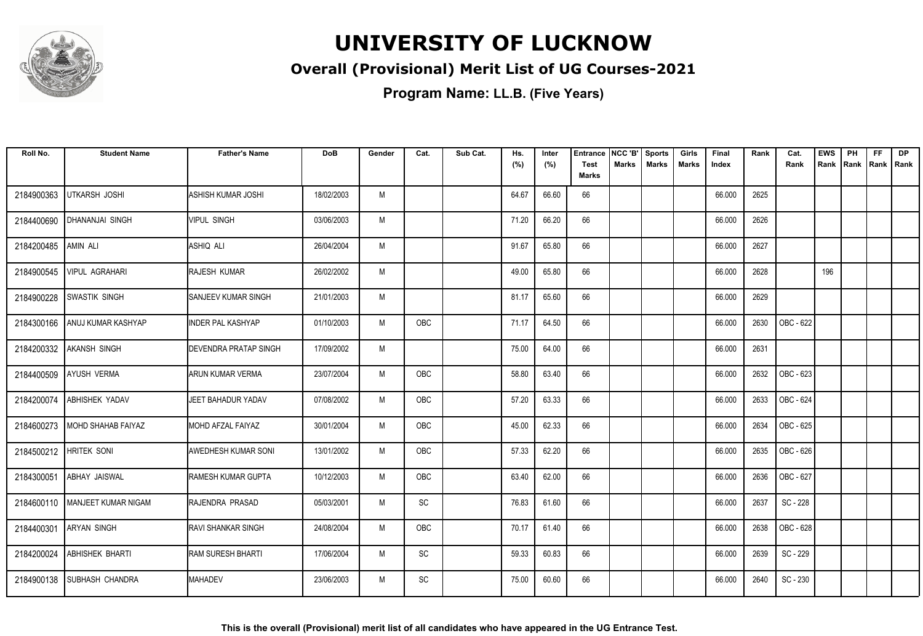

### **Overall (Provisional) Merit List of UG Courses-2021**

| Roll No.   | <b>Student Name</b>              | <b>Father's Name</b>          | <b>DoB</b> | Gender | Cat.                         | Sub Cat. | Hs.<br>(%) | Inter<br>(%) | Entrance<br><b>Test</b> | NCC 'B'<br><b>Marks</b> | <b>Sports</b><br><b>Marks</b> | Girls<br>Marks | Final<br>Index | Rank | Cat.<br>Rank | <b>EWS</b><br>Rank IRank | PH | <b>FF</b><br>  Rank   Rank | <b>DP</b> |
|------------|----------------------------------|-------------------------------|------------|--------|------------------------------|----------|------------|--------------|-------------------------|-------------------------|-------------------------------|----------------|----------------|------|--------------|--------------------------|----|----------------------------|-----------|
|            |                                  |                               |            |        |                              |          |            |              | Marks                   |                         |                               |                |                |      |              |                          |    |                            |           |
| 2184900363 | <b>UTKARSH JOSHI</b>             | <b>ASHISH KUMAR JOSHI</b>     | 18/02/2003 | M      |                              |          | 64.67      | 66.60        | 66                      |                         |                               |                | 66.000         | 2625 |              |                          |    |                            |           |
| 2184400690 | DHANANJAI SINGH                  | <b>VIPUL SINGH</b>            | 03/06/2003 | M      |                              |          | 71.20      | 66.20        | 66                      |                         |                               |                | 66.000         | 2626 |              |                          |    |                            |           |
| 2184200485 | AMIN ALI                         | ASHIQ ALI                     | 26/04/2004 | M      |                              |          | 91.67      | 65.80        | 66                      |                         |                               |                | 66.000         | 2627 |              |                          |    |                            |           |
| 2184900545 | <b>VIPUL AGRAHARI</b>            | RAJESH KUMAR                  | 26/02/2002 | M      |                              |          | 49.00      | 65.80        | 66                      |                         |                               |                | 66.000         | 2628 |              | 196                      |    |                            |           |
| 2184900228 | <b>SWASTIK SINGH</b>             | <b>I</b> SANJEEV KUMAR SINGH  | 21/01/2003 | M      |                              |          | 81.17      | 65.60        | 66                      |                         |                               |                | 66.000         | 2629 |              |                          |    |                            |           |
| 2184300166 | ANUJ KUMAR KASHYAP               | <b>INDER PAL KASHYAP</b>      | 01/10/2003 | M      | <b>OBC</b>                   |          | 71.17      | 64.50        | 66                      |                         |                               |                | 66.000         | 2630 | OBC - 622    |                          |    |                            |           |
| 2184200332 | <b>AKANSH SINGH</b>              | <b>IDEVENDRA PRATAP SINGH</b> | 17/09/2002 | M      |                              |          | 75.00      | 64.00        | 66                      |                         |                               |                | 66.000         | 2631 |              |                          |    |                            |           |
| 2184400509 | <b>AYUSH VERMA</b>               | ARUN KUMAR VERMA              | 23/07/2004 | M      | OBC                          |          | 58.80      | 63.40        | 66                      |                         |                               |                | 66.000         | 2632 | OBC - 623    |                          |    |                            |           |
| 2184200074 | <b>ABHISHEK YADAV</b>            | JEET BAHADUR YADAV            | 07/08/2002 | M      | OBC                          |          | 57.20      | 63.33        | 66                      |                         |                               |                | 66.000         | 2633 | OBC - 624    |                          |    |                            |           |
| 2184600273 | MOHD SHAHAB FAIYAZ               | <b>MOHD AFZAL FAIYAZ</b>      | 30/01/2004 | M      | OBC                          |          | 45.00      | 62.33        | 66                      |                         |                               |                | 66.000         | 2634 | OBC - 625    |                          |    |                            |           |
| 2184500212 | <b>HRITEK SONI</b>               | <b>AWEDHESH KUMAR SONI</b>    | 13/01/2002 | M      | OBC                          |          | 57.33      | 62.20        | 66                      |                         |                               |                | 66.000         | 2635 | OBC - 626    |                          |    |                            |           |
| 2184300051 | <b>ABHAY JAISWAL</b>             | <b>RAMESH KUMAR GUPTA</b>     | 10/12/2003 | M      | OBC                          |          | 63.40      | 62.00        | 66                      |                         |                               |                | 66.000         | 2636 | OBC - 627    |                          |    |                            |           |
|            | 2184600110   MANJEET KUMAR NIGAM | RAJENDRA PRASAD               | 05/03/2001 | M      | SC                           |          | 76.83      | 61.60        | 66                      |                         |                               |                | 66.000         | 2637 | SC - 228     |                          |    |                            |           |
| 2184400301 | <b>ARYAN SINGH</b>               | <b>RAVI SHANKAR SINGH</b>     | 24/08/2004 | M      | OBC                          |          | 70.17      | 61.40        | 66                      |                         |                               |                | 66.000         | 2638 | OBC - 628    |                          |    |                            |           |
| 2184200024 | ABHISHEK BHARTI                  | <b>RAM SURESH BHARTI</b>      | 17/06/2004 | M      | $\operatorname{\textsf{SC}}$ |          | 59.33      | 60.83        | 66                      |                         |                               |                | 66.000         | 2639 | SC - 229     |                          |    |                            |           |
| 2184900138 | <b>SUBHASH CHANDRA</b>           | <b>MAHADEV</b>                | 23/06/2003 | M      | <b>SC</b>                    |          | 75.00      | 60.60        | 66                      |                         |                               |                | 66.000         | 2640 | SC - 230     |                          |    |                            |           |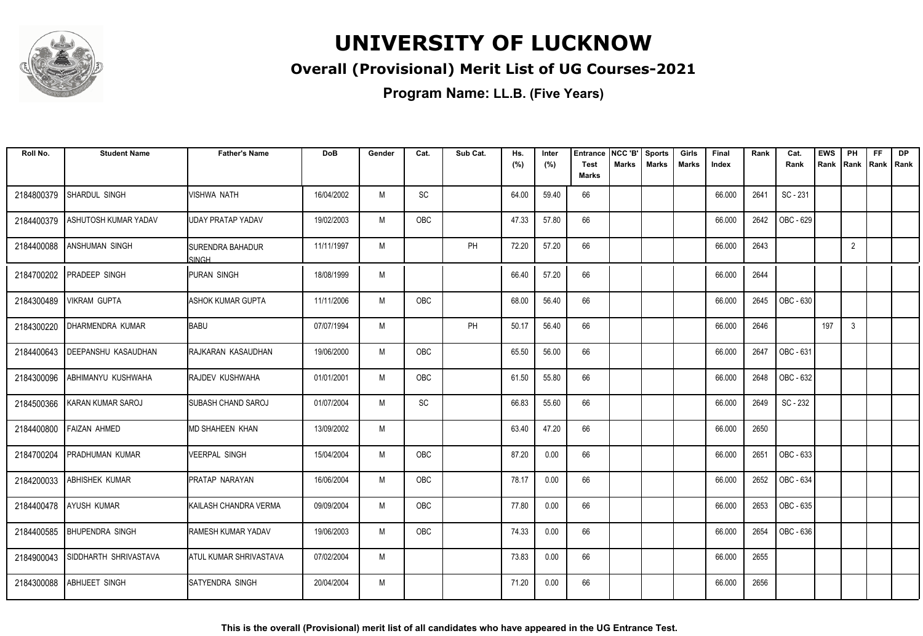

### **Overall (Provisional) Merit List of UG Courses-2021**

| Roll No.   | <b>Student Name</b>        | <b>Father's Name</b>           | <b>DoB</b> | Gender | Cat.       | Sub Cat. | Hs.<br>(%) | Inter<br>(%) | <b>Entrance</b><br><b>Test</b> | NCC 'B'<br><b>Marks</b> | <b>Sports</b><br><b>Marks</b> | Girls<br>Marks | Final<br>Index | Rank | Cat.<br>Rank     | <b>EWS</b><br>Rank | PH             | FF<br>Rank   Rank   Rank | <b>DP</b> |
|------------|----------------------------|--------------------------------|------------|--------|------------|----------|------------|--------------|--------------------------------|-------------------------|-------------------------------|----------------|----------------|------|------------------|--------------------|----------------|--------------------------|-----------|
|            |                            |                                |            |        |            |          |            |              | <b>Marks</b>                   |                         |                               |                |                |      |                  |                    |                |                          |           |
| 2184800379 | SHARDUL SINGH              | <b>VISHWA NATH</b>             | 16/04/2002 | M      | SC         |          | 64.00      | 59.40        | 66                             |                         |                               |                | 66.000         | 2641 | SC - 231         |                    |                |                          |           |
| 2184400379 | ASHUTOSH KUMAR YADAV       | UDAY PRATAP YADAV              | 19/02/2003 | M      | <b>OBC</b> |          | 47.33      | 57.80        | 66                             |                         |                               |                | 66.000         | 2642 | OBC - 629        |                    |                |                          |           |
| 2184400088 | IANSHUMAN SINGH            | ISURENDRA BAHADUR<br>SINGH     | 11/11/1997 | M      |            | PH       | 72.20      | 57.20        | 66                             |                         |                               |                | 66.000         | 2643 |                  |                    | $\overline{2}$ |                          |           |
| 2184700202 | <b>PRADEEP SINGH</b>       | <b>PURAN SINGH</b>             | 18/08/1999 | M      |            |          | 66.40      | 57.20        | 66                             |                         |                               |                | 66.000         | 2644 |                  |                    |                |                          |           |
| 2184300489 | VIKRAM GUPTA               | <b>I</b> ASHOK KUMAR GUPTA     | 11/11/2006 | M      | <b>OBC</b> |          | 68.00      | 56.40        | 66                             |                         |                               |                | 66.000         | 2645 | OBC - 630        |                    |                |                          |           |
| 2184300220 | DHARMENDRA KUMAR           | BABU                           | 07/07/1994 | M      |            | PH       | 50.17      | 56.40        | 66                             |                         |                               |                | 66.000         | 2646 |                  | 197                | 3              |                          |           |
| 2184400643 | <b>DEEPANSHU KASAUDHAN</b> | RAJKARAN KASAUDHAN             | 19/06/2000 | M      | OBC        |          | 65.50      | 56.00        | 66                             |                         |                               |                | 66.000         | 2647 | OBC - 631        |                    |                |                          |           |
| 2184300096 | ABHIMANYU KUSHWAHA         | <b>RAJDEV KUSHWAHA</b>         | 01/01/2001 | M      | <b>OBC</b> |          | 61.50      | 55.80        | 66                             |                         |                               |                | 66.000         | 2648 | OBC - 632        |                    |                |                          |           |
| 2184500366 | KARAN KUMAR SAROJ          | ISUBASH CHAND SAROJ            | 01/07/2004 | M      | SC         |          | 66.83      | 55.60        | 66                             |                         |                               |                | 66.000         | 2649 | SC - 232         |                    |                |                          |           |
| 2184400800 | <b>FAIZAN AHMED</b>        | <b>MD SHAHEEN KHAN</b>         | 13/09/2002 | M      |            |          | 63.40      | 47.20        | 66                             |                         |                               |                | 66.000         | 2650 |                  |                    |                |                          |           |
| 2184700204 | PRADHUMAN KUMAR            | VEERPAL SINGH                  | 15/04/2004 | M      | OBC        |          | 87.20      | 0.00         | 66                             |                         |                               |                | 66.000         | 2651 | OBC - 633        |                    |                |                          |           |
| 2184200033 | <b>ABHISHEK KUMAR</b>      | IPRATAP NARAYAN                | 16/06/2004 | M      | OBC        |          | 78.17      | 0.00         | 66                             |                         |                               |                | 66.000         | 2652 | <b>OBC - 634</b> |                    |                |                          |           |
| 2184400478 | <b>AYUSH KUMAR</b>         | <b>I</b> KAILASH CHANDRA VERMA | 09/09/2004 | M      | <b>OBC</b> |          | 77.80      | 0.00         | 66                             |                         |                               |                | 66.000         | 2653 | OBC - 635        |                    |                |                          |           |
| 2184400585 | <b>BHUPENDRA SINGH</b>     | <b>I</b> RAMESH KUMAR YADAV    | 19/06/2003 | M      | OBC        |          | 74.33      | 0.00         | 66                             |                         |                               |                | 66.000         | 2654 | OBC - 636        |                    |                |                          |           |
| 2184900043 | SIDDHARTH SHRIVASTAVA      | ATUL KUMAR SHRIVASTAVA         | 07/02/2004 | M      |            |          | 73.83      | 0.00         | 66                             |                         |                               |                | 66.000         | 2655 |                  |                    |                |                          |           |
| 2184300088 | <b>ABHIJEET SINGH</b>      | ISATYENDRA SINGH               | 20/04/2004 | M      |            |          | 71.20      | 0.00         | 66                             |                         |                               |                | 66.000         | 2656 |                  |                    |                |                          |           |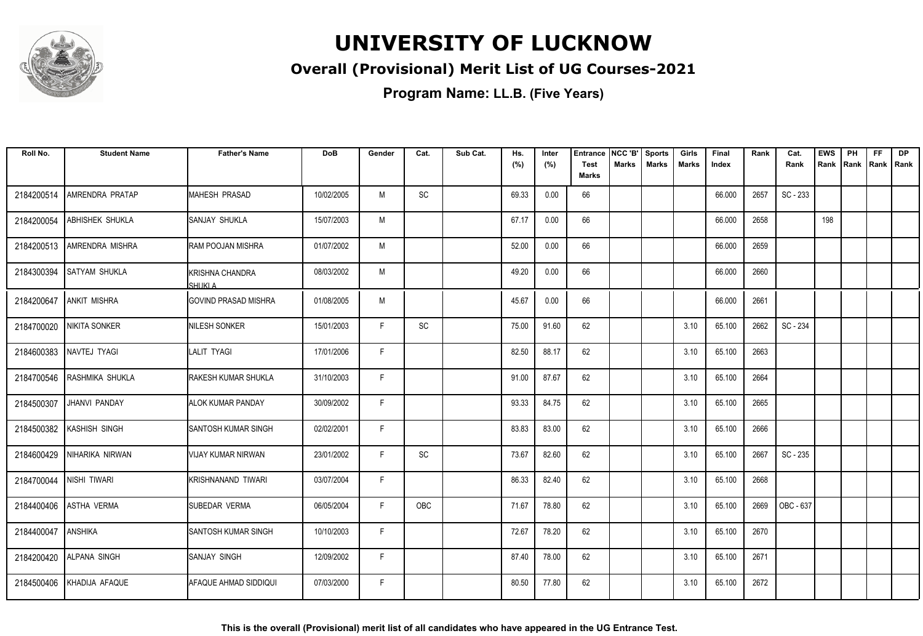

### **Overall (Provisional) Merit List of UG Courses-2021**

| Roll No.   | <b>Student Name</b>    | <b>Father's Name</b>         | <b>DoB</b> | Gender | Cat. | Sub Cat. | Hs.<br>(%) | Inter<br>(%) | <b>Entrance</b><br><b>Test</b> | NCC 'B'<br><b>Marks</b> | <b>Sports</b><br><b>Marks</b> | Girls<br>Marks | Final<br>Index | Rank | Cat.<br>Rank | <b>EWS</b><br>Rank | PH | <b>FF</b><br>Rank   Rank   Rank | <b>DP</b> |
|------------|------------------------|------------------------------|------------|--------|------|----------|------------|--------------|--------------------------------|-------------------------|-------------------------------|----------------|----------------|------|--------------|--------------------|----|---------------------------------|-----------|
|            |                        |                              |            |        |      |          |            |              | <b>Marks</b>                   |                         |                               |                |                |      |              |                    |    |                                 |           |
| 2184200514 | AMRENDRA PRATAP        | <b>IMAHESH PRASAD</b>        | 10/02/2005 | M      | SC   |          | 69.33      | 0.00         | 66                             |                         |                               |                | 66.000         | 2657 | SC - 233     |                    |    |                                 |           |
| 2184200054 | <b>ABHISHEK SHUKLA</b> | ISANJAY SHUKLA               | 15/07/2003 | М      |      |          | 67.17      | 0.00         | 66                             |                         |                               |                | 66.000         | 2658 |              | 198                |    |                                 |           |
| 2184200513 | <b>AMRENDRA MISHRA</b> | <b>RAM POOJAN MISHRA</b>     | 01/07/2002 | M      |      |          | 52.00      | 0.00         | 66                             |                         |                               |                | 66.000         | 2659 |              |                    |    |                                 |           |
| 2184300394 | <b>SATYAM SHUKLA</b>   | KRISHNA CHANDRA<br>SHUKI A   | 08/03/2002 | M      |      |          | 49.20      | 0.00         | 66                             |                         |                               |                | 66.000         | 2660 |              |                    |    |                                 |           |
| 2184200647 | <b>ANKIT MISHRA</b>    | <b>IGOVIND PRASAD MISHRA</b> | 01/08/2005 | M      |      |          | 45.67      | 0.00         | 66                             |                         |                               |                | 66.000         | 2661 |              |                    |    |                                 |           |
| 2184700020 | NIKITA SONKER          | NILESH SONKER                | 15/01/2003 | F      | SC   |          | 75.00      | 91.60        | 62                             |                         |                               | 3.10           | 65.100         | 2662 | SC - 234     |                    |    |                                 |           |
| 2184600383 | NAVTEJ TYAGI           | LALIT TYAGI                  | 17/01/2006 | F      |      |          | 82.50      | 88.17        | 62                             |                         |                               | 3.10           | 65.100         | 2663 |              |                    |    |                                 |           |
| 2184700546 | RASHMIKA SHUKLA        | <b>RAKESH KUMAR SHUKLA</b>   | 31/10/2003 | F.     |      |          | 91.00      | 87.67        | 62                             |                         |                               | 3.10           | 65.100         | 2664 |              |                    |    |                                 |           |
| 2184500307 | JHANVI PANDAY          | IALOK KUMAR PANDAY           | 30/09/2002 | F      |      |          | 93.33      | 84.75        | 62                             |                         |                               | 3.10           | 65.100         | 2665 |              |                    |    |                                 |           |
| 2184500382 | KASHISH SINGH          | <b>SANTOSH KUMAR SINGH</b>   | 02/02/2001 | F.     |      |          | 83.83      | 83.00        | 62                             |                         |                               | 3.10           | 65.100         | 2666 |              |                    |    |                                 |           |
| 2184600429 | NIHARIKA NIRWAN        | VIJAY KUMAR NIRWAN           | 23/01/2002 | F      | SC   |          | 73.67      | 82.60        | 62                             |                         |                               | 3.10           | 65.100         | 2667 | SC - 235     |                    |    |                                 |           |
| 2184700044 | NISHI TIWARI           | <b>I</b> KRISHNANAND TIWARI  | 03/07/2004 | F.     |      |          | 86.33      | 82.40        | 62                             |                         |                               | 3.10           | 65.100         | 2668 |              |                    |    |                                 |           |
| 2184400406 | <b>ASTHA VERMA</b>     | <b>SUBEDAR VERMA</b>         | 06/05/2004 | F.     | OBC  |          | 71.67      | 78.80        | 62                             |                         |                               | 3.10           | 65.100         | 2669 | OBC - 637    |                    |    |                                 |           |
| 2184400047 | <b>ANSHIKA</b>         | <b>SANTOSH KUMAR SINGH</b>   | 10/10/2003 | F      |      |          | 72.67      | 78.20        | 62                             |                         |                               | 3.10           | 65.100         | 2670 |              |                    |    |                                 |           |
| 2184200420 | <b>ALPANA SINGH</b>    | <b>ISANJAY SINGH</b>         | 12/09/2002 | F.     |      |          | 87.40      | 78.00        | 62                             |                         |                               | 3.10           | 65.100         | 2671 |              |                    |    |                                 |           |
| 2184500406 | KHADIJA AFAQUE         | AFAQUE AHMAD SIDDIQUI        | 07/03/2000 | F      |      |          | 80.50      | 77.80        | 62                             |                         |                               | 3.10           | 65.100         | 2672 |              |                    |    |                                 |           |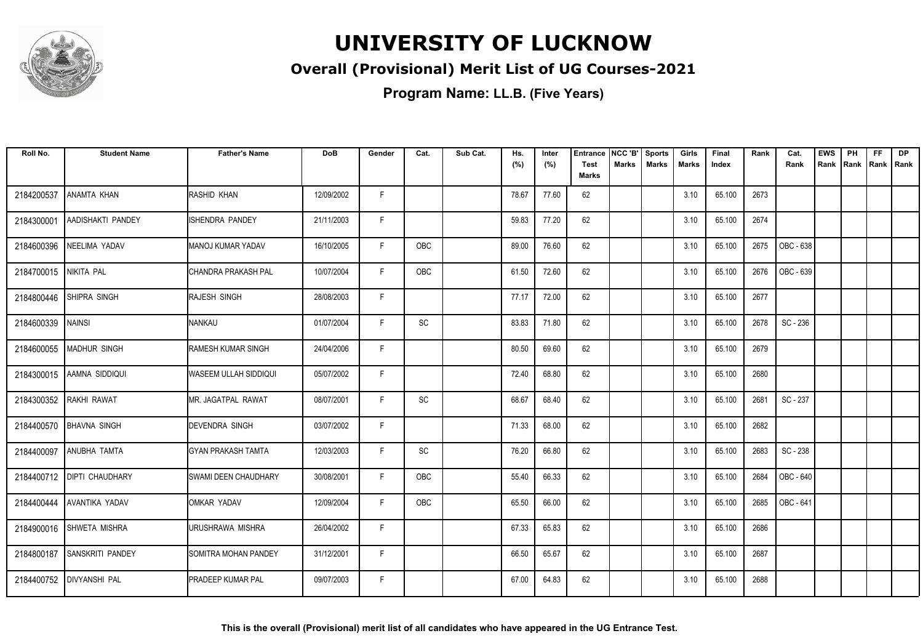

### **Overall (Provisional) Merit List of UG Courses-2021**

| Roll No.   | <b>Student Name</b>       | <b>Father's Name</b>          | <b>DoB</b> | Gender | Cat.      | Sub Cat. | Hs.<br>(%) | Inter<br>(%) | <b>Entrance</b><br>Test | NCC 'B'<br>Marks | <b>Sports</b><br><b>Marks</b> | Girls<br>Marks | Final<br>Index | Rank | Cat.<br>Rank | <b>EWS</b><br>Rank | PH<br> Rank | <b>FF</b> | <b>DP</b><br>Rank   Rank |
|------------|---------------------------|-------------------------------|------------|--------|-----------|----------|------------|--------------|-------------------------|------------------|-------------------------------|----------------|----------------|------|--------------|--------------------|-------------|-----------|--------------------------|
|            |                           |                               |            |        |           |          |            |              | <b>Marks</b>            |                  |                               |                |                |      |              |                    |             |           |                          |
| 2184200537 | ANAMTA KHAN               | IRASHID KHAN                  | 12/09/2002 | F      |           |          | 78.67      | 77.60        | 62                      |                  |                               | 3.10           | 65.100         | 2673 |              |                    |             |           |                          |
| 2184300001 | AADISHAKTI PANDEY         | ISHENDRA PANDEY               | 21/11/2003 | F.     |           |          | 59.83      | 77.20        | 62                      |                  |                               | 3.10           | 65.100         | 2674 |              |                    |             |           |                          |
| 2184600396 | NEELIMA YADAV             | IMANOJ KUMAR YADAV            | 16/10/2005 | F      | OBC       |          | 89.00      | 76.60        | 62                      |                  |                               | 3.10           | 65.100         | 2675 | OBC - 638    |                    |             |           |                          |
| 2184700015 | NIKITA PAL                | CHANDRA PRAKASH PAL           | 10/07/2004 | F.     | OBC       |          | 61.50      | 72.60        | 62                      |                  |                               | 3.10           | 65.100         | 2676 | OBC - 639    |                    |             |           |                          |
| 2184800446 | <b>SHIPRA SINGH</b>       | <b>RAJESH SINGH</b>           | 28/08/2003 | F      |           |          | 77.17      | 72.00        | 62                      |                  |                               | 3.10           | 65.100         | 2677 |              |                    |             |           |                          |
| 2184600339 | <b>NAINSI</b>             | INANKAU                       | 01/07/2004 | F      | <b>SC</b> |          | 83.83      | 71.80        | 62                      |                  |                               | 3.10           | 65.100         | 2678 | SC - 236     |                    |             |           |                          |
|            | 2184600055   MADHUR SINGH | <b>RAMESH KUMAR SINGH</b>     | 24/04/2006 | F      |           |          | 80.50      | 69.60        | 62                      |                  |                               | 3.10           | 65.100         | 2679 |              |                    |             |           |                          |
| 2184300015 | AAMNA SIDDIQUI            | WASEEM ULLAH SIDDIQUI         | 05/07/2002 | F.     |           |          | 72.40      | 68.80        | 62                      |                  |                               | 3.10           | 65.100         | 2680 |              |                    |             |           |                          |
| 2184300352 | RAKHI RAWAT               | IMR. JAGATPAL RAWAT           | 08/07/2001 | F      | SC        |          | 68.67      | 68.40        | 62                      |                  |                               | 3.10           | 65.100         | 2681 | SC - 237     |                    |             |           |                          |
| 2184400570 | <b>BHAVNA SINGH</b>       | <b>IDEVENDRA SINGH</b>        | 03/07/2002 | F      |           |          | 71.33      | 68.00        | 62                      |                  |                               | 3.10           | 65.100         | 2682 |              |                    |             |           |                          |
| 2184400097 | <b>ANUBHA TAMTA</b>       | IGYAN PRAKASH TAMTA           | 12/03/2003 | F      | SC        |          | 76.20      | 66.80        | 62                      |                  |                               | 3.10           | 65.100         | 2683 | SC - 238     |                    |             |           |                          |
| 2184400712 | <b>DIPTI CHAUDHARY</b>    | <b>I</b> SWAMI DEEN CHAUDHARY | 30/08/2001 | F.     | OBC       |          | 55.40      | 66.33        | 62                      |                  |                               | 3.10           | 65.100         | 2684 | OBC - 640    |                    |             |           |                          |
| 2184400444 | AVANTIKA YADAV            | OMKAR YADAV                   | 12/09/2004 | F      | OBC       |          | 65.50      | 66.00        | 62                      |                  |                               | 3.10           | 65.100         | 2685 | OBC - 641    |                    |             |           |                          |
|            | 2184900016 SHWETA MISHRA  | URUSHRAWA MISHRA              | 26/04/2002 | F      |           |          | 67.33      | 65.83        | 62                      |                  |                               | 3.10           | 65.100         | 2686 |              |                    |             |           |                          |
| 2184800187 | <b>SANSKRITI PANDEY</b>   | <b>SOMITRA MOHAN PANDEY</b>   | 31/12/2001 | F      |           |          | 66.50      | 65.67        | 62                      |                  |                               | 3.10           | 65.100         | 2687 |              |                    |             |           |                          |
| 2184400752 | <b>DIVYANSHI PAL</b>      | <b>IPRADEEP KUMAR PAL</b>     | 09/07/2003 | F.     |           |          | 67.00      | 64.83        | 62                      |                  |                               | 3.10           | 65.100         | 2688 |              |                    |             |           |                          |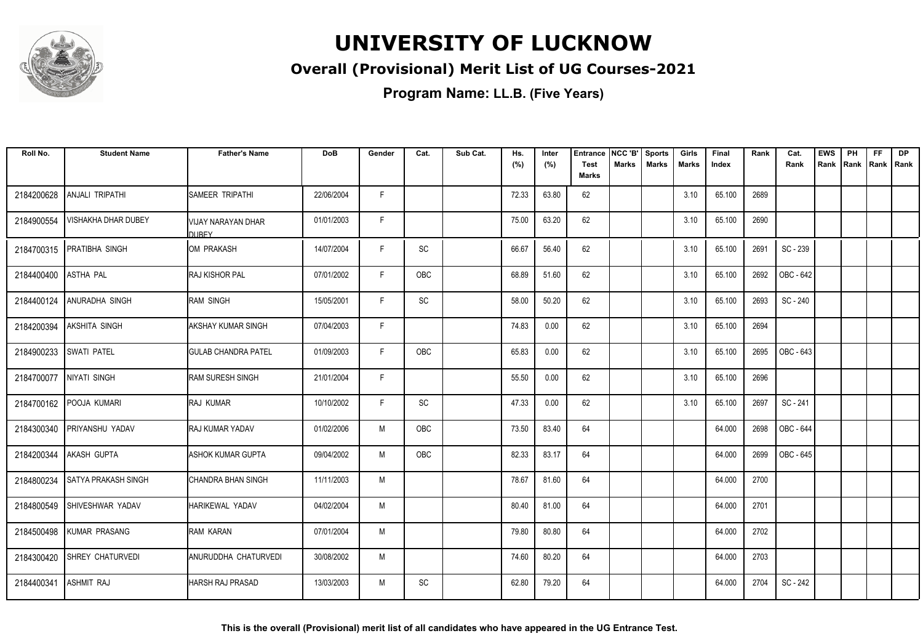

### **Overall (Provisional) Merit List of UG Courses-2021**

| Roll No.   | <b>Student Name</b>        | <b>Father's Name</b>               | <b>DoB</b> | Gender | Cat.                         | Sub Cat. | Hs.   | Inter | <b>Entrance</b>      | NCC 'B'      | <b>Sports</b> | Girls        | Final  | Rank | Cat.             | EWS  | PH                 | <b>FF</b> | <b>DP</b> |
|------------|----------------------------|------------------------------------|------------|--------|------------------------------|----------|-------|-------|----------------------|--------------|---------------|--------------|--------|------|------------------|------|--------------------|-----------|-----------|
|            |                            |                                    |            |        |                              |          | (%)   | (%)   | <b>Test</b><br>Marks | <b>Marks</b> | <b>Marks</b>  | <b>Marks</b> | Index  |      | Rank             | Rank | Rank   Rank   Rank |           |           |
| 2184200628 | <b>ANJALI TRIPATHI</b>     | ISAMEER TRIPATHI                   | 22/06/2004 | F.     |                              |          | 72.33 | 63.80 | 62                   |              |               | 3.10         | 65.100 | 2689 |                  |      |                    |           |           |
| 2184900554 | <b>VISHAKHA DHAR DUBEY</b> | VIJAY NARAYAN DHAR<br><b>DUBFY</b> | 01/01/2003 | F      |                              |          | 75.00 | 63.20 | 62                   |              |               | 3.10         | 65.100 | 2690 |                  |      |                    |           |           |
| 2184700315 | <b>PRATIBHA SINGH</b>      | OM PRAKASH                         | 14/07/2004 | F.     | $\operatorname{\textsf{SC}}$ |          | 66.67 | 56.40 | 62                   |              |               | 3.10         | 65.100 | 2691 | SC - 239         |      |                    |           |           |
| 2184400400 | <b>ASTHA PAL</b>           | <b>RAJ KISHOR PAL</b>              | 07/01/2002 | F.     | OBC                          |          | 68.89 | 51.60 | 62                   |              |               | 3.10         | 65.100 | 2692 | OBC - 642        |      |                    |           |           |
| 2184400124 | ANURADHA SINGH             | <b>RAM SINGH</b>                   | 15/05/2001 | F      | <b>SC</b>                    |          | 58.00 | 50.20 | 62                   |              |               | 3.10         | 65.100 | 2693 | SC - 240         |      |                    |           |           |
| 2184200394 | <b>AKSHITA SINGH</b>       | <b>AKSHAY KUMAR SINGH</b>          | 07/04/2003 | F.     |                              |          | 74.83 | 0.00  | 62                   |              |               | 3.10         | 65.100 | 2694 |                  |      |                    |           |           |
| 2184900233 | <b>SWATI PATEL</b>         | <b>GULAB CHANDRA PATEL</b>         | 01/09/2003 | F.     | OBC                          |          | 65.83 | 0.00  | 62                   |              |               | 3.10         | 65.100 | 2695 | OBC - 643        |      |                    |           |           |
| 2184700077 | NIYATI SINGH               | <b>RAM SURESH SINGH</b>            | 21/01/2004 | F      |                              |          | 55.50 | 0.00  | 62                   |              |               | 3.10         | 65.100 | 2696 |                  |      |                    |           |           |
|            | 2184700162 POOJA KUMARI    | <b>RAJ KUMAR</b>                   | 10/10/2002 | F      | <b>SC</b>                    |          | 47.33 | 0.00  | 62                   |              |               | 3.10         | 65.100 | 2697 | SC - 241         |      |                    |           |           |
| 2184300340 | PRIYANSHU YADAV            | <b>RAJ KUMAR YADAV</b>             | 01/02/2006 | M      | OBC                          |          | 73.50 | 83.40 | 64                   |              |               |              | 64.000 | 2698 | <b>OBC - 644</b> |      |                    |           |           |
| 2184200344 | <b>AKASH GUPTA</b>         | IASHOK KUMAR GUPTA                 | 09/04/2002 | M      | OBC                          |          | 82.33 | 83.17 | 64                   |              |               |              | 64.000 | 2699 | OBC - 645        |      |                    |           |           |
| 2184800234 | <b>SATYA PRAKASH SINGH</b> | ICHANDRA BHAN SINGH                | 11/11/2003 | M      |                              |          | 78.67 | 81.60 | 64                   |              |               |              | 64.000 | 2700 |                  |      |                    |           |           |
| 2184800549 | SHIVESHWAR YADAV           | <b>HARIKEWAL YADAV</b>             | 04/02/2004 | M      |                              |          | 80.40 | 81.00 | 64                   |              |               |              | 64.000 | 2701 |                  |      |                    |           |           |
| 2184500498 | <b>KUMAR PRASANG</b>       | <b>RAM KARAN</b>                   | 07/01/2004 | M      |                              |          | 79.80 | 80.80 | 64                   |              |               |              | 64.000 | 2702 |                  |      |                    |           |           |
| 2184300420 | <b>SHREY CHATURVEDI</b>    | ANURUDDHA CHATURVEDI               | 30/08/2002 | M      |                              |          | 74.60 | 80.20 | 64                   |              |               |              | 64.000 | 2703 |                  |      |                    |           |           |
| 2184400341 | <b>ASHMIT RAJ</b>          | <b>HARSH RAJ PRASAD</b>            | 13/03/2003 | M      | <b>SC</b>                    |          | 62.80 | 79.20 | 64                   |              |               |              | 64.000 | 2704 | SC - 242         |      |                    |           |           |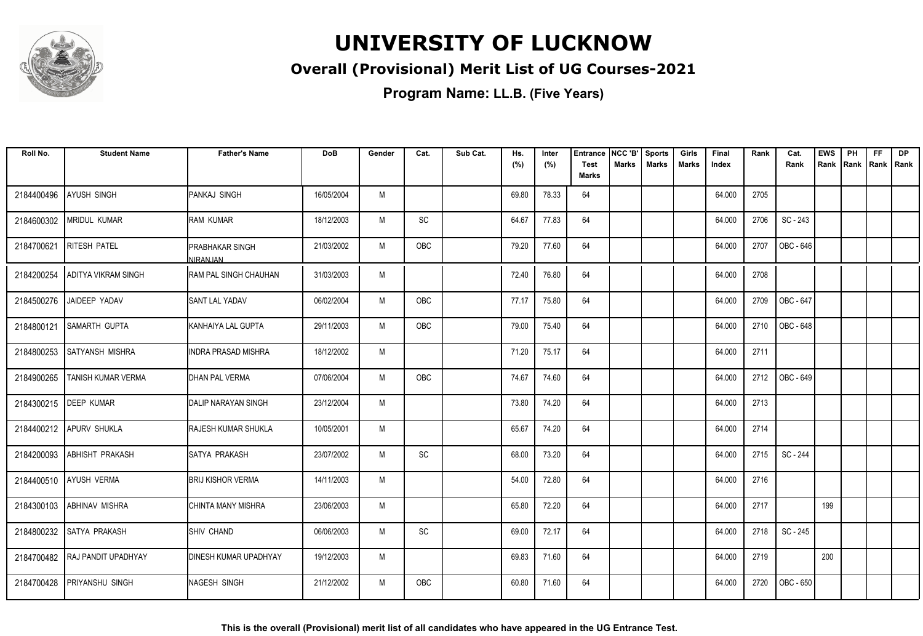

### **Overall (Provisional) Merit List of UG Courses-2021**

| Roll No.   | <b>Student Name</b>        | <b>Father's Name</b>                      | <b>DoB</b> | Gender | Cat.       | Sub Cat. | Hs.<br>(%) | Inter<br>(%) | <b>Entrance</b><br><b>Test</b><br><b>Marks</b> | NCC 'B'<br><b>Marks</b> | <b>Sports</b><br><b>Marks</b> | Girls<br>Marks | Final<br>Index | Rank | Cat.<br>Rank | <b>EWS</b><br>Rank | PH | <b>FF</b><br>Rank   Rank   Rank | <b>DP</b> |
|------------|----------------------------|-------------------------------------------|------------|--------|------------|----------|------------|--------------|------------------------------------------------|-------------------------|-------------------------------|----------------|----------------|------|--------------|--------------------|----|---------------------------------|-----------|
| 2184400496 | <b>AYUSH SINGH</b>         | PANKAJ SINGH                              | 16/05/2004 | M      |            |          | 69.80      | 78.33        | 64                                             |                         |                               |                | 64.000         | 2705 |              |                    |    |                                 |           |
| 2184600302 | <b>MRIDUL KUMAR</b>        | <b>RAM KUMAR</b>                          | 18/12/2003 | M      | SC         |          | 64.67      | 77.83        | 64                                             |                         |                               |                | 64.000         | 2706 | SC - 243     |                    |    |                                 |           |
| 2184700621 | <b>RITESH PATEL</b>        | IPRABHAKAR SINGH                          | 21/03/2002 | M      | <b>OBC</b> |          | 79.20      | 77.60        | 64                                             |                         |                               |                | 64.000         | 2707 | OBC - 646    |                    |    |                                 |           |
| 2184200254 | <b>ADITYA VIKRAM SINGH</b> | NIRAN.IAN<br><b>RAM PAL SINGH CHAUHAN</b> | 31/03/2003 | M      |            |          | 72.40      | 76.80        | 64                                             |                         |                               |                | 64.000         | 2708 |              |                    |    |                                 |           |
| 2184500276 | JAIDEEP YADAV              | <b>SANT LAL YADAV</b>                     | 06/02/2004 | M      | OBC        |          | 77.17      | 75.80        | 64                                             |                         |                               |                | 64.000         | 2709 | OBC - 647    |                    |    |                                 |           |
| 2184800121 | <b>SAMARTH GUPTA</b>       | KANHAIYA LAL GUPTA                        | 29/11/2003 | M      | OBC        |          | 79.00      | 75.40        | 64                                             |                         |                               |                | 64.000         | 2710 | OBC - 648    |                    |    |                                 |           |
| 2184800253 | <b>SATYANSH MISHRA</b>     | IINDRA PRASAD MISHRA                      | 18/12/2002 | M      |            |          | 71.20      | 75.17        | 64                                             |                         |                               |                | 64.000         | 2711 |              |                    |    |                                 |           |
| 2184900265 | <b>TANISH KUMAR VERMA</b>  | <b>DHAN PAL VERMA</b>                     | 07/06/2004 | M      | <b>OBC</b> |          | 74.67      | 74.60        | 64                                             |                         |                               |                | 64.000         | 2712 | OBC - 649    |                    |    |                                 |           |
|            | 2184300215   DEEP KUMAR    | <b>DALIP NARAYAN SINGH</b>                | 23/12/2004 | M      |            |          | 73.80      | 74.20        | 64                                             |                         |                               |                | 64.000         | 2713 |              |                    |    |                                 |           |
| 2184400212 | <b>APURV SHUKLA</b>        | <b>RAJESH KUMAR SHUKLA</b>                | 10/05/2001 | M      |            |          | 65.67      | 74.20        | 64                                             |                         |                               |                | 64.000         | 2714 |              |                    |    |                                 |           |
| 2184200093 | <b>ABHISHT PRAKASH</b>     | ISATYA PRAKASH                            | 23/07/2002 | M      | SC         |          | 68.00      | 73.20        | 64                                             |                         |                               |                | 64.000         | 2715 | SC - 244     |                    |    |                                 |           |
|            | 2184400510 AYUSH VERMA     | <b>BRIJ KISHOR VERMA</b>                  | 14/11/2003 | M      |            |          | 54.00      | 72.80        | 64                                             |                         |                               |                | 64.000         | 2716 |              |                    |    |                                 |           |
|            | 2184300103 ABHINAV MISHRA  | CHINTA MANY MISHRA                        | 23/06/2003 | M      |            |          | 65.80      | 72.20        | 64                                             |                         |                               |                | 64.000         | 2717 |              | 199                |    |                                 |           |
| 2184800232 | <b>SATYA PRAKASH</b>       | <b>SHIV CHAND</b>                         | 06/06/2003 | M      | SC         |          | 69.00      | 72.17        | 64                                             |                         |                               |                | 64.000         | 2718 | SC - 245     |                    |    |                                 |           |
| 2184700482 | <b>RAJ PANDIT UPADHYAY</b> | <b>DINESH KUMAR UPADHYAY</b>              | 19/12/2003 | M      |            |          | 69.83      | 71.60        | 64                                             |                         |                               |                | 64.000         | 2719 |              | 200                |    |                                 |           |
| 2184700428 | <b>PRIYANSHU SINGH</b>     | NAGESH SINGH                              | 21/12/2002 | M      | <b>OBC</b> |          | 60.80      | 71.60        | 64                                             |                         |                               |                | 64.000         | 2720 | OBC - 650    |                    |    |                                 |           |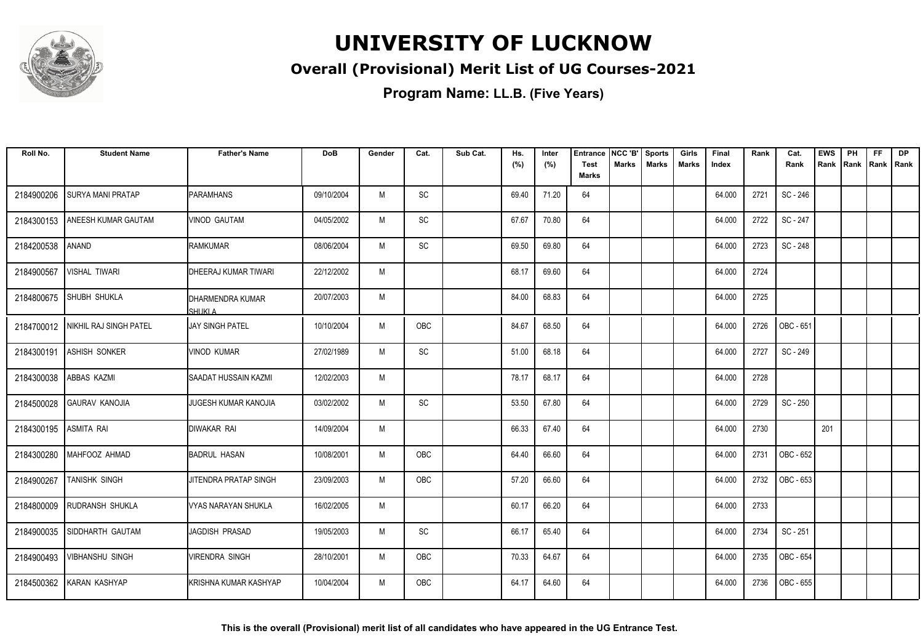

### **Overall (Provisional) Merit List of UG Courses-2021**

| Roll No.   | <b>Student Name</b>               | <b>Father's Name</b>         | <b>DoB</b> | Gender | Cat.       | Sub Cat. | Hs.<br>(%) | Inter<br>(%) | Entrance<br><b>Test</b> | NCC 'B'<br>Marks | <b>Sports</b><br><b>Marks</b> | Girls<br>Marks | Final<br>Index | Rank | Cat.<br>Rank | <b>EWS</b><br>Rank | PH<br>Rank | FF<br>Rank   Rank | <b>DP</b> |
|------------|-----------------------------------|------------------------------|------------|--------|------------|----------|------------|--------------|-------------------------|------------------|-------------------------------|----------------|----------------|------|--------------|--------------------|------------|-------------------|-----------|
|            |                                   |                              |            |        |            |          |            |              | <b>Marks</b>            |                  |                               |                |                |      |              |                    |            |                   |           |
| 2184900206 | SURYA MANI PRATAP                 | <b>PARAMHANS</b>             | 09/10/2004 | M      | SC         |          | 69.40      | 71.20        | 64                      |                  |                               |                | 64.000         | 2721 | SC - 246     |                    |            |                   |           |
| 2184300153 | <b>ANEESH KUMAR GAUTAM</b>        | <b>VINOD GAUTAM</b>          | 04/05/2002 | M      | SC         |          | 67.67      | 70.80        | 64                      |                  |                               |                | 64.000         | 2722 | SC - 247     |                    |            |                   |           |
| 2184200538 | <b>ANAND</b>                      | <b>RAMKUMAR</b>              | 08/06/2004 | M      | SC         |          | 69.50      | 69.80        | 64                      |                  |                               |                | 64.000         | 2723 | SC - 248     |                    |            |                   |           |
| 2184900567 | VISHAL TIWARI                     | <b>DHEERAJ KUMAR TIWARI</b>  | 22/12/2002 | M      |            |          | 68.17      | 69.60        | 64                      |                  |                               |                | 64.000         | 2724 |              |                    |            |                   |           |
| 2184800675 | <b>SHUBH SHUKLA</b>               | DHARMENDRA KUMAR<br>SHUKI A  | 20/07/2003 | M      |            |          | 84.00      | 68.83        | 64                      |                  |                               |                | 64.000         | 2725 |              |                    |            |                   |           |
|            | 2184700012 NIKHIL RAJ SINGH PATEL | <b>JAY SINGH PATEL</b>       | 10/10/2004 | M      | OBC        |          | 84.67      | 68.50        | 64                      |                  |                               |                | 64.000         | 2726 | OBC - 651    |                    |            |                   |           |
| 2184300191 | <b>ASHISH SONKER</b>              | <b>VINOD KUMAR</b>           | 27/02/1989 | M      | SC         |          | 51.00      | 68.18        | 64                      |                  |                               |                | 64.000         | 2727 | SC - 249     |                    |            |                   |           |
| 2184300038 | <b>ABBAS KAZMI</b>                | SAADAT HUSSAIN KAZMI         | 12/02/2003 | M      |            |          | 78.17      | 68.17        | 64                      |                  |                               |                | 64.000         | 2728 |              |                    |            |                   |           |
| 2184500028 | <b>GAURAV KANOJIA</b>             | JUGESH KUMAR KANOJIA         | 03/02/2002 | M      | SC         |          | 53.50      | 67.80        | 64                      |                  |                               |                | 64.000         | 2729 | SC - 250     |                    |            |                   |           |
| 2184300195 | <b>ASMITA RAI</b>                 | <b>DIWAKAR RAI</b>           | 14/09/2004 | M      |            |          | 66.33      | 67.40        | 64                      |                  |                               |                | 64.000         | 2730 |              | 201                |            |                   |           |
| 2184300280 | MAHFOOZ AHMAD                     | <b>BADRUL HASAN</b>          | 10/08/2001 | M      | OBC        |          | 64.40      | 66.60        | 64                      |                  |                               |                | 64.000         | 2731 | OBC - 652    |                    |            |                   |           |
| 2184900267 | TANISHK SINGH                     | JITENDRA PRATAP SINGH        | 23/09/2003 | M      | OBC        |          | 57.20      | 66.60        | 64                      |                  |                               |                | 64.000         | 2732 | OBC - 653    |                    |            |                   |           |
|            | 2184800009 RUDRANSH SHUKLA        | VYAS NARAYAN SHUKLA          | 16/02/2005 | M      |            |          | 60.17      | 66.20        | 64                      |                  |                               |                | 64.000         | 2733 |              |                    |            |                   |           |
| 2184900035 | SIDDHARTH GAUTAM                  | JAGDISH PRASAD               | 19/05/2003 | M      | SC         |          | 66.17      | 65.40        | 64                      |                  |                               |                | 64.000         | 2734 | SC - 251     |                    |            |                   |           |
| 2184900493 | <b>VIBHANSHU SINGH</b>            | <b>VIRENDRA SINGH</b>        | 28/10/2001 | M      | OBC        |          | 70.33      | 64.67        | 64                      |                  |                               |                | 64.000         | 2735 | OBC - 654    |                    |            |                   |           |
|            | 2184500362 KARAN KASHYAP          | <b>KRISHNA KUMAR KASHYAP</b> | 10/04/2004 | M      | <b>OBC</b> |          | 64.17      | 64.60        | 64                      |                  |                               |                | 64.000         | 2736 | OBC - 655    |                    |            |                   |           |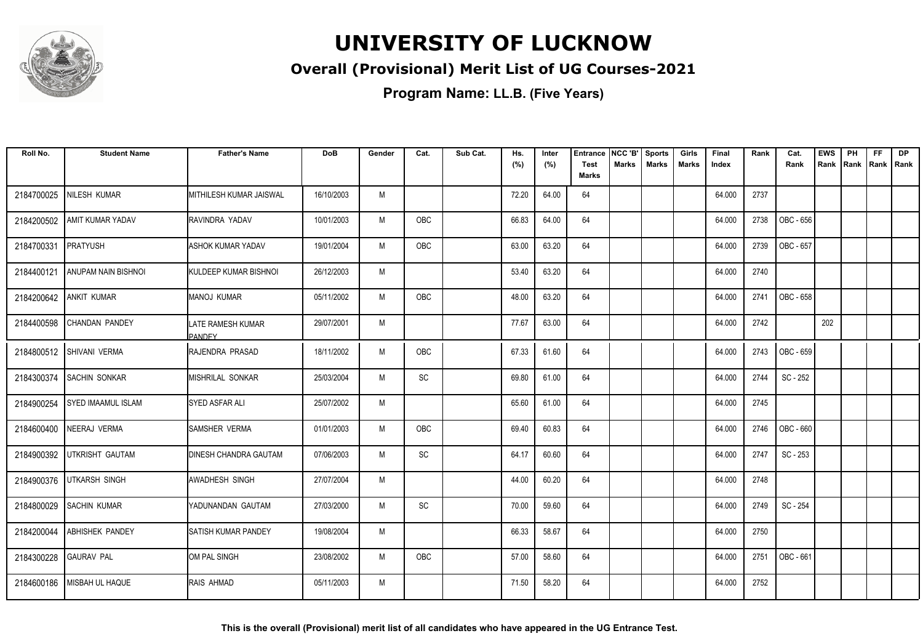

### **Overall (Provisional) Merit List of UG Courses-2021**

| Roll No.   | <b>Student Name</b>        | <b>Father's Name</b>                | <b>DoB</b> | Gender | Cat.       | Sub Cat. | Hs.<br>(%) | Inter<br>(%) | Entrance<br>Test<br><b>Marks</b> | NCC 'B'<br><b>Marks</b> | <b>Sports</b><br><b>Marks</b> | Girls<br><b>Marks</b> | Final<br>Index | Rank | Cat.<br>Rank | <b>EWS</b><br>Rank | PH<br>Rank | FF<br>Rank   Rank | <b>DP</b> |
|------------|----------------------------|-------------------------------------|------------|--------|------------|----------|------------|--------------|----------------------------------|-------------------------|-------------------------------|-----------------------|----------------|------|--------------|--------------------|------------|-------------------|-----------|
|            |                            |                                     |            |        |            |          |            |              |                                  |                         |                               |                       |                |      |              |                    |            |                   |           |
| 2184700025 | NILESH KUMAR               | IMITHILESH KUMAR JAISWAL            | 16/10/2003 | M      |            |          | 72.20      | 64.00        | 64                               |                         |                               |                       | 64.000         | 2737 |              |                    |            |                   |           |
| 2184200502 | <b>AMIT KUMAR YADAV</b>    | IRAVINDRA YADAV                     | 10/01/2003 | M      | OBC        |          | 66.83      | 64.00        | 64                               |                         |                               |                       | 64.000         | 2738 | OBC - 656    |                    |            |                   |           |
| 2184700331 | <b>PRATYUSH</b>            | <b>ASHOK KUMAR YADAV</b>            | 19/01/2004 | M      | OBC        |          | 63.00      | 63.20        | 64                               |                         |                               |                       | 64.000         | 2739 | OBC - 657    |                    |            |                   |           |
| 2184400121 | <b>ANUPAM NAIN BISHNOI</b> | <b>I</b> KULDEEP KUMAR BISHNOI      | 26/12/2003 | M      |            |          | 53.40      | 63.20        | 64                               |                         |                               |                       | 64.000         | 2740 |              |                    |            |                   |           |
| 2184200642 | <b>ANKIT KUMAR</b>         | IMANOJ KUMAR                        | 05/11/2002 | M      | <b>OBC</b> |          | 48.00      | 63.20        | 64                               |                         |                               |                       | 64.000         | 2741 | OBC - 658    |                    |            |                   |           |
| 2184400598 | CHANDAN PANDEY             | LATE RAMESH KUMAR<br><b>IPANDEY</b> | 29/07/2001 | M      |            |          | 77.67      | 63.00        | 64                               |                         |                               |                       | 64.000         | 2742 |              | 202                |            |                   |           |
|            | 2184800512 SHIVANI VERMA   | RAJENDRA PRASAD                     | 18/11/2002 | M      | OBC        |          | 67.33      | 61.60        | 64                               |                         |                               |                       | 64.000         | 2743 | OBC - 659    |                    |            |                   |           |
| 2184300374 | <b>SACHIN SONKAR</b>       | <b>I</b> MISHRILAL SONKAR           | 25/03/2004 | M      | SC         |          | 69.80      | 61.00        | 64                               |                         |                               |                       | 64.000         | 2744 | SC - 252     |                    |            |                   |           |
| 2184900254 | <b>SYED IMAAMUL ISLAM</b>  | ISYED ASFAR ALI                     | 25/07/2002 | M      |            |          | 65.60      | 61.00        | 64                               |                         |                               |                       | 64.000         | 2745 |              |                    |            |                   |           |
| 2184600400 | NEERAJ VERMA               | ISAMSHER VERMA                      | 01/01/2003 | M      | OBC        |          | 69.40      | 60.83        | 64                               |                         |                               |                       | 64.000         | 2746 | OBC - 660    |                    |            |                   |           |
| 2184900392 | UTKRISHT GAUTAM            | <b>DINESH CHANDRA GAUTAM</b>        | 07/06/2003 | M      | SC         |          | 64.17      | 60.60        | 64                               |                         |                               |                       | 64.000         | 2747 | SC - 253     |                    |            |                   |           |
| 2184900376 | <b>UTKARSH SINGH</b>       | <b>AWADHESH SINGH</b>               | 27/07/2004 | M      |            |          | 44.00      | 60.20        | 64                               |                         |                               |                       | 64.000         | 2748 |              |                    |            |                   |           |
| 2184800029 | <b>SACHIN KUMAR</b>        | YADUNANDAN GAUTAM                   | 27/03/2000 | M      | SC         |          | 70.00      | 59.60        | 64                               |                         |                               |                       | 64.000         | 2749 | SC - 254     |                    |            |                   |           |
| 2184200044 | <b>ABHISHEK PANDEY</b>     | <b>SATISH KUMAR PANDEY</b>          | 19/08/2004 | M      |            |          | 66.33      | 58.67        | 64                               |                         |                               |                       | 64.000         | 2750 |              |                    |            |                   |           |
| 2184300228 | <b>GAURAV PAL</b>          | IOM PAL SINGH                       | 23/08/2002 | M      | OBC        |          | 57.00      | 58.60        | 64                               |                         |                               |                       | 64.000         | 2751 | OBC - 661    |                    |            |                   |           |
| 2184600186 | MISBAH UL HAQUE            | <b>RAIS AHMAD</b>                   | 05/11/2003 | M      |            |          | 71.50      | 58.20        | 64                               |                         |                               |                       | 64.000         | 2752 |              |                    |            |                   |           |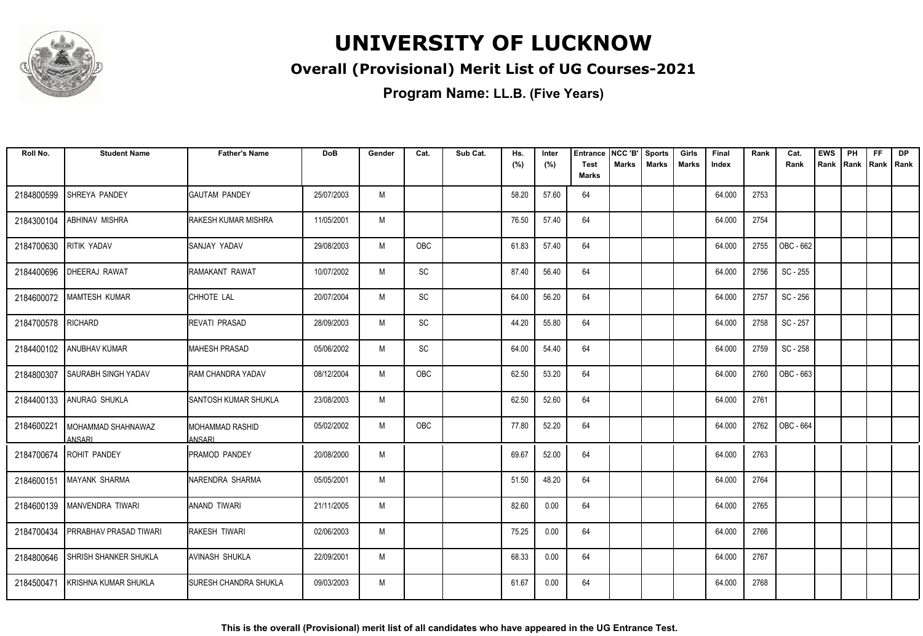

### **Overall (Provisional) Merit List of UG Courses-2021**

| Roll No.   | <b>Student Name</b>            | <b>Father's Name</b>             | <b>DoB</b> | Gender | Cat.       | Sub Cat. | Hs.<br>(%) | Inter<br>(%) | <b>Entrance</b><br><b>Test</b> | NCC 'B'<br>Marks | <b>Sports</b><br><b>Marks</b> | Girls<br>Marks | Final<br>Index | Rank | Cat.<br>Rank | <b>EWS</b><br>Rank | PH<br>Rank | <b>FF</b><br>Rank   Rank | <b>DP</b> |
|------------|--------------------------------|----------------------------------|------------|--------|------------|----------|------------|--------------|--------------------------------|------------------|-------------------------------|----------------|----------------|------|--------------|--------------------|------------|--------------------------|-----------|
|            |                                |                                  |            |        |            |          |            |              | <b>Marks</b>                   |                  |                               |                |                |      |              |                    |            |                          |           |
| 2184800599 | SHREYA PANDEY                  | <b>GAUTAM PANDEY</b>             | 25/07/2003 | M      |            |          | 58.20      | 57.60        | 64                             |                  |                               |                | 64.000         | 2753 |              |                    |            |                          |           |
| 2184300104 | ABHINAV MISHRA                 | RAKESH KUMAR MISHRA              | 11/05/2001 | M      |            |          | 76.50      | 57.40        | 64                             |                  |                               |                | 64.000         | 2754 |              |                    |            |                          |           |
| 2184700630 | RITIK YADAV                    | SANJAY YADAV                     | 29/08/2003 | M      | <b>OBC</b> |          | 61.83      | 57.40        | 64                             |                  |                               |                | 64.000         | 2755 | OBC - 662    |                    |            |                          |           |
| 2184400696 | <b>DHEERAJ RAWAT</b>           | RAMAKANT RAWAT                   | 10/07/2002 | M      | SC         |          | 87.40      | 56.40        | 64                             |                  |                               |                | 64.000         | 2756 | SC - 255     |                    |            |                          |           |
| 2184600072 | <b>MAMTESH KUMAR</b>           | CHHOTE LAL                       | 20/07/2004 | M      | SC         |          | 64.00      | 56.20        | 64                             |                  |                               |                | 64.000         | 2757 | SC - 256     |                    |            |                          |           |
| 2184700578 | RICHARD                        | <b>REVATI PRASAD</b>             | 28/09/2003 | M      | SC         |          | 44.20      | 55.80        | 64                             |                  |                               |                | 64.000         | 2758 | SC - 257     |                    |            |                          |           |
|            | 2184400102 ANUBHAV KUMAR       | <b>MAHESH PRASAD</b>             | 05/06/2002 | M      | SC         |          | 64.00      | 54.40        | 64                             |                  |                               |                | 64.000         | 2759 | SC - 258     |                    |            |                          |           |
| 2184800307 | <b>SAURABH SINGH YADAV</b>     | <b>RAM CHANDRA YADAV</b>         | 08/12/2004 | M      | OBC        |          | 62.50      | 53.20        | 64                             |                  |                               |                | 64.000         | 2760 | OBC - 663    |                    |            |                          |           |
| 2184400133 | <b>ANURAG SHUKLA</b>           | SANTOSH KUMAR SHUKLA             | 23/08/2003 | M      |            |          | 62.50      | 52.60        | 64                             |                  |                               |                | 64.000         | 2761 |              |                    |            |                          |           |
| 2184600221 | I MOHAMMAD SHAHNAWAZ<br>ANSARI | <b>MOHAMMAD RASHID</b><br>ANSARI | 05/02/2002 | M      | OBC        |          | 77.80      | 52.20        | 64                             |                  |                               |                | 64.000         | 2762 | OBC - 664    |                    |            |                          |           |
| 2184700674 | <b>ROHIT PANDEY</b>            | PRAMOD PANDEY                    | 20/08/2000 | M      |            |          | 69.67      | 52.00        | 64                             |                  |                               |                | 64.000         | 2763 |              |                    |            |                          |           |
| 2184600151 | <b>IMAYANK SHARMA</b>          | NARENDRA SHARMA                  | 05/05/2001 | M      |            |          | 51.50      | 48.20        | 64                             |                  |                               |                | 64.000         | 2764 |              |                    |            |                          |           |
| 2184600139 | <b>IMANVENDRA TIWARI</b>       | ANAND TIWARI                     | 21/11/2005 | M      |            |          | 82.60      | 0.00         | 64                             |                  |                               |                | 64.000         | 2765 |              |                    |            |                          |           |
| 2184700434 | <b>PRRABHAV PRASAD TIWARI</b>  | <b>RAKESH TIWARI</b>             | 02/06/2003 | M      |            |          | 75.25      | 0.00         | 64                             |                  |                               |                | 64.000         | 2766 |              |                    |            |                          |           |
| 2184800646 | SHRISH SHANKER SHUKLA          | AVINASH SHUKLA                   | 22/09/2001 | M      |            |          | 68.33      | 0.00         | 64                             |                  |                               |                | 64.000         | 2767 |              |                    |            |                          |           |
| 2184500471 | I KRISHNA KUMAR SHUKLA         | ISURESH CHANDRA SHUKLA           | 09/03/2003 | M      |            |          | 61.67      | 0.00         | 64                             |                  |                               |                | 64.000         | 2768 |              |                    |            |                          |           |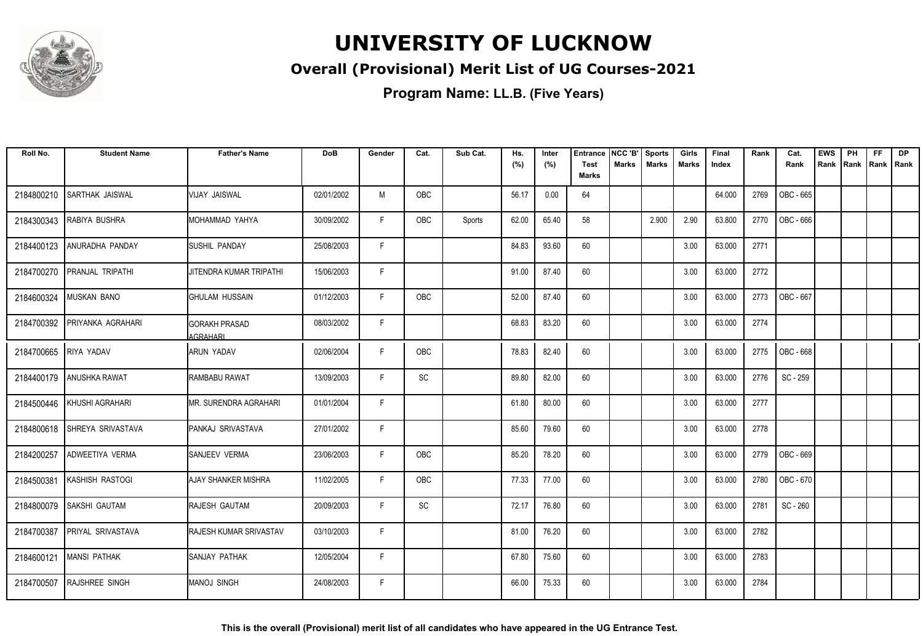

### **Overall (Provisional) Merit List of UG Courses-2021**

| Roll No.   | <b>Student Name</b>      | <b>Father's Name</b>               | <b>DoB</b> | Gender | Cat.       | Sub Cat. | Hs.<br>(%) | Inter<br>(%) | <b>Entrance</b><br><b>Test</b> | NCC 'B'<br><b>Marks</b> | <b>Sports</b><br><b>Marks</b> | Girls<br>Marks | Final<br>Index | Rank | Cat.<br>Rank     | <b>EWS</b><br>Rank | PH | <b>FF</b><br>Rank   Rank   Rank | <b>DP</b> |
|------------|--------------------------|------------------------------------|------------|--------|------------|----------|------------|--------------|--------------------------------|-------------------------|-------------------------------|----------------|----------------|------|------------------|--------------------|----|---------------------------------|-----------|
|            |                          |                                    |            |        |            |          |            |              | <b>Marks</b>                   |                         |                               |                |                |      |                  |                    |    |                                 |           |
| 2184800210 | SARTHAK JAISWAL          | IVIJAY JAISWAL                     | 02/01/2002 | M      | <b>OBC</b> |          | 56.17      | 0.00         | 64                             |                         |                               |                | 64.000         | 2769 | OBC - 665        |                    |    |                                 |           |
| 2184300343 | RABIYA BUSHRA            | IMOHAMMAD YAHYA                    | 30/09/2002 | F.     | OBC        | Sports   | 62.00      | 65.40        | 58                             |                         | 2.900                         | 2.90           | 63.800         | 2770 | OBC - 666        |                    |    |                                 |           |
| 2184400123 | ANURADHA PANDAY          | <b>ISUSHIL PANDAY</b>              | 25/08/2003 | F      |            |          | 84.83      | 93.60        | 60                             |                         |                               | 3.00           | 63.000         | 2771 |                  |                    |    |                                 |           |
| 2184700270 | <b>PRANJAL TRIPATHI</b>  | JITENDRA KUMAR TRIPATHI            | 15/06/2003 | F      |            |          | 91.00      | 87.40        | 60                             |                         |                               | 3.00           | 63.000         | 2772 |                  |                    |    |                                 |           |
| 2184600324 | MUSKAN BANO              | IGHULAM HUSSAIN                    | 01/12/2003 | F      | OBC        |          | 52.00      | 87.40        | 60                             |                         |                               | 3.00           | 63.000         | 2773 | OBC - 667        |                    |    |                                 |           |
| 2184700392 | PRIYANKA AGRAHARI        | <b>I</b> GORAKH PRASAD<br>AGRAHARI | 08/03/2002 | F.     |            |          | 68.83      | 83.20        | 60                             |                         |                               | 3.00           | 63.000         | 2774 |                  |                    |    |                                 |           |
| 2184700665 | RIYA YADAV               | IARUN YADAV                        | 02/06/2004 | F      | OBC        |          | 78.83      | 82.40        | 60                             |                         |                               | 3.00           | 63.000         | 2775 | <b>OBC - 668</b> |                    |    |                                 |           |
| 2184400179 | ANUSHKA RAWAT            | IRAMBABU RAWAT                     | 13/09/2003 | F.     | SC         |          | 89.80      | 82.00        | 60                             |                         |                               | 3.00           | 63.000         | 2776 | SC - 259         |                    |    |                                 |           |
| 2184500446 | İ KHUSHI AGRAHARI        | IMR. SURENDRA AGRAHARI             | 01/01/2004 | F      |            |          | 61.80      | 80.00        | 60                             |                         |                               | 3.00           | 63.000         | 2777 |                  |                    |    |                                 |           |
| 2184800618 | SHREYA SRIVASTAVA        | <b>I</b> PANKAJ SRIVASTAVA         | 27/01/2002 | F      |            |          | 85.60      | 79.60        | 60                             |                         |                               | 3.00           | 63.000         | 2778 |                  |                    |    |                                 |           |
| 2184200257 | ADWEETIYA VERMA          | <b>SANJEEV VERMA</b>               | 23/06/2003 | F      | <b>OBC</b> |          | 85.20      | 78.20        | 60                             |                         |                               | 3.00           | 63.000         | 2779 | <b>OBC - 669</b> |                    |    |                                 |           |
| 2184500381 | KASHISH RASTOGI          | <b>I</b> AJAY SHANKER MISHRA       | 11/02/2005 | F.     | OBC        |          | 77.33      | 77.00        | 60                             |                         |                               | 3.00           | 63.000         | 2780 | OBC - 670        |                    |    |                                 |           |
| 2184800079 | SAKSHI GAUTAM            | RAJESH GAUTAM                      | 20/09/2003 | F      | SC         |          | 72.17      | 76.80        | 60                             |                         |                               | 3.00           | 63.000         | 2781 | SC - 260         |                    |    |                                 |           |
| 2184700387 | <b>PRIYAL SRIVASTAVA</b> | <b>RAJESH KUMAR SRIVASTAV</b>      | 03/10/2003 | F      |            |          | 81.00      | 76.20        | 60                             |                         |                               | 3.00           | 63.000         | 2782 |                  |                    |    |                                 |           |
| 2184600121 | <b>MANSI PATHAK</b>      | <b>SANJAY PATHAK</b>               | 12/05/2004 | F.     |            |          | 67.80      | 75.60        | 60                             |                         |                               | 3.00           | 63.000         | 2783 |                  |                    |    |                                 |           |
| 2184700507 | <b>RAJSHREE SINGH</b>    | <b>IMANOJ SINGH</b>                | 24/08/2003 | F.     |            |          | 66.00      | 75.33        | 60                             |                         |                               | 3.00           | 63.000         | 2784 |                  |                    |    |                                 |           |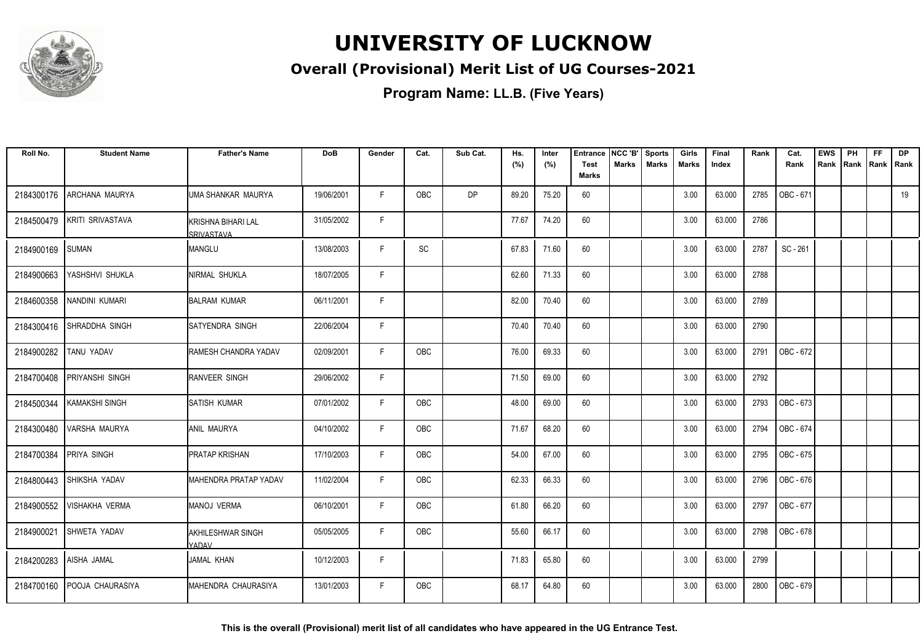

### **Overall (Provisional) Merit List of UG Courses-2021**

| Roll No.   | <b>Student Name</b>       | <b>Father's Name</b>             | <b>DoB</b> | Gender | Cat.       | Sub Cat.  | Hs.<br>(%) | Inter<br>(%) | <b>Entrance</b><br><b>Test</b> | NCC 'B'<br>Marks | <b>Sports</b><br><b>Marks</b> | Girls<br><b>Marks</b> | Final<br>Index | Rank | Cat.<br>Rank | <b>EWS</b><br>Rank | PH<br>Rank | FF<br>Rank | <b>DP</b><br>l Rank |
|------------|---------------------------|----------------------------------|------------|--------|------------|-----------|------------|--------------|--------------------------------|------------------|-------------------------------|-----------------------|----------------|------|--------------|--------------------|------------|------------|---------------------|
|            |                           |                                  |            |        |            |           |            |              | <b>Marks</b>                   |                  |                               |                       |                |      |              |                    |            |            |                     |
| 2184300176 | ARCHANA MAURYA            | UMA SHANKAR MAURYA               | 19/06/2001 | F.     | <b>OBC</b> | <b>DP</b> | 89.20      | 75.20        | 60                             |                  |                               | 3.00                  | 63.000         | 2785 | OBC - 671    |                    |            |            | 19                  |
| 2184500479 | KRITI SRIVASTAVA          | KRISHNA BIHARI LAL<br>SRIVASTAVA | 31/05/2002 | F.     |            |           | 77.67      | 74.20        | 60                             |                  |                               | 3.00                  | 63.000         | 2786 |              |                    |            |            |                     |
| 2184900169 | SUMAN                     | <b>MANGLU</b>                    | 13/08/2003 | F.     | SC         |           | 67.83      | 71.60        | 60                             |                  |                               | 3.00                  | 63.000         | 2787 | SC - 261     |                    |            |            |                     |
| 2184900663 | YASHSHVI SHUKLA           | NIRMAL SHUKLA                    | 18/07/2005 | F      |            |           | 62.60      | 71.33        | 60                             |                  |                               | 3.00                  | 63.000         | 2788 |              |                    |            |            |                     |
| 2184600358 | NANDINI KUMARI            | <b>BALRAM KUMAR</b>              | 06/11/2001 | F      |            |           | 82.00      | 70.40        | 60                             |                  |                               | 3.00                  | 63.000         | 2789 |              |                    |            |            |                     |
|            | 2184300416 SHRADDHA SINGH | SATYENDRA SINGH                  | 22/06/2004 | F.     |            |           | 70.40      | 70.40        | 60                             |                  |                               | 3.00                  | 63.000         | 2790 |              |                    |            |            |                     |
| 2184900282 | TANU YADAV                | RAMESH CHANDRA YADAV             | 02/09/2001 | F      | OBC        |           | 76.00      | 69.33        | 60                             |                  |                               | 3.00                  | 63.000         | 2791 | OBC - 672    |                    |            |            |                     |
| 2184700408 | PRIYANSHI SINGH           | <b>RANVEER SINGH</b>             | 29/06/2002 | F.     |            |           | 71.50      | 69.00        | 60                             |                  |                               | 3.00                  | 63.000         | 2792 |              |                    |            |            |                     |
| 2184500344 | <b>KAMAKSHI SINGH</b>     | <b>I</b> SATISH KUMAR            | 07/01/2002 | F      | <b>OBC</b> |           | 48.00      | 69.00        | 60                             |                  |                               | 3.00                  | 63.000         | 2793 | OBC - 673    |                    |            |            |                     |
| 2184300480 | VARSHA MAURYA             | <b>ANIL MAURYA</b>               | 04/10/2002 | F.     | <b>OBC</b> |           | 71.67      | 68.20        | 60                             |                  |                               | 3.00                  | 63.000         | 2794 | OBC - 674    |                    |            |            |                     |
| 2184700384 | <b>PRIYA SINGH</b>        | <b>PRATAP KRISHAN</b>            | 17/10/2003 | F      | OBC        |           | 54.00      | 67.00        | 60                             |                  |                               | 3.00                  | 63.000         | 2795 | OBC - 675    |                    |            |            |                     |
| 2184800443 | SHIKSHA YADAV             | MAHENDRA PRATAP YADAV            | 11/02/2004 | F.     | OBC        |           | 62.33      | 66.33        | 60                             |                  |                               | 3.00                  | 63.000         | 2796 | OBC - 676    |                    |            |            |                     |
| 2184900552 | <b>VISHAKHA VERMA</b>     | MANOJ VERMA                      | 06/10/2001 | F      | OBC        |           | 61.80      | 66.20        | 60                             |                  |                               | 3.00                  | 63.000         | 2797 | OBC - 677    |                    |            |            |                     |
| 2184900021 | SHWETA YADAV              | AKHILESHWAR SINGH<br>YADAV       | 05/05/2005 | F.     | OBC        |           | 55.60      | 66.17        | 60                             |                  |                               | 3.00                  | 63.000         | 2798 | OBC - 678    |                    |            |            |                     |
| 2184200283 | AISHA JAMAL               | <b>JAMAL KHAN</b>                | 10/12/2003 | F      |            |           | 71.83      | 65.80        | 60                             |                  |                               | 3.00                  | 63.000         | 2799 |              |                    |            |            |                     |
| 2184700160 | <b>POOJA CHAURASIYA</b>   | MAHENDRA CHAURASIYA              | 13/01/2003 | F.     | OBC        |           | 68.17      | 64.80        | 60                             |                  |                               | 3.00                  | 63.000         | 2800 | OBC - 679    |                    |            |            |                     |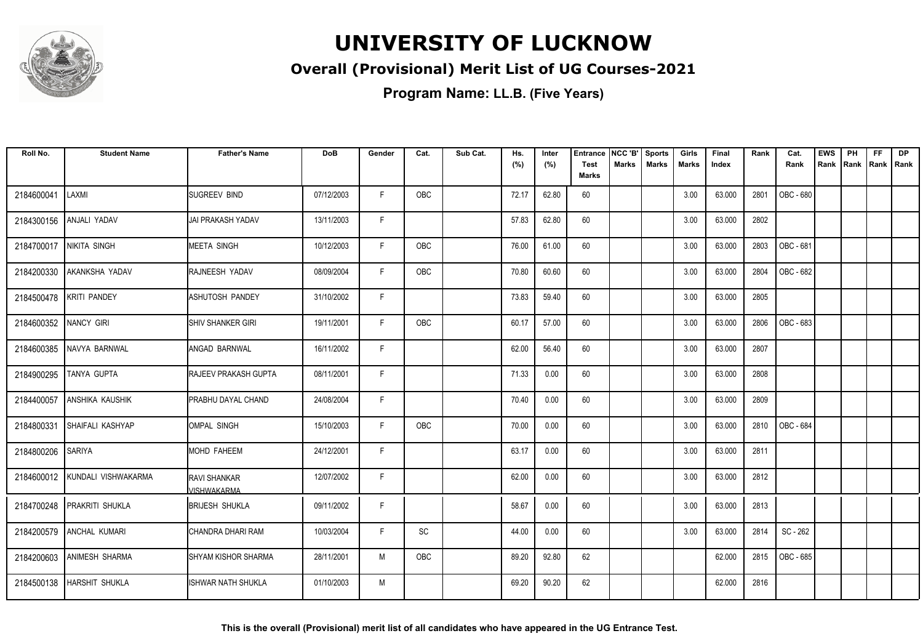

### **Overall (Provisional) Merit List of UG Courses-2021**

| Roll No.   | <b>Student Name</b>    | <b>Father's Name</b>               | <b>DoB</b> | Gender | Cat.       | Sub Cat. | Hs.<br>(%) | Inter<br>(%) | <b>Entrance</b><br><b>Test</b> | NCC 'B'<br><b>Marks</b> | <b>Sports</b><br><b>Marks</b> | Girls<br>Marks | Final<br>Index | Rank | Cat.<br>Rank     | <b>EWS</b><br>Rank | PH | <b>FF</b><br>Rank   Rank   Rank | <b>DP</b> |
|------------|------------------------|------------------------------------|------------|--------|------------|----------|------------|--------------|--------------------------------|-------------------------|-------------------------------|----------------|----------------|------|------------------|--------------------|----|---------------------------------|-----------|
|            |                        |                                    |            |        |            |          |            |              | <b>Marks</b>                   |                         |                               |                |                |      |                  |                    |    |                                 |           |
| 2184600041 | LAXMI                  | <b>SUGREEV BIND</b>                | 07/12/2003 | F.     | OBC        |          | 72.17      | 62.80        | 60                             |                         |                               | 3.00           | 63.000         | 2801 | <b>OBC - 680</b> |                    |    |                                 |           |
| 2184300156 | ANJALI YADAV           | IJAI PRAKASH YADAV                 | 13/11/2003 | F      |            |          | 57.83      | 62.80        | 60                             |                         |                               | 3.00           | 63.000         | 2802 |                  |                    |    |                                 |           |
| 2184700017 | NIKITA SINGH           | IMEETA SINGH                       | 10/12/2003 | F      | <b>OBC</b> |          | 76.00      | 61.00        | 60                             |                         |                               | 3.00           | 63.000         | 2803 | OBC - 681        |                    |    |                                 |           |
| 2184200330 | AKANKSHA YADAV         | <b>RAJNEESH YADAV</b>              | 08/09/2004 | F      | OBC        |          | 70.80      | 60.60        | 60                             |                         |                               | 3.00           | 63.000         | 2804 | <b>OBC - 682</b> |                    |    |                                 |           |
| 2184500478 | <b>KRITI PANDEY</b>    | ASHUTOSH PANDEY                    | 31/10/2002 | F      |            |          | 73.83      | 59.40        | 60                             |                         |                               | 3.00           | 63.000         | 2805 |                  |                    |    |                                 |           |
| 2184600352 | NANCY GIRI             | <b>SHIV SHANKER GIRI</b>           | 19/11/2001 | F.     | <b>OBC</b> |          | 60.17      | 57.00        | 60                             |                         |                               | 3.00           | 63.000         | 2806 | OBC - 683        |                    |    |                                 |           |
| 2184600385 | NAVYA BARNWAL          | <b>ANGAD BARNWAL</b>               | 16/11/2002 | F      |            |          | 62.00      | 56.40        | 60                             |                         |                               | 3.00           | 63.000         | 2807 |                  |                    |    |                                 |           |
| 2184900295 | TANYA GUPTA            | <b>RAJEEV PRAKASH GUPTA</b>        | 08/11/2001 | F      |            |          | 71.33      | 0.00         | 60                             |                         |                               | 3.00           | 63.000         | 2808 |                  |                    |    |                                 |           |
| 2184400057 | <b>ANSHIKA KAUSHIK</b> | <b>PRABHU DAYAL CHAND</b>          | 24/08/2004 | F      |            |          | 70.40      | 0.00         | 60                             |                         |                               | 3.00           | 63.000         | 2809 |                  |                    |    |                                 |           |
| 2184800331 | İSHAIFALI KASHYAP      | <b>IOMPAL SINGH</b>                | 15/10/2003 | F.     | <b>OBC</b> |          | 70.00      | 0.00         | 60                             |                         |                               | 3.00           | 63.000         | 2810 | OBC - 684        |                    |    |                                 |           |
| 2184800206 | <b>SARIYA</b>          | MOHD FAHEEM                        | 24/12/2001 | F      |            |          | 63.17      | 0.00         | 60                             |                         |                               | 3.00           | 63.000         | 2811 |                  |                    |    |                                 |           |
| 2184600012 | KUNDALI VISHWAKARMA    | <b>RAVI SHANKAR</b><br>/ISHWAKARMA | 12/07/2002 | F      |            |          | 62.00      | 0.00         | 60                             |                         |                               | 3.00           | 63.000         | 2812 |                  |                    |    |                                 |           |
| 2184700248 | <b>PRAKRITI SHUKLA</b> | <b>BRIJESH SHUKLA</b>              | 09/11/2002 | F      |            |          | 58.67      | 0.00         | 60                             |                         |                               | 3.00           | 63.000         | 2813 |                  |                    |    |                                 |           |
| 2184200579 | <b>ANCHAL KUMARI</b>   | CHANDRA DHARI RAM                  | 10/03/2004 | F      | SC         |          | 44.00      | 0.00         | 60                             |                         |                               | 3.00           | 63.000         | 2814 | SC - 262         |                    |    |                                 |           |
| 2184200603 | ANIMESH SHARMA         | <b>ISHYAM KISHOR SHARMA</b>        | 28/11/2001 | M      | OBC        |          | 89.20      | 92.80        | 62                             |                         |                               |                | 62.000         | 2815 | OBC - 685        |                    |    |                                 |           |
| 2184500138 | <b>HARSHIT SHUKLA</b>  | IISHWAR NATH SHUKLA                | 01/10/2003 | M      |            |          | 69.20      | 90.20        | 62                             |                         |                               |                | 62.000         | 2816 |                  |                    |    |                                 |           |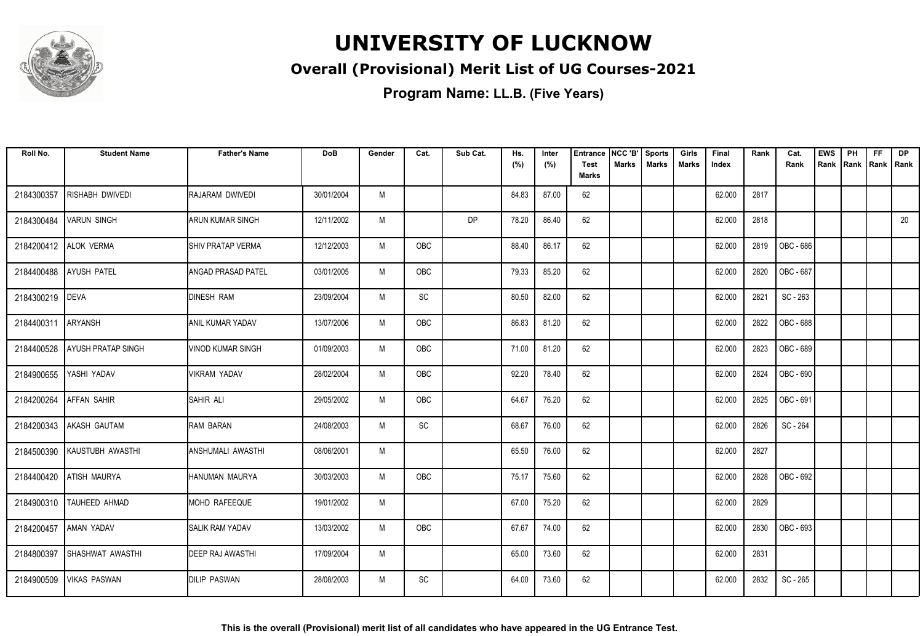

### **Overall (Provisional) Merit List of UG Courses-2021**

| Roll No.   | <b>Student Name</b>       | <b>Father's Name</b>       | <b>DoB</b> | Gender | Cat.       | Sub Cat. | Hs.<br>(%) | Inter<br>(%) | <b>Entrance</b><br><b>Test</b> | NCC 'B'<br>Marks | <b>Sports</b><br><b>Marks</b> | Girls<br>Marks | Final<br>Index | Rank | Cat.<br>Rank | <b>EWS</b><br>Rank | PH | <b>FF</b><br>Rank   Rank   Rank | <b>DP</b> |
|------------|---------------------------|----------------------------|------------|--------|------------|----------|------------|--------------|--------------------------------|------------------|-------------------------------|----------------|----------------|------|--------------|--------------------|----|---------------------------------|-----------|
|            |                           |                            |            |        |            |          |            |              | <b>Marks</b>                   |                  |                               |                |                |      |              |                    |    |                                 |           |
| 2184300357 | <b>RISHABH DWIVEDI</b>    | RAJARAM DWIVEDI            | 30/01/2004 | M      |            |          | 84.83      | 87.00        | 62                             |                  |                               |                | 62.000         | 2817 |              |                    |    |                                 |           |
| 2184300484 | <b>VARUN SINGH</b>        | ARUN KUMAR SINGH           | 12/11/2002 | M      |            | DP       | 78.20      | 86.40        | 62                             |                  |                               |                | 62.000         | 2818 |              |                    |    |                                 | 20        |
|            | 2184200412 ALOK VERMA     | <b>I</b> SHIV PRATAP VERMA | 12/12/2003 | M      | OBC        |          | 88.40      | 86.17        | 62                             |                  |                               |                | 62.000         | 2819 | OBC - 686    |                    |    |                                 |           |
| 2184400488 | <b>AYUSH PATEL</b>        | <b>ANGAD PRASAD PATEL</b>  | 03/01/2005 | M      | OBC        |          | 79.33      | 85.20        | 62                             |                  |                               |                | 62.000         | 2820 | OBC - 687    |                    |    |                                 |           |
| 2184300219 | <b>DEVA</b>               | <b>DINESH RAM</b>          | 23/09/2004 | M      | SC         |          | 80.50      | 82.00        | 62                             |                  |                               |                | 62.000         | 2821 | SC - 263     |                    |    |                                 |           |
| 2184400311 | <b>ARYANSH</b>            | <b>ANIL KUMAR YADAV</b>    | 13/07/2006 | M      | OBC        |          | 86.83      | 81.20        | 62                             |                  |                               |                | 62.000         | 2822 | OBC - 688    |                    |    |                                 |           |
| 2184400528 | <b>AYUSH PRATAP SINGH</b> | <b>VINOD KUMAR SINGH</b>   | 01/09/2003 | M      | <b>OBC</b> |          | 71.00      | 81.20        | 62                             |                  |                               |                | 62.000         | 2823 | OBC - 689    |                    |    |                                 |           |
| 2184900655 | YASHI YADAV               | <b>VIKRAM YADAV</b>        | 28/02/2004 | M      | OBC        |          | 92.20      | 78.40        | 62                             |                  |                               |                | 62.000         | 2824 | OBC - 690    |                    |    |                                 |           |
| 2184200264 | <b>AFFAN SAHIR</b>        | <b>SAHIR ALI</b>           | 29/05/2002 | M      | OBC        |          | 64.67      | 76.20        | 62                             |                  |                               |                | 62.000         | 2825 | OBC - 691    |                    |    |                                 |           |
| 2184200343 | AKASH GAUTAM              | RAM BARAN                  | 24/08/2003 | M      | SC         |          | 68.67      | 76.00        | 62                             |                  |                               |                | 62.000         | 2826 | SC - 264     |                    |    |                                 |           |
| 2184500390 | KAUSTUBH AWASTHI          | <b>ANSHUMALI AWASTHI</b>   | 08/06/2001 | M      |            |          | 65.50      | 76.00        | 62                             |                  |                               |                | 62.000         | 2827 |              |                    |    |                                 |           |
| 2184400420 | <b>ATISH MAURYA</b>       | HANUMAN MAURYA             | 30/03/2003 | M      | OBC        |          | 75.17      | 75.60        | 62                             |                  |                               |                | 62.000         | 2828 | OBC - 692    |                    |    |                                 |           |
|            | 2184900310 TAUHEED AHMAD  | MOHD RAFEEQUE              | 19/01/2002 | M      |            |          | 67.00      | 75.20        | 62                             |                  |                               |                | 62.000         | 2829 |              |                    |    |                                 |           |
|            | 2184200457   AMAN YADAV   | <b>SALIK RAM YADAV</b>     | 13/03/2002 | M      | <b>OBC</b> |          | 67.67      | 74.00        | 62                             |                  |                               |                | 62.000         | 2830 | OBC - 693    |                    |    |                                 |           |
| 2184800397 | SHASHWAT AWASTHI          | <b>DEEP RAJ AWASTHI</b>    | 17/09/2004 | M      |            |          | 65.00      | 73.60        | 62                             |                  |                               |                | 62.000         | 2831 |              |                    |    |                                 |           |
| 2184900509 | <b>VIKAS PASWAN</b>       | <b>DILIP PASWAN</b>        | 28/08/2003 | M      | SC         |          | 64.00      | 73.60        | 62                             |                  |                               |                | 62.000         | 2832 | SC - 265     |                    |    |                                 |           |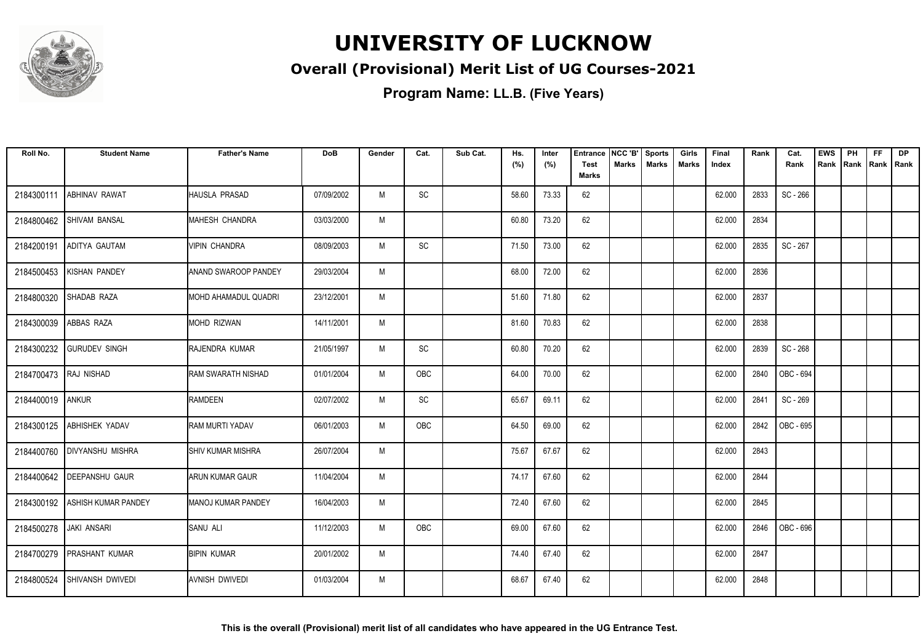

### **Overall (Provisional) Merit List of UG Courses-2021**

| Roll No.               | <b>Student Name</b>            | <b>Father's Name</b>        | <b>DoB</b> | Gender | Cat.       | Sub Cat. | Hs.<br>(%) | Inter<br>(%) | <b>Entrance</b><br><b>Test</b> | NCC 'B'<br>Marks | <b>Sports</b><br><b>Marks</b> | Girls<br>Marks | Final<br>Index | Rank | Cat.<br>Rank | <b>EWS</b><br>Rank | PH | <b>FF</b><br>Rank   Rank   Rank | <b>DP</b> |
|------------------------|--------------------------------|-----------------------------|------------|--------|------------|----------|------------|--------------|--------------------------------|------------------|-------------------------------|----------------|----------------|------|--------------|--------------------|----|---------------------------------|-----------|
|                        |                                |                             |            |        |            |          |            |              | <b>Marks</b>                   |                  |                               |                |                |      |              |                    |    |                                 |           |
| 2184300111             | <b>ABHINAV RAWAT</b>           | <b>HAUSLA PRASAD</b>        | 07/09/2002 | M      | SC         |          | 58.60      | 73.33        | 62                             |                  |                               |                | 62.000         | 2833 | SC - 266     |                    |    |                                 |           |
| 2184800462             | <b>SHIVAM BANSAL</b>           | MAHESH CHANDRA              | 03/03/2000 | M      |            |          | 60.80      | 73.20        | 62                             |                  |                               |                | 62.000         | 2834 |              |                    |    |                                 |           |
| 2184200191             | <b>ADITYA GAUTAM</b>           | <b>VIPIN CHANDRA</b>        | 08/09/2003 | M      | SC         |          | 71.50      | 73.00        | 62                             |                  |                               |                | 62.000         | 2835 | SC - 267     |                    |    |                                 |           |
| 2184500453             | <b>KISHAN PANDEY</b>           | ANAND SWAROOP PANDEY        | 29/03/2004 | M      |            |          | 68.00      | 72.00        | 62                             |                  |                               |                | 62.000         | 2836 |              |                    |    |                                 |           |
| 2184800320             | SHADAB RAZA                    | <b>MOHD AHAMADUL QUADRI</b> | 23/12/2001 | M      |            |          | 51.60      | 71.80        | 62                             |                  |                               |                | 62.000         | 2837 |              |                    |    |                                 |           |
| 2184300039             | <b>ABBAS RAZA</b>              | <b>MOHD RIZWAN</b>          | 14/11/2001 | M      |            |          | 81.60      | 70.83        | 62                             |                  |                               |                | 62.000         | 2838 |              |                    |    |                                 |           |
|                        | 2184300232 GURUDEV SINGH       | RAJENDRA KUMAR              | 21/05/1997 | M      | SC         |          | 60.80      | 70.20        | 62                             |                  |                               |                | 62.000         | 2839 | SC - 268     |                    |    |                                 |           |
| 2184700473 RAJ NISHAD  |                                | RAM SWARATH NISHAD          | 01/01/2004 | M      | OBC        |          | 64.00      | 70.00        | 62                             |                  |                               |                | 62.000         | 2840 | OBC - 694    |                    |    |                                 |           |
| 2184400019             | <b>ANKUR</b>                   | <b>RAMDEEN</b>              | 02/07/2002 | M      | SC         |          | 65.67      | 69.11        | 62                             |                  |                               |                | 62.000         | 2841 | SC - 269     |                    |    |                                 |           |
| 2184300125             | <b>ABHISHEK YADAV</b>          | <b>RAM MURTI YADAV</b>      | 06/01/2003 | M      | OBC        |          | 64.50      | 69.00        | 62                             |                  |                               |                | 62.000         | 2842 | OBC - 695    |                    |    |                                 |           |
| 2184400760             | <b>IDIVYANSHU MISHRA</b>       | <b>I</b> SHIV KUMAR MISHRA  | 26/07/2004 | M      |            |          | 75.67      | 67.67        | 62                             |                  |                               |                | 62.000         | 2843 |              |                    |    |                                 |           |
|                        | 2184400642   DEEPANSHU GAUR    | <b>ARUN KUMAR GAUR</b>      | 11/04/2004 | M      |            |          | 74.17      | 67.60        | 62                             |                  |                               |                | 62.000         | 2844 |              |                    |    |                                 |           |
|                        | 2184300192 ASHISH KUMAR PANDEY | MANOJ KUMAR PANDEY          | 16/04/2003 | M      |            |          | 72.40      | 67.60        | 62                             |                  |                               |                | 62.000         | 2845 |              |                    |    |                                 |           |
| 2184500278 JAKI ANSARI |                                | <b>SANU ALI</b>             | 11/12/2003 | M      | <b>OBC</b> |          | 69.00      | 67.60        | 62                             |                  |                               |                | 62.000         | 2846 | OBC - 696    |                    |    |                                 |           |
| 2184700279             | <b>PRASHANT KUMAR</b>          | <b>BIPIN KUMAR</b>          | 20/01/2002 | M      |            |          | 74.40      | 67.40        | 62                             |                  |                               |                | 62.000         | 2847 |              |                    |    |                                 |           |
| 2184800524             | SHIVANSH DWIVEDI               | <b>AVNISH DWIVEDI</b>       | 01/03/2004 | M      |            |          | 68.67      | 67.40        | 62                             |                  |                               |                | 62.000         | 2848 |              |                    |    |                                 |           |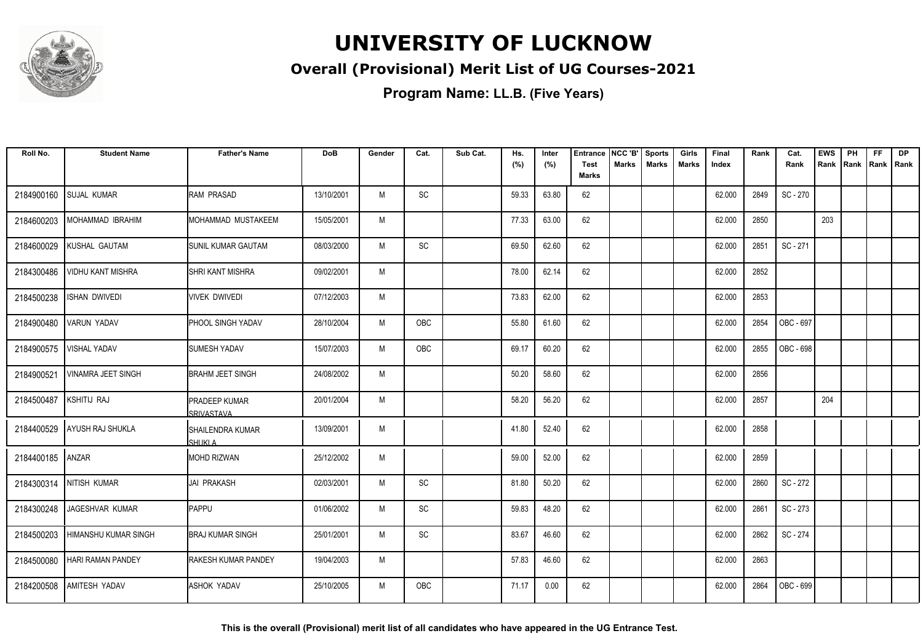

### **Overall (Provisional) Merit List of UG Courses-2021**

**Program Name: LL.B. (Five Years)**

| Roll No.   | <b>Student Name</b>         | <b>Father's Name</b>                      | <b>DoB</b> | Gender | Cat.       | Sub Cat. | Hs.   | Inter | <b>Entrance</b>             | NCC 'B' | <b>Sports</b> | Girls        | Final  | Rank | Cat.      | <b>EWS</b> | PH   | <b>FF</b>   | <b>DP</b> |
|------------|-----------------------------|-------------------------------------------|------------|--------|------------|----------|-------|-------|-----------------------------|---------|---------------|--------------|--------|------|-----------|------------|------|-------------|-----------|
|            |                             |                                           |            |        |            |          | (%)   | (%)   | <b>Test</b><br><b>Marks</b> | Marks   | <b>Marks</b>  | <b>Marks</b> | Index  |      | Rank      | Rank       | Rank | Rank   Rank |           |
| 2184900160 | <b>SUJAL KUMAR</b>          | RAM PRASAD                                | 13/10/2001 | M      | SC         |          | 59.33 | 63.80 | 62                          |         |               |              | 62.000 | 2849 | SC - 270  |            |      |             |           |
| 2184600203 | MOHAMMAD IBRAHIM            | MOHAMMAD MUSTAKEEM                        | 15/05/2001 | M      |            |          | 77.33 | 63.00 | 62                          |         |               |              | 62.000 | 2850 |           | 203        |      |             |           |
| 2184600029 | KUSHAL GAUTAM               | <b>SUNIL KUMAR GAUTAM</b>                 | 08/03/2000 | M      | SC         |          | 69.50 | 62.60 | 62                          |         |               |              | 62.000 | 2851 | SC-271    |            |      |             |           |
| 2184300486 | <b>VIDHU KANT MISHRA</b>    | <b>I</b> SHRI KANT MISHRA                 | 09/02/2001 | M      |            |          | 78.00 | 62.14 | 62                          |         |               |              | 62.000 | 2852 |           |            |      |             |           |
| 2184500238 | <b>ISHAN DWIVEDI</b>        | <b>VIVEK DWIVEDI</b>                      | 07/12/2003 | M      |            |          | 73.83 | 62.00 | 62                          |         |               |              | 62.000 | 2853 |           |            |      |             |           |
| 2184900480 | <b>VARUN YADAV</b>          | <b>PHOOL SINGH YADAV</b>                  | 28/10/2004 | M      | OBC        |          | 55.80 | 61.60 | 62                          |         |               |              | 62.000 | 2854 | OBC - 697 |            |      |             |           |
| 2184900575 | <b>VISHAL YADAV</b>         | <b>SUMESH YADAV</b>                       | 15/07/2003 | M      | OBC        |          | 69.17 | 60.20 | 62                          |         |               |              | 62.000 | 2855 | OBC - 698 |            |      |             |           |
| 2184900521 | <b>VINAMRA JEET SINGH</b>   | <b>BRAHM JEET SINGH</b>                   | 24/08/2002 | M      |            |          | 50.20 | 58.60 | 62                          |         |               |              | 62.000 | 2856 |           |            |      |             |           |
| 2184500487 | <b>KSHITIJ RAJ</b>          | <b>PRADEEP KUMAR</b><br><b>SRIVASTAVA</b> | 20/01/2004 | M      |            |          | 58.20 | 56.20 | 62                          |         |               |              | 62.000 | 2857 |           | 204        |      |             |           |
| 2184400529 | AYUSH RAJ SHUKLA            | <b>SHAILENDRA KUMAR</b><br><b>SHUKLA</b>  | 13/09/2001 | M      |            |          | 41.80 | 52.40 | 62                          |         |               |              | 62.000 | 2858 |           |            |      |             |           |
| 2184400185 | ANZAR                       | <b>MOHD RIZWAN</b>                        | 25/12/2002 | M      |            |          | 59.00 | 52.00 | 62                          |         |               |              | 62.000 | 2859 |           |            |      |             |           |
|            | 2184300314 NITISH KUMAR     | <b>JAI PRAKASH</b>                        | 02/03/2001 | M      | SC         |          | 81.80 | 50.20 | 62                          |         |               |              | 62.000 | 2860 | SC - 272  |            |      |             |           |
| 2184300248 | JAGESHVAR KUMAR             | <b>I</b> PAPPU                            | 01/06/2002 | M      | SC         |          | 59.83 | 48.20 | 62                          |         |               |              | 62.000 | 2861 | SC-273    |            |      |             |           |
| 2184500203 | <b>HIMANSHU KUMAR SINGH</b> | <b>BRAJ KUMAR SINGH</b>                   | 25/01/2001 | M      | SC         |          | 83.67 | 46.60 | 62                          |         |               |              | 62.000 | 2862 | SC - 274  |            |      |             |           |
| 2184500080 | <b>HARI RAMAN PANDEY</b>    | <b>RAKESH KUMAR PANDEY</b>                | 19/04/2003 | M      |            |          | 57.83 | 46.60 | 62                          |         |               |              | 62.000 | 2863 |           |            |      |             |           |
| 2184200508 | <b>AMITESH YADAV</b>        | <b>ASHOK YADAV</b>                        | 25/10/2005 | M      | <b>OBC</b> |          | 71.17 | 0.00  | 62                          |         |               |              | 62.000 | 2864 | OBC - 699 |            |      |             |           |

**This is the overall (Provisional) merit list of all candidates who have appeared in the UG Entrance Test.**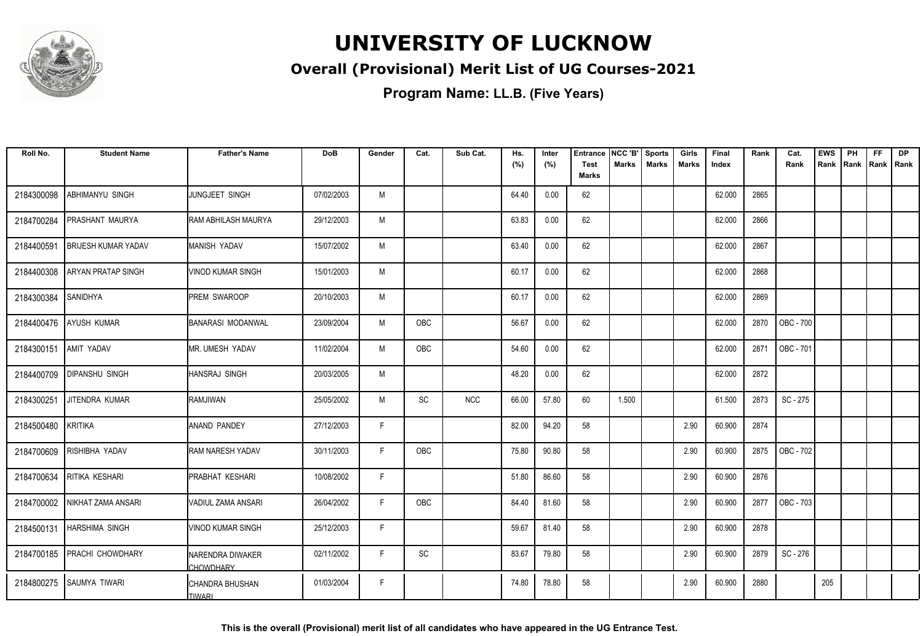

#### **Overall (Provisional) Merit List of UG Courses-2021**

**Program Name: LL.B. (Five Years)**

| Roll No.   | <b>Student Name</b>        | <b>Father's Name</b>                      | <b>DoB</b> | Gender | Cat.                         | Sub Cat.   | Hs.<br>(%) | Inter<br>(%) | <b>Entrance</b><br>Test | NCC 'B'<br><b>Marks</b> | <b>Sports</b><br><b>Marks</b> | Girls<br><b>Marks</b> | Final<br>Index | Rank | Cat.<br>Rank | <b>EWS</b><br>Rank | PH<br>Rank | <b>FF</b> | <b>DP</b><br>Rank   Rank |
|------------|----------------------------|-------------------------------------------|------------|--------|------------------------------|------------|------------|--------------|-------------------------|-------------------------|-------------------------------|-----------------------|----------------|------|--------------|--------------------|------------|-----------|--------------------------|
|            |                            |                                           |            |        |                              |            |            |              | Marks                   |                         |                               |                       |                |      |              |                    |            |           |                          |
| 2184300098 | ABHIMANYU SINGH            | JUNGJEET SINGH                            | 07/02/2003 | M      |                              |            | 64.40      | 0.00         | 62                      |                         |                               |                       | 62.000         | 2865 |              |                    |            |           |                          |
| 2184700284 | PRASHANT MAURYA            | <b>RAM ABHILASH MAURYA</b>                | 29/12/2003 | M      |                              |            | 63.83      | 0.00         | 62                      |                         |                               |                       | 62.000         | 2866 |              |                    |            |           |                          |
| 2184400591 | <b>BRIJESH KUMAR YADAV</b> | IMANISH YADAV                             | 15/07/2002 | M      |                              |            | 63.40      | 0.00         | 62                      |                         |                               |                       | 62.000         | 2867 |              |                    |            |           |                          |
| 2184400308 | <b>ARYAN PRATAP SINGH</b>  | VINOD KUMAR SINGH                         | 15/01/2003 | M      |                              |            | 60.17      | 0.00         | 62                      |                         |                               |                       | 62.000         | 2868 |              |                    |            |           |                          |
| 2184300384 | SANIDHYA                   | <b>IPREM SWAROOP</b>                      | 20/10/2003 | M      |                              |            | 60.17      | 0.00         | 62                      |                         |                               |                       | 62.000         | 2869 |              |                    |            |           |                          |
| 2184400476 | <b>AYUSH KUMAR</b>         | <b>BANARASI MODANWAL</b>                  | 23/09/2004 | M      | OBC                          |            | 56.67      | 0.00         | 62                      |                         |                               |                       | 62.000         | 2870 | OBC - 700    |                    |            |           |                          |
| 2184300151 | AMIT YADAV                 | MR. UMESH YADAV                           | 11/02/2004 | M      | OBC                          |            | 54.60      | 0.00         | 62                      |                         |                               |                       | 62.000         | 2871 | OBC - 701    |                    |            |           |                          |
| 2184400709 | <b>DIPANSHU SINGH</b>      | Ihansraj singh                            | 20/03/2005 | M      |                              |            | 48.20      | 0.00         | 62                      |                         |                               |                       | 62.000         | 2872 |              |                    |            |           |                          |
| 2184300251 | JITENDRA KUMAR             | RAMJIWAN                                  | 25/05/2002 | M      | SC                           | <b>NCC</b> | 66.00      | 57.80        | 60                      | 1.500                   |                               |                       | 61.500         | 2873 | SC - 275     |                    |            |           |                          |
| 2184500480 | <b>KRITIKA</b>             | ANAND PANDEY                              | 27/12/2003 | F.     |                              |            | 82.00      | 94.20        | 58                      |                         |                               | 2.90                  | 60.900         | 2874 |              |                    |            |           |                          |
| 2184700609 | RISHIBHA YADAV             | <b>RAM NARESH YADAV</b>                   | 30/11/2003 | F      | OBC                          |            | 75.80      | 90.80        | 58                      |                         |                               | 2.90                  | 60.900         | 2875 | OBC - 702    |                    |            |           |                          |
| 2184700634 | RITIKA KESHARI             | IPRABHAT KESHARI                          | 10/08/2002 | F.     |                              |            | 51.80      | 86.60        | 58                      |                         |                               | 2.90                  | 60.900         | 2876 |              |                    |            |           |                          |
| 2184700002 | NIKHAT ZAMA ANSARI         | VADIUL ZAMA ANSARI                        | 26/04/2002 | F      | OBC                          |            | 84.40      | 81.60        | 58                      |                         |                               | 2.90                  | 60.900         | 2877 | OBC - 703    |                    |            |           |                          |
| 2184500131 | <b>HARSHIMA SINGH</b>      | VINOD KUMAR SINGH                         | 25/12/2003 | F      |                              |            | 59.67      | 81.40        | 58                      |                         |                               | 2.90                  | 60.900         | 2878 |              |                    |            |           |                          |
| 2184700185 | <b>PRACHI CHOWDHARY</b>    | NARENDRA DIWAKER<br><b>CHOWDHARY</b>      | 02/11/2002 | F.     | $\operatorname{\textsf{SC}}$ |            | 83.67      | 79.80        | 58                      |                         |                               | 2.90                  | 60.900         | 2879 | SC-276       |                    |            |           |                          |
| 2184800275 | <b>SAUMYA TIWARI</b>       | <b>I</b> CHANDRA BHUSHAN<br><b>TIWARI</b> | 01/03/2004 | E      |                              |            | 74.80      | 78.80        | 58                      |                         |                               | 2.90                  | 60.900         | 2880 |              | 205                |            |           |                          |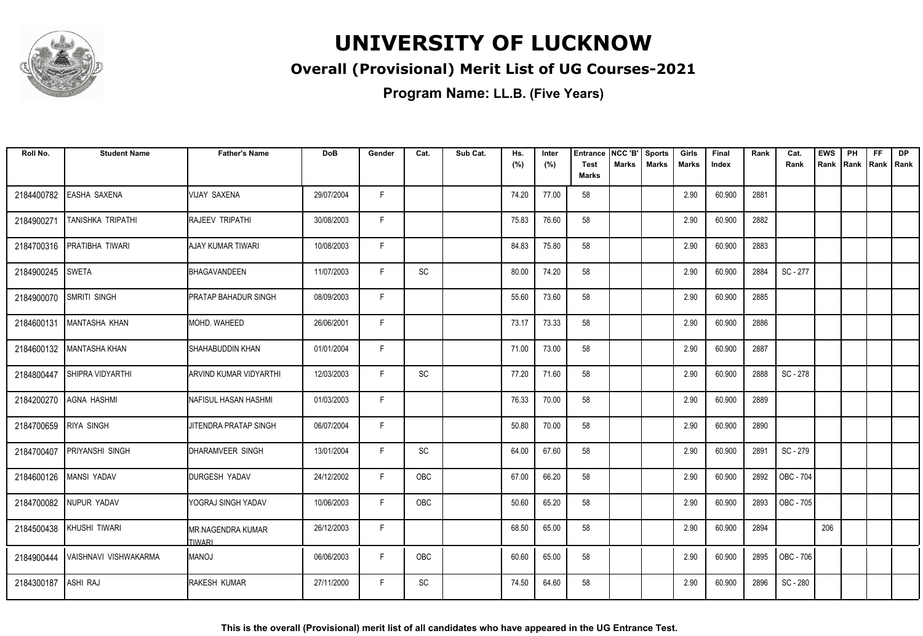

#### **Overall (Provisional) Merit List of UG Courses-2021**

| Roll No.   | <b>Student Name</b>        | <b>Father's Name</b>                      | <b>DoB</b> | Gender | Cat.       | Sub Cat. | Hs.<br>(%) | Inter<br>(%) | <b>Entrance</b><br><b>Test</b><br><b>Marks</b> | NCC 'B'<br>Marks | <b>Sports</b><br><b>Marks</b> | Girls<br>Marks | Final<br>Index | Rank | Cat.<br>Rank | <b>EWS</b><br>Rank | PH<br>Rank | <b>FF</b><br>Rank   Rank | <b>DP</b> |
|------------|----------------------------|-------------------------------------------|------------|--------|------------|----------|------------|--------------|------------------------------------------------|------------------|-------------------------------|----------------|----------------|------|--------------|--------------------|------------|--------------------------|-----------|
| 2184400782 | <b>EASHA SAXENA</b>        | <b>VIJAY SAXENA</b>                       | 29/07/2004 | F      |            |          | 74.20      | 77.00        | 58                                             |                  |                               | 2.90           | 60.900         | 2881 |              |                    |            |                          |           |
| 2184900271 | <b>TANISHKA TRIPATHI</b>   | <b>IRAJEEV TRIPATHI</b>                   | 30/08/2003 | F.     |            |          | 75.83      | 76.60        | 58                                             |                  |                               | 2.90           | 60.900         | 2882 |              |                    |            |                          |           |
| 2184700316 | PRATIBHA TIWARI            | AJAY KUMAR TIWARI                         | 10/08/2003 | F      |            |          | 84.83      | 75.80        | 58                                             |                  |                               | 2.90           | 60.900         | 2883 |              |                    |            |                          |           |
| 2184900245 | <b>SWETA</b>               | BHAGAVANDEEN                              | 11/07/2003 | F      | SC         |          | 80.00      | 74.20        | 58                                             |                  |                               | 2.90           | 60.900         | 2884 | SC - 277     |                    |            |                          |           |
| 2184900070 | SMRITI SINGH               | <b>PRATAP BAHADUR SINGH</b>               | 08/09/2003 | F      |            |          | 55.60      | 73.60        | 58                                             |                  |                               | 2.90           | 60.900         | 2885 |              |                    |            |                          |           |
| 2184600131 | MANTASHA KHAN              | MOHD. WAHEED                              | 26/06/2001 | F      |            |          | 73.17      | 73.33        | 58                                             |                  |                               | 2.90           | 60.900         | 2886 |              |                    |            |                          |           |
|            | 2184600132   MANTASHA KHAN | SHAHABUDDIN KHAN                          | 01/01/2004 | F      |            |          | 71.00      | 73.00        | 58                                             |                  |                               | 2.90           | 60.900         | 2887 |              |                    |            |                          |           |
| 2184800447 | <b>SHIPRA VIDYARTHI</b>    | ARVIND KUMAR VIDYARTHI                    | 12/03/2003 | F      | SC         |          | 77.20      | 71.60        | 58                                             |                  |                               | 2.90           | 60.900         | 2888 | SC - 278     |                    |            |                          |           |
| 2184200270 | AGNA HASHMI                | NAFISUL HASAN HASHMI                      | 01/03/2003 | F      |            |          | 76.33      | 70.00        | 58                                             |                  |                               | 2.90           | 60.900         | 2889 |              |                    |            |                          |           |
| 2184700659 | <b>RIYA SINGH</b>          | JITENDRA PRATAP SINGH                     | 06/07/2004 | F      |            |          | 50.80      | 70.00        | 58                                             |                  |                               | 2.90           | 60.900         | 2890 |              |                    |            |                          |           |
| 2184700407 | <b>PRIYANSHI SINGH</b>     | DHARAMVEER SINGH                          | 13/01/2004 | F      | SC         |          | 64.00      | 67.60        | 58                                             |                  |                               | 2.90           | 60.900         | 2891 | SC-279       |                    |            |                          |           |
| 2184600126 | MANSI YADAV                | <b>DURGESH YADAV</b>                      | 24/12/2002 | F      | <b>OBC</b> |          | 67.00      | 66.20        | 58                                             |                  |                               | 2.90           | 60.900         | 2892 | OBC - 704    |                    |            |                          |           |
|            | 2184700082 NUPUR YADAV     | YOGRAJ SINGH YADAV                        | 10/06/2003 | F.     | <b>OBC</b> |          | 50.60      | 65.20        | 58                                             |                  |                               | 2.90           | 60.900         | 2893 | OBC - 705    |                    |            |                          |           |
|            | 2184500438 KHUSHI TIWARI   | <b>MR.NAGENDRA KUMAR</b><br><b>TIWARI</b> | 26/12/2003 | F      |            |          | 68.50      | 65.00        | 58                                             |                  |                               | 2.90           | 60.900         | 2894 |              | 206                |            |                          |           |
| 2184900444 | IVAISHNAVI VISHWAKARMA     | <b>IMANOJ</b>                             | 06/06/2003 | F      | <b>OBC</b> |          | 60.60      | 65.00        | 58                                             |                  |                               | 2.90           | 60.900         | 2895 | OBC - 706    |                    |            |                          |           |
| 2184300187 | <b>ASHI RAJ</b>            | RAKESH KUMAR                              | 27/11/2000 | F.     | SC         |          | 74.50      | 64.60        | 58                                             |                  |                               | 2.90           | 60.900         | 2896 | SC - 280     |                    |            |                          |           |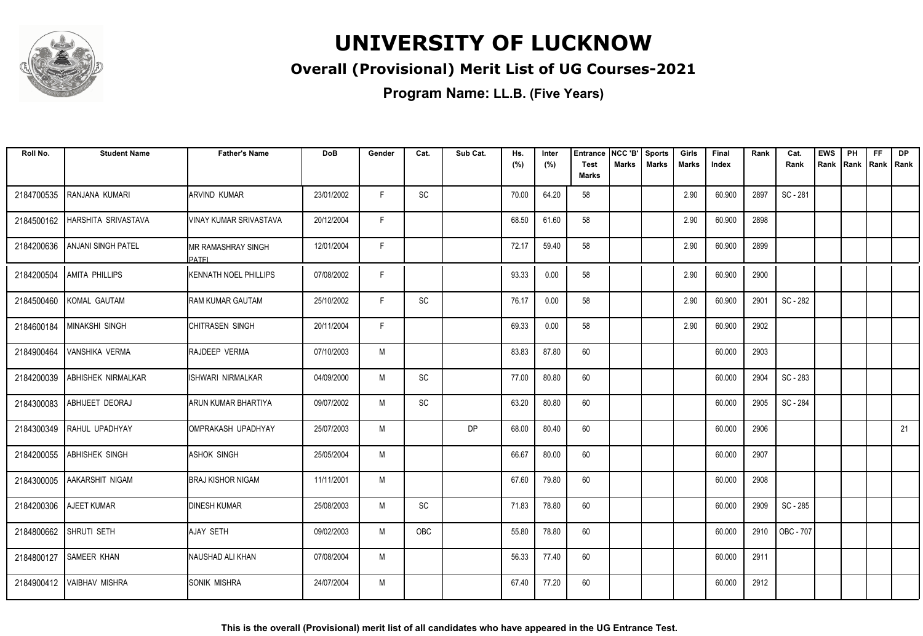

#### **Overall (Provisional) Merit List of UG Courses-2021**

**Program Name: LL.B. (Five Years)**

| Roll No.   | <b>Student Name</b>         | <b>Father's Name</b>                  | DoB        | Gender | Cat.                         | Sub Cat.  | Hs.<br>(%) | Inter<br>(%) | <b>Entrance</b><br><b>Test</b><br><b>Marks</b> | NCC 'B'<br>Marks | <b>Sports</b><br><b>Marks</b> | Girls<br>Marks | Final<br>Index | Rank | Cat.<br>Rank | <b>EWS</b><br>Rank | PH | FF.<br>Rank   Rank   Rank | <b>DP</b> |
|------------|-----------------------------|---------------------------------------|------------|--------|------------------------------|-----------|------------|--------------|------------------------------------------------|------------------|-------------------------------|----------------|----------------|------|--------------|--------------------|----|---------------------------|-----------|
| 2184700535 | RANJANA KUMARI              | <b>ARVIND KUMAR</b>                   | 23/01/2002 | F.     | SC                           |           | 70.00      | 64.20        | 58                                             |                  |                               | 2.90           | 60.900         | 2897 | SC - 281     |                    |    |                           |           |
| 2184500162 | HARSHITA SRIVASTAVA         | IVINAY KUMAR SRIVASTAVA               | 20/12/2004 | F.     |                              |           | 68.50      | 61.60        | 58                                             |                  |                               | 2.90           | 60.900         | 2898 |              |                    |    |                           |           |
| 2184200636 | <b>ANJANI SINGH PATEL</b>   | IMR RAMASHRAY SINGH<br><b>I</b> PATFI | 12/01/2004 | F      |                              |           | 72.17      | 59.40        | 58                                             |                  |                               | 2.90           | 60.900         | 2899 |              |                    |    |                           |           |
| 2184200504 | <b>AMITA PHILLIPS</b>       | <b>KENNATH NOEL PHILLIPS</b>          | 07/08/2002 | F      |                              |           | 93.33      | 0.00         | 58                                             |                  |                               | 2.90           | 60.900         | 2900 |              |                    |    |                           |           |
| 2184500460 | KOMAL GAUTAM                | <b>RAM KUMAR GAUTAM</b>               | 25/10/2002 | F      | $\operatorname{\textsf{SC}}$ |           | 76.17      | 0.00         | 58                                             |                  |                               | 2.90           | 60.900         | 2901 | SC - 282     |                    |    |                           |           |
| 2184600184 | <b>IMINAKSHI SINGH</b>      | <b>CHITRASEN SINGH</b>                | 20/11/2004 | F      |                              |           | 69.33      | 0.00         | 58                                             |                  |                               | 2.90           | 60.900         | 2902 |              |                    |    |                           |           |
| 2184900464 | <b>VANSHIKA VERMA</b>       | <b>RAJDEEP VERMA</b>                  | 07/10/2003 | M      |                              |           | 83.83      | 87.80        | 60                                             |                  |                               |                | 60.000         | 2903 |              |                    |    |                           |           |
| 2184200039 | ABHISHEK NIRMALKAR          | IISHWARI NIRMALKAR                    | 04/09/2000 | M      | SC                           |           | 77.00      | 80.80        | 60                                             |                  |                               |                | 60.000         | 2904 | SC - 283     |                    |    |                           |           |
| 2184300083 | ABHIJEET DEORAJ             | ARUN KUMAR BHARTIYA                   | 09/07/2002 | M      | SC                           |           | 63.20      | 80.80        | 60                                             |                  |                               |                | 60.000         | 2905 | SC - 284     |                    |    |                           |           |
| 2184300349 | RAHUL UPADHYAY              | OMPRAKASH UPADHYAY                    | 25/07/2003 | M      |                              | <b>DP</b> | 68.00      | 80.40        | 60                                             |                  |                               |                | 60.000         | 2906 |              |                    |    |                           | 21        |
| 2184200055 | <b>ABHISHEK SINGH</b>       | <b>I</b> ASHOK SINGH                  | 25/05/2004 | M      |                              |           | 66.67      | 80.00        | 60                                             |                  |                               |                | 60.000         | 2907 |              |                    |    |                           |           |
|            | 2184300005 AAKARSHIT NIGAM  | <b>BRAJ KISHOR NIGAM</b>              | 11/11/2001 | M      |                              |           | 67.60      | 79.80        | 60                                             |                  |                               |                | 60.000         | 2908 |              |                    |    |                           |           |
| 2184200306 | AJEET KUMAR                 | <b>DINESH KUMAR</b>                   | 25/08/2003 | M      | SC                           |           | 71.83      | 78.80        | 60                                             |                  |                               |                | 60.000         | 2909 | SC - 285     |                    |    |                           |           |
|            | 2184800662 SHRUTI SETH      | AJAY SETH                             | 09/02/2003 | M      | <b>OBC</b>                   |           | 55.80      | 78.80        | 60                                             |                  |                               |                | 60.000         | 2910 | OBC - 707    |                    |    |                           |           |
| 2184800127 | <b>SAMEER KHAN</b>          | NAUSHAD ALI KHAN                      | 07/08/2004 | M      |                              |           | 56.33      | 77.40        | 60                                             |                  |                               |                | 60.000         | 2911 |              |                    |    |                           |           |
|            | 2184900412   VAIBHAV MISHRA | <b>ISONIK MISHRA</b>                  | 24/07/2004 | M      |                              |           | 67.40      | 77.20        | 60                                             |                  |                               |                | 60.000         | 2912 |              |                    |    |                           |           |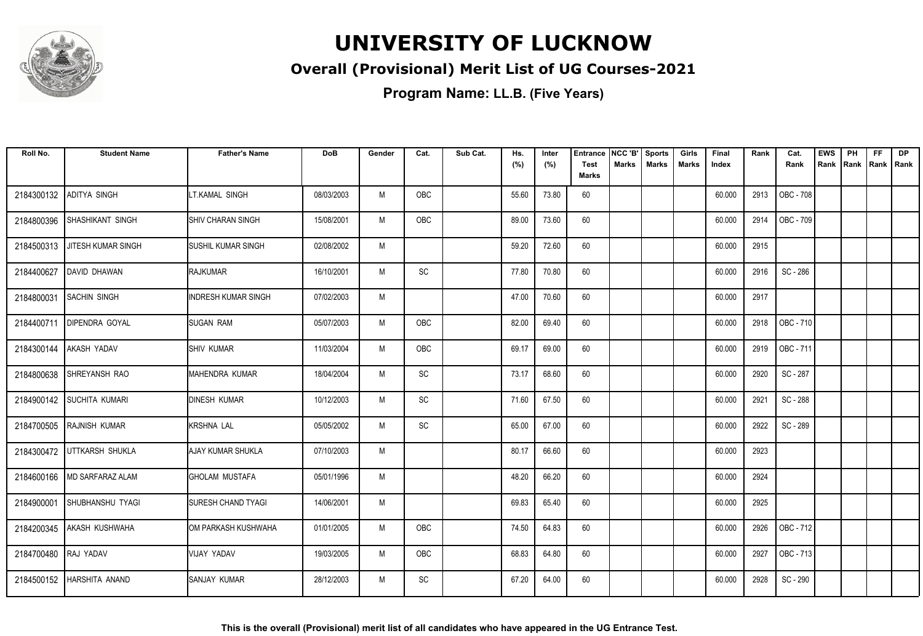

#### **Overall (Provisional) Merit List of UG Courses-2021**

| Roll No.             | <b>Student Name</b>        | <b>Father's Name</b>        | <b>DoB</b> | Gender | Cat.       | Sub Cat. | Hs.<br>(%) | Inter<br>(%) | <b>Entrance</b><br><b>Test</b> | NCC 'B'<br>Marks | <b>Sports</b><br><b>Marks</b> | Girls<br><b>Marks</b> | Final<br>Index | Rank | Cat.<br>Rank | <b>EWS</b><br>Rank | PH<br>Rank | <b>FF</b><br>Rank   Rank | <b>DP</b> |
|----------------------|----------------------------|-----------------------------|------------|--------|------------|----------|------------|--------------|--------------------------------|------------------|-------------------------------|-----------------------|----------------|------|--------------|--------------------|------------|--------------------------|-----------|
|                      |                            |                             |            |        |            |          |            |              | <b>Marks</b>                   |                  |                               |                       |                |      |              |                    |            |                          |           |
| 2184300132           | ADITYA SINGH               | LT.KAMAL SINGH              | 08/03/2003 | M      | OBC        |          | 55.60      | 73.80        | 60                             |                  |                               |                       | 60.000         | 2913 | OBC - 708    |                    |            |                          |           |
| 2184800396           | <b>SHASHIKANT SINGH</b>    | SHIV CHARAN SINGH           | 15/08/2001 | M      | OBC        |          | 89.00      | 73.60        | 60                             |                  |                               |                       | 60.000         | 2914 | OBC - 709    |                    |            |                          |           |
| 2184500313           | JITESH KUMAR SINGH         | <b>I</b> SUSHIL KUMAR SINGH | 02/08/2002 | M      |            |          | 59.20      | 72.60        | 60                             |                  |                               |                       | 60.000         | 2915 |              |                    |            |                          |           |
| 2184400627           | DAVID DHAWAN               | <b>RAJKUMAR</b>             | 16/10/2001 | M      | SC         |          | 77.80      | 70.80        | 60                             |                  |                               |                       | 60.000         | 2916 | SC - 286     |                    |            |                          |           |
| 2184800031           | <b>SACHIN SINGH</b>        | <b>INDRESH KUMAR SINGH</b>  | 07/02/2003 | M      |            |          | 47.00      | 70.60        | 60                             |                  |                               |                       | 60.000         | 2917 |              |                    |            |                          |           |
|                      | 2184400711 DIPENDRA GOYAL  | <b>SUGAN RAM</b>            | 05/07/2003 | M      | <b>OBC</b> |          | 82.00      | 69.40        | 60                             |                  |                               |                       | 60.000         | 2918 | OBC - 710    |                    |            |                          |           |
| 2184300144           | <b>AKASH YADAV</b>         | <b>SHIV KUMAR</b>           | 11/03/2004 | M      | OBC        |          | 69.17      | 69.00        | 60                             |                  |                               |                       | 60.000         | 2919 | OBC - 711    |                    |            |                          |           |
| 2184800638           | ISHREYANSH RAO             | MAHENDRA KUMAR              | 18/04/2004 | M      | SC         |          | 73.17      | 68.60        | 60                             |                  |                               |                       | 60.000         | 2920 | SC - 287     |                    |            |                          |           |
|                      | 2184900142 SUCHITA KUMARI  | <b>DINESH KUMAR</b>         | 10/12/2003 | M      | SC         |          | 71.60      | 67.50        | 60                             |                  |                               |                       | 60.000         | 2921 | SC - 288     |                    |            |                          |           |
| 2184700505           | <b>RAJNISH KUMAR</b>       | <b>KRSHNA LAL</b>           | 05/05/2002 | M      | SC         |          | 65.00      | 67.00        | 60                             |                  |                               |                       | 60.000         | 2922 | SC - 289     |                    |            |                          |           |
|                      | 2184300472 UTTKARSH SHUKLA | <b>AJAY KUMAR SHUKLA</b>    | 07/10/2003 | M      |            |          | 80.17      | 66.60        | 60                             |                  |                               |                       | 60.000         | 2923 |              |                    |            |                          |           |
| 2184600166           | MD SARFARAZ ALAM           | <b>GHOLAM MUSTAFA</b>       | 05/01/1996 | M      |            |          | 48.20      | 66.20        | 60                             |                  |                               |                       | 60.000         | 2924 |              |                    |            |                          |           |
| 2184900001           | <b>SHUBHANSHU TYAGI</b>    | <b>SURESH CHAND TYAGI</b>   | 14/06/2001 | M      |            |          | 69.83      | 65.40        | 60                             |                  |                               |                       | 60.000         | 2925 |              |                    |            |                          |           |
|                      | 2184200345 AKASH KUSHWAHA  | OM PARKASH KUSHWAHA         | 01/01/2005 | M      | <b>OBC</b> |          | 74.50      | 64.83        | 60                             |                  |                               |                       | 60.000         | 2926 | OBC - 712    |                    |            |                          |           |
| 2184700480 RAJ YADAV |                            | VIJAY YADAV                 | 19/03/2005 | M      | OBC        |          | 68.83      | 64.80        | 60                             |                  |                               |                       | 60.000         | 2927 | OBC - 713    |                    |            |                          |           |
|                      | 2184500152 HARSHITA ANAND  | SANJAY KUMAR                | 28/12/2003 | M      | SC         |          | 67.20      | 64.00        | 60                             |                  |                               |                       | 60.000         | 2928 | SC - 290     |                    |            |                          |           |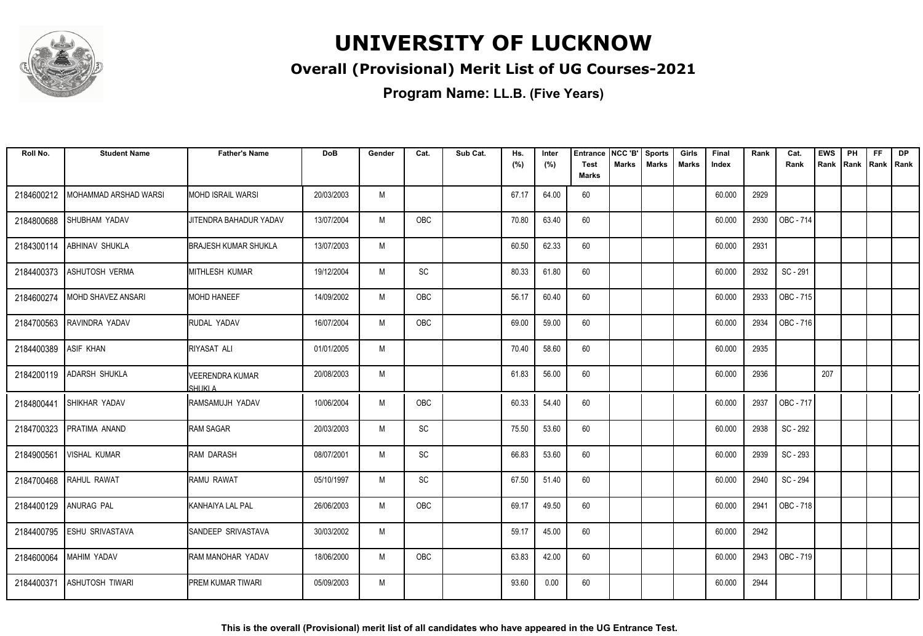

#### **Overall (Provisional) Merit List of UG Courses-2021**

| Roll No.              | <b>Student Name</b>      | <b>Father's Name</b>              | DoB        | Gender | Cat.                         | Sub Cat. | Hs.<br>(%) | Inter<br>(%) | <b>Entrance</b><br>Test | NCC 'B'<br><b>Marks</b> | <b>Sports</b><br><b>Marks</b> | Girls<br><b>Marks</b> | Final<br>Index | Rank | Cat.<br>Rank | <b>EWS</b><br>Rank | PH<br>Rank | FF<br>Rank   Rank | <b>DP</b> |
|-----------------------|--------------------------|-----------------------------------|------------|--------|------------------------------|----------|------------|--------------|-------------------------|-------------------------|-------------------------------|-----------------------|----------------|------|--------------|--------------------|------------|-------------------|-----------|
|                       |                          |                                   |            |        |                              |          |            |              | <b>Marks</b>            |                         |                               |                       |                |      |              |                    |            |                   |           |
| 2184600212            | MOHAMMAD ARSHAD WARSI    | <b>I</b> MOHD ISRAIL WARSI        | 20/03/2003 | M      |                              |          | 67.17      | 64.00        | 60                      |                         |                               |                       | 60.000         | 2929 |              |                    |            |                   |           |
| 2184800688            | <b>SHUBHAM YADAV</b>     | JITENDRA BAHADUR YADAV            | 13/07/2004 | M      | <b>OBC</b>                   |          | 70.80      | 63.40        | 60                      |                         |                               |                       | 60.000         | 2930 | OBC - 714    |                    |            |                   |           |
| 2184300114            | <b>ABHINAV SHUKLA</b>    | <b>BRAJESH KUMAR SHUKLA</b>       | 13/07/2003 | M      |                              |          | 60.50      | 62.33        | 60                      |                         |                               |                       | 60.000         | 2931 |              |                    |            |                   |           |
| 2184400373            | ASHUTOSH VERMA           | MITHLESH KUMAR                    | 19/12/2004 | M      | SC                           |          | 80.33      | 61.80        | 60                      |                         |                               |                       | 60.000         | 2932 | SC - 291     |                    |            |                   |           |
| 2184600274            | MOHD SHAVEZ ANSARI       | <b>MOHD HANEEF</b>                | 14/09/2002 | M      | OBC                          |          | 56.17      | 60.40        | 60                      |                         |                               |                       | 60.000         | 2933 | OBC - 715    |                    |            |                   |           |
| 2184700563            | RAVINDRA YADAV           | <b>IRUDAL YADAV</b>               | 16/07/2004 | M      | OBC                          |          | 69.00      | 59.00        | 60                      |                         |                               |                       | 60.000         | 2934 | OBC - 716    |                    |            |                   |           |
| 2184400389            | <b>ASIF KHAN</b>         | <b>RIYASAT ALI</b>                | 01/01/2005 | M      |                              |          | 70.40      | 58.60        | 60                      |                         |                               |                       | 60.000         | 2935 |              |                    |            |                   |           |
|                       | 2184200119 ADARSH SHUKLA | <b>VEERENDRA KUMAR</b><br>SHUKI A | 20/08/2003 | M      |                              |          | 61.83      | 56.00        | 60                      |                         |                               |                       | 60.000         | 2936 |              | 207                |            |                   |           |
| 2184800441            | <b>SHIKHAR YADAV</b>     | <b>I</b> RAMSAMUJH YADAV          | 10/06/2004 | M      | OBC                          |          | 60.33      | 54.40        | 60                      |                         |                               |                       | 60.000         | 2937 | OBC - 717    |                    |            |                   |           |
| 2184700323            | PRATIMA ANAND            | <b>RAM SAGAR</b>                  | 20/03/2003 | M      | $\operatorname{\textsf{SC}}$ |          | 75.50      | 53.60        | 60                      |                         |                               |                       | 60.000         | 2938 | SC - 292     |                    |            |                   |           |
| 2184900561            | <b>VISHAL KUMAR</b>      | IRAM DARASH                       | 08/07/2001 | M      | $\operatorname{\textsf{SC}}$ |          | 66.83      | 53.60        | 60                      |                         |                               |                       | 60.000         | 2939 | SC - 293     |                    |            |                   |           |
| 2184700468            | <b>RAHUL RAWAT</b>       | IRAMU RAWAT                       | 05/10/1997 | M      | SC                           |          | 67.50      | 51.40        | 60                      |                         |                               |                       | 60.000         | 2940 | SC - 294     |                    |            |                   |           |
| 2184400129 ANURAG PAL |                          | <b>KANHAIYA LAL PAL</b>           | 26/06/2003 | M      | <b>OBC</b>                   |          | 69.17      | 49.50        | 60                      |                         |                               |                       | 60.000         | 2941 | OBC - 718    |                    |            |                   |           |
| 2184400795            | <b>ESHU SRIVASTAVA</b>   | SANDEEP SRIVASTAVA                | 30/03/2002 | M      |                              |          | 59.17      | 45.00        | 60                      |                         |                               |                       | 60.000         | 2942 |              |                    |            |                   |           |
| 2184600064            | MAHIM YADAV              | RAM MANOHAR YADAV                 | 18/06/2000 | M      | OBC                          |          | 63.83      | 42.00        | 60                      |                         |                               |                       | 60.000         | 2943 | OBC - 719    |                    |            |                   |           |
| 2184400371            | <b>ASHUTOSH TIWARI</b>   | IPREM KUMAR TIWARI                | 05/09/2003 | M      |                              |          | 93.60      | 0.00         | 60                      |                         |                               |                       | 60.000         | 2944 |              |                    |            |                   |           |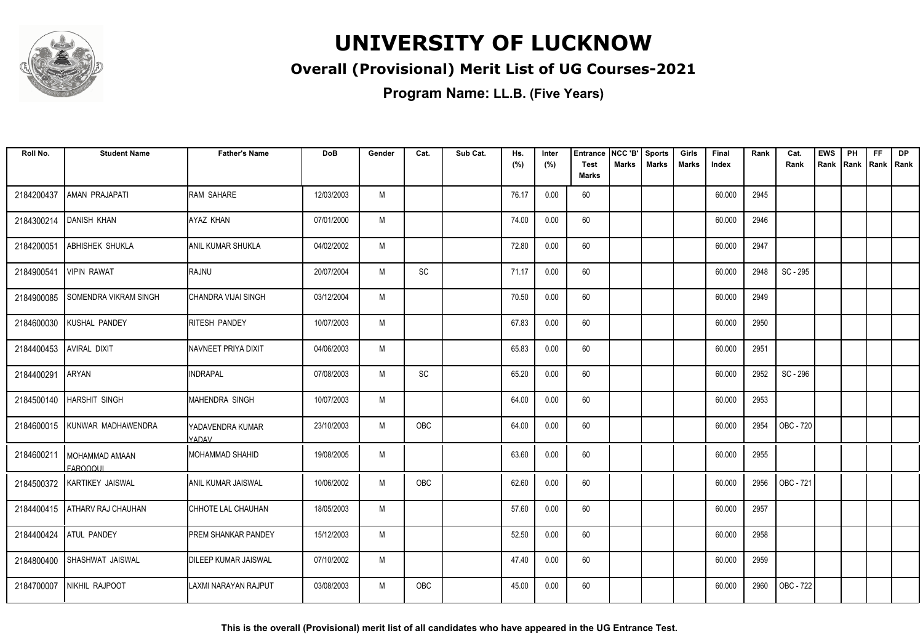

#### **Overall (Provisional) Merit List of UG Courses-2021**

| Roll No.   | <b>Student Name</b>                 | <b>Father's Name</b>             | <b>DoB</b> | Gender | Cat.       | Sub Cat. | Hs.<br>(%) | Inter<br>(%) | <b>Entrance</b><br><b>Test</b> | NCC 'B'<br>Marks | <b>Sports</b><br><b>Marks</b> | Girls<br><b>Marks</b> | Final<br>Index | Rank | Cat.<br>Rank | <b>EWS</b><br>Rank | PH<br>Rank Rank Rank | <b>FF</b> | <b>DP</b> |
|------------|-------------------------------------|----------------------------------|------------|--------|------------|----------|------------|--------------|--------------------------------|------------------|-------------------------------|-----------------------|----------------|------|--------------|--------------------|----------------------|-----------|-----------|
|            |                                     |                                  |            |        |            |          |            |              | <b>Marks</b>                   |                  |                               |                       |                |      |              |                    |                      |           |           |
| 2184200437 | AMAN PRAJAPATI                      | RAM SAHARE                       | 12/03/2003 | M      |            |          | 76.17      | 0.00         | 60                             |                  |                               |                       | 60.000         | 2945 |              |                    |                      |           |           |
| 2184300214 | <b>DANISH KHAN</b>                  | AYAZ KHAN                        | 07/01/2000 | M      |            |          | 74.00      | 0.00         | 60                             |                  |                               |                       | 60.000         | 2946 |              |                    |                      |           |           |
| 2184200051 | <b>ABHISHEK SHUKLA</b>              | <b>ANIL KUMAR SHUKLA</b>         | 04/02/2002 | M      |            |          | 72.80      | 0.00         | 60                             |                  |                               |                       | 60.000         | 2947 |              |                    |                      |           |           |
| 2184900541 | <b>VIPIN RAWAT</b>                  | <b>I</b> RAJNU                   | 20/07/2004 | M      | SC         |          | 71.17      | 0.00         | 60                             |                  |                               |                       | 60.000         | 2948 | SC - 295     |                    |                      |           |           |
| 2184900085 | SOMENDRA VIKRAM SINGH               | <b>CHANDRA VIJAI SINGH</b>       | 03/12/2004 | M      |            |          | 70.50      | 0.00         | 60                             |                  |                               |                       | 60.000         | 2949 |              |                    |                      |           |           |
| 2184600030 | KUSHAL PANDEY                       | <b>RITESH PANDEY</b>             | 10/07/2003 | M      |            |          | 67.83      | 0.00         | 60                             |                  |                               |                       | 60.000         | 2950 |              |                    |                      |           |           |
| 2184400453 | <b>AVIRAL DIXIT</b>                 | NAVNEET PRIYA DIXIT              | 04/06/2003 | M      |            |          | 65.83      | 0.00         | 60                             |                  |                               |                       | 60.000         | 2951 |              |                    |                      |           |           |
| 2184400291 | <b>ARYAN</b>                        | <b>INDRAPAL</b>                  | 07/08/2003 | M      | SC         |          | 65.20      | 0.00         | 60                             |                  |                               |                       | 60.000         | 2952 | SC - 296     |                    |                      |           |           |
|            | 2184500140   HARSHIT SINGH          | <b>MAHENDRA SINGH</b>            | 10/07/2003 | M      |            |          | 64.00      | 0.00         | 60                             |                  |                               |                       | 60.000         | 2953 |              |                    |                      |           |           |
| 2184600015 | KUNWAR MADHAWENDRA                  | YADAVENDRA KUMAR<br><b>YADAV</b> | 23/10/2003 | M      | OBC        |          | 64.00      | 0.00         | 60                             |                  |                               |                       | 60.000         | 2954 | OBC - 720    |                    |                      |           |           |
| 2184600211 | I MOHAMMAD AMAAN<br><b>FAROOQUI</b> | <b>MOHAMMAD SHAHID</b>           | 19/08/2005 | M      |            |          | 63.60      | 0.00         | 60                             |                  |                               |                       | 60.000         | 2955 |              |                    |                      |           |           |
|            | 2184500372 KARTIKEY JAISWAL         | <b>JANIL KUMAR JAISWAL</b>       | 10/06/2002 | M      | <b>OBC</b> |          | 62.60      | 0.00         | 60                             |                  |                               |                       | 60.000         | 2956 | OBC - 721    |                    |                      |           |           |
|            | 2184400415   ATHARV RAJ CHAUHAN     | CHHOTE LAL CHAUHAN               | 18/05/2003 | M      |            |          | 57.60      | 0.00         | 60                             |                  |                               |                       | 60.000         | 2957 |              |                    |                      |           |           |
| 2184400424 | <b>ATUL PANDEY</b>                  | PREM SHANKAR PANDEY              | 15/12/2003 | M      |            |          | 52.50      | 0.00         | 60                             |                  |                               |                       | 60.000         | 2958 |              |                    |                      |           |           |
| 2184800400 | SHASHWAT JAISWAL                    | <b>DILEEP KUMAR JAISWAL</b>      | 07/10/2002 | M      |            |          | 47.40      | 0.00         | 60                             |                  |                               |                       | 60.000         | 2959 |              |                    |                      |           |           |
| 2184700007 | NIKHIL RAJPOOT                      | LAXMI NARAYAN RAJPUT             | 03/08/2003 | M      | <b>OBC</b> |          | 45.00      | 0.00         | 60                             |                  |                               |                       | 60.000         | 2960 | OBC - 722    |                    |                      |           |           |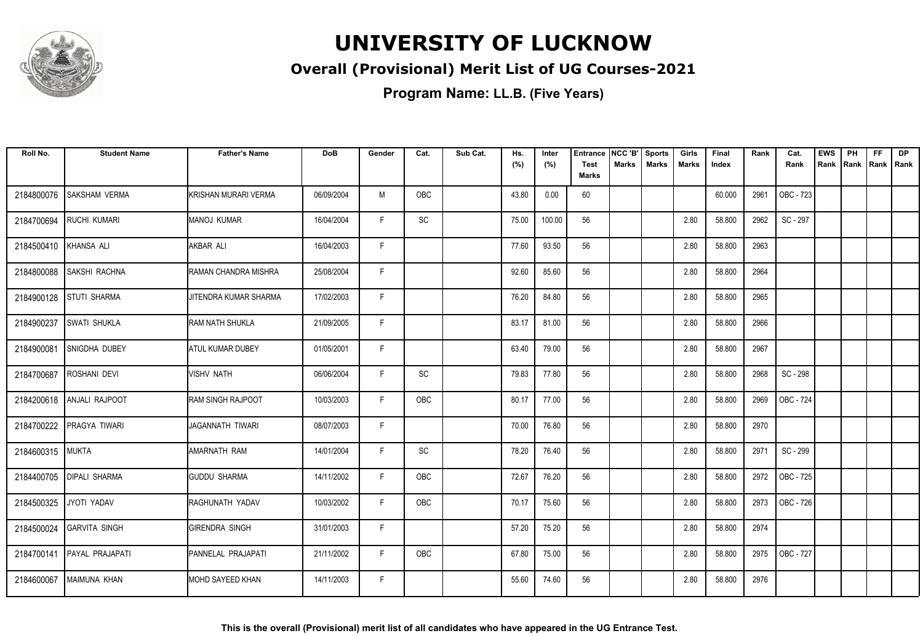

#### **Overall (Provisional) Merit List of UG Courses-2021**

| Roll No.              | <b>Student Name</b>         | <b>Father's Name</b>     | <b>DoB</b> | Gender | Cat.       | Sub Cat. | Hs.<br>(%) | Inter<br>(%) | <b>Entrance</b><br><b>Test</b> | NCC 'B'<br>Marks | Sports<br><b>Marks</b> | Girls<br>Marks | Final<br>Index | Rank | Cat.<br>Rank | <b>EWS</b><br>Rank | PH<br>Rank Rank Rank | <b>FF</b> | <b>DP</b> |
|-----------------------|-----------------------------|--------------------------|------------|--------|------------|----------|------------|--------------|--------------------------------|------------------|------------------------|----------------|----------------|------|--------------|--------------------|----------------------|-----------|-----------|
|                       |                             |                          |            |        |            |          |            |              | <b>Marks</b>                   |                  |                        |                |                |      |              |                    |                      |           |           |
| 2184800076            | <b>SAKSHAM VERMA</b>        | KRISHAN MURARI VERMA     | 06/09/2004 | M      | <b>OBC</b> |          | 43.80      | 0.00         | 60                             |                  |                        |                | 60.000         | 2961 | OBC - 723    |                    |                      |           |           |
| 2184700694            | <b>RUCHI KUMARI</b>         | <b>MANOJ KUMAR</b>       | 16/04/2004 | F.     | SC         |          | 75.00      | 100.00       | 56                             |                  |                        | 2.80           | 58.800         | 2962 | SC - 297     |                    |                      |           |           |
| 2184500410 KHANSA ALI |                             | AKBAR ALI                | 16/04/2003 | F      |            |          | 77.60      | 93.50        | 56                             |                  |                        | 2.80           | 58.800         | 2963 |              |                    |                      |           |           |
| 2184800088            | <b>SAKSHI RACHNA</b>        | RAMAN CHANDRA MISHRA     | 25/08/2004 | F      |            |          | 92.60      | 85.60        | 56                             |                  |                        | 2.80           | 58.800         | 2964 |              |                    |                      |           |           |
| 2184900128            | <b>STUTI SHARMA</b>         | JITENDRA KUMAR SHARMA    | 17/02/2003 | F      |            |          | 76.20      | 84.80        | 56                             |                  |                        | 2.80           | 58.800         | 2965 |              |                    |                      |           |           |
| 2184900237            | <b>SWATI SHUKLA</b>         | RAM NATH SHUKLA          | 21/09/2005 | F      |            |          | 83.17      | 81.00        | 56                             |                  |                        | 2.80           | 58.800         | 2966 |              |                    |                      |           |           |
| 2184900081            | <b>SNIGDHA DUBEY</b>        | <b>ATUL KUMAR DUBEY</b>  | 01/05/2001 | F      |            |          | 63.40      | 79.00        | 56                             |                  |                        | 2.80           | 58.800         | 2967 |              |                    |                      |           |           |
| 2184700687            | <b>ROSHANI DEVI</b>         | VISHV NATH               | 06/06/2004 | F.     | SC         |          | 79.83      | 77.80        | 56                             |                  |                        | 2.80           | 58.800         | 2968 | SC - 298     |                    |                      |           |           |
|                       | 2184200618   ANJALI RAJPOOT | <b>RAM SINGH RAJPOOT</b> | 10/03/2003 | F.     | <b>OBC</b> |          | 80.17      | 77.00        | 56                             |                  |                        | 2.80           | 58.800         | 2969 | OBC - 724    |                    |                      |           |           |
| 2184700222            | <b>PRAGYA TIWARI</b>        | JAGANNATH TIWARI         | 08/07/2003 | F      |            |          | 70.00      | 76.80        | 56                             |                  |                        | 2.80           | 58.800         | 2970 |              |                    |                      |           |           |
| 2184600315 MUKTA      |                             | <b>AMARNATH RAM</b>      | 14/01/2004 | F      | SC         |          | 78.20      | 76.40        | 56                             |                  |                        | 2.80           | 58.800         | 2971 | SC - 299     |                    |                      |           |           |
| 2184400705            | <b>DIPALI SHARMA</b>        | <b>GUDDU SHARMA</b>      | 14/11/2002 | F      | OBC        |          | 72.67      | 76.20        | 56                             |                  |                        | 2.80           | 58.800         | 2972 | OBC - 725    |                    |                      |           |           |
| 2184500325            | JYOTI YADAV                 | RAGHUNATH YADAV          | 10/03/2002 | F.     | OBC        |          | 70.17      | 75.60        | 56                             |                  |                        | 2.80           | 58.800         | 2973 | OBC - 726    |                    |                      |           |           |
|                       | 2184500024 GARVITA SINGH    | <b>IGIRENDRA SINGH</b>   | 31/01/2003 | F      |            |          | 57.20      | 75.20        | 56                             |                  |                        | 2.80           | 58.800         | 2974 |              |                    |                      |           |           |
| 2184700141            | PAYAL PRAJAPATI             | PANNELAL PRAJAPATI       | 21/11/2002 | F      | OBC        |          | 67.80      | 75.00        | 56                             |                  |                        | 2.80           | 58.800         | 2975 | OBC - 727    |                    |                      |           |           |
| 2184600067            | MAIMUNA KHAN                | IMOHD SAYEED KHAN        | 14/11/2003 | F.     |            |          | 55.60      | 74.60        | 56                             |                  |                        | 2.80           | 58.800         | 2976 |              |                    |                      |           |           |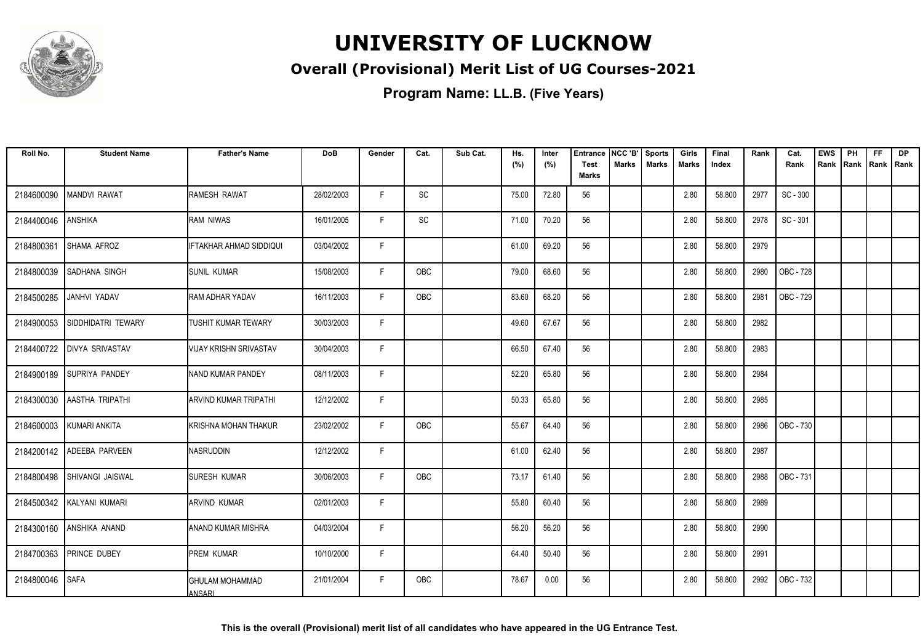

#### **Overall (Provisional) Merit List of UG Courses-2021**

| Roll No.   | <b>Student Name</b>       | <b>Father's Name</b>             | <b>DoB</b> | Gender | Cat. | Sub Cat. | Hs.<br>(%) | Inter<br>(%) | <b>Entrance</b><br><b>Test</b> | NCC 'B'<br>Marks | <b>Sports</b><br><b>Marks</b> | Girls<br>Marks | Final<br>Index | Rank | Cat.<br>Rank | <b>EWS</b><br>Rank | PH<br>Rank | <b>FF</b> | <b>DP</b><br>Rank   Rank |
|------------|---------------------------|----------------------------------|------------|--------|------|----------|------------|--------------|--------------------------------|------------------|-------------------------------|----------------|----------------|------|--------------|--------------------|------------|-----------|--------------------------|
|            |                           |                                  |            |        |      |          |            |              | <b>Marks</b>                   |                  |                               |                |                |      |              |                    |            |           |                          |
| 2184600090 | <b>MANDVI RAWAT</b>       | RAMESH RAWAT                     | 28/02/2003 | F.     | SC   |          | 75.00      | 72.80        | 56                             |                  |                               | 2.80           | 58.800         | 2977 | SC - 300     |                    |            |           |                          |
| 2184400046 | <b>ANSHIKA</b>            | RAM NIWAS                        | 16/01/2005 | F.     | SC   |          | 71.00      | 70.20        | 56                             |                  |                               | 2.80           | 58.800         | 2978 | SC - 301     |                    |            |           |                          |
| 2184800361 | SHAMA AFROZ               | <b>IFTAKHAR AHMAD SIDDIQUI</b>   | 03/04/2002 | F      |      |          | 61.00      | 69.20        | 56                             |                  |                               | 2.80           | 58.800         | 2979 |              |                    |            |           |                          |
| 2184800039 | SADHANA SINGH             | <b>SUNIL KUMAR</b>               | 15/08/2003 | F      | OBC  |          | 79.00      | 68.60        | 56                             |                  |                               | 2.80           | 58.800         | 2980 | OBC - 728    |                    |            |           |                          |
| 2184500285 | JANHVI YADAV              | <b>RAM ADHAR YADAV</b>           | 16/11/2003 | F.     | OBC  |          | 83.60      | 68.20        | 56                             |                  |                               | 2.80           | 58.800         | 2981 | OBC - 729    |                    |            |           |                          |
| 2184900053 | SIDDHIDATRI TEWARY        | TUSHIT KUMAR TEWARY              | 30/03/2003 | F.     |      |          | 49.60      | 67.67        | 56                             |                  |                               | 2.80           | 58.800         | 2982 |              |                    |            |           |                          |
| 2184400722 | <b>DIVYA SRIVASTAV</b>    | <b>VIJAY KRISHN SRIVASTAV</b>    | 30/04/2003 | F      |      |          | 66.50      | 67.40        | 56                             |                  |                               | 2.80           | 58.800         | 2983 |              |                    |            |           |                          |
|            | 2184900189 SUPRIYA PANDEY | NAND KUMAR PANDEY                | 08/11/2003 | F      |      |          | 52.20      | 65.80        | 56                             |                  |                               | 2.80           | 58.800         | 2984 |              |                    |            |           |                          |
| 2184300030 | <b>AASTHA TRIPATHI</b>    | <b>ARVIND KUMAR TRIPATHI</b>     | 12/12/2002 | F      |      |          | 50.33      | 65.80        | 56                             |                  |                               | 2.80           | 58.800         | 2985 |              |                    |            |           |                          |
| 2184600003 | KUMARI ANKITA             | KRISHNA MOHAN THAKUR             | 23/02/2002 | F.     | OBC  |          | 55.67      | 64.40        | 56                             |                  |                               | 2.80           | 58.800         | 2986 | OBC - 730    |                    |            |           |                          |
| 2184200142 | ADEEBA PARVEEN            | <b>NASRUDDIN</b>                 | 12/12/2002 | F      |      |          | 61.00      | 62.40        | 56                             |                  |                               | 2.80           | 58.800         | 2987 |              |                    |            |           |                          |
| 2184800498 | <b>SHIVANGI JAISWAL</b>   | <b>SURESH KUMAR</b>              | 30/06/2003 | F      | OBC  |          | 73.17      | 61.40        | 56                             |                  |                               | 2.80           | 58.800         | 2988 | OBC - 731    |                    |            |           |                          |
|            | 2184500342 KALYANI KUMARI | <b>ARVIND KUMAR</b>              | 02/01/2003 | F      |      |          | 55.80      | 60.40        | 56                             |                  |                               | 2.80           | 58.800         | 2989 |              |                    |            |           |                          |
| 2184300160 | <b>ANSHIKA ANAND</b>      | <b>ANAND KUMAR MISHRA</b>        | 04/03/2004 | F      |      |          | 56.20      | 56.20        | 56                             |                  |                               | 2.80           | 58.800         | 2990 |              |                    |            |           |                          |
| 2184700363 | <b>PRINCE DUBEY</b>       | <b>PREM KUMAR</b>                | 10/10/2000 | F.     |      |          | 64.40      | 50.40        | 56                             |                  |                               | 2.80           | 58.800         | 2991 |              |                    |            |           |                          |
| 2184800046 | <b>SAFA</b>               | <b>GHULAM MOHAMMAD</b><br>ANSARI | 21/01/2004 | F      | OBC  |          | 78.67      | 0.00         | 56                             |                  |                               | 2.80           | 58.800         | 2992 | OBC - 732    |                    |            |           |                          |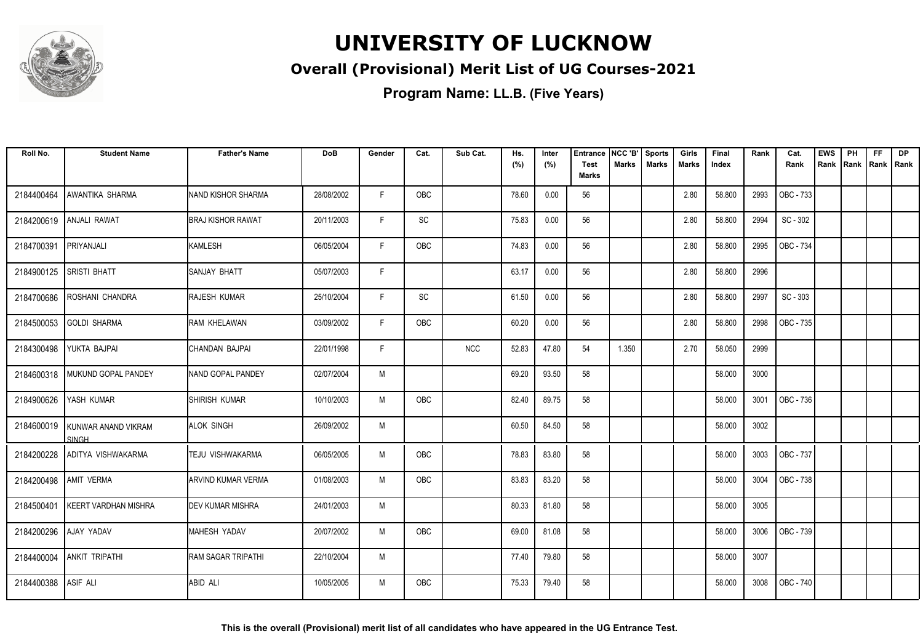

#### **Overall (Provisional) Merit List of UG Courses-2021**

| Roll No.              | <b>Student Name</b>                 | <b>Father's Name</b>      | <b>DoB</b> | Gender | Cat.       | Sub Cat.   | Hs.<br>(%) | Inter<br>(%) | <b>Entrance</b><br><b>Test</b> | NCC 'B'<br><b>Marks</b> | <b>Sports</b><br><b>Marks</b> | Girls<br>Marks | Final<br>Index | Rank | Cat.<br>Rank | <b>EWS</b><br>Rank | PH<br>Rank | <b>FF</b><br>Rank   Rank | <b>DP</b> |
|-----------------------|-------------------------------------|---------------------------|------------|--------|------------|------------|------------|--------------|--------------------------------|-------------------------|-------------------------------|----------------|----------------|------|--------------|--------------------|------------|--------------------------|-----------|
|                       |                                     |                           |            |        |            |            |            |              | <b>Marks</b>                   |                         |                               |                |                |      |              |                    |            |                          |           |
| 2184400464            | AWANTIKA SHARMA                     | <b>NAND KISHOR SHARMA</b> | 28/08/2002 | F      | <b>OBC</b> |            | 78.60      | 0.00         | 56                             |                         |                               | 2.80           | 58.800         | 2993 | OBC - 733    |                    |            |                          |           |
| 2184200619            | <b>ANJALI RAWAT</b>                 | <b>BRAJ KISHOR RAWAT</b>  | 20/11/2003 | F.     | SC         |            | 75.83      | 0.00         | 56                             |                         |                               | 2.80           | 58.800         | 2994 | SC - 302     |                    |            |                          |           |
| 2184700391            | PRIYANJALI                          | <b>KAMLESH</b>            | 06/05/2004 | F      | OBC        |            | 74.83      | 0.00         | 56                             |                         |                               | 2.80           | 58.800         | 2995 | OBC - 734    |                    |            |                          |           |
| 2184900125            | <b>SRISTI BHATT</b>                 | SANJAY BHATT              | 05/07/2003 | F      |            |            | 63.17      | 0.00         | 56                             |                         |                               | 2.80           | 58.800         | 2996 |              |                    |            |                          |           |
| 2184700686            | ROSHANI CHANDRA                     | RAJESH KUMAR              | 25/10/2004 | F      | SC         |            | 61.50      | 0.00         | 56                             |                         |                               | 2.80           | 58.800         | 2997 | SC - 303     |                    |            |                          |           |
| 2184500053            | <b>GOLDI SHARMA</b>                 | RAM KHELAWAN              | 03/09/2002 | F      | OBC        |            | 60.20      | 0.00         | 56                             |                         |                               | 2.80           | 58.800         | 2998 | OBC - 735    |                    |            |                          |           |
| 2184300498            | YUKTA BAJPAI                        | CHANDAN BAJPAI            | 22/01/1998 | F      |            | <b>NCC</b> | 52.83      | 47.80        | 54                             | 1.350                   |                               | 2.70           | 58.050         | 2999 |              |                    |            |                          |           |
|                       | 2184600318   MUKUND GOPAL PANDEY    | <b>INAND GOPAL PANDEY</b> | 02/07/2004 | M      |            |            | 69.20      | 93.50        | 58                             |                         |                               |                | 58.000         | 3000 |              |                    |            |                          |           |
| 2184900626            | YASH KUMAR                          | SHIRISH KUMAR             | 10/10/2003 | M      | <b>OBC</b> |            | 82.40      | 89.75        | 58                             |                         |                               |                | 58.000         | 3001 | OBC - 736    |                    |            |                          |           |
| 2184600019            | KUNWAR ANAND VIKRAM<br><b>SINGH</b> | <b>ALOK SINGH</b>         | 26/09/2002 | M      |            |            | 60.50      | 84.50        | 58                             |                         |                               |                | 58.000         | 3002 |              |                    |            |                          |           |
| 2184200228            | ADITYA VISHWAKARMA                  | TEJU VISHWAKARMA          | 06/05/2005 | M      | OBC        |            | 78.83      | 83.80        | 58                             |                         |                               |                | 58.000         | 3003 | OBC - 737    |                    |            |                          |           |
| 2184200498 AMIT VERMA |                                     | <b>ARVIND KUMAR VERMA</b> | 01/08/2003 | M      | OBC        |            | 83.83      | 83.20        | 58                             |                         |                               |                | 58.000         | 3004 | OBC - 738    |                    |            |                          |           |
| 2184500401            | <b>KEERT VARDHAN MISHRA</b>         | <b>IDEV KUMAR MISHRA</b>  | 24/01/2003 | M      |            |            | 80.33      | 81.80        | 58                             |                         |                               |                | 58.000         | 3005 |              |                    |            |                          |           |
| 2184200296            | AJAY YADAV                          | <b>MAHESH YADAV</b>       | 20/07/2002 | M      | OBC        |            | 69.00      | 81.08        | 58                             |                         |                               |                | 58.000         | 3006 | OBC - 739    |                    |            |                          |           |
| 2184400004            | <b>ANKIT TRIPATHI</b>               | <b>RAM SAGAR TRIPATHI</b> | 22/10/2004 | M      |            |            | 77.40      | 79.80        | 58                             |                         |                               |                | 58.000         | 3007 |              |                    |            |                          |           |
| 2184400388            | ASIF ALI                            | ABID ALI                  | 10/05/2005 | M      | <b>OBC</b> |            | 75.33      | 79.40        | 58                             |                         |                               |                | 58.000         | 3008 | OBC - 740    |                    |            |                          |           |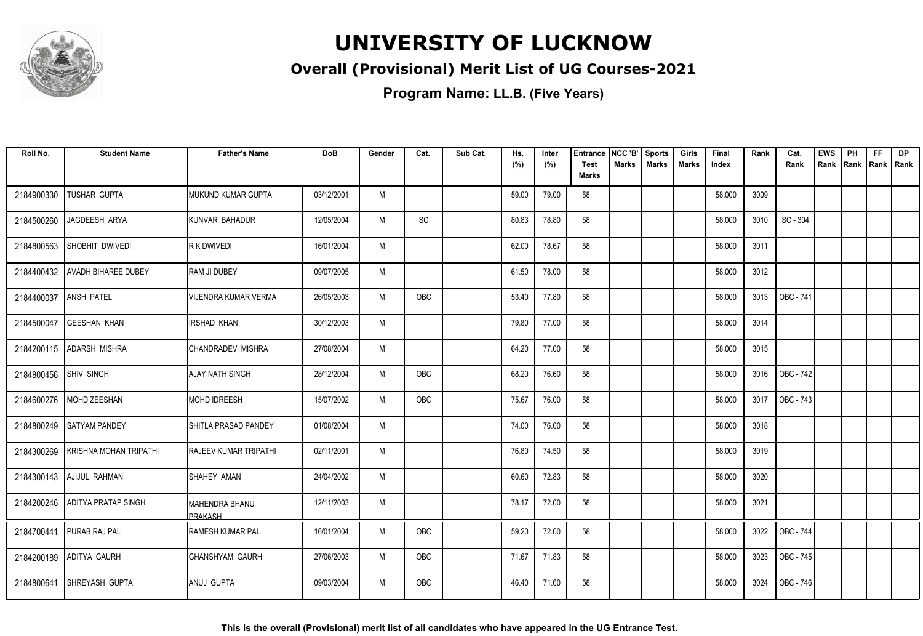

#### **Overall (Provisional) Merit List of UG Courses-2021**

| Roll No.              | <b>Student Name</b>        | <b>Father's Name</b>          | <b>DoB</b> | Gender | Cat.       | Sub Cat. | Hs.<br>(%) | Inter<br>(%) | Entrance<br><b>Test</b> | NCC 'B'<br>Marks | <b>Sports</b><br><b>Marks</b> | Girls<br><b>Marks</b> | Final<br>Index | Rank | Cat.<br>Rank | <b>EWS</b><br>Rank | PH<br>Rank | FF<br>Rank   Rank | DP |
|-----------------------|----------------------------|-------------------------------|------------|--------|------------|----------|------------|--------------|-------------------------|------------------|-------------------------------|-----------------------|----------------|------|--------------|--------------------|------------|-------------------|----|
|                       |                            |                               |            |        |            |          |            |              | <b>Marks</b>            |                  |                               |                       |                |      |              |                    |            |                   |    |
| 2184900330            | TUSHAR GUPTA               | IMUKUND KUMAR GUPTA           | 03/12/2001 | M      |            |          | 59.00      | 79.00        | 58                      |                  |                               |                       | 58.000         | 3009 |              |                    |            |                   |    |
| 2184500260            | JAGDEESH ARYA              | KUNVAR BAHADUR                | 12/05/2004 | M      | SC         |          | 80.83      | 78.80        | 58                      |                  |                               |                       | 58.000         | 3010 | SC - 304     |                    |            |                   |    |
| 2184800563            | SHOBHIT DWIVEDI            | R K DWIVEDI                   | 16/01/2004 | M      |            |          | 62.00      | 78.67        | 58                      |                  |                               |                       | 58.000         | 3011 |              |                    |            |                   |    |
| 2184400432            | <b>AVADH BIHAREE DUBEY</b> | RAM JI DUBEY                  | 09/07/2005 | M      |            |          | 61.50      | 78.00        | 58                      |                  |                               |                       | 58.000         | 3012 |              |                    |            |                   |    |
| 2184400037            | <b>ANSH PATEL</b>          | <b>VIJENDRA KUMAR VERMA</b>   | 26/05/2003 | M      | <b>OBC</b> |          | 53.40      | 77.80        | 58                      |                  |                               |                       | 58.000         | 3013 | OBC - 741    |                    |            |                   |    |
| 2184500047            | <b>GEESHAN KHAN</b>        | IRSHAD KHAN                   | 30/12/2003 | M      |            |          | 79.80      | 77.00        | 58                      |                  |                               |                       | 58.000         | 3014 |              |                    |            |                   |    |
|                       | 2184200115   ADARSH MISHRA | CHANDRADEV MISHRA             | 27/08/2004 | M      |            |          | 64.20      | 77.00        | 58                      |                  |                               |                       | 58.000         | 3015 |              |                    |            |                   |    |
| 2184800456 SHIV SINGH |                            | <b>AJAY NATH SINGH</b>        | 28/12/2004 | M      | OBC        |          | 68.20      | 76.60        | 58                      |                  |                               |                       | 58.000         | 3016 | OBC - 742    |                    |            |                   |    |
| 2184600276            | MOHD ZEESHAN               | <b>MOHD IDREESH</b>           | 15/07/2002 | M      | <b>OBC</b> |          | 75.67      | 76.00        | 58                      |                  |                               |                       | 58.000         | 3017 | OBC - 743    |                    |            |                   |    |
| 2184800249            | <b>SATYAM PANDEY</b>       | <b>I</b> SHITLA PRASAD PANDEY | 01/08/2004 | M      |            |          | 74.00      | 76.00        | 58                      |                  |                               |                       | 58.000         | 3018 |              |                    |            |                   |    |
| 2184300269            | KRISHNA MOHAN TRIPATHI     | <b>RAJEEV KUMAR TRIPATHI</b>  | 02/11/2001 | M      |            |          | 76.80      | 74.50        | 58                      |                  |                               |                       | 58.000         | 3019 |              |                    |            |                   |    |
|                       | 2184300143 AJIJUL RAHMAN   | SHAHEY AMAN                   | 24/04/2002 | M      |            |          | 60.60      | 72.83        | 58                      |                  |                               |                       | 58.000         | 3020 |              |                    |            |                   |    |
| 2184200246            | <b>ADITYA PRATAP SINGH</b> | MAHENDRA BHANU<br>PRAKASH     | 12/11/2003 | M      |            |          | 78.17      | 72.00        | 58                      |                  |                               |                       | 58.000         | 3021 |              |                    |            |                   |    |
|                       | 2184700441 PURAB RAJ PAL   | <b>RAMESH KUMAR PAL</b>       | 16/01/2004 | M      | <b>OBC</b> |          | 59.20      | 72.00        | 58                      |                  |                               |                       | 58.000         | 3022 | OBC - 744    |                    |            |                   |    |
| 2184200189            | <b>ADITYA GAURH</b>        | GHANSHYAM GAURH               | 27/06/2003 | M      | OBC        |          | 71.67      | 71.83        | 58                      |                  |                               |                       | 58.000         | 3023 | OBC - 745    |                    |            |                   |    |
| 2184800641            | <b>SHREYASH GUPTA</b>      | ANUJ GUPTA                    | 09/03/2004 | M      | <b>OBC</b> |          | 46.40      | 71.60        | 58                      |                  |                               |                       | 58.000         | 3024 | OBC - 746    |                    |            |                   |    |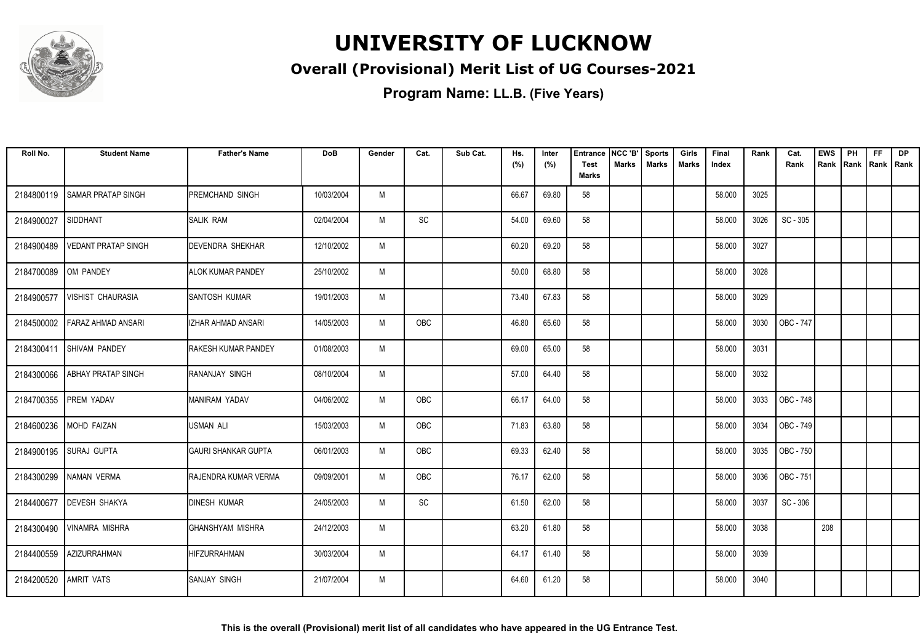

#### **Overall (Provisional) Merit List of UG Courses-2021**

| Roll No.   | <b>Student Name</b>        | <b>Father's Name</b>         | <b>DoB</b> | Gender | Cat.       | Sub Cat. | Hs.<br>(%) | Inter<br>(%) | <b>Entrance</b><br><b>Test</b> | NCC 'B'<br>Marks | Sports<br><b>Marks</b> | Girls<br>Marks | Final<br>Index | Rank | Cat.<br>Rank     | <b>EWS</b><br>Rank | PH<br> Rank | <b>FF</b><br>Rank   Rank | <b>DP</b> |
|------------|----------------------------|------------------------------|------------|--------|------------|----------|------------|--------------|--------------------------------|------------------|------------------------|----------------|----------------|------|------------------|--------------------|-------------|--------------------------|-----------|
|            |                            |                              |            |        |            |          |            |              | <b>Marks</b>                   |                  |                        |                |                |      |                  |                    |             |                          |           |
| 2184800119 | <b>SAMAR PRATAP SINGH</b>  | <b>PREMCHAND SINGH</b>       | 10/03/2004 | M      |            |          | 66.67      | 69.80        | 58                             |                  |                        |                | 58.000         | 3025 |                  |                    |             |                          |           |
| 2184900027 | SIDDHANT                   | <b>SALIK RAM</b>             | 02/04/2004 | M      | SC         |          | 54.00      | 69.60        | 58                             |                  |                        |                | 58.000         | 3026 | SC - 305         |                    |             |                          |           |
| 2184900489 | <b>VEDANT PRATAP SINGH</b> | <b>DEVENDRA SHEKHAR</b>      | 12/10/2002 | M      |            |          | 60.20      | 69.20        | 58                             |                  |                        |                | 58.000         | 3027 |                  |                    |             |                          |           |
| 2184700089 | OM PANDEY                  | <b>ALOK KUMAR PANDEY</b>     | 25/10/2002 | M      |            |          | 50.00      | 68.80        | 58                             |                  |                        |                | 58.000         | 3028 |                  |                    |             |                          |           |
| 2184900577 | <b>VISHIST CHAURASIA</b>   | <b>SANTOSH KUMAR</b>         | 19/01/2003 | M      |            |          | 73.40      | 67.83        | 58                             |                  |                        |                | 58.000         | 3029 |                  |                    |             |                          |           |
| 2184500002 | <b>FARAZ AHMAD ANSARI</b>  | <b>IZHAR AHMAD ANSARI</b>    | 14/05/2003 | M      | <b>OBC</b> |          | 46.80      | 65.60        | 58                             |                  |                        |                | 58.000         | 3030 | <b>OBC - 747</b> |                    |             |                          |           |
|            | 2184300411 SHIVAM PANDEY   | <b>RAKESH KUMAR PANDEY</b>   | 01/08/2003 | M      |            |          | 69.00      | 65.00        | 58                             |                  |                        |                | 58.000         | 3031 |                  |                    |             |                          |           |
| 2184300066 | <b>ABHAY PRATAP SINGH</b>  | RANANJAY SINGH               | 08/10/2004 | M      |            |          | 57.00      | 64.40        | 58                             |                  |                        |                | 58.000         | 3032 |                  |                    |             |                          |           |
| 2184700355 | <b>PREM YADAV</b>          | MANIRAM YADAV                | 04/06/2002 | M      | <b>OBC</b> |          | 66.17      | 64.00        | 58                             |                  |                        |                | 58.000         | 3033 | OBC - 748        |                    |             |                          |           |
| 2184600236 | MOHD FAIZAN                | <b>USMAN ALI</b>             | 15/03/2003 | M      | OBC        |          | 71.83      | 63.80        | 58                             |                  |                        |                | 58.000         | 3034 | OBC - 749        |                    |             |                          |           |
| 2184900195 | <b>SURAJ GUPTA</b>         | <b>I</b> GAURI SHANKAR GUPTA | 06/01/2003 | M      | <b>OBC</b> |          | 69.33      | 62.40        | 58                             |                  |                        |                | 58.000         | 3035 | OBC - 750        |                    |             |                          |           |
| 2184300299 | NAMAN VERMA                | RAJENDRA KUMAR VERMA         | 09/09/2001 | M      | OBC        |          | 76.17      | 62.00        | 58                             |                  |                        |                | 58.000         | 3036 | OBC - 751        |                    |             |                          |           |
| 2184400677 | <b>DEVESH SHAKYA</b>       | <b>DINESH KUMAR</b>          | 24/05/2003 | M      | SC         |          | 61.50      | 62.00        | 58                             |                  |                        |                | 58.000         | 3037 | SC - 306         |                    |             |                          |           |
| 2184300490 | VINAMRA MISHRA             | IGHANSHYAM MISHRA            | 24/12/2003 | M      |            |          | 63.20      | 61.80        | 58                             |                  |                        |                | 58.000         | 3038 |                  | 208                |             |                          |           |
| 2184400559 | AZIZURRAHMAN               | <b>HIFZURRAHMAN</b>          | 30/03/2004 | M      |            |          | 64.17      | 61.40        | 58                             |                  |                        |                | 58.000         | 3039 |                  |                    |             |                          |           |
| 2184200520 | <b>AMRIT VATS</b>          | <b>SANJAY SINGH</b>          | 21/07/2004 | M      |            |          | 64.60      | 61.20        | 58                             |                  |                        |                | 58.000         | 3040 |                  |                    |             |                          |           |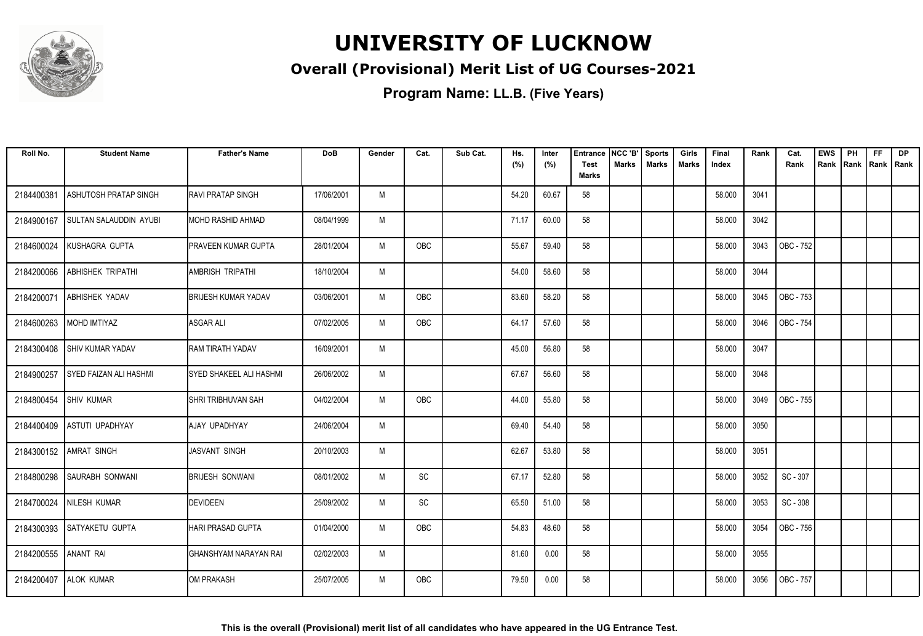

#### **Overall (Provisional) Merit List of UG Courses-2021**

| Roll No.   | <b>Student Name</b>           | <b>Father's Name</b>        | <b>DoB</b> | Gender | Cat.       | Sub Cat. | Hs.<br>(%) | Inter<br>(%) | Entrance<br>Test | NCC 'B'<br>Marks | <b>Sports</b><br><b>Marks</b> | Girls<br>Marks | Final<br>Index | Rank | Cat.<br>Rank | <b>EWS</b><br>Rank | PH<br>l Rank | <b>FF</b><br>  Rank   Rank | <b>DP</b> |
|------------|-------------------------------|-----------------------------|------------|--------|------------|----------|------------|--------------|------------------|------------------|-------------------------------|----------------|----------------|------|--------------|--------------------|--------------|----------------------------|-----------|
|            |                               |                             |            |        |            |          |            |              | <b>Marks</b>     |                  |                               |                |                |      |              |                    |              |                            |           |
| 2184400381 | <b>ASHUTOSH PRATAP SINGH</b>  | <b>RAVI PRATAP SINGH</b>    | 17/06/2001 | M      |            |          | 54.20      | 60.67        | 58               |                  |                               |                | 58.000         | 3041 |              |                    |              |                            |           |
| 2184900167 | <b>SULTAN SALAUDDIN AYUBI</b> | IMOHD RASHID AHMAD          | 08/04/1999 | M      |            |          | 71.17      | 60.00        | 58               |                  |                               |                | 58.000         | 3042 |              |                    |              |                            |           |
| 2184600024 | KUSHAGRA GUPTA                | <b>IPRAVEEN KUMAR GUPTA</b> | 28/01/2004 | M      | <b>OBC</b> |          | 55.67      | 59.40        | 58               |                  |                               |                | 58.000         | 3043 | OBC - 752    |                    |              |                            |           |
| 2184200066 | <b>ABHISHEK TRIPATHI</b>      | <b>AMBRISH TRIPATHI</b>     | 18/10/2004 | M      |            |          | 54.00      | 58.60        | 58               |                  |                               |                | 58.000         | 3044 |              |                    |              |                            |           |
| 2184200071 | ABHISHEK YADAV                | <b>BRIJESH KUMAR YADAV</b>  | 03/06/2001 | M      | OBC        |          | 83.60      | 58.20        | 58               |                  |                               |                | 58.000         | 3045 | OBC - 753    |                    |              |                            |           |
| 2184600263 | MOHD IMTIYAZ                  | ASGAR ALI                   | 07/02/2005 | M      | <b>OBC</b> |          | 64.17      | 57.60        | 58               |                  |                               |                | 58.000         | 3046 | OBC - 754    |                    |              |                            |           |
| 2184300408 | <b>SHIV KUMAR YADAV</b>       | <b>RAM TIRATH YADAV</b>     | 16/09/2001 | M      |            |          | 45.00      | 56.80        | 58               |                  |                               |                | 58.000         | 3047 |              |                    |              |                            |           |
| 2184900257 | SYED FAIZAN ALI HASHMI        | ISYED SHAKEEL ALI HASHMI    | 26/06/2002 | M      |            |          | 67.67      | 56.60        | 58               |                  |                               |                | 58.000         | 3048 |              |                    |              |                            |           |
| 2184800454 | <b>SHIV KUMAR</b>             | ISHRI TRIBHUVAN SAH         | 04/02/2004 | M      | OBC        |          | 44.00      | 55.80        | 58               |                  |                               |                | 58.000         | 3049 | OBC - 755    |                    |              |                            |           |
| 2184400409 | ASTUTI UPADHYAY               | AJAY UPADHYAY               | 24/06/2004 | M      |            |          | 69.40      | 54.40        | 58               |                  |                               |                | 58.000         | 3050 |              |                    |              |                            |           |
| 2184300152 | AMRAT SINGH                   | <b>JASVANT SINGH</b>        | 20/10/2003 | M      |            |          | 62.67      | 53.80        | 58               |                  |                               |                | 58.000         | 3051 |              |                    |              |                            |           |
| 2184800298 | <b>SAURABH SONWANI</b>        | <b>BRIJESH SONWANI</b>      | 08/01/2002 | M      | SC         |          | 67.17      | 52.80        | 58               |                  |                               |                | 58.000         | 3052 | SC - 307     |                    |              |                            |           |
| 2184700024 | NILESH KUMAR                  | DEVIDEEN                    | 25/09/2002 | M      | SC         |          | 65.50      | 51.00        | 58               |                  |                               |                | 58.000         | 3053 | SC - 308     |                    |              |                            |           |
|            | 2184300393 SATYAKETU GUPTA    | <b>HARI PRASAD GUPTA</b>    | 01/04/2000 | M      | OBC        |          | 54.83      | 48.60        | 58               |                  |                               |                | 58.000         | 3054 | OBC - 756    |                    |              |                            |           |
| 2184200555 | <b>ANANT RAI</b>              | GHANSHYAM NARAYAN RAI       | 02/02/2003 | M      |            |          | 81.60      | 0.00         | 58               |                  |                               |                | 58.000         | 3055 |              |                    |              |                            |           |
| 2184200407 | <b>ALOK KUMAR</b>             | <b>JOM PRAKASH</b>          | 25/07/2005 | M      | OBC        |          | 79.50      | 0.00         | 58               |                  |                               |                | 58.000         | 3056 | OBC - 757    |                    |              |                            |           |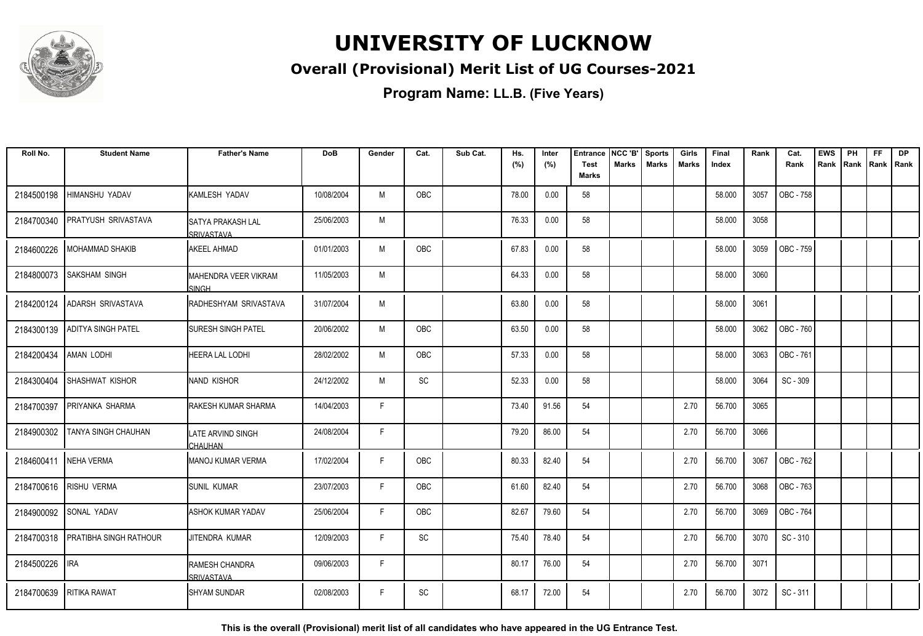

#### **Overall (Provisional) Merit List of UG Courses-2021**

**Program Name: LL.B. (Five Years)**

| Roll No.   | <b>Student Name</b>           | <b>Father's Name</b>                          | <b>DoB</b> | Gender | Cat.      | Sub Cat. | Hs.<br>(%) | Inter<br>(%) | <b>Entrance</b><br><b>Test</b><br><b>Marks</b> | NCC 'B'<br><b>Marks</b> | <b>Sports</b><br><b>Marks</b> | Girls<br><b>Marks</b> | <b>Final</b><br>Index | Rank | Cat.<br>Rank     | <b>EWS</b><br>Rank | PH<br>Rank   Rank   Rank | <b>FF</b> | <b>DP</b> |
|------------|-------------------------------|-----------------------------------------------|------------|--------|-----------|----------|------------|--------------|------------------------------------------------|-------------------------|-------------------------------|-----------------------|-----------------------|------|------------------|--------------------|--------------------------|-----------|-----------|
| 2184500198 | HIMANSHU YADAV                | <b>KAMLESH YADAV</b>                          | 10/08/2004 | M      | OBC       |          | 78.00      | 0.00         | 58                                             |                         |                               |                       | 58.000                | 3057 | OBC - 758        |                    |                          |           |           |
| 2184700340 | <b>PRATYUSH SRIVASTAVA</b>    | <b>SATYA PRAKASH LAL</b><br><b>SRIVASTAVA</b> | 25/06/2003 | M      |           |          | 76.33      | 0.00         | 58                                             |                         |                               |                       | 58.000                | 3058 |                  |                    |                          |           |           |
| 2184600226 | MOHAMMAD SHAKIB               | <b>AKEEL AHMAD</b>                            | 01/01/2003 | M      | OBC       |          | 67.83      | 0.00         | 58                                             |                         |                               |                       | 58.000                | 3059 | OBC - 759        |                    |                          |           |           |
| 2184800073 | SAKSHAM SINGH                 | MAHENDRA VEER VIKRAM<br>SINGH                 | 11/05/2003 | M      |           |          | 64.33      | 0.00         | 58                                             |                         |                               |                       | 58.000                | 3060 |                  |                    |                          |           |           |
| 2184200124 | <b>ADARSH SRIVASTAVA</b>      | RADHESHYAM SRIVASTAVA                         | 31/07/2004 | M      |           |          | 63.80      | 0.00         | 58                                             |                         |                               |                       | 58.000                | 3061 |                  |                    |                          |           |           |
| 2184300139 | <b>ADITYA SINGH PATEL</b>     | <b>SURESH SINGH PATEL</b>                     | 20/06/2002 | M      | OBC       |          | 63.50      | 0.00         | 58                                             |                         |                               |                       | 58.000                | 3062 | OBC - 760        |                    |                          |           |           |
| 2184200434 | <b>AMAN LODHI</b>             | HEERA LAL LODHI                               | 28/02/2002 | M      | OBC       |          | 57.33      | 0.00         | 58                                             |                         |                               |                       | 58.000                | 3063 | OBC - 761        |                    |                          |           |           |
| 2184300404 | SHASHWAT KISHOR               | INAND KISHOR                                  | 24/12/2002 | M      | SC        |          | 52.33      | 0.00         | 58                                             |                         |                               |                       | 58.000                | 3064 | SC - 309         |                    |                          |           |           |
| 2184700397 | PRIYANKA SHARMA               | <b>RAKESH KUMAR SHARMA</b>                    | 14/04/2003 | F      |           |          | 73.40      | 91.56        | 54                                             |                         |                               | 2.70                  | 56.700                | 3065 |                  |                    |                          |           |           |
| 2184900302 | TANYA SINGH CHAUHAN           | ILATE ARVIND SINGH<br><b>CHAUHAN</b>          | 24/08/2004 | F      |           |          | 79.20      | 86.00        | 54                                             |                         |                               | 2.70                  | 56.700                | 3066 |                  |                    |                          |           |           |
| 2184600411 | NEHA VERMA                    | IMANOJ KUMAR VERMA                            | 17/02/2004 | F      | OBC       |          | 80.33      | 82.40        | 54                                             |                         |                               | 2.70                  | 56.700                | 3067 | OBC - 762        |                    |                          |           |           |
|            | 2184700616 RISHU VERMA        | <b>ISUNIL KUMAR</b>                           | 23/07/2003 | F      | OBC       |          | 61.60      | 82.40        | 54                                             |                         |                               | 2.70                  | 56.700                | 3068 | <b>OBC - 763</b> |                    |                          |           |           |
| 2184900092 | SONAL YADAV                   | ASHOK KUMAR YADAV                             | 25/06/2004 | F      | OBC       |          | 82.67      | 79.60        | 54                                             |                         |                               | 2.70                  | 56.700                | 3069 | OBC - 764        |                    |                          |           |           |
| 2184700318 | <b>PRATIBHA SINGH RATHOUR</b> | JITENDRA KUMAR                                | 12/09/2003 | F      | <b>SC</b> |          | 75.40      | 78.40        | 54                                             |                         |                               | 2.70                  | 56.700                | 3070 | SC-310           |                    |                          |           |           |
| 2184500226 | <b>IRA</b>                    | <b>RAMESH CHANDRA</b><br>SRIVASTAVA           | 09/06/2003 | F      |           |          | 80.17      | 76.00        | 54                                             |                         |                               | 2.70                  | 56.700                | 3071 |                  |                    |                          |           |           |
|            | 2184700639 RITIKA RAWAT       | <b>SHYAM SUNDAR</b>                           | 02/08/2003 | F      | <b>SC</b> |          | 68.17      | 72.00        | 54                                             |                         |                               | 2.70                  | 56.700                | 3072 | SC - 311         |                    |                          |           |           |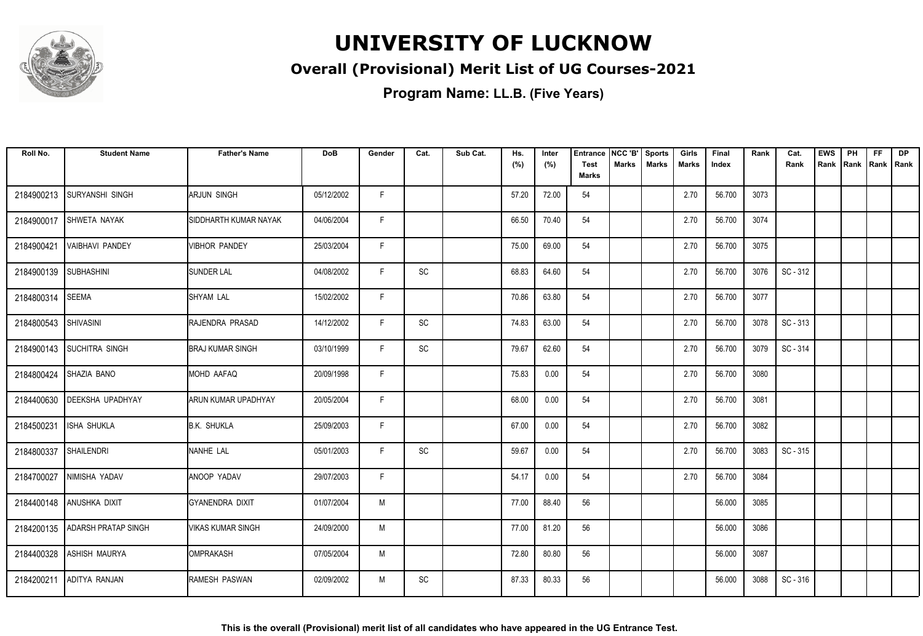

#### **Overall (Provisional) Merit List of UG Courses-2021**

| Roll No.   | <b>Student Name</b>        | <b>Father's Name</b>     | <b>DoB</b> | Gender | Cat. | Sub Cat. | Hs.<br>(%) | Inter<br>(%) | <b>Entrance</b><br><b>Test</b><br><b>Marks</b> | NCC 'B'<br>Marks | <b>Sports</b><br><b>Marks</b> | Girls<br>Marks | Final<br>Index | Rank | Cat.<br>Rank | <b>EWS</b><br>Rank | PH | <b>FF</b><br>Rank   Rank   Rank | <b>DP</b> |
|------------|----------------------------|--------------------------|------------|--------|------|----------|------------|--------------|------------------------------------------------|------------------|-------------------------------|----------------|----------------|------|--------------|--------------------|----|---------------------------------|-----------|
| 2184900213 | <b>SURYANSHI SINGH</b>     | ARJUN SINGH              | 05/12/2002 | F.     |      |          | 57.20      | 72.00        | 54                                             |                  |                               | 2.70           | 56.700         | 3073 |              |                    |    |                                 |           |
| 2184900017 | <b>SHWETA NAYAK</b>        | SIDDHARTH KUMAR NAYAK    | 04/06/2004 | F.     |      |          | 66.50      | 70.40        | 54                                             |                  |                               | 2.70           | 56.700         | 3074 |              |                    |    |                                 |           |
| 2184900421 | <b>VAIBHAVI PANDEY</b>     | <b>VIBHOR PANDEY</b>     | 25/03/2004 | F      |      |          | 75.00      | 69.00        | 54                                             |                  |                               | 2.70           | 56.700         | 3075 |              |                    |    |                                 |           |
| 2184900139 | <b>SUBHASHINI</b>          | <b>SUNDER LAL</b>        | 04/08/2002 | F      | SC   |          | 68.83      | 64.60        | 54                                             |                  |                               | 2.70           | 56.700         | 3076 | SC - 312     |                    |    |                                 |           |
| 2184800314 | <b>SEEMA</b>               | <b>SHYAM LAL</b>         | 15/02/2002 | F      |      |          | 70.86      | 63.80        | 54                                             |                  |                               | 2.70           | 56.700         | 3077 |              |                    |    |                                 |           |
| 2184800543 | SHIVASINI                  | RAJENDRA PRASAD          | 14/12/2002 | F      | SC   |          | 74.83      | 63.00        | 54                                             |                  |                               | 2.70           | 56.700         | 3078 | SC - 313     |                    |    |                                 |           |
|            | 2184900143 SUCHITRA SINGH  | <b>BRAJ KUMAR SINGH</b>  | 03/10/1999 | F      | SC   |          | 79.67      | 62.60        | 54                                             |                  |                               | 2.70           | 56.700         | 3079 | SC - 314     |                    |    |                                 |           |
| 2184800424 | SHAZIA BANO                | MOHD AAFAQ               | 20/09/1998 | F      |      |          | 75.83      | 0.00         | 54                                             |                  |                               | 2.70           | 56.700         | 3080 |              |                    |    |                                 |           |
| 2184400630 | <b>IDEEKSHA UPADHYAY</b>   | ARUN KUMAR UPADHYAY      | 20/05/2004 | F.     |      |          | 68.00      | 0.00         | 54                                             |                  |                               | 2.70           | 56.700         | 3081 |              |                    |    |                                 |           |
| 2184500231 | <b>ISHA SHUKLA</b>         | <b>B.K. SHUKLA</b>       | 25/09/2003 | F      |      |          | 67.00      | 0.00         | 54                                             |                  |                               | 2.70           | 56.700         | 3082 |              |                    |    |                                 |           |
| 2184800337 | <b>SHAILENDRI</b>          | NANHE LAL                | 05/01/2003 | F      | SC   |          | 59.67      | 0.00         | 54                                             |                  |                               | 2.70           | 56.700         | 3083 | SC - 315     |                    |    |                                 |           |
| 2184700027 | NIMISHA YADAV              | ANOOP YADAV              | 29/07/2003 | F      |      |          | 54.17      | 0.00         | 54                                             |                  |                               | 2.70           | 56.700         | 3084 |              |                    |    |                                 |           |
|            | 2184400148 ANUSHKA DIXIT   | <b>GYANENDRA DIXIT</b>   | 01/07/2004 | M      |      |          | 77.00      | 88.40        | 56                                             |                  |                               |                | 56.000         | 3085 |              |                    |    |                                 |           |
| 2184200135 | <b>ADARSH PRATAP SINGH</b> | <b>VIKAS KUMAR SINGH</b> | 24/09/2000 | M      |      |          | 77.00      | 81.20        | 56                                             |                  |                               |                | 56.000         | 3086 |              |                    |    |                                 |           |
| 2184400328 | <b>ASHISH MAURYA</b>       | OMPRAKASH                | 07/05/2004 | M      |      |          | 72.80      | 80.80        | 56                                             |                  |                               |                | 56.000         | 3087 |              |                    |    |                                 |           |
| 2184200211 | ADITYA RANJAN              | RAMESH PASWAN            | 02/09/2002 | M      | SC   |          | 87.33      | 80.33        | 56                                             |                  |                               |                | 56.000         | 3088 | SC - 316     |                    |    |                                 |           |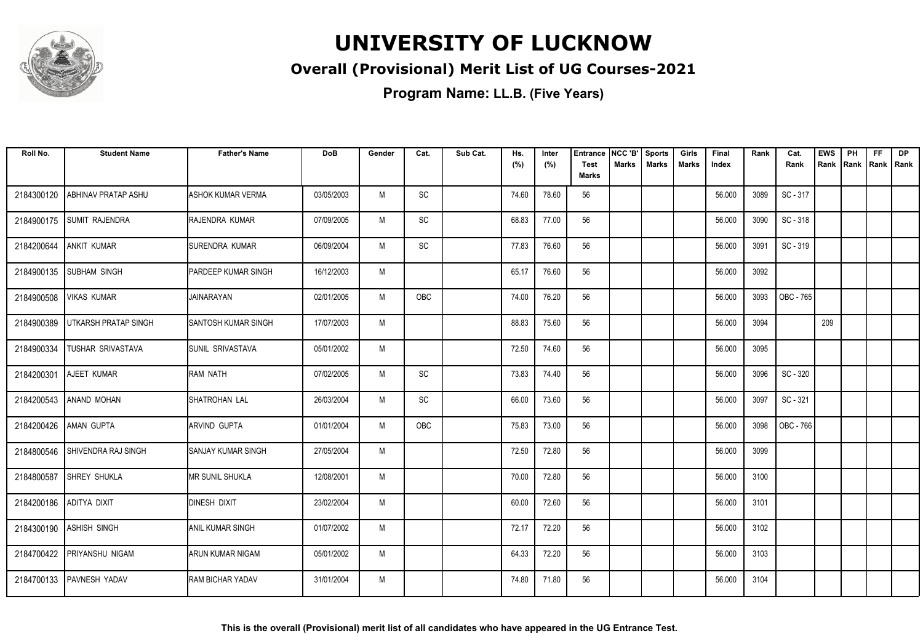

#### **Overall (Provisional) Merit List of UG Courses-2021**

| Roll No.   | <b>Student Name</b>         | <b>Father's Name</b>        | <b>DoB</b> | Gender | Cat. | Sub Cat. | Hs.<br>(%) | Inter<br>(%) | <b>Entrance</b><br><b>Test</b><br><b>Marks</b> | NCC 'B'<br>Marks | <b>Sports</b><br><b>Marks</b> | Girls<br><b>Marks</b> | Final<br>Index | Rank | Cat.<br>Rank | <b>EWS</b><br>Rank | PH<br>Rank | <b>FF</b><br>Rank   Rank | <b>DP</b> |
|------------|-----------------------------|-----------------------------|------------|--------|------|----------|------------|--------------|------------------------------------------------|------------------|-------------------------------|-----------------------|----------------|------|--------------|--------------------|------------|--------------------------|-----------|
|            |                             |                             |            |        |      |          |            |              |                                                |                  |                               |                       |                |      |              |                    |            |                          |           |
| 2184300120 | ABHINAV PRATAP ASHU         | <b>ASHOK KUMAR VERMA</b>    | 03/05/2003 | M      | SC   |          | 74.60      | 78.60        | 56                                             |                  |                               |                       | 56.000         | 3089 | SC - 317     |                    |            |                          |           |
| 2184900175 | SUMIT RAJENDRA              | RAJENDRA KUMAR              | 07/09/2005 | M      | SC   |          | 68.83      | 77.00        | 56                                             |                  |                               |                       | 56.000         | 3090 | SC-318       |                    |            |                          |           |
| 2184200644 | <b>ANKIT KUMAR</b>          | SURENDRA KUMAR              | 06/09/2004 | M      | SC   |          | 77.83      | 76.60        | 56                                             |                  |                               |                       | 56.000         | 3091 | SC - 319     |                    |            |                          |           |
| 2184900135 | <b>SUBHAM SINGH</b>         | PARDEEP KUMAR SINGH         | 16/12/2003 | M      |      |          | 65.17      | 76.60        | 56                                             |                  |                               |                       | 56.000         | 3092 |              |                    |            |                          |           |
| 2184900508 | <b>VIKAS KUMAR</b>          | <b>JAINARAYAN</b>           | 02/01/2005 | M      | OBC  |          | 74.00      | 76.20        | 56                                             |                  |                               |                       | 56.000         | 3093 | OBC - 765    |                    |            |                          |           |
| 2184900389 | <b>UTKARSH PRATAP SINGH</b> | <b>SANTOSH KUMAR SINGH</b>  | 17/07/2003 | M      |      |          | 88.83      | 75.60        | 56                                             |                  |                               |                       | 56.000         | 3094 |              | 209                |            |                          |           |
| 2184900334 | <b>TUSHAR SRIVASTAVA</b>    | <b>SUNIL SRIVASTAVA</b>     | 05/01/2002 | M      |      |          | 72.50      | 74.60        | 56                                             |                  |                               |                       | 56.000         | 3095 |              |                    |            |                          |           |
| 2184200301 | AJEET KUMAR                 | RAM NATH                    | 07/02/2005 | M      | SC   |          | 73.83      | 74.40        | 56                                             |                  |                               |                       | 56.000         | 3096 | SC - 320     |                    |            |                          |           |
|            | 2184200543 ANAND MOHAN      | SHATROHAN LAL               | 26/03/2004 | M      | SC   |          | 66.00      | 73.60        | 56                                             |                  |                               |                       | 56.000         | 3097 | SC - 321     |                    |            |                          |           |
| 2184200426 | <b>AMAN GUPTA</b>           | ARVIND GUPTA                | 01/01/2004 | M      | OBC  |          | 75.83      | 73.00        | 56                                             |                  |                               |                       | 56.000         | 3098 | OBC - 766    |                    |            |                          |           |
| 2184800546 | SHIVENDRA RAJ SINGH         | <b>I</b> SANJAY KUMAR SINGH | 27/05/2004 | M      |      |          | 72.50      | 72.80        | 56                                             |                  |                               |                       | 56.000         | 3099 |              |                    |            |                          |           |
| 2184800587 | <b>SHREY SHUKLA</b>         | MR SUNIL SHUKLA             | 12/08/2001 | M      |      |          | 70.00      | 72.80        | 56                                             |                  |                               |                       | 56.000         | 3100 |              |                    |            |                          |           |
| 2184200186 | ADITYA DIXIT                | DINESH DIXIT                | 23/02/2004 | M      |      |          | 60.00      | 72.60        | 56                                             |                  |                               |                       | 56.000         | 3101 |              |                    |            |                          |           |
|            | 2184300190 ASHISH SINGH     | <b>ANIL KUMAR SINGH</b>     | 01/07/2002 | M      |      |          | 72.17      | 72.20        | 56                                             |                  |                               |                       | 56.000         | 3102 |              |                    |            |                          |           |
| 2184700422 | PRIYANSHU NIGAM             | ARUN KUMAR NIGAM            | 05/01/2002 | M      |      |          | 64.33      | 72.20        | 56                                             |                  |                               |                       | 56.000         | 3103 |              |                    |            |                          |           |
| 2184700133 | <b>PAVNESH YADAV</b>        | <b>RAM BICHAR YADAV</b>     | 31/01/2004 | M      |      |          | 74.80      | 71.80        | 56                                             |                  |                               |                       | 56.000         | 3104 |              |                    |            |                          |           |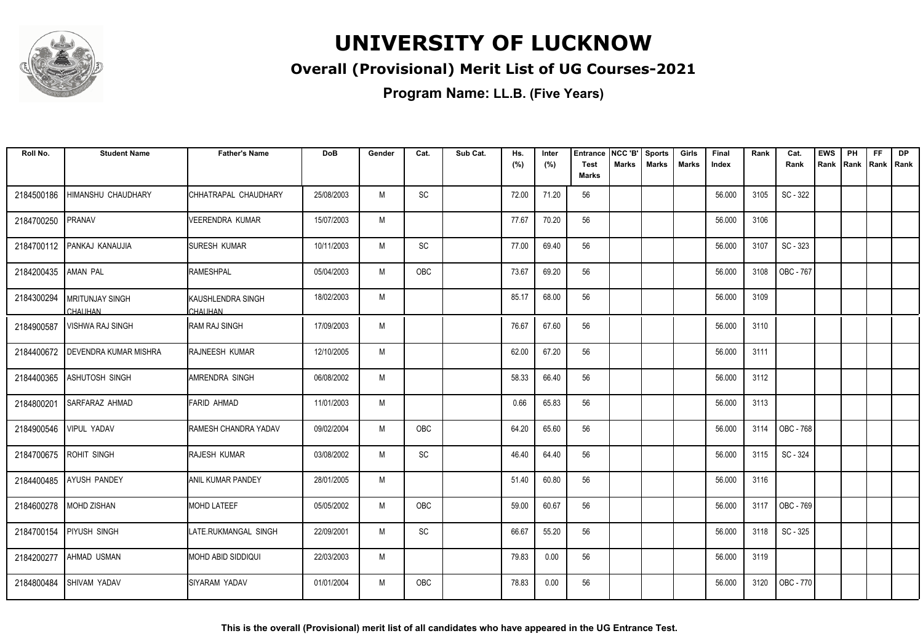

#### **Overall (Provisional) Merit List of UG Courses-2021**

| Roll No.   | <b>Student Name</b>                      | <b>Father's Name</b>                | <b>DoB</b> | Gender | Cat.       | Sub Cat. | Hs.<br>(%) | Inter<br>(%) | <b>Entrance</b><br><b>Test</b> | NCC 'B'<br><b>Marks</b> | <b>Sports</b><br><b>Marks</b> | Girls<br>Marks | Final<br>Index | Rank | Cat.<br>Rank | <b>EWS</b><br>Rank | PH<br>Rank Rank Rank | <b>FF</b> | <b>DP</b> |
|------------|------------------------------------------|-------------------------------------|------------|--------|------------|----------|------------|--------------|--------------------------------|-------------------------|-------------------------------|----------------|----------------|------|--------------|--------------------|----------------------|-----------|-----------|
|            |                                          |                                     |            |        |            |          |            |              | <b>Marks</b>                   |                         |                               |                |                |      |              |                    |                      |           |           |
| 2184500186 | <b>HIMANSHU CHAUDHARY</b>                | CHHATRAPAL CHAUDHARY                | 25/08/2003 | M      | SC         |          | 72.00      | 71.20        | 56                             |                         |                               |                | 56.000         | 3105 | SC - 322     |                    |                      |           |           |
| 2184700250 | <b>PRANAV</b>                            | <b>VEERENDRA KUMAR</b>              | 15/07/2003 | M      |            |          | 77.67      | 70.20        | 56                             |                         |                               |                | 56.000         | 3106 |              |                    |                      |           |           |
|            | 2184700112 PANKAJ KANAUJIA               | <b>SURESH KUMAR</b>                 | 10/11/2003 | M      | SC         |          | 77.00      | 69.40        | 56                             |                         |                               |                | 56.000         | 3107 | SC - 323     |                    |                      |           |           |
| 2184200435 | <b>AMAN PAL</b>                          | RAMESHPAL                           | 05/04/2003 | M      | OBC        |          | 73.67      | 69.20        | 56                             |                         |                               |                | 56.000         | 3108 | OBC - 767    |                    |                      |           |           |
| 2184300294 | <b>MRITUNJAY SINGH</b><br><b>CHAUHAN</b> | <b>KAUSHLENDRA SINGH</b><br>CHAUHAN | 18/02/2003 | M      |            |          | 85.17      | 68.00        | 56                             |                         |                               |                | 56.000         | 3109 |              |                    |                      |           |           |
| 2184900587 | <b>VISHWA RAJ SINGH</b>                  | <b>RAM RAJ SINGH</b>                | 17/09/2003 | M      |            |          | 76.67      | 67.60        | 56                             |                         |                               |                | 56.000         | 3110 |              |                    |                      |           |           |
|            | 2184400672   DEVENDRA KUMAR MISHRA       | <b>RAJNEESH KUMAR</b>               | 12/10/2005 | M      |            |          | 62.00      | 67.20        | 56                             |                         |                               |                | 56.000         | 3111 |              |                    |                      |           |           |
| 2184400365 | <b>ASHUTOSH SINGH</b>                    | AMRENDRA SINGH                      | 06/08/2002 | M      |            |          | 58.33      | 66.40        | 56                             |                         |                               |                | 56.000         | 3112 |              |                    |                      |           |           |
| 2184800201 | SARFARAZ AHMAD                           | FARID AHMAD                         | 11/01/2003 | M      |            |          | 0.66       | 65.83        | 56                             |                         |                               |                | 56.000         | 3113 |              |                    |                      |           |           |
| 2184900546 | VIPUL YADAV                              | RAMESH CHANDRA YADAV                | 09/02/2004 | M      | OBC        |          | 64.20      | 65.60        | 56                             |                         |                               |                | 56.000         | 3114 | OBC - 768    |                    |                      |           |           |
|            | 2184700675 ROHIT SINGH                   | RAJESH KUMAR                        | 03/08/2002 | M      | SC         |          | 46.40      | 64.40        | 56                             |                         |                               |                | 56.000         | 3115 | SC - 324     |                    |                      |           |           |
|            | 2184400485   AYUSH PANDEY                | IANIL KUMAR PANDEY                  | 28/01/2005 | M      |            |          | 51.40      | 60.80        | 56                             |                         |                               |                | 56.000         | 3116 |              |                    |                      |           |           |
|            | 2184600278   MOHD ZISHAN                 | <b>MOHD LATEEF</b>                  | 05/05/2002 | M      | OBC        |          | 59.00      | 60.67        | 56                             |                         |                               |                | 56.000         | 3117 | OBC - 769    |                    |                      |           |           |
| 2184700154 | <b>PIYUSH SINGH</b>                      | LATE.RUKMANGAL SINGH                | 22/09/2001 | M      | SC         |          | 66.67      | 55.20        | 56                             |                         |                               |                | 56.000         | 3118 | SC - 325     |                    |                      |           |           |
| 2184200277 | AHMAD USMAN                              | MOHD ABID SIDDIQUI                  | 22/03/2003 | M      |            |          | 79.83      | 0.00         | 56                             |                         |                               |                | 56.000         | 3119 |              |                    |                      |           |           |
| 2184800484 | SHIVAM YADAV                             | SIYARAM YADAV                       | 01/01/2004 | M      | <b>OBC</b> |          | 78.83      | 0.00         | 56                             |                         |                               |                | 56.000         | 3120 | OBC - 770    |                    |                      |           |           |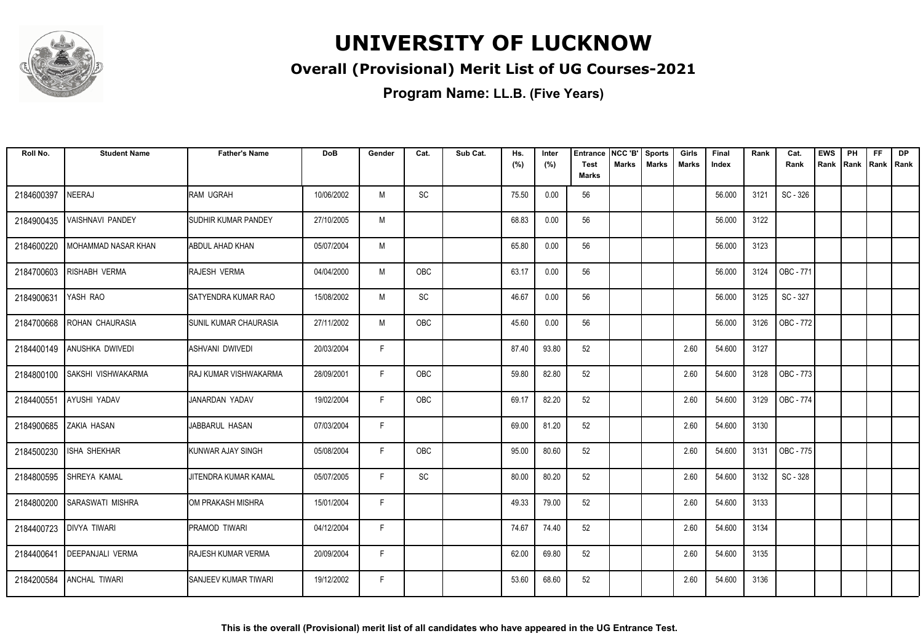

#### **Overall (Provisional) Merit List of UG Courses-2021**

| Roll No.   | <b>Student Name</b>        | <b>Father's Name</b>        | <b>DoB</b> | Gender | Cat.       | Sub Cat. | Hs.<br>(%) | Inter<br>(%) | <b>Entrance</b><br><b>Test</b> | NCC 'B'<br><b>Marks</b> | <b>Sports</b><br><b>Marks</b> | Girls<br>Marks | Final<br>Index | Rank | Cat.<br>Rank | <b>EWS</b><br>Rank | PH<br>Rank | FF<br>Rank   Rank | <b>DP</b> |
|------------|----------------------------|-----------------------------|------------|--------|------------|----------|------------|--------------|--------------------------------|-------------------------|-------------------------------|----------------|----------------|------|--------------|--------------------|------------|-------------------|-----------|
|            |                            |                             |            |        |            |          |            |              | <b>Marks</b>                   |                         |                               |                |                |      |              |                    |            |                   |           |
| 2184600397 | <b>NEERAJ</b>              | <b>RAM UGRAH</b>            | 10/06/2002 | M      | SC         |          | 75.50      | 0.00         | 56                             |                         |                               |                | 56.000         | 3121 | SC - 326     |                    |            |                   |           |
| 2184900435 | <b>VAISHNAVI PANDEY</b>    | <b>ISUDHIR KUMAR PANDEY</b> | 27/10/2005 | M      |            |          | 68.83      | 0.00         | 56                             |                         |                               |                | 56.000         | 3122 |              |                    |            |                   |           |
| 2184600220 | MOHAMMAD NASAR KHAN        | ABDUL AHAD KHAN             | 05/07/2004 | M      |            |          | 65.80      | 0.00         | 56                             |                         |                               |                | 56.000         | 3123 |              |                    |            |                   |           |
| 2184700603 | <b>RISHABH VERMA</b>       | <b>RAJESH VERMA</b>         | 04/04/2000 | M      | <b>OBC</b> |          | 63.17      | 0.00         | 56                             |                         |                               |                | 56.000         | 3124 | OBC - 771    |                    |            |                   |           |
| 2184900631 | YASH RAO                   | SATYENDRA KUMAR RAO         | 15/08/2002 | M      | SC         |          | 46.67      | 0.00         | 56                             |                         |                               |                | 56.000         | 3125 | SC - 327     |                    |            |                   |           |
| 2184700668 | <b>ROHAN CHAURASIA</b>     | ISUNIL KUMAR CHAURASIA      | 27/11/2002 | M      | <b>OBC</b> |          | 45.60      | 0.00         | 56                             |                         |                               |                | 56.000         | 3126 | OBC - 772    |                    |            |                   |           |
|            | 2184400149 ANUSHKA DWIVEDI | ASHVANI DWIVEDI             | 20/03/2004 | F      |            |          | 87.40      | 93.80        | 52                             |                         |                               | 2.60           | 54.600         | 3127 |              |                    |            |                   |           |
| 2184800100 | <b>SAKSHI VISHWAKARMA</b>  | RAJ KUMAR VISHWAKARMA       | 28/09/2001 | F.     | OBC        |          | 59.80      | 82.80        | 52                             |                         |                               | 2.60           | 54.600         | 3128 | OBC - 773    |                    |            |                   |           |
| 2184400551 | AYUSHI YADAV               | JANARDAN YADAV              | 19/02/2004 | F.     | OBC        |          | 69.17      | 82.20        | 52                             |                         |                               | 2.60           | 54.600         | 3129 | OBC - 774    |                    |            |                   |           |
| 2184900685 | <b>ZAKIA HASAN</b>         | JABBARUL HASAN              | 07/03/2004 | F.     |            |          | 69.00      | 81.20        | 52                             |                         |                               | 2.60           | 54.600         | 3130 |              |                    |            |                   |           |
| 2184500230 | <b>ISHA SHEKHAR</b>        | KUNWAR AJAY SINGH           | 05/08/2004 | F      | <b>OBC</b> |          | 95.00      | 80.60        | 52                             |                         |                               | 2.60           | 54.600         | 3131 | OBC - 775    |                    |            |                   |           |
| 2184800595 | SHREYA KAMAL               | JITENDRA KUMAR KAMAL        | 05/07/2005 | F      | SC         |          | 80.00      | 80.20        | 52                             |                         |                               | 2.60           | 54.600         | 3132 | SC - 328     |                    |            |                   |           |
| 2184800200 | <b>SARASWATI MISHRA</b>    | IOM PRAKASH MISHRA          | 15/01/2004 | F.     |            |          | 49.33      | 79.00        | 52                             |                         |                               | 2.60           | 54.600         | 3133 |              |                    |            |                   |           |
|            | 2184400723   DIVYA TIWARI  | PRAMOD TIWARI               | 04/12/2004 | F      |            |          | 74.67      | 74.40        | 52                             |                         |                               | 2.60           | 54.600         | 3134 |              |                    |            |                   |           |
| 2184400641 | <b>DEEPANJALI VERMA</b>    | RAJESH KUMAR VERMA          | 20/09/2004 | F.     |            |          | 62.00      | 69.80        | 52                             |                         |                               | 2.60           | 54.600         | 3135 |              |                    |            |                   |           |
| 2184200584 | <b>ANCHAL TIWARI</b>       | <b>SANJEEV KUMAR TIWARI</b> | 19/12/2002 | F.     |            |          | 53.60      | 68.60        | 52                             |                         |                               | 2.60           | 54.600         | 3136 |              |                    |            |                   |           |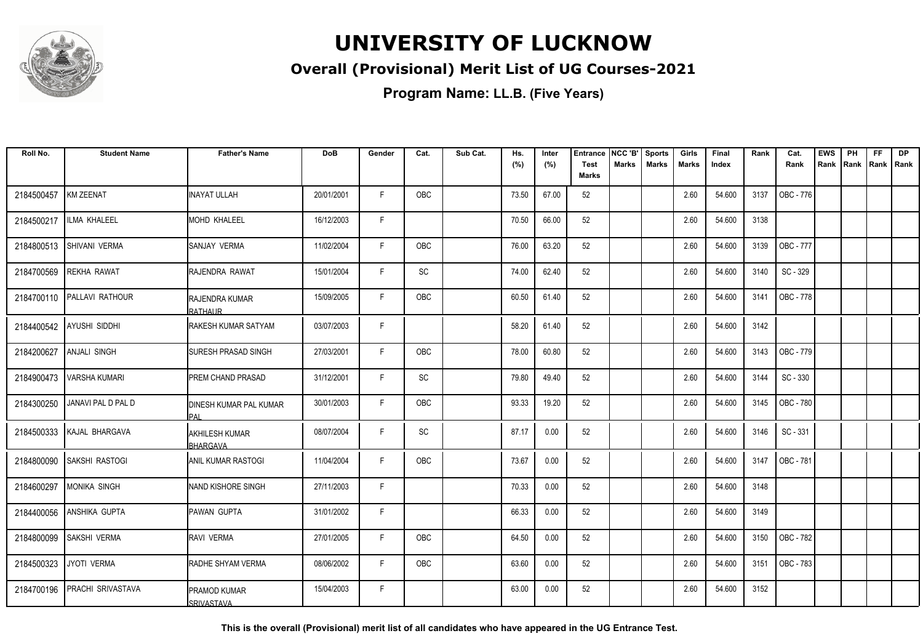

#### **Overall (Provisional) Merit List of UG Courses-2021**

**Program Name: LL.B. (Five Years)**

| Roll No.   | <b>Student Name</b>          | <b>Father's Name</b>                     | <b>DoB</b> | Gender      | Cat.                         | Sub Cat. | Hs.   | Inter | <b>Entrance</b>             | NCC 'B' | <b>Sports</b> | Girls | Final  | Rank | Cat.             | <b>EWS</b> | PH   | <b>FF</b>   | <b>DP</b> |
|------------|------------------------------|------------------------------------------|------------|-------------|------------------------------|----------|-------|-------|-----------------------------|---------|---------------|-------|--------|------|------------------|------------|------|-------------|-----------|
|            |                              |                                          |            |             |                              |          | (%)   | (%)   | <b>Test</b><br><b>Marks</b> | Marks   | <b>Marks</b>  | Marks | Index  |      | Rank             | Rank       | Rank | Rank   Rank |           |
| 2184500457 | <b>KM ZEENAT</b>             | <b>INAYAT ULLAH</b>                      | 20/01/2001 | F           | OBC                          |          | 73.50 | 67.00 | 52                          |         |               | 2.60  | 54.600 | 3137 | OBC - 776        |            |      |             |           |
| 2184500217 | <b>ILMA KHALEEL</b>          | <b>MOHD KHALEEL</b>                      | 16/12/2003 | F           |                              |          | 70.50 | 66.00 | 52                          |         |               | 2.60  | 54.600 | 3138 |                  |            |      |             |           |
| 2184800513 | SHIVANI VERMA                | SANJAY VERMA                             | 11/02/2004 | F.          | OBC                          |          | 76.00 | 63.20 | 52                          |         |               | 2.60  | 54.600 | 3139 | OBC - 777        |            |      |             |           |
| 2184700569 | <b>REKHA RAWAT</b>           | RAJENDRA RAWAT                           | 15/01/2004 | F           | $\operatorname{\textsf{SC}}$ |          | 74.00 | 62.40 | 52                          |         |               | 2.60  | 54.600 | 3140 | SC - 329         |            |      |             |           |
|            | 2184700110 PALLAVI RATHOUR   | <b>RAJENDRA KUMAR</b><br>RATHAUR         | 15/09/2005 | $\mathsf F$ | OBC                          |          | 60.50 | 61.40 | 52                          |         |               | 2.60  | 54.600 | 3141 | OBC - 778        |            |      |             |           |
| 2184400542 | <b>AYUSHI SIDDHI</b>         | RAKESH KUMAR SATYAM                      | 03/07/2003 | F           |                              |          | 58.20 | 61.40 | 52                          |         |               | 2.60  | 54.600 | 3142 |                  |            |      |             |           |
| 2184200627 | <b>ANJALI SINGH</b>          | <b>SURESH PRASAD SINGH</b>               | 27/03/2001 | $\mathsf F$ | OBC                          |          | 78.00 | 60.80 | 52                          |         |               | 2.60  | 54.600 | 3143 | OBC - 779        |            |      |             |           |
| 2184900473 | <b>VARSHA KUMARI</b>         | PREM CHAND PRASAD                        | 31/12/2001 | $\mathsf F$ | SC                           |          | 79.80 | 49.40 | 52                          |         |               | 2.60  | 54.600 | 3144 | SC - 330         |            |      |             |           |
| 2184300250 | <b>JANAVI PAL D PAL D</b>    | DINESH KUMAR PAL KUMAR<br>PAI            | 30/01/2003 | F           | OBC                          |          | 93.33 | 19.20 | 52                          |         |               | 2.60  | 54.600 | 3145 | OBC - 780        |            |      |             |           |
|            | 2184500333 KAJAL BHARGAVA    | <b>AKHILESH KUMAR</b><br><b>BHARGAVA</b> | 08/07/2004 | F           | $\operatorname{\textsf{SC}}$ |          | 87.17 | 0.00  | 52                          |         |               | 2.60  | 54.600 | 3146 | SC - 331         |            |      |             |           |
| 2184800090 | <b>SAKSHI RASTOGI</b>        | <b>ANIL KUMAR RASTOGI</b>                | 11/04/2004 | F           | OBC                          |          | 73.67 | 0.00  | 52                          |         |               | 2.60  | 54.600 | 3147 | OBC - 781        |            |      |             |           |
| 2184600297 | <b>MONIKA SINGH</b>          | NAND KISHORE SINGH                       | 27/11/2003 | F.          |                              |          | 70.33 | 0.00  | 52                          |         |               | 2.60  | 54.600 | 3148 |                  |            |      |             |           |
| 2184400056 | ANSHIKA GUPTA                | PAWAN GUPTA                              | 31/01/2002 | F.          |                              |          | 66.33 | 0.00  | 52                          |         |               | 2.60  | 54.600 | 3149 |                  |            |      |             |           |
| 2184800099 | <b>SAKSHI VERMA</b>          | RAVI VERMA                               | 27/01/2005 | F           | <b>OBC</b>                   |          | 64.50 | 0.00  | 52                          |         |               | 2.60  | 54.600 | 3150 | OBC - 782        |            |      |             |           |
| 2184500323 | JYOTI VERMA                  | RADHE SHYAM VERMA                        | 08/06/2002 | F           | OBC                          |          | 63.60 | 0.00  | 52                          |         |               | 2.60  | 54.600 | 3151 | <b>OBC - 783</b> |            |      |             |           |
|            | 2184700196 PRACHI SRIVASTAVA | PRAMOD KUMAR<br><b>SRIVASTAVA</b>        | 15/04/2003 | F           |                              |          | 63.00 | 0.00  | 52                          |         |               | 2.60  | 54.600 | 3152 |                  |            |      |             |           |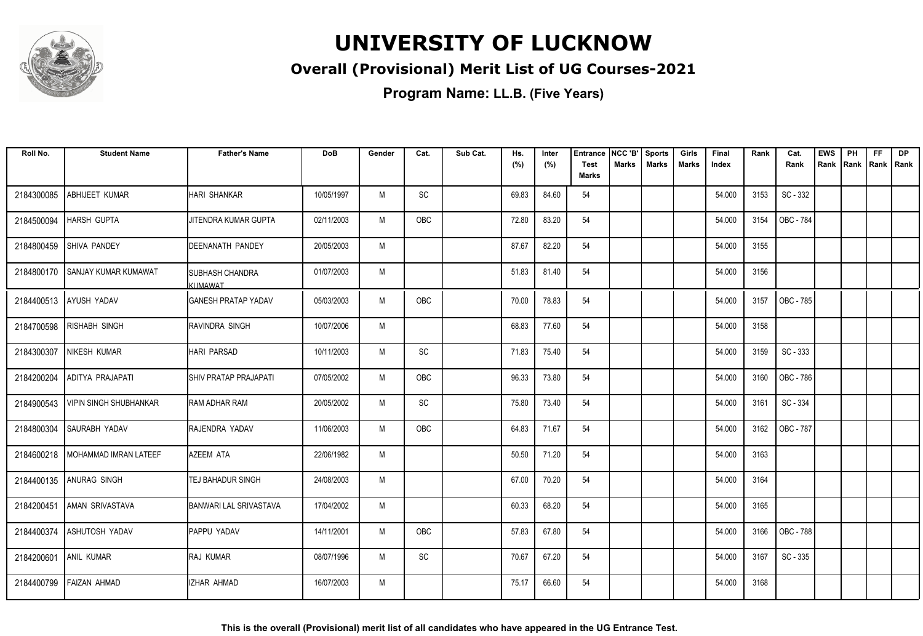

#### **Overall (Provisional) Merit List of UG Courses-2021**

| Roll No.   | <b>Student Name</b>            | <b>Father's Name</b>                     | <b>DoB</b> | Gender | Cat.                         | Sub Cat. | Hs.<br>(%) | Inter<br>(%) | Entrance<br><b>Test</b> | NCC 'B'<br>Marks | <b>Sports</b><br><b>Marks</b> | Girls<br><b>Marks</b> | Final<br>Index | Rank | Cat.<br>Rank     | <b>EWS</b><br>Rank | PH<br>Rank | FF<br>Rank   Rank | <b>DP</b> |
|------------|--------------------------------|------------------------------------------|------------|--------|------------------------------|----------|------------|--------------|-------------------------|------------------|-------------------------------|-----------------------|----------------|------|------------------|--------------------|------------|-------------------|-----------|
|            |                                |                                          |            |        |                              |          |            |              | <b>Marks</b>            |                  |                               |                       |                |      |                  |                    |            |                   |           |
| 2184300085 | ABHIJEET KUMAR                 | <b>HARI SHANKAR</b>                      | 10/05/1997 | M      | SC                           |          | 69.83      | 84.60        | 54                      |                  |                               |                       | 54.000         | 3153 | SC - 332         |                    |            |                   |           |
| 2184500094 | <b>HARSH GUPTA</b>             | JITENDRA KUMAR GUPTA                     | 02/11/2003 | M      | OBC                          |          | 72.80      | 83.20        | 54                      |                  |                               |                       | 54.000         | 3154 | OBC - 784        |                    |            |                   |           |
| 2184800459 | SHIVA PANDEY                   | <b>DEENANATH PANDEY</b>                  | 20/05/2003 | M      |                              |          | 87.67      | 82.20        | 54                      |                  |                               |                       | 54.000         | 3155 |                  |                    |            |                   |           |
| 2184800170 | <b>SANJAY KUMAR KUMAWAT</b>    | <b>SUBHASH CHANDRA</b><br><b>KUMAWAT</b> | 01/07/2003 | M      |                              |          | 51.83      | 81.40        | 54                      |                  |                               |                       | 54.000         | 3156 |                  |                    |            |                   |           |
|            | 2184400513 AYUSH YADAV         | <b>I</b> GANESH PRATAP YADAV             | 05/03/2003 | M      | OBC                          |          | 70.00      | 78.83        | 54                      |                  |                               |                       | 54.000         | 3157 | OBC - 785        |                    |            |                   |           |
| 2184700598 | <b>RISHABH SINGH</b>           | RAVINDRA SINGH                           | 10/07/2006 | M      |                              |          | 68.83      | 77.60        | 54                      |                  |                               |                       | 54.000         | 3158 |                  |                    |            |                   |           |
| 2184300307 | <b>NIKESH KUMAR</b>            | <b>HARI PARSAD</b>                       | 10/11/2003 | M      | $\operatorname{\textsf{SC}}$ |          | 71.83      | 75.40        | 54                      |                  |                               |                       | 54.000         | 3159 | SC - 333         |                    |            |                   |           |
| 2184200204 | ADITYA PRAJAPATI               | <b>SHIV PRATAP PRAJAPATI</b>             | 07/05/2002 | M      | OBC                          |          | 96.33      | 73.80        | 54                      |                  |                               |                       | 54.000         | 3160 | OBC - 786        |                    |            |                   |           |
| 2184900543 | <b>VIPIN SINGH SHUBHANKAR</b>  | IRAM ADHAR RAM                           | 20/05/2002 | M      | SC                           |          | 75.80      | 73.40        | 54                      |                  |                               |                       | 54.000         | 3161 | SC - 334         |                    |            |                   |           |
| 2184800304 | SAURABH YADAV                  | RAJENDRA YADAV                           | 11/06/2003 | M      | <b>OBC</b>                   |          | 64.83      | 71.67        | 54                      |                  |                               |                       | 54.000         | 3162 | <b>OBC - 787</b> |                    |            |                   |           |
| 2184600218 | <b>I MOHAMMAD IMRAN LATEEF</b> | <b>AZEEM ATA</b>                         | 22/06/1982 | M      |                              |          | 50.50      | 71.20        | 54                      |                  |                               |                       | 54.000         | 3163 |                  |                    |            |                   |           |
|            | 2184400135 ANURAG SINGH        | TEJ BAHADUR SINGH                        | 24/08/2003 | M      |                              |          | 67.00      | 70.20        | 54                      |                  |                               |                       | 54.000         | 3164 |                  |                    |            |                   |           |
| 2184200451 | AMAN SRIVASTAVA                | <b>BANWARI LAL SRIVASTAVA</b>            | 17/04/2002 | M      |                              |          | 60.33      | 68.20        | 54                      |                  |                               |                       | 54.000         | 3165 |                  |                    |            |                   |           |
|            | 2184400374 ASHUTOSH YADAV      | PAPPU YADAV                              | 14/11/2001 | M      | OBC                          |          | 57.83      | 67.80        | 54                      |                  |                               |                       | 54.000         | 3166 | OBC - 788        |                    |            |                   |           |
| 2184200601 | ANIL KUMAR                     | <b>RAJ KUMAR</b>                         | 08/07/1996 | M      | SC                           |          | 70.67      | 67.20        | 54                      |                  |                               |                       | 54.000         | 3167 | SC - 335         |                    |            |                   |           |
|            | 2184400799 FAIZAN AHMAD        | <b>IZHAR AHMAD</b>                       | 16/07/2003 | M      |                              |          | 75.17      | 66.60        | 54                      |                  |                               |                       | 54.000         | 3168 |                  |                    |            |                   |           |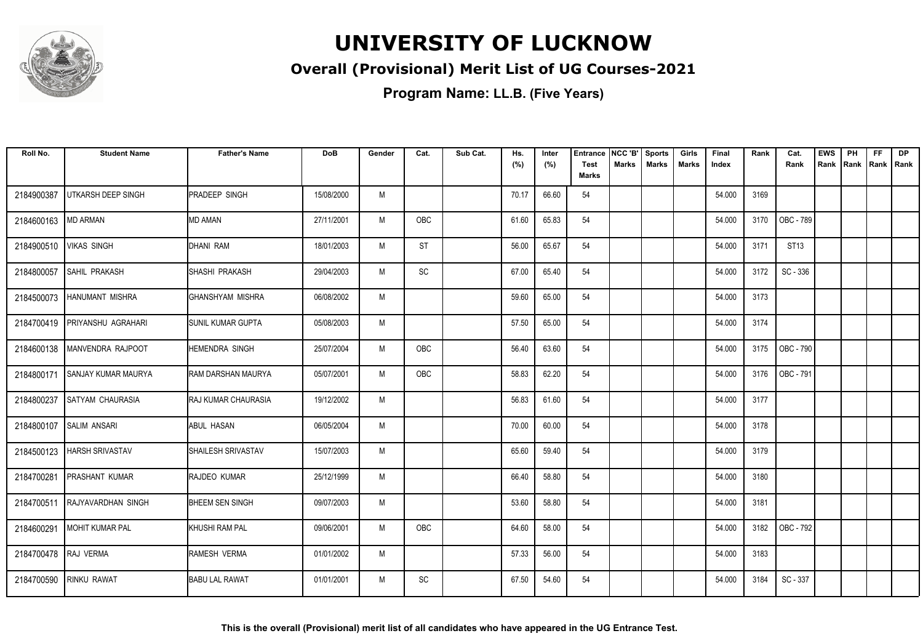

#### **Overall (Provisional) Merit List of UG Courses-2021**

| Roll No.   | <b>Student Name</b>        | <b>Father's Name</b>       | <b>DoB</b> | Gender | Cat.                         | Sub Cat. | Hs.<br>(%) | Inter<br>(%) | <b>Entrance</b><br><b>Test</b> | NCC 'B'<br>Marks | <b>Sports</b><br><b>Marks</b> | Girls<br><b>Marks</b> | Final<br>Index | Rank | Cat.<br>Rank | <b>EWS</b><br>Rank | PH<br>Rank | <b>FF</b><br>Rank   Rank | <b>DP</b> |
|------------|----------------------------|----------------------------|------------|--------|------------------------------|----------|------------|--------------|--------------------------------|------------------|-------------------------------|-----------------------|----------------|------|--------------|--------------------|------------|--------------------------|-----------|
|            |                            |                            |            |        |                              |          |            |              | <b>Marks</b>                   |                  |                               |                       |                |      |              |                    |            |                          |           |
| 2184900387 | UTKARSH DEEP SINGH         | <b>PRADEEP SINGH</b>       | 15/08/2000 | M      |                              |          | 70.17      | 66.60        | 54                             |                  |                               |                       | 54.000         | 3169 |              |                    |            |                          |           |
| 2184600163 | <b>MD ARMAN</b>            | <b>MD AMAN</b>             | 27/11/2001 | M      | OBC                          |          | 61.60      | 65.83        | 54                             |                  |                               |                       | 54.000         | 3170 | OBC - 789    |                    |            |                          |           |
| 2184900510 | <b>VIKAS SINGH</b>         | DHANI RAM                  | 18/01/2003 | M      | <b>ST</b>                    |          | 56.00      | 65.67        | 54                             |                  |                               |                       | 54.000         | 3171 | ST13         |                    |            |                          |           |
| 2184800057 | SAHIL PRAKASH              | SHASHI PRAKASH             | 29/04/2003 | M      | $\operatorname{\textsf{SC}}$ |          | 67.00      | 65.40        | 54                             |                  |                               |                       | 54.000         | 3172 | SC - 336     |                    |            |                          |           |
| 2184500073 | <b>HANUMANT MISHRA</b>     | IGHANSHYAM MISHRA          | 06/08/2002 | M      |                              |          | 59.60      | 65.00        | 54                             |                  |                               |                       | 54.000         | 3173 |              |                    |            |                          |           |
| 2184700419 | <b>PRIYANSHU AGRAHARI</b>  | <b>I</b> SUNIL KUMAR GUPTA | 05/08/2003 | M      |                              |          | 57.50      | 65.00        | 54                             |                  |                               |                       | 54.000         | 3174 |              |                    |            |                          |           |
| 2184600138 | MANVENDRA RAJPOOT          | <b>HEMENDRA SINGH</b>      | 25/07/2004 | M      | OBC                          |          | 56.40      | 63.60        | 54                             |                  |                               |                       | 54.000         | 3175 | OBC - 790    |                    |            |                          |           |
| 2184800171 | <b>SANJAY KUMAR MAURYA</b> | RAM DARSHAN MAURYA         | 05/07/2001 | M      | OBC                          |          | 58.83      | 62.20        | 54                             |                  |                               |                       | 54.000         | 3176 | OBC - 791    |                    |            |                          |           |
| 2184800237 | <b>SATYAM CHAURASIA</b>    | <b>RAJ KUMAR CHAURASIA</b> | 19/12/2002 | M      |                              |          | 56.83      | 61.60        | 54                             |                  |                               |                       | 54.000         | 3177 |              |                    |            |                          |           |
| 2184800107 | <b>SALIM ANSARI</b>        | <b>ABUL HASAN</b>          | 06/05/2004 | M      |                              |          | 70.00      | 60.00        | 54                             |                  |                               |                       | 54.000         | 3178 |              |                    |            |                          |           |
| 2184500123 | <b>HARSH SRIVASTAV</b>     | SHAILESH SRIVASTAV         | 15/07/2003 | M      |                              |          | 65.60      | 59.40        | 54                             |                  |                               |                       | 54.000         | 3179 |              |                    |            |                          |           |
| 2184700281 | <b>PRASHANT KUMAR</b>      | <b>RAJDEO KUMAR</b>        | 25/12/1999 | M      |                              |          | 66.40      | 58.80        | 54                             |                  |                               |                       | 54.000         | 3180 |              |                    |            |                          |           |
| 2184700511 | RAJYAVARDHAN SINGH         | <b>BHEEM SEN SINGH</b>     | 09/07/2003 | M      |                              |          | 53.60      | 58.80        | 54                             |                  |                               |                       | 54.000         | 3181 |              |                    |            |                          |           |
| 2184600291 | MOHIT KUMAR PAL            | KHUSHI RAM PAL             | 09/06/2001 | M      | <b>OBC</b>                   |          | 64.60      | 58.00        | 54                             |                  |                               |                       | 54.000         | 3182 | OBC - 792    |                    |            |                          |           |
| 2184700478 | RAJ VERMA                  | RAMESH VERMA               | 01/01/2002 | M      |                              |          | 57.33      | 56.00        | 54                             |                  |                               |                       | 54.000         | 3183 |              |                    |            |                          |           |
| 2184700590 | <b>RINKU RAWAT</b>         | <b>BABU LAL RAWAT</b>      | 01/01/2001 | M      | SC                           |          | 67.50      | 54.60        | 54                             |                  |                               |                       | 54.000         | 3184 | SC - 337     |                    |            |                          |           |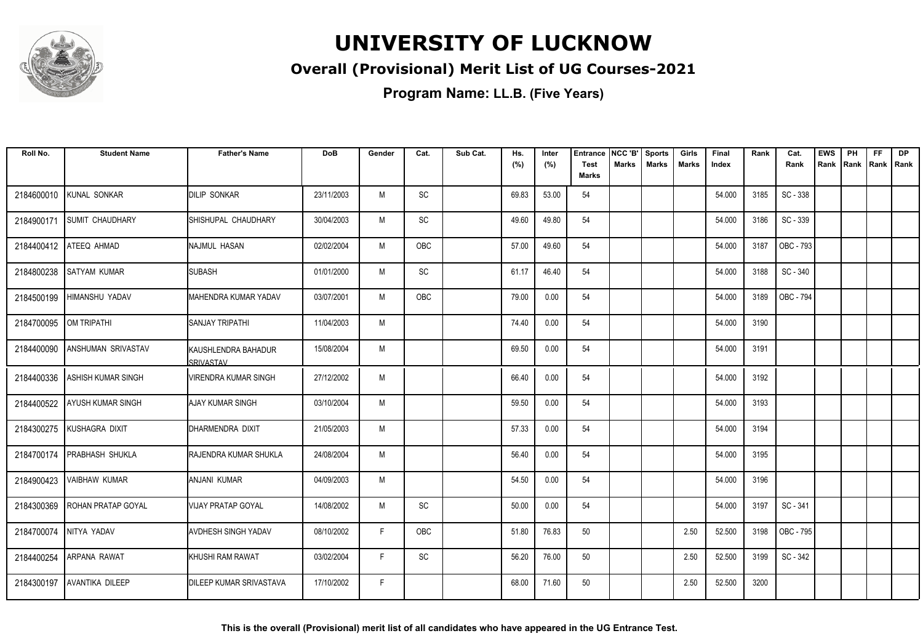

#### **Overall (Provisional) Merit List of UG Courses-2021**

| Roll No.   | <b>Student Name</b>       | <b>Father's Name</b>                      | <b>DoB</b> | Gender | Cat.                         | Sub Cat. | Hs.<br>(%) | Inter<br>(%) | <b>Entrance</b><br><b>Test</b> | NCC 'B'<br><b>Marks</b> | <b>Sports</b><br><b>Marks</b> | Girls<br>Marks | Final<br>Index | Rank | Cat.<br>Rank | <b>EWS</b><br>Rank | PH<br>Rank | <b>FF</b><br>Rank   Rank | <b>DP</b> |
|------------|---------------------------|-------------------------------------------|------------|--------|------------------------------|----------|------------|--------------|--------------------------------|-------------------------|-------------------------------|----------------|----------------|------|--------------|--------------------|------------|--------------------------|-----------|
|            |                           |                                           |            |        |                              |          |            |              | <b>Marks</b>                   |                         |                               |                |                |      |              |                    |            |                          |           |
| 2184600010 | KUNAL SONKAR              | <b>DILIP SONKAR</b>                       | 23/11/2003 | M      | SC                           |          | 69.83      | 53.00        | 54                             |                         |                               |                | 54.000         | 3185 | SC - 338     |                    |            |                          |           |
| 2184900171 | <b>SUMIT CHAUDHARY</b>    | SHISHUPAL CHAUDHARY                       | 30/04/2003 | M      | SC                           |          | 49.60      | 49.80        | 54                             |                         |                               |                | 54.000         | 3186 | SC - 339     |                    |            |                          |           |
| 2184400412 | <b>ATEEQ AHMAD</b>        | INAJMUL HASAN                             | 02/02/2004 | M      | OBC                          |          | 57.00      | 49.60        | 54                             |                         |                               |                | 54.000         | 3187 | OBC - 793    |                    |            |                          |           |
| 2184800238 | <b>SATYAM KUMAR</b>       | <b>ISUBASH</b>                            | 01/01/2000 | M      | $\operatorname{\textsf{SC}}$ |          | 61.17      | 46.40        | 54                             |                         |                               |                | 54.000         | 3188 | SC - 340     |                    |            |                          |           |
| 2184500199 | HIMANSHU YADAV            | IMAHENDRA KUMAR YADAV                     | 03/07/2001 | M      | <b>OBC</b>                   |          | 79.00      | 0.00         | 54                             |                         |                               |                | 54.000         | 3189 | OBC - 794    |                    |            |                          |           |
| 2184700095 | OM TRIPATHI               | <b>I</b> SANJAY TRIPATHI                  | 11/04/2003 | M      |                              |          | 74.40      | 0.00         | 54                             |                         |                               |                | 54.000         | 3190 |              |                    |            |                          |           |
| 2184400090 | ANSHUMAN SRIVASTAV        | <b>I</b> KAUSHLENDRA BAHADUR<br>SRIVASTAV | 15/08/2004 | M      |                              |          | 69.50      | 0.00         | 54                             |                         |                               |                | 54.000         | 3191 |              |                    |            |                          |           |
| 2184400336 | ASHISH KUMAR SINGH        | IVIRENDRA KUMAR SINGH                     | 27/12/2002 | M      |                              |          | 66.40      | 0.00         | 54                             |                         |                               |                | 54.000         | 3192 |              |                    |            |                          |           |
| 2184400522 | <b>AYUSH KUMAR SINGH</b>  | IAJAY KUMAR SINGH                         | 03/10/2004 | M      |                              |          | 59.50      | 0.00         | 54                             |                         |                               |                | 54.000         | 3193 |              |                    |            |                          |           |
| 2184300275 | KUSHAGRA DIXIT            | Idharmendra dixit                         | 21/05/2003 | M      |                              |          | 57.33      | 0.00         | 54                             |                         |                               |                | 54.000         | 3194 |              |                    |            |                          |           |
| 2184700174 | <b>PRABHASH SHUKLA</b>    | <b>I</b> RAJENDRA KUMAR SHUKLA            | 24/08/2004 | M      |                              |          | 56.40      | 0.00         | 54                             |                         |                               |                | 54.000         | 3195 |              |                    |            |                          |           |
| 2184900423 | <b>VAIBHAW KUMAR</b>      | <b>ANJANI KUMAR</b>                       | 04/09/2003 | M      |                              |          | 54.50      | 0.00         | 54                             |                         |                               |                | 54.000         | 3196 |              |                    |            |                          |           |
| 2184300369 | <b>ROHAN PRATAP GOYAL</b> | VIJAY PRATAP GOYAL                        | 14/08/2002 | M      | SC                           |          | 50.00      | 0.00         | 54                             |                         |                               |                | 54.000         | 3197 | SC - 341     |                    |            |                          |           |
| 2184700074 | NITYA YADAV               | <b>AVDHESH SINGH YADAV</b>                | 08/10/2002 | F.     | OBC                          |          | 51.80      | 76.83        | 50                             |                         |                               | 2.50           | 52.500         | 3198 | OBC - 795    |                    |            |                          |           |
| 2184400254 | <b>ARPANA RAWAT</b>       | <b>I</b> KHUSHI RAM RAWAT                 | 03/02/2004 | F.     | SC                           |          | 56.20      | 76.00        | 50                             |                         |                               | 2.50           | 52.500         | 3199 | SC - 342     |                    |            |                          |           |
| 2184300197 | AVANTIKA DILEEP           | <b>IDILEEP KUMAR SRIVASTAVA</b>           | 17/10/2002 | F.     |                              |          | 68.00      | 71.60        | 50                             |                         |                               | 2.50           | 52.500         | 3200 |              |                    |            |                          |           |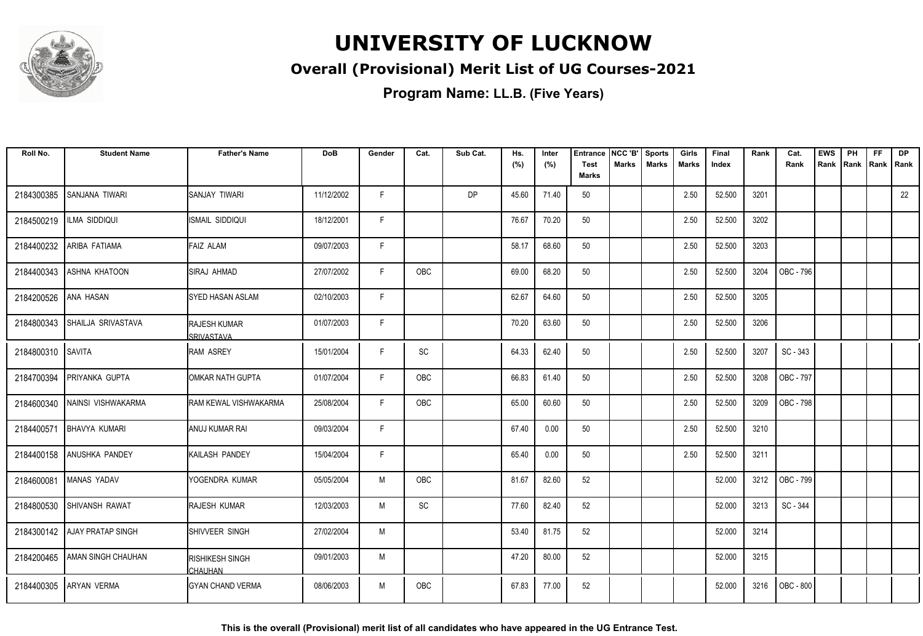

#### **Overall (Provisional) Merit List of UG Courses-2021**

**Program Name: LL.B. (Five Years)**

| Roll No.          | <b>Student Name</b>             | <b>Father's Name</b>              | <b>DoB</b> | Gender | Cat.       | Sub Cat.  | Hs.<br>(%) | Inter<br>(%) | <b>Entrance</b><br><b>Test</b><br><b>Marks</b> | NCC 'B'<br>Marks | <b>Sports</b><br><b>Marks</b> | Girls<br>Marks | Final<br>Index | Rank | Cat.<br>Rank | <b>EWS</b><br>Rank | PH<br>Rank | FF<br>Rank   Rank | <b>DP</b> |
|-------------------|---------------------------------|-----------------------------------|------------|--------|------------|-----------|------------|--------------|------------------------------------------------|------------------|-------------------------------|----------------|----------------|------|--------------|--------------------|------------|-------------------|-----------|
|                   |                                 |                                   |            |        |            |           |            |              |                                                |                  |                               |                |                |      |              |                    |            |                   |           |
| 2184300385        | SANJANA TIWARI                  | SANJAY TIWARI                     | 11/12/2002 | F.     |            | <b>DP</b> | 45.60      | 71.40        | 50                                             |                  |                               | 2.50           | 52.500         | 3201 |              |                    |            |                   | 22        |
| 2184500219        | ILMA SIDDIQUI                   | ISMAIL SIDDIQUI                   | 18/12/2001 | F.     |            |           | 76.67      | 70.20        | 50                                             |                  |                               | 2.50           | 52.500         | 3202 |              |                    |            |                   |           |
| 2184400232        | ARIBA FATIAMA                   | <b>FAIZ ALAM</b>                  | 09/07/2003 | F      |            |           | 58.17      | 68.60        | 50                                             |                  |                               | 2.50           | 52.500         | 3203 |              |                    |            |                   |           |
| 2184400343        | ASHNA KHATOON                   | SIRAJ AHMAD                       | 27/07/2002 | F      | OBC        |           | 69.00      | 68.20        | 50                                             |                  |                               | 2.50           | 52.500         | 3204 | OBC - 796    |                    |            |                   |           |
| 2184200526        | <b>ANA HASAN</b>                | <b>SYED HASAN ASLAM</b>           | 02/10/2003 | F      |            |           | 62.67      | 64.60        | 50                                             |                  |                               | 2.50           | 52.500         | 3205 |              |                    |            |                   |           |
| 2184800343        | SHAILJA SRIVASTAVA              | <b>RAJESH KUMAR</b><br>SRIVASTAVA | 01/07/2003 | F      |            |           | 70.20      | 63.60        | 50                                             |                  |                               | 2.50           | 52.500         | 3206 |              |                    |            |                   |           |
| 2184800310 SAVITA |                                 | <b>RAM ASREY</b>                  | 15/01/2004 | F      | SC         |           | 64.33      | 62.40        | 50                                             |                  |                               | 2.50           | 52.500         | 3207 | SC - 343     |                    |            |                   |           |
| 2184700394        | PRIYANKA GUPTA                  | OMKAR NATH GUPTA                  | 01/07/2004 | F.     | OBC        |           | 66.83      | 61.40        | 50                                             |                  |                               | 2.50           | 52.500         | 3208 | OBC - 797    |                    |            |                   |           |
| 2184600340        | NAINSI VISHWAKARMA              | RAM KEWAL VISHWAKARMA             | 25/08/2004 | F.     | OBC        |           | 65.00      | 60.60        | 50                                             |                  |                               | 2.50           | 52.500         | 3209 | OBC - 798    |                    |            |                   |           |
| 2184400571        | <b>BHAVYA KUMARI</b>            | ANUJ KUMAR RAI                    | 09/03/2004 | F      |            |           | 67.40      | 0.00         | 50                                             |                  |                               | 2.50           | 52.500         | 3210 |              |                    |            |                   |           |
| 2184400158        | ANUSHKA PANDEY                  | KAILASH PANDEY                    | 15/04/2004 | F      |            |           | 65.40      | 0.00         | 50                                             |                  |                               | 2.50           | 52.500         | 3211 |              |                    |            |                   |           |
| 2184600081        | MANAS YADAV                     | YOGENDRA KUMAR                    | 05/05/2004 | M      | OBC        |           | 81.67      | 82.60        | 52                                             |                  |                               |                | 52.000         | 3212 | OBC - 799    |                    |            |                   |           |
| 2184800530        | SHIVANSH RAWAT                  | RAJESH KUMAR                      | 12/03/2003 | M      | SC         |           | 77.60      | 82.40        | 52                                             |                  |                               |                | 52.000         | 3213 | SC - 344     |                    |            |                   |           |
|                   | 2184300142 AJAY PRATAP SINGH    | ISHIVVEER SINGH                   | 27/02/2004 | M      |            |           | 53.40      | 81.75        | 52                                             |                  |                               |                | 52.000         | 3214 |              |                    |            |                   |           |
|                   | 2184200465   AMAN SINGH CHAUHAN | RISHIKESH SINGH<br><b>CHAUHAN</b> | 09/01/2003 | M      |            |           | 47.20      | 80.00        | 52                                             |                  |                               |                | 52.000         | 3215 |              |                    |            |                   |           |
| 2184400305        | <b>ARYAN VERMA</b>              | <b>GYAN CHAND VERMA</b>           | 08/06/2003 | M      | <b>OBC</b> |           | 67.83      | 77.00        | 52                                             |                  |                               |                | 52.000         | 3216 | OBC - 800    |                    |            |                   |           |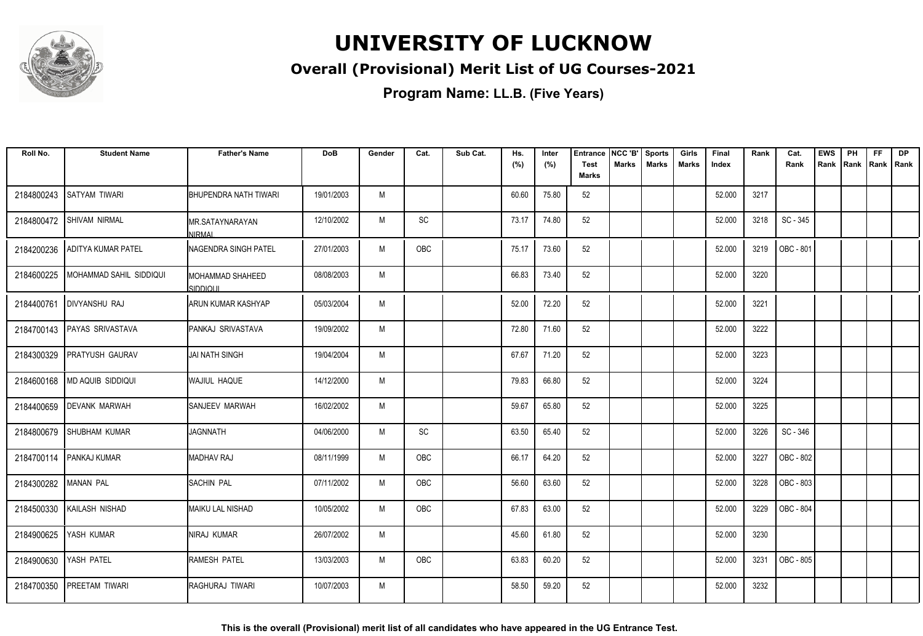

#### **Overall (Provisional) Merit List of UG Courses-2021**

| Roll No.             | <b>Student Name</b>       | <b>Father's Name</b>             | <b>DoB</b> | Gender | Cat. | Sub Cat. | Hs.<br>(%) | Inter<br>(%) | <b>Entrance</b><br><b>Test</b> | NCC 'B'<br><b>Marks</b> | <b>Sports</b><br><b>Marks</b> | Girls<br><b>Marks</b> | Final<br>Index | Rank | Cat.<br>Rank | <b>EWS</b><br>Rank | PH<br>Rank Rank Rank | <b>FF</b> | DP |
|----------------------|---------------------------|----------------------------------|------------|--------|------|----------|------------|--------------|--------------------------------|-------------------------|-------------------------------|-----------------------|----------------|------|--------------|--------------------|----------------------|-----------|----|
|                      |                           |                                  |            |        |      |          |            |              | Marks                          |                         |                               |                       |                |      |              |                    |                      |           |    |
| 2184800243           | <b>SATYAM TIWARI</b>      | <b>BHUPENDRA NATH TIWARI</b>     | 19/01/2003 | M      |      |          | 60.60      | 75.80        | 52                             |                         |                               |                       | 52.000         | 3217 |              |                    |                      |           |    |
| 2184800472           | <b>SHIVAM NIRMAL</b>      | MR.SATAYNARAYAN<br><b>NIRMAI</b> | 12/10/2002 | M      | SC   |          | 73.17      | 74.80        | 52                             |                         |                               |                       | 52.000         | 3218 | SC - 345     |                    |                      |           |    |
| 2184200236           | ADITYA KUMAR PATEL        | <b>INAGENDRA SINGH PATEL</b>     | 27/01/2003 | M      | OBC  |          | 75.17      | 73.60        | 52                             |                         |                               |                       | 52.000         | 3219 | OBC - 801    |                    |                      |           |    |
| 2184600225           | MOHAMMAD SAHIL SIDDIQUI   | IMOHAMMAD SHAHEED<br>SIDDIOUL    | 08/08/2003 | M      |      |          | 66.83      | 73.40        | 52                             |                         |                               |                       | 52.000         | 3220 |              |                    |                      |           |    |
| 2184400761           | <b>DIVYANSHU RAJ</b>      | IARUN KUMAR KASHYAP              | 05/03/2004 | M      |      |          | 52.00      | 72.20        | 52                             |                         |                               |                       | 52.000         | 3221 |              |                    |                      |           |    |
| 2184700143           | <b>PAYAS SRIVASTAVA</b>   | <b>I</b> PANKAJ SRIVASTAVA       | 19/09/2002 | M      |      |          | 72.80      | 71.60        | 52                             |                         |                               |                       | 52.000         | 3222 |              |                    |                      |           |    |
| 2184300329           | <b>PRATYUSH GAURAV</b>    | JAI NATH SINGH                   | 19/04/2004 | M      |      |          | 67.67      | 71.20        | 52                             |                         |                               |                       | 52.000         | 3223 |              |                    |                      |           |    |
| 2184600168           | MD AQUIB SIDDIQUI         | IWAJIUL HAQUE                    | 14/12/2000 | M      |      |          | 79.83      | 66.80        | 52                             |                         |                               |                       | 52.000         | 3224 |              |                    |                      |           |    |
| 2184400659           | <b>DEVANK MARWAH</b>      | <b>I</b> SANJEEV MARWAH          | 16/02/2002 | M      |      |          | 59.67      | 65.80        | 52                             |                         |                               |                       | 52.000         | 3225 |              |                    |                      |           |    |
| 2184800679           | <b>SHUBHAM KUMAR</b>      | <b>JAGNNATH</b>                  | 04/06/2000 | M      | SC   |          | 63.50      | 65.40        | 52                             |                         |                               |                       | 52.000         | 3226 | SC - 346     |                    |                      |           |    |
|                      | 2184700114   PANKAJ KUMAR | <b>I</b> MADHAV RAJ              | 08/11/1999 | M      | OBC  |          | 66.17      | 64.20        | 52                             |                         |                               |                       | 52.000         | 3227 | OBC - 802    |                    |                      |           |    |
| 2184300282 MANAN PAL |                           | <b>ISACHIN PAL</b>               | 07/11/2002 | M      | OBC  |          | 56.60      | 63.60        | 52                             |                         |                               |                       | 52.000         | 3228 | OBC - 803    |                    |                      |           |    |
| 2184500330           | KAILASH NISHAD            | MAIKU LAL NISHAD                 | 10/05/2002 | M      | OBC  |          | 67.83      | 63.00        | 52                             |                         |                               |                       | 52.000         | 3229 | OBC - 804    |                    |                      |           |    |
| 2184900625           | YASH KUMAR                | NIRAJ KUMAR                      | 26/07/2002 | M      |      |          | 45.60      | 61.80        | 52                             |                         |                               |                       | 52.000         | 3230 |              |                    |                      |           |    |
| 2184900630           | YASH PATEL                | IRAMESH PATEL                    | 13/03/2003 | M      | OBC  |          | 63.83      | 60.20        | 52                             |                         |                               |                       | 52.000         | 3231 | OBC - 805    |                    |                      |           |    |
| 2184700350           | <b>PREETAM TIWARI</b>     | IRAGHURAJ TIWARI                 | 10/07/2003 | M      |      |          | 58.50      | 59.20        | 52                             |                         |                               |                       | 52.000         | 3232 |              |                    |                      |           |    |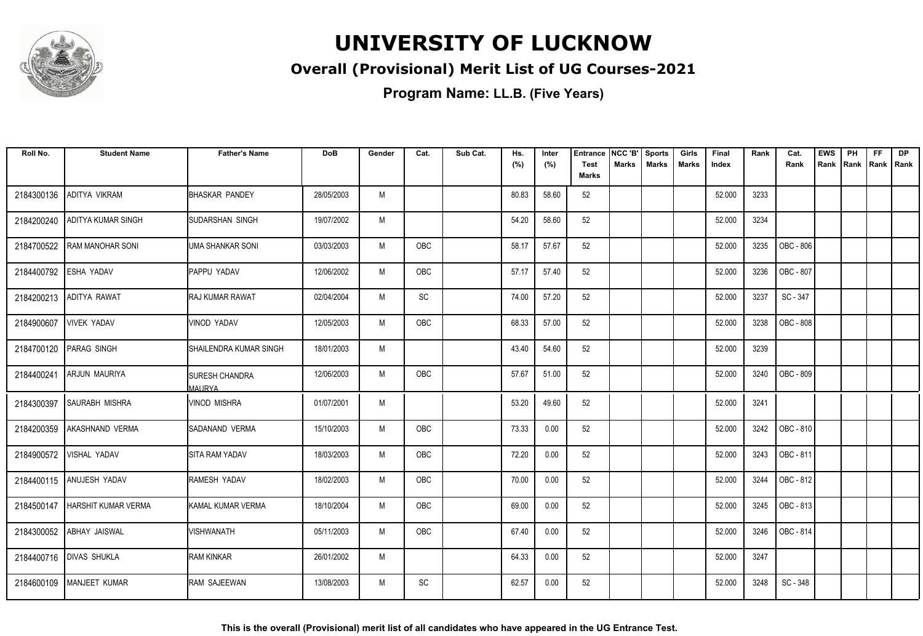

#### **Overall (Provisional) Merit List of UG Courses-2021**

| Roll No.              | <b>Student Name</b>              | <b>Father's Name</b>                   | <b>DoB</b> | Gender | Cat.                         | Sub Cat. | Hs.<br>(%) | Inter<br>(%) | <b>Entrance</b><br><b>Test</b> | NCC 'B'<br>Marks | <b>Sports</b><br><b>Marks</b> | Girls<br>Marks | Final<br>Index | Rank | Cat.<br>Rank | <b>EWS</b><br>Rank | PH<br>Rank Rank Rank | <b>FF</b> | <b>DP</b> |
|-----------------------|----------------------------------|----------------------------------------|------------|--------|------------------------------|----------|------------|--------------|--------------------------------|------------------|-------------------------------|----------------|----------------|------|--------------|--------------------|----------------------|-----------|-----------|
|                       |                                  |                                        |            |        |                              |          |            |              | <b>Marks</b>                   |                  |                               |                |                |      |              |                    |                      |           |           |
| 2184300136            | ADITYA VIKRAM                    | <b>BHASKAR PANDEY</b>                  | 28/05/2003 | M      |                              |          | 80.83      | 58.60        | 52                             |                  |                               |                | 52.000         | 3233 |              |                    |                      |           |           |
| 2184200240            | ADITYA KUMAR SINGH               | ISUDARSHAN SINGH                       | 19/07/2002 | M      |                              |          | 54.20      | 58.60        | 52                             |                  |                               |                | 52.000         | 3234 |              |                    |                      |           |           |
| 2184700522            | <b>RAM MANOHAR SONI</b>          | <b>UMA SHANKAR SONI</b>                | 03/03/2003 | M      | <b>OBC</b>                   |          | 58.17      | 57.67        | 52                             |                  |                               |                | 52.000         | 3235 | OBC - 806    |                    |                      |           |           |
| 2184400792 ESHA YADAV |                                  | PAPPU YADAV                            | 12/06/2002 | M      | OBC                          |          | 57.17      | 57.40        | 52                             |                  |                               |                | 52.000         | 3236 | OBC - 807    |                    |                      |           |           |
| 2184200213            | ADITYA RAWAT                     | <b>RAJ KUMAR RAWAT</b>                 | 02/04/2004 | M      | $\operatorname{\textsf{SC}}$ |          | 74.00      | 57.20        | 52                             |                  |                               |                | 52.000         | 3237 | SC - 347     |                    |                      |           |           |
| 2184900607            | <b>VIVEK YADAV</b>               | VINOD YADAV                            | 12/05/2003 | M      | OBC                          |          | 68.33      | 57.00        | 52                             |                  |                               |                | 52.000         | 3238 | OBC - 808    |                    |                      |           |           |
| 2184700120            | <b>PARAG SINGH</b>               | SHAILENDRA KUMAR SINGH                 | 18/01/2003 | M      |                              |          | 43.40      | 54.60        | 52                             |                  |                               |                | 52.000         | 3239 |              |                    |                      |           |           |
| 2184400241            | ARJUN MAURIYA                    | <b>SURESH CHANDRA</b><br><b>MAURYA</b> | 12/06/2003 | M      | OBC                          |          | 57.67      | 51.00        | 52                             |                  |                               |                | 52.000         | 3240 | OBC - 809    |                    |                      |           |           |
| 2184300397            | <b>SAURABH MISHRA</b>            | <b>VINOD MISHRA</b>                    | 01/07/2001 | M      |                              |          | 53.20      | 49.60        | 52                             |                  |                               |                | 52.000         | 3241 |              |                    |                      |           |           |
| 2184200359            | AKASHNAND VERMA                  | SADANAND VERMA                         | 15/10/2003 | M      | <b>OBC</b>                   |          | 73.33      | 0.00         | 52                             |                  |                               |                | 52.000         | 3242 | OBC - 810    |                    |                      |           |           |
| 2184900572            | <b>VISHAL YADAV</b>              | SITA RAM YADAV                         | 18/03/2003 | M      | OBC                          |          | 72.20      | 0.00         | 52                             |                  |                               |                | 52.000         | 3243 | OBC - 811    |                    |                      |           |           |
|                       | 2184400115 ANUJESH YADAV         | RAMESH YADAV                           | 18/02/2003 | M      | OBC                          |          | 70.00      | 0.00         | 52                             |                  |                               |                | 52.000         | 3244 | OBC - 812    |                    |                      |           |           |
|                       | 2184500147   HARSHIT KUMAR VERMA | KAMAL KUMAR VERMA                      | 18/10/2004 | M      | OBC                          |          | 69.00      | 0.00         | 52                             |                  |                               |                | 52.000         | 3245 | OBC - 813    |                    |                      |           |           |
|                       | 2184300052 ABHAY JAISWAL         | <b>VISHWANATH</b>                      | 05/11/2003 | M      | OBC                          |          | 67.40      | 0.00         | 52                             |                  |                               |                | 52.000         | 3246 | OBC - 814    |                    |                      |           |           |
|                       | 2184400716   DIVAS SHUKLA        | <b>RAM KINKAR</b>                      | 26/01/2002 | M      |                              |          | 64.33      | 0.00         | 52                             |                  |                               |                | 52.000         | 3247 |              |                    |                      |           |           |
|                       | 2184600109   MANJEET KUMAR       | RAM SAJEEWAN                           | 13/08/2003 | M      | SC                           |          | 62.57      | 0.00         | 52                             |                  |                               |                | 52.000         | 3248 | SC - 348     |                    |                      |           |           |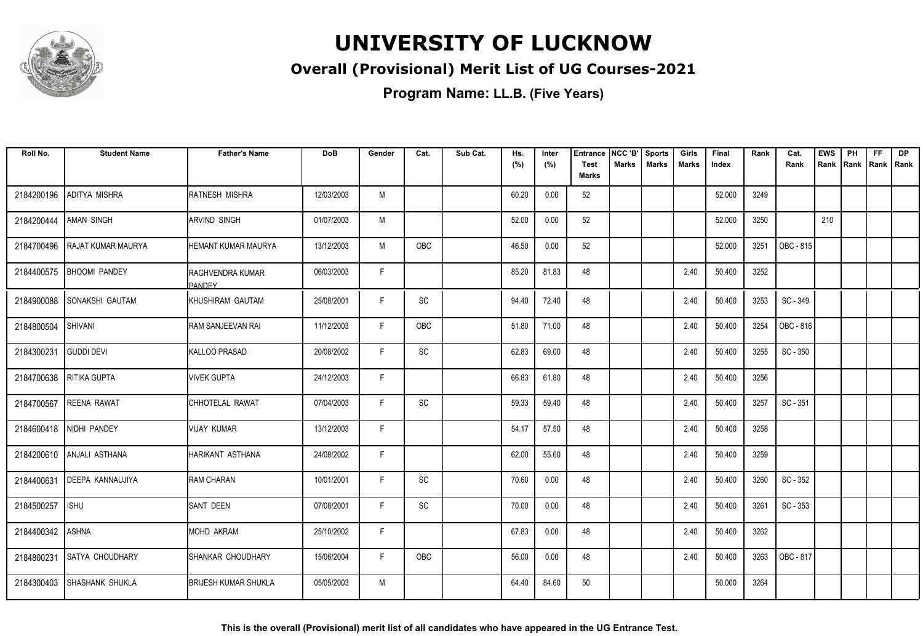

#### **Overall (Provisional) Merit List of UG Courses-2021**

| Roll No.         | <b>Student Name</b>         | <b>Father's Name</b>              | <b>DoB</b> | Gender | Cat.                         | Sub Cat. | Hs.<br>(%) | Inter<br>(%) | Entrance<br><b>Test</b><br><b>Marks</b> | NCC 'B'<br>Marks | <b>Sports</b><br><b>Marks</b> | Girls<br><b>Marks</b> | Final<br>Index | Rank | Cat.<br>Rank | <b>EWS</b><br>Rank | PH<br>Rank | FF<br>Rank   Rank | DP |
|------------------|-----------------------------|-----------------------------------|------------|--------|------------------------------|----------|------------|--------------|-----------------------------------------|------------------|-------------------------------|-----------------------|----------------|------|--------------|--------------------|------------|-------------------|----|
| 2184200196       | ADITYA MISHRA               | <b>RATNESH MISHRA</b>             | 12/03/2003 | M      |                              |          | 60.20      | 0.00         | 52                                      |                  |                               |                       | 52.000         | 3249 |              |                    |            |                   |    |
| 2184200444       | <b>AMAN SINGH</b>           | ARVIND SINGH                      | 01/07/2003 | M      |                              |          | 52.00      | 0.00         | 52                                      |                  |                               |                       | 52.000         | 3250 |              | 210                |            |                   |    |
| 2184700496       | <b>RAJAT KUMAR MAURYA</b>   | HEMANT KUMAR MAURYA               | 13/12/2003 | M      | OBC                          |          | 46.50      | 0.00         | 52                                      |                  |                               |                       | 52.000         | 3251 | OBC - 815    |                    |            |                   |    |
| 2184400575       | <b>BHOOMI PANDEY</b>        | RAGHVENDRA KUMAR<br><b>PANDEY</b> | 06/03/2003 | F      |                              |          | 85.20      | 81.83        | 48                                      |                  |                               | 2.40                  | 50.400         | 3252 |              |                    |            |                   |    |
|                  | 2184900088 SONAKSHI GAUTAM  | <b>IKHUSHIRAM GAUTAM</b>          | 25/08/2001 | F      | $\operatorname{\textsf{SC}}$ |          | 94.40      | 72.40        | 48                                      |                  |                               | 2.40                  | 50.400         | 3253 | SC - 349     |                    |            |                   |    |
| 2184800504       | SHIVANI                     | RAM SANJEEVAN RAI                 | 11/12/2003 | F.     | OBC                          |          | 51.80      | 71.00        | 48                                      |                  |                               | 2.40                  | 50.400         | 3254 | OBC - 816    |                    |            |                   |    |
| 2184300231       | <b>GUDDI DEVI</b>           | <b>KALLOO PRASAD</b>              | 20/08/2002 | F      | SC                           |          | 62.83      | 69.00        | 48                                      |                  |                               | 2.40                  | 50.400         | 3255 | SC - 350     |                    |            |                   |    |
| 2184700638       | RITIKA GUPTA                | <b>VIVEK GUPTA</b>                | 24/12/2003 | F      |                              |          | 66.83      | 61.80        | 48                                      |                  |                               | 2.40                  | 50.400         | 3256 |              |                    |            |                   |    |
| 2184700567       | <b>REENA RAWAT</b>          | CHHOTELAL RAWAT                   | 07/04/2003 | F      | SC                           |          | 59.33      | 59.40        | 48                                      |                  |                               | 2.40                  | 50.400         | 3257 | SC - 351     |                    |            |                   |    |
|                  | 2184600418 NIDHI PANDEY     | VIJAY KUMAR                       | 13/12/2003 | F      |                              |          | 54.17      | 57.50        | 48                                      |                  |                               | 2.40                  | 50.400         | 3258 |              |                    |            |                   |    |
|                  | 2184200610 ANJALI ASTHANA   | HARIKANT ASTHANA                  | 24/08/2002 | F      |                              |          | 62.00      | 55.60        | 48                                      |                  |                               | 2.40                  | 50.400         | 3259 |              |                    |            |                   |    |
|                  | 2184400631 DEEPA KANNAUJIYA | <b>RAM CHARAN</b>                 | 10/01/2001 | F      | SC                           |          | 70.60      | 0.00         | 48                                      |                  |                               | 2.40                  | 50.400         | 3260 | SC - 352     |                    |            |                   |    |
| 2184500257       | <b>ISHU</b>                 | <b>SANT DEEN</b>                  | 07/08/2001 | F      | SC                           |          | 70.00      | 0.00         | 48                                      |                  |                               | 2.40                  | 50.400         | 3261 | SC - 353     |                    |            |                   |    |
| 2184400342 ASHNA |                             | <b>MOHD AKRAM</b>                 | 25/10/2002 | F.     |                              |          | 67.83      | 0.00         | 48                                      |                  |                               | 2.40                  | 50.400         | 3262 |              |                    |            |                   |    |
| 2184800231       | SATYA CHOUDHARY             | SHANKAR CHOUDHARY                 | 15/06/2004 | F      | OBC                          |          | 56.00      | 0.00         | 48                                      |                  |                               | 2.40                  | 50.400         | 3263 | OBC - 817    |                    |            |                   |    |
|                  | 2184300403 SHASHANK SHUKLA  | <b>BRIJESH KUMAR SHUKLA</b>       | 05/05/2003 | M      |                              |          | 64.40      | 84.60        | 50                                      |                  |                               |                       | 50.000         | 3264 |              |                    |            |                   |    |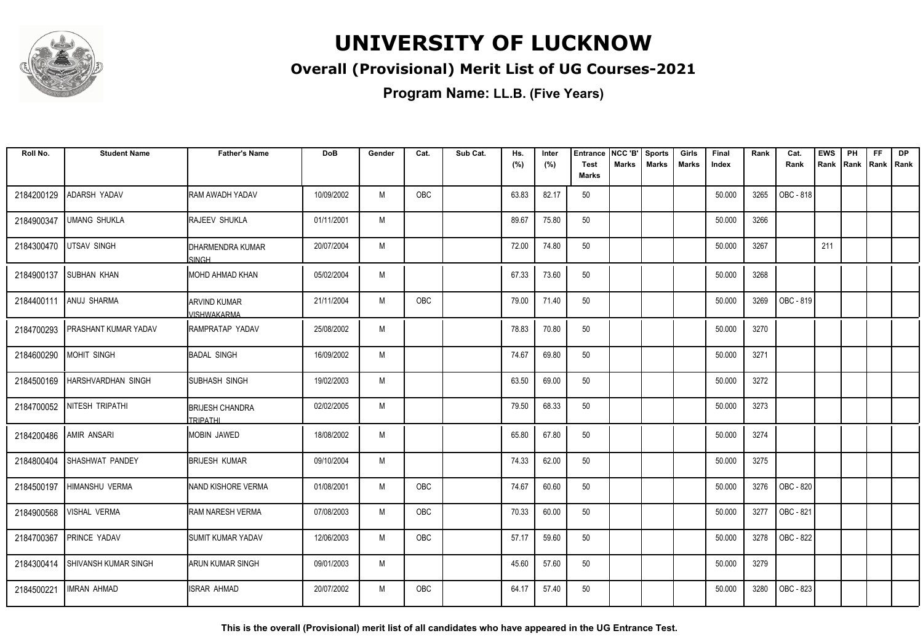

#### **Overall (Provisional) Merit List of UG Courses-2021**

**Program Name: LL.B. (Five Years)**

| Roll No.   | <b>Student Name</b>         | <b>Father's Name</b>                      | <b>DoB</b> | Gender | Cat.       | Sub Cat. | Hs.<br>(%) | Inter<br>(%) | <b>Entrance</b><br><b>Test</b> | NCC 'B'<br><b>Marks</b> | <b>Sports</b><br><b>Marks</b> | Girls<br>Marks | Final<br>Index | Rank | Cat.<br>Rank | <b>EWS</b><br>Rank | PH | <b>FF</b><br>Rank   Rank   Rank | <b>DP</b> |
|------------|-----------------------------|-------------------------------------------|------------|--------|------------|----------|------------|--------------|--------------------------------|-------------------------|-------------------------------|----------------|----------------|------|--------------|--------------------|----|---------------------------------|-----------|
|            |                             |                                           |            |        |            |          |            |              | <b>Marks</b>                   |                         |                               |                |                |      |              |                    |    |                                 |           |
| 2184200129 | ADARSH YADAV                | <b>RAM AWADH YADAV</b>                    | 10/09/2002 | M      | <b>OBC</b> |          | 63.83      | 82.17        | 50                             |                         |                               |                | 50.000         | 3265 | OBC - 818    |                    |    |                                 |           |
| 2184900347 | UMANG SHUKLA                | <b>RAJEEV SHUKLA</b>                      | 01/11/2001 | M      |            |          | 89.67      | 75.80        | 50                             |                         |                               |                | 50.000         | 3266 |              |                    |    |                                 |           |
| 2184300470 | <b>UTSAV SINGH</b>          | IDHARMENDRA KUMAR<br><b>SINGH</b>         | 20/07/2004 | M      |            |          | 72.00      | 74.80        | 50                             |                         |                               |                | 50.000         | 3267 |              | 211                |    |                                 |           |
| 2184900137 | <b>SUBHAN KHAN</b>          | IMOHD AHMAD KHAN                          | 05/02/2004 | M      |            |          | 67.33      | 73.60        | 50                             |                         |                               |                | 50.000         | 3268 |              |                    |    |                                 |           |
| 2184400111 | ANUJ SHARMA                 | <b>ARVIND KUMAR</b><br><b>VISHWAKARMA</b> | 21/11/2004 | M      | <b>OBC</b> |          | 79.00      | 71.40        | 50                             |                         |                               |                | 50.000         | 3269 | OBC - 819    |                    |    |                                 |           |
| 2184700293 | <b>PRASHANT KUMAR YADAV</b> | IRAMPRATAP YADAV                          | 25/08/2002 | M      |            |          | 78.83      | 70.80        | 50                             |                         |                               |                | 50.000         | 3270 |              |                    |    |                                 |           |
| 2184600290 | MOHIT SINGH                 | <b>BADAL SINGH</b>                        | 16/09/2002 | M      |            |          | 74.67      | 69.80        | 50                             |                         |                               |                | 50.000         | 3271 |              |                    |    |                                 |           |
| 2184500169 | <b>HARSHVARDHAN SINGH</b>   | <b>SUBHASH SINGH</b>                      | 19/02/2003 | M      |            |          | 63.50      | 69.00        | 50                             |                         |                               |                | 50.000         | 3272 |              |                    |    |                                 |           |
|            | 2184700052 NITESH TRIPATHI  | <b>BRIJESH CHANDRA</b><br><b>TRIPATHI</b> | 02/02/2005 | M      |            |          | 79.50      | 68.33        | 50                             |                         |                               |                | 50.000         | 3273 |              |                    |    |                                 |           |
| 2184200486 | <b>AMIR ANSARI</b>          | MOBIN JAWED                               | 18/08/2002 | M      |            |          | 65.80      | 67.80        | 50                             |                         |                               |                | 50.000         | 3274 |              |                    |    |                                 |           |
| 2184800404 | SHASHWAT PANDEY             | <b>BRIJESH KUMAR</b>                      | 09/10/2004 | M      |            |          | 74.33      | 62.00        | 50                             |                         |                               |                | 50.000         | 3275 |              |                    |    |                                 |           |
| 2184500197 | HIMANSHU VERMA              | NAND KISHORE VERMA                        | 01/08/2001 | M      | OBC        |          | 74.67      | 60.60        | 50                             |                         |                               |                | 50.000         | 3276 | OBC - 820    |                    |    |                                 |           |
| 2184900568 | VISHAL VERMA                | <b>RAM NARESH VERMA</b>                   | 07/08/2003 | M      | OBC        |          | 70.33      | 60.00        | 50                             |                         |                               |                | 50.000         | 3277 | OBC - 821    |                    |    |                                 |           |
| 2184700367 | PRINCE YADAV                | <b>SUMIT KUMAR YADAV</b>                  | 12/06/2003 | M      | OBC        |          | 57.17      | 59.60        | 50                             |                         |                               |                | 50.000         | 3278 | OBC - 822    |                    |    |                                 |           |
| 2184300414 | <b>SHIVANSH KUMAR SINGH</b> | <b>ARUN KUMAR SINGH</b>                   | 09/01/2003 | M      |            |          | 45.60      | 57.60        | 50                             |                         |                               |                | 50.000         | 3279 |              |                    |    |                                 |           |
| 2184500221 | <b>IMRAN AHMAD</b>          | <b>ISRAR AHMAD</b>                        | 20/07/2002 | M      | OBC        |          | 64.17      | 57.40        | 50                             |                         |                               |                | 50.000         | 3280 | OBC - 823    |                    |    |                                 |           |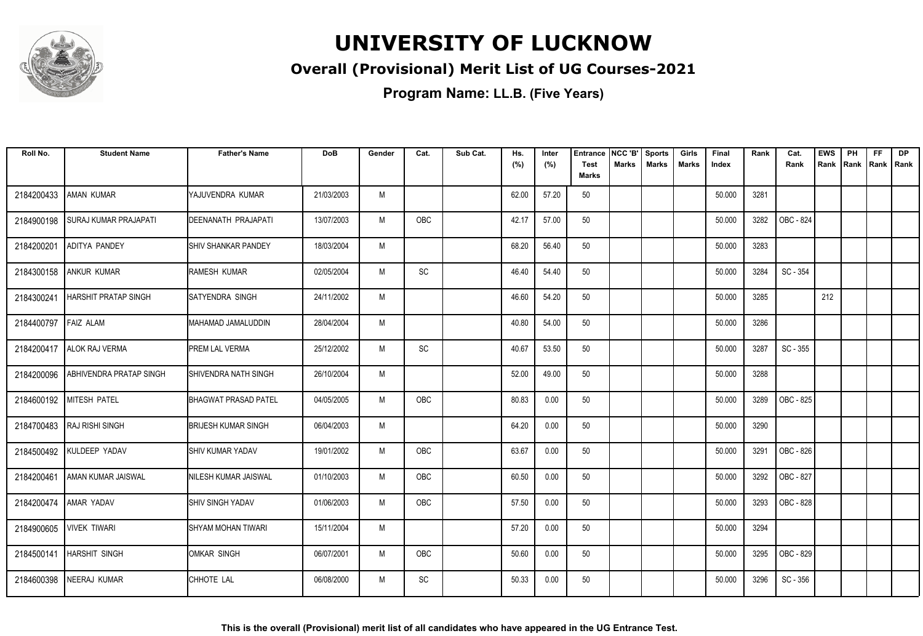

#### **Overall (Provisional) Merit List of UG Courses-2021**

| Roll No.   | <b>Student Name</b>          | <b>Father's Name</b>         | <b>DoB</b> | Gender | Cat. | Sub Cat. | Hs.<br>(%) | Inter<br>(%) | <b>Entrance</b><br><b>Test</b> | NCC 'B'<br><b>Marks</b> | <b>Sports</b><br><b>Marks</b> | Girls<br><b>Marks</b> | Final<br>Index | Rank | Cat.<br>Rank | <b>EWS</b><br>Rank | PH<br>Rank | <b>FF</b><br>Rank   Rank | <b>DP</b> |
|------------|------------------------------|------------------------------|------------|--------|------|----------|------------|--------------|--------------------------------|-------------------------|-------------------------------|-----------------------|----------------|------|--------------|--------------------|------------|--------------------------|-----------|
|            |                              |                              |            |        |      |          |            |              | <b>Marks</b>                   |                         |                               |                       |                |      |              |                    |            |                          |           |
| 2184200433 | <b>AMAN KUMAR</b>            | YAJUVENDRA KUMAR             | 21/03/2003 | M      |      |          | 62.00      | 57.20        | 50                             |                         |                               |                       | 50.000         | 3281 |              |                    |            |                          |           |
| 2184900198 | <b>SURAJ KUMAR PRAJAPATI</b> | DEENANATH PRAJAPATI          | 13/07/2003 | M      | OBC  |          | 42.17      | 57.00        | 50                             |                         |                               |                       | 50.000         | 3282 | OBC - 824    |                    |            |                          |           |
| 2184200201 | <b>ADITYA PANDEY</b>         | <b>I</b> SHIV SHANKAR PANDEY | 18/03/2004 | M      |      |          | 68.20      | 56.40        | 50                             |                         |                               |                       | 50.000         | 3283 |              |                    |            |                          |           |
| 2184300158 | <b>ANKUR KUMAR</b>           | RAMESH KUMAR                 | 02/05/2004 | M      | SC   |          | 46.40      | 54.40        | 50                             |                         |                               |                       | 50.000         | 3284 | SC - 354     |                    |            |                          |           |
| 2184300241 | <b>HARSHIT PRATAP SINGH</b>  | <b>SATYENDRA SINGH</b>       | 24/11/2002 | M      |      |          | 46.60      | 54.20        | 50                             |                         |                               |                       | 50.000         | 3285 |              | 212                |            |                          |           |
| 2184400797 | <b>FAIZ ALAM</b>             | MAHAMAD JAMALUDDIN           | 28/04/2004 | M      |      |          | 40.80      | 54.00        | 50                             |                         |                               |                       | 50.000         | 3286 |              |                    |            |                          |           |
|            | 2184200417   ALOK RAJ VERMA  | PREM LAL VERMA               | 25/12/2002 | M      | SC   |          | 40.67      | 53.50        | 50                             |                         |                               |                       | 50.000         | 3287 | SC - 355     |                    |            |                          |           |
| 2184200096 | ABHIVENDRA PRATAP SINGH      | SHIVENDRA NATH SINGH         | 26/10/2004 | M      |      |          | 52.00      | 49.00        | 50                             |                         |                               |                       | 50.000         | 3288 |              |                    |            |                          |           |
|            | 2184600192 MITESH PATEL      | <b>BHAGWAT PRASAD PATEL</b>  | 04/05/2005 | M      | OBC  |          | 80.83      | 0.00         | 50                             |                         |                               |                       | 50.000         | 3289 | OBC - 825    |                    |            |                          |           |
|            | 2184700483   RAJ RISHI SINGH | <b>BRIJESH KUMAR SINGH</b>   | 06/04/2003 | M      |      |          | 64.20      | 0.00         | 50                             |                         |                               |                       | 50.000         | 3290 |              |                    |            |                          |           |
| 2184500492 | KULDEEP YADAV                | <b>I</b> SHIV KUMAR YADAV    | 19/01/2002 | M      | OBC  |          | 63.67      | 0.00         | 50                             |                         |                               |                       | 50.000         | 3291 | OBC - 826    |                    |            |                          |           |
| 2184200461 | AMAN KUMAR JAISWAL           | NILESH KUMAR JAISWAL         | 01/10/2003 | M      | OBC  |          | 60.50      | 0.00         | 50                             |                         |                               |                       | 50.000         | 3292 | OBC - 827    |                    |            |                          |           |
| 2184200474 | AMAR YADAV                   | <b>SHIV SINGH YADAV</b>      | 01/06/2003 | M      | OBC  |          | 57.50      | 0.00         | 50                             |                         |                               |                       | 50.000         | 3293 | OBC - 828    |                    |            |                          |           |
|            | 2184900605 VIVEK TIWARI      | <b>SHYAM MOHAN TIWARI</b>    | 15/11/2004 | M      |      |          | 57.20      | 0.00         | 50                             |                         |                               |                       | 50.000         | 3294 |              |                    |            |                          |           |
| 2184500141 | <b>HARSHIT SINGH</b>         | OMKAR SINGH                  | 06/07/2001 | M      | OBC  |          | 50.60      | 0.00         | 50                             |                         |                               |                       | 50.000         | 3295 | OBC - 829    |                    |            |                          |           |
| 2184600398 | <b>NEERAJ KUMAR</b>          | CHHOTE LAL                   | 06/08/2000 | M      | SC   |          | 50.33      | 0.00         | 50                             |                         |                               |                       | 50.000         | 3296 | SC - 356     |                    |            |                          |           |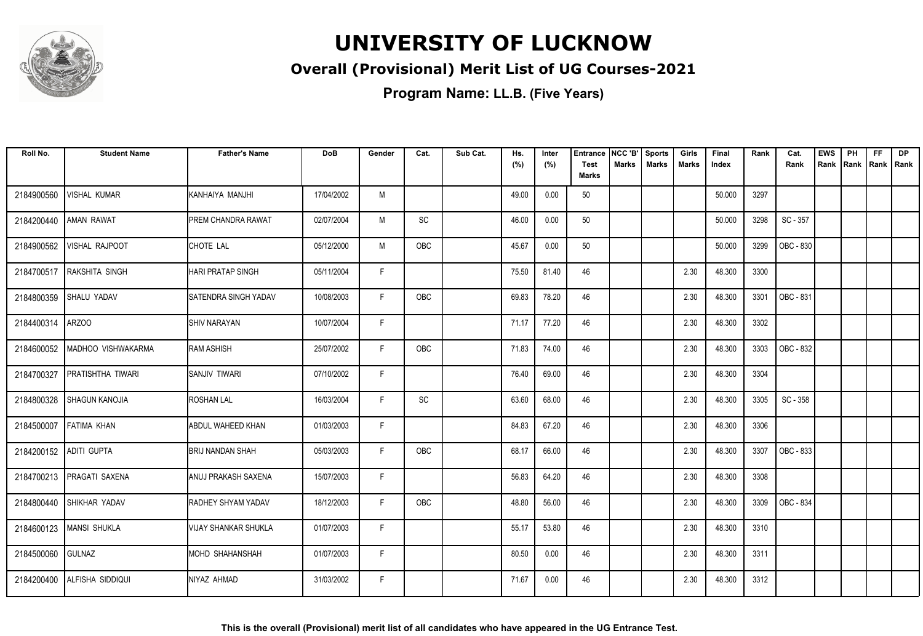

#### **Overall (Provisional) Merit List of UG Courses-2021**

| Roll No.               | <b>Student Name</b>           | <b>Father's Name</b>        | <b>DoB</b> | Gender | Cat.       | Sub Cat. | Hs.<br>(%) | Inter<br>(%) | <b>Entrance</b><br><b>Test</b> | NCC 'B'<br><b>Marks</b> | <b>Sports</b><br><b>Marks</b> | Girls<br><b>Marks</b> | Final<br>Index | Rank | Cat.<br>Rank | <b>EWS</b><br>Rank | PH<br>Rank | <b>FF</b><br>Rank   Rank | <b>DP</b> |
|------------------------|-------------------------------|-----------------------------|------------|--------|------------|----------|------------|--------------|--------------------------------|-------------------------|-------------------------------|-----------------------|----------------|------|--------------|--------------------|------------|--------------------------|-----------|
|                        |                               |                             |            |        |            |          |            |              | <b>Marks</b>                   |                         |                               |                       |                |      |              |                    |            |                          |           |
| 2184900560             | <b>VISHAL KUMAR</b>           | KANHAIYA MANJHI             | 17/04/2002 | M      |            |          | 49.00      | 0.00         | 50                             |                         |                               |                       | 50.000         | 3297 |              |                    |            |                          |           |
| 2184200440             | <b>AMAN RAWAT</b>             | PREM CHANDRA RAWAT          | 02/07/2004 | M      | SC         |          | 46.00      | 0.00         | 50                             |                         |                               |                       | 50.000         | 3298 | SC - 357     |                    |            |                          |           |
| 2184900562             | <b>VISHAL RAJPOOT</b>         | CHOTE LAL                   | 05/12/2000 | M      | OBC        |          | 45.67      | 0.00         | 50                             |                         |                               |                       | 50.000         | 3299 | OBC - 830    |                    |            |                          |           |
| 2184700517             | <b>RAKSHITA SINGH</b>         | <b>HARI PRATAP SINGH</b>    | 05/11/2004 | F      |            |          | 75.50      | 81.40        | 46                             |                         |                               | 2.30                  | 48.300         | 3300 |              |                    |            |                          |           |
| 2184800359             | <b>SHALU YADAV</b>            | <b>SATENDRA SINGH YADAV</b> | 10/08/2003 | F.     | OBC        |          | 69.83      | 78.20        | 46                             |                         |                               | 2.30                  | 48.300         | 3301 | OBC - 831    |                    |            |                          |           |
| 2184400314             | ARZOO                         | <b>ISHIV NARAYAN</b>        | 10/07/2004 | F      |            |          | 71.17      | 77.20        | 46                             |                         |                               | 2.30                  | 48.300         | 3302 |              |                    |            |                          |           |
|                        | 2184600052 MADHOO VISHWAKARMA | RAM ASHISH                  | 25/07/2002 | F.     | <b>OBC</b> |          | 71.83      | 74.00        | 46                             |                         |                               | 2.30                  | 48.300         | 3303 | OBC - 832    |                    |            |                          |           |
| 2184700327             | PRATISHTHA TIWARI             | <b>SANJIV TIWARI</b>        | 07/10/2002 | F.     |            |          | 76.40      | 69.00        | 46                             |                         |                               | 2.30                  | 48.300         | 3304 |              |                    |            |                          |           |
| 2184800328             | <b>SHAGUN KANOJIA</b>         | <b>ROSHAN LAL</b>           | 16/03/2004 | F      | SC         |          | 63.60      | 68.00        | 46                             |                         |                               | 2.30                  | 48.300         | 3305 | SC - 358     |                    |            |                          |           |
| 2184500007             | <b>FATIMA KHAN</b>            | ABDUL WAHEED KHAN           | 01/03/2003 | F      |            |          | 84.83      | 67.20        | 46                             |                         |                               | 2.30                  | 48.300         | 3306 |              |                    |            |                          |           |
| 2184200152 ADITI GUPTA |                               | BRIJ NANDAN SHAH            | 05/03/2003 | F.     | OBC        |          | 68.17      | 66.00        | 46                             |                         |                               | 2.30                  | 48.300         | 3307 | OBC - 833    |                    |            |                          |           |
|                        | 2184700213   PRAGATI SAXENA   | ANUJ PRAKASH SAXENA         | 15/07/2003 | F.     |            |          | 56.83      | 64.20        | 46                             |                         |                               | 2.30                  | 48.300         | 3308 |              |                    |            |                          |           |
|                        | 2184800440 SHIKHAR YADAV      | <b>RADHEY SHYAM YADAV</b>   | 18/12/2003 | F      | OBC        |          | 48.80      | 56.00        | 46                             |                         |                               | 2.30                  | 48.300         | 3309 | OBC - 834    |                    |            |                          |           |
|                        | 2184600123   MANSI SHUKLA     | <b>VIJAY SHANKAR SHUKLA</b> | 01/07/2003 | F      |            |          | 55.17      | 53.80        | 46                             |                         |                               | 2.30                  | 48.300         | 3310 |              |                    |            |                          |           |
| 2184500060             | <b>GULNAZ</b>                 | <b>MOHD SHAHANSHAH</b>      | 01/07/2003 | F.     |            |          | 80.50      | 0.00         | 46                             |                         |                               | 2.30                  | 48.300         | 3311 |              |                    |            |                          |           |
| 2184200400             | ALFISHA SIDDIQUI              | NIYAZ AHMAD                 | 31/03/2002 | F.     |            |          | 71.67      | 0.00         | 46                             |                         |                               | 2.30                  | 48.300         | 3312 |              |                    |            |                          |           |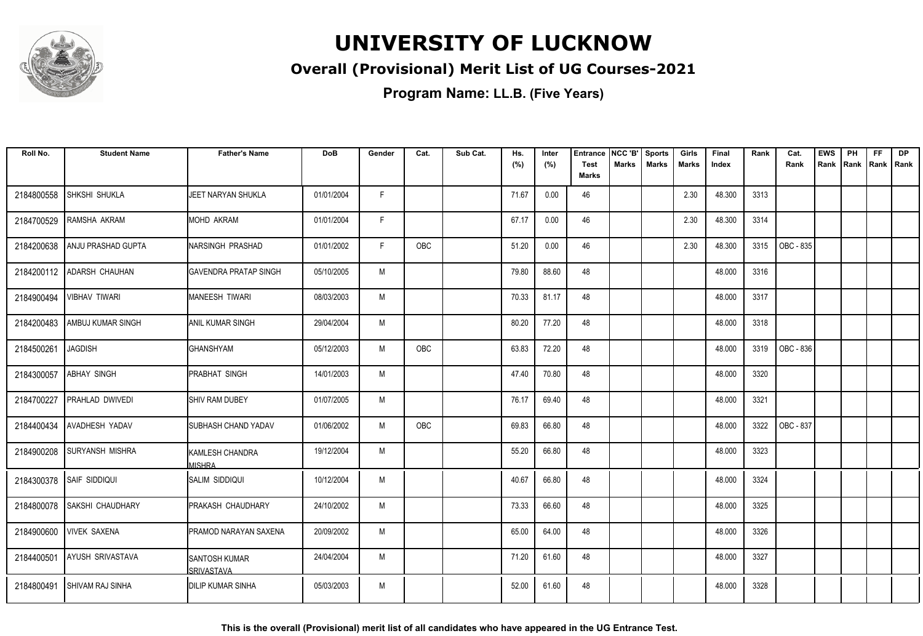

#### **Overall (Provisional) Merit List of UG Courses-2021**

**Program Name: LL.B. (Five Years)**

| Roll No.   | <b>Student Name</b>       | <b>Father's Name</b>               | <b>DoB</b> | Gender | Cat. | Sub Cat. | Hs.<br>(%) | Inter<br>(%) | <b>Entrance</b><br><b>Test</b> | NCC 'B'<br>Marks | <b>Sports</b><br><b>Marks</b> | Girls<br>Marks | Final<br>Index | Rank | Cat.<br>Rank | <b>EWS</b><br>Rank | PH<br>Rank | <b>FF</b><br>Rank   Rank | <b>DP</b> |
|------------|---------------------------|------------------------------------|------------|--------|------|----------|------------|--------------|--------------------------------|------------------|-------------------------------|----------------|----------------|------|--------------|--------------------|------------|--------------------------|-----------|
|            |                           |                                    |            |        |      |          |            |              | <b>Marks</b>                   |                  |                               |                |                |      |              |                    |            |                          |           |
| 2184800558 | SHKSHI SHUKLA             | JEET NARYAN SHUKLA                 | 01/01/2004 | F.     |      |          | 71.67      | 0.00         | 46                             |                  |                               | 2.30           | 48.300         | 3313 |              |                    |            |                          |           |
| 2184700529 | RAMSHA AKRAM              | <b>MOHD AKRAM</b>                  | 01/01/2004 | F.     |      |          | 67.17      | 0.00         | 46                             |                  |                               | 2.30           | 48.300         | 3314 |              |                    |            |                          |           |
| 2184200638 | <b>ANJU PRASHAD GUPTA</b> | NARSINGH PRASHAD                   | 01/01/2002 | F      | OBC  |          | 51.20      | 0.00         | 46                             |                  |                               | 2.30           | 48.300         | 3315 | OBC - 835    |                    |            |                          |           |
| 2184200112 | <b>ADARSH CHAUHAN</b>     | <b>GAVENDRA PRATAP SINGH</b>       | 05/10/2005 | M      |      |          | 79.80      | 88.60        | 48                             |                  |                               |                | 48.000         | 3316 |              |                    |            |                          |           |
| 2184900494 | VIBHAV TIWARI             | <b>MANEESH TIWARI</b>              | 08/03/2003 | M      |      |          | 70.33      | 81.17        | 48                             |                  |                               |                | 48.000         | 3317 |              |                    |            |                          |           |
| 2184200483 | AMBUJ KUMAR SINGH         | <b>ANIL KUMAR SINGH</b>            | 29/04/2004 | M      |      |          | 80.20      | 77.20        | 48                             |                  |                               |                | 48.000         | 3318 |              |                    |            |                          |           |
| 2184500261 | <b>JAGDISH</b>            | <b>GHANSHYAM</b>                   | 05/12/2003 | M      | OBC  |          | 63.83      | 72.20        | 48                             |                  |                               |                | 48.000         | 3319 | OBC - 836    |                    |            |                          |           |
| 2184300057 | <b>ABHAY SINGH</b>        | <b>PRABHAT SINGH</b>               | 14/01/2003 | M      |      |          | 47.40      | 70.80        | 48                             |                  |                               |                | 48.000         | 3320 |              |                    |            |                          |           |
| 2184700227 | PRAHLAD DWIVEDI           | <b>SHIV RAM DUBEY</b>              | 01/07/2005 | M      |      |          | 76.17      | 69.40        | 48                             |                  |                               |                | 48.000         | 3321 |              |                    |            |                          |           |
| 2184400434 | <b>AVADHESH YADAV</b>     | SUBHASH CHAND YADAV                | 01/06/2002 | M      | OBC  |          | 69.83      | 66.80        | 48                             |                  |                               |                | 48.000         | 3322 | OBC - 837    |                    |            |                          |           |
| 2184900208 | <b>SURYANSH MISHRA</b>    | KAMLESH CHANDRA<br><b>MISHRA</b>   | 19/12/2004 | M      |      |          | 55.20      | 66.80        | 48                             |                  |                               |                | 48.000         | 3323 |              |                    |            |                          |           |
|            | 2184300378 SAIF SIDDIQUI  | SALIM SIDDIQUI                     | 10/12/2004 | M      |      |          | 40.67      | 66.80        | 48                             |                  |                               |                | 48.000         | 3324 |              |                    |            |                          |           |
| 2184800078 | SAKSHI CHAUDHARY          | PRAKASH CHAUDHARY                  | 24/10/2002 | M      |      |          | 73.33      | 66.60        | 48                             |                  |                               |                | 48.000         | 3325 |              |                    |            |                          |           |
| 2184900600 | <b>VIVEK SAXENA</b>       | PRAMOD NARAYAN SAXENA              | 20/09/2002 | M      |      |          | 65.00      | 64.00        | 48                             |                  |                               |                | 48.000         | 3326 |              |                    |            |                          |           |
| 2184400501 | AYUSH SRIVASTAVA          | <b>SANTOSH KUMAR</b><br>SRIVASTAVA | 24/04/2004 | M      |      |          | 71.20      | 61.60        | 48                             |                  |                               |                | 48.000         | 3327 |              |                    |            |                          |           |
| 2184800491 | SHIVAM RAJ SINHA          | IDILIP KUMAR SINHA                 | 05/03/2003 | M      |      |          | 52.00      | 61.60        | 48                             |                  |                               |                | 48.000         | 3328 |              |                    |            |                          |           |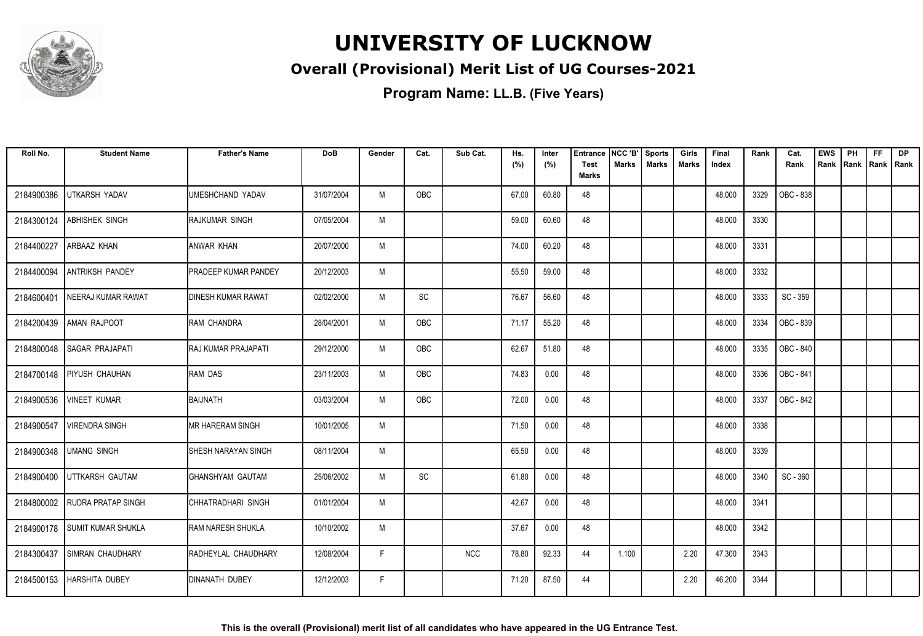

#### **Overall (Provisional) Merit List of UG Courses-2021**

| Roll No.   | <b>Student Name</b>           | <b>Father's Name</b>        | <b>DoB</b> | Gender | Cat.                         | Sub Cat.   | Hs.<br>(%) | Inter<br>(%) | <b>Entrance</b><br><b>Test</b> | NCC 'B'<br><b>Marks</b> | <b>Sports</b><br><b>Marks</b> | Girls<br><b>Marks</b> | Final<br>Index | Rank | Cat.<br>Rank | <b>EWS</b><br>Rank | PH<br>Rank | <b>FF</b><br>Rank   Rank | <b>DP</b> |
|------------|-------------------------------|-----------------------------|------------|--------|------------------------------|------------|------------|--------------|--------------------------------|-------------------------|-------------------------------|-----------------------|----------------|------|--------------|--------------------|------------|--------------------------|-----------|
|            |                               |                             |            |        |                              |            |            |              | <b>Marks</b>                   |                         |                               |                       |                |      |              |                    |            |                          |           |
| 2184900386 | UTKARSH YADAV                 | UMESHCHAND YADAV            | 31/07/2004 | M      | OBC                          |            | 67.00      | 60.80        | 48                             |                         |                               |                       | 48.000         | 3329 | OBC - 838    |                    |            |                          |           |
| 2184300124 | ABHISHEK SINGH                | RAJKUMAR SINGH              | 07/05/2004 | M      |                              |            | 59.00      | 60.60        | 48                             |                         |                               |                       | 48.000         | 3330 |              |                    |            |                          |           |
| 2184400227 | ARBAAZ KHAN                   | ANWAR KHAN                  | 20/07/2000 | M      |                              |            | 74.00      | 60.20        | 48                             |                         |                               |                       | 48.000         | 3331 |              |                    |            |                          |           |
| 2184400094 | <b>ANTRIKSH PANDEY</b>        | <b>PRADEEP KUMAR PANDEY</b> | 20/12/2003 | M      |                              |            | 55.50      | 59.00        | 48                             |                         |                               |                       | 48.000         | 3332 |              |                    |            |                          |           |
| 2184600401 | NEERAJ KUMAR RAWAT            | <b>DINESH KUMAR RAWAT</b>   | 02/02/2000 | M      | $\operatorname{\textsf{SC}}$ |            | 76.67      | 56.60        | 48                             |                         |                               |                       | 48.000         | 3333 | SC - 359     |                    |            |                          |           |
| 2184200439 | AMAN RAJPOOT                  | RAM CHANDRA                 | 28/04/2001 | M      | <b>OBC</b>                   |            | 71.17      | 55.20        | 48                             |                         |                               |                       | 48.000         | 3334 | OBC - 839    |                    |            |                          |           |
|            | 2184800048 SAGAR PRAJAPATI    | IRAJ KUMAR PRAJAPATI        | 29/12/2000 | M      | OBC                          |            | 62.67      | 51.80        | 48                             |                         |                               |                       | 48.000         | 3335 | OBC - 840    |                    |            |                          |           |
| 2184700148 | <b>PIYUSH CHAUHAN</b>         | RAM DAS                     | 23/11/2003 | M      | OBC                          |            | 74.83      | 0.00         | 48                             |                         |                               |                       | 48.000         | 3336 | OBC - 841    |                    |            |                          |           |
| 2184900536 | <b>VINEET KUMAR</b>           | BAIJNATH                    | 03/03/2004 | M      | OBC                          |            | 72.00      | 0.00         | 48                             |                         |                               |                       | 48.000         | 3337 | OBC - 842    |                    |            |                          |           |
| 2184900547 | <b>VIRENDRA SINGH</b>         | <b>MR HARERAM SINGH</b>     | 10/01/2005 | M      |                              |            | 71.50      | 0.00         | 48                             |                         |                               |                       | 48.000         | 3338 |              |                    |            |                          |           |
| 2184900348 | <b>UMANG SINGH</b>            | <b>SHESH NARAYAN SINGH</b>  | 08/11/2004 | M      |                              |            | 65.50      | 0.00         | 48                             |                         |                               |                       | 48.000         | 3339 |              |                    |            |                          |           |
| 2184900400 | UTTKARSH GAUTAM               | GHANSHYAM GAUTAM            | 25/06/2002 | M      | SC                           |            | 61.80      | 0.00         | 48                             |                         |                               |                       | 48.000         | 3340 | SC - 360     |                    |            |                          |           |
|            | 2184800002 RUDRA PRATAP SINGH | CHHATRADHARI SINGH          | 01/01/2004 | M      |                              |            | 42.67      | 0.00         | 48                             |                         |                               |                       | 48.000         | 3341 |              |                    |            |                          |           |
|            | 2184900178 SUMIT KUMAR SHUKLA | <b>RAM NARESH SHUKLA</b>    | 10/10/2002 | M      |                              |            | 37.67      | 0.00         | 48                             |                         |                               |                       | 48.000         | 3342 |              |                    |            |                          |           |
| 2184300437 | SIMRAN CHAUDHARY              | RADHEYLAL CHAUDHARY         | 12/08/2004 | F      |                              | <b>NCC</b> | 78.80      | 92.33        | 44                             | 1.100                   |                               | 2.20                  | 47.300         | 3343 |              |                    |            |                          |           |
| 2184500153 | <b>HARSHITA DUBEY</b>         | <b>DINANATH DUBEY</b>       | 12/12/2003 | F.     |                              |            | 71.20      | 87.50        | 44                             |                         |                               | 2.20                  | 46.200         | 3344 |              |                    |            |                          |           |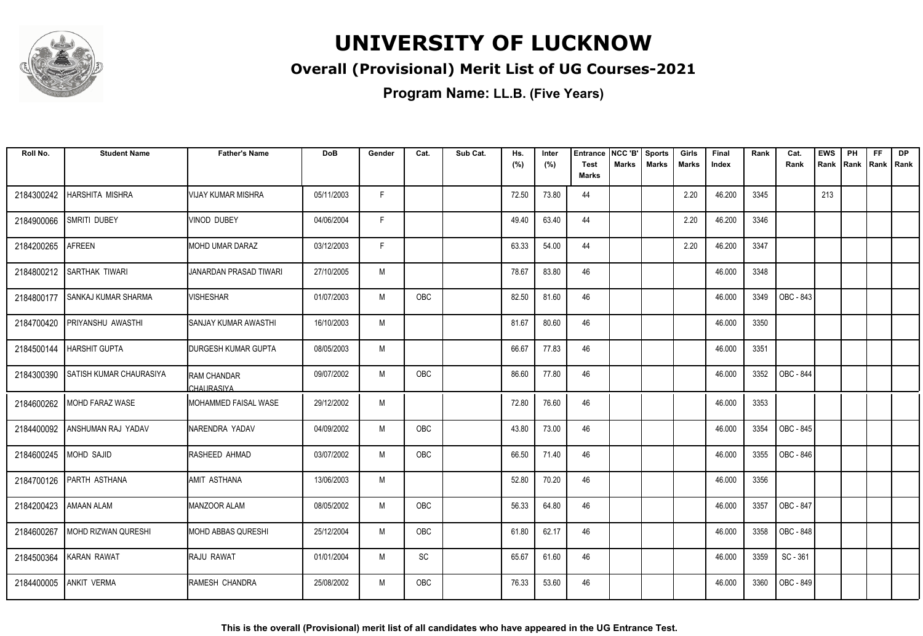

#### **Overall (Provisional) Merit List of UG Courses-2021**

**Program Name: LL.B. (Five Years)**

| Roll No.   | <b>Student Name</b>            | <b>Father's Name</b>             | <b>DoB</b> | Gender | Cat.       | Sub Cat. | Hs.<br>(%) | Inter<br>(%) | <b>Entrance</b><br><b>Test</b><br><b>Marks</b> | NCC 'B'<br>Marks | <b>Sports</b><br><b>Marks</b> | Girls<br>Marks | Final<br>Index | Rank | Cat.<br>Rank | <b>EWS</b><br>Rank | PH<br>Rank | FF<br>Rank   Rank | <b>DP</b> |
|------------|--------------------------------|----------------------------------|------------|--------|------------|----------|------------|--------------|------------------------------------------------|------------------|-------------------------------|----------------|----------------|------|--------------|--------------------|------------|-------------------|-----------|
| 2184300242 | <b>HARSHITA MISHRA</b>         | <b>VIJAY KUMAR MISHRA</b>        | 05/11/2003 | F.     |            |          | 72.50      | 73.80        | 44                                             |                  |                               | 2.20           | 46.200         | 3345 |              | 213                |            |                   |           |
|            |                                |                                  |            |        |            |          |            |              |                                                |                  |                               |                |                |      |              |                    |            |                   |           |
| 2184900066 | SMRITI DUBEY                   | <b>VINOD DUBEY</b>               | 04/06/2004 | F.     |            |          | 49.40      | 63.40        | 44                                             |                  |                               | 2.20           | 46.200         | 3346 |              |                    |            |                   |           |
| 2184200265 | <b>AFREEN</b>                  | <b>MOHD UMAR DARAZ</b>           | 03/12/2003 | F      |            |          | 63.33      | 54.00        | 44                                             |                  |                               | 2.20           | 46.200         | 3347 |              |                    |            |                   |           |
| 2184800212 | SARTHAK TIWARI                 | JANARDAN PRASAD TIWARI           | 27/10/2005 | M      |            |          | 78.67      | 83.80        | 46                                             |                  |                               |                | 46.000         | 3348 |              |                    |            |                   |           |
| 2184800177 | <b>SANKAJ KUMAR SHARMA</b>     | <b>VISHESHAR</b>                 | 01/07/2003 | M      | OBC        |          | 82.50      | 81.60        | 46                                             |                  |                               |                | 46.000         | 3349 | OBC - 843    |                    |            |                   |           |
| 2184700420 | <b>PRIYANSHU AWASTHI</b>       | SANJAY KUMAR AWASTHI             | 16/10/2003 | M      |            |          | 81.67      | 80.60        | 46                                             |                  |                               |                | 46.000         | 3350 |              |                    |            |                   |           |
| 2184500144 | <b>HARSHIT GUPTA</b>           | DURGESH KUMAR GUPTA              | 08/05/2003 | M      |            |          | 66.67      | 77.83        | 46                                             |                  |                               |                | 46.000         | 3351 |              |                    |            |                   |           |
| 2184300390 | <b>SATISH KUMAR CHAURASIYA</b> | <b>RAM CHANDAR</b><br>CHAURASIYA | 09/07/2002 | M      | OBC        |          | 86.60      | 77.80        | 46                                             |                  |                               |                | 46.000         | 3352 | OBC - 844    |                    |            |                   |           |
|            | 2184600262 MOHD FARAZ WASE     | MOHAMMED FAISAL WASE             | 29/12/2002 | M      |            |          | 72.80      | 76.60        | 46                                             |                  |                               |                | 46.000         | 3353 |              |                    |            |                   |           |
| 2184400092 | ANSHUMAN RAJ YADAV             | NARENDRA YADAV                   | 04/09/2002 | M      | OBC        |          | 43.80      | 73.00        | 46                                             |                  |                               |                | 46.000         | 3354 | OBC - 845    |                    |            |                   |           |
| 2184600245 | <b>MOHD SAJID</b>              | RASHEED AHMAD                    | 03/07/2002 | M      | OBC        |          | 66.50      | 71.40        | 46                                             |                  |                               |                | 46.000         | 3355 | OBC - 846    |                    |            |                   |           |
| 2184700126 | <b>PARTH ASTHANA</b>           | AMIT ASTHANA                     | 13/06/2003 | M      |            |          | 52.80      | 70.20        | 46                                             |                  |                               |                | 46.000         | 3356 |              |                    |            |                   |           |
| 2184200423 | <b>AMAAN ALAM</b>              | <b>MANZOOR ALAM</b>              | 08/05/2002 | M      | OBC        |          | 56.33      | 64.80        | 46                                             |                  |                               |                | 46.000         | 3357 | OBC - 847    |                    |            |                   |           |
| 2184600267 | MOHD RIZWAN QURESHI            | <b>MOHD ABBAS QURESHI</b>        | 25/12/2004 | M      | <b>OBC</b> |          | 61.80      | 62.17        | 46                                             |                  |                               |                | 46.000         | 3358 | OBC - 848    |                    |            |                   |           |
| 2184500364 | <b>KARAN RAWAT</b>             | RAJU RAWAT                       | 01/01/2004 | M      | SC         |          | 65.67      | 61.60        | 46                                             |                  |                               |                | 46.000         | 3359 | SC - 361     |                    |            |                   |           |
| 2184400005 | <b>ANKIT VERMA</b>             | RAMESH CHANDRA                   | 25/08/2002 | M      | OBC        |          | 76.33      | 53.60        | 46                                             |                  |                               |                | 46.000         | 3360 | OBC - 849    |                    |            |                   |           |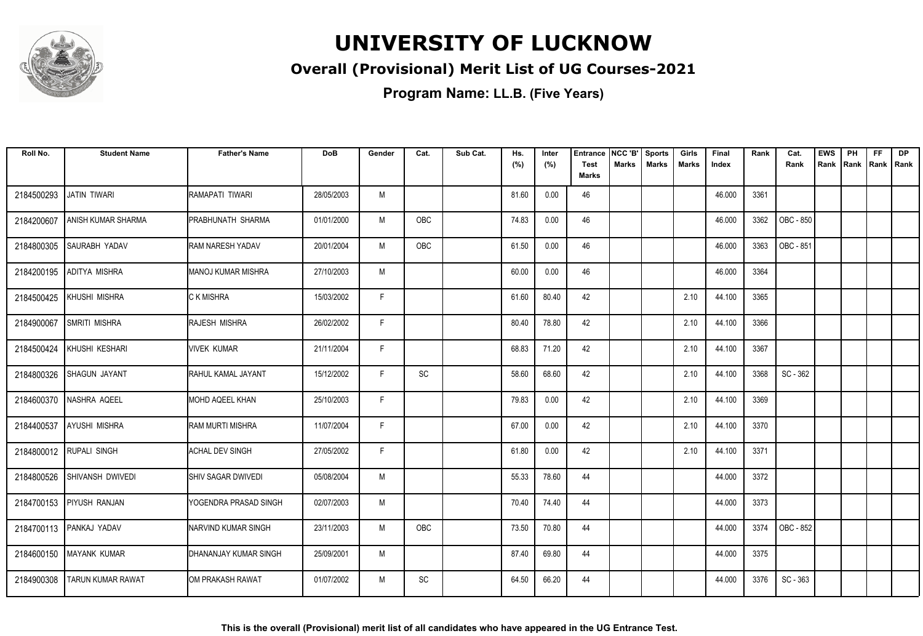

#### **Overall (Provisional) Merit List of UG Courses-2021**

| Roll No.   | <b>Student Name</b>         | <b>Father's Name</b>      | <b>DoB</b> | Gender | Cat.                         | Sub Cat. | Hs.<br>(%) | Inter<br>(%) | <b>Entrance</b><br><b>Test</b> | NCC 'B'<br>Marks | <b>Sports</b><br><b>Marks</b> | Girls<br>Marks | Final<br>Index | Rank | Cat.<br>Rank | <b>EWS</b><br>Rank | PH<br> Rank  Rank   Rank | <b>FF</b> | <b>DP</b> |
|------------|-----------------------------|---------------------------|------------|--------|------------------------------|----------|------------|--------------|--------------------------------|------------------|-------------------------------|----------------|----------------|------|--------------|--------------------|--------------------------|-----------|-----------|
|            |                             |                           |            |        |                              |          |            |              | <b>Marks</b>                   |                  |                               |                |                |      |              |                    |                          |           |           |
| 2184500293 | <b>JATIN TIWARI</b>         | RAMAPATI TIWARI           | 28/05/2003 | M      |                              |          | 81.60      | 0.00         | 46                             |                  |                               |                | 46.000         | 3361 |              |                    |                          |           |           |
| 2184200607 | ANISH KUMAR SHARMA          | PRABHUNATH SHARMA         | 01/01/2000 | M      | OBC                          |          | 74.83      | 0.00         | 46                             |                  |                               |                | 46.000         | 3362 | OBC - 850    |                    |                          |           |           |
| 2184800305 | <b>SAURABH YADAV</b>        | <b>RAM NARESH YADAV</b>   | 20/01/2004 | M      | <b>OBC</b>                   |          | 61.50      | 0.00         | 46                             |                  |                               |                | 46.000         | 3363 | OBC - 851    |                    |                          |           |           |
| 2184200195 | ADITYA MISHRA               | <b>MANOJ KUMAR MISHRA</b> | 27/10/2003 | M      |                              |          | 60.00      | 0.00         | 46                             |                  |                               |                | 46.000         | 3364 |              |                    |                          |           |           |
| 2184500425 | KHUSHI MISHRA               | C K MISHRA                | 15/03/2002 | F.     |                              |          | 61.60      | 80.40        | 42                             |                  |                               | 2.10           | 44.100         | 3365 |              |                    |                          |           |           |
| 2184900067 | <b>SMRITI MISHRA</b>        | RAJESH MISHRA             | 26/02/2002 | F      |                              |          | 80.40      | 78.80        | 42                             |                  |                               | 2.10           | 44.100         | 3366 |              |                    |                          |           |           |
|            | 2184500424   KHUSHI KESHARI | <b>VIVEK KUMAR</b>        | 21/11/2004 | F      |                              |          | 68.83      | 71.20        | 42                             |                  |                               | 2.10           | 44.100         | 3367 |              |                    |                          |           |           |
| 2184800326 | <b>SHAGUN JAYANT</b>        | RAHUL KAMAL JAYANT        | 15/12/2002 | F.     | $\operatorname{\textsf{SC}}$ |          | 58.60      | 68.60        | 42                             |                  |                               | 2.10           | 44.100         | 3368 | SC - 362     |                    |                          |           |           |
|            | 2184600370   NASHRA AQEEL   | MOHD AQEEL KHAN           | 25/10/2003 | F.     |                              |          | 79.83      | 0.00         | 42                             |                  |                               | 2.10           | 44.100         | 3369 |              |                    |                          |           |           |
| 2184400537 | <b>AYUSHI MISHRA</b>        | <b>RAM MURTI MISHRA</b>   | 11/07/2004 | F      |                              |          | 67.00      | 0.00         | 42                             |                  |                               | 2.10           | 44.100         | 3370 |              |                    |                          |           |           |
|            | 2184800012 RUPALI SINGH     | <b>ACHAL DEV SINGH</b>    | 27/05/2002 | F      |                              |          | 61.80      | 0.00         | 42                             |                  |                               | 2.10           | 44.100         | 3371 |              |                    |                          |           |           |
| 2184800526 | <b>SHIVANSH DWIVEDI</b>     | <b>SHIV SAGAR DWIVEDI</b> | 05/08/2004 | M      |                              |          | 55.33      | 78.60        | 44                             |                  |                               |                | 44.000         | 3372 |              |                    |                          |           |           |
|            | 2184700153 PIYUSH RANJAN    | YOGENDRA PRASAD SINGH     | 02/07/2003 | M      |                              |          | 70.40      | 74.40        | 44                             |                  |                               |                | 44.000         | 3373 |              |                    |                          |           |           |
|            | 2184700113 PANKAJ YADAV     | INARVIND KUMAR SINGH      | 23/11/2003 | M      | <b>OBC</b>                   |          | 73.50      | 70.80        | 44                             |                  |                               |                | 44.000         | 3374 | OBC - 852    |                    |                          |           |           |
| 2184600150 | <b>MAYANK KUMAR</b>         | DHANANJAY KUMAR SINGH     | 25/09/2001 | M      |                              |          | 87.40      | 69.80        | 44                             |                  |                               |                | 44.000         | 3375 |              |                    |                          |           |           |
| 2184900308 | <b>TARUN KUMAR RAWAT</b>    | OM PRAKASH RAWAT          | 01/07/2002 | M      | SC                           |          | 64.50      | 66.20        | 44                             |                  |                               |                | 44.000         | 3376 | SC - 363     |                    |                          |           |           |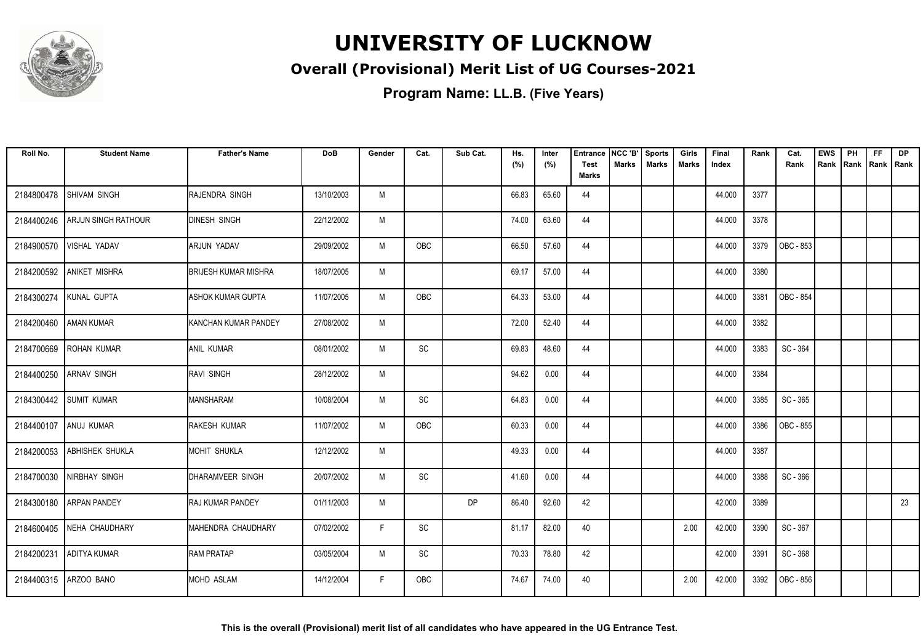

#### **Overall (Provisional) Merit List of UG Courses-2021**

| Roll No.   | <b>Student Name</b>       | <b>Father's Name</b>        | <b>DoB</b> | Gender | Cat.                         | Sub Cat. | Hs.<br>(%) | Inter<br>(%) | Entrance<br><b>Test</b> | NCC 'B'<br>Marks | <b>Sports</b><br><b>Marks</b> | Girls<br><b>Marks</b> | Final<br>Index | Rank | Cat.<br>Rank | <b>EWS</b><br>Rank | PH<br>Rank | <b>FF</b><br>Rank   Rank | <b>DP</b> |
|------------|---------------------------|-----------------------------|------------|--------|------------------------------|----------|------------|--------------|-------------------------|------------------|-------------------------------|-----------------------|----------------|------|--------------|--------------------|------------|--------------------------|-----------|
|            |                           |                             |            |        |                              |          |            |              | <b>Marks</b>            |                  |                               |                       |                |      |              |                    |            |                          |           |
| 2184800478 | <b>SHIVAM SINGH</b>       | RAJENDRA SINGH              | 13/10/2003 | M      |                              |          | 66.83      | 65.60        | 44                      |                  |                               |                       | 44.000         | 3377 |              |                    |            |                          |           |
| 2184400246 | ARJUN SINGH RATHOUR       | <b>DINESH SINGH</b>         | 22/12/2002 | M      |                              |          | 74.00      | 63.60        | 44                      |                  |                               |                       | 44.000         | 3378 |              |                    |            |                          |           |
| 2184900570 | <b>VISHAL YADAV</b>       | ARJUN YADAV                 | 29/09/2002 | M      | <b>OBC</b>                   |          | 66.50      | 57.60        | 44                      |                  |                               |                       | 44.000         | 3379 | OBC - 853    |                    |            |                          |           |
| 2184200592 | <b>ANIKET MISHRA</b>      | <b>BRIJESH KUMAR MISHRA</b> | 18/07/2005 | M      |                              |          | 69.17      | 57.00        | 44                      |                  |                               |                       | 44.000         | 3380 |              |                    |            |                          |           |
| 2184300274 | KUNAL GUPTA               | <b>ASHOK KUMAR GUPTA</b>    | 11/07/2005 | M      | OBC                          |          | 64.33      | 53.00        | 44                      |                  |                               |                       | 44.000         | 3381 | OBC - 854    |                    |            |                          |           |
|            | 2184200460 AMAN KUMAR     | KANCHAN KUMAR PANDEY        | 27/08/2002 | M      |                              |          | 72.00      | 52.40        | 44                      |                  |                               |                       | 44.000         | 3382 |              |                    |            |                          |           |
|            | 2184700669 ROHAN KUMAR    | <b>ANIL KUMAR</b>           | 08/01/2002 | M      | $\operatorname{\textsf{SC}}$ |          | 69.83      | 48.60        | 44                      |                  |                               |                       | 44.000         | 3383 | SC - 364     |                    |            |                          |           |
| 2184400250 | <b>ARNAV SINGH</b>        | <b>RAVI SINGH</b>           | 28/12/2002 | M      |                              |          | 94.62      | 0.00         | 44                      |                  |                               |                       | 44.000         | 3384 |              |                    |            |                          |           |
|            | 2184300442 SUMIT KUMAR    | <b>MANSHARAM</b>            | 10/08/2004 | M      | SC                           |          | 64.83      | 0.00         | 44                      |                  |                               |                       | 44.000         | 3385 | SC - 365     |                    |            |                          |           |
| 2184400107 | ANUJ KUMAR                | RAKESH KUMAR                | 11/07/2002 | M      | OBC                          |          | 60.33      | 0.00         | 44                      |                  |                               |                       | 44.000         | 3386 | OBC - 855    |                    |            |                          |           |
| 2184200053 | <b>ABHISHEK SHUKLA</b>    | <b>MOHIT SHUKLA</b>         | 12/12/2002 | M      |                              |          | 49.33      | 0.00         | 44                      |                  |                               |                       | 44.000         | 3387 |              |                    |            |                          |           |
| 2184700030 | NIRBHAY SINGH             | DHARAMVEER SINGH            | 20/07/2002 | M      | SC                           |          | 41.60      | 0.00         | 44                      |                  |                               |                       | 44.000         | 3388 | SC - 366     |                    |            |                          |           |
|            | 2184300180 ARPAN PANDEY   | <b>RAJ KUMAR PANDEY</b>     | 01/11/2003 | M      |                              | DP       | 86.40      | 92.60        | 42                      |                  |                               |                       | 42.000         | 3389 |              |                    |            |                          | 23        |
|            | 2184600405 NEHA CHAUDHARY | MAHENDRA CHAUDHARY          | 07/02/2002 | F      | SC                           |          | 81.17      | 82.00        | 40                      |                  |                               | 2.00                  | 42.000         | 3390 | SC - 367     |                    |            |                          |           |
| 2184200231 | <b>ADITYA KUMAR</b>       | <b>RAM PRATAP</b>           | 03/05/2004 | M      | SC                           |          | 70.33      | 78.80        | 42                      |                  |                               |                       | 42.000         | 3391 | SC - 368     |                    |            |                          |           |
| 2184400315 | ARZOO BANO                | <b>MOHD ASLAM</b>           | 14/12/2004 | F.     | <b>OBC</b>                   |          | 74.67      | 74.00        | 40                      |                  |                               | 2.00                  | 42.000         | 3392 | OBC - 856    |                    |            |                          |           |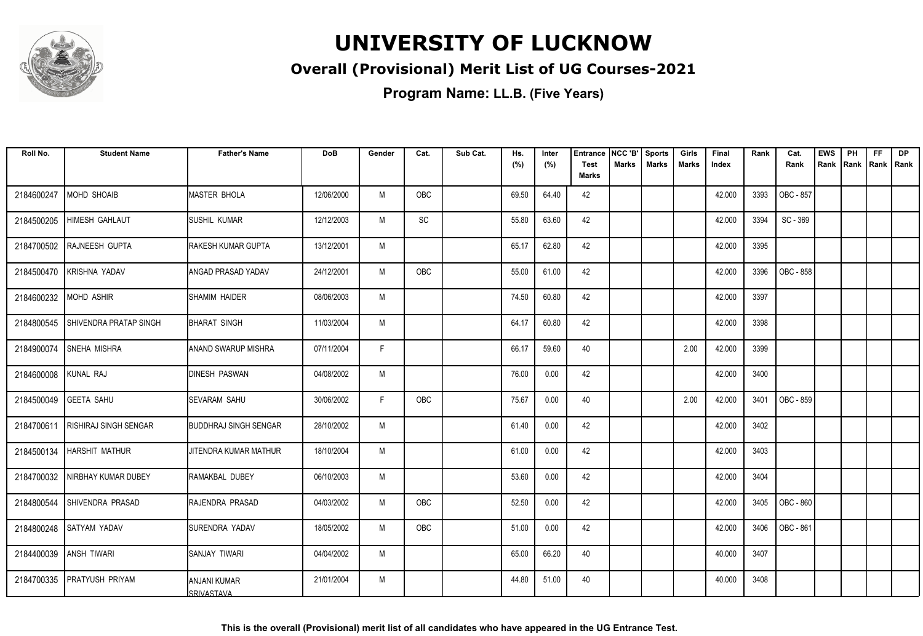

#### **Overall (Provisional) Merit List of UG Courses-2021**

| Roll No.               | <b>Student Name</b>           | <b>Father's Name</b>                     | <b>DoB</b> | Gender | Cat.       | Sub Cat. | Hs.   | Inter | <b>Entrance</b>             | NCC 'B'      | <b>Sports</b> | Girls        | Final  | Rank | Cat.      | <b>EWS</b> | PH   | <b>FF</b>   | DP |
|------------------------|-------------------------------|------------------------------------------|------------|--------|------------|----------|-------|-------|-----------------------------|--------------|---------------|--------------|--------|------|-----------|------------|------|-------------|----|
|                        |                               |                                          |            |        |            |          | (%)   | (%)   | <b>Test</b><br><b>Marks</b> | <b>Marks</b> | <b>Marks</b>  | <b>Marks</b> | Index  |      | Rank      | Rank       | Rank | Rank   Rank |    |
| 2184600247             | MOHD SHOAIB                   | <b>MASTER BHOLA</b>                      | 12/06/2000 | M      | OBC        |          | 69.50 | 64.40 | 42                          |              |               |              | 42.000 | 3393 | OBC - 857 |            |      |             |    |
| 2184500205             | <b>HIMESH GAHLAUT</b>         | <b>SUSHIL KUMAR</b>                      | 12/12/2003 | M      | SC         |          | 55.80 | 63.60 | 42                          |              |               |              | 42.000 | 3394 | SC - 369  |            |      |             |    |
| 2184700502             | RAJNEESH GUPTA                | <b>RAKESH KUMAR GUPTA</b>                | 13/12/2001 | M      |            |          | 65.17 | 62.80 | 42                          |              |               |              | 42.000 | 3395 |           |            |      |             |    |
| 2184500470             | KRISHNA YADAV                 | ANGAD PRASAD YADAV                       | 24/12/2001 | M      | <b>OBC</b> |          | 55.00 | 61.00 | 42                          |              |               |              | 42.000 | 3396 | OBC - 858 |            |      |             |    |
| 2184600232             | MOHD ASHIR                    | <b>SHAMIM HAIDER</b>                     | 08/06/2003 | M      |            |          | 74.50 | 60.80 | 42                          |              |               |              | 42.000 | 3397 |           |            |      |             |    |
| 2184800545             | <b>SHIVENDRA PRATAP SINGH</b> | BHARAT SINGH                             | 11/03/2004 | M      |            |          | 64.17 | 60.80 | 42                          |              |               |              | 42.000 | 3398 |           |            |      |             |    |
| 2184900074             | <b>SNEHA MISHRA</b>           | <b>ANAND SWARUP MISHRA</b>               | 07/11/2004 | F      |            |          | 66.17 | 59.60 | 40                          |              |               | 2.00         | 42.000 | 3399 |           |            |      |             |    |
| 2184600008 KUNAL RAJ   |                               | <b>DINESH PASWAN</b>                     | 04/08/2002 | M      |            |          | 76.00 | 0.00  | 42                          |              |               |              | 42.000 | 3400 |           |            |      |             |    |
| 2184500049 GEETA SAHU  |                               | <b>SEVARAM SAHU</b>                      | 30/06/2002 | F      | OBC        |          | 75.67 | 0.00  | 40                          |              |               | 2.00         | 42.000 | 3401 | OBC - 859 |            |      |             |    |
| 2184700611             | <b>RISHIRAJ SINGH SENGAR</b>  | <b>BUDDHRAJ SINGH SENGAR</b>             | 28/10/2002 | M      |            |          | 61.40 | 0.00  | 42                          |              |               |              | 42.000 | 3402 |           |            |      |             |    |
| 2184500134             | <b>HARSHIT MATHUR</b>         | JITENDRA KUMAR MATHUR                    | 18/10/2004 | M      |            |          | 61.00 | 0.00  | 42                          |              |               |              | 42.000 | 3403 |           |            |      |             |    |
| 2184700032             | NIRBHAY KUMAR DUBEY           | RAMAKBAL DUBEY                           | 06/10/2003 | M      |            |          | 53.60 | 0.00  | 42                          |              |               |              | 42.000 | 3404 |           |            |      |             |    |
| 2184800544             | SHIVENDRA PRASAD              | RAJENDRA PRASAD                          | 04/03/2002 | M      | OBC        |          | 52.50 | 0.00  | 42                          |              |               |              | 42.000 | 3405 | OBC - 860 |            |      |             |    |
| 2184800248             | <b>SATYAM YADAV</b>           | SURENDRA YADAV                           | 18/05/2002 | M      | OBC        |          | 51.00 | 0.00  | 42                          |              |               |              | 42.000 | 3406 | OBC - 861 |            |      |             |    |
| 2184400039 ANSH TIWARI |                               | SANJAY TIWARI                            | 04/04/2002 | M      |            |          | 65.00 | 66.20 | 40                          |              |               |              | 40.000 | 3407 |           |            |      |             |    |
| 2184700335             | <b>PRATYUSH PRIYAM</b>        | <b>ANJANI KUMAR</b><br><b>SRIVASTAVA</b> | 21/01/2004 | M      |            |          | 44.80 | 51.00 | 40                          |              |               |              | 40.000 | 3408 |           |            |      |             |    |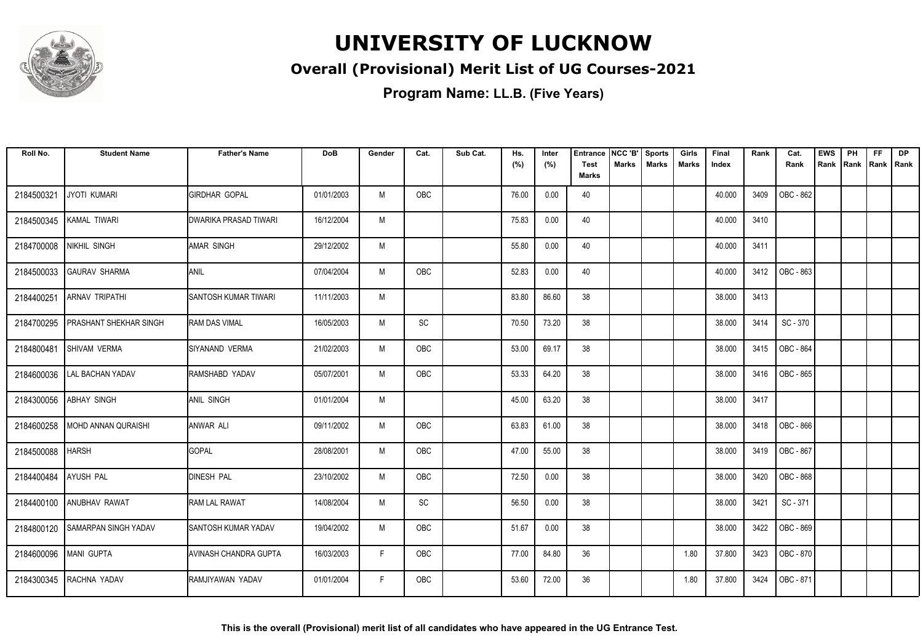

#### **Overall (Provisional) Merit List of UG Courses-2021**

| Roll No.   | <b>Student Name</b>             | <b>Father's Name</b>        | <b>DoB</b> | Gender | Cat.       | Sub Cat. | Hs.<br>(%) | Inter<br>(%) | <b>Entrance</b><br><b>Test</b> | NCC 'B'<br>Marks | <b>Sports</b><br><b>Marks</b> | Girls<br><b>Marks</b> | Final<br>Index | Rank | Cat.<br>Rank | <b>EWS</b><br>Rank | PH<br>Rank | <b>FF</b><br>Rank   Rank | <b>DP</b> |
|------------|---------------------------------|-----------------------------|------------|--------|------------|----------|------------|--------------|--------------------------------|------------------|-------------------------------|-----------------------|----------------|------|--------------|--------------------|------------|--------------------------|-----------|
|            |                                 |                             |            |        |            |          |            |              | <b>Marks</b>                   |                  |                               |                       |                |      |              |                    |            |                          |           |
| 2184500321 | <b>JYOTI KUMARI</b>             | <b>GIRDHAR GOPAL</b>        | 01/01/2003 | M      | OBC        |          | 76.00      | 0.00         | 40                             |                  |                               |                       | 40.000         | 3409 | OBC - 862    |                    |            |                          |           |
| 2184500345 | KAMAL TIWARI                    | DWARIKA PRASAD TIWARI       | 16/12/2004 | M      |            |          | 75.83      | 0.00         | 40                             |                  |                               |                       | 40.000         | 3410 |              |                    |            |                          |           |
| 2184700008 | <b>NIKHIL SINGH</b>             | <b>AMAR SINGH</b>           | 29/12/2002 | M      |            |          | 55.80      | 0.00         | 40                             |                  |                               |                       | 40.000         | 3411 |              |                    |            |                          |           |
| 2184500033 | <b>GAURAV SHARMA</b>            | ANIL                        | 07/04/2004 | M      | OBC        |          | 52.83      | 0.00         | 40                             |                  |                               |                       | 40.000         | 3412 | OBC - 863    |                    |            |                          |           |
| 2184400251 | <b>ARNAV TRIPATHI</b>           | <b>SANTOSH KUMAR TIWARI</b> | 11/11/2003 | M      |            |          | 83.80      | 86.60        | 38                             |                  |                               |                       | 38.000         | 3413 |              |                    |            |                          |           |
| 2184700295 | <b>PRASHANT SHEKHAR SINGH</b>   | <b>RAM DAS VIMAL</b>        | 16/05/2003 | M      | SC         |          | 70.50      | 73.20        | 38                             |                  |                               |                       | 38.000         | 3414 | SC - 370     |                    |            |                          |           |
| 2184800481 | <b>SHIVAM VERMA</b>             | ISIYANAND VERMA             | 21/02/2003 | M      | OBC        |          | 53.00      | 69.17        | 38                             |                  |                               |                       | 38,000         | 3415 | OBC - 864    |                    |            |                          |           |
| 2184600036 | <b>LAL BACHAN YADAV</b>         | RAMSHABD YADAV              | 05/07/2001 | M      | OBC        |          | 53.33      | 64.20        | 38                             |                  |                               |                       | 38.000         | 3416 | OBC - 865    |                    |            |                          |           |
| 2184300056 | <b>ABHAY SINGH</b>              | ANIL SINGH                  | 01/01/2004 | M      |            |          | 45.00      | 63.20        | 38                             |                  |                               |                       | 38.000         | 3417 |              |                    |            |                          |           |
| 2184600258 | MOHD ANNAN QURAISHI             | ANWAR ALI                   | 09/11/2002 | M      | OBC        |          | 63.83      | 61.00        | 38                             |                  |                               |                       | 38.000         | 3418 | OBC - 866    |                    |            |                          |           |
| 2184500088 | <b>HARSH</b>                    | <b>GOPAL</b>                | 28/08/2001 | M      | OBC        |          | 47.00      | 55.00        | 38                             |                  |                               |                       | 38.000         | 3419 | OBC - 867    |                    |            |                          |           |
| 2184400484 | <b>AYUSH PAL</b>                | <b>DINESH PAL</b>           | 23/10/2002 | M      | OBC        |          | 72.50      | 0.00         | 38                             |                  |                               |                       | 38.000         | 3420 | OBC - 868    |                    |            |                          |           |
|            | 2184400100 ANUBHAV RAWAT        | <b>RAM LAL RAWAT</b>        | 14/08/2004 | M      | SC         |          | 56.50      | 0.00         | 38                             |                  |                               |                       | 38.000         | 3421 | SC - 371     |                    |            |                          |           |
|            | 2184800120 SAMARPAN SINGH YADAV | <b>SANTOSH KUMAR YADAV</b>  | 19/04/2002 | M      | <b>OBC</b> |          | 51.67      | 0.00         | 38                             |                  |                               |                       | 38.000         | 3422 | OBC - 869    |                    |            |                          |           |
| 2184600096 | MANI GUPTA                      | AVINASH CHANDRA GUPTA       | 16/03/2003 | F      | OBC        |          | 77.00      | 84.80        | 36                             |                  |                               | 1.80                  | 37.800         | 3423 | OBC - 870    |                    |            |                          |           |
| 2184300345 | RACHNA YADAV                    | RAMJIYAWAN YADAV            | 01/01/2004 | F      | <b>OBC</b> |          | 53.60      | 72.00        | 36                             |                  |                               | 1.80                  | 37.800         | 3424 | OBC - 871    |                    |            |                          |           |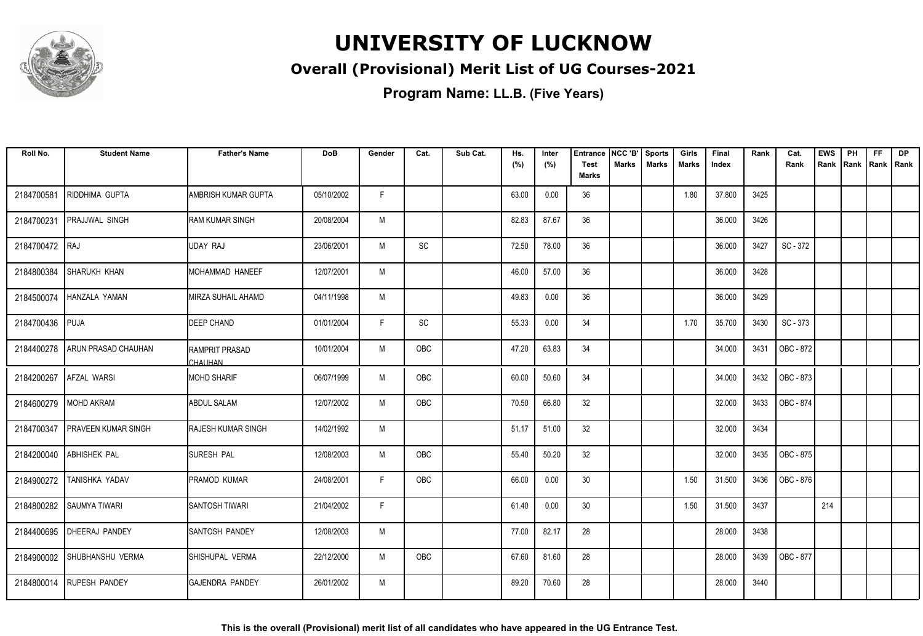

#### **Overall (Provisional) Merit List of UG Courses-2021**

| Roll No.       | <b>Student Name</b>        | <b>Father's Name</b>              | <b>DoB</b> | Gender | Cat.       | Sub Cat. | Hs.<br>(%) | Inter<br>(%) | <b>Entrance</b><br><b>Test</b> | NCC 'B'<br>Marks | <b>Sports</b><br><b>Marks</b> | Girls<br><b>Marks</b> | Final<br>Index | Rank | Cat.<br>Rank | <b>EWS</b><br>Rank | PH<br>Rank | FF<br>Rank   Rank | <b>DP</b> |
|----------------|----------------------------|-----------------------------------|------------|--------|------------|----------|------------|--------------|--------------------------------|------------------|-------------------------------|-----------------------|----------------|------|--------------|--------------------|------------|-------------------|-----------|
|                |                            |                                   |            |        |            |          |            |              | <b>Marks</b>                   |                  |                               |                       |                |      |              |                    |            |                   |           |
| 2184700581     | RIDDHIMA GUPTA             | AMBRISH KUMAR GUPTA               | 05/10/2002 | F.     |            |          | 63.00      | 0.00         | 36                             |                  |                               | 1.80                  | 37.800         | 3425 |              |                    |            |                   |           |
| 2184700231     | <b>PRAJJWAL SINGH</b>      | <b>RAM KUMAR SINGH</b>            | 20/08/2004 | M      |            |          | 82.83      | 87.67        | 36                             |                  |                               |                       | 36.000         | 3426 |              |                    |            |                   |           |
| 2184700472 RAJ |                            | <b>UDAY RAJ</b>                   | 23/06/2001 | M      | SC         |          | 72.50      | 78.00        | 36                             |                  |                               |                       | 36.000         | 3427 | SC - 372     |                    |            |                   |           |
| 2184800384     | SHARUKH KHAN               | MOHAMMAD HANEEF                   | 12/07/2001 | M      |            |          | 46.00      | 57.00        | 36                             |                  |                               |                       | 36.000         | 3428 |              |                    |            |                   |           |
| 2184500074     | <b>HANZALA YAMAN</b>       | MIRZA SUHAIL AHAMD                | 04/11/1998 | M      |            |          | 49.83      | 0.00         | 36                             |                  |                               |                       | 36.000         | 3429 |              |                    |            |                   |           |
| 2184700436     | <b>PUJA</b>                | <b>DEEP CHAND</b>                 | 01/01/2004 | F      | SC         |          | 55.33      | 0.00         | 34                             |                  |                               | 1.70                  | 35.700         | 3430 | SC - 373     |                    |            |                   |           |
| 2184400278     | ARUN PRASAD CHAUHAN        | IRAMPRIT PRASAD<br><b>CHAUHAN</b> | 10/01/2004 | M      | OBC        |          | 47.20      | 63.83        | 34                             |                  |                               |                       | 34.000         | 3431 | OBC - 872    |                    |            |                   |           |
| 2184200267     | <b>AFZAL WARSI</b>         | <b>MOHD SHARIF</b>                | 06/07/1999 | M      | OBC        |          | 60.00      | 50.60        | 34                             |                  |                               |                       | 34.000         | 3432 | OBC - 873    |                    |            |                   |           |
| 2184600279     | <b>MOHD AKRAM</b>          | <b>ABDUL SALAM</b>                | 12/07/2002 | M      | OBC        |          | 70.50      | 66.80        | 32                             |                  |                               |                       | 32.000         | 3433 | OBC - 874    |                    |            |                   |           |
| 2184700347     | <b>PRAVEEN KUMAR SINGH</b> | <b>RAJESH KUMAR SINGH</b>         | 14/02/1992 | M      |            |          | 51.17      | 51.00        | 32                             |                  |                               |                       | 32.000         | 3434 |              |                    |            |                   |           |
| 2184200040     | <b>ABHISHEK PAL</b>        | <b>SURESH PAL</b>                 | 12/08/2003 | M      | OBC        |          | 55.40      | 50.20        | 32                             |                  |                               |                       | 32.000         | 3435 | OBC - 875    |                    |            |                   |           |
| 2184900272     | TANISHKA YADAV             | <b>PRAMOD KUMAR</b>               | 24/08/2001 | F      | <b>OBC</b> |          | 66.00      | 0.00         | 30 <sup>°</sup>                |                  |                               | 1.50                  | 31.500         | 3436 | OBC - 876    |                    |            |                   |           |
|                | 2184800282 SAUMYA TIWARI   | <b>SANTOSH TIWARI</b>             | 21/04/2002 | F      |            |          | 61.40      | 0.00         | 30                             |                  |                               | 1.50                  | 31.500         | 3437 |              | 214                |            |                   |           |
|                | 2184400695 DHEERAJ PANDEY  | <b>SANTOSH PANDEY</b>             | 12/08/2003 | M      |            |          | 77.00      | 82.17        | 28                             |                  |                               |                       | 28.000         | 3438 |              |                    |            |                   |           |
| 2184900002     | SHUBHANSHU VERMA           | SHISHUPAL VERMA                   | 22/12/2000 | M      | OBC        |          | 67.60      | 81.60        | 28                             |                  |                               |                       | 28.000         | 3439 | OBC - 877    |                    |            |                   |           |
|                | 2184800014   RUPESH PANDEY | <b>GAJENDRA PANDEY</b>            | 26/01/2002 | M      |            |          | 89.20      | 70.60        | 28                             |                  |                               |                       | 28.000         | 3440 |              |                    |            |                   |           |